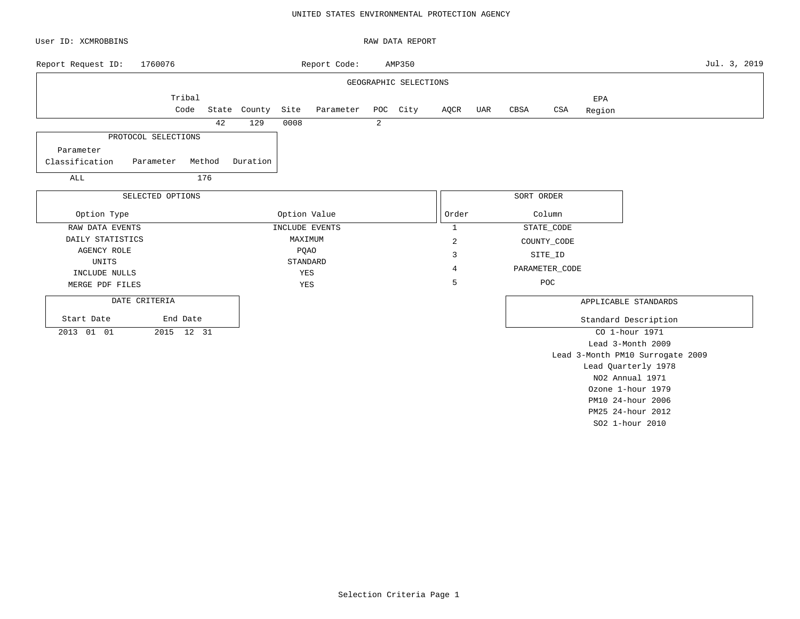### UNITED STATES ENVIRONMENTAL PROTECTION AGENCY

| User ID: XCMROBBINS         |                  |        | RAW DATA REPORT |             |                |                 |                       |              |     |             |                   |                   |                                  |              |
|-----------------------------|------------------|--------|-----------------|-------------|----------------|-----------------|-----------------------|--------------|-----|-------------|-------------------|-------------------|----------------------------------|--------------|
| Report Request ID:          | 1760076          |        |                 |             | Report Code:   |                 | AMP350                |              |     |             |                   |                   |                                  | Jul. 3, 2019 |
|                             |                  |        |                 |             |                |                 | GEOGRAPHIC SELECTIONS |              |     |             |                   |                   |                                  |              |
|                             | Tribal           |        |                 |             |                |                 |                       |              |     |             |                   | EPA               |                                  |              |
|                             | Code             |        | State County    | Site        | Parameter      |                 | POC City              | AQCR         | UAR | CBSA        | CSA               | Region            |                                  |              |
|                             |                  | 42     | 129             | 0008        |                | 2               |                       |              |     |             |                   |                   |                                  |              |
| PROTOCOL SELECTIONS         |                  |        |                 |             |                |                 |                       |              |     |             |                   |                   |                                  |              |
| Parameter                   |                  |        |                 |             |                |                 |                       |              |     |             |                   |                   |                                  |              |
| Classification<br>Parameter |                  | Method | Duration        |             |                |                 |                       |              |     |             |                   |                   |                                  |              |
| ALL                         |                  | 176    |                 |             |                |                 |                       |              |     |             |                   |                   |                                  |              |
|                             | SELECTED OPTIONS |        |                 |             |                |                 |                       |              |     | SORT ORDER  |                   |                   |                                  |              |
| Option Type                 |                  |        |                 |             | Option Value   | Order<br>Column |                       |              |     |             |                   |                   |                                  |              |
| RAW DATA EVENTS             |                  |        |                 |             | INCLUDE EVENTS |                 |                       | $\mathbf{1}$ |     |             | STATE_CODE        |                   |                                  |              |
| DAILY STATISTICS            |                  |        |                 | MAXIMUM     |                |                 | $\overline{c}$        |              |     | COUNTY_CODE |                   |                   |                                  |              |
| AGENCY ROLE                 |                  |        |                 | <b>PQAO</b> |                |                 |                       | 3            |     |             | SITE_ID           |                   |                                  |              |
| UNITS                       |                  |        |                 | STANDARD    |                |                 |                       | 4            |     |             | PARAMETER_CODE    |                   |                                  |              |
| INCLUDE NULLS               |                  |        |                 | YES         |                |                 |                       | 5            |     |             | POC               |                   |                                  |              |
| MERGE PDF FILES             |                  |        |                 | YES         |                |                 |                       |              |     |             |                   |                   |                                  |              |
| DATE CRITERIA               |                  |        |                 |             |                |                 |                       |              |     |             |                   |                   | APPLICABLE STANDARDS             |              |
| Start Date                  | End Date         |        |                 |             |                |                 |                       |              |     |             |                   |                   | Standard Description             |              |
| 2015 12 31<br>2013 01 01    |                  |        |                 |             |                |                 |                       |              |     |             | CO 1-hour 1971    |                   |                                  |              |
|                             |                  |        |                 |             |                |                 |                       |              |     |             | Lead 3-Month 2009 |                   |                                  |              |
|                             |                  |        |                 |             |                |                 |                       |              |     |             |                   |                   | Lead 3-Month PM10 Surrogate 2009 |              |
|                             |                  |        |                 |             |                |                 |                       |              |     |             |                   |                   | Lead Quarterly 1978              |              |
|                             |                  |        |                 |             |                |                 |                       |              |     |             |                   |                   | NO2 Annual 1971                  |              |
|                             |                  |        |                 |             |                |                 |                       |              |     |             | Ozone 1-hour 1979 |                   |                                  |              |
|                             |                  |        |                 |             |                |                 |                       |              |     |             |                   | PM10 24-hour 2006 |                                  |              |

PM25 24-hour 2012 SO2 1-hour 2010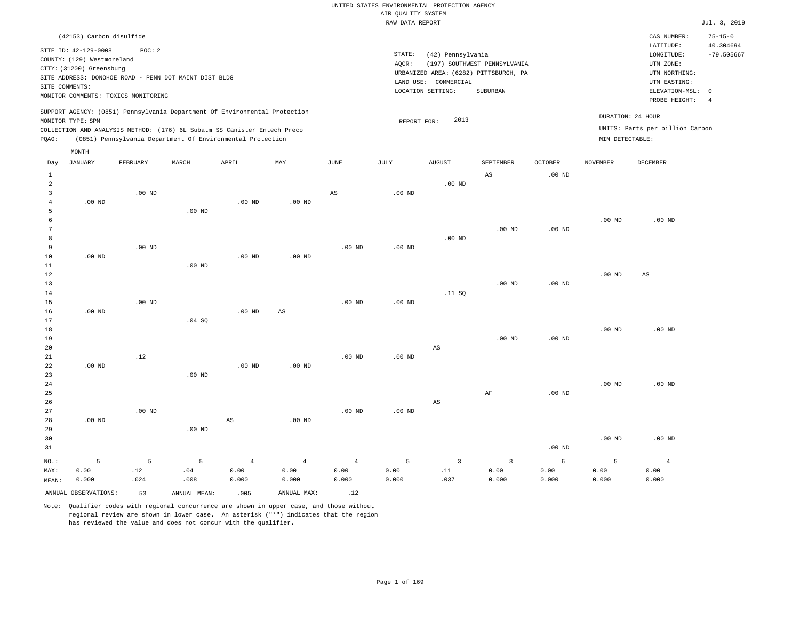|                            | (42153) Carbon disulfide                                                                                                                                                       |       |       |                                                                                                                                                        |      |                              |                                                      |                                                                                   |                |                                      | CAS NUMBER:                                                                                                | $75 - 15 - 0$             |
|----------------------------|--------------------------------------------------------------------------------------------------------------------------------------------------------------------------------|-------|-------|--------------------------------------------------------------------------------------------------------------------------------------------------------|------|------------------------------|------------------------------------------------------|-----------------------------------------------------------------------------------|----------------|--------------------------------------|------------------------------------------------------------------------------------------------------------|---------------------------|
| SITE COMMENTS:             | SITE ID: 42-129-0008<br>COUNTY: (129) Westmoreland<br>CITY: (31200) Greensburg<br>SITE ADDRESS: DONOHOE ROAD - PENN DOT MAINT DIST BLDG<br>MONITOR COMMENTS: TOXICS MONITORING | POC:2 |       |                                                                                                                                                        |      | STATE:<br>AOCR:<br>LAND USE: | (42) Pennsylvania<br>COMMERCIAL<br>LOCATION SETTING: | (197) SOUTHWEST PENNSYLVANIA<br>URBANIZED AREA: (6282) PITTSBURGH, PA<br>SUBURBAN |                |                                      | LATITUDE:<br>LONGITUDE:<br>UTM ZONE:<br>UTM NORTHING:<br>UTM EASTING:<br>ELEVATION-MSL: 0<br>PROBE HEIGHT: | 40.304694<br>$-79.505667$ |
| MONITOR TYPE: SPM<br>POAO: | (0851) Pennsylvania Department Of Environmental Protection                                                                                                                     |       |       | SUPPORT AGENCY: (0851) Pennsylvania Department Of Environmental Protection<br>COLLECTION AND ANALYSIS METHOD: (176) 6L Subatm SS Canister Entech Preco |      | REPORT FOR:                  | 2013                                                 |                                                                                   |                | DURATION: 24 HOUR<br>MIN DETECTABLE: | UNITS: Parts per billion Carbon                                                                            |                           |
| Day                        | MONTH<br>JANUARY<br>FEBRUARY                                                                                                                                                   | MARCH | APRIL | MAY                                                                                                                                                    | JUNE | JULY                         | AUGUST                                               | SEPTEMBER                                                                         | <b>OCTOBER</b> | <b>NOVEMBER</b>                      | DECEMBER                                                                                                   |                           |

| $1\,$          |          |          |          |                        |                        |                |          |                        | AS             | $.00$ ND |          |                |
|----------------|----------|----------|----------|------------------------|------------------------|----------------|----------|------------------------|----------------|----------|----------|----------------|
| $\overline{a}$ |          |          |          |                        |                        |                |          | $.00$ ND               |                |          |          |                |
| 3              |          | .00 $ND$ |          |                        |                        | $_{\rm AS}$    | $.00$ ND |                        |                |          |          |                |
| 4              | .00 $ND$ |          |          | $.00$ ND               | $.00$ ND               |                |          |                        |                |          |          |                |
| 5              |          |          | .00 $ND$ |                        |                        |                |          |                        |                |          |          |                |
| 6              |          |          |          |                        |                        |                |          |                        |                |          | $.00$ ND | $.00$ ND       |
| 7              |          |          |          |                        |                        |                |          |                        | $.00$ ND       | .00 $ND$ |          |                |
| 8              |          |          |          |                        |                        |                |          | $.00$ ND               |                |          |          |                |
| 9              |          | $.00$ ND |          |                        |                        | $.00$ ND       | $.00$ ND |                        |                |          |          |                |
| 10             | $.00$ ND |          |          | $.00$ ND               | $.00$ ND               |                |          |                        |                |          |          |                |
| $11\,$         |          |          | .00 $ND$ |                        |                        |                |          |                        |                |          |          |                |
| 12             |          |          |          |                        |                        |                |          |                        |                |          | $.00$ ND | AS             |
| 13             |          |          |          |                        |                        |                |          |                        | $.00$ ND       | .00 $ND$ |          |                |
| 14             |          |          |          |                        |                        |                |          | $.11\,$ SQ             |                |          |          |                |
| 15             |          | $.00$ ND |          |                        |                        | $.00$ ND       | .00 $ND$ |                        |                |          |          |                |
| 16             | $.00$ ND |          |          | $.00$ ND               | $\mathbb{A}\mathbb{S}$ |                |          |                        |                |          |          |                |
| 17             |          |          | .04 SQ   |                        |                        |                |          |                        |                |          |          |                |
| 18             |          |          |          |                        |                        |                |          |                        |                |          | $.00$ ND | $.00$ ND       |
| 19             |          |          |          |                        |                        |                |          |                        | $.00$ ND       | .00 $ND$ |          |                |
| 20             |          |          |          |                        |                        |                |          | $\mathbb{A}\mathbb{S}$ |                |          |          |                |
| 21             |          | .12      |          |                        |                        | $.00$ ND       | .00 $ND$ |                        |                |          |          |                |
| 22             | $.00$ ND |          |          | $.00$ ND               | $.00$ ND               |                |          |                        |                |          |          |                |
| 23             |          |          | $.00$ ND |                        |                        |                |          |                        |                |          |          |                |
| 24             |          |          |          |                        |                        |                |          |                        |                |          | $.00$ ND | $.00$ ND       |
| 25             |          |          |          |                        |                        |                |          |                        | $\rm{AF}$      | .00 $ND$ |          |                |
| 26             |          |          |          |                        |                        |                |          | $\mathbb{A}\mathbb{S}$ |                |          |          |                |
| 27             |          | .00 $ND$ |          |                        |                        | .00 $ND$       | .00 $ND$ |                        |                |          |          |                |
| 28             | .00 $ND$ |          |          | $\mathbb{A}\mathbb{S}$ | $.00$ ND               |                |          |                        |                |          |          |                |
| 29             |          |          | .00 $ND$ |                        |                        |                |          |                        |                |          |          |                |
| 30             |          |          |          |                        |                        |                |          |                        |                |          | .00 $ND$ | $.00$ ND       |
| 31             |          |          |          |                        |                        |                |          |                        |                | .00 $ND$ |          |                |
| NO.:           | 5        | 5        | 5        | $\overline{4}$         | $\overline{4}$         | $\overline{4}$ | 5        | $\overline{3}$         | $\overline{3}$ | 6        | 5        | $\overline{4}$ |

ANNUAL OBSERVATIONS: 53 ANNUAL MEAN: .005 ANNUAL MAX: .12

 .04 .008

MAX: MEAN:

 0.00 0.000  .12 .024

Note: Qualifier codes with regional concurrence are shown in upper case, and those without regional review are shown in lower case. An asterisk ("\*") indicates that the region has reviewed the value and does not concur with the qualifier.

 0.00 0.000  0.00 0.000  0.00 0.000  0.00 0.000

 .11 .037  0.00 0.000

 0.00 0.000

 0.00 0.000

 0.00 0.000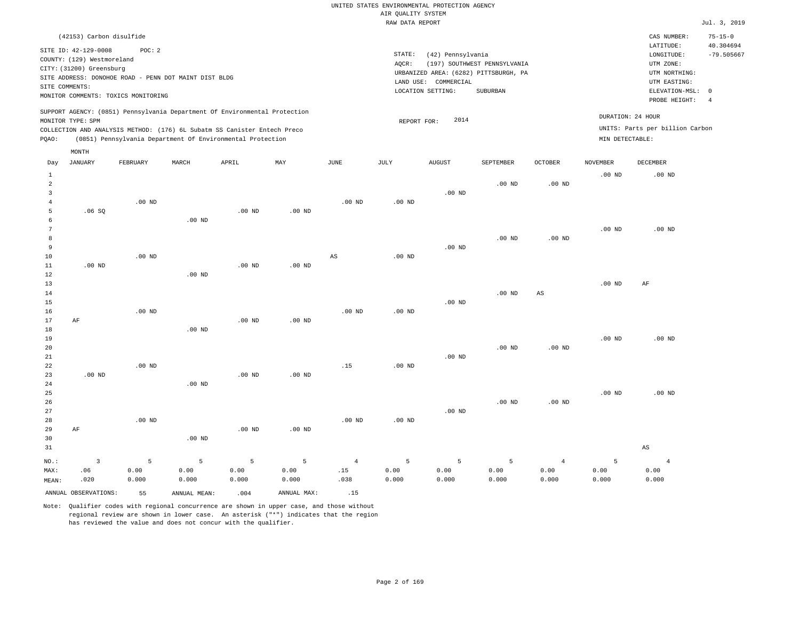| (42153) Carbon disulfide                                                                                                                                                                                                                                    |                                                                                                                                                                        |                                      | CAS NUMBER:                                                                                                | $75 - 15 - 0$             |
|-------------------------------------------------------------------------------------------------------------------------------------------------------------------------------------------------------------------------------------------------------------|------------------------------------------------------------------------------------------------------------------------------------------------------------------------|--------------------------------------|------------------------------------------------------------------------------------------------------------|---------------------------|
| SITE ID: 42-129-0008<br>POC: 2<br>COUNTY: (129) Westmoreland<br>CITY: (31200) Greensburg<br>SITE ADDRESS: DONOHOE ROAD - PENN DOT MAINT DIST BLDG<br>SITE COMMENTS:<br>MONITOR COMMENTS: TOXICS MONITORING                                                  | STATE:<br>(42) Pennsylvania<br>(197) SOUTHWEST PENNSYLVANIA<br>AOCR:<br>URBANIZED AREA: (6282) PITTSBURGH, PA<br>LAND USE: COMMERCIAL<br>LOCATION SETTING:<br>SUBURBAN |                                      | LATITUDE:<br>LONGITUDE:<br>UTM ZONE:<br>UTM NORTHING:<br>UTM EASTING:<br>ELEVATION-MSL: 0<br>PROBE HEIGHT: | 40.304694<br>$-79.505667$ |
| SUPPORT AGENCY: (0851) Pennsylvania Department Of Environmental Protection<br>MONITOR TYPE: SPM<br>COLLECTION AND ANALYSIS METHOD: (176) 6L Subatm SS Canister Entech Preco<br>(0851) Pennsylvania Department Of Environmental Protection<br>POAO:<br>MONTH | 2014<br>REPORT FOR:                                                                                                                                                    | DURATION: 24 HOUR<br>MIN DETECTABLE: | UNITS: Parts per billion Carbon                                                                            |                           |

| Day            | JANUARY        | FEBRUARY | MARCH    | APRIL    | MAY      | JUNE                   | JULY              | AUGUST            | SEPTEMBER | OCTOBER                | NOVEMBER | DECEMBER       |
|----------------|----------------|----------|----------|----------|----------|------------------------|-------------------|-------------------|-----------|------------------------|----------|----------------|
| $\mathbf{1}$   |                |          |          |          |          |                        |                   |                   |           |                        | $.00$ ND | $.00$ ND       |
| $\overline{a}$ |                |          |          |          |          |                        |                   |                   | $.00$ ND  | $.00$ ND               |          |                |
| 3              |                |          |          |          |          |                        |                   | $.00$ ND          |           |                        |          |                |
| 4              |                | $.00$ ND |          |          |          | $.00$ ND               | $.00$ ND          |                   |           |                        |          |                |
| 5              | .06SQ          |          |          | $.00$ ND | $.00$ ND |                        |                   |                   |           |                        |          |                |
| 6              |                |          | $.00$ ND |          |          |                        |                   |                   |           |                        |          |                |
| 7              |                |          |          |          |          |                        |                   |                   |           |                        | $.00$ ND | $.00$ ND       |
| 8              |                |          |          |          |          |                        |                   |                   | $.00$ ND  | $.00$ ND               |          |                |
| 9              |                | $.00$ ND |          |          |          | $\mathbb{A}\mathbb{S}$ | $.00$ ND          | .00 <sub>ND</sub> |           |                        |          |                |
| 10<br>11       | $.00$ ND       |          |          | $.00$ ND | $.00$ ND |                        |                   |                   |           |                        |          |                |
| $1\,2$         |                |          | $.00$ ND |          |          |                        |                   |                   |           |                        |          |                |
| 13             |                |          |          |          |          |                        |                   |                   |           |                        | $.00$ ND | AF             |
| 14             |                |          |          |          |          |                        |                   |                   | $.00$ ND  | $\mathbb{A}\mathbb{S}$ |          |                |
| 15             |                |          |          |          |          |                        |                   | $.00$ ND          |           |                        |          |                |
| 16             |                | $.00$ ND |          |          |          | $.00$ ND               | $.00$ ND          |                   |           |                        |          |                |
| 17             | AF             |          |          | $.00$ ND | $.00$ ND |                        |                   |                   |           |                        |          |                |
| 18             |                |          | $.00$ ND |          |          |                        |                   |                   |           |                        |          |                |
| 19             |                |          |          |          |          |                        |                   |                   |           |                        | $.00$ ND | $.00$ ND       |
| 20             |                |          |          |          |          |                        |                   |                   | $.00$ ND  | $.00$ ND               |          |                |
| 21             |                |          |          |          |          |                        |                   | $.00$ ND          |           |                        |          |                |
| 22             |                | $.00$ ND |          |          |          | .15                    | $.00$ ND          |                   |           |                        |          |                |
| 23             | $.00$ ND       |          |          | $.00$ ND | $.00$ ND |                        |                   |                   |           |                        |          |                |
| $2\sqrt{4}$    |                |          | $.00$ ND |          |          |                        |                   |                   |           |                        |          |                |
| 25             |                |          |          |          |          |                        |                   |                   | $.00$ ND  | .00 $ND$               | $.00$ ND | $.00$ ND       |
| 26<br>27       |                |          |          |          |          |                        |                   | $.00$ ND          |           |                        |          |                |
| 28             |                | $.00$ ND |          |          |          | $.00$ ND               | .00 <sub>ND</sub> |                   |           |                        |          |                |
| 29             | $\rm AF$       |          |          | $.00$ ND | $.00$ ND |                        |                   |                   |           |                        |          |                |
| 30             |                |          | $.00$ ND |          |          |                        |                   |                   |           |                        |          |                |
| 31             |                |          |          |          |          |                        |                   |                   |           |                        |          | AS             |
| $NO.$ :        | $\overline{3}$ | 5        | 5        | 5        | 5        | $\overline{4}$         | 5                 | 5                 | 5         | $\overline{4}$         | 5        | $\overline{4}$ |
| MAX:           | .06            | 0.00     | 0.00     | 0.00     | 0.00     | .15                    | 0.00              | 0.00              | 0.00      | 0.00                   | 0.00     | 0.00           |
| MEAN:          | .020           | 0.000    | 0.000    | 0.000    | 0.000    | .038                   | 0.000             | 0.000             | 0.000     | 0.000                  | 0.000    | 0.000          |
|                |                |          |          |          |          |                        |                   |                   |           |                        |          |                |

ANNUAL OBSERVATIONS: 55 ANNUAL MEAN: .004 ANNUAL MAX: .15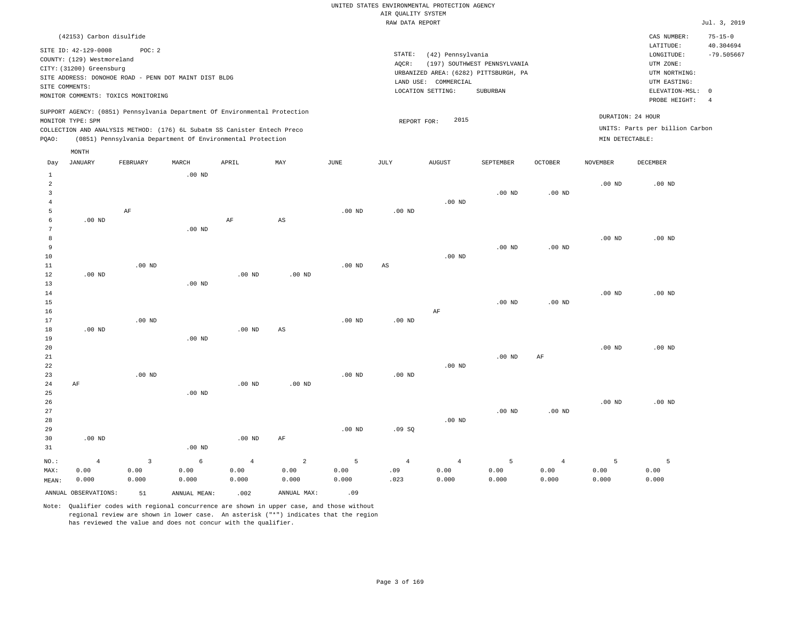|       | (42153) Carbon disulfide                                                   |                   |       |     |      |             |                   |                              |         |                   | CAS NUMBER:                     | $75 - 15 - 0$ |
|-------|----------------------------------------------------------------------------|-------------------|-------|-----|------|-------------|-------------------|------------------------------|---------|-------------------|---------------------------------|---------------|
|       | SITE ID: 42-129-0008                                                       | POC:2             |       |     |      |             |                   |                              |         |                   | LATITUDE:                       | 40.304694     |
|       | COUNTY: (129) Westmoreland                                                 |                   |       |     |      | STATE:      | (42) Pennsylvania |                              |         |                   | LONGITUDE:                      | $-79.505667$  |
|       | CITY: (31200) Greensburg                                                   |                   |       |     |      | AOCR:       |                   | (197) SOUTHWEST PENNSYLVANIA |         |                   | UTM ZONE:                       |               |
|       | SITE ADDRESS: DONOHOE ROAD - PENN DOT MAINT DIST BLDG                      |                   |       |     |      |             | UTM NORTHING:     |                              |         |                   |                                 |               |
|       | SITE COMMENTS:                                                             |                   |       |     |      |             | UTM EASTING:      |                              |         |                   |                                 |               |
|       | MONITOR COMMENTS: TOXICS MONITORING                                        |                   |       |     |      |             | ELEVATION-MSL: 0  |                              |         |                   |                                 |               |
|       |                                                                            |                   |       |     |      |             |                   |                              |         |                   | PROBE HEIGHT:                   |               |
|       | SUPPORT AGENCY: (0851) Pennsylvania Department Of Environmental Protection |                   |       |     |      |             |                   |                              |         |                   |                                 |               |
|       | MONITOR TYPE: SPM                                                          |                   |       |     |      | REPORT FOR: | 2015              |                              |         | DURATION: 24 HOUR |                                 |               |
|       | COLLECTION AND ANALYSIS METHOD: (176) 6L Subatm SS Canister Entech Preco   |                   |       |     |      |             |                   |                              |         |                   | UNITS: Parts per billion Carbon |               |
| POAO: | (0851) Pennsylvania Department Of Environmental Protection                 |                   |       |     |      |             |                   |                              |         | MIN DETECTABLE:   |                                 |               |
|       | MONTH                                                                      |                   |       |     |      |             |                   |                              |         |                   |                                 |               |
| Day   | JANUARY                                                                    | FEBRUARY<br>MARCH | APRIL | MAY | JUNE | JULY        | AUGUST            | SEPTEMBER                    | OCTOBER | NOVEMBER          | DECEMBER                        |               |
|       |                                                                            |                   |       |     |      |             |                   |                              |         |                   |                                 |               |
|       |                                                                            |                   |       |     |      |             |                   |                              |         |                   |                                 |               |

| 1              |                |                         | $.00$ ND   |                |                        |          |                        |                |          |                |                |          |
|----------------|----------------|-------------------------|------------|----------------|------------------------|----------|------------------------|----------------|----------|----------------|----------------|----------|
| $\overline{a}$ |                |                         |            |                |                        |          |                        |                |          |                | $.00$ ND       | $.00$ ND |
| 3              |                |                         |            |                |                        |          |                        |                | $.00$ ND | .00 $ND$       |                |          |
| $\overline{4}$ |                |                         |            |                |                        |          |                        | $.00$ ND       |          |                |                |          |
| 5              |                | $\rm{AF}$               |            |                |                        | $.00$ ND | $.00$ ND               |                |          |                |                |          |
| 6              | $.00$ ND       |                         |            | $\rm AF$       | $\mathbb{A}\mathbb{S}$ |          |                        |                |          |                |                |          |
| 7              |                |                         | $.00$ ND   |                |                        |          |                        |                |          |                |                |          |
| 8              |                |                         |            |                |                        |          |                        |                |          |                | $.00$ ND       | $.00$ ND |
| 9              |                |                         |            |                |                        |          |                        |                | $.00$ ND | .00 $ND$       |                |          |
| $10$           |                |                         |            |                |                        |          |                        | $.00$ ND       |          |                |                |          |
| $11\,$         |                | $.00$ ND                |            |                |                        | $.00$ ND | $\mathbb{A}\mathbb{S}$ |                |          |                |                |          |
| 12             | $.00$ ND       |                         |            | $.00$ ND       | $.00$ ND               |          |                        |                |          |                |                |          |
| 13             |                |                         | $.00$ ND   |                |                        |          |                        |                |          |                |                |          |
| 14             |                |                         |            |                |                        |          |                        |                |          |                | $.00$ ND       | $.00$ ND |
| 15             |                |                         |            |                |                        |          |                        |                | $.00$ ND | $.00$ ND       |                |          |
| 16             |                |                         |            |                |                        |          |                        | $\rm{AF}$      |          |                |                |          |
| 17             |                | $.00$ ND                |            |                |                        | $.00$ ND | $.00$ ND               |                |          |                |                |          |
| 18             | $.00$ ND       |                         |            | .00 $ND$       | $_{\rm AS}$            |          |                        |                |          |                |                |          |
| 19             |                |                         | $.00$ ND   |                |                        |          |                        |                |          |                |                |          |
| 20             |                |                         |            |                |                        |          |                        |                |          |                | $.00$ ND       | $.00$ ND |
| 21             |                |                         |            |                |                        |          |                        |                | $.00$ ND | $\rm{AF}$      |                |          |
| 22             |                |                         |            |                |                        |          |                        | $.00$ ND       |          |                |                |          |
| 23             |                | $.00$ ND                |            |                |                        | $.00$ ND | .00 $ND$               |                |          |                |                |          |
| 24             | $\rm AF$       |                         |            | $.00$ ND       | $.00$ ND               |          |                        |                |          |                |                |          |
| 25             |                |                         | $.00$ ND   |                |                        |          |                        |                |          |                |                |          |
| 26             |                |                         |            |                |                        |          |                        |                |          |                | $.00$ ND       | $.00$ ND |
| 27             |                |                         |            |                |                        |          |                        |                | $.00$ ND | $.00$ ND       |                |          |
| 28             |                |                         |            |                |                        |          |                        | $.00$ ND       |          |                |                |          |
| 29             |                |                         |            |                |                        | $.00$ ND | .09SQ                  |                |          |                |                |          |
| 30             | $.00$ ND       |                         |            | $.00$ ND       | $\rm AF$               |          |                        |                |          |                |                |          |
| 31             |                |                         | .00 $ND$   |                |                        |          |                        |                |          |                |                |          |
| $NO.$ :        | $\overline{4}$ | $\overline{\mathbf{3}}$ | $\epsilon$ | $\overline{4}$ | $\overline{a}$         | 5        | $\overline{4}$         | $\overline{4}$ | 5        | $\overline{4}$ | $\overline{5}$ | 5        |
| MAX:           | 0.00           | 0.00                    | 0.00       | 0.00           | 0.00                   | 0.00     | .09                    | 0.00           | 0.00     | 0.00           | 0.00           | 0.00     |
| MEAN:          | 0.000          | 0.000                   | 0.000      | 0.000          | 0.000                  | 0.000    | .023                   | 0.000          | 0.000    | 0.000          | 0.000          | 0.000    |
|                |                |                         |            |                |                        |          |                        |                |          |                |                |          |

ANNUAL OBSERVATIONS:  $51$  ANNUAL MEAN: .002 ANNUAL MAX: .09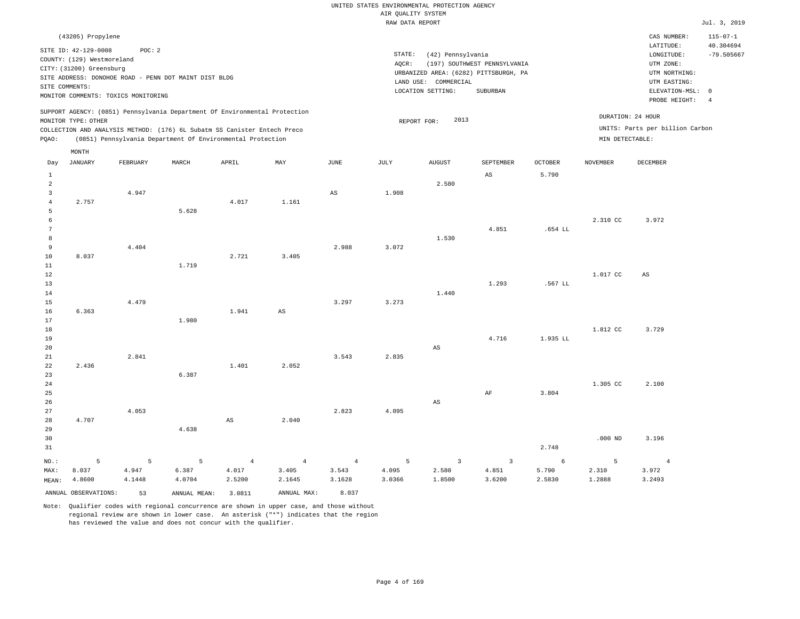| UNITED STATES ENVIRONMENTAL PROTECTION AGENCY |              |
|-----------------------------------------------|--------------|
| AIR OUALITY SYSTEM                            |              |
| RAW DATA REPORT                               | Jul. 3, 2019 |

| SITE COMMENTS:      | (43205) Propylene<br>SITE ID: 42-129-0008<br>COUNTY: (129) Westmoreland<br>CITY: (31200) Greensburg<br>MONITOR COMMENTS: TOXICS MONITORING<br>MONITOR TYPE: OTHER | POC: 2   | SITE ADDRESS: DONOHOE ROAD - PENN DOT MAINT DIST BLDG<br>SUPPORT AGENCY: (0851) Pennsylvania Department Of Environmental Protection |                |                | STATE:<br>(42) Pennsylvania<br>AOCR:<br>(197) SOUTHWEST PENNSYLVANIA<br>URBANIZED AREA: (6282) PITTSBURGH, PA<br>LAND USE: COMMERCIAL<br>LOCATION SETTING:<br>SUBURBAN<br>DURATION: 24 HOUR<br>2013<br>REPORT FOR: |        |               |                |                |                 |                                 | $115 - 07 - 1$<br>40.304694<br>$-79.505667$<br>ELEVATION-MSL: 0<br>$\overline{4}$ |
|---------------------|-------------------------------------------------------------------------------------------------------------------------------------------------------------------|----------|-------------------------------------------------------------------------------------------------------------------------------------|----------------|----------------|--------------------------------------------------------------------------------------------------------------------------------------------------------------------------------------------------------------------|--------|---------------|----------------|----------------|-----------------|---------------------------------|-----------------------------------------------------------------------------------|
|                     |                                                                                                                                                                   |          | COLLECTION AND ANALYSIS METHOD: (176) 6L Subatm SS Canister Entech Preco                                                            |                |                |                                                                                                                                                                                                                    |        |               |                |                |                 | UNITS: Parts per billion Carbon |                                                                                   |
| PQAO:               |                                                                                                                                                                   |          | (0851) Pennsylvania Department Of Environmental Protection                                                                          |                |                |                                                                                                                                                                                                                    |        |               |                |                | MIN DETECTABLE: |                                 |                                                                                   |
|                     | MONTH                                                                                                                                                             |          |                                                                                                                                     |                |                |                                                                                                                                                                                                                    |        |               |                |                |                 |                                 |                                                                                   |
| Day                 | <b>JANUARY</b>                                                                                                                                                    | FEBRUARY | MARCH                                                                                                                               | APRIL          | MAY            | <b>JUNE</b>                                                                                                                                                                                                        | JULY   | <b>AUGUST</b> | SEPTEMBER      | <b>OCTOBER</b> | <b>NOVEMBER</b> | DECEMBER                        |                                                                                   |
| $\mathbf{1}$        |                                                                                                                                                                   |          |                                                                                                                                     |                |                |                                                                                                                                                                                                                    |        |               | AS             | 5.790          |                 |                                 |                                                                                   |
| $\overline{a}$      |                                                                                                                                                                   |          |                                                                                                                                     |                |                |                                                                                                                                                                                                                    |        | 2.580         |                |                |                 |                                 |                                                                                   |
| 3                   |                                                                                                                                                                   | 4.947    |                                                                                                                                     |                |                | $_{\rm AS}$                                                                                                                                                                                                        | 1.908  |               |                |                |                 |                                 |                                                                                   |
| $\overline{4}$<br>5 | 2.757                                                                                                                                                             |          | 5.628                                                                                                                               | 4.017          | 1.161          |                                                                                                                                                                                                                    |        |               |                |                |                 |                                 |                                                                                   |
| 6                   |                                                                                                                                                                   |          |                                                                                                                                     |                |                |                                                                                                                                                                                                                    |        |               |                |                | 2.310 CC        | 3.972                           |                                                                                   |
| $\overline{7}$      |                                                                                                                                                                   |          |                                                                                                                                     |                |                |                                                                                                                                                                                                                    |        |               | 4.851          | .654 LL        |                 |                                 |                                                                                   |
| 8                   |                                                                                                                                                                   |          |                                                                                                                                     |                |                |                                                                                                                                                                                                                    |        | 1.530         |                |                |                 |                                 |                                                                                   |
| 9                   |                                                                                                                                                                   | 4.404    |                                                                                                                                     |                |                | 2.988                                                                                                                                                                                                              | 3.072  |               |                |                |                 |                                 |                                                                                   |
| 10                  | 8.037                                                                                                                                                             |          |                                                                                                                                     | 2.721          | 3.405          |                                                                                                                                                                                                                    |        |               |                |                |                 |                                 |                                                                                   |
| $11\,$              |                                                                                                                                                                   |          | 1.719                                                                                                                               |                |                |                                                                                                                                                                                                                    |        |               |                |                |                 |                                 |                                                                                   |
| 12<br>13            |                                                                                                                                                                   |          |                                                                                                                                     |                |                |                                                                                                                                                                                                                    |        |               | 1.293          | .567 LL        | 1.017 CC        | AS                              |                                                                                   |
| 14                  |                                                                                                                                                                   |          |                                                                                                                                     |                |                |                                                                                                                                                                                                                    |        | 1.440         |                |                |                 |                                 |                                                                                   |
| 15                  |                                                                                                                                                                   | 4.479    |                                                                                                                                     |                |                | 3.297                                                                                                                                                                                                              | 3.273  |               |                |                |                 |                                 |                                                                                   |
| 16                  | 6.363                                                                                                                                                             |          |                                                                                                                                     | 1.941          | AS             |                                                                                                                                                                                                                    |        |               |                |                |                 |                                 |                                                                                   |
| 17                  |                                                                                                                                                                   |          | 1.980                                                                                                                               |                |                |                                                                                                                                                                                                                    |        |               |                |                |                 |                                 |                                                                                   |
| 18                  |                                                                                                                                                                   |          |                                                                                                                                     |                |                |                                                                                                                                                                                                                    |        |               |                |                | 1.812 CC        | 3.729                           |                                                                                   |
| 19                  |                                                                                                                                                                   |          |                                                                                                                                     |                |                |                                                                                                                                                                                                                    |        |               | 4.716          | 1.935 LL       |                 |                                 |                                                                                   |
| 20<br>21            |                                                                                                                                                                   | 2.841    |                                                                                                                                     |                |                | 3.543                                                                                                                                                                                                              | 2.835  | AS            |                |                |                 |                                 |                                                                                   |
| 22                  | 2.436                                                                                                                                                             |          |                                                                                                                                     | 1.401          | 2.052          |                                                                                                                                                                                                                    |        |               |                |                |                 |                                 |                                                                                   |
| 23                  |                                                                                                                                                                   |          | 6.387                                                                                                                               |                |                |                                                                                                                                                                                                                    |        |               |                |                |                 |                                 |                                                                                   |
| 24                  |                                                                                                                                                                   |          |                                                                                                                                     |                |                |                                                                                                                                                                                                                    |        |               |                |                | 1.305 CC        | 2.100                           |                                                                                   |
| 25                  |                                                                                                                                                                   |          |                                                                                                                                     |                |                |                                                                                                                                                                                                                    |        |               | $\rm{AF}$      | 3.804          |                 |                                 |                                                                                   |
| 26                  |                                                                                                                                                                   |          |                                                                                                                                     |                |                |                                                                                                                                                                                                                    |        | $_{\rm AS}$   |                |                |                 |                                 |                                                                                   |
| 27                  |                                                                                                                                                                   | 4.053    |                                                                                                                                     |                |                | 2.823                                                                                                                                                                                                              | 4.095  |               |                |                |                 |                                 |                                                                                   |
| 28<br>29            | 4.707                                                                                                                                                             |          | 4.638                                                                                                                               | $_{\rm AS}$    | 2.040          |                                                                                                                                                                                                                    |        |               |                |                |                 |                                 |                                                                                   |
| 30                  |                                                                                                                                                                   |          |                                                                                                                                     |                |                |                                                                                                                                                                                                                    |        |               |                |                | $.000$ ND       | 3.196                           |                                                                                   |
| 31                  |                                                                                                                                                                   |          |                                                                                                                                     |                |                |                                                                                                                                                                                                                    |        |               |                | 2.748          |                 |                                 |                                                                                   |
| NO.:                | -5                                                                                                                                                                | 5        | 5                                                                                                                                   | $\overline{4}$ | $\overline{4}$ | $\overline{4}$                                                                                                                                                                                                     | 5      | 3             | $\overline{3}$ | $\epsilon$     | 5               | $\overline{4}$                  |                                                                                   |
| MAX:                | 8.037                                                                                                                                                             | 4.947    | 6.387                                                                                                                               | 4.017          | 3.405          | 3.543                                                                                                                                                                                                              | 4.095  | 2.580         | 4.851          | 5.790          | 2.310           | 3.972                           |                                                                                   |
| MEAN:               | 4.8600                                                                                                                                                            | 4.1448   | 4.0704                                                                                                                              | 2.5200         | 2.1645         | 3.1628                                                                                                                                                                                                             | 3.0366 | 1.8500        | 3.6200         | 2.5830         | 1.2888          | 3.2493                          |                                                                                   |
|                     | ANNUAL OBSERVATIONS:                                                                                                                                              | 53       | ANNUAL MEAN:                                                                                                                        | 3.0811         | ANNUAL MAX:    | 8.037                                                                                                                                                                                                              |        |               |                |                |                 |                                 |                                                                                   |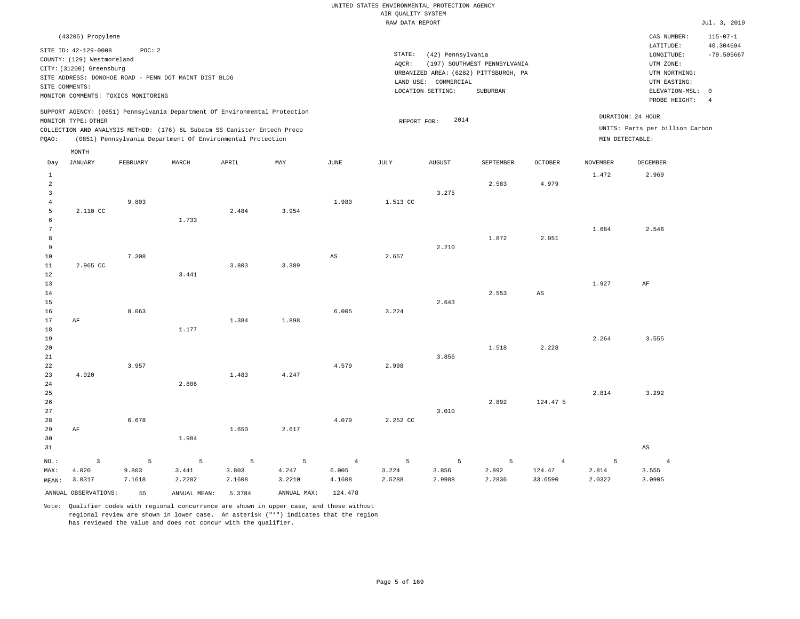|                                     | (43205) Propylene                                                                                                     |          |                                                                                                                                                        |        |             |                        |                                                                                                       |               |                                                                                                                      |                                                        |                   | CAS NUMBER:                     | $115 - 07 - 1$ |
|-------------------------------------|-----------------------------------------------------------------------------------------------------------------------|----------|--------------------------------------------------------------------------------------------------------------------------------------------------------|--------|-------------|------------------------|-------------------------------------------------------------------------------------------------------|---------------|----------------------------------------------------------------------------------------------------------------------|--------------------------------------------------------|-------------------|---------------------------------|----------------|
| SITE COMMENTS:                      | SITE ID: 42-129-0008<br>COUNTY: (129) Westmoreland<br>CITY: (31200) Greensburg<br>MONITOR COMMENTS: TOXICS MONITORING | POC: 2   | SITE ADDRESS: DONOHOE ROAD - PENN DOT MAINT DIST BLDG                                                                                                  |        |             |                        | STATE:<br>AQCR:<br>URBANIZED AREA: (6282) PITTSBURGH, PA<br>LAND USE: COMMERCIAL<br>LOCATION SETTING: |               | LATITUDE:<br>$\texttt{LONGITUDE}$ :<br>UTM ZONE:<br>UTM NORTHING:<br>UTM EASTING:<br>ELEVATION-MSL:<br>PROBE HEIGHT: | 40.304694<br>$-79.505667$<br>$\circ$<br>$\overline{4}$ |                   |                                 |                |
|                                     | MONITOR TYPE: OTHER                                                                                                   |          | SUPPORT AGENCY: (0851) Pennsylvania Department Of Environmental Protection<br>COLLECTION AND ANALYSIS METHOD: (176) 6L Subatm SS Canister Entech Preco |        |             |                        | REPORT FOR:                                                                                           | 2014          |                                                                                                                      |                                                        | DURATION: 24 HOUR | UNITS: Parts per billion Carbon |                |
| PQAO:                               |                                                                                                                       |          | (0851) Pennsylvania Department Of Environmental Protection                                                                                             |        |             |                        |                                                                                                       |               |                                                                                                                      |                                                        | MIN DETECTABLE:   |                                 |                |
|                                     | MONTH<br><b>JANUARY</b>                                                                                               | FEBRUARY | MARCH                                                                                                                                                  | APRIL  | MAY         | JUNE                   | JULY                                                                                                  | <b>AUGUST</b> | SEPTEMBER                                                                                                            |                                                        | <b>NOVEMBER</b>   | <b>DECEMBER</b>                 |                |
| Day                                 |                                                                                                                       |          |                                                                                                                                                        |        |             |                        |                                                                                                       |               |                                                                                                                      | <b>OCTOBER</b>                                         |                   |                                 |                |
| $\mathbf{1}$<br>$\overline{a}$<br>3 |                                                                                                                       |          |                                                                                                                                                        |        |             |                        |                                                                                                       | 3.275         | 2.583                                                                                                                | 4.979                                                  | 1.472             | 2.969                           |                |
| $\overline{4}$                      |                                                                                                                       | 9.803    |                                                                                                                                                        |        |             | 1.980                  | 1.513 CC                                                                                              |               |                                                                                                                      |                                                        |                   |                                 |                |
| 5                                   | 2.110 CC                                                                                                              |          |                                                                                                                                                        | 2.484  | 3.954       |                        |                                                                                                       |               |                                                                                                                      |                                                        |                   |                                 |                |
| 6<br>$7\phantom{.0}$                |                                                                                                                       |          | 1.733                                                                                                                                                  |        |             |                        |                                                                                                       |               |                                                                                                                      |                                                        | 1.684             | 2.546                           |                |
| 8                                   |                                                                                                                       |          |                                                                                                                                                        |        |             |                        |                                                                                                       |               | 1.872                                                                                                                | 2.951                                                  |                   |                                 |                |
| $\overline{9}$                      |                                                                                                                       |          |                                                                                                                                                        |        |             |                        |                                                                                                       | 2.210         |                                                                                                                      |                                                        |                   |                                 |                |
| 10                                  |                                                                                                                       | 7.308    |                                                                                                                                                        |        |             | $\mathbb{A}\mathbb{S}$ | 2.657                                                                                                 |               |                                                                                                                      |                                                        |                   |                                 |                |
| $11\,$<br>$1\,2$                    | 2.965 CC                                                                                                              |          | 3.441                                                                                                                                                  | 3.803  | 3.389       |                        |                                                                                                       |               |                                                                                                                      |                                                        |                   |                                 |                |
| 13                                  |                                                                                                                       |          |                                                                                                                                                        |        |             |                        |                                                                                                       |               |                                                                                                                      |                                                        | 1.927             | AF                              |                |
| 14                                  |                                                                                                                       |          |                                                                                                                                                        |        |             |                        |                                                                                                       |               | 2.553                                                                                                                | $_{\rm AS}$                                            |                   |                                 |                |
| 15                                  |                                                                                                                       |          |                                                                                                                                                        |        |             |                        |                                                                                                       | 2.643         |                                                                                                                      |                                                        |                   |                                 |                |
| 16                                  |                                                                                                                       | 8.063    |                                                                                                                                                        |        |             | 6.005                  | 3.224                                                                                                 |               |                                                                                                                      |                                                        |                   |                                 |                |
| 17<br>18                            | AF                                                                                                                    |          | 1.177                                                                                                                                                  | 1.384  | 1.898       |                        |                                                                                                       |               |                                                                                                                      |                                                        |                   |                                 |                |
| 19                                  |                                                                                                                       |          |                                                                                                                                                        |        |             |                        |                                                                                                       |               |                                                                                                                      |                                                        | 2.264             | 3.555                           |                |
| 20                                  |                                                                                                                       |          |                                                                                                                                                        |        |             |                        |                                                                                                       |               | 1.518                                                                                                                | 2.228                                                  |                   |                                 |                |
| 21                                  |                                                                                                                       |          |                                                                                                                                                        |        |             |                        |                                                                                                       | 3.856         |                                                                                                                      |                                                        |                   |                                 |                |
| 22<br>23                            | 4.020                                                                                                                 | 3.957    |                                                                                                                                                        | 1.483  | 4.247       | 4.579                  | 2.998                                                                                                 |               |                                                                                                                      |                                                        |                   |                                 |                |
| 24                                  |                                                                                                                       |          | 2.806                                                                                                                                                  |        |             |                        |                                                                                                       |               |                                                                                                                      |                                                        |                   |                                 |                |
| 25                                  |                                                                                                                       |          |                                                                                                                                                        |        |             |                        |                                                                                                       |               |                                                                                                                      |                                                        | 2.814             | 3.292                           |                |
| 26                                  |                                                                                                                       |          |                                                                                                                                                        |        |             |                        |                                                                                                       |               | 2.892                                                                                                                | 124.47 5                                               |                   |                                 |                |
| 27<br>28                            |                                                                                                                       | 6.678    |                                                                                                                                                        |        |             | 4.079                  | 2.252 CC                                                                                              | 3.010         |                                                                                                                      |                                                        |                   |                                 |                |
| 29                                  | AF                                                                                                                    |          |                                                                                                                                                        | 1.650  | 2.617       |                        |                                                                                                       |               |                                                                                                                      |                                                        |                   |                                 |                |
| 30                                  |                                                                                                                       |          | 1.984                                                                                                                                                  |        |             |                        |                                                                                                       |               |                                                                                                                      |                                                        |                   |                                 |                |
| 31                                  |                                                                                                                       |          |                                                                                                                                                        |        |             |                        |                                                                                                       |               |                                                                                                                      |                                                        |                   | $\mathbb{A}\mathbb{S}$          |                |
| NO.:                                | $\overline{3}$                                                                                                        | 5        | 5                                                                                                                                                      | 5      | 5           | $\overline{4}$         | 5                                                                                                     | 5             | 5                                                                                                                    | $\overline{4}$                                         | 5                 | $\overline{4}$                  |                |
| MAX:                                | 4.020                                                                                                                 | 9.803    | 3.441                                                                                                                                                  | 3.803  | 4.247       | 6.005                  | 3.224                                                                                                 | 3.856         | 2.892                                                                                                                | 124.47                                                 | 2.814             | 3.555                           |                |
| MEAN:                               | 3.0317                                                                                                                | 7.1618   | 2.2282                                                                                                                                                 | 2.1608 | 3.2210      | 4.1608                 | 2.5288                                                                                                | 2.9988        | 2.2836                                                                                                               | 33.6590                                                | 2.0322            | 3.0905                          |                |
|                                     | ANNUAL OBSERVATIONS:                                                                                                  | 55       | ANNUAL MEAN:                                                                                                                                           | 5.3784 | ANNUAL MAX: | 124.478                |                                                                                                       |               |                                                                                                                      |                                                        |                   |                                 |                |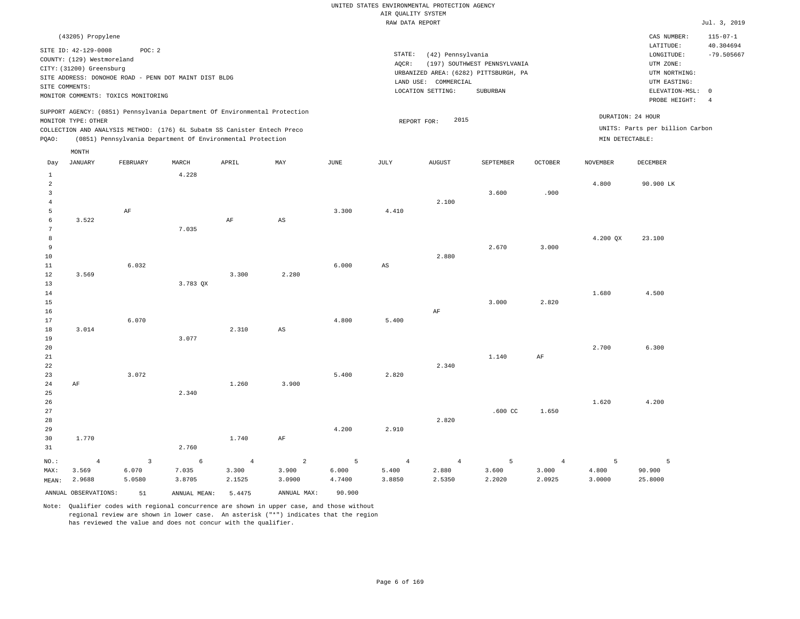## UNITED STATES ENVIRONMENTAL PROTECTION AGENCY AIR QUALITY SYSTEM

|                                                                                                                                                                                                                                                                                                                             |                                                                                                  |                                                                                                        |          |       |       |       | RAW DATA REPORT |                                                                                                         |                                          |                |                 |                                                                                           | Jul. 3, 2019              |
|-----------------------------------------------------------------------------------------------------------------------------------------------------------------------------------------------------------------------------------------------------------------------------------------------------------------------------|--------------------------------------------------------------------------------------------------|--------------------------------------------------------------------------------------------------------|----------|-------|-------|-------|-----------------|---------------------------------------------------------------------------------------------------------|------------------------------------------|----------------|-----------------|-------------------------------------------------------------------------------------------|---------------------------|
|                                                                                                                                                                                                                                                                                                                             | (43205) Propylene                                                                                |                                                                                                        |          |       |       |       |                 |                                                                                                         |                                          |                |                 | CAS NUMBER:                                                                               | $115 - 07 - 1$            |
|                                                                                                                                                                                                                                                                                                                             | SITE ID: 42-129-0008<br>COUNTY: (129) Westmoreland<br>CITY: (31200) Greensburg<br>SITE COMMENTS: | POC: 2<br>SITE ADDRESS: DONOHOE ROAD - PENN DOT MAINT DIST BLDG<br>MONITOR COMMENTS: TOXICS MONITORING |          |       |       |       | STATE:<br>AQCR: | (42) Pennsylvania<br>URBANIZED AREA: (6282) PITTSBURGH, PA<br>LAND USE: COMMERCIAL<br>LOCATION SETTING: | (197) SOUTHWEST PENNSYLVANIA<br>SUBURBAN |                |                 | LATITUDE:<br>LONGITUDE:<br>UTM ZONE:<br>UTM NORTHING:<br>UTM EASTING:<br>ELEVATION-MSL: 0 | 40.304694<br>$-79.505667$ |
| SUPPORT AGENCY: (0851) Pennsylvania Department Of Environmental Protection<br>MONITOR TYPE: OTHER<br>COLLECTION AND ANALYSIS METHOD: (176) 6L Subatm SS Canister Entech Preco<br>(0851) Pennsylvania Department Of Environmental Protection<br>PQAO:<br>MONTH<br>MAY<br><b>JANUARY</b><br>FEBRUARY<br>MARCH<br>APRIL<br>Day |                                                                                                  |                                                                                                        |          |       |       |       | REPORT FOR:     | PROBE HEIGHT: 4<br>DURATION: 24 HOUR<br>UNITS: Parts per billion Carbon<br>MIN DETECTABLE:              |                                          |                |                 |                                                                                           |                           |
|                                                                                                                                                                                                                                                                                                                             |                                                                                                  |                                                                                                        |          |       |       | JUNE  | JULY            | <b>AUGUST</b>                                                                                           | SEPTEMBER                                | <b>OCTOBER</b> | <b>NOVEMBER</b> | DECEMBER                                                                                  |                           |
| 2<br>3<br>-5                                                                                                                                                                                                                                                                                                                |                                                                                                  | AF                                                                                                     | 4.228    |       |       | 3.300 | 4.410           | 2.100                                                                                                   | 3,600                                    | .900           | 4.800           | 90.900 LK                                                                                 |                           |
| -6<br>7<br>8<br>9<br>10<br>11                                                                                                                                                                                                                                                                                               | 3.522                                                                                            | 6.032                                                                                                  | 7.035    | AF    | AS    | 6.000 | AS              | 2.880                                                                                                   | 2.670                                    | 3.000          | 4.200 QX        | 23.100                                                                                    |                           |
| 12<br>13<br>14<br>15<br>16<br>17                                                                                                                                                                                                                                                                                            | 3.569                                                                                            | 6.070                                                                                                  | 3.783 QX | 3.300 | 2.280 | 4.800 | 5.400           | AF                                                                                                      | 3.000                                    | 2.820          | 1.680           | 4.500                                                                                     |                           |
| 18                                                                                                                                                                                                                                                                                                                          | 3.014                                                                                            |                                                                                                        |          | 2.310 | AS    |       |                 |                                                                                                         |                                          |                |                 |                                                                                           |                           |

20 21 22 23 24 AF 3.072 1.260 3.900 5.400 2.820 2.340 1.140 AF 2.700 6.300

25 26 27 28 29 30 31 1.770 2.340 2.760 1.740 AF 4.200 2.910 2.820 .600 CC 1.650 1.620 4.200

|              |        | NO.: 4 3 6 4 2 5 4 4 5 4 5 5                |        |                    |             |        |                                 |        |        |         |
|--------------|--------|---------------------------------------------|--------|--------------------|-------------|--------|---------------------------------|--------|--------|---------|
| MAX: 3.569   | 6.070  | 7.035                                       | 3.300  | 3.900              | 6.000 5.400 |        | $2.880$ $3.600$ $3.000$ $4.800$ |        |        | 90.900  |
| MEAN: 2.9688 | 5.0580 | 3.8705                                      | 2.1525 | 3.0900 4.7400      | 3.8850      | 2.5350 | 2.2020                          | 2.0925 | 3.0000 | 25.8000 |
|              |        | ANNUAL OBSERVATIONS: 51 ANNUAL MEAN: 5.4475 |        | ANNUAL MAX: 90.900 |             |        |                                 |        |        |         |

Note: Qualifier codes with regional concurrence are shown in upper case, and those without regional review are shown in lower case. An asterisk ("\*") indicates that the region has reviewed the value and does not concur with the qualifier.

3.077

19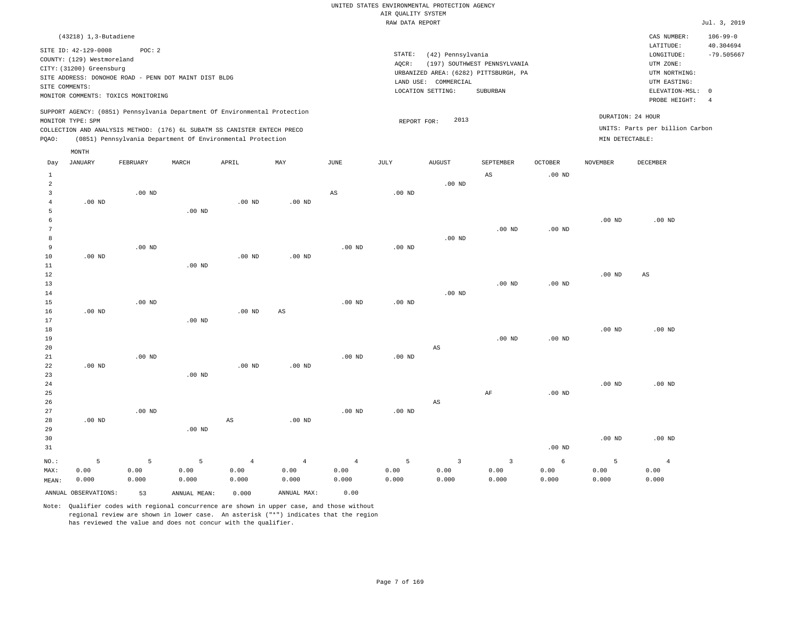|                | $(43218)$ 1, 3-Butadiene                                                                                                                                                             |          |       |                                                            |     |      |                              |                                                                                               |                                          |                |                                      | CAS NUMBER:                                                                                                | $106 - 99 - 0$                              |
|----------------|--------------------------------------------------------------------------------------------------------------------------------------------------------------------------------------|----------|-------|------------------------------------------------------------|-----|------|------------------------------|-----------------------------------------------------------------------------------------------|------------------------------------------|----------------|--------------------------------------|------------------------------------------------------------------------------------------------------------|---------------------------------------------|
| SITE COMMENTS: | SITE ID: 42-129-0008<br>COUNTY: (129) Westmoreland<br>CITY: (31200) Greensburg<br>SITE ADDRESS: DONOHOE ROAD - PENN DOT MAINT DIST BLDG<br>MONITOR COMMENTS: TOXICS MONITORING       | POC: 2   |       |                                                            |     |      | STATE:<br>AOCR:<br>LAND USE: | (42) Pennsylvania<br>URBANIZED AREA: (6282) PITTSBURGH, PA<br>COMMERCIAL<br>LOCATION SETTING: | (197) SOUTHWEST PENNSYLVANIA<br>SUBURBAN |                |                                      | LATITUDE:<br>LONGITUDE:<br>UTM ZONE:<br>UTM NORTHING:<br>UTM EASTING:<br>ELEVATION-MSL: 0<br>PROBE HEIGHT: | 40.304694<br>$-79.505667$<br>$\overline{4}$ |
| POAO:          | SUPPORT AGENCY: (0851) Pennsylvania Department Of Environmental Protection<br>MONITOR TYPE: SPM<br>COLLECTION AND ANALYSIS METHOD: (176) 6L SUBATM SS CANISTER ENTECH PRECO<br>MONTH |          |       | (0851) Pennsylvania Department Of Environmental Protection |     |      | REPORT FOR:                  | 2013                                                                                          |                                          |                | DURATION: 24 HOUR<br>MIN DETECTABLE: | UNITS: Parts per billion Carbon                                                                            |                                             |
| Day            | JANUARY                                                                                                                                                                              | FEBRUARY | MARCH | APRIL                                                      | MAY | JUNE | JULY                         | AUGUST                                                                                        | SEPTEMBER                                | <b>OCTOBER</b> | NOVEMBER                             | DECEMBER                                                                                                   |                                             |

| $\mathbf{1}$   |                   |                   |                   |                        |                        |                |                   |                         | AS                      | $.00$ ND          |          |                |
|----------------|-------------------|-------------------|-------------------|------------------------|------------------------|----------------|-------------------|-------------------------|-------------------------|-------------------|----------|----------------|
| $\overline{a}$ |                   |                   |                   |                        |                        |                |                   | $.00$ ND                |                         |                   |          |                |
| 3              |                   | $.00$ ND          |                   |                        |                        | $_{\rm AS}$    | $.00$ ND          |                         |                         |                   |          |                |
| $\overline{4}$ | $.00$ ND          |                   |                   | $.00$ ND               | $.00$ ND               |                |                   |                         |                         |                   |          |                |
| 5              |                   |                   | $.00$ ND          |                        |                        |                |                   |                         |                         |                   |          |                |
| 6              |                   |                   |                   |                        |                        |                |                   |                         |                         |                   | $.00$ ND | $.00$ ND       |
| 7              |                   |                   |                   |                        |                        |                |                   |                         | $.00$ ND                | .00 <sub>ND</sub> |          |                |
| 8              |                   |                   |                   |                        |                        |                |                   | $.00$ ND                |                         |                   |          |                |
| 9              |                   | $.00$ ND          |                   |                        |                        | $.00$ ND       | $.00$ ND          |                         |                         |                   |          |                |
| 10             | $.00$ ND          |                   |                   | $.00$ ND               | .00 <sub>ND</sub>      |                |                   |                         |                         |                   |          |                |
| 11             |                   |                   | $.00$ ND          |                        |                        |                |                   |                         |                         |                   |          |                |
| 12             |                   |                   |                   |                        |                        |                |                   |                         |                         |                   | .00 $ND$ | AS             |
| 13             |                   |                   |                   |                        |                        |                |                   |                         | $.00$ ND                | .00 $ND$          |          |                |
| 14             |                   |                   |                   |                        |                        |                |                   | $.00$ ND                |                         |                   |          |                |
| 15             |                   | $.00$ ND          |                   |                        |                        | $.00$ ND       | $.00$ ND          |                         |                         |                   |          |                |
| 16             | .00 <sub>ND</sub> |                   |                   | $.00$ ND               | $\mathbb{A}\mathbb{S}$ |                |                   |                         |                         |                   |          |                |
| 17             |                   |                   | $.00$ ND          |                        |                        |                |                   |                         |                         |                   |          |                |
| 18             |                   |                   |                   |                        |                        |                |                   |                         |                         |                   | $.00$ ND | $.00$ ND       |
| 19             |                   |                   |                   |                        |                        |                |                   |                         | $.00$ ND                | $.00$ ND          |          |                |
| 20             |                   |                   |                   |                        |                        |                |                   | $\mathbb{A}\mathbb{S}$  |                         |                   |          |                |
| 21             |                   | $.00$ ND          |                   |                        |                        | $.00$ ND       | .00 $ND$          |                         |                         |                   |          |                |
| $2\sqrt{2}$    | $.00$ ND          |                   |                   | $.00$ ND               | $.00$ ND               |                |                   |                         |                         |                   |          |                |
| 23             |                   |                   | .00 <sub>ND</sub> |                        |                        |                |                   |                         |                         |                   |          |                |
| $2\sqrt{4}$    |                   |                   |                   |                        |                        |                |                   |                         |                         |                   | $.00$ ND | $.00$ ND       |
| $25\,$         |                   |                   |                   |                        |                        |                |                   |                         | $\rm AF$                | .00 <sub>ND</sub> |          |                |
| 26             |                   |                   |                   |                        |                        |                |                   | $\mathbb{A}\mathbb{S}$  |                         |                   |          |                |
| 27             |                   | .00 <sub>ND</sub> |                   |                        |                        | $.00$ ND       | $.00~\mathrm{ND}$ |                         |                         |                   |          |                |
| 28             | $.00$ ND          |                   |                   | $\mathbb{A}\mathbb{S}$ | .00 <sub>ND</sub>      |                |                   |                         |                         |                   |          |                |
| 29             |                   |                   | $.00$ ND          |                        |                        |                |                   |                         |                         |                   |          |                |
| 30             |                   |                   |                   |                        |                        |                |                   |                         |                         |                   | $.00$ ND | $.00$ ND       |
| 31             |                   |                   |                   |                        |                        |                |                   |                         |                         | .00 <sub>ND</sub> |          |                |
| $_{\rm NO.}$ : | 5                 | 5                 | 5                 | $\overline{4}$         | $\overline{4}$         | $\overline{4}$ | 5                 | $\overline{\mathbf{3}}$ | $\overline{\mathbf{3}}$ | $\epsilon$        | 5        | $\overline{4}$ |
| MAX:           | 0.00              | 0.00              | 0.00              | 0.00                   | 0.00                   | 0.00           | 0.00              | 0.00                    | 0.00                    | 0.00              | 0.00     | 0.00           |
| MEAN:          | 0.000             | 0.000             | 0.000             | 0.000                  | 0.000                  | 0.000          | 0.000             | 0.000                   | 0.000                   | 0.000             | 0.000    | 0.000          |
|                |                   |                   |                   |                        |                        |                |                   |                         |                         |                   |          |                |

ANNUAL OBSERVATIONS: 53 ANNUAL MEAN: 0.000 ANNUAL MAX: 0.00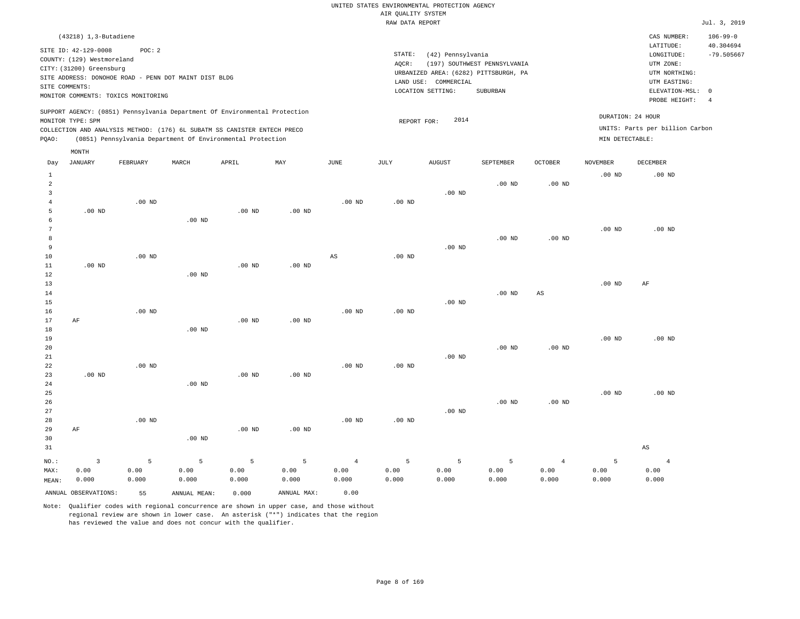| $(43218)$ 1, 3-Butadiene                                                                                                                                                                                                                           |                                                                                                                                                                        |                                      | CAS NUMBER:                                                                                                | $106 - 99 - 0$                  |
|----------------------------------------------------------------------------------------------------------------------------------------------------------------------------------------------------------------------------------------------------|------------------------------------------------------------------------------------------------------------------------------------------------------------------------|--------------------------------------|------------------------------------------------------------------------------------------------------------|---------------------------------|
| SITE ID: 42-129-0008<br>POC:2<br>COUNTY: (129) Westmoreland<br>CITY: (31200) Greensburg<br>SITE ADDRESS: DONOHOE ROAD - PENN DOT MAINT DIST BLDG<br>SITE COMMENTS:<br>MONITOR COMMENTS: TOXICS MONITORING                                          | STATE:<br>(42) Pennsylvania<br>(197) SOUTHWEST PENNSYLVANIA<br>AOCR:<br>URBANIZED AREA: (6282) PITTSBURGH, PA<br>LAND USE: COMMERCIAL<br>LOCATION SETTING:<br>SUBURBAN |                                      | LATITUDE:<br>LONGITUDE:<br>UTM ZONE:<br>UTM NORTHING:<br>UTM EASTING:<br>ELEVATION-MSL: 0<br>PROBE HEIGHT: | 40.304694<br>$-79.505667$<br>-4 |
| SUPPORT AGENCY: (0851) Pennsylvania Department Of Environmental Protection<br>MONITOR TYPE: SPM<br>COLLECTION AND ANALYSIS METHOD: (176) 6L SUBATM SS CANISTER ENTECH PRECO<br>(0851) Pennsylvania Department Of Environmental Protection<br>POAO: | 2014<br>REPORT FOR:                                                                                                                                                    | DURATION: 24 HOUR<br>MIN DETECTABLE: | UNITS: Parts per billion Carbon                                                                            |                                 |
| MONTH                                                                                                                                                                                                                                              |                                                                                                                                                                        |                                      |                                                                                                            |                                 |

| Day            | JANUARY                 | FEBRUARY | $\tt MARCH$  | APRIL             | MAY         | $_{\rm JUNE}$  | $\mathtt{JULY}$ | AUGUST   | SEPTEMBER | OCTOBER        | NOVEMBER | DECEMBER               |
|----------------|-------------------------|----------|--------------|-------------------|-------------|----------------|-----------------|----------|-----------|----------------|----------|------------------------|
| 1              |                         |          |              |                   |             |                |                 |          |           |                | $.00$ ND | .00 <sub>ND</sub>      |
| $\overline{a}$ |                         |          |              |                   |             |                |                 |          | $.00$ ND  | $.00$ ND       |          |                        |
| 3              |                         |          |              |                   |             |                |                 | $.00$ ND |           |                |          |                        |
| $\overline{4}$ |                         | $.00$ ND |              |                   |             | $.00$ ND       | $.00$ ND        |          |           |                |          |                        |
| 5              | $.00$ ND                |          |              | $.00~\mathrm{ND}$ | $.00$ ND    |                |                 |          |           |                |          |                        |
| 6              |                         |          | $.00$ ND     |                   |             |                |                 |          |           |                |          |                        |
| 7              |                         |          |              |                   |             |                |                 |          |           |                | $.00$ ND | $.00$ ND               |
| 8              |                         |          |              |                   |             |                |                 |          | $.00$ ND  | $.00$ ND       |          |                        |
| 9              |                         |          |              |                   |             |                |                 | $.00$ ND |           |                |          |                        |
| 10             |                         | $.00$ ND |              |                   |             | AS             | $.00$ ND        |          |           |                |          |                        |
| 11             | .00 $ND$                |          |              | $.00$ ND          | $.00$ ND    |                |                 |          |           |                |          |                        |
| 12             |                         |          | $.00$ ND     |                   |             |                |                 |          |           |                |          |                        |
| 13             |                         |          |              |                   |             |                |                 |          |           |                | $.00$ ND | AF                     |
| 14             |                         |          |              |                   |             |                |                 |          | $.00$ ND  | AS             |          |                        |
| 15             |                         | $.00$ ND |              |                   |             | $.00$ ND       |                 | $.00$ ND |           |                |          |                        |
| 16<br>17       | $\rm{AF}$               |          |              | $.00$ ND          | $.00$ ND    |                | $.00$ ND        |          |           |                |          |                        |
| 18             |                         |          | $.00$ ND     |                   |             |                |                 |          |           |                |          |                        |
| 19             |                         |          |              |                   |             |                |                 |          |           |                | $.00$ ND | $.00$ ND               |
| 20             |                         |          |              |                   |             |                |                 |          | $.00$ ND  | $.00$ ND       |          |                        |
| 21             |                         |          |              |                   |             |                |                 | $.00$ ND |           |                |          |                        |
| 22             |                         | $.00$ ND |              |                   |             | $.00$ ND       | $.00$ ND        |          |           |                |          |                        |
| 23             | $.00$ ND                |          |              | $.00$ ND          | $.00$ ND    |                |                 |          |           |                |          |                        |
| 24             |                         |          | $.00$ ND     |                   |             |                |                 |          |           |                |          |                        |
| 25             |                         |          |              |                   |             |                |                 |          |           |                | $.00$ ND | $.00$ ND               |
| 26             |                         |          |              |                   |             |                |                 |          | $.00$ ND  | $.00$ ND       |          |                        |
| 27             |                         |          |              |                   |             |                |                 | $.00$ ND |           |                |          |                        |
| 28             |                         | $.00$ ND |              |                   |             | $.00$ ND       | $.00$ ND        |          |           |                |          |                        |
| 29             | AF                      |          |              | $.00$ ND          | $.00$ ND    |                |                 |          |           |                |          |                        |
| 30             |                         |          | $.00$ ND     |                   |             |                |                 |          |           |                |          |                        |
| 31             |                         |          |              |                   |             |                |                 |          |           |                |          | $\mathbb{A}\mathbb{S}$ |
| $NO.$ :        | $\overline{\mathbf{3}}$ | 5        | 5            | 5                 | $\mathsf S$ | $\overline{4}$ | 5               | 5        | 5         | $\overline{4}$ | 5        | $\overline{4}$         |
| MAX:           | 0.00                    | 0.00     | 0.00         | 0.00              | 0.00        | 0.00           | 0.00            | 0.00     | 0.00      | 0.00           | 0.00     | 0.00                   |
| MEAN:          | 0.000                   | 0.000    | 0.000        | 0.000             | 0.000       | 0.000          | 0.000           | 0.000    | 0.000     | 0.000          | 0.000    | 0.000                  |
|                | ANNUAL OBSERVATIONS:    | 55       | ANNUAL MEAN: | 0.000             | ANNUAL MAX: | 0.00           |                 |          |           |                |          |                        |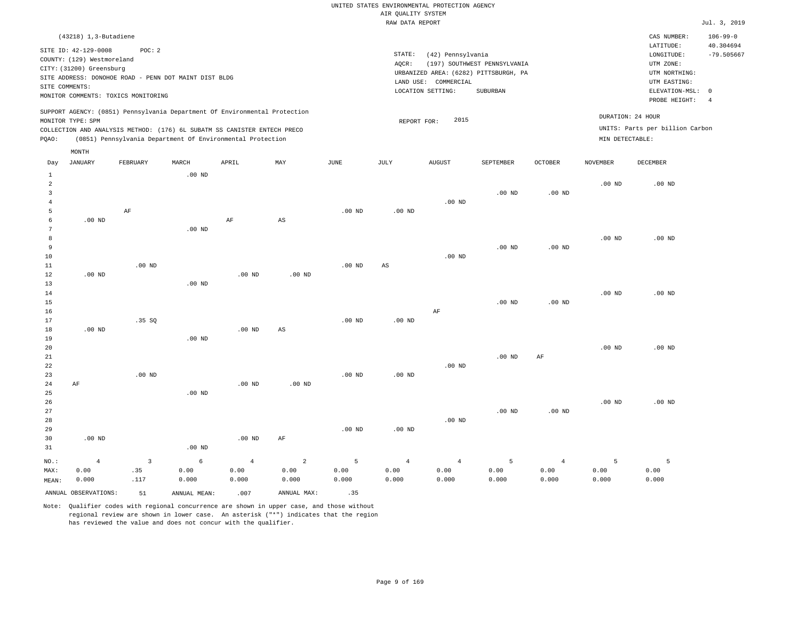| $(43218)$ 1, 3-Butadiene                                                                                                                                                                                                                           |                                                                                                               | CAS NUMBER:                                                             | $106 - 99 - 0$            |
|----------------------------------------------------------------------------------------------------------------------------------------------------------------------------------------------------------------------------------------------------|---------------------------------------------------------------------------------------------------------------|-------------------------------------------------------------------------|---------------------------|
| POC: 2<br>SITE ID: 42-129-0008<br>COUNTY: (129) Westmoreland<br>CITY: (31200) Greensburg                                                                                                                                                           | STATE:<br>(42) Pennsylvania<br>(197) SOUTHWEST PENNSYLVANIA<br>AOCR:<br>URBANIZED AREA: (6282) PITTSBURGH, PA | LATITUDE:<br>LONGITUDE:<br>UTM ZONE:<br>UTM NORTHING:                   | 40.304694<br>$-79.505667$ |
| SITE ADDRESS: DONOHOE ROAD - PENN DOT MAINT DIST BLDG<br>SITE COMMENTS:<br>MONITOR COMMENTS: TOXICS MONITORING                                                                                                                                     | LAND USE: COMMERCIAL<br>LOCATION SETTING:<br>SUBURBAN                                                         | UTM EASTING:<br>ELEVATION-MSL: 0<br>PROBE HEIGHT:                       |                           |
| SUPPORT AGENCY: (0851) Pennsylvania Department Of Environmental Protection<br>MONITOR TYPE: SPM<br>COLLECTION AND ANALYSIS METHOD: (176) 6L SUBATM SS CANISTER ENTECH PRECO<br>(0851) Pennsylvania Department Of Environmental Protection<br>POAO: | 2015<br>REPORT FOR:                                                                                           | DURATION: 24 HOUR<br>UNITS: Parts per billion Carbon<br>MIN DETECTABLE: |                           |
| MONTH                                                                                                                                                                                                                                              |                                                                                                               |                                                                         |                           |

| Day                     | JANUARY              | FEBRUARY                  | MARCH             | APRIL    | MAY                     | $_{\rm JUNE}$ | JULY                   | ${\tt AUGUST}$ | SEPTEMBER      | OCTOBER           | NOVEMBER          | DECEMBER |
|-------------------------|----------------------|---------------------------|-------------------|----------|-------------------------|---------------|------------------------|----------------|----------------|-------------------|-------------------|----------|
| $\mathbf{1}$            |                      |                           | $.00$ ND          |          |                         |               |                        |                |                |                   |                   |          |
| $\overline{\mathbf{c}}$ |                      |                           |                   |          |                         |               |                        |                |                |                   | .00 <sub>ND</sub> | $.00$ ND |
| 3                       |                      |                           |                   |          |                         |               |                        |                | $.00$ ND       | $.00{\rm ~ND}$    |                   |          |
| $\overline{4}$          |                      |                           |                   |          |                         |               |                        | $.00$ ND       |                |                   |                   |          |
| 5                       |                      | $\rm{AF}$                 |                   |          |                         | $.00$ ND      | $.00~\mathrm{ND}$      |                |                |                   |                   |          |
| 6                       | $.00$ ND             |                           |                   | $\rm AF$ | $\mathbb{A}\mathbb{S}$  |               |                        |                |                |                   |                   |          |
| 7                       |                      |                           | $.00$ ND          |          |                         |               |                        |                |                |                   |                   |          |
| 8                       |                      |                           |                   |          |                         |               |                        |                |                |                   | $.00$ ND          | $.00$ ND |
| 9                       |                      |                           |                   |          |                         |               |                        |                | $.00$ ND       | .00 <sub>ND</sub> |                   |          |
| $10$                    |                      |                           |                   |          |                         |               |                        | $.00$ ND       |                |                   |                   |          |
| $11\,$                  |                      | $.00$ ND                  |                   |          |                         | $.00$ ND      | $\mathbb{A}\mathbb{S}$ |                |                |                   |                   |          |
| 12                      | $.00$ ND             |                           |                   | $.00$ ND | $.00$ ND                |               |                        |                |                |                   |                   |          |
| 13                      |                      |                           | .00 <sub>ND</sub> |          |                         |               |                        |                |                |                   |                   |          |
| 14                      |                      |                           |                   |          |                         |               |                        |                |                |                   | $.00$ ND          | $.00$ ND |
| 15                      |                      |                           |                   |          |                         |               |                        |                | $.00$ ND       | $.00$ ND          |                   |          |
| 16                      |                      |                           |                   |          |                         |               |                        | $\rm{AF}$      |                |                   |                   |          |
| 17                      |                      | .35 SQ                    |                   |          |                         | $.00$ ND      | $.00$ ND               |                |                |                   |                   |          |
| 18                      | $.00$ ND             |                           |                   | $.00$ ND | $\mathbb{A}\mathbb{S}$  |               |                        |                |                |                   |                   |          |
| 19                      |                      |                           | .00 <sub>ND</sub> |          |                         |               |                        |                |                |                   |                   |          |
| 20                      |                      |                           |                   |          |                         |               |                        |                |                |                   | $.00$ ND          | $.00$ ND |
| ${\bf 21}$              |                      |                           |                   |          |                         |               |                        |                | $.00$ ND       | $\rm{AF}$         |                   |          |
| $^{\rm 22}$             |                      |                           |                   |          |                         |               |                        | $.00$ ND       |                |                   |                   |          |
| 23                      |                      | .00 $ND$                  |                   |          |                         | $.00$ ND      | $.00~\mathrm{ND}$      |                |                |                   |                   |          |
| $2\,4$                  | $\rm AF$             |                           |                   | $.00$ ND | $.00$ ND                |               |                        |                |                |                   |                   |          |
| $25\,$<br>26            |                      |                           | .00 <sub>ND</sub> |          |                         |               |                        |                |                |                   | $.00$ ND          | $.00$ ND |
| $2\,7$                  |                      |                           |                   |          |                         |               |                        |                | $.00$ ND       | .00 <sub>ND</sub> |                   |          |
| 28                      |                      |                           |                   |          |                         |               |                        | $.00$ ND       |                |                   |                   |          |
| 29                      |                      |                           |                   |          |                         | $.00$ ND      | $.00$ ND               |                |                |                   |                   |          |
| 30                      | $.00$ ND             |                           |                   | $.00$ ND | AF                      |               |                        |                |                |                   |                   |          |
| 31                      |                      |                           | .00 <sub>ND</sub> |          |                         |               |                        |                |                |                   |                   |          |
|                         |                      |                           |                   |          |                         |               |                        |                |                |                   |                   |          |
| $_{\rm NO.}$ :          | $\overline{4}$       | $\ensuremath{\mathsf{3}}$ | 6                 | $\,4$    | $\overline{\mathbf{c}}$ | $\sqrt{5}$    | $\sqrt{4}$             | $\sqrt{4}$     | $\overline{5}$ | $\overline{4}$    | 5                 | 5        |
| MAX:                    | 0.00                 | .35                       | 0.00              | 0.00     | 0.00                    | 0.00          | 0.00                   | 0.00           | 0.00           | 0.00              | 0.00              | 0.00     |
| MEAN:                   | 0.000                | .117                      | 0.000             | 0.000    | 0.000                   | 0.000         | 0.000                  | 0.000          | 0.000          | 0.000             | 0.000             | 0.000    |
|                         | ANNUAL OBSERVATIONS: | 51                        | ANNUAL MEAN:      | .007     | ANNUAL MAX:             | .35           |                        |                |                |                   |                   |          |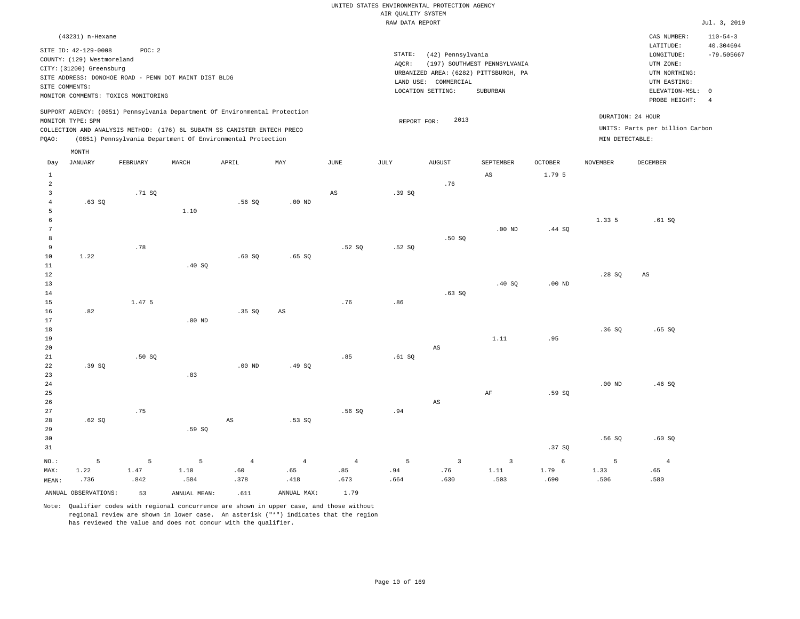| (43231) n-Hexane                                                                                                                                                                                                                                   |                                                                                                | CAS NUMBER:                                                      | $110 - 54 - 3$            |
|----------------------------------------------------------------------------------------------------------------------------------------------------------------------------------------------------------------------------------------------------|------------------------------------------------------------------------------------------------|------------------------------------------------------------------|---------------------------|
| SITE ID: 42-129-0008<br>POC: 2<br>COUNTY: (129) Westmoreland<br>CITY: (31200) Greensburg                                                                                                                                                           | STATE:<br>(42) Pennsylvania<br>(197) SOUTHWEST PENNSYLVANIA<br>AOCR:                           | LATITUDE:<br>LONGITUDE:<br>UTM ZONE:                             | 40.304694<br>$-79.505667$ |
| SITE ADDRESS: DONOHOE ROAD - PENN DOT MAINT DIST BLDG<br>SITE COMMENTS:<br>MONITOR COMMENTS: TOXICS MONITORING                                                                                                                                     | URBANIZED AREA: (6282) PITTSBURGH, PA<br>LAND USE: COMMERCIAL<br>LOCATION SETTING:<br>SUBURBAN | UTM NORTHING:<br>UTM EASTING:<br>ELEVATION-MSL:<br>PROBE HEIGHT: | - 0                       |
| SUPPORT AGENCY: (0851) Pennsylvania Department Of Environmental Protection<br>MONITOR TYPE: SPM<br>COLLECTION AND ANALYSIS METHOD: (176) 6L SUBATM SS CANISTER ENTECH PRECO<br>(0851) Pennsylvania Department Of Environmental Protection<br>POAO: | DURATION: 24 HOUR<br>2013<br>REPORT FOR:<br>MIN DETECTABLE:                                    | UNITS: Parts per billion Carbon                                  |                           |
| MONTH<br>Dott TANTIADV<br>MADOTT<br>MAV<br>TITATE<br>TITT V<br><b>DRODITADV</b><br><b>ADDTT</b>                                                                                                                                                    | <b>ATTOTTOM</b><br>CEDERADED<br>OCDDDD<br><b>MOUTRADED</b>                                     | DECEMBED                                                         |                           |

| Day                     | JANUARY              | FEBRUARY | MARCH        | APRIL                  | MAY                    | JUNE           | JULY   | AUGUST                 | SEPTEMBER               | OCTOBER    | NOVEMBER       | DECEMBER               |
|-------------------------|----------------------|----------|--------------|------------------------|------------------------|----------------|--------|------------------------|-------------------------|------------|----------------|------------------------|
| $\mathbf{1}$            |                      |          |              |                        |                        |                |        |                        | $\mathbb{A}\mathbb{S}$  | 1.79 5     |                |                        |
| $\overline{a}$          |                      |          |              |                        |                        |                |        | .76                    |                         |            |                |                        |
| $\overline{\mathbf{3}}$ |                      | .71 SQ   |              |                        |                        | $_{\rm AS}$    | .39 SQ |                        |                         |            |                |                        |
| $\overline{4}$          | .63SQ                |          |              | .56SQ                  | $.00$ ND               |                |        |                        |                         |            |                |                        |
| 5                       |                      |          | 1.10         |                        |                        |                |        |                        |                         |            |                |                        |
| $\epsilon$              |                      |          |              |                        |                        |                |        |                        |                         |            | 1.33 5         | .61 SQ                 |
| $7\phantom{.0}$         |                      |          |              |                        |                        |                |        |                        | $.00$ ND                | .44 SQ     |                |                        |
| 8                       |                      |          |              |                        |                        |                |        | .50SQ                  |                         |            |                |                        |
| 9                       |                      | .78      |              |                        |                        | .52S           | .52S   |                        |                         |            |                |                        |
| 10                      | 1.22                 |          |              | .60SQ                  | .65SQ                  |                |        |                        |                         |            |                |                        |
| 11                      |                      |          | .40SQ        |                        |                        |                |        |                        |                         |            |                |                        |
| 12                      |                      |          |              |                        |                        |                |        |                        |                         |            | .28SQ          | $\mathbb{A}\mathbb{S}$ |
| 13                      |                      |          |              |                        |                        |                |        |                        | .40 SQ                  | $.00$ ND   |                |                        |
| 14                      |                      |          |              |                        |                        |                |        | .63SQ                  |                         |            |                |                        |
| 15                      |                      | 1.47 5   |              |                        |                        | .76            | .86    |                        |                         |            |                |                        |
| 16                      | .82                  |          |              | .35 SQ                 | $\mathbb{A}\mathbb{S}$ |                |        |                        |                         |            |                |                        |
| 17                      |                      |          | $.00$ ND     |                        |                        |                |        |                        |                         |            |                |                        |
| 18                      |                      |          |              |                        |                        |                |        |                        |                         |            | .36SQ          | .65SQ                  |
| 19                      |                      |          |              |                        |                        |                |        |                        | 1.11                    | .95        |                |                        |
| 20                      |                      |          |              |                        |                        |                |        | $\mathbb{A}\mathbb{S}$ |                         |            |                |                        |
| 21                      |                      | .50SQ    |              |                        |                        | .85            | .61 SQ |                        |                         |            |                |                        |
| 22                      | .39 SQ               |          |              | $.00$ ND               | .49 SQ                 |                |        |                        |                         |            |                |                        |
| 23                      |                      |          | .83          |                        |                        |                |        |                        |                         |            |                |                        |
| 24                      |                      |          |              |                        |                        |                |        |                        |                         |            | $.00$ ND       | .46SQ                  |
| 25                      |                      |          |              |                        |                        |                |        |                        | $\rm AF$                | .59 SQ     |                |                        |
| 26                      |                      |          |              |                        |                        |                |        | $\mathbb{A}\mathbb{S}$ |                         |            |                |                        |
| 27                      |                      | .75      |              |                        |                        | .56SQ          | .94    |                        |                         |            |                |                        |
| 28                      | .62SQ                |          |              | $\mathbb{A}\mathbb{S}$ | .53SQ                  |                |        |                        |                         |            |                |                        |
| 29                      |                      |          | .59SQ        |                        |                        |                |        |                        |                         |            |                |                        |
| 30                      |                      |          |              |                        |                        |                |        |                        |                         |            | .56SQ          | .60SQ                  |
| 31                      |                      |          |              |                        |                        |                |        |                        |                         | .37 SQ     |                |                        |
| $NO.$ :                 | 5                    | 5        | 5            | $\bf{4}$               | $\overline{4}$         | $\overline{4}$ | 5      | $\overline{3}$         | $\overline{\mathbf{3}}$ | $\epsilon$ | $\overline{5}$ | $\overline{4}$         |
| MAX:                    | 1.22                 | 1.47     | 1.10         | .60                    | .65                    | .85            | .94    | .76                    | $1\,.11$                | 1.79       | 1.33           | .65                    |
| MEAN:                   | .736                 | .842     | .584         | .378                   | .418                   | .673           | .664   | .630                   | .503                    | .690       | .506           | .580                   |
|                         | ANNUAL OBSERVATIONS: | 53       | ANNUAL MEAN: | .611                   | ANNUAL MAX:            | 1.79           |        |                        |                         |            |                |                        |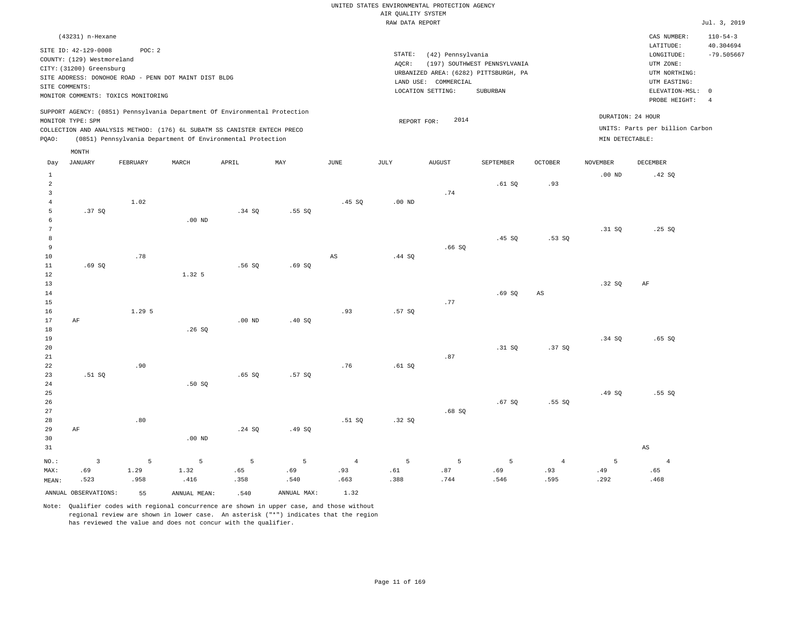|                     | (43231) n-Hexane           |                                     |                                                                                                                                                        |          |        |                |             |                      |                                       |                |                   | CAS NUMBER:                                          | $110 - 54 - 3$            |
|---------------------|----------------------------|-------------------------------------|--------------------------------------------------------------------------------------------------------------------------------------------------------|----------|--------|----------------|-------------|----------------------|---------------------------------------|----------------|-------------------|------------------------------------------------------|---------------------------|
|                     | SITE ID: 42-129-0008       | POC: 2                              |                                                                                                                                                        |          |        |                | STATE:      | (42) Pennsylvania    |                                       |                |                   | LATITUDE:<br>LONGITUDE:                              | 40.304694<br>$-79.505667$ |
|                     | COUNTY: (129) Westmoreland |                                     |                                                                                                                                                        |          |        |                | AOCR:       |                      | (197) SOUTHWEST PENNSYLVANIA          |                |                   | UTM ZONE:                                            |                           |
|                     | CITY: (31200) Greensburg   |                                     |                                                                                                                                                        |          |        |                |             |                      | URBANIZED AREA: (6282) PITTSBURGH, PA |                |                   | UTM NORTHING:                                        |                           |
|                     |                            |                                     | SITE ADDRESS: DONOHOE ROAD - PENN DOT MAINT DIST BLDG                                                                                                  |          |        |                |             | LAND USE: COMMERCIAL |                                       |                |                   | UTM EASTING:                                         |                           |
|                     | SITE COMMENTS:             |                                     |                                                                                                                                                        |          |        |                |             | LOCATION SETTING:    | SUBURBAN                              |                |                   | ELEVATION-MSL: 0                                     |                           |
|                     |                            | MONITOR COMMENTS: TOXICS MONITORING |                                                                                                                                                        |          |        |                |             |                      |                                       |                |                   | PROBE HEIGHT:                                        | $\overline{4}$            |
|                     | MONITOR TYPE: SPM          |                                     | SUPPORT AGENCY: (0851) Pennsylvania Department Of Environmental Protection<br>COLLECTION AND ANALYSIS METHOD: (176) 6L SUBATM SS CANISTER ENTECH PRECO |          |        |                | REPORT FOR: | 2014                 |                                       |                |                   | DURATION: 24 HOUR<br>UNITS: Parts per billion Carbon |                           |
| PQAO:               |                            |                                     | (0851) Pennsylvania Department Of Environmental Protection                                                                                             |          |        |                |             |                      |                                       |                | MIN DETECTABLE:   |                                                      |                           |
|                     | MONTH                      |                                     |                                                                                                                                                        |          |        |                |             |                      |                                       |                |                   |                                                      |                           |
| Day                 | <b>JANUARY</b>             | FEBRUARY                            | MARCH                                                                                                                                                  | APRIL    | MAY    | JUNE           | JULY        | <b>AUGUST</b>        | SEPTEMBER                             | <b>OCTOBER</b> | <b>NOVEMBER</b>   | <b>DECEMBER</b>                                      |                           |
| $\mathbf{1}$        |                            |                                     |                                                                                                                                                        |          |        |                |             |                      |                                       |                | .00 <sub>ND</sub> | .42 SQ                                               |                           |
| $\overline{a}$      |                            |                                     |                                                                                                                                                        |          |        |                |             |                      | .61SQ                                 | .93            |                   |                                                      |                           |
| $\overline{3}$      |                            |                                     |                                                                                                                                                        |          |        |                |             | .74                  |                                       |                |                   |                                                      |                           |
| $\overline{4}$<br>5 | .37SQ                      | 1.02                                |                                                                                                                                                        |          |        | .45SQ          | $.00$ ND    |                      |                                       |                |                   |                                                      |                           |
| 6                   |                            |                                     | .00 <sub>ND</sub>                                                                                                                                      | .34 SQ   | .55SQ  |                |             |                      |                                       |                |                   |                                                      |                           |
| 7                   |                            |                                     |                                                                                                                                                        |          |        |                |             |                      |                                       |                | .31 SQ            | .25SQ                                                |                           |
| 8                   |                            |                                     |                                                                                                                                                        |          |        |                |             |                      | .45SQ                                 | .53SQ          |                   |                                                      |                           |
| 9                   |                            |                                     |                                                                                                                                                        |          |        |                |             | .66SQ                |                                       |                |                   |                                                      |                           |
| 10                  |                            | .78                                 |                                                                                                                                                        |          |        | AS             | .44 SQ      |                      |                                       |                |                   |                                                      |                           |
| 11                  | .69SQ                      |                                     |                                                                                                                                                        | .56SQ    | .69SQ  |                |             |                      |                                       |                |                   |                                                      |                           |
| 12                  |                            |                                     | 1.32.5                                                                                                                                                 |          |        |                |             |                      |                                       |                |                   |                                                      |                           |
| 13                  |                            |                                     |                                                                                                                                                        |          |        |                |             |                      |                                       |                | .32S              | AF                                                   |                           |
| 14                  |                            |                                     |                                                                                                                                                        |          |        |                |             |                      | .69SQ                                 | $_{\rm AS}$    |                   |                                                      |                           |
| 15                  |                            |                                     |                                                                                                                                                        |          |        |                |             | .77                  |                                       |                |                   |                                                      |                           |
| 16                  |                            | 1.29 5                              |                                                                                                                                                        |          |        | .93            | .57SQ       |                      |                                       |                |                   |                                                      |                           |
| 17                  | AF                         |                                     |                                                                                                                                                        | $.00$ ND | .40 SQ |                |             |                      |                                       |                |                   |                                                      |                           |
| 18<br>19            |                            |                                     | .26S                                                                                                                                                   |          |        |                |             |                      |                                       |                | .34 SQ            | .65SQ                                                |                           |
| 20                  |                            |                                     |                                                                                                                                                        |          |        |                |             |                      | .31 S0                                | .37SQ          |                   |                                                      |                           |
| 21                  |                            |                                     |                                                                                                                                                        |          |        |                |             | .87                  |                                       |                |                   |                                                      |                           |
| 22                  |                            | .90                                 |                                                                                                                                                        |          |        | .76            | .61SQ       |                      |                                       |                |                   |                                                      |                           |
| 23                  | .51 SQ                     |                                     |                                                                                                                                                        | .65SQ    | .57SQ  |                |             |                      |                                       |                |                   |                                                      |                           |
| 24                  |                            |                                     | .50SQ                                                                                                                                                  |          |        |                |             |                      |                                       |                |                   |                                                      |                           |
| 25                  |                            |                                     |                                                                                                                                                        |          |        |                |             |                      |                                       |                | .49SQ             | .55SQ                                                |                           |
| 26                  |                            |                                     |                                                                                                                                                        |          |        |                |             |                      | .67SQ                                 | .55SQ          |                   |                                                      |                           |
| 27                  |                            |                                     |                                                                                                                                                        |          |        |                |             | .68SQ                |                                       |                |                   |                                                      |                           |
| 28                  |                            | .80                                 |                                                                                                                                                        |          |        | .51 S0         | .32S        |                      |                                       |                |                   |                                                      |                           |
| 29                  | AF                         |                                     |                                                                                                                                                        | .24 SQ   | .49SQ  |                |             |                      |                                       |                |                   |                                                      |                           |
| 30                  |                            |                                     | $.00$ ND                                                                                                                                               |          |        |                |             |                      |                                       |                |                   |                                                      |                           |
| 31                  |                            |                                     |                                                                                                                                                        |          |        |                |             |                      |                                       |                |                   | $\mathbb{A}\mathbb{S}$                               |                           |
| NO.:                | $\overline{3}$             | 5                                   | 5                                                                                                                                                      | 5        | 5      | $\overline{4}$ | 5           | 5                    | 5                                     | $\overline{4}$ | 5                 | $\overline{4}$                                       |                           |
| MAX:                | .69                        | 1.29                                | 1.32                                                                                                                                                   | .65      | .69    | .93            | .61         | .87                  | .69                                   | .93            | .49               | .65                                                  |                           |
| MEAN:               | .523                       | .958                                | .416                                                                                                                                                   | .358     | .540   | .663           | .388        | .744                 | .546                                  | .595           | .292              | .468                                                 |                           |

ANNUAL OBSERVATIONS: 55 ANNUAL MEAN: .540 ANNUAL MAX: 1.32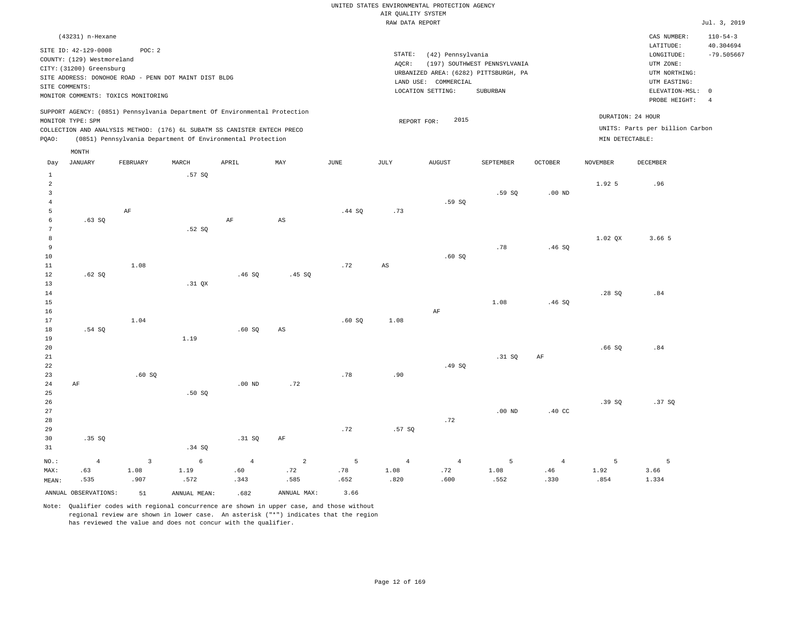|       | (43231) n-Hexane                                                                                                                                                            |                   |        |                                                            |     |      |        |                                       |                              |         |                 | CAS NUMBER:                                          | $110 - 54 - 3$ |
|-------|-----------------------------------------------------------------------------------------------------------------------------------------------------------------------------|-------------------|--------|------------------------------------------------------------|-----|------|--------|---------------------------------------|------------------------------|---------|-----------------|------------------------------------------------------|----------------|
|       | SITE ID: 42-129-0008                                                                                                                                                        | POC: 2            |        |                                                            |     |      |        |                                       |                              |         |                 | LATITUDE:                                            | 40.304694      |
|       |                                                                                                                                                                             |                   |        |                                                            |     |      | STATE: | (42) Pennsylvania                     |                              |         |                 | LONGITUDE:                                           | $-79.505667$   |
|       | COUNTY: (129) Westmoreland                                                                                                                                                  |                   |        |                                                            |     |      | AOCR:  |                                       | (197) SOUTHWEST PENNSYLVANIA |         |                 | UTM ZONE:                                            |                |
|       | CITY: (31200) Greensburg                                                                                                                                                    |                   |        |                                                            |     |      |        | URBANIZED AREA: (6282) PITTSBURGH, PA |                              |         |                 | UTM NORTHING:                                        |                |
|       | SITE ADDRESS: DONOHOE ROAD - PENN DOT MAINT DIST BLDG                                                                                                                       |                   |        |                                                            |     |      |        | COMMERCIAL<br>LAND USE:               |                              |         |                 | UTM EASTING:                                         |                |
|       | SITE COMMENTS:                                                                                                                                                              |                   |        |                                                            |     |      |        | LOCATION SETTING:                     | SUBURBAN                     |         |                 | ELEVATION-MSL: 0                                     |                |
|       | MONITOR COMMENTS:                                                                                                                                                           | TOXICS MONITORING |        |                                                            |     |      |        |                                       |                              |         |                 | PROBE HEIGHT:                                        | $\overline{4}$ |
| POAO: | SUPPORT AGENCY: (0851) Pennsylvania Department Of Environmental Protection<br>MONITOR TYPE: SPM<br>COLLECTION AND ANALYSIS METHOD: (176) 6L SUBATM SS CANISTER ENTECH PRECO |                   |        | (0851) Pennsylvania Department Of Environmental Protection |     |      |        | 2015<br>REPORT FOR:                   |                              |         | MIN DETECTABLE: | DURATION: 24 HOUR<br>UNITS: Parts per billion Carbon |                |
|       | MONTH                                                                                                                                                                       |                   |        |                                                            |     |      |        |                                       |                              |         |                 |                                                      |                |
| Day   | JANUARY                                                                                                                                                                     | FEBRUARY          | MARCH  | APRIL                                                      | MAY | JUNE | JULY   | <b>AUGUST</b>                         | SEPTEMBER                    | OCTOBER | <b>NOVEMBER</b> | DECEMBER                                             |                |
|       |                                                                                                                                                                             |                   | .57 SQ |                                                            |     |      |        |                                       |                              |         |                 |                                                      |                |
|       |                                                                                                                                                                             |                   |        |                                                            |     |      |        |                                       |                              |         | 1.92 5          | .96                                                  |                |

| $\mathbf{3}$          |           |           |          |          |                        |        |                        |           | .59SQ    | .00 $ND$         |           |                                 |
|-----------------------|-----------|-----------|----------|----------|------------------------|--------|------------------------|-----------|----------|------------------|-----------|---------------------------------|
| $\overline{4}$        |           |           |          |          |                        |        |                        | .59SQ     |          |                  |           |                                 |
| 5                     |           | $\rm{AF}$ |          |          |                        | .44 SQ | .73                    |           |          |                  |           |                                 |
| 6                     | .63SQ     |           |          | $\rm AF$ | $\mathbb{A}\mathbb{S}$ |        |                        |           |          |                  |           |                                 |
| $7\phantom{.0}$       |           |           | .52 SQ   |          |                        |        |                        |           |          |                  |           |                                 |
| 8                     |           |           |          |          |                        |        |                        |           |          |                  | $1.02$ QX | 3.66 5                          |
| 9                     |           |           |          |          |                        |        |                        |           | .78      | .46SQ            |           |                                 |
| $10$                  |           |           |          |          |                        |        |                        | .60SQ     |          |                  |           |                                 |
| 11                    |           | 1.08      |          |          |                        | .72    | $\mathbb{A}\mathbb{S}$ |           |          |                  |           |                                 |
| 12                    | .62 SQ    |           |          | .46SQ    | .45 SQ                 |        |                        |           |          |                  |           |                                 |
| 13                    |           |           | $.31$ QX |          |                        |        |                        |           |          |                  |           |                                 |
| 14                    |           |           |          |          |                        |        |                        |           |          |                  | .28S      | $\boldsymbol{\mathsf{.}}\;8\,4$ |
| 15                    |           |           |          |          |                        |        |                        |           | 1.08     | .46SQ            |           |                                 |
| $16$                  |           |           |          |          |                        |        |                        | $\rm{AF}$ |          |                  |           |                                 |
| 17<br>18              |           | 1.04      |          |          |                        | .60SQ  | 1.08                   |           |          |                  |           |                                 |
|                       | $.54$ SQ  |           |          | .60SQ    | AS                     |        |                        |           |          |                  |           |                                 |
| 19                    |           |           | 1.19     |          |                        |        |                        |           |          |                  | .66SQ     |                                 |
| $20\,$                |           |           |          |          |                        |        |                        |           | .31 SQ   | $\rm{AF}$        |           | $\boldsymbol{\mathsf{.}}\,84$   |
| $21\,$<br>$_{\rm 22}$ |           |           |          |          |                        |        |                        | .49SQ     |          |                  |           |                                 |
| 23                    |           | .60SQ     |          |          |                        | .78    | .90                    |           |          |                  |           |                                 |
| $2\sqrt{4}$           | $\rm{AF}$ |           |          | $.00$ ND | .72                    |        |                        |           |          |                  |           |                                 |
| 25                    |           |           | .50S     |          |                        |        |                        |           |          |                  |           |                                 |
| 26                    |           |           |          |          |                        |        |                        |           |          |                  | .39SQ     | .37SQ                           |
| 27                    |           |           |          |          |                        |        |                        |           | $.00$ ND | $.40 \text{ CC}$ |           |                                 |
| 28                    |           |           |          |          |                        |        |                        | .72       |          |                  |           |                                 |
| 29                    |           |           |          |          |                        | .72    | .57SQ                  |           |          |                  |           |                                 |
|                       |           |           |          |          |                        |        |                        |           |          |                  |           |                                 |

| 31    |                         |      | .34 S                                                                                                                                                                                                                         |      |             |      |      |      |      |      |      |       |
|-------|-------------------------|------|-------------------------------------------------------------------------------------------------------------------------------------------------------------------------------------------------------------------------------|------|-------------|------|------|------|------|------|------|-------|
|       |                         |      | $NO.$ and $4$ and $3$ and $4$ and $4$ and $4$ and $4$ and $5$ and $4$ and $5$ and $4$ and $5$ and $4$ and $1$ and $2$ and $5$ and $4$ and $5$ and $4$ and $5$ and $4$ and $5$ and $4$ and $5$ and $4$ and $5$ and $4$ and $5$ |      |             |      |      |      |      |      |      |       |
| MAX:  | .63                     | 1.08 | 1.19                                                                                                                                                                                                                          | .60  | .72         | .78  | 1.08 | .72  | 1.08 | .46  | 1.92 | 3.66  |
| MEAN: | .535                    | .907 | .572                                                                                                                                                                                                                          | .343 | .585        | .652 | .820 | .600 | .552 | .330 | .854 | 1.334 |
|       | ANNUAL OBSERVATIONS: 51 |      | ANNUAL MEAN:                                                                                                                                                                                                                  | .682 | ANNUAL MAX: | 3.66 |      |      |      |      |      |       |

Note: Qualifier codes with regional concurrence are shown in upper case, and those without regional review are shown in lower case. An asterisk ("\*") indicates that the region has reviewed the value and does not concur with the qualifier.

.31 SQ AF

30

.35 SQ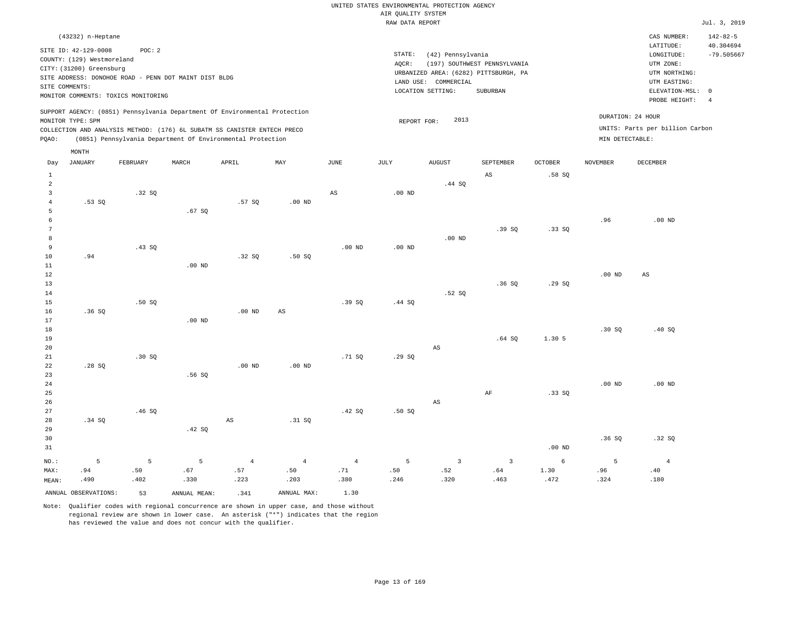## UNITED STATES ENVIRONMENTAL PROTECTION AGENCY AIR QUALITY SYSTEM

|                |                            |                                                       |                   |                                                                            |          |                        | RAW DATA REPORT |                      |                                       |                |                   |                                 | Jul. 3, 2019              |
|----------------|----------------------------|-------------------------------------------------------|-------------------|----------------------------------------------------------------------------|----------|------------------------|-----------------|----------------------|---------------------------------------|----------------|-------------------|---------------------------------|---------------------------|
|                | (43232) n-Heptane          |                                                       |                   |                                                                            |          |                        |                 |                      |                                       |                |                   | CAS NUMBER:                     | $142 - 82 - 5$            |
|                | SITE ID: 42-129-0008       | POC: 2                                                |                   |                                                                            |          |                        | STATE:          |                      |                                       |                |                   | LATITUDE:                       | 40.304694<br>$-79.505667$ |
|                | COUNTY: (129) Westmoreland |                                                       |                   |                                                                            |          |                        | AOCR:           | (42) Pennsylvania    | (197) SOUTHWEST PENNSYLVANIA          |                |                   | LONGITUDE:<br>UTM ZONE:         |                           |
|                | CITY: (31200) Greensburg   |                                                       |                   |                                                                            |          |                        |                 |                      | URBANIZED AREA: (6282) PITTSBURGH, PA |                |                   | UTM NORTHING:                   |                           |
|                |                            | SITE ADDRESS: DONOHOE ROAD - PENN DOT MAINT DIST BLDG |                   |                                                                            |          |                        |                 | LAND USE: COMMERCIAL |                                       |                |                   | UTM EASTING:                    |                           |
|                | SITE COMMENTS:             |                                                       |                   |                                                                            |          |                        |                 | LOCATION SETTING:    | SUBURBAN                              |                |                   | ELEVATION-MSL: 0                |                           |
|                |                            | MONITOR COMMENTS: TOXICS MONITORING                   |                   |                                                                            |          |                        |                 |                      |                                       |                |                   | PROBE HEIGHT:                   | $\frac{4}{3}$             |
|                |                            |                                                       |                   | SUPPORT AGENCY: (0851) Pennsylvania Department Of Environmental Protection |          |                        |                 |                      |                                       |                |                   | DURATION: 24 HOUR               |                           |
|                | MONITOR TYPE: SPM          |                                                       |                   |                                                                            |          |                        | REPORT FOR:     | 2013                 |                                       |                |                   | UNITS: Parts per billion Carbon |                           |
|                |                            |                                                       |                   | COLLECTION AND ANALYSIS METHOD: (176) 6L SUBATM SS CANISTER ENTECH PRECO   |          |                        |                 |                      |                                       |                |                   |                                 |                           |
| PQAO:          |                            |                                                       |                   | (0851) Pennsylvania Department Of Environmental Protection                 |          |                        |                 |                      |                                       |                | MIN DETECTABLE:   |                                 |                           |
|                | MONTH                      |                                                       |                   |                                                                            |          |                        |                 |                      |                                       |                |                   |                                 |                           |
| Day            | JANUARY                    | FEBRUARY                                              | MARCH             | APRIL                                                                      | MAY      | JUNE                   | JULY            | AUGUST               | SEPTEMBER                             | <b>OCTOBER</b> | NOVEMBER          | DECEMBER                        |                           |
| $\mathbf{1}$   |                            |                                                       |                   |                                                                            |          |                        |                 |                      | AS                                    | .58 SO         |                   |                                 |                           |
| 2              |                            |                                                       |                   |                                                                            |          |                        |                 | .44 SQ               |                                       |                |                   |                                 |                           |
| 3              |                            | .32S                                                  |                   |                                                                            |          | $\mathbb{A}\mathbb{S}$ | $.00$ ND        |                      |                                       |                |                   |                                 |                           |
| $\overline{4}$ | $.53$ SO                   |                                                       |                   | .57 SO                                                                     | $.00$ ND |                        |                 |                      |                                       |                |                   |                                 |                           |
| 5              |                            |                                                       | .67SQ             |                                                                            |          |                        |                 |                      |                                       |                |                   |                                 |                           |
| 6              |                            |                                                       |                   |                                                                            |          |                        |                 |                      |                                       |                | .96               | $.00$ ND                        |                           |
| 7              |                            |                                                       |                   |                                                                            |          |                        |                 |                      | .39S                                  | .33SQ          |                   |                                 |                           |
| 8              |                            |                                                       |                   |                                                                            |          |                        |                 | $.00$ ND             |                                       |                |                   |                                 |                           |
| 9              |                            | .43SQ                                                 |                   |                                                                            |          | $.00$ ND               | $.00$ ND        |                      |                                       |                |                   |                                 |                           |
| 10             | .94                        |                                                       |                   | .32S                                                                       | .50S     |                        |                 |                      |                                       |                |                   |                                 |                           |
| 11<br>12       |                            |                                                       | $.00$ ND          |                                                                            |          |                        |                 |                      |                                       |                | .00 <sub>ND</sub> | AS                              |                           |
| 13             |                            |                                                       |                   |                                                                            |          |                        |                 |                      | .36SQ                                 | .29SQ          |                   |                                 |                           |
| 14             |                            |                                                       |                   |                                                                            |          |                        |                 | .52S                 |                                       |                |                   |                                 |                           |
| 15             |                            | .50S                                                  |                   |                                                                            |          | .39SQ                  | .44 SQ          |                      |                                       |                |                   |                                 |                           |
| 16             | .36SQ                      |                                                       |                   | $.00$ ND                                                                   | AS       |                        |                 |                      |                                       |                |                   |                                 |                           |
| 17             |                            |                                                       | .00 <sub>ND</sub> |                                                                            |          |                        |                 |                      |                                       |                |                   |                                 |                           |
| 18             |                            |                                                       |                   |                                                                            |          |                        |                 |                      |                                       |                | .30 SQ            | .40S                            |                           |
| 19             |                            |                                                       |                   |                                                                            |          |                        |                 |                      | .64SQ                                 | 1.30 5         |                   |                                 |                           |
| 20             |                            |                                                       |                   |                                                                            |          |                        |                 | AS                   |                                       |                |                   |                                 |                           |
| 21             |                            | .30 SQ                                                |                   |                                                                            |          | .71 SQ                 | .29SQ           |                      |                                       |                |                   |                                 |                           |
| 22             | .28SQ                      |                                                       |                   | .00 <sub>ND</sub>                                                          | $.00$ ND |                        |                 |                      |                                       |                |                   |                                 |                           |
| 23             |                            |                                                       | .56SQ             |                                                                            |          |                        |                 |                      |                                       |                |                   |                                 |                           |

24 25 26 27 28 29 30 31 .34 SQ NO.: 5 .46 SQ .42 SQ AS .31 SQ .42 SQ .50 SQ AS AF .33 SQ .00 ND .00 ND .36 SQ .00 ND .32 SQ 5 5 4 4 4 5 3 3 6 5 4

> .71 .380

ANNUAL OBSERVATIONS: 53 ANNUAL MEAN: .341 ANNUAL MAX: 1.30

 .67 .330

MAX: MEAN:

 .94 .490  .50 .402

Note: Qualifier codes with regional concurrence are shown in upper case, and those without regional review are shown in lower case. An asterisk ("\*") indicates that the region has reviewed the value and does not concur with the qualifier.

 .57 .223  .50 .203  .50 .246

 .52 .320  .64 .463  1.30 .472

 .96 .324

 .40 .180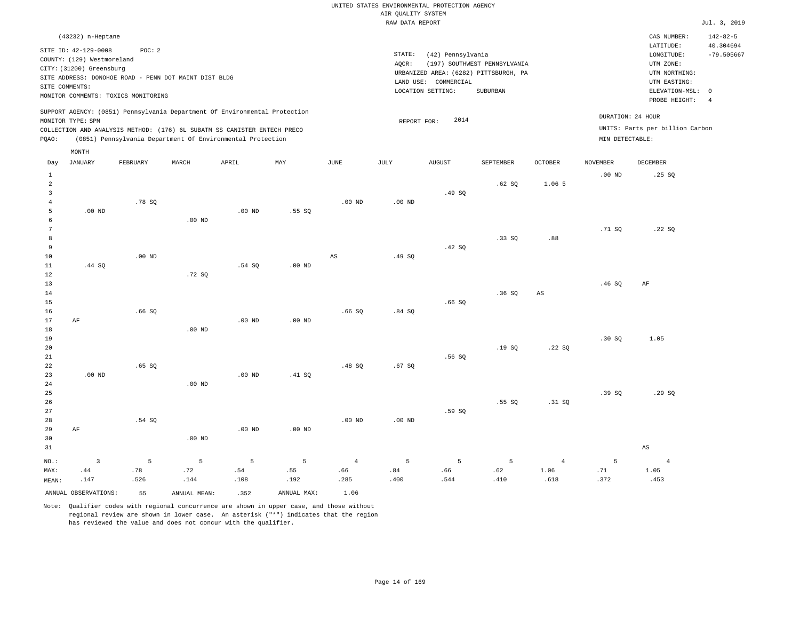| (43232) n-Heptane                                                                                                                                                                                                                                  |                                                                                                                                                                        | CAS NUMBER:                                                                                                | $142 - 82 - 5$            |
|----------------------------------------------------------------------------------------------------------------------------------------------------------------------------------------------------------------------------------------------------|------------------------------------------------------------------------------------------------------------------------------------------------------------------------|------------------------------------------------------------------------------------------------------------|---------------------------|
| SITE ID: 42-129-0008<br>POC:2<br>COUNTY: (129) Westmoreland<br>CITY: (31200) Greensburg<br>SITE ADDRESS: DONOHOE ROAD - PENN DOT MAINT DIST BLDG<br>SITE COMMENTS:<br>MONITOR COMMENTS: TOXICS MONITORING                                          | STATE:<br>(42) Pennsylvania<br>(197) SOUTHWEST PENNSYLVANIA<br>AOCR:<br>URBANIZED AREA: (6282) PITTSBURGH, PA<br>LAND USE: COMMERCIAL<br>LOCATION SETTING:<br>SUBURBAN | LATITUDE:<br>LONGITUDE:<br>UTM ZONE:<br>UTM NORTHING:<br>UTM EASTING:<br>ELEVATION-MSL: 0<br>PROBE HEIGHT: | 40.304694<br>$-79.505667$ |
| SUPPORT AGENCY: (0851) Pennsylvania Department Of Environmental Protection<br>MONITOR TYPE: SPM<br>COLLECTION AND ANALYSIS METHOD: (176) 6L SUBATM SS CANISTER ENTECH PRECO<br>(0851) Pennsylvania Department Of Environmental Protection<br>POAO: | DURATION: 24 HOUR<br>2014<br>REPORT FOR:<br>MIN DETECTABLE:                                                                                                            | UNITS: Parts per billion Carbon                                                                            | -4                        |
| MONTH                                                                                                                                                                                                                                              |                                                                                                                                                                        |                                                                                                            |                           |

| Day                     | <b>JANUARY</b>       | FEBRUARY | $\tt MARCH$  | APRIL                         | MAY         | $_{\rm JUNE}$  | $\mathtt{JULY}$ | AUGUST | SEPTEMBER | $\mathtt{OCTOBER}$ | $\,$ NOVEMBER | DECEMBER       |
|-------------------------|----------------------|----------|--------------|-------------------------------|-------------|----------------|-----------------|--------|-----------|--------------------|---------------|----------------|
| $\mathbf{1}$            |                      |          |              |                               |             |                |                 |        |           |                    | $.00$ ND      | .25 SQ         |
| $\overline{\mathbf{c}}$ |                      |          |              |                               |             |                |                 |        | .62 SQ    | 1.06 5             |               |                |
| 3                       |                      |          |              |                               |             |                |                 | .49 SQ |           |                    |               |                |
| $\overline{4}$          |                      | .78 SQ   |              |                               |             | $.00$ ND       | $.00$ ND        |        |           |                    |               |                |
| 5                       | $.00$ ND             |          |              | $.00$ ND                      | .55SQ       |                |                 |        |           |                    |               |                |
| 6                       |                      |          | $.00$ ND     |                               |             |                |                 |        |           |                    |               |                |
| 7                       |                      |          |              |                               |             |                |                 |        |           |                    | .71 SQ        | .22SQ          |
| 8                       |                      |          |              |                               |             |                |                 |        | .33SQ     | .88                |               |                |
| 9                       |                      |          |              |                               |             |                |                 | .42 SQ |           |                    |               |                |
| $10$                    |                      | $.00$ ND |              |                               |             | AS             | .49 SQ          |        |           |                    |               |                |
| 11                      | .44 SQ               |          |              | .54S                          | $.00$ ND    |                |                 |        |           |                    |               |                |
| 12<br>13                |                      |          | .72SQ        |                               |             |                |                 |        |           |                    | .46SQ         |                |
| 14                      |                      |          |              |                               |             |                |                 |        | .36SQ     | AS                 |               | AF             |
| 15                      |                      |          |              |                               |             |                |                 | .66SQ  |           |                    |               |                |
| 16                      |                      | .66SQ    |              |                               |             | .66SQ          | .84SQ           |        |           |                    |               |                |
| 17                      | $\rm AF$             |          |              | $.00$ ND                      | $.00$ ND    |                |                 |        |           |                    |               |                |
| 18                      |                      |          | $.00$ ND     |                               |             |                |                 |        |           |                    |               |                |
| 19                      |                      |          |              |                               |             |                |                 |        |           |                    | .30SQ         | 1.05           |
| 20                      |                      |          |              |                               |             |                |                 |        | .19SQ     | .22SQ              |               |                |
| 21                      |                      |          |              |                               |             |                |                 | .56SQ  |           |                    |               |                |
| 22                      |                      | .65 SQ   |              |                               |             | .48SQ          | .67 SQ          |        |           |                    |               |                |
| 23                      | $.00$ ND             |          |              | $.00$ ND                      | .41 SQ      |                |                 |        |           |                    |               |                |
| 24                      |                      |          | $.00$ ND     |                               |             |                |                 |        |           |                    |               |                |
| 25                      |                      |          |              |                               |             |                |                 |        |           |                    | .39SQ         | .29SQ          |
| 26                      |                      |          |              |                               |             |                |                 |        | .55SQ     | .31 SQ             |               |                |
| 27                      |                      |          |              |                               |             |                |                 | .59 SQ |           |                    |               |                |
| $_{\rm 28}$             |                      | .54 SQ   |              |                               |             | $.00$ ND       | $.00$ ND        |        |           |                    |               |                |
| 29                      | AF                   |          |              | .00 $ND$                      | .00 $ND$    |                |                 |        |           |                    |               |                |
| 30                      |                      |          | $.00$ ND     |                               |             |                |                 |        |           |                    |               |                |
| 31                      |                      |          |              |                               |             |                |                 |        |           |                    |               | AS             |
| $NO.$ :                 | $\mathbf{3}$         | 5        | 5            | 5                             | 5           | $\overline{4}$ | 5               | 5      | 5         | $\overline{4}$     | 5             | $\overline{4}$ |
| MAX:                    | .44                  | $.78\,$  | .72          | $\footnotesize\substack{+54}$ | .55         | .66            | .84             | .66    | .62       | 1.06               | .71           | 1.05           |
| MEAN:                   | .147                 | .526     | .144         | .108                          | .192        | .285           | .400            | .544   | .410      | .618               | .372          | .453           |
|                         | ANNUAL OBSERVATIONS: | 55       | ANNUAL MEAN: | .352                          | ANNUAL MAX: | 1.06           |                 |        |           |                    |               |                |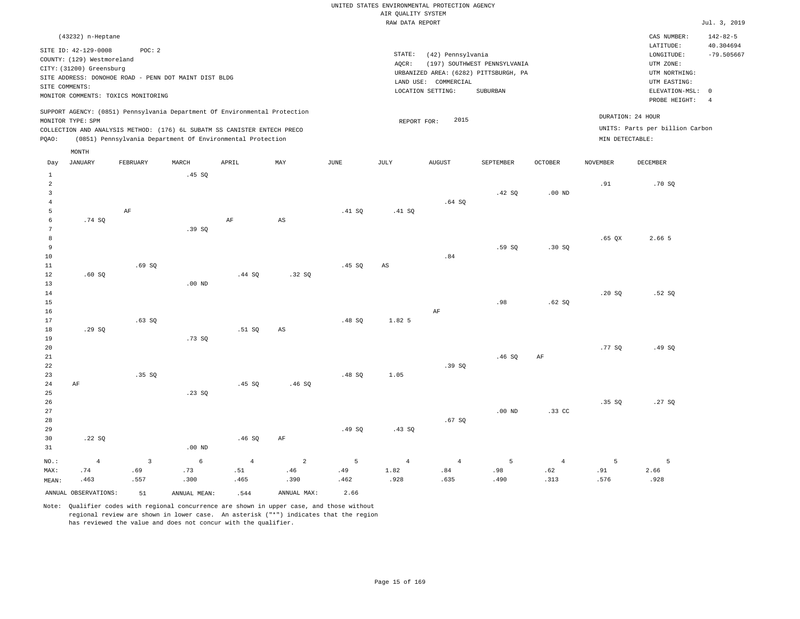## UNITED STATES ENVIRONMENTAL PROTECTION AGENCY AIR QUALITY SYSTEM

|                |                            |                                                       |          |                                                                            |                        |        | RAW DATA REPORT |                                       |                              |                |                 |                                 | Jul. 3, 2019   |
|----------------|----------------------------|-------------------------------------------------------|----------|----------------------------------------------------------------------------|------------------------|--------|-----------------|---------------------------------------|------------------------------|----------------|-----------------|---------------------------------|----------------|
|                | (43232) n-Heptane          |                                                       |          |                                                                            |                        |        |                 |                                       |                              |                |                 | CAS NUMBER:                     | $142 - 82 - 5$ |
|                | SITE ID: 42-129-0008       | POC: 2                                                |          |                                                                            |                        |        |                 |                                       |                              |                |                 | LATITUDE:                       | 40.304694      |
|                | COUNTY: (129) Westmoreland |                                                       |          |                                                                            |                        |        | STATE:          | (42) Pennsylvania                     |                              |                |                 | LONGITUDE:                      | $-79.505667$   |
|                | CITY: (31200) Greensburg   |                                                       |          |                                                                            |                        |        | AOCR:           |                                       | (197) SOUTHWEST PENNSYLVANIA |                |                 | UTM ZONE:                       |                |
|                |                            | SITE ADDRESS: DONOHOE ROAD - PENN DOT MAINT DIST BLDG |          |                                                                            |                        |        |                 | URBANIZED AREA: (6282) PITTSBURGH, PA |                              |                |                 | UTM NORTHING:                   |                |
|                | SITE COMMENTS:             |                                                       |          |                                                                            |                        |        |                 | LAND USE: COMMERCIAL                  |                              |                |                 | UTM EASTING:                    |                |
|                |                            | MONITOR COMMENTS: TOXICS MONITORING                   |          |                                                                            |                        |        |                 | LOCATION SETTING:                     | SUBURBAN                     |                |                 | ELEVATION-MSL: 0                |                |
|                |                            |                                                       |          |                                                                            |                        |        |                 |                                       |                              |                |                 | PROBE HEIGHT: 4                 |                |
|                |                            |                                                       |          | SUPPORT AGENCY: (0851) Pennsylvania Department Of Environmental Protection |                        |        |                 |                                       |                              |                |                 | DURATION: 24 HOUR               |                |
|                | MONITOR TYPE: SPM          |                                                       |          |                                                                            |                        |        |                 | 2015<br>REPORT FOR:                   |                              |                |                 |                                 |                |
|                |                            |                                                       |          | COLLECTION AND ANALYSIS METHOD: (176) 6L SUBATM SS CANISTER ENTECH PRECO   |                        |        |                 |                                       |                              |                |                 | UNITS: Parts per billion Carbon |                |
| POAO:          |                            |                                                       |          | (0851) Pennsylvania Department Of Environmental Protection                 |                        |        |                 |                                       |                              |                | MIN DETECTABLE: |                                 |                |
|                | MONTH                      |                                                       |          |                                                                            |                        |        |                 |                                       |                              |                |                 |                                 |                |
| Day            | JANUARY                    | FEBRUARY                                              | MARCH    | APRIL                                                                      | MAY                    | JUNE   | JULY            | AUGUST                                | SEPTEMBER                    | <b>OCTOBER</b> | NOVEMBER        | DECEMBER                        |                |
| 1              |                            |                                                       | .45SQ    |                                                                            |                        |        |                 |                                       |                              |                |                 |                                 |                |
| $\overline{2}$ |                            |                                                       |          |                                                                            |                        |        |                 |                                       |                              |                | .91             | .70S                            |                |
| 3              |                            |                                                       |          |                                                                            |                        |        |                 |                                       | .42 SQ                       | $.00$ ND       |                 |                                 |                |
|                |                            |                                                       |          |                                                                            |                        |        |                 | .64S                                  |                              |                |                 |                                 |                |
|                |                            | AF                                                    |          |                                                                            |                        | .41 SQ | .41 SQ          |                                       |                              |                |                 |                                 |                |
|                | .74 SQ                     |                                                       |          | AF                                                                         | $\mathbb{A}\mathbb{S}$ |        |                 |                                       |                              |                |                 |                                 |                |
|                |                            |                                                       | .39SQ    |                                                                            |                        |        |                 |                                       |                              |                |                 |                                 |                |
|                |                            |                                                       |          |                                                                            |                        |        |                 |                                       |                              |                | $.65$ QX        | 2.66 5                          |                |
| 9              |                            |                                                       |          |                                                                            |                        |        |                 |                                       | .59SQ                        | .30S           |                 |                                 |                |
| 10             |                            |                                                       |          |                                                                            |                        |        |                 | .84                                   |                              |                |                 |                                 |                |
| 11             |                            | .69SQ                                                 |          |                                                                            |                        | .45SQ  | AS              |                                       |                              |                |                 |                                 |                |
| 12             | .60SQ                      |                                                       |          | .44 SQ                                                                     | .32SQ                  |        |                 |                                       |                              |                |                 |                                 |                |
| 13             |                            |                                                       | $.00$ ND |                                                                            |                        |        |                 |                                       |                              |                |                 |                                 |                |
| 14             |                            |                                                       |          |                                                                            |                        |        |                 |                                       |                              |                | .20S            | .52S                            |                |
| 15             |                            |                                                       |          |                                                                            |                        |        |                 |                                       | .98                          | .62S           |                 |                                 |                |

16 17 18 19 20 21 22 23 24 25 26 27 .29 SQ AF .63 SQ .35 SQ .73 SQ .23 SQ .51 SQ .45 SQ AS .46 SQ .48 SQ .48 SQ 1.82 5 1.05 AF .39 SQ .46 SQ .00 ND AF .33 CC .77 SQ .35 SQ .49 SQ .27 SQ

| 28    |                      |      |              |       |             |       |       | .67 SQ |      |      |      |      |
|-------|----------------------|------|--------------|-------|-------------|-------|-------|--------|------|------|------|------|
| 29    |                      |      |              |       |             | .49SQ | .43SQ |        |      |      |      |      |
| 30    | .22SQ                |      |              | .46SQ | AF          |       |       |        |      |      |      |      |
| 31    |                      |      | $.00$ ND     |       |             |       |       |        |      |      |      |      |
| NO.:  | 4                    |      | 6            |       |             |       |       |        | 5    | 4    |      |      |
| MAX:  | .74                  | .69  | .73          | .51   | .46         | .49   | 1.82  | .84    | .98  | .62  | .91  | 2.66 |
| MEAN: | .463                 | .557 | .300         | .465  | .390        | .462  | .928  | .635   | .490 | .313 | .576 | .928 |
|       | ANNUAL OBSERVATIONS: | 51   | ANNUAL MEAN: | .544  | ANNUAL MAX: | 2.66  |       |        |      |      |      |      |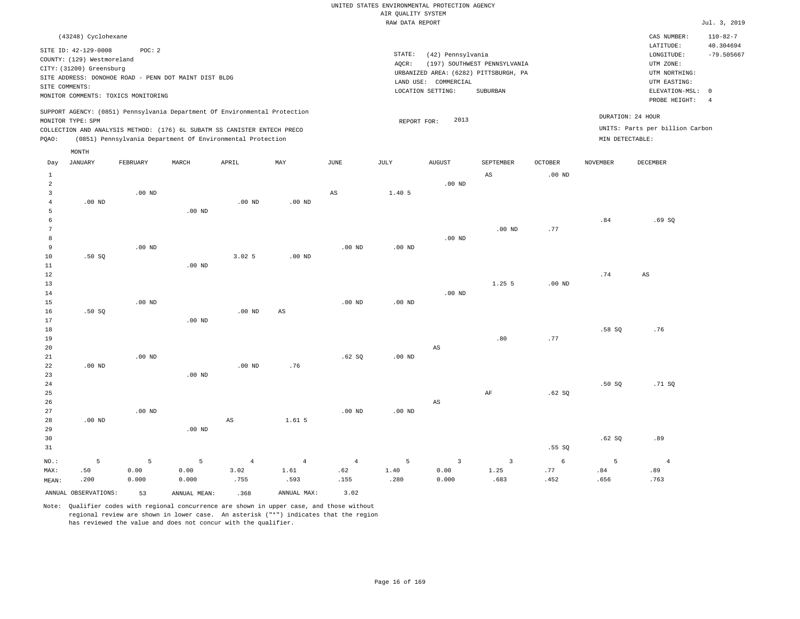| (43248) Cyclohexane                                                                                                                                                                                                                                |                                                                                                                                                                        | CAS NUMBER:                                                                               | $110 - 82 - 7$            |
|----------------------------------------------------------------------------------------------------------------------------------------------------------------------------------------------------------------------------------------------------|------------------------------------------------------------------------------------------------------------------------------------------------------------------------|-------------------------------------------------------------------------------------------|---------------------------|
| SITE ID: 42-129-0008<br>POC: 2<br>COUNTY: (129) Westmoreland<br>CITY: (31200) Greensburg<br>SITE ADDRESS: DONOHOE ROAD - PENN DOT MAINT DIST BLDG<br>SITE COMMENTS:                                                                                | STATE:<br>(42) Pennsylvania<br>(197) SOUTHWEST PENNSYLVANIA<br>AOCR:<br>URBANIZED AREA: (6282) PITTSBURGH, PA<br>LAND USE: COMMERCIAL<br>LOCATION SETTING:<br>SUBURBAN | LATITUDE:<br>LONGITUDE:<br>UTM ZONE:<br>UTM NORTHING:<br>UTM EASTING:<br>ELEVATION-MSL: 0 | 40.304694<br>$-79.505667$ |
| MONITOR COMMENTS: TOXICS MONITORING                                                                                                                                                                                                                |                                                                                                                                                                        | PROBE HEIGHT:                                                                             |                           |
| SUPPORT AGENCY: (0851) Pennsylvania Department Of Environmental Protection<br>MONITOR TYPE: SPM<br>COLLECTION AND ANALYSIS METHOD: (176) 6L SUBATM SS CANISTER ENTECH PRECO<br>(0851) Pennsylvania Department Of Environmental Protection<br>POAO: | 2013<br>REPORT FOR:                                                                                                                                                    | DURATION: 24 HOUR<br>UNITS: Parts per billion Carbon<br>MIN DETECTABLE:                   |                           |
| MONTH                                                                                                                                                                                                                                              |                                                                                                                                                                        |                                                                                           |                           |

| Day            | JANUARY              | FEBRUARY | MARCH        | APRIL    | $\ensuremath{\text{MAX}}$ | $_{\rm JUNE}$          | JULY           | AUGUST                  | SEPTEMBER               | OCTOBER    | NOVEMBER | DECEMBER       |
|----------------|----------------------|----------|--------------|----------|---------------------------|------------------------|----------------|-------------------------|-------------------------|------------|----------|----------------|
| $\mathbf{1}$   |                      |          |              |          |                           |                        |                |                         | $_{\rm AS}$             | $.00$ ND   |          |                |
| $\overline{a}$ |                      |          |              |          |                           |                        |                | $.00$ ND                |                         |            |          |                |
| 3              |                      | $.00$ ND |              |          |                           | $\mathbb{A}\mathbb{S}$ | 1.40 5         |                         |                         |            |          |                |
| $\overline{4}$ | $.00$ ND             |          |              | $.00$ ND | $.00$ ND                  |                        |                |                         |                         |            |          |                |
| 5              |                      |          | $.00$ ND     |          |                           |                        |                |                         |                         |            |          |                |
| 6              |                      |          |              |          |                           |                        |                |                         |                         |            | .84      | .69SQ          |
| 7              |                      |          |              |          |                           |                        |                |                         | $.00$ ND                | .77        |          |                |
| 8              |                      |          |              |          |                           |                        |                | $.00$ ND                |                         |            |          |                |
| 9              |                      | $.00$ ND |              |          |                           | $.00$ ND               | $.00$ ND       |                         |                         |            |          |                |
| 10             | .50S                 |          |              | 3.025    | $.00$ ND                  |                        |                |                         |                         |            |          |                |
| 11             |                      |          | $.00$ ND     |          |                           |                        |                |                         |                         |            |          |                |
| 12             |                      |          |              |          |                           |                        |                |                         |                         |            | .74      | AS             |
| 13             |                      |          |              |          |                           |                        |                |                         | 1.25 5                  | $.00$ ND   |          |                |
| 14             |                      |          |              |          |                           |                        |                | $.00$ ND                |                         |            |          |                |
| 15             |                      | $.00$ ND |              |          |                           | $.00$ ND               | $.00$ ND       |                         |                         |            |          |                |
| 16             | .50S                 |          |              | $.00$ ND | $_{\rm AS}$               |                        |                |                         |                         |            |          |                |
| 17             |                      |          | $.00$ ND     |          |                           |                        |                |                         |                         |            |          |                |
| $18\,$         |                      |          |              |          |                           |                        |                |                         |                         |            | .58SQ    | .76            |
| 19             |                      |          |              |          |                           |                        |                |                         | .80                     | .77        |          |                |
| $20\,$         |                      |          |              |          |                           |                        |                | $\mathbb{A}\mathbb{S}$  |                         |            |          |                |
| $2\sqrt{1}$    |                      | $.00$ ND |              |          |                           | .62 SQ                 | .00 $ND$       |                         |                         |            |          |                |
| $2\sqrt{2}$    | $.00$ ND             |          |              | $.00$ ND | .76                       |                        |                |                         |                         |            |          |                |
| 23             |                      |          | $.00$ ND     |          |                           |                        |                |                         |                         |            |          |                |
| $2\,4$         |                      |          |              |          |                           |                        |                |                         |                         |            | .50SQ    | .71 SQ         |
| 25             |                      |          |              |          |                           |                        |                |                         | AF                      | .62SQ      |          |                |
| $26\,$         |                      |          |              |          |                           |                        |                | $\mathbb{A}\mathbb{S}$  |                         |            |          |                |
| $2\,7$         |                      | $.00$ ND |              |          |                           | $.00$ ND               | .00 $ND$       |                         |                         |            |          |                |
| 28             | $.00$ ND             |          |              | AS       | 1.61.5                    |                        |                |                         |                         |            |          |                |
| 29             |                      |          | $.00$ ND     |          |                           |                        |                |                         |                         |            |          |                |
| 30             |                      |          |              |          |                           |                        |                |                         |                         |            | .62SQ    | .89            |
| 31             |                      |          |              |          |                           |                        |                |                         |                         | .55SQ      |          |                |
| $_{\rm NO.}$ : | $\mathsf S$          | 5        | $\mathsf S$  | $\,4$    | $\overline{4}$            | $\sqrt{4}$             | $\overline{5}$ | $\overline{\mathbf{3}}$ | $\overline{\mathbf{3}}$ | $\epsilon$ | 5        | $\overline{4}$ |
| MAX:           | .50                  | 0.00     | 0.00         | 3.02     | 1.61                      | .62                    | 1.40           | 0.00                    | 1.25                    | .77        | .84      | .89            |
| MEAN:          | .200                 | 0.000    | 0.000        | .755     | .593                      | .155                   | .280           | 0.000                   | .683                    | .452       | .656     | .763           |
|                | ANNUAL OBSERVATIONS: | 53       | ANNUAL MEAN: | .368     | ANNUAL MAX:               | 3.02                   |                |                         |                         |            |          |                |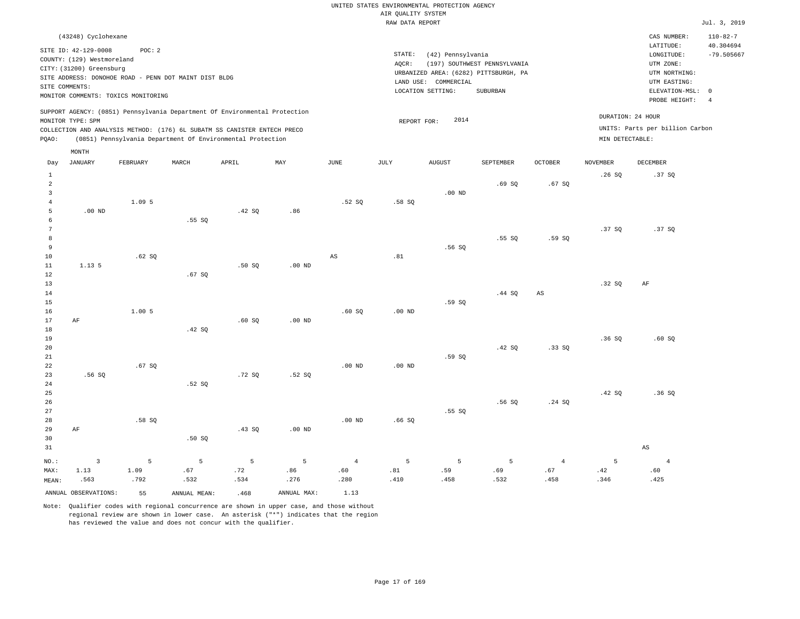| (43248) Cyclohexane                                                                                                                                                                                                                                |                                                                                                               | CAS NUMBER:                                                             | $110 - 82 - 7$            |
|----------------------------------------------------------------------------------------------------------------------------------------------------------------------------------------------------------------------------------------------------|---------------------------------------------------------------------------------------------------------------|-------------------------------------------------------------------------|---------------------------|
| SITE ID: 42-129-0008<br>POC:2<br>COUNTY: (129) Westmoreland<br>CITY: (31200) Greensburg<br>SITE ADDRESS: DONOHOE ROAD - PENN DOT MAINT DIST BLDG                                                                                                   | STATE:<br>(42) Pennsylvania<br>(197) SOUTHWEST PENNSYLVANIA<br>AOCR:<br>URBANIZED AREA: (6282) PITTSBURGH, PA | LATITUDE:<br>LONGITUDE:<br>UTM ZONE:<br>UTM NORTHING:                   | 40.304694<br>$-79.505667$ |
| SITE COMMENTS:<br>MONITOR COMMENTS: TOXICS MONITORING                                                                                                                                                                                              | LAND USE: COMMERCIAL<br>LOCATION SETTING:<br>SUBURBAN                                                         | UTM EASTING:<br>PROBE HEIGHT:                                           | ELEVATION-MSL: 0          |
| SUPPORT AGENCY: (0851) Pennsylvania Department Of Environmental Protection<br>MONITOR TYPE: SPM<br>COLLECTION AND ANALYSIS METHOD: (176) 6L SUBATM SS CANISTER ENTECH PRECO<br>(0851) Pennsylvania Department Of Environmental Protection<br>POAO: | 2014<br>REPORT FOR:                                                                                           | DURATION: 24 HOUR<br>UNITS: Parts per billion Carbon<br>MIN DETECTABLE: |                           |
| MONTH                                                                                                                                                                                                                                              |                                                                                                               |                                                                         |                           |

| Day            | <b>JANUARY</b>       | ${\tt FEBRUARY}$ | MARCH        | APRIL  | $\ensuremath{\text{MAX}}$ | $_{\rm JUNE}$          | $\mathtt{JULY}$ | AUGUST   | SEPTEMBER | OCTOBER        | NOVEMBER | DECEMBER               |
|----------------|----------------------|------------------|--------------|--------|---------------------------|------------------------|-----------------|----------|-----------|----------------|----------|------------------------|
| $\mathbf{1}$   |                      |                  |              |        |                           |                        |                 |          |           |                | .26SQ    | .37 SQ                 |
| $\overline{a}$ |                      |                  |              |        |                           |                        |                 |          | .69SQ     | .67SQ          |          |                        |
| $\mathsf 3$    |                      |                  |              |        |                           |                        |                 | $.00$ ND |           |                |          |                        |
| $\overline{4}$ |                      | 1.09 5           |              |        |                           | .52S                   | .58SQ           |          |           |                |          |                        |
| 5              | $.00$ ND             |                  |              | .42 SQ | .86                       |                        |                 |          |           |                |          |                        |
| 6              |                      |                  | .55SQ        |        |                           |                        |                 |          |           |                |          |                        |
| 7              |                      |                  |              |        |                           |                        |                 |          |           |                | .37SQ    | .37SQ                  |
| 8              |                      |                  |              |        |                           |                        |                 |          | .55SQ     | .59SQ          |          |                        |
| $\,9$          |                      |                  |              |        |                           |                        |                 | .56SQ    |           |                |          |                        |
| $10$           |                      | .62SQ            |              |        |                           | $\mathbb{A}\mathbb{S}$ | .81             |          |           |                |          |                        |
| 11             | 1.13.5               |                  |              | .50SQ  | $.00$ ND                  |                        |                 |          |           |                |          |                        |
| 12             |                      |                  | .67SQ        |        |                           |                        |                 |          |           |                | .32SQ    |                        |
| 13<br>14       |                      |                  |              |        |                           |                        |                 |          | .44 SQ    | AS             |          | AF                     |
| 15             |                      |                  |              |        |                           |                        |                 | .59 SQ   |           |                |          |                        |
| 16             |                      | 1.005            |              |        |                           | .60SQ                  | $.00$ ND        |          |           |                |          |                        |
| 17             | $\rm AF$             |                  |              | .60SQ  | $.00$ ND                  |                        |                 |          |           |                |          |                        |
| 18             |                      |                  | .42 SQ       |        |                           |                        |                 |          |           |                |          |                        |
| 19             |                      |                  |              |        |                           |                        |                 |          |           |                | .36SQ    | .60SQ                  |
| 20             |                      |                  |              |        |                           |                        |                 |          | .42 SQ    | .33SQ          |          |                        |
| $2\sqrt{1}$    |                      |                  |              |        |                           |                        |                 | .59 SQ   |           |                |          |                        |
| 22             |                      | .67SQ            |              |        |                           | .00 $ND$               | $.00$ ND        |          |           |                |          |                        |
| 23             | .56SQ                |                  |              | .72SQ  | .52 SQ                    |                        |                 |          |           |                |          |                        |
| 24             |                      |                  | .52SQ        |        |                           |                        |                 |          |           |                |          |                        |
| 25             |                      |                  |              |        |                           |                        |                 |          |           |                | .42 SQ   | .36SQ                  |
| 26             |                      |                  |              |        |                           |                        |                 |          | .56SQ     | .24 SQ         |          |                        |
| 27             |                      |                  |              |        |                           |                        |                 | .55 SQ   |           |                |          |                        |
| 28             |                      | .58 SQ           |              |        |                           | $.00$ ND               | .66SQ           |          |           |                |          |                        |
| 29             | $\rm AF$             |                  |              | .43 SQ | $.00$ ND                  |                        |                 |          |           |                |          |                        |
| 30             |                      |                  | .50SQ        |        |                           |                        |                 |          |           |                |          |                        |
| 31             |                      |                  |              |        |                           |                        |                 |          |           |                |          | $\mathbb{A}\mathbb{S}$ |
| $_{\rm NO.}$ : | $\mathsf 3$          | $\overline{5}$   | 5            | 5      | 5                         | $\overline{4}$         | $\overline{5}$  | 5        | 5         | $\overline{4}$ | 5        | $\overline{4}$         |
| MAX:           | 1.13                 | 1.09             | .67          | .72    | .86                       | .60                    | $. \, 81$       | .59      | .69       | $.67\,$        | .42      | .60                    |
| MEAN:          | .563                 | .792             | .532         | .534   | .276                      | .280                   | .410            | .458     | .532      | .458           | .346     | .425                   |
|                | ANNUAL OBSERVATIONS: | 55               | ANNUAL MEAN: | .468   | ANNUAL MAX:               | 1.13                   |                 |          |           |                |          |                        |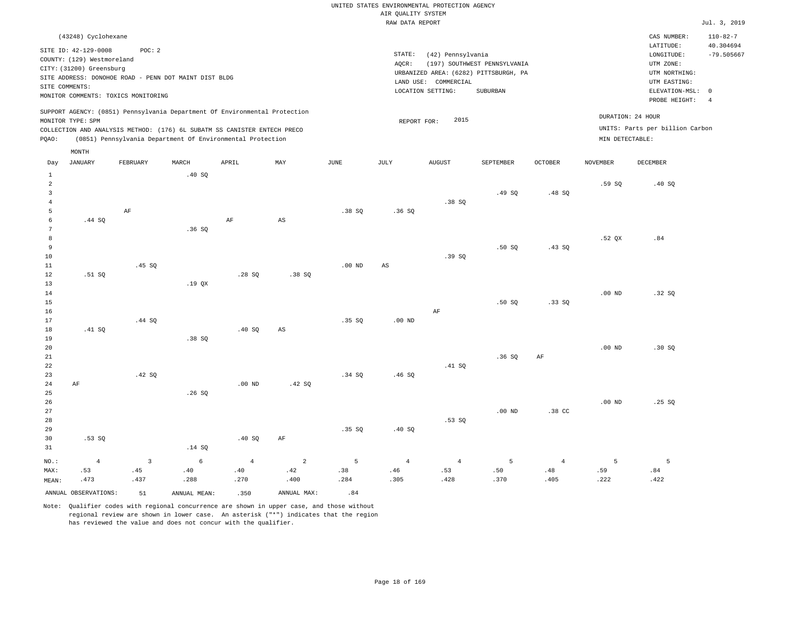| (43248) Cyclohexane                                                                                                                                                                                                                                         |                                                                                                                                                                        | CAS NUMBER:                                                                                                | $110 - 82 - 7$                  |
|-------------------------------------------------------------------------------------------------------------------------------------------------------------------------------------------------------------------------------------------------------------|------------------------------------------------------------------------------------------------------------------------------------------------------------------------|------------------------------------------------------------------------------------------------------------|---------------------------------|
| SITE ID: 42-129-0008<br>POC: 2<br>COUNTY: (129) Westmoreland<br>CITY: (31200) Greensburg<br>SITE ADDRESS: DONOHOE ROAD - PENN DOT MAINT DIST BLDG<br>SITE COMMENTS:<br>MONITOR COMMENTS: TOXICS MONITORING                                                  | STATE:<br>(42) Pennsylvania<br>(197) SOUTHWEST PENNSYLVANIA<br>AOCR:<br>URBANIZED AREA: (6282) PITTSBURGH, PA<br>LAND USE: COMMERCIAL<br>LOCATION SETTING:<br>SUBURBAN | LATITUDE:<br>LONGITUDE:<br>UTM ZONE:<br>UTM NORTHING:<br>UTM EASTING:<br>ELEVATION-MSL: 0<br>PROBE HEIGHT: | 40.304694<br>$-79.505667$<br>-4 |
| SUPPORT AGENCY: (0851) Pennsylvania Department Of Environmental Protection<br>MONITOR TYPE: SPM<br>COLLECTION AND ANALYSIS METHOD: (176) 6L SUBATM SS CANISTER ENTECH PRECO<br>(0851) Pennsylvania Department Of Environmental Protection<br>POAO:<br>MONTH | DURATION: 24 HOUR<br>2015<br>REPORT FOR:<br>MIN DETECTABLE:                                                                                                            | UNITS: Parts per billion Carbon                                                                            |                                 |

| Day            | JANUARY              | FEBRUARY                | MARCH        | APRIL          | MAY                    | $_{\rm JUNE}$  | JULY                   | AUGUST         | SEPTEMBER | OCTOBER        | NOVEMBER | DECEMBER |
|----------------|----------------------|-------------------------|--------------|----------------|------------------------|----------------|------------------------|----------------|-----------|----------------|----------|----------|
| $\mathbf{1}$   |                      |                         | .40SQ        |                |                        |                |                        |                |           |                |          |          |
| $\overline{a}$ |                      |                         |              |                |                        |                |                        |                |           |                | .59SQ    | .40SQ    |
| $\mathbf{3}$   |                      |                         |              |                |                        |                |                        |                | .49SQ     | .48SQ          |          |          |
| $\bf{4}$       |                      |                         |              |                |                        |                |                        | .38SQ          |           |                |          |          |
| 5              |                      | $\rm AF$                |              |                |                        | .38SQ          | .36SQ                  |                |           |                |          |          |
| 6              | .44 SQ               |                         |              | $\rm AF$       | $\mathbb{A}\mathbb{S}$ |                |                        |                |           |                |          |          |
| 7              |                      |                         | .36SQ        |                |                        |                |                        |                |           |                |          |          |
| 8              |                      |                         |              |                |                        |                |                        |                |           |                | .52 QX   | .84      |
| $\overline{9}$ |                      |                         |              |                |                        |                |                        |                | .50SQ     | .43SQ          |          |          |
| $10$           |                      |                         |              |                |                        |                |                        | .39SQ          |           |                |          |          |
| $11\,$         |                      | .45 SQ                  |              |                |                        | $.00$ ND       | $\mathbb{A}\mathbb{S}$ |                |           |                |          |          |
| $12\,$         | .51 SQ               |                         |              | .28SQ          | .38 SQ                 |                |                        |                |           |                |          |          |
| 13             |                      |                         | .19 $QX$     |                |                        |                |                        |                |           |                |          |          |
| 14             |                      |                         |              |                |                        |                |                        |                |           |                | $.00$ ND | .32SQ    |
| 15             |                      |                         |              |                |                        |                |                        |                | .50SQ     | .33SQ          |          |          |
| 16             |                      |                         |              |                |                        |                |                        | $\rm{AF}$      |           |                |          |          |
| 17             |                      | .44 SQ                  |              |                |                        | .35S           | $.00$ ND               |                |           |                |          |          |
| 18             | .41 SQ               |                         |              | .40SQ          | $\mathbb{A}\mathbb{S}$ |                |                        |                |           |                |          |          |
| 19             |                      |                         | .38SQ        |                |                        |                |                        |                |           |                |          |          |
| 20             |                      |                         |              |                |                        |                |                        |                |           |                | $.00$ ND | .30SQ    |
| 21             |                      |                         |              |                |                        |                |                        |                | .36SQ     | $\rm AF$       |          |          |
| 22             |                      |                         |              |                |                        |                |                        | .41 SQ         |           |                |          |          |
| 23             |                      | .42 SQ                  |              |                |                        | .34 SQ         | .46SQ                  |                |           |                |          |          |
| $2\,4$         | $\rm AF$             |                         |              | $.00$ ND       | .42 SQ                 |                |                        |                |           |                |          |          |
| 25             |                      |                         | .26SQ        |                |                        |                |                        |                |           |                |          |          |
| 26             |                      |                         |              |                |                        |                |                        |                |           |                | $.00$ ND | .25SQ    |
| $2\,7$         |                      |                         |              |                |                        |                |                        |                | $.00$ ND  | .38 CC         |          |          |
| 28             |                      |                         |              |                |                        |                |                        | .53SQ          |           |                |          |          |
| 29             |                      |                         |              |                |                        | .35 SQ         | .40SQ                  |                |           |                |          |          |
| 30             | .53 SQ               |                         |              | .40SQ          | $\rm AF$               |                |                        |                |           |                |          |          |
| 31             |                      |                         | .14 SQ       |                |                        |                |                        |                |           |                |          |          |
| $_{\rm NO.}$ : | $\overline{4}$       | $\overline{\mathbf{3}}$ | $\epsilon$   | $\overline{4}$ | $\sqrt{2}$             | $\overline{5}$ | $\overline{4}$         | $\overline{4}$ | 5         | $\overline{4}$ | 5        | 5        |
| MAX:           | .53                  | .45                     | .40          | .40            | .42                    | .38            | .46                    | .53            | $.50$     | $.48\,$        | .59      | .84      |
| MEAN:          | .473                 | .437                    | .288         | .270           | .400                   | .284           | .305                   | .428           | .370      | .405           | .222     | .422     |
|                | ANNUAL OBSERVATIONS: | 51                      | ANNUAL MEAN: | .350           | ANNUAL MAX:            | .84            |                        |                |           |                |          |          |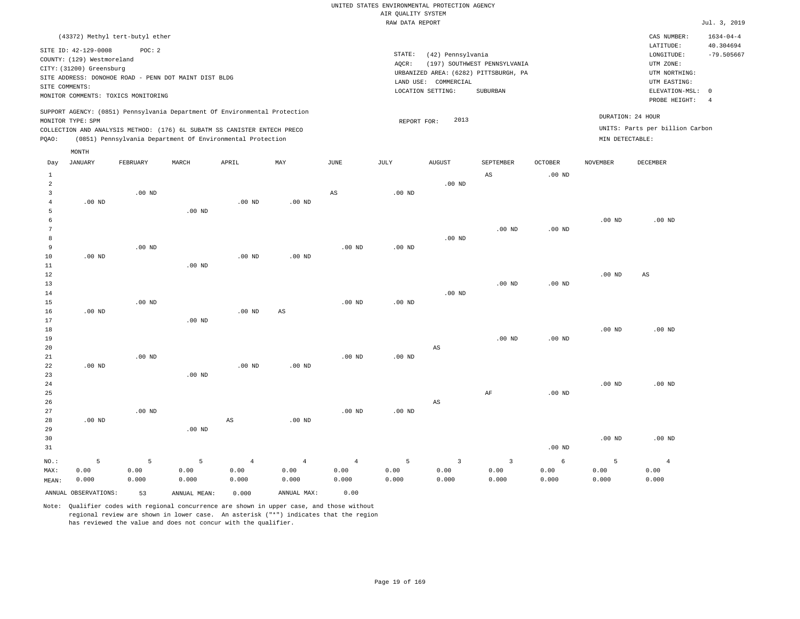| (43372) Methyl tert-butyl ether                                                                                                                                                                                                                    |                                                                                                                                                                        |                                                                         | CAS NUMBER:                                                                      | $1634 - 04 - 4$                 |
|----------------------------------------------------------------------------------------------------------------------------------------------------------------------------------------------------------------------------------------------------|------------------------------------------------------------------------------------------------------------------------------------------------------------------------|-------------------------------------------------------------------------|----------------------------------------------------------------------------------|---------------------------------|
| SITE ID: 42-129-0008<br>POC:2<br>COUNTY: (129) Westmoreland<br>CITY: (31200) Greensburg<br>SITE ADDRESS: DONOHOE ROAD - PENN DOT MAINT DIST BLDG<br>SITE COMMENTS:<br>MONITOR COMMENTS: TOXICS MONITORING                                          | STATE:<br>(42) Pennsylvania<br>(197) SOUTHWEST PENNSYLVANIA<br>AOCR:<br>URBANIZED AREA: (6282) PITTSBURGH, PA<br>LAND USE: COMMERCIAL<br>LOCATION SETTING:<br>SUBURBAN | LATITUDE:<br>UTM ZONE:                                                  | LONGITUDE:<br>UTM NORTHING:<br>UTM EASTING:<br>ELEVATION-MSL: 0<br>PROBE HEIGHT: | 40.304694<br>$-79.505667$<br>-4 |
| SUPPORT AGENCY: (0851) Pennsylvania Department Of Environmental Protection<br>MONITOR TYPE: SPM<br>COLLECTION AND ANALYSIS METHOD: (176) 6L SUBATM SS CANISTER ENTECH PRECO<br>(0851) Pennsylvania Department Of Environmental Protection<br>POAO: | 2013<br>REPORT FOR:                                                                                                                                                    | DURATION: 24 HOUR<br>UNITS: Parts per billion Carbon<br>MIN DETECTABLE: |                                                                                  |                                 |
| MONTH                                                                                                                                                                                                                                              |                                                                                                                                                                        |                                                                         |                                                                                  |                                 |
|                                                                                                                                                                                                                                                    |                                                                                                                                                                        |                                                                         |                                                                                  |                                 |

| Day            | JANUARY              | FEBRUARY | MARCH        | APRIL             | MAY                    | $_{\rm JUNE}$  | JULY     | AUGUST                  | SEPTEMBER               | OCTOBER  | NOVEMBER          | DECEMBER               |
|----------------|----------------------|----------|--------------|-------------------|------------------------|----------------|----------|-------------------------|-------------------------|----------|-------------------|------------------------|
| $\mathbf{1}$   |                      |          |              |                   |                        |                |          |                         | $\mathbb{A}\mathbb{S}$  | $.00$ ND |                   |                        |
| $\overline{a}$ |                      |          |              |                   |                        |                |          | $.00$ ND                |                         |          |                   |                        |
| 3              |                      | $.00$ ND |              |                   |                        | $_{\rm AS}$    | $.00$ ND |                         |                         |          |                   |                        |
| 4              | $.00$ ND             |          |              | .00 <sub>ND</sub> | .00 $ND$               |                |          |                         |                         |          |                   |                        |
| 5              |                      |          | $.00$ ND     |                   |                        |                |          |                         |                         |          |                   |                        |
| 6              |                      |          |              |                   |                        |                |          |                         |                         |          | .00 <sub>ND</sub> | $.00$ ND               |
| 7              |                      |          |              |                   |                        |                |          |                         | $.00$ ND                | $.00$ ND |                   |                        |
| 8              |                      |          |              |                   |                        |                |          | $.00$ ND                |                         |          |                   |                        |
| 9              |                      | $.00$ ND |              |                   |                        | $.00$ ND       | $.00$ ND |                         |                         |          |                   |                        |
| 10             | $.00$ ND             |          |              | .00 <sub>ND</sub> | $.00$ ND               |                |          |                         |                         |          |                   |                        |
| 11             |                      |          | $.00$ ND     |                   |                        |                |          |                         |                         |          |                   |                        |
| 12             |                      |          |              |                   |                        |                |          |                         |                         |          | .00 <sub>ND</sub> | $\mathbb{A}\mathbb{S}$ |
| 13             |                      |          |              |                   |                        |                |          |                         | $.00$ ND                | $.00$ ND |                   |                        |
| 14             |                      |          |              |                   |                        |                |          | $.00$ ND                |                         |          |                   |                        |
| 15             |                      | $.00$ ND |              |                   |                        | $.00$ ND       | $.00$ ND |                         |                         |          |                   |                        |
| 16             | $.00$ ND             |          |              | .00 <sub>ND</sub> | $\mathbb{A}\mathbb{S}$ |                |          |                         |                         |          |                   |                        |
| 17             |                      |          | $.00$ ND     |                   |                        |                |          |                         |                         |          |                   |                        |
| 18             |                      |          |              |                   |                        |                |          |                         |                         |          | .00 <sub>ND</sub> | $.00$ ND               |
| 19             |                      |          |              |                   |                        |                |          |                         | $.00$ ND                | $.00$ ND |                   |                        |
| 20             |                      |          |              |                   |                        |                |          | $\mathbb{A}\mathbb{S}$  |                         |          |                   |                        |
| $2\sqrt{1}$    |                      | $.00$ ND |              |                   |                        | $.00$ ND       | $.00$ ND |                         |                         |          |                   |                        |
| 22             | $.00$ ND             |          |              | .00 <sub>ND</sub> | $.00$ ND               |                |          |                         |                         |          |                   |                        |
| 23             |                      |          | $.00$ ND     |                   |                        |                |          |                         |                         |          |                   |                        |
| $2\sqrt{4}$    |                      |          |              |                   |                        |                |          |                         |                         |          | .00 <sub>ND</sub> | $.00$ ND               |
| 25             |                      |          |              |                   |                        |                |          |                         | $\rm AF$                | $.00$ ND |                   |                        |
| 26             |                      |          |              |                   |                        |                |          | $\mathbb{A}\mathbb{S}$  |                         |          |                   |                        |
| 27             |                      | $.00$ ND |              |                   |                        | $.00$ ND       | $.00$ ND |                         |                         |          |                   |                        |
| 28             | $.00$ ND             |          |              | AS                | $.00$ ND               |                |          |                         |                         |          |                   |                        |
| 29             |                      |          | $.00$ ND     |                   |                        |                |          |                         |                         |          |                   |                        |
| 30             |                      |          |              |                   |                        |                |          |                         |                         |          | .00 <sub>ND</sub> | .00 <sub>ND</sub>      |
| 31             |                      |          |              |                   |                        |                |          |                         |                         | $.00$ ND |                   |                        |
| $NO.$ :        | 5                    | 5        | 5            | $\overline{4}$    | $\sqrt{4}$             | $\overline{4}$ | 5        | $\overline{\mathbf{3}}$ | $\overline{\mathbf{3}}$ | 6        | 5                 | $\overline{4}$         |
| MAX:           | 0.00                 | 0.00     | 0.00         | 0.00              | 0.00                   | 0.00           | 0.00     | 0.00                    | 0.00                    | 0.00     | 0.00              | 0.00                   |
| MEAN:          | 0.000                | 0.000    | 0.000        | 0.000             | 0.000                  | 0.000          | 0.000    | 0.000                   | 0.000                   | 0.000    | 0.000             | 0.000                  |
|                | ANNUAL OBSERVATIONS: | 53       | ANNUAL MEAN: | 0.000             | ANNUAL MAX:            | 0.00           |          |                         |                         |          |                   |                        |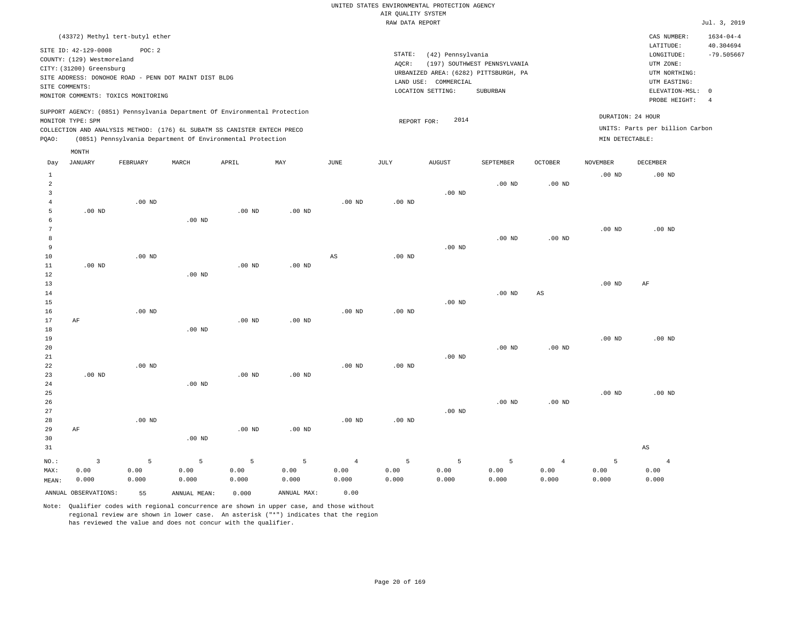| (43372) Methyl tert-butyl ether                                                                                                                                                                                                                    |                                                                                                                                                                        | CAS NUMBER:                                                                                                | $1634 - 04 - 4$                 |
|----------------------------------------------------------------------------------------------------------------------------------------------------------------------------------------------------------------------------------------------------|------------------------------------------------------------------------------------------------------------------------------------------------------------------------|------------------------------------------------------------------------------------------------------------|---------------------------------|
| SITE ID: 42-129-0008<br>POC:2<br>COUNTY: (129) Westmoreland<br>CITY: (31200) Greensburg<br>SITE ADDRESS: DONOHOE ROAD - PENN DOT MAINT DIST BLDG<br>SITE COMMENTS:<br>MONITOR COMMENTS: TOXICS MONITORING                                          | STATE:<br>(42) Pennsylvania<br>(197) SOUTHWEST PENNSYLVANIA<br>AOCR:<br>URBANIZED AREA: (6282) PITTSBURGH, PA<br>LAND USE: COMMERCIAL<br>LOCATION SETTING:<br>SUBURBAN | LATITUDE:<br>LONGITUDE:<br>UTM ZONE:<br>UTM NORTHING:<br>UTM EASTING:<br>ELEVATION-MSL: 0<br>PROBE HEIGHT: | 40.304694<br>$-79.505667$<br>-4 |
| SUPPORT AGENCY: (0851) Pennsylvania Department Of Environmental Protection<br>MONITOR TYPE: SPM<br>COLLECTION AND ANALYSIS METHOD: (176) 6L SUBATM SS CANISTER ENTECH PRECO<br>POAO:<br>(0851) Pennsylvania Department Of Environmental Protection | DURATION: 24 HOUR<br>2014<br>REPORT FOR:<br>MIN DETECTABLE:                                                                                                            | UNITS: Parts per billion Carbon                                                                            |                                 |

| Day                                      | JANUARY              | FEBRUARY      | $\tt MARCH$   | APRIL         | MAY           | $_{\rm JUNE}$ | $\mathtt{JULY}$ | AUGUST        | SEPTEMBER     | OCTOBER        | NOVEMBER          | ${\tt DECEMBER}$                         |
|------------------------------------------|----------------------|---------------|---------------|---------------|---------------|---------------|-----------------|---------------|---------------|----------------|-------------------|------------------------------------------|
| $\mathbf{1}$<br>$\overline{a}$<br>3<br>4 |                      | $.00$ ND      |               |               |               | $.00$ ND      | $.00$ ND        | $.00$ ND      | $.00$ ND      | $.00$ ND       | $.00$ ND          | $.00$ ND                                 |
| 5<br>6<br>$\overline{7}$                 | $.00$ ND             |               | $.00$ ND      | $.00$ ND      | $.00$ ND      |               |                 |               |               |                | $.00$ ND          | $.00$ ND                                 |
| 8<br>9<br>10                             |                      | $.00$ ND      |               |               |               | AS            | $.00$ ND        | $.00$ ND      | $.00$ ND      | $.00$ ND       |                   |                                          |
| 11<br>12<br>13<br>14                     | $.00$ ND             |               | $.00$ ND      | $.00$ ND      | $.00$ ND      |               |                 |               | $.00$ ND      | $_{\rm AS}$    | $.00$ ND          | $\rm{AF}$                                |
| 15<br>16<br>17                           | AF                   | $.00$ ND      |               | $.00$ ND      | $.00$ ND      | $.00$ ND      | $.00$ ND        | $.00$ ND      |               |                |                   |                                          |
| 18<br>19<br>20                           |                      |               | $.00$ ND      |               |               |               |                 |               | $.00$ ND      | $.00$ ND       | $.00$ ND          | $.00$ ND                                 |
| $2\sqrt{1}$<br>22<br>23                  | $.00$ ND             | $.00$ ND      |               | $.00$ ND      | $.00$ ND      | $.00$ ND      | $.00$ ND        | $.00$ ND      |               |                |                   |                                          |
| 24<br>25<br>26                           |                      |               | $.00$ ND      |               |               |               |                 |               | $.00$ ND      | $.00$ ND       | .00 <sub>ND</sub> | $.00$ ND                                 |
| 27<br>28<br>29<br>30                     | $\rm AF$             | $.00$ ND      | $.00$ ND      | $.00$ ND      | $.00$ ND      | $.00$ ND      | $.00$ ND        | $.00$ ND      |               |                |                   |                                          |
| 31<br>$NO.$ :                            | $\overline{3}$       | 5             | 5             | 5             | 5             | $\sqrt{4}$    | 5               | 5             | 5             | $\overline{4}$ | 5                 | $\mathbb{A}\mathbb{S}$<br>$\overline{4}$ |
| MAX:<br>MEAN:                            | 0.00<br>0.000        | 0.00<br>0.000 | 0.00<br>0.000 | 0.00<br>0.000 | 0.00<br>0.000 | 0.00<br>0.000 | 0.00<br>0.000   | 0.00<br>0.000 | 0.00<br>0.000 | 0.00<br>0.000  | 0.00<br>0.000     | 0.00<br>0.000                            |
|                                          | ANNUAL OBSERVATIONS: | 55            | ANNUAL MEAN:  | 0.000         | ANNUAL MAX:   | 0.00          |                 |               |               |                |                   |                                          |

Note: Qualifier codes with regional concurrence are shown in upper case, and those without regional review are shown in lower case. An asterisk ("\*") indicates that the region has reviewed the value and does not concur with the qualifier.

MONTH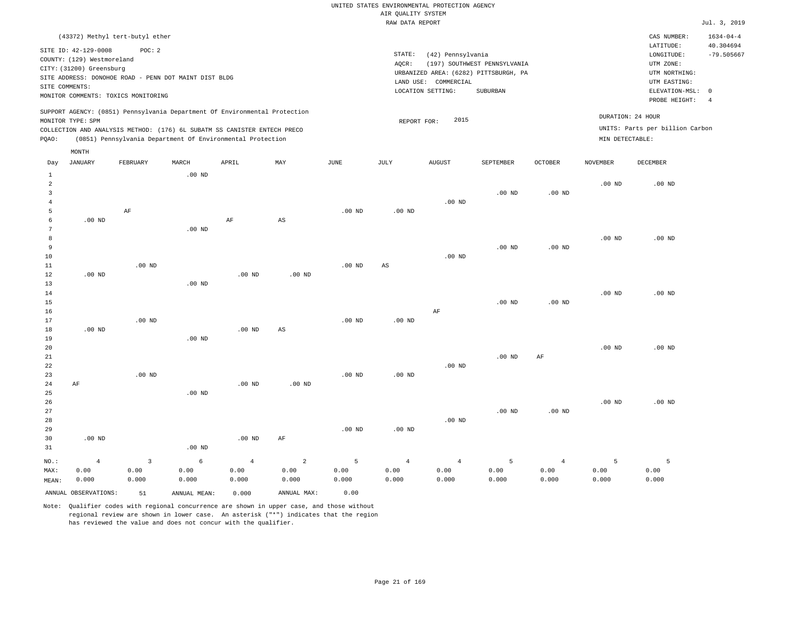| (43372) Methyl tert-butyl ether                                                                                                                                                                                                                    |                                                                                                                                                                        | CAS NUMBER:                                                                                                | $1634 - 04 - 4$           |
|----------------------------------------------------------------------------------------------------------------------------------------------------------------------------------------------------------------------------------------------------|------------------------------------------------------------------------------------------------------------------------------------------------------------------------|------------------------------------------------------------------------------------------------------------|---------------------------|
| SITE ID: 42-129-0008<br>POC:2<br>COUNTY: (129) Westmoreland<br>CITY: (31200) Greensburg<br>SITE ADDRESS: DONOHOE ROAD - PENN DOT MAINT DIST BLDG<br>SITE COMMENTS:<br>MONITOR COMMENTS: TOXICS MONITORING                                          | STATE:<br>(42) Pennsylvania<br>(197) SOUTHWEST PENNSYLVANIA<br>AOCR:<br>URBANIZED AREA: (6282) PITTSBURGH, PA<br>LAND USE: COMMERCIAL<br>LOCATION SETTING:<br>SUBURBAN | LATITUDE:<br>LONGITUDE:<br>UTM ZONE:<br>UTM NORTHING:<br>UTM EASTING:<br>ELEVATION-MSL: 0<br>PROBE HEIGHT: | 40.304694<br>$-79.505667$ |
| SUPPORT AGENCY: (0851) Pennsylvania Department Of Environmental Protection<br>MONITOR TYPE: SPM<br>COLLECTION AND ANALYSIS METHOD: (176) 6L SUBATM SS CANISTER ENTECH PRECO<br>(0851) Pennsylvania Department Of Environmental Protection<br>POAO: | 2015<br>REPORT FOR:                                                                                                                                                    | DURATION: 24 HOUR<br>UNITS: Parts per billion Carbon<br>MIN DETECTABLE:                                    |                           |

|                | MONTH                |                         |              |            |                        |          |                   |                |           |                |                   |                   |
|----------------|----------------------|-------------------------|--------------|------------|------------------------|----------|-------------------|----------------|-----------|----------------|-------------------|-------------------|
| Day            | JANUARY              | FEBRUARY                | $\tt MARCH$  | APRIL      | MAY                    | JUNE     | JULY              | AUGUST         | SEPTEMBER | <b>OCTOBER</b> | NOVEMBER          | DECEMBER          |
| $\mathbf{1}$   |                      |                         | $.00$ ND     |            |                        |          |                   |                |           |                |                   |                   |
| $\overline{a}$ |                      |                         |              |            |                        |          |                   |                |           |                | .00 <sub>ND</sub> | $.00$ ND          |
| 3              |                      |                         |              |            |                        |          |                   |                | $.00$ ND  | $.00$ ND       |                   |                   |
| $\overline{4}$ |                      |                         |              |            |                        |          |                   | $.00$ ND       |           |                |                   |                   |
| 5              |                      | $\rm AF$                |              |            |                        | $.00$ ND | $.00$ ND          |                |           |                |                   |                   |
| 6              | $.00$ ND             |                         |              | $\rm AF$   | $\mathbb{A}\mathbb{S}$ |          |                   |                |           |                |                   |                   |
| 7              |                      |                         | $.00$ ND     |            |                        |          |                   |                |           |                |                   |                   |
| 8              |                      |                         |              |            |                        |          |                   |                |           |                | $.00$ ND          | $.00$ ND          |
| 9              |                      |                         |              |            |                        |          |                   |                | $.00$ ND  | $.00$ ND       |                   |                   |
| 10             |                      |                         |              |            |                        |          |                   | $.00$ ND       |           |                |                   |                   |
| 11             |                      | $.00$ ND                |              |            |                        | $.00$ ND | $_{\rm AS}$       |                |           |                |                   |                   |
| 12             | $.00$ ND             |                         |              | $.00$ ND   | $.00$ ND               |          |                   |                |           |                |                   |                   |
| 13             |                      |                         | $.00$ ND     |            |                        |          |                   |                |           |                |                   |                   |
| 14             |                      |                         |              |            |                        |          |                   |                |           |                | $.00$ ND          | $.00$ ND          |
| 15             |                      |                         |              |            |                        |          |                   |                | $.00$ ND  | $.00$ ND       |                   |                   |
| 16             |                      |                         |              |            |                        |          |                   | AF             |           |                |                   |                   |
| 17             |                      | $.00$ ND                |              |            |                        | $.00$ ND | .00 <sub>ND</sub> |                |           |                |                   |                   |
| 18             | $.00$ ND             |                         |              | .00 $ND$   | $\mathbb{A}\mathbb{S}$ |          |                   |                |           |                |                   |                   |
| 19             |                      |                         | $.00$ ND     |            |                        |          |                   |                |           |                |                   |                   |
| 20             |                      |                         |              |            |                        |          |                   |                |           |                | .00 <sub>ND</sub> | $.00$ ND          |
| 21<br>22       |                      |                         |              |            |                        |          |                   | $.00$ ND       | $.00$ ND  | AF             |                   |                   |
| 23             |                      | $.00$ ND                |              |            |                        | $.00$ ND | .00 <sub>ND</sub> |                |           |                |                   |                   |
| 24             | $\rm AF$             |                         |              | $.00$ ND   | $.00$ ND               |          |                   |                |           |                |                   |                   |
| 25             |                      |                         | $.00$ ND     |            |                        |          |                   |                |           |                |                   |                   |
| 26             |                      |                         |              |            |                        |          |                   |                |           |                | $.00$ ND          | .00 <sub>ND</sub> |
| 27             |                      |                         |              |            |                        |          |                   |                | $.00$ ND  | $.00$ ND       |                   |                   |
| 28             |                      |                         |              |            |                        |          |                   | $.00$ ND       |           |                |                   |                   |
| 29             |                      |                         |              |            |                        | $.00$ ND | $.00$ ND          |                |           |                |                   |                   |
| 30             | $.00$ ND             |                         |              | $.00$ ND   | $\rm AF$               |          |                   |                |           |                |                   |                   |
| 31             |                      |                         | $.00$ ND     |            |                        |          |                   |                |           |                |                   |                   |
| NO.:           | $\overline{4}$       | $\overline{\mathbf{3}}$ | $\epsilon$   | $\sqrt{4}$ | $\sqrt{2}$             | 5        | $\overline{4}$    | $\overline{4}$ | 5         | $\overline{4}$ | 5                 | 5                 |
| MAX:           | 0.00                 | 0.00                    | 0.00         | 0.00       | 0.00                   | 0.00     | 0.00              | 0.00           | 0.00      | 0.00           | 0.00              | 0.00              |
| MEAN:          | 0.000                | 0.000                   | 0.000        | 0.000      | 0.000                  | 0.000    | 0.000             | 0.000          | 0.000     | 0.000          | 0.000             | 0.000             |
|                | ANNUAL OBSERVATIONS: | 51                      | ANNUAL MEAN: | 0.000      | ANNUAL MAX:            | 0.00     |                   |                |           |                |                   |                   |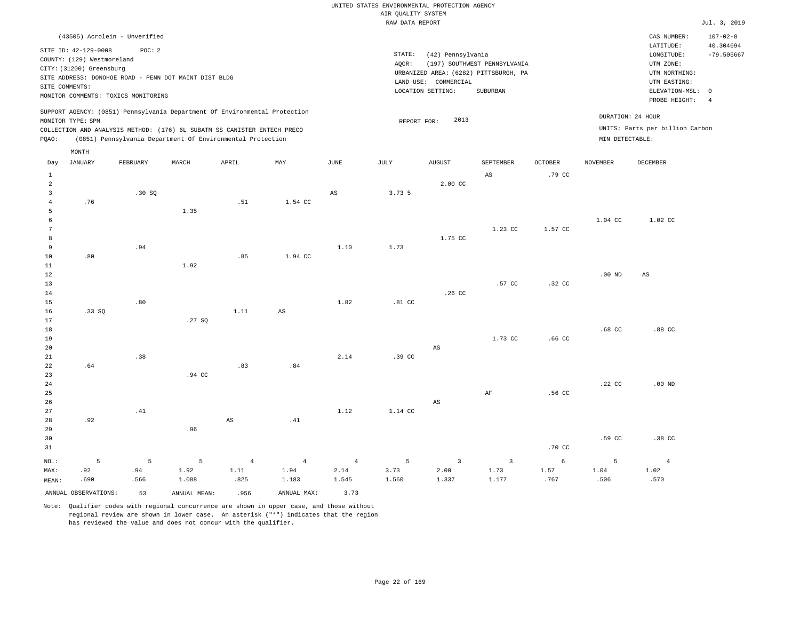| (43505) Acrolein - Unverified                                                                                                                                                                                                                      |                                                                                                                                                                        | CAS NUMBER:                                                                                                | $107 - 02 - 8$                  |
|----------------------------------------------------------------------------------------------------------------------------------------------------------------------------------------------------------------------------------------------------|------------------------------------------------------------------------------------------------------------------------------------------------------------------------|------------------------------------------------------------------------------------------------------------|---------------------------------|
| SITE ID: 42-129-0008<br>POC:2<br>COUNTY: (129) Westmoreland<br>CITY: (31200) Greensburg<br>SITE ADDRESS: DONOHOE ROAD - PENN DOT MAINT DIST BLDG<br>SITE COMMENTS:<br>MONITOR COMMENTS: TOXICS MONITORING                                          | STATE:<br>(42) Pennsylvania<br>(197) SOUTHWEST PENNSYLVANIA<br>AOCR:<br>URBANIZED AREA: (6282) PITTSBURGH, PA<br>LAND USE: COMMERCIAL<br>LOCATION SETTING:<br>SUBURBAN | LATITUDE:<br>LONGITUDE:<br>UTM ZONE:<br>UTM NORTHING:<br>UTM EASTING:<br>ELEVATION-MSL: 0<br>PROBE HEIGHT: | 40.304694<br>$-79.505667$<br>-4 |
| SUPPORT AGENCY: (0851) Pennsylvania Department Of Environmental Protection<br>MONITOR TYPE: SPM<br>COLLECTION AND ANALYSIS METHOD: (176) 6L SUBATM SS CANISTER ENTECH PRECO<br>POAO:<br>(0851) Pennsylvania Department Of Environmental Protection | 2013<br>REPORT FOR:                                                                                                                                                    | DURATION: 24 HOUR<br>UNITS: Parts per billion Carbon<br>MIN DETECTABLE:                                    |                                 |

|                   | MONTH                |          |              |                        |                        |                        |                 |                         |                        |                   |                  |                |
|-------------------|----------------------|----------|--------------|------------------------|------------------------|------------------------|-----------------|-------------------------|------------------------|-------------------|------------------|----------------|
| Day               | <b>JANUARY</b>       | FEBRUARY | MARCH        | APRIL                  | MAY                    | $_{\rm JUNE}$          | JULY            | ${\tt AUGUST}$          | SEPTEMBER              | OCTOBER           | <b>NOVEMBER</b>  | DECEMBER       |
| $\mathbf{1}$      |                      |          |              |                        |                        |                        |                 |                         | $\mathbb{A}\mathbb{S}$ | .79 CC            |                  |                |
| $\overline{a}$    |                      |          |              |                        |                        |                        |                 | 2.00 CC                 |                        |                   |                  |                |
| 3                 |                      | .30SQ    |              |                        |                        | $\mathbb{A}\mathbb{S}$ | 3.73 5          |                         |                        |                   |                  |                |
| $\overline{4}$    | .76                  |          |              | .51                    | 1.54 CC                |                        |                 |                         |                        |                   |                  |                |
| 5                 |                      |          | 1.35         |                        |                        |                        |                 |                         |                        |                   |                  |                |
| 6                 |                      |          |              |                        |                        |                        |                 |                         |                        |                   | 1.04 CC          | 1.02 CC        |
| 7                 |                      |          |              |                        |                        |                        |                 |                         | 1.23 CC                | 1.57 CC           |                  |                |
| 8                 |                      |          |              |                        |                        |                        |                 | 1.75 CC                 |                        |                   |                  |                |
| 9                 |                      | .94      |              |                        |                        | 1.10                   | 1.73            |                         |                        |                   |                  |                |
| 10                | .80                  |          |              | .85                    | 1.94 CC                |                        |                 |                         |                        |                   |                  |                |
| 11                |                      |          | 1.92         |                        |                        |                        |                 |                         |                        |                   |                  |                |
| 12                |                      |          |              |                        |                        |                        |                 |                         |                        |                   | $.00$ ND         | AS             |
| 13                |                      |          |              |                        |                        |                        |                 |                         | .57 CC                 | .32 CC            |                  |                |
| 14                |                      |          |              |                        |                        |                        |                 | .26 CC                  |                        |                   |                  |                |
| 15                |                      | .80      |              |                        |                        | 1.82                   | .81 CC          |                         |                        |                   |                  |                |
| 16                | .33SQ                |          |              | 1.11                   | $\mathbb{A}\mathbb{S}$ |                        |                 |                         |                        |                   |                  |                |
| 17                |                      |          | .27 SQ       |                        |                        |                        |                 |                         |                        |                   |                  |                |
| 18                |                      |          |              |                        |                        |                        |                 |                         |                        |                   | .68 <sub>C</sub> | .88 CC         |
| 19                |                      |          |              |                        |                        |                        |                 |                         | 1.73 CC                | .66 <sub>cc</sub> |                  |                |
| 20                |                      |          |              |                        |                        |                        |                 | $_{\rm AS}$             |                        |                   |                  |                |
| 21                |                      | .38      |              |                        |                        | 2.14                   | .39 CC          |                         |                        |                   |                  |                |
| 22                | .64                  |          | .94 CC       | .83                    | .84                    |                        |                 |                         |                        |                   |                  |                |
| 23<br>$2\sqrt{4}$ |                      |          |              |                        |                        |                        |                 |                         |                        |                   | $.22$ CC         | $.00$ ND       |
| 25                |                      |          |              |                        |                        |                        |                 |                         | $\rm AF$               | .56 CC            |                  |                |
| 26                |                      |          |              |                        |                        |                        |                 | $\mathbb{A}\mathbb{S}$  |                        |                   |                  |                |
| 27                |                      | .41      |              |                        |                        | 1.12                   | 1.14 CC         |                         |                        |                   |                  |                |
| 28                | .92                  |          |              | $\mathbb{A}\mathbb{S}$ | .41                    |                        |                 |                         |                        |                   |                  |                |
| 29                |                      |          | .96          |                        |                        |                        |                 |                         |                        |                   |                  |                |
| 30                |                      |          |              |                        |                        |                        |                 |                         |                        |                   | .59 CC           | .38 CC         |
| 31                |                      |          |              |                        |                        |                        |                 |                         |                        | .70 CC            |                  |                |
| NO.:              | 5                    | 5        | $\mathsf S$  | $\overline{4}$         | $\overline{4}$         | $\overline{4}$         | $5\phantom{.0}$ | $\overline{\mathbf{3}}$ | $\overline{3}$         | 6                 | 5                | $\overline{4}$ |
| MAX:              | .92                  | .94      | 1.92         | 1.11                   | 1.94                   | 2.14                   | 3.73            | 2.00                    | 1.73                   | 1.57              | 1.04             | 1.02           |
| MEAN:             | .690                 | .566     | 1.088        | .825                   | 1.183                  | 1.545                  | 1.560           | 1.337                   | 1.177                  | .767              | .506             | .570           |
|                   | ANNUAL OBSERVATIONS: | 53       | ANNUAL MEAN: | .956                   | ANNUAL MAX:            | 3.73                   |                 |                         |                        |                   |                  |                |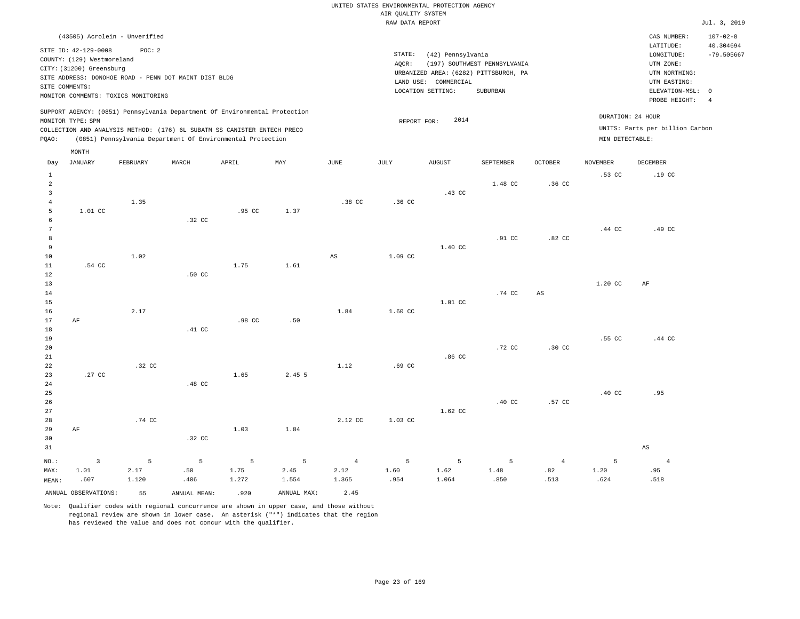| (43505) Acrolein - Unverified                                                                                                                                                                                                                               |                                                                                                                                                                        |                                      | CAS NUMBER:                                                                                                | $107 - 02 - 8$                  |
|-------------------------------------------------------------------------------------------------------------------------------------------------------------------------------------------------------------------------------------------------------------|------------------------------------------------------------------------------------------------------------------------------------------------------------------------|--------------------------------------|------------------------------------------------------------------------------------------------------------|---------------------------------|
| SITE ID: 42-129-0008<br>POC:2<br>COUNTY: (129) Westmoreland<br>CITY: (31200) Greensburg<br>SITE ADDRESS: DONOHOE ROAD - PENN DOT MAINT DIST BLDG<br>SITE COMMENTS:<br>MONITOR COMMENTS: TOXICS MONITORING                                                   | STATE:<br>(42) Pennsylvania<br>(197) SOUTHWEST PENNSYLVANIA<br>AOCR:<br>URBANIZED AREA: (6282) PITTSBURGH, PA<br>LAND USE: COMMERCIAL<br>LOCATION SETTING:<br>SUBURBAN |                                      | LATITUDE:<br>LONGITUDE:<br>UTM ZONE:<br>UTM NORTHING:<br>UTM EASTING:<br>ELEVATION-MSL: 0<br>PROBE HEIGHT: | 40.304694<br>$-79.505667$<br>-4 |
| SUPPORT AGENCY: (0851) Pennsylvania Department Of Environmental Protection<br>MONITOR TYPE: SPM<br>COLLECTION AND ANALYSIS METHOD: (176) 6L SUBATM SS CANISTER ENTECH PRECO<br>(0851) Pennsylvania Department Of Environmental Protection<br>POAO:<br>MONTH | 2014<br>REPORT FOR:                                                                                                                                                    | DURATION: 24 HOUR<br>MIN DETECTABLE: | UNITS: Parts per billion Carbon                                                                            |                                 |

| Day            | <b>JANUARY</b>       | FEBRUARY | $\tt MARCH$  | APRIL  | $\mathtt{MAX}$ | JUNE                   | $\mathtt{JULY}$ | <b>AUGUST</b> | SEPTEMBER | $\mathtt{OCTOBER}$ | NOVEMBER | $\tt DECEMBER$         |
|----------------|----------------------|----------|--------------|--------|----------------|------------------------|-----------------|---------------|-----------|--------------------|----------|------------------------|
| $\mathbf{1}$   |                      |          |              |        |                |                        |                 |               |           |                    | .53 CC   | .19 <sub>c</sub>       |
| $\overline{a}$ |                      |          |              |        |                |                        |                 |               | 1.48 CC   | .36 CC             |          |                        |
| $\overline{3}$ |                      |          |              |        |                |                        |                 | .43 CC        |           |                    |          |                        |
| $\overline{4}$ |                      | 1.35     |              |        |                | .38 CC                 | $.36$ CC        |               |           |                    |          |                        |
| 5              | 1.01 CC              |          |              | .95 CC | 1.37           |                        |                 |               |           |                    |          |                        |
| 6              |                      |          | .32 CC       |        |                |                        |                 |               |           |                    |          |                        |
| 7              |                      |          |              |        |                |                        |                 |               |           |                    | .44 CC   | .49 CC                 |
| 8              |                      |          |              |        |                |                        |                 |               | .91 CC    | $.82$ CC           |          |                        |
| 9              |                      |          |              |        |                |                        |                 | 1.40 CC       |           |                    |          |                        |
| 10             |                      | 1.02     |              |        |                | $\mathbb{A}\mathbb{S}$ | 1.09 CC         |               |           |                    |          |                        |
| 11             | .54 CC               |          |              | 1.75   | 1.61           |                        |                 |               |           |                    |          |                        |
| 12             |                      |          | .50 CC       |        |                |                        |                 |               |           |                    |          |                        |
| 13             |                      |          |              |        |                |                        |                 |               |           |                    | 1.20 CC  | AF                     |
| 14             |                      |          |              |        |                |                        |                 |               | .74 CC    | AS                 |          |                        |
| 15             |                      |          |              |        |                |                        |                 | 1.01 CC       |           |                    |          |                        |
| 16             |                      | 2.17     |              |        |                | 1.84                   | 1.60 CC         |               |           |                    |          |                        |
| 17             | $\rm AF$             |          |              | .98 CC | .50            |                        |                 |               |           |                    |          |                        |
| 18             |                      |          | .41 CC       |        |                |                        |                 |               |           |                    |          |                        |
| 19             |                      |          |              |        |                |                        |                 |               |           |                    | .55 CC   | .44 CC                 |
| 20             |                      |          |              |        |                |                        |                 |               | .72 CC    | .30 CC             |          |                        |
| 21             |                      |          |              |        |                |                        |                 | .86 CC        |           |                    |          |                        |
| 22             |                      | .32 CC   |              |        |                | 1.12                   | .69 CC          |               |           |                    |          |                        |
| 23             | .27 CC               |          |              | 1.65   | 2.45 5         |                        |                 |               |           |                    |          |                        |
| 24<br>25       |                      |          | .48 CC       |        |                |                        |                 |               |           |                    | $.40$ CC | .95                    |
| 26             |                      |          |              |        |                |                        |                 |               | .40 CC    | .57 CC             |          |                        |
| 27             |                      |          |              |        |                |                        |                 | 1.62 CC       |           |                    |          |                        |
| 28             |                      | .74 CC   |              |        |                | 2.12 CC                | 1.03 CC         |               |           |                    |          |                        |
| 29             | $\rm AF$             |          |              | 1.03   | 1.84           |                        |                 |               |           |                    |          |                        |
| 30             |                      |          | .32 CC       |        |                |                        |                 |               |           |                    |          |                        |
| 31             |                      |          |              |        |                |                        |                 |               |           |                    |          | $\mathbb{A}\mathbb{S}$ |
|                |                      |          |              |        |                |                        |                 |               |           |                    |          |                        |
| $NO.$ :        | $\overline{3}$       | 5        | 5            | 5      | 5              | $\overline{4}$         | 5               | 5             | 5         | $\overline{4}$     | 5        | $\overline{4}$         |
| MAX:           | 1.01                 | 2.17     | .50          | 1.75   | 2.45           | 2.12                   | 1.60            | 1.62          | 1.48      | .82                | 1.20     | .95                    |
| MEAN:          | .607                 | 1.120    | .406         | 1.272  | 1.554          | 1.365                  | .954            | 1.064         | .850      | .513               | .624     | .518                   |
|                | ANNUAL OBSERVATIONS: | 55       | ANNUAL MEAN: | .920   | ANNUAL MAX:    | 2.45                   |                 |               |           |                    |          |                        |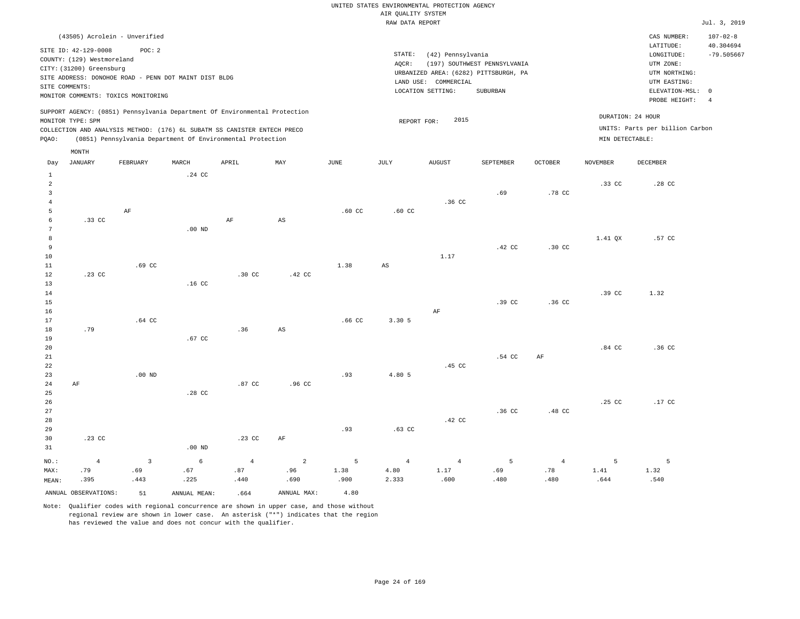| (43505) Acrolein - Unverified                                                                                                                                                                                                                               |                                                                                                                                                                        |                                      | CAS NUMBER:                                                                                                | $107 - 02 - 8$                  |
|-------------------------------------------------------------------------------------------------------------------------------------------------------------------------------------------------------------------------------------------------------------|------------------------------------------------------------------------------------------------------------------------------------------------------------------------|--------------------------------------|------------------------------------------------------------------------------------------------------------|---------------------------------|
| SITE ID: 42-129-0008<br>POC:2<br>COUNTY: (129) Westmoreland<br>CITY: (31200) Greensburg<br>SITE ADDRESS: DONOHOE ROAD - PENN DOT MAINT DIST BLDG<br>SITE COMMENTS:<br>MONITOR COMMENTS: TOXICS MONITORING                                                   | STATE:<br>(42) Pennsylvania<br>(197) SOUTHWEST PENNSYLVANIA<br>AOCR:<br>URBANIZED AREA: (6282) PITTSBURGH, PA<br>LAND USE: COMMERCIAL<br>LOCATION SETTING:<br>SUBURBAN |                                      | LATITUDE:<br>LONGITUDE:<br>UTM ZONE:<br>UTM NORTHING:<br>UTM EASTING:<br>ELEVATION-MSL: 0<br>PROBE HEIGHT: | 40.304694<br>$-79.505667$<br>-4 |
| SUPPORT AGENCY: (0851) Pennsylvania Department Of Environmental Protection<br>MONITOR TYPE: SPM<br>COLLECTION AND ANALYSIS METHOD: (176) 6L SUBATM SS CANISTER ENTECH PRECO<br>(0851) Pennsylvania Department Of Environmental Protection<br>POAO:<br>MONTH | 2015<br>REPORT FOR:                                                                                                                                                    | DURATION: 24 HOUR<br>MIN DETECTABLE: | UNITS: Parts per billion Carbon                                                                            |                                 |

| Day            | JANUARY              | FEBRUARY                | MARCH            | APRIL            | MAY                    | $_{\rm JUNE}$    | JULY             | AUGUST         | SEPTEMBER      | OCTOBER        | NOVEMBER | DECEMBER |
|----------------|----------------------|-------------------------|------------------|------------------|------------------------|------------------|------------------|----------------|----------------|----------------|----------|----------|
| $\mathbf{1}$   |                      |                         | $.24$ CC         |                  |                        |                  |                  |                |                |                |          |          |
| $\overline{a}$ |                      |                         |                  |                  |                        |                  |                  |                |                |                | .33 CC   | .28 CC   |
| 3              |                      |                         |                  |                  |                        |                  |                  |                | .69            | .78 CC         |          |          |
| $\overline{4}$ |                      |                         |                  |                  |                        |                  |                  | .36 CC         |                |                |          |          |
| 5              |                      | $\rm{AF}$               |                  |                  |                        | $.60$ CC         | .60 <sub>c</sub> |                |                |                |          |          |
| 6              | .33 CC               |                         |                  | $\rm{AF}$        | $\mathbb{A}\mathbb{S}$ |                  |                  |                |                |                |          |          |
| 7              |                      |                         | $.00$ ND         |                  |                        |                  |                  |                |                |                |          |          |
| 8              |                      |                         |                  |                  |                        |                  |                  |                |                |                | 1.41 QX  | .57 CC   |
| 9              |                      |                         |                  |                  |                        |                  |                  |                | .42 CC         | .30 CC         |          |          |
| 10             |                      |                         |                  |                  |                        |                  |                  | 1.17           |                |                |          |          |
| 11             |                      | $.69$ $CC$              |                  |                  |                        | 1.38             | $_{\rm AS}$      |                |                |                |          |          |
| 12             | $.23$ CC             |                         |                  | $.30 \text{ CC}$ | $.42 \text{ CC}$       |                  |                  |                |                |                |          |          |
| 13             |                      |                         | .16 <sub>c</sub> |                  |                        |                  |                  |                |                |                |          |          |
| 14             |                      |                         |                  |                  |                        |                  |                  |                |                |                | .39 CC   | 1.32     |
| $15\,$<br>16   |                      |                         |                  |                  |                        |                  |                  | $\rm AF$       | .39 CC         | .36 CC         |          |          |
| 17             |                      | $.64$ CC                |                  |                  |                        | .66 <sub>C</sub> | 3.30 5           |                |                |                |          |          |
| 18             | .79                  |                         |                  | .36              | $\mathbb{A}\mathbb{S}$ |                  |                  |                |                |                |          |          |
| 19             |                      |                         | $.67$ CC         |                  |                        |                  |                  |                |                |                |          |          |
| 20             |                      |                         |                  |                  |                        |                  |                  |                |                |                | .84 CC   | .36 CC   |
| 21             |                      |                         |                  |                  |                        |                  |                  |                | .54 CC         | $\rm{AF}$      |          |          |
| 22             |                      |                         |                  |                  |                        |                  |                  | .45 CC         |                |                |          |          |
| 23             |                      | $.00$ ND                |                  |                  |                        | .93              | 4.80 5           |                |                |                |          |          |
| 24             | $\rm AF$             |                         |                  | .87 CC           | .96 <sub>c</sub>       |                  |                  |                |                |                |          |          |
| 25             |                      |                         | $.28$ CC         |                  |                        |                  |                  |                |                |                |          |          |
| 26             |                      |                         |                  |                  |                        |                  |                  |                |                |                | .25 CC   | $.17$ CC |
| 27             |                      |                         |                  |                  |                        |                  |                  |                | $.36$ CC       | .48 CC         |          |          |
| 28             |                      |                         |                  |                  |                        |                  |                  | .42 CC         |                |                |          |          |
| 29             |                      |                         |                  |                  |                        | .93              | $.63$ CC         |                |                |                |          |          |
| 30             | $.23$ CC             |                         |                  | $.23$ CC         | AF                     |                  |                  |                |                |                |          |          |
| 31             |                      |                         | $.00$ ND         |                  |                        |                  |                  |                |                |                |          |          |
| $_{\rm NO.}$ : | $\overline{4}$       | $\overline{\mathbf{3}}$ | $\epsilon$       | $\overline{4}$   | $\overline{a}$         | $5\phantom{.0}$  | $\overline{4}$   | $\overline{4}$ | $\overline{5}$ | $\overline{4}$ | 5        | 5        |
| MAX:           | .79                  | .69                     | .67              | .87              | .96                    | 1.38             | 4.80             | 1.17           | .69            | $.78\,$        | 1.41     | 1.32     |
| MEAN:          | .395                 | .443                    | .225             | .440             | .690                   | .900             | 2.333            | .600           | .480           | .480           | .644     | .540     |
|                | ANNUAL OBSERVATIONS: | 51                      | ANNUAL MEAN:     | .664             | ANNUAL MAX:            | 4.80             |                  |                |                |                |          |          |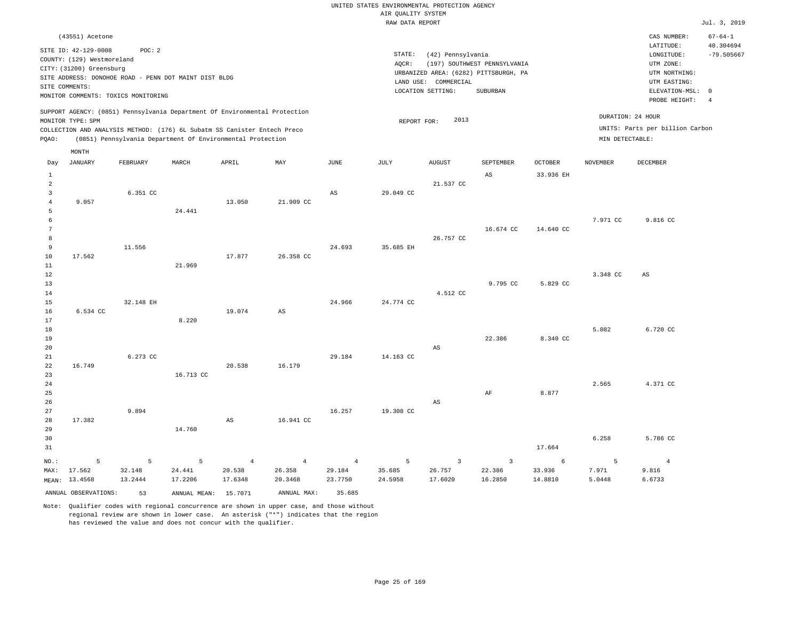|                                                    |                                                                                                                |                        |                                                            |                                     |                                 |                                     | UNITED STATES ENVIRONMENTAL PROTECTION AGENCY<br>AIR OUALITY SYSTEM |                                           |                                                   |                                 |                      |                                                   |                            |
|----------------------------------------------------|----------------------------------------------------------------------------------------------------------------|------------------------|------------------------------------------------------------|-------------------------------------|---------------------------------|-------------------------------------|---------------------------------------------------------------------|-------------------------------------------|---------------------------------------------------|---------------------------------|----------------------|---------------------------------------------------|----------------------------|
|                                                    |                                                                                                                |                        |                                                            |                                     |                                 |                                     | RAW DATA REPORT                                                     |                                           |                                                   |                                 |                      |                                                   | Jul. 3, 2019               |
|                                                    | (43551) Acetone                                                                                                |                        |                                                            |                                     |                                 |                                     |                                                                     |                                           |                                                   |                                 |                      | CAS NUMBER:<br>LATITUDE:                          | $67 - 64 - 1$<br>40.304694 |
|                                                    | SITE ID: 42-129-0008<br>COUNTY: (129) Westmoreland<br>CITY: (31200) Greensburg                                 | POC: 2                 |                                                            |                                     |                                 |                                     | STATE:<br>AQCR:                                                     | (42) Pennsylvania                         | (197) SOUTHWEST PENNSYLVANIA                      |                                 |                      | LONGITUDE:<br>UTM ZONE:                           | $-79.505667$               |
|                                                    | SITE ADDRESS: DONOHOE ROAD - PENN DOT MAINT DIST BLDG<br>SITE COMMENTS:<br>MONITOR COMMENTS: TOXICS MONITORING |                        |                                                            |                                     |                                 |                                     |                                                                     | LAND USE: COMMERCIAL<br>LOCATION SETTING: | URBANIZED AREA: (6282) PITTSBURGH, PA<br>SUBURBAN |                                 |                      | UTM NORTHING:<br>UTM EASTING:<br>ELEVATION-MSL: 0 |                            |
|                                                    | SUPPORT AGENCY: (0851) Pennsylvania Department Of Environmental Protection                                     |                        |                                                            |                                     |                                 |                                     |                                                                     |                                           |                                                   |                                 |                      | PROBE HEIGHT:                                     | $\overline{4}$             |
|                                                    | MONITOR TYPE: SPM<br>COLLECTION AND ANALYSIS METHOD: (176) 6L Subatm SS Canister Entech Preco                  |                        |                                                            |                                     |                                 |                                     | REPORT FOR:                                                         | 2013                                      |                                                   |                                 | DURATION: 24 HOUR    | UNITS: Parts per billion Carbon                   |                            |
| PQAO:                                              |                                                                                                                |                        | (0851) Pennsylvania Department Of Environmental Protection |                                     |                                 |                                     |                                                                     |                                           |                                                   |                                 | MIN DETECTABLE:      |                                                   |                            |
| Day                                                | MONTH<br><b>JANUARY</b>                                                                                        | FEBRUARY               | MARCH                                                      | APRIL                               | MAY                             | <b>JUNE</b>                         | JULY                                                                | <b>AUGUST</b>                             | SEPTEMBER                                         | <b>OCTOBER</b>                  | <b>NOVEMBER</b>      | <b>DECEMBER</b>                                   |                            |
| $\mathbf{1}$                                       |                                                                                                                |                        |                                                            |                                     |                                 |                                     |                                                                     |                                           | $\mathbb{A}\mathbb{S}$                            | 33.936 EH                       |                      |                                                   |                            |
| $\overline{a}$<br>$\overline{3}$<br>$\overline{4}$ | 9.057                                                                                                          | 6.351 CC               |                                                            | 13.050                              | 21.909 CC                       | $_{\rm AS}$                         | 29.049 CC                                                           | 21.537 CC                                 |                                                   |                                 |                      |                                                   |                            |
| 5<br>6<br>$7\phantom{.0}$                          |                                                                                                                |                        | 24.441                                                     |                                     |                                 |                                     |                                                                     |                                           | 16.674 CC                                         | 14.640 CC                       | 7.971 CC             | 9.816 CC                                          |                            |
| 8<br>9<br>$10$                                     | 17.562                                                                                                         | 11.556                 |                                                            | 17.877                              | 26.358 CC                       | 24.693                              | 35.685 EH                                                           | 26.757 CC                                 |                                                   |                                 |                      |                                                   |                            |
| 11<br>12                                           |                                                                                                                |                        | 21.969                                                     |                                     |                                 |                                     |                                                                     |                                           |                                                   |                                 | 3.348 CC             | AS                                                |                            |
| 13<br>14<br>15                                     |                                                                                                                | 32.148 EH              |                                                            |                                     |                                 | 24.966                              | 24.774 CC                                                           | 4.512 CC                                  | 9.795 CC                                          | 5.829 CC                        |                      |                                                   |                            |
| 16<br>17<br>18                                     | 6.534 CC                                                                                                       |                        | 8.220                                                      | 19.074                              | AS                              |                                     |                                                                     |                                           |                                                   |                                 | 5.082                | 6.720 CC                                          |                            |
| 19<br>20<br>21                                     |                                                                                                                | 6.273 CC               |                                                            |                                     |                                 | 29.184                              | 14.163 CC                                                           | AS                                        | 22.386                                            | 8.340 CC                        |                      |                                                   |                            |
| 22<br>23                                           | 16.749                                                                                                         |                        | 16.713 CC                                                  | 20.538                              | 16.179                          |                                     |                                                                     |                                           |                                                   |                                 |                      |                                                   |                            |
| $2\,4$<br>25<br>26                                 |                                                                                                                |                        |                                                            |                                     |                                 |                                     |                                                                     | AS                                        | $\rm{AF}$                                         | 8.877                           | 2.565                | 4.371 CC                                          |                            |
| 27<br>28<br>29                                     | 17.382                                                                                                         | 9.894                  | 14.760                                                     | AS                                  | 16.941 CC                       | 16.257                              | 19.308 CC                                                           |                                           |                                                   |                                 |                      |                                                   |                            |
| 30<br>31                                           |                                                                                                                |                        |                                                            |                                     |                                 |                                     |                                                                     |                                           |                                                   | 17.664                          | 6.258                | 5.786 CC                                          |                            |
| NO.:<br>MAX:                                       | 5<br>17.562<br>MEAN: 13.4568                                                                                   | 5<br>32.148<br>13.2444 | 5<br>24.441<br>17.2206                                     | $\overline{4}$<br>20.538<br>17.6348 | $\sqrt{4}$<br>26.358<br>20.3468 | $\overline{4}$<br>29.184<br>23.7750 | 5<br>35.685<br>24.5958                                              | $\overline{3}$<br>26.757<br>17.6020       | $\overline{3}$<br>22.386<br>16.2850               | $\epsilon$<br>33.936<br>14.8810 | 5<br>7.971<br>5.0448 | $\overline{4}$<br>9.816<br>6.6733                 |                            |
|                                                    | ANNUAL OBSERVATIONS:                                                                                           | 53                     | ANNUAL MEAN: 15.7071                                       |                                     | ANNUAL MAX:                     | 35.685                              |                                                                     |                                           |                                                   |                                 |                      |                                                   |                            |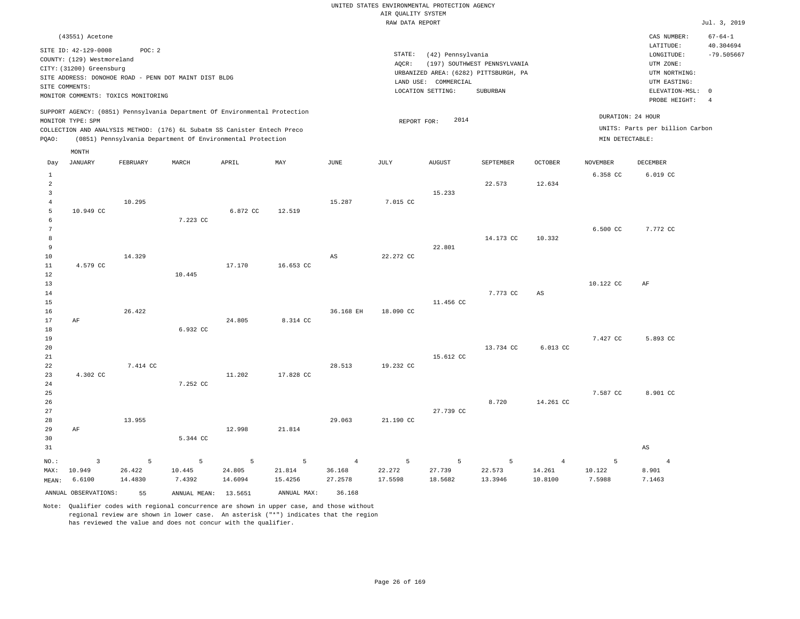UNITED STATES ENVIRONMENTAL PROTECTION AGENCY AIR QUALITY SYSTEM

|                |                            |                                     |                                                       |                                                                            |                |                | RAW DATA REPORT |                      |                                       |                |                 |                                 | Jul. 3, 2019   |
|----------------|----------------------------|-------------------------------------|-------------------------------------------------------|----------------------------------------------------------------------------|----------------|----------------|-----------------|----------------------|---------------------------------------|----------------|-----------------|---------------------------------|----------------|
|                | (43551) Acetone            |                                     |                                                       |                                                                            |                |                |                 |                      |                                       |                |                 | CAS NUMBER:                     | $67 - 64 - 1$  |
|                | SITE ID: 42-129-0008       | POC: 2                              |                                                       |                                                                            |                |                |                 |                      |                                       |                |                 | LATITUDE:                       | 40.304694      |
|                | COUNTY: (129) Westmoreland |                                     |                                                       |                                                                            |                |                | STATE:          | (42) Pennsylvania    |                                       |                |                 | LONGITUDE:                      | $-79.505667$   |
|                | CITY: (31200) Greensburg   |                                     |                                                       |                                                                            |                |                | AOCR:           |                      | (197) SOUTHWEST PENNSYLVANIA          |                |                 | UTM ZONE:                       |                |
|                |                            |                                     | SITE ADDRESS: DONOHOE ROAD - PENN DOT MAINT DIST BLDG |                                                                            |                |                |                 |                      | URBANIZED AREA: (6282) PITTSBURGH, PA |                |                 | UTM NORTHING:                   |                |
|                | SITE COMMENTS:             |                                     |                                                       |                                                                            |                |                |                 | LAND USE: COMMERCIAL |                                       |                |                 | UTM EASTING:                    |                |
|                |                            | MONITOR COMMENTS: TOXICS MONITORING |                                                       |                                                                            |                |                |                 | LOCATION SETTING:    | <b>SUBURBAN</b>                       |                |                 | ELEVATION-MSL:                  | $\overline{0}$ |
|                |                            |                                     |                                                       |                                                                            |                |                |                 |                      |                                       |                |                 | PROBE HEIGHT:                   | $\overline{4}$ |
|                |                            |                                     |                                                       | SUPPORT AGENCY: (0851) Pennsylvania Department Of Environmental Protection |                |                |                 |                      |                                       |                |                 | DURATION: 24 HOUR               |                |
|                | MONITOR TYPE: SPM          |                                     |                                                       |                                                                            |                |                | REPORT FOR:     | 2014                 |                                       |                |                 |                                 |                |
|                |                            |                                     |                                                       | COLLECTION AND ANALYSIS METHOD: (176) 6L Subatm SS Canister Entech Preco   |                |                |                 |                      |                                       |                |                 | UNITS: Parts per billion Carbon |                |
| PQAO:          |                            |                                     |                                                       | (0851) Pennsylvania Department Of Environmental Protection                 |                |                |                 |                      |                                       |                | MIN DETECTABLE: |                                 |                |
|                | MONTH                      |                                     |                                                       |                                                                            |                |                |                 |                      |                                       |                |                 |                                 |                |
| Day            | <b>JANUARY</b>             | FEBRUARY                            | MARCH                                                 | APRIL                                                                      | MAY            | <b>JUNE</b>    | <b>JULY</b>     | <b>AUGUST</b>        | SEPTEMBER                             | <b>OCTOBER</b> | <b>NOVEMBER</b> | <b>DECEMBER</b>                 |                |
| $\mathbf{1}$   |                            |                                     |                                                       |                                                                            |                |                |                 |                      |                                       |                | 6.358 CC        | 6.019 CC                        |                |
| $\overline{2}$ |                            |                                     |                                                       |                                                                            |                |                |                 |                      | 22.573                                | 12.634         |                 |                                 |                |
| 3              |                            |                                     |                                                       |                                                                            |                |                |                 | 15.233               |                                       |                |                 |                                 |                |
| $\overline{4}$ |                            | 10.295                              |                                                       |                                                                            |                | 15.287         | 7.015 CC        |                      |                                       |                |                 |                                 |                |
| 5              | 10.949 CC                  |                                     |                                                       | 6.872 CC                                                                   | 12.519         |                |                 |                      |                                       |                |                 |                                 |                |
| 6              |                            |                                     | 7.223 CC                                              |                                                                            |                |                |                 |                      |                                       |                |                 |                                 |                |
| 7              |                            |                                     |                                                       |                                                                            |                |                |                 |                      |                                       |                | 6.500 CC        | 7.772 CC                        |                |
| 8              |                            |                                     |                                                       |                                                                            |                |                |                 |                      | 14.173 CC                             | 10.332         |                 |                                 |                |
| 9              |                            |                                     |                                                       |                                                                            |                |                |                 | 22.801               |                                       |                |                 |                                 |                |
| 10             |                            | 14.329                              |                                                       |                                                                            |                | AS             | 22.272 CC       |                      |                                       |                |                 |                                 |                |
| $11\,$         | 4.579 CC                   |                                     |                                                       | 17.170                                                                     | 16.653 CC      |                |                 |                      |                                       |                |                 |                                 |                |
| 12             |                            |                                     | 10.445                                                |                                                                            |                |                |                 |                      |                                       |                |                 |                                 |                |
| 13             |                            |                                     |                                                       |                                                                            |                |                |                 |                      |                                       |                | 10.122 CC       | AF                              |                |
| 14             |                            |                                     |                                                       |                                                                            |                |                |                 |                      | 7.773 CC                              | $_{\rm AS}$    |                 |                                 |                |
| 15             |                            |                                     |                                                       |                                                                            |                |                |                 | 11.456 CC            |                                       |                |                 |                                 |                |
| 16             |                            | 26.422                              |                                                       |                                                                            |                | 36.168 EH      | 18.090 CC       |                      |                                       |                |                 |                                 |                |
| 17<br>18       | AF                         |                                     | 6.932 CC                                              | 24.805                                                                     | 8.314 CC       |                |                 |                      |                                       |                |                 |                                 |                |
| 19             |                            |                                     |                                                       |                                                                            |                |                |                 |                      |                                       |                | 7.427 CC        | 5.893 CC                        |                |
| 20             |                            |                                     |                                                       |                                                                            |                |                |                 |                      | 13.734 CC                             | 6.013 CC       |                 |                                 |                |
| 21             |                            |                                     |                                                       |                                                                            |                |                |                 | 15.612 CC            |                                       |                |                 |                                 |                |
| 22             |                            | 7.414 CC                            |                                                       |                                                                            |                | 28.513         | 19.232 CC       |                      |                                       |                |                 |                                 |                |
| 23             | 4.302 CC                   |                                     |                                                       | 11.202                                                                     | 17.828 CC      |                |                 |                      |                                       |                |                 |                                 |                |
| 24             |                            |                                     | 7.252 CC                                              |                                                                            |                |                |                 |                      |                                       |                |                 |                                 |                |
| 25             |                            |                                     |                                                       |                                                                            |                |                |                 |                      |                                       |                | 7.587 CC        | 8.901 CC                        |                |
| 26             |                            |                                     |                                                       |                                                                            |                |                |                 |                      | 8.720                                 | 14.261 CC      |                 |                                 |                |
| 27             |                            |                                     |                                                       |                                                                            |                |                |                 | 27.739 CC            |                                       |                |                 |                                 |                |
| 28             |                            | 13.955                              |                                                       |                                                                            |                | 29.063         | 21.190 CC       |                      |                                       |                |                 |                                 |                |
| 29             | AF                         |                                     |                                                       | 12.998                                                                     | 21.814         |                |                 |                      |                                       |                |                 |                                 |                |
| 30             |                            |                                     | 5.344 CC                                              |                                                                            |                |                |                 |                      |                                       |                |                 |                                 |                |
| 31             |                            |                                     |                                                       |                                                                            |                |                |                 |                      |                                       |                |                 | $_{\rm AS}$                     |                |
| NO.:           | $\overline{3}$             | 5                                   | 5                                                     | 5                                                                          | $\overline{5}$ | $\overline{4}$ | 5               | 5                    | 5                                     | $\overline{4}$ | 5               | $\overline{4}$                  |                |
|                | 10.949                     | 26.422                              | 10.445                                                | 24.805                                                                     | 21.814         | 36.168         | 22.272          | 27.739               | 22.573                                | 14.261         | 10.122          | 8.901                           |                |
| MAX:           | 6.6100                     | 14.4830                             | 7.4392                                                | 14.6094                                                                    | 15.4256        | 27.2578        | 17.5598         | 18.5682              | 13.3946                               | 10.8100        | 7.5988          | 7.1463                          |                |
| MEAN:          |                            |                                     |                                                       |                                                                            |                |                |                 |                      |                                       |                |                 |                                 |                |
|                | ANNUAL OBSERVATIONS:       | 55                                  | ANNUAL MEAN: 13.5651                                  |                                                                            | ANNUAL MAX:    | 36.168         |                 |                      |                                       |                |                 |                                 |                |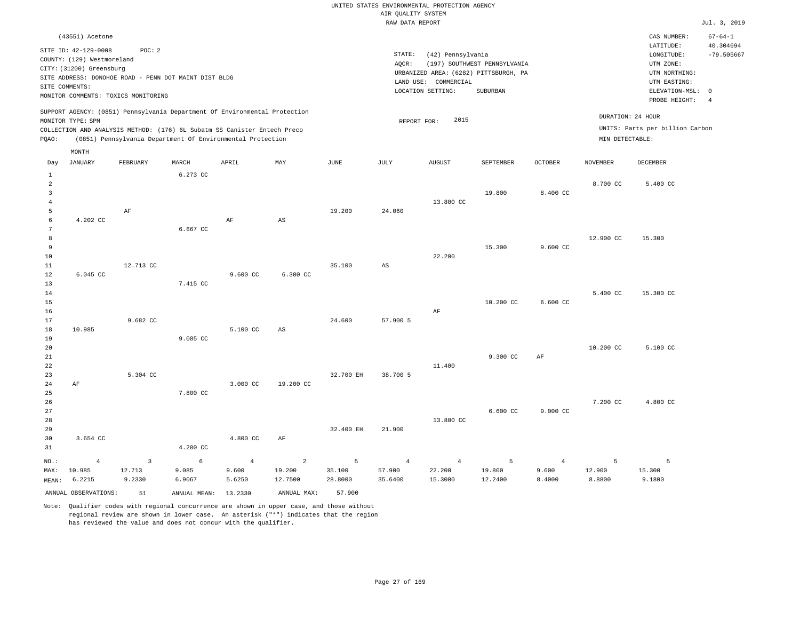|                                                       |                                                                                |                                                                 |          |                                                                                                                                                        |                        |             | AIR QUALITY SYSTEM | UNITED STATES ENVIRONMENTAL PROTECTION AGENCY |                                                                       |                    |                 |                                                      |                            |
|-------------------------------------------------------|--------------------------------------------------------------------------------|-----------------------------------------------------------------|----------|--------------------------------------------------------------------------------------------------------------------------------------------------------|------------------------|-------------|--------------------|-----------------------------------------------|-----------------------------------------------------------------------|--------------------|-----------------|------------------------------------------------------|----------------------------|
|                                                       |                                                                                |                                                                 |          |                                                                                                                                                        |                        |             | RAW DATA REPORT    |                                               |                                                                       |                    |                 |                                                      | Jul. 3, 2019               |
|                                                       | (43551) Acetone                                                                |                                                                 |          |                                                                                                                                                        |                        |             |                    |                                               |                                                                       |                    |                 | CAS NUMBER:<br>LATITUDE:                             | $67 - 64 - 1$<br>40.304694 |
|                                                       | SITE ID: 42-129-0008<br>COUNTY: (129) Westmoreland<br>CITY: (31200) Greensburg | POC: 2<br>SITE ADDRESS: DONOHOE ROAD - PENN DOT MAINT DIST BLDG |          |                                                                                                                                                        |                        |             | STATE:<br>AOCR:    | (42) Pennsylvania                             | (197) SOUTHWEST PENNSYLVANIA<br>URBANIZED AREA: (6282) PITTSBURGH, PA |                    |                 | LONGITUDE:<br>UTM ZONE:<br>UTM NORTHING:             | $-79.505667$               |
|                                                       | SITE COMMENTS:                                                                 | MONITOR COMMENTS: TOXICS MONITORING                             |          |                                                                                                                                                        |                        |             |                    | LAND USE: COMMERCIAL<br>LOCATION SETTING:     | <b>SUBURBAN</b>                                                       |                    |                 | UTM EASTING:<br>ELEVATION-MSL: 0<br>PROBE HEIGHT:    | $\overline{4}$             |
|                                                       | MONITOR TYPE: SPM                                                              |                                                                 |          | SUPPORT AGENCY: (0851) Pennsylvania Department Of Environmental Protection<br>COLLECTION AND ANALYSIS METHOD: (176) 6L Subatm SS Canister Entech Preco |                        |             | REPORT FOR:        | 2015                                          |                                                                       |                    |                 | DURATION: 24 HOUR<br>UNITS: Parts per billion Carbon |                            |
| PQAO:                                                 |                                                                                |                                                                 |          | (0851) Pennsylvania Department Of Environmental Protection                                                                                             |                        |             |                    |                                               |                                                                       |                    | MIN DETECTABLE: |                                                      |                            |
| Day                                                   | MONTH<br>JANUARY                                                               | FEBRUARY                                                        | MARCH    | APRIL                                                                                                                                                  | MAY                    | <b>JUNE</b> | JULY               | <b>AUGUST</b>                                 | SEPTEMBER                                                             | <b>OCTOBER</b>     | <b>NOVEMBER</b> | DECEMBER                                             |                            |
| $\mathbf{1}$<br>$\overline{a}$<br>3<br>$\overline{4}$ |                                                                                |                                                                 | 6.273 CC |                                                                                                                                                        |                        |             |                    | 13.800 CC                                     | 19.800                                                                | 8.400 CC           | 8.700 CC        | 5.400 CC                                             |                            |
| 5<br>6<br>$\overline{7}$                              | 4.202 CC                                                                       | AF                                                              | 6.667 CC | $\rm{AF}$                                                                                                                                              | $\mathbb{A}\mathbb{S}$ | 19,200      | 24,060             |                                               |                                                                       |                    |                 |                                                      |                            |
| 8<br>9<br>10                                          |                                                                                |                                                                 |          |                                                                                                                                                        |                        |             |                    | 22.200                                        | 15.300                                                                | $9.600 \text{ CC}$ | 12.900 CC       | 15.300                                               |                            |
| 11<br>12<br>13                                        | 6.045 CC                                                                       | 12.713 CC                                                       | 7.415 CC | 9.600 CC                                                                                                                                               | 6.300 CC               | 35.100      | AS                 |                                               |                                                                       |                    |                 |                                                      |                            |
| 14<br>15<br>16<br>17                                  |                                                                                | 9.682 CC                                                        |          |                                                                                                                                                        |                        | 24,600      | 57.900 5           | AF                                            | 10.200 CC                                                             | 6.600 CC           | 5.400 CC        | 15.300 CC                                            |                            |
| 18<br>19<br>20                                        | 10.985                                                                         |                                                                 | 9.085 CC | 5.100 CC                                                                                                                                               | AS                     |             |                    |                                               |                                                                       |                    | 10.200 CC       | 5.100 CC                                             |                            |
| 21<br>22<br>23                                        |                                                                                | 5.304 CC                                                        |          |                                                                                                                                                        |                        | 32.700 EH   | 38.700 5           | 11.400                                        | 9.300 CC                                                              | AF                 |                 |                                                      |                            |
| 24<br>25<br>26<br>27                                  | AF                                                                             |                                                                 | 7.800 CC | 3.000 CC                                                                                                                                               | 19.200 CC              |             |                    |                                               | $6.600 \text{ CC}$                                                    | 9.000 CC           | 7.200 CC        | 4.800 CC                                             |                            |

 regional review are shown in lower case. An asterisk ("\*") indicates that the region has reviewed the value and does not concur with the qualifier.

4.200 CC

6 9.085 6.9067

ANNUAL OBSERVATIONS: 51 ANNUAL MEAN: 13.2330 ANNUAL MAX: 57.900 Note: Qualifier codes with regional concurrence are shown in upper case, and those without

3

12.713 9.2330 4.800 CC

4 9.600 5.6250

AF

19.200 12.7500

2

32.400 EH

35.100 28.8000

5

NO.: MAX:

MEAN: 6.2215

10.985

3.654 CC

4

21.900

4 57.900 35.6400

13.800 CC

22.200 15.3000

4

5 19.800 12.2400

4 9.600 8.4000

5

5

15.300 9.1800

12.900 8.8800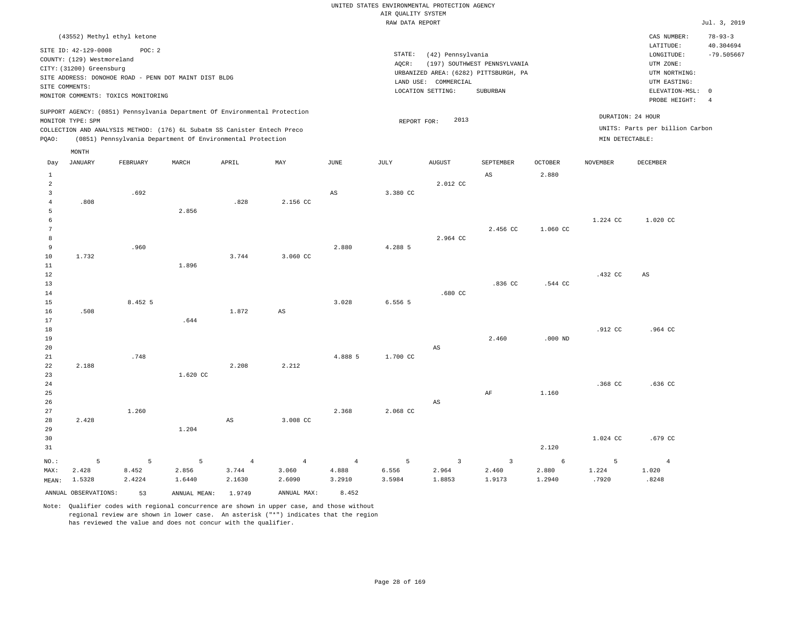| UNITED STATES ENVIRONMENTAL PROTECTION AGENCY |              |
|-----------------------------------------------|--------------|
| AIR OUALITY SYSTEM                            |              |
| RAW DATA REPORT                               | Jul. 3, 2019 |

|                     | (43552) Methyl ethyl ketone         |          |                                                                            |                |                |                 |                    |                        |                                                                       |           |                 | CAS NUMBER:                     | $78 - 93 - 3$  |
|---------------------|-------------------------------------|----------|----------------------------------------------------------------------------|----------------|----------------|-----------------|--------------------|------------------------|-----------------------------------------------------------------------|-----------|-----------------|---------------------------------|----------------|
|                     | SITE ID: 42-129-0008                | POC: 2   |                                                                            |                |                |                 |                    |                        |                                                                       |           |                 | LATITUDE:                       | 40.304694      |
|                     | COUNTY: (129) Westmoreland          |          |                                                                            |                |                |                 | $\texttt{STATE}$ : | (42) Pennsylvania      |                                                                       |           |                 | LONGITUDE:<br>UTM ZONE:         | $-79.505667$   |
|                     | CITY: (31200) Greensburg            |          |                                                                            |                |                |                 | AQCR:              |                        | (197) SOUTHWEST PENNSYLVANIA<br>URBANIZED AREA: (6282) PITTSBURGH, PA |           |                 | UTM NORTHING:                   |                |
|                     |                                     |          | SITE ADDRESS: DONOHOE ROAD - PENN DOT MAINT DIST BLDG                      |                |                |                 |                    | LAND USE: COMMERCIAL   |                                                                       |           |                 | UTM EASTING:                    |                |
|                     | SITE COMMENTS:                      |          |                                                                            |                |                |                 |                    | LOCATION SETTING:      | SUBURBAN                                                              |           |                 | ELEVATION-MSL: 0                |                |
|                     | MONITOR COMMENTS: TOXICS MONITORING |          |                                                                            |                |                |                 |                    |                        |                                                                       |           |                 | PROBE HEIGHT:                   | $\overline{4}$ |
|                     | MONITOR TYPE: SPM                   |          | SUPPORT AGENCY: (0851) Pennsylvania Department Of Environmental Protection |                |                |                 | REPORT FOR:        | 2013                   |                                                                       |           |                 | DURATION: 24 HOUR               |                |
|                     |                                     |          | COLLECTION AND ANALYSIS METHOD: (176) 6L Subatm SS Canister Entech Preco   |                |                |                 |                    |                        |                                                                       |           |                 | UNITS: Parts per billion Carbon |                |
| PQAO:               |                                     |          | (0851) Pennsylvania Department Of Environmental Protection                 |                |                |                 |                    |                        |                                                                       |           | MIN DETECTABLE: |                                 |                |
|                     | MONTH                               |          |                                                                            |                |                |                 |                    |                        |                                                                       |           |                 |                                 |                |
| Day                 | <b>JANUARY</b>                      | FEBRUARY | MARCH                                                                      | APRIL          | MAY            | $\mathtt{JUNE}$ | JULY               | <b>AUGUST</b>          | SEPTEMBER                                                             | OCTOBER   | <b>NOVEMBER</b> | DECEMBER                        |                |
| $\mathbf{1}$        |                                     |          |                                                                            |                |                |                 |                    |                        | $\mathbb{A}\mathbb{S}$                                                | 2.880     |                 |                                 |                |
| 2                   |                                     |          |                                                                            |                |                |                 |                    | 2.012 CC               |                                                                       |           |                 |                                 |                |
| $\overline{3}$      |                                     | .692     |                                                                            |                |                | $_{\rm AS}$     | 3.380 CC           |                        |                                                                       |           |                 |                                 |                |
| $\overline{4}$      | .808                                |          |                                                                            | .828           | 2.156 CC       |                 |                    |                        |                                                                       |           |                 |                                 |                |
| 5                   |                                     |          | 2.856                                                                      |                |                |                 |                    |                        |                                                                       |           |                 |                                 |                |
| 6                   |                                     |          |                                                                            |                |                |                 |                    |                        |                                                                       |           | 1.224 CC        | 1.020 CC                        |                |
| $7\phantom{.0}$     |                                     |          |                                                                            |                |                |                 |                    |                        | 2.456 CC                                                              | 1.060 CC  |                 |                                 |                |
| 8<br>$\overline{9}$ |                                     | .960     |                                                                            |                |                | 2.880           | 4.288 5            | 2.964 CC               |                                                                       |           |                 |                                 |                |
| 10                  | 1.732                               |          |                                                                            | 3.744          | 3.060 CC       |                 |                    |                        |                                                                       |           |                 |                                 |                |
| 11                  |                                     |          | 1.896                                                                      |                |                |                 |                    |                        |                                                                       |           |                 |                                 |                |
| 12                  |                                     |          |                                                                            |                |                |                 |                    |                        |                                                                       |           | .432 CC         | $\mathbb{A}\mathbb{S}$          |                |
| 13                  |                                     |          |                                                                            |                |                |                 |                    |                        | .836 <sub>CC</sub>                                                    | .544 CC   |                 |                                 |                |
| 14                  |                                     |          |                                                                            |                |                |                 |                    | .680CC                 |                                                                       |           |                 |                                 |                |
| 15                  |                                     | 8.452 5  |                                                                            |                |                | 3.028           | 6.556 5            |                        |                                                                       |           |                 |                                 |                |
| 16                  | .508                                |          |                                                                            | 1.872          | AS             |                 |                    |                        |                                                                       |           |                 |                                 |                |
| 17                  |                                     |          | .644                                                                       |                |                |                 |                    |                        |                                                                       |           |                 |                                 |                |
| 18                  |                                     |          |                                                                            |                |                |                 |                    |                        |                                                                       |           | .912 CC         | .964 CC                         |                |
| 19                  |                                     |          |                                                                            |                |                |                 |                    |                        | 2.460                                                                 | $.000$ ND |                 |                                 |                |
| 20<br>21            |                                     | .748     |                                                                            |                |                | 4.888 5         | 1.700 CC           | $\mathbb{A}\mathbb{S}$ |                                                                       |           |                 |                                 |                |
| 22                  | 2.188                               |          |                                                                            | 2.208          | 2.212          |                 |                    |                        |                                                                       |           |                 |                                 |                |
| 23                  |                                     |          | 1.620 CC                                                                   |                |                |                 |                    |                        |                                                                       |           |                 |                                 |                |
| 24                  |                                     |          |                                                                            |                |                |                 |                    |                        |                                                                       |           | .368 CC         | .636 CC                         |                |
| 25                  |                                     |          |                                                                            |                |                |                 |                    |                        | AF                                                                    | 1.160     |                 |                                 |                |
| 26                  |                                     |          |                                                                            |                |                |                 |                    | AS                     |                                                                       |           |                 |                                 |                |
| 27                  |                                     | 1.260    |                                                                            |                |                | 2.368           | 2.068 CC           |                        |                                                                       |           |                 |                                 |                |
| 28                  | 2.428                               |          |                                                                            | AS             | 3.008 CC       |                 |                    |                        |                                                                       |           |                 |                                 |                |
| 29                  |                                     |          | 1.204                                                                      |                |                |                 |                    |                        |                                                                       |           |                 |                                 |                |
| 30                  |                                     |          |                                                                            |                |                |                 |                    |                        |                                                                       |           | 1.024 CC        | .679 CC                         |                |
| 31                  |                                     |          |                                                                            |                |                |                 |                    |                        |                                                                       | 2.120     |                 |                                 |                |
| NO.:                | 5                                   | 5        | 5                                                                          | $\overline{4}$ | $\overline{4}$ | $\overline{4}$  | 5                  | 3                      | $\overline{\mathbf{3}}$                                               | 6         | 5               | $\overline{4}$                  |                |
| MAX:                | 2.428                               | 8.452    | 2.856                                                                      | 3.744          | 3.060          | 4.888           | 6.556              | 2.964                  | 2.460                                                                 | 2.880     | 1.224           | 1.020                           |                |
| MEAN:               | 1.5328                              | 2.4224   | 1.6440                                                                     | 2.1630         | 2.6090         | 3.2910          | 3.5984             | 1.8853                 | 1.9173                                                                | 1.2940    | .7920           | .8248                           |                |
|                     | ANNUAL OBSERVATIONS:                | 53       | ANNUAL MEAN:                                                               | 1.9749         | ANNUAL MAX:    | 8.452           |                    |                        |                                                                       |           |                 |                                 |                |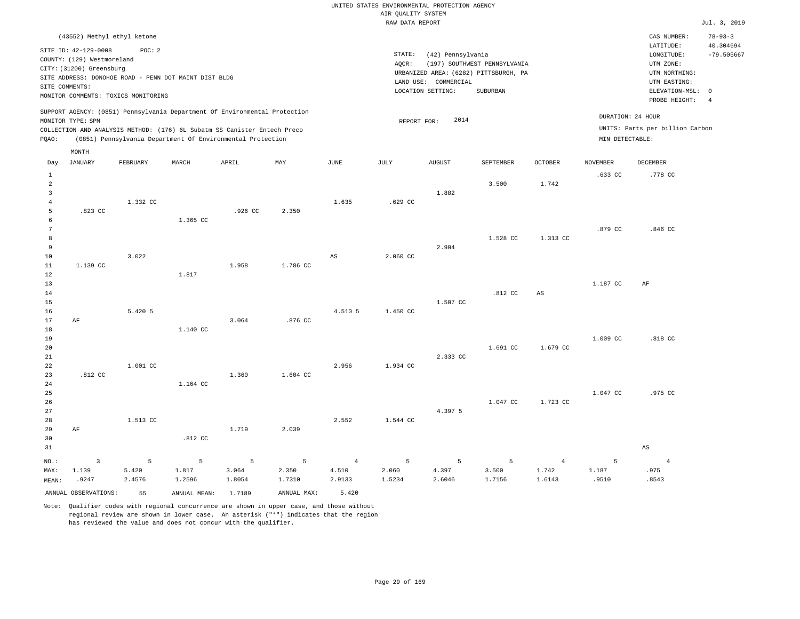UNITED STATES ENVIRONMENTAL PROTECTION AGENCY AIR QUALITY SYSTEM

|                 |                                                                                |          |              |                                                                                                                                        |             |                | RAW DATA REPORT |                      |                                                                       |                        |                 |                                                       | Jul. 3, 2019              |
|-----------------|--------------------------------------------------------------------------------|----------|--------------|----------------------------------------------------------------------------------------------------------------------------------------|-------------|----------------|-----------------|----------------------|-----------------------------------------------------------------------|------------------------|-----------------|-------------------------------------------------------|---------------------------|
|                 | (43552) Methyl ethyl ketone                                                    |          |              |                                                                                                                                        |             |                |                 |                      |                                                                       |                        |                 | CAS NUMBER:                                           | $78 - 93 - 3$             |
|                 | SITE ID: 42-129-0008<br>COUNTY: (129) Westmoreland<br>CITY: (31200) Greensburg | POC: 2   |              |                                                                                                                                        |             |                | STATE:<br>AQCR: | (42) Pennsylvania    | (197) SOUTHWEST PENNSYLVANIA<br>URBANIZED AREA: (6282) PITTSBURGH, PA |                        |                 | LATITUDE:<br>LONGITUDE:<br>UTM ZONE:<br>UTM NORTHING: | 40.304694<br>$-79.505667$ |
|                 | SITE ADDRESS: DONOHOE ROAD - PENN DOT MAINT DIST BLDG                          |          |              |                                                                                                                                        |             |                |                 | LAND USE: COMMERCIAL |                                                                       |                        |                 | UTM EASTING:                                          |                           |
|                 | SITE COMMENTS:                                                                 |          |              |                                                                                                                                        |             |                |                 | LOCATION SETTING:    | <b>SUBURBAN</b>                                                       |                        |                 | ELEVATION-MSL: 0                                      |                           |
|                 | MONITOR COMMENTS: TOXICS MONITORING                                            |          |              |                                                                                                                                        |             |                |                 |                      |                                                                       |                        |                 | PROBE HEIGHT:                                         | $\overline{4}$            |
|                 |                                                                                |          |              | SUPPORT AGENCY: (0851) Pennsylvania Department Of Environmental Protection                                                             |             |                |                 |                      |                                                                       |                        |                 | DURATION: 24 HOUR                                     |                           |
|                 | MONITOR TYPE: SPM                                                              |          |              |                                                                                                                                        |             |                | REPORT FOR:     | 2014                 |                                                                       |                        |                 | UNITS: Parts per billion Carbon                       |                           |
| PQAO:           |                                                                                |          |              | COLLECTION AND ANALYSIS METHOD: (176) 6L Subatm SS Canister Entech Preco<br>(0851) Pennsylvania Department Of Environmental Protection |             |                |                 |                      |                                                                       |                        | MIN DETECTABLE: |                                                       |                           |
|                 | MONTH                                                                          |          |              |                                                                                                                                        |             |                |                 |                      |                                                                       |                        |                 |                                                       |                           |
| Day             | <b>JANUARY</b>                                                                 | FEBRUARY | MARCH        | APRIL                                                                                                                                  | MAY         | JUNE           | JULY            | <b>AUGUST</b>        | SEPTEMBER                                                             | OCTOBER                | <b>NOVEMBER</b> | DECEMBER                                              |                           |
| $\mathbf{1}$    |                                                                                |          |              |                                                                                                                                        |             |                |                 |                      |                                                                       |                        | .633 CC         | .778 CC                                               |                           |
| $\overline{a}$  |                                                                                |          |              |                                                                                                                                        |             |                |                 |                      | 3.500                                                                 | 1.742                  |                 |                                                       |                           |
| $\overline{3}$  |                                                                                |          |              |                                                                                                                                        |             |                |                 | 1.882                |                                                                       |                        |                 |                                                       |                           |
| $\overline{4}$  |                                                                                | 1.332 CC |              |                                                                                                                                        |             | 1.635          | .629 CC         |                      |                                                                       |                        |                 |                                                       |                           |
| 5<br>6          | .823 CC                                                                        |          | 1.365 CC     | .926 CC                                                                                                                                | 2.350       |                |                 |                      |                                                                       |                        |                 |                                                       |                           |
| $7\phantom{.0}$ |                                                                                |          |              |                                                                                                                                        |             |                |                 |                      |                                                                       |                        | .879 CC         | .846 CC                                               |                           |
| 8               |                                                                                |          |              |                                                                                                                                        |             |                |                 |                      | 1.528 CC                                                              | 1.313 CC               |                 |                                                       |                           |
| 9               |                                                                                |          |              |                                                                                                                                        |             |                |                 | 2.904                |                                                                       |                        |                 |                                                       |                           |
| 10              |                                                                                | 3.022    |              |                                                                                                                                        |             | AS             | 2.060 CC        |                      |                                                                       |                        |                 |                                                       |                           |
| 11              | 1.139 CC                                                                       |          |              | 1.958                                                                                                                                  | 1.786 CC    |                |                 |                      |                                                                       |                        |                 |                                                       |                           |
| 12              |                                                                                |          | 1.817        |                                                                                                                                        |             |                |                 |                      |                                                                       |                        |                 |                                                       |                           |
| 13              |                                                                                |          |              |                                                                                                                                        |             |                |                 |                      |                                                                       |                        | 1.187 CC        | AF                                                    |                           |
| 14              |                                                                                |          |              |                                                                                                                                        |             |                |                 |                      | .812 CC                                                               | $\mathbb{A}\mathbb{S}$ |                 |                                                       |                           |
| 15<br>16        |                                                                                | 5.420 5  |              |                                                                                                                                        |             | 4.510 5        | 1.450 CC        | 1.507 CC             |                                                                       |                        |                 |                                                       |                           |
| 17              | AF                                                                             |          |              | 3.064                                                                                                                                  | .876 CC     |                |                 |                      |                                                                       |                        |                 |                                                       |                           |
| 18              |                                                                                |          | 1.140 CC     |                                                                                                                                        |             |                |                 |                      |                                                                       |                        |                 |                                                       |                           |
| 19              |                                                                                |          |              |                                                                                                                                        |             |                |                 |                      |                                                                       |                        | 1.009 CC        | .818 CC                                               |                           |
| 20              |                                                                                |          |              |                                                                                                                                        |             |                |                 |                      | 1.691 CC                                                              | 1.679 CC               |                 |                                                       |                           |
| 21              |                                                                                |          |              |                                                                                                                                        |             |                |                 | 2.333 CC             |                                                                       |                        |                 |                                                       |                           |
| 22              |                                                                                | 1.001 CC |              |                                                                                                                                        |             | 2.956          | 1.934 CC        |                      |                                                                       |                        |                 |                                                       |                           |
| 23              | $.812$ CC                                                                      |          |              | 1.360                                                                                                                                  | 1.604 CC    |                |                 |                      |                                                                       |                        |                 |                                                       |                           |
| 24              |                                                                                |          | 1.164 CC     |                                                                                                                                        |             |                |                 |                      |                                                                       |                        |                 |                                                       |                           |
| 25              |                                                                                |          |              |                                                                                                                                        |             |                |                 |                      |                                                                       |                        | 1.047 CC        | .975 CC                                               |                           |
| 26<br>27        |                                                                                |          |              |                                                                                                                                        |             |                |                 | 4.397 5              | 1.047 CC                                                              | 1.723 CC               |                 |                                                       |                           |
| 28              |                                                                                | 1.513 CC |              |                                                                                                                                        |             | 2.552          | 1.544 CC        |                      |                                                                       |                        |                 |                                                       |                           |
| 29              | AF                                                                             |          |              | 1.719                                                                                                                                  | 2.039       |                |                 |                      |                                                                       |                        |                 |                                                       |                           |
| 30              |                                                                                |          | .812 CC      |                                                                                                                                        |             |                |                 |                      |                                                                       |                        |                 |                                                       |                           |
| 31              |                                                                                |          |              |                                                                                                                                        |             |                |                 |                      |                                                                       |                        |                 | AS                                                    |                           |
| NO.:            | 3                                                                              | 5        | 5            | 5                                                                                                                                      | 5           | $\overline{4}$ | 5               | 5                    | 5                                                                     | $\overline{4}$         | 5               | $\overline{4}$                                        |                           |
| MAX:            | 1.139                                                                          | 5.420    | 1.817        | 3.064                                                                                                                                  | 2.350       | 4.510          | 2.060           | 4.397                | 3.500                                                                 | 1.742                  | 1.187           | .975                                                  |                           |
| MEAN:           | .9247                                                                          | 2.4576   | 1.2596       | 1.8054                                                                                                                                 | 1.7310      | 2.9133         | 1.5234          | 2.6046               | 1.7156                                                                | 1.6143                 | .9510           | .8543                                                 |                           |
|                 | ANNUAL OBSERVATIONS:                                                           | 55       | ANNUAL MEAN: | 1.7189                                                                                                                                 | ANNUAL MAX: | 5.420          |                 |                      |                                                                       |                        |                 |                                                       |                           |
|                 |                                                                                |          |              |                                                                                                                                        |             |                |                 |                      |                                                                       |                        |                 |                                                       |                           |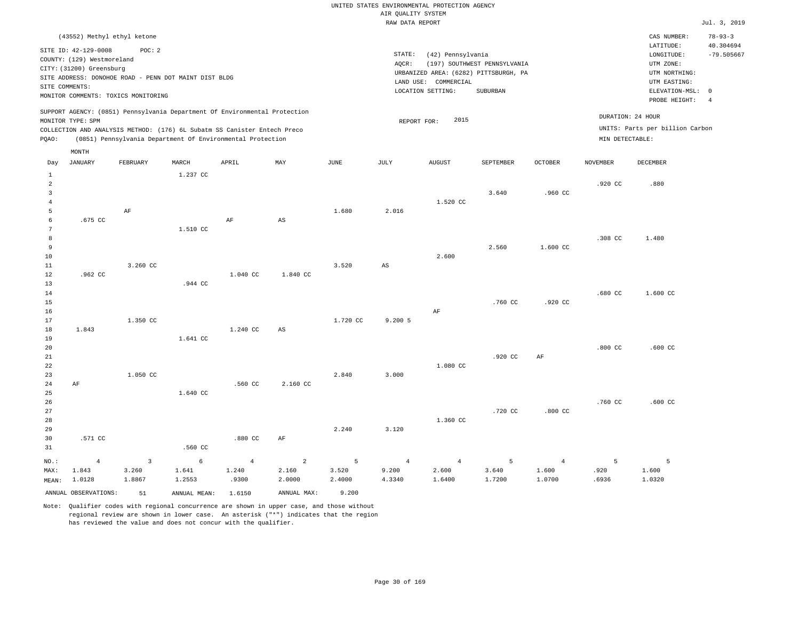# UNITED STATES ENVIRONMENTAL PROTECTION AGENCY AIR QUALITY SYSTEM

|                     |                                                                                                  |                                                                                                        |                 |                                                                            |                        |                | RAW DATA REPORT        |                                                                                                         |                                          |                |                    |                                                                                                          | Jul. 3, 2019                                               |
|---------------------|--------------------------------------------------------------------------------------------------|--------------------------------------------------------------------------------------------------------|-----------------|----------------------------------------------------------------------------|------------------------|----------------|------------------------|---------------------------------------------------------------------------------------------------------|------------------------------------------|----------------|--------------------|----------------------------------------------------------------------------------------------------------|------------------------------------------------------------|
|                     | (43552) Methyl ethyl ketone                                                                      |                                                                                                        |                 |                                                                            |                        |                |                        |                                                                                                         |                                          |                |                    | CAS NUMBER:                                                                                              | $78 - 93 - 3$                                              |
|                     | SITE ID: 42-129-0008<br>COUNTY: (129) Westmoreland<br>CITY: (31200) Greensburg<br>SITE COMMENTS: | POC: 2<br>SITE ADDRESS: DONOHOE ROAD - PENN DOT MAINT DIST BLDG<br>MONITOR COMMENTS: TOXICS MONITORING |                 |                                                                            |                        |                | STATE:<br>AQCR:        | (42) Pennsylvania<br>URBANIZED AREA: (6282) PITTSBURGH, PA<br>LAND USE: COMMERCIAL<br>LOCATION SETTING: | (197) SOUTHWEST PENNSYLVANIA<br>SUBURBAN |                |                    | LATITUDE:<br>LONGITUDE:<br>UTM ZONE:<br>UTM NORTHING:<br>UTM EASTING:<br>ELEVATION-MSL:<br>PROBE HEIGHT: | 40.304694<br>$-79.505667$<br>$\mathbf 0$<br>$\overline{4}$ |
|                     |                                                                                                  |                                                                                                        |                 | SUPPORT AGENCY: (0851) Pennsylvania Department Of Environmental Protection |                        |                |                        |                                                                                                         |                                          |                |                    | DURATION: 24 HOUR                                                                                        |                                                            |
|                     | MONITOR TYPE: SPM                                                                                |                                                                                                        |                 | COLLECTION AND ANALYSIS METHOD: (176) 6L Subatm SS Canister Entech Preco   |                        |                |                        | 2015<br>REPORT FOR:                                                                                     |                                          |                |                    | UNITS: Parts per billion Carbon                                                                          |                                                            |
| PQAO:               |                                                                                                  |                                                                                                        |                 | (0851) Pennsylvania Department Of Environmental Protection                 |                        |                |                        |                                                                                                         |                                          |                | MIN DETECTABLE:    |                                                                                                          |                                                            |
|                     | MONTH                                                                                            |                                                                                                        |                 |                                                                            |                        |                |                        |                                                                                                         |                                          |                |                    |                                                                                                          |                                                            |
| Day                 | JANUARY                                                                                          | FEBRUARY                                                                                               | MARCH           | APRIL                                                                      | MAY                    | JUNE           | JULY                   | <b>AUGUST</b>                                                                                           | SEPTEMBER                                | <b>OCTOBER</b> | <b>NOVEMBER</b>    | DECEMBER                                                                                                 |                                                            |
| $\mathbf{1}$        |                                                                                                  |                                                                                                        | 1.237 CC        |                                                                            |                        |                |                        |                                                                                                         |                                          |                |                    |                                                                                                          |                                                            |
| $\overline{a}$      |                                                                                                  |                                                                                                        |                 |                                                                            |                        |                |                        |                                                                                                         |                                          |                | .920 CC            | .880                                                                                                     |                                                            |
| 3<br>$\overline{4}$ |                                                                                                  |                                                                                                        |                 |                                                                            |                        |                |                        | 1.520 CC                                                                                                | 3.640                                    | .960 CC        |                    |                                                                                                          |                                                            |
| 5                   |                                                                                                  | AF                                                                                                     |                 |                                                                            |                        | 1.680          | 2.016                  |                                                                                                         |                                          |                |                    |                                                                                                          |                                                            |
| 6                   | $.675$ CC                                                                                        |                                                                                                        |                 | AF                                                                         | $\mathbb{A}\mathbb{S}$ |                |                        |                                                                                                         |                                          |                |                    |                                                                                                          |                                                            |
| 7                   |                                                                                                  |                                                                                                        | 1.510 CC        |                                                                            |                        |                |                        |                                                                                                         |                                          |                |                    |                                                                                                          |                                                            |
| 8                   |                                                                                                  |                                                                                                        |                 |                                                                            |                        |                |                        |                                                                                                         |                                          |                | .308 CC            | 1.480                                                                                                    |                                                            |
| 9<br>10             |                                                                                                  |                                                                                                        |                 |                                                                            |                        |                |                        | 2.600                                                                                                   | 2.560                                    | 1.600 CC       |                    |                                                                                                          |                                                            |
| $1\,1$              |                                                                                                  | 3.260 CC                                                                                               |                 |                                                                            |                        | 3.520          | $\mathbb{A}\mathbb{S}$ |                                                                                                         |                                          |                |                    |                                                                                                          |                                                            |
| 12                  | .962 CC                                                                                          |                                                                                                        |                 | 1.040 CC                                                                   | 1.840 CC               |                |                        |                                                                                                         |                                          |                |                    |                                                                                                          |                                                            |
| 13                  |                                                                                                  |                                                                                                        | .944 CC         |                                                                            |                        |                |                        |                                                                                                         |                                          |                |                    |                                                                                                          |                                                            |
| 14                  |                                                                                                  |                                                                                                        |                 |                                                                            |                        |                |                        |                                                                                                         |                                          |                | .680 CC            | 1.600 CC                                                                                                 |                                                            |
| 15<br>16            |                                                                                                  |                                                                                                        |                 |                                                                            |                        |                |                        | AF                                                                                                      | .760 CC                                  | .920 CC        |                    |                                                                                                          |                                                            |
| 17                  |                                                                                                  | 1,350 CC                                                                                               |                 |                                                                            |                        | 1.720 CC       | 9.2005                 |                                                                                                         |                                          |                |                    |                                                                                                          |                                                            |
| $18\,$              | 1.843                                                                                            |                                                                                                        |                 | 1.240 CC                                                                   | AS                     |                |                        |                                                                                                         |                                          |                |                    |                                                                                                          |                                                            |
| 19                  |                                                                                                  |                                                                                                        | 1.641 CC        |                                                                            |                        |                |                        |                                                                                                         |                                          |                |                    |                                                                                                          |                                                            |
| 20                  |                                                                                                  |                                                                                                        |                 |                                                                            |                        |                |                        |                                                                                                         |                                          |                | .800 <sub>cc</sub> | $.600$ CC                                                                                                |                                                            |
| 21<br>22            |                                                                                                  |                                                                                                        |                 |                                                                            |                        |                |                        | 1.080 CC                                                                                                | .920 CC                                  | AF             |                    |                                                                                                          |                                                            |
| 23                  |                                                                                                  | 1.050 CC                                                                                               |                 |                                                                            |                        | 2.840          | 3.000                  |                                                                                                         |                                          |                |                    |                                                                                                          |                                                            |
| 24                  | $\rm AF$                                                                                         |                                                                                                        |                 | .560 CC                                                                    | 2.160 CC               |                |                        |                                                                                                         |                                          |                |                    |                                                                                                          |                                                            |
| 25                  |                                                                                                  |                                                                                                        | 1.640 CC        |                                                                            |                        |                |                        |                                                                                                         |                                          |                |                    |                                                                                                          |                                                            |
| 26                  |                                                                                                  |                                                                                                        |                 |                                                                            |                        |                |                        |                                                                                                         |                                          |                | .760 CC            | $.600$ CC                                                                                                |                                                            |
| 27<br>28            |                                                                                                  |                                                                                                        |                 |                                                                            |                        |                |                        | 1.360 CC                                                                                                | .720 CC                                  | $.800$ CC      |                    |                                                                                                          |                                                            |
| 29                  |                                                                                                  |                                                                                                        |                 |                                                                            |                        | 2.240          | 3.120                  |                                                                                                         |                                          |                |                    |                                                                                                          |                                                            |
| 30                  | .571 CC                                                                                          |                                                                                                        |                 | .880 CC                                                                    | AF                     |                |                        |                                                                                                         |                                          |                |                    |                                                                                                          |                                                            |
| 31                  |                                                                                                  |                                                                                                        | .560 CC         |                                                                            |                        |                |                        |                                                                                                         |                                          |                |                    |                                                                                                          |                                                            |
| $NO.$ :             | $\overline{4}$                                                                                   | $\overline{3}$                                                                                         | $6\overline{6}$ | $\overline{4}$                                                             | $\overline{a}$         | $\overline{5}$ | $\overline{4}$         | $\overline{4}$                                                                                          | 5                                        | $\overline{4}$ | $\overline{5}$     | 5                                                                                                        |                                                            |
| MAX:                | 1.843                                                                                            | 3.260                                                                                                  | 1.641           | 1.240                                                                      | 2.160                  | 3.520          | 9,200                  | 2.600                                                                                                   | 3.640                                    | 1.600          | .920               | 1.600                                                                                                    |                                                            |

| . |                      |        |              |        |             |        |        | __________ |        |        |       |        |
|---|----------------------|--------|--------------|--------|-------------|--------|--------|------------|--------|--------|-------|--------|
|   | MAX: 1.843           | 3.260  | 1.641        | 1.240  | 2.160       | 3.520  | 9.200  | 2.600      | 3.640  | 1.600  | .920  | 1.600  |
|   | MEAN: 1.0128         | 1.8867 | 1.2553       | .9300  | 2.0000      | 2.4000 | 4.3340 | 1.6400     | 1.7200 | 1,0700 | .6936 | 1.0320 |
|   | ANNUAL OBSERVATIONS: | 51     | ANNUAL MEAN: | 1.6150 | ANNUAL MAX: | 9.200  |        |            |        |        |       |        |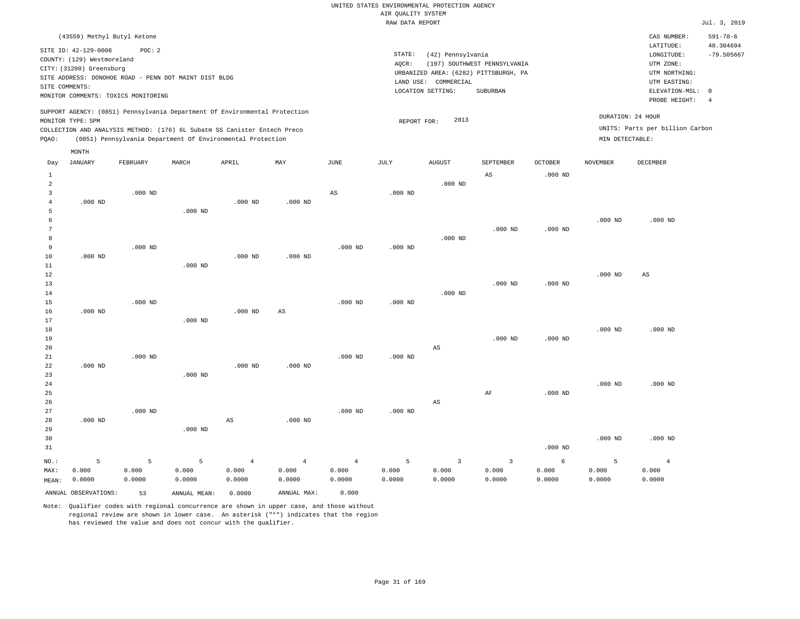|                | (43559) Methyl Butyl Ketone                                                                     |                 |              |                                                            |                        |                |             |                                       |                              |                |                 | CAS NUMBER:                     | $591 - 78 - 6$ |
|----------------|-------------------------------------------------------------------------------------------------|-----------------|--------------|------------------------------------------------------------|------------------------|----------------|-------------|---------------------------------------|------------------------------|----------------|-----------------|---------------------------------|----------------|
|                | SITE ID: 42-129-0008                                                                            | POC: 2          |              |                                                            |                        |                |             |                                       |                              |                |                 | LATITUDE:                       | 40.304694      |
|                | COUNTY: (129) Westmoreland                                                                      |                 |              |                                                            |                        |                | STATE:      | (42) Pennsylvania                     |                              |                |                 | LONGITUDE:                      | $-79.505667$   |
|                | CITY: (31200) Greensburg                                                                        |                 |              |                                                            |                        |                | AQCR:       |                                       | (197) SOUTHWEST PENNSYLVANIA |                |                 | UTM ZONE:                       |                |
|                | SITE ADDRESS: DONOHOE ROAD - PENN DOT MAINT DIST BLDG                                           |                 |              |                                                            |                        |                |             | URBANIZED AREA: (6282) PITTSBURGH, PA |                              |                |                 | UTM NORTHING:                   |                |
|                | SITE COMMENTS:                                                                                  |                 |              |                                                            |                        |                |             | LAND USE: COMMERCIAL                  |                              |                |                 | UTM EASTING:                    |                |
|                | MONITOR COMMENTS: TOXICS MONITORING                                                             |                 |              |                                                            |                        |                |             | LOCATION SETTING:                     | SUBURBAN                     |                |                 | ELEVATION-MSL:<br>PROBE HEIGHT: | $^{\circ}$     |
|                |                                                                                                 |                 |              |                                                            |                        |                |             |                                       |                              |                |                 |                                 | $\overline{4}$ |
|                | SUPPORT AGENCY: (0851) Pennsylvania Department Of Environmental Protection<br>MONITOR TYPE: SPM |                 |              |                                                            |                        |                |             | 2013                                  |                              |                |                 | DURATION: 24 HOUR               |                |
|                | COLLECTION AND ANALYSIS METHOD: (176) 6L Subatm SS Canister Entech Preco                        |                 |              |                                                            |                        |                | REPORT FOR: |                                       |                              |                |                 | UNITS: Parts per billion Carbon |                |
| PQAO:          |                                                                                                 |                 |              | (0851) Pennsylvania Department Of Environmental Protection |                        |                |             |                                       |                              |                | MIN DETECTABLE: |                                 |                |
|                |                                                                                                 |                 |              |                                                            |                        |                |             |                                       |                              |                |                 |                                 |                |
|                | MONTH                                                                                           |                 |              |                                                            |                        |                |             |                                       |                              |                |                 |                                 |                |
| Day            | <b>JANUARY</b>                                                                                  | <b>FEBRUARY</b> | MARCH        | APRIL                                                      | MAY                    | JUNE           | JULY        | <b>AUGUST</b>                         | SEPTEMBER                    | <b>OCTOBER</b> | <b>NOVEMBER</b> | <b>DECEMBER</b>                 |                |
| $\mathbf{1}$   |                                                                                                 |                 |              |                                                            |                        |                |             |                                       | AS                           | $.000$ ND      |                 |                                 |                |
| $\overline{a}$ |                                                                                                 |                 |              |                                                            |                        |                |             | $.000$ ND                             |                              |                |                 |                                 |                |
| 3              |                                                                                                 | $.000$ ND       |              |                                                            |                        | $_{\rm AS}$    | $.000$ ND   |                                       |                              |                |                 |                                 |                |
| $\overline{4}$ | $.000$ ND                                                                                       |                 |              | $.000$ ND                                                  | $.000$ ND              |                |             |                                       |                              |                |                 |                                 |                |
| 5              |                                                                                                 |                 | $.000$ ND    |                                                            |                        |                |             |                                       |                              |                |                 |                                 |                |
| 6              |                                                                                                 |                 |              |                                                            |                        |                |             |                                       |                              |                | $.000$ ND       | $.000$ ND                       |                |
| $\overline{7}$ |                                                                                                 |                 |              |                                                            |                        |                |             |                                       | $.000$ ND                    | $.000$ ND      |                 |                                 |                |
| 8              |                                                                                                 |                 |              |                                                            |                        |                |             | $.000$ ND                             |                              |                |                 |                                 |                |
| 9              |                                                                                                 | $.000$ ND       |              |                                                            |                        | $.000$ ND      | $.000$ ND   |                                       |                              |                |                 |                                 |                |
| 10             | $.000$ ND                                                                                       |                 |              | $.000$ ND                                                  | $.000$ ND              |                |             |                                       |                              |                |                 |                                 |                |
| $11\,$         |                                                                                                 |                 | $.000$ ND    |                                                            |                        |                |             |                                       |                              |                |                 |                                 |                |
| 12<br>13       |                                                                                                 |                 |              |                                                            |                        |                |             |                                       | $.000$ ND                    | $.000$ ND      | $.000$ ND       | $_{\rm AS}$                     |                |
| 14             |                                                                                                 |                 |              |                                                            |                        |                |             | $.000$ ND                             |                              |                |                 |                                 |                |
| 15             |                                                                                                 | $.000$ ND       |              |                                                            |                        | $.000$ ND      | $.000$ ND   |                                       |                              |                |                 |                                 |                |
| 16             | $.000$ ND                                                                                       |                 |              | $.000$ ND                                                  | $\mathbb{A}\mathbb{S}$ |                |             |                                       |                              |                |                 |                                 |                |
| 17             |                                                                                                 |                 | $.000$ ND    |                                                            |                        |                |             |                                       |                              |                |                 |                                 |                |
| 18             |                                                                                                 |                 |              |                                                            |                        |                |             |                                       |                              |                | $.000$ ND       | $.000$ ND                       |                |
| 19             |                                                                                                 |                 |              |                                                            |                        |                |             |                                       | $.000$ ND                    | $.000$ ND      |                 |                                 |                |
| 20             |                                                                                                 |                 |              |                                                            |                        |                |             | $_{\rm AS}$                           |                              |                |                 |                                 |                |
| 21             |                                                                                                 | $.000$ ND       |              |                                                            |                        | $.000$ ND      | $.000$ ND   |                                       |                              |                |                 |                                 |                |
| 22             | $.000$ ND                                                                                       |                 |              | $.000$ ND                                                  | $.000$ ND              |                |             |                                       |                              |                |                 |                                 |                |
| 23             |                                                                                                 |                 | $.000$ ND    |                                                            |                        |                |             |                                       |                              |                |                 |                                 |                |
| 24             |                                                                                                 |                 |              |                                                            |                        |                |             |                                       |                              |                | $.000$ ND       | $.000$ ND                       |                |
| 25             |                                                                                                 |                 |              |                                                            |                        |                |             |                                       | AF                           | $.000$ ND      |                 |                                 |                |
| 26             |                                                                                                 |                 |              |                                                            |                        |                |             | AS                                    |                              |                |                 |                                 |                |
| 27             |                                                                                                 | $.000$ ND       |              |                                                            |                        | $.000$ ND      | $.000$ ND   |                                       |                              |                |                 |                                 |                |
| 28             | $.000$ ND                                                                                       |                 |              | $\mathbb{A}\mathbb{S}$                                     | $.000$ ND              |                |             |                                       |                              |                |                 |                                 |                |
| 29             |                                                                                                 |                 | $.000$ ND    |                                                            |                        |                |             |                                       |                              |                |                 |                                 |                |
| 30             |                                                                                                 |                 |              |                                                            |                        |                |             |                                       |                              |                | $.000$ ND       | $.000$ ND                       |                |
| 31             |                                                                                                 |                 |              |                                                            |                        |                |             |                                       |                              | $.000$ ND      |                 |                                 |                |
| NO.:           | 5                                                                                               | 5               | 5            | $\overline{4}$                                             | $\overline{4}$         | $\overline{4}$ | 5           | $\overline{3}$                        | 3                            | 6              | 5               | $\overline{4}$                  |                |
| MAX:           | 0.000                                                                                           | 0.000           | 0.000        | 0.000                                                      | 0.000                  | 0.000          | 0.000       | 0.000                                 | 0.000                        | 0.000          | 0.000           | 0.000                           |                |
| MEAN:          | 0.0000                                                                                          | 0.0000          | 0.0000       | 0.0000                                                     | 0.0000                 | 0.0000         | 0.0000      | 0.0000                                | 0.0000                       | 0.0000         | 0.0000          | 0.0000                          |                |
|                | ANNUAL OBSERVATIONS:                                                                            | 53              | ANNUAL MEAN: | 0.0000                                                     | ANNUAL MAX:            | 0.000          |             |                                       |                              |                |                 |                                 |                |
|                |                                                                                                 |                 |              |                                                            |                        |                |             |                                       |                              |                |                 |                                 |                |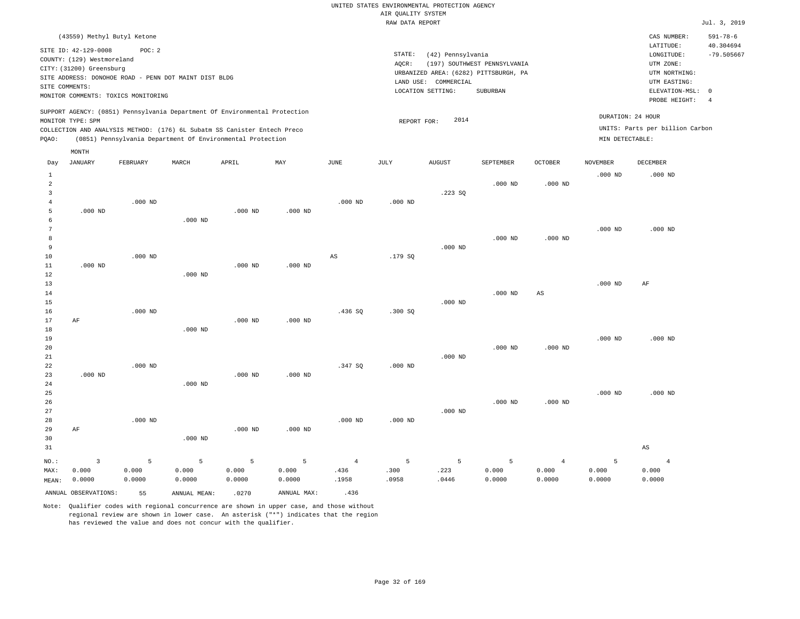|                                                  |                                                                                                                                                                                                                                                                                          |                 |                                                            |                 |                 |                | ----- ------ ---- ----                                                                                                                                                 |                |                 |                    |                 |                                                      | ------                                                                                           |
|--------------------------------------------------|------------------------------------------------------------------------------------------------------------------------------------------------------------------------------------------------------------------------------------------------------------------------------------------|-----------------|------------------------------------------------------------|-----------------|-----------------|----------------|------------------------------------------------------------------------------------------------------------------------------------------------------------------------|----------------|-----------------|--------------------|-----------------|------------------------------------------------------|--------------------------------------------------------------------------------------------------|
|                                                  | (43559) Methyl Butyl Ketone                                                                                                                                                                                                                                                              |                 |                                                            |                 |                 |                |                                                                                                                                                                        |                |                 |                    |                 | CAS NUMBER:<br>LATITUDE:                             | $591 - 78 - 6$                                                                                   |
|                                                  | SITE ID: 42-129-0008<br>POC: 2<br>COUNTY: (129) Westmoreland<br>CITY: (31200) Greensburg<br>SITE ADDRESS: DONOHOE ROAD - PENN DOT MAINT DIST BLDG<br>SITE COMMENTS:<br>MONITOR COMMENTS: TOXICS MONITORING<br>SUPPORT AGENCY: (0851) Pennsylvania Department Of Environmental Protection |                 |                                                            |                 |                 |                | STATE:<br>(42) Pennsylvania<br>AQCR:<br>(197) SOUTHWEST PENNSYLVANIA<br>URBANIZED AREA: (6282) PITTSBURGH, PA<br>LAND USE: COMMERCIAL<br>LOCATION SETTING:<br>SUBURBAN |                |                 |                    |                 |                                                      | 40.304694<br>$-79.505667$<br>ELEVATION-MSL:<br>$\overline{0}$<br>PROBE HEIGHT:<br>$\overline{4}$ |
|                                                  | MONITOR TYPE: SPM<br>COLLECTION AND ANALYSIS METHOD: (176) 6L Subatm SS Canister Entech Preco                                                                                                                                                                                            |                 |                                                            |                 |                 |                | REPORT FOR:                                                                                                                                                            | 2014           |                 |                    |                 | DURATION: 24 HOUR<br>UNITS: Parts per billion Carbon |                                                                                                  |
| PQAO:                                            |                                                                                                                                                                                                                                                                                          |                 | (0851) Pennsylvania Department Of Environmental Protection |                 |                 |                |                                                                                                                                                                        |                |                 |                    | MIN DETECTABLE: |                                                      |                                                                                                  |
|                                                  | MONTH                                                                                                                                                                                                                                                                                    |                 |                                                            |                 |                 |                |                                                                                                                                                                        |                |                 |                    |                 |                                                      |                                                                                                  |
| Day                                              | JANUARY                                                                                                                                                                                                                                                                                  | FEBRUARY        | MARCH                                                      | APRIL           | MAY             | JUNE           | JULY                                                                                                                                                                   | ${\tt AUGUST}$ | SEPTEMBER       | $\mathtt{OCTOBER}$ | <b>NOVEMBER</b> | <b>DECEMBER</b>                                      |                                                                                                  |
| $\mathbf{1}$<br>$\overline{a}$<br>$\overline{3}$ |                                                                                                                                                                                                                                                                                          |                 |                                                            |                 |                 |                |                                                                                                                                                                        | .223S          | $.000$ ND       | $.000$ ND          | $.000$ ND       | $.000$ ND                                            |                                                                                                  |
| $\overline{4}$<br>5<br>6                         | $.000$ ND                                                                                                                                                                                                                                                                                | $.000$ ND       | $.000$ ND                                                  | $.000$ ND       | $.000$ ND       | $.000$ ND      | $.000$ ND                                                                                                                                                              |                |                 |                    |                 |                                                      |                                                                                                  |
| 7<br>8<br>9                                      |                                                                                                                                                                                                                                                                                          |                 |                                                            |                 |                 |                |                                                                                                                                                                        | $.000$ ND      | $.000$ ND       | $.000$ ND          | $.000$ ND       | $.000$ ND                                            |                                                                                                  |
| $10$<br>$11\,$<br>12                             | $.000$ ND                                                                                                                                                                                                                                                                                | $.000$ ND       | $.000$ ND                                                  | $.000$ ND       | $.000$ ND       | $_{\rm AS}$    | .179 SQ                                                                                                                                                                |                |                 |                    |                 |                                                      |                                                                                                  |
| 13<br>14<br>15                                   |                                                                                                                                                                                                                                                                                          |                 |                                                            |                 |                 |                |                                                                                                                                                                        | $.000$ ND      | $.000$ ND       | $_{\rm AS}$        | $.000$ ND       | $\rm AF$                                             |                                                                                                  |
| 16<br>17<br>18                                   | AF                                                                                                                                                                                                                                                                                       | $.000$ ND       | $.000$ ND                                                  | $.000$ ND       | $.000$ ND       | .436SQ         | .300SQ                                                                                                                                                                 |                |                 |                    |                 |                                                      |                                                                                                  |
| 19<br>20<br>21                                   |                                                                                                                                                                                                                                                                                          |                 |                                                            |                 |                 |                |                                                                                                                                                                        | $.000$ ND      | $.000$ ND       | $.000$ ND          | $.000$ ND       | $.000$ ND                                            |                                                                                                  |
| 22<br>23<br>24                                   | $.000$ ND                                                                                                                                                                                                                                                                                | $.000$ ND       | $.000$ ND                                                  | $.000$ ND       | $.000$ ND       | .347 SQ        | $.000$ ND                                                                                                                                                              |                |                 |                    |                 |                                                      |                                                                                                  |
| 25<br>26<br>27<br>28                             |                                                                                                                                                                                                                                                                                          | $.000$ ND       |                                                            |                 |                 | $.000$ ND      | $.000$ ND                                                                                                                                                              | $.000$ ND      | $.000$ ND       | $.000$ ND          | $.000$ ND       | $.000$ ND                                            |                                                                                                  |
| 29<br>30<br>31                                   | AF                                                                                                                                                                                                                                                                                       |                 | $.000$ ND                                                  | $.000$ ND       | $.000$ ND       |                |                                                                                                                                                                        |                |                 |                    |                 | $\mathbb{A}\mathbb{S}$                               |                                                                                                  |
| NO.:                                             | $\overline{\mathbf{3}}$                                                                                                                                                                                                                                                                  | 5               | 5                                                          | 5               | 5               | $\overline{4}$ | 5                                                                                                                                                                      | 5              | 5               | $\overline{4}$     | 5               | $\overline{4}$                                       |                                                                                                  |
| MAX:<br>MEAN:                                    | 0.000<br>0.0000                                                                                                                                                                                                                                                                          | 0.000<br>0.0000 | 0.000<br>0.0000                                            | 0.000<br>0.0000 | 0.000<br>0.0000 | .436<br>.1958  | .300<br>.0958                                                                                                                                                          | .223<br>.0446  | 0.000<br>0.0000 | 0.000<br>0.0000    | 0.000<br>0.0000 | 0.000<br>0.0000                                      |                                                                                                  |
|                                                  | ANNUAL OBSERVATIONS:                                                                                                                                                                                                                                                                     | 55              | ANNUAL MEAN:                                               | .0270           | ANNUAL MAX:     | .436           |                                                                                                                                                                        |                |                 |                    |                 |                                                      |                                                                                                  |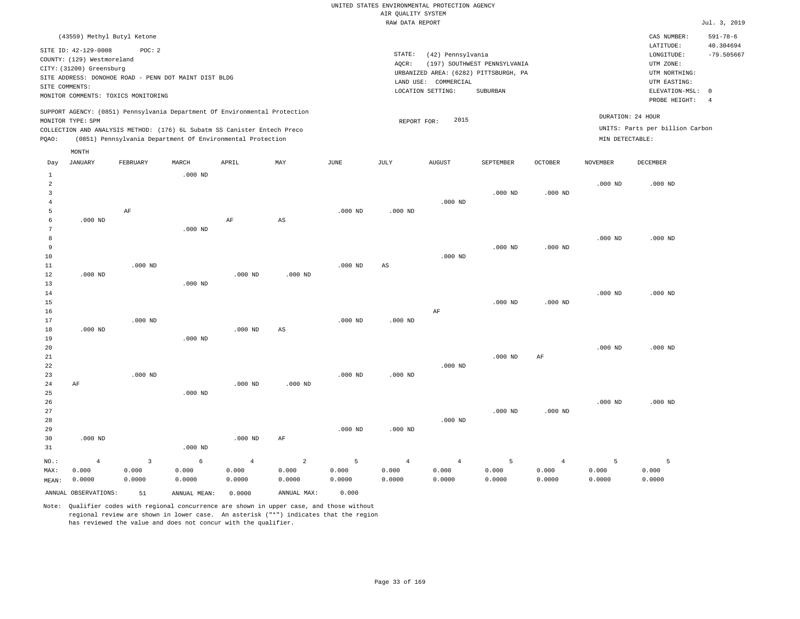# UNITED STATES ENVIRONMENTAL PROTECTION AGENCY AIR QUALITY SYSTEM

|                                          |                                                                                                  |                                                                                                                                        |           |                |                |           | RAW DATA REPORT |                                                                |                                                                                   |                |                 |                                                                                                          | Jul. 3, 2019                                                  |
|------------------------------------------|--------------------------------------------------------------------------------------------------|----------------------------------------------------------------------------------------------------------------------------------------|-----------|----------------|----------------|-----------|-----------------|----------------------------------------------------------------|-----------------------------------------------------------------------------------|----------------|-----------------|----------------------------------------------------------------------------------------------------------|---------------------------------------------------------------|
|                                          |                                                                                                  | (43559) Methyl Butyl Ketone                                                                                                            |           |                |                |           |                 |                                                                |                                                                                   |                |                 | CAS NUMBER:                                                                                              | $591 - 78 - 6$                                                |
|                                          | SITE ID: 42-129-0008<br>COUNTY: (129) Westmoreland<br>CITY: (31200) Greensburg<br>SITE COMMENTS: | POC: 2<br>SITE ADDRESS: DONOHOE ROAD - PENN DOT MAINT DIST BLDG<br>MONITOR COMMENTS: TOXICS MONITORING                                 |           |                |                |           | STATE:<br>AQCR: | (42) Pennsylvania<br>LAND USE: COMMERCIAL<br>LOCATION SETTING: | (197) SOUTHWEST PENNSYLVANIA<br>URBANIZED AREA: (6282) PITTSBURGH, PA<br>SUBURBAN |                |                 | LATITUDE:<br>LONGITUDE:<br>UTM ZONE:<br>UTM NORTHING:<br>UTM EASTING:<br>ELEVATION-MSL:<br>PROBE HEIGHT: | 40.304694<br>$-79.505667$<br>$\overline{0}$<br>$\overline{4}$ |
|                                          |                                                                                                  | SUPPORT AGENCY: (0851) Pennsylvania Department Of Environmental Protection                                                             |           |                |                |           |                 |                                                                |                                                                                   |                |                 |                                                                                                          |                                                               |
| PQAO:                                    | MONITOR TYPE: SPM                                                                                | COLLECTION AND ANALYSIS METHOD: (176) 6L Subatm SS Canister Entech Preco<br>(0851) Pennsylvania Department Of Environmental Protection |           |                |                |           | REPORT FOR:     | 2015                                                           |                                                                                   |                | MIN DETECTABLE: | DURATION: 24 HOUR<br>UNITS: Parts per billion Carbon                                                     |                                                               |
|                                          | MONTH                                                                                            |                                                                                                                                        |           |                |                |           |                 |                                                                |                                                                                   |                |                 |                                                                                                          |                                                               |
| Day                                      | <b>JANUARY</b>                                                                                   | FEBRUARY                                                                                                                               | MARCH     | APRIL          | MAY            | JUNE      | JULY            | <b>AUGUST</b>                                                  | SEPTEMBER                                                                         | <b>OCTOBER</b> | <b>NOVEMBER</b> | DECEMBER                                                                                                 |                                                               |
| $\mathbf{1}$<br>2<br>3<br>$\overline{4}$ |                                                                                                  |                                                                                                                                        | $.000$ ND |                |                |           |                 | $.000$ ND                                                      | $.000$ ND                                                                         | $.000$ ND      | $.000$ ND       | $.000$ ND                                                                                                |                                                               |
| 5<br>6<br>7                              | $.000$ ND                                                                                        | AF                                                                                                                                     | $.000$ ND | AF             | AS             | $.000$ ND | $.000$ ND       |                                                                |                                                                                   |                |                 |                                                                                                          |                                                               |
| 8<br>9<br>10                             |                                                                                                  |                                                                                                                                        |           |                |                |           |                 | $.000$ ND                                                      | $.000$ ND                                                                         | $.000$ ND      | $.000$ ND       | $.000$ ND                                                                                                |                                                               |
| 11<br>12<br>13<br>14                     | $.000$ ND                                                                                        | $.000$ ND                                                                                                                              | $.000$ ND | $.000$ ND      | $.000$ ND      | $.000$ ND | AS              |                                                                |                                                                                   |                | $.000$ ND       | $.000$ ND                                                                                                |                                                               |
| 15<br>16<br>17                           |                                                                                                  | $.000$ ND                                                                                                                              |           |                |                | $.000$ ND | $.000$ ND       | AF                                                             | $.000$ ND                                                                         | $.000$ ND      |                 |                                                                                                          |                                                               |
| 18<br>19<br>20                           | $.000$ ND                                                                                        |                                                                                                                                        | $.000$ ND | $.000$ ND      | $_{\rm AS}$    |           |                 |                                                                |                                                                                   |                | $.000$ ND       | $.000$ ND                                                                                                |                                                               |
| 21<br>22<br>23                           |                                                                                                  | $.000$ ND                                                                                                                              |           |                |                | $.000$ ND | $.000$ ND       | $.000$ ND                                                      | $.000$ ND                                                                         | $\rm{AF}$      |                 |                                                                                                          |                                                               |
| 24<br>25<br>26<br>27                     | AF                                                                                               |                                                                                                                                        | $.000$ ND | $.000$ ND      | $.000$ ND      |           |                 |                                                                | $.000$ ND                                                                         | $.000$ ND      | $.000$ ND       | $.000$ ND                                                                                                |                                                               |
| 28<br>29<br>30<br>31                     | $.000$ ND                                                                                        |                                                                                                                                        | $.000$ ND | $.000$ ND      | $\rm AF$       | $.000$ ND | $.000$ ND       | $.000$ ND                                                      |                                                                                   |                |                 |                                                                                                          |                                                               |
| NO.:                                     | $\overline{4}$                                                                                   | $\overline{3}$                                                                                                                         | 6         | $\overline{4}$ | $\overline{2}$ | 5         | $\overline{4}$  | $\overline{4}$                                                 | 5                                                                                 | $\overline{4}$ | 5               | 5                                                                                                        |                                                               |

| $NO.$ : |                      |        |              |        |             |        |        |        |        |        |        |        |
|---------|----------------------|--------|--------------|--------|-------------|--------|--------|--------|--------|--------|--------|--------|
| MAX:    | 0.000                | 0.000  | 0.000        | 0.000  | 0.000       | 0.000  | 0.000  | 0.000  | 0.000  | 0.000  | 0.000  | 0.000  |
| MEAN:   | 0.0000               | 0.0000 | ,0000        | 0.0000 | 0.0000      | 0.0000 | 0.0000 | 0.0000 | 0.0000 | 0.0000 | 0.0000 | 0.0000 |
|         | ANNUAL OBSERVATIONS: | 51     | ANNUAL MEAN: | .0000  | ANNUAL MAX: | 0.000  |        |        |        |        |        |        |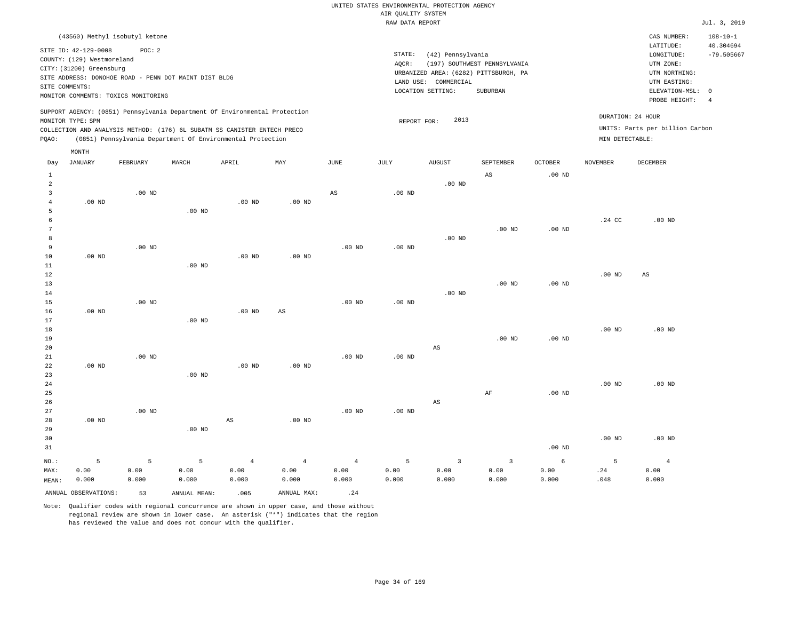| (43560) Methyl isobutyl ketone                                                                                                                                                                                                                              |                                                                                                                                                                        | CAS NUMBER:                                                                                                | $108 - 10 - 1$                  |
|-------------------------------------------------------------------------------------------------------------------------------------------------------------------------------------------------------------------------------------------------------------|------------------------------------------------------------------------------------------------------------------------------------------------------------------------|------------------------------------------------------------------------------------------------------------|---------------------------------|
| SITE ID: 42-129-0008<br>POC: 2<br>COUNTY: (129) Westmoreland<br>CITY: (31200) Greensburg<br>SITE ADDRESS: DONOHOE ROAD - PENN DOT MAINT DIST BLDG<br>SITE COMMENTS:<br>MONITOR COMMENTS: TOXICS MONITORING                                                  | STATE:<br>(42) Pennsylvania<br>(197) SOUTHWEST PENNSYLVANIA<br>AOCR:<br>URBANIZED AREA: (6282) PITTSBURGH, PA<br>LAND USE: COMMERCIAL<br>LOCATION SETTING:<br>SUBURBAN | LATITUDE:<br>LONGITUDE:<br>UTM ZONE:<br>UTM NORTHING:<br>UTM EASTING:<br>ELEVATION-MSL: 0<br>PROBE HEIGHT: | 40.304694<br>$-79.505667$<br>-4 |
| SUPPORT AGENCY: (0851) Pennsylvania Department Of Environmental Protection<br>MONITOR TYPE: SPM<br>COLLECTION AND ANALYSIS METHOD: (176) 6L SUBATM SS CANISTER ENTECH PRECO<br>(0851) Pennsylvania Department Of Environmental Protection<br>POAO:<br>MONTH | DURATION: 24 HOUR<br>2013<br>REPORT FOR:<br>MIN DETECTABLE:                                                                                                            | UNITS: Parts per billion Carbon                                                                            |                                 |

| Day            | JANUARY              | FEBRUARY | MARCH        | APRIL             | MAY                    | JUNE              | JULY              | ${\tt AUGUST}$         | SEPTEMBER      | OCTOBER           | NOVEMBER | DECEMBER               |
|----------------|----------------------|----------|--------------|-------------------|------------------------|-------------------|-------------------|------------------------|----------------|-------------------|----------|------------------------|
| $\mathbf{1}$   |                      |          |              |                   |                        |                   |                   |                        | AS             | .00 <sub>ND</sub> |          |                        |
| $\overline{a}$ |                      |          |              |                   |                        |                   |                   | .00 $ND$               |                |                   |          |                        |
| 3              |                      | $.00$ ND |              |                   |                        | $_{\rm AS}$       | $.00$ ND          |                        |                |                   |          |                        |
| $\overline{4}$ | $.00$ ND             |          |              | .00 <sub>ND</sub> | .00 $ND$               |                   |                   |                        |                |                   |          |                        |
| 5              |                      |          | $.00$ ND     |                   |                        |                   |                   |                        |                |                   |          |                        |
| 6              |                      |          |              |                   |                        |                   |                   |                        |                |                   | $.24$ CC | $.00$ ND               |
| 7              |                      |          |              |                   |                        |                   |                   |                        | $.00$ ND       | .00 <sub>ND</sub> |          |                        |
| 8              |                      |          |              |                   |                        |                   |                   | $.00$ ND               |                |                   |          |                        |
| 9              |                      | $.00$ ND |              |                   |                        | $.00$ ND          | .00 <sub>ND</sub> |                        |                |                   |          |                        |
| 10             | $.00$ ND             |          |              | .00 <sub>ND</sub> | $.00$ ND               |                   |                   |                        |                |                   |          |                        |
| $11\,$         |                      |          | $.00$ ND     |                   |                        |                   |                   |                        |                |                   |          |                        |
| 12             |                      |          |              |                   |                        |                   |                   |                        |                |                   | $.00$ ND | $\mathbb{A}\mathbb{S}$ |
| $13$           |                      |          |              |                   |                        |                   |                   |                        | $.00$ ND       | .00 <sub>ND</sub> |          |                        |
| $14$           |                      |          |              |                   |                        |                   |                   | $.00$ ND               |                |                   |          |                        |
| 15             |                      | $.00$ ND |              |                   |                        | .00 <sub>ND</sub> | $.00$ ND          |                        |                |                   |          |                        |
| 16             | $.00$ ND             |          |              | .00 <sub>ND</sub> | $\mathbb{A}\mathbb{S}$ |                   |                   |                        |                |                   |          |                        |
| 17             |                      |          | $.00$ ND     |                   |                        |                   |                   |                        |                |                   |          |                        |
| 18             |                      |          |              |                   |                        |                   |                   |                        |                |                   | $.00$ ND | $.00$ ND               |
| 19             |                      |          |              |                   |                        |                   |                   |                        | $.00$ ND       | $.00$ ND          |          |                        |
| 20             |                      |          |              |                   |                        |                   |                   | $\mathbb{A}\mathbb{S}$ |                |                   |          |                        |
| $21\,$         |                      | $.00$ ND |              |                   |                        | .00 <sub>ND</sub> | .00 $ND$          |                        |                |                   |          |                        |
| 22             | .00 <sub>ND</sub>    |          |              | .00 <sub>ND</sub> | $.00$ ND               |                   |                   |                        |                |                   |          |                        |
| 23             |                      |          | $.00$ ND     |                   |                        |                   |                   |                        |                |                   |          |                        |
| 24             |                      |          |              |                   |                        |                   |                   |                        |                |                   | $.00$ ND | $.00$ ND               |
| 25             |                      |          |              |                   |                        |                   |                   |                        | $\rm AF$       | .00 <sub>ND</sub> |          |                        |
| 26             |                      |          |              |                   |                        |                   |                   | $\mathbb{A}\mathbb{S}$ |                |                   |          |                        |
| 27             |                      | $.00$ ND |              |                   |                        | .00 <sub>ND</sub> | $.00$ ND          |                        |                |                   |          |                        |
| 28             | $.00$ ND             |          |              | AS                | .00 <sub>ND</sub>      |                   |                   |                        |                |                   |          |                        |
| 29             |                      |          | $.00$ ND     |                   |                        |                   |                   |                        |                |                   |          |                        |
| 30             |                      |          |              |                   |                        |                   |                   |                        |                |                   | $.00$ ND | $.00$ ND               |
| 31             |                      |          |              |                   |                        |                   |                   |                        |                | .00 <sub>ND</sub> |          |                        |
| $NO.$ :        | 5                    | 5        | 5            | $\overline{4}$    | $\overline{4}$         | $\overline{4}$    | 5                 | $\overline{3}$         | $\overline{3}$ | 6                 | 5        | $\overline{4}$         |
| MAX:           | 0.00                 | 0.00     | 0.00         | 0.00              | 0.00                   | 0.00              | 0.00              | 0.00                   | 0.00           | 0.00              | .24      | 0.00                   |
| MEAN:          | 0.000                | 0.000    | 0.000        | 0.000             | 0.000                  | 0.000             | 0.000             | 0.000                  | 0.000          | 0.000             | .048     | 0.000                  |
|                | ANNUAL OBSERVATIONS: | 53       | ANNUAL MEAN: | .005              | ANNUAL MAX:            | .24               |                   |                        |                |                   |          |                        |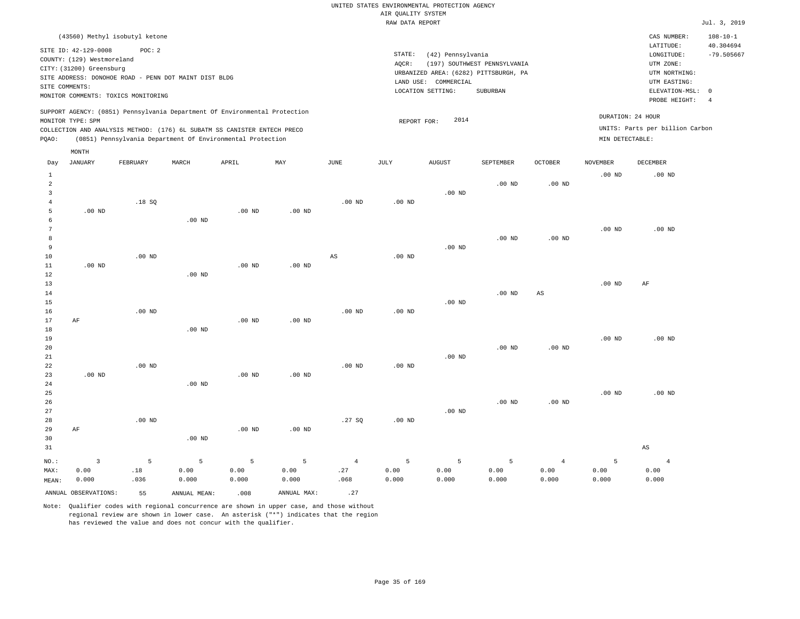|                                                                                                                                                                        | CAS NUMBER:                                                                                                      |                                             |
|------------------------------------------------------------------------------------------------------------------------------------------------------------------------|------------------------------------------------------------------------------------------------------------------|---------------------------------------------|
| STATE:<br>(42) Pennsylvania<br>(197) SOUTHWEST PENNSYLVANIA<br>AOCR:<br>URBANIZED AREA: (6282) PITTSBURGH, PA<br>LAND USE: COMMERCIAL<br>LOCATION SETTING:<br>SUBURBAN | LATITUDE:<br>LONGITUDE:<br>UTM ZONE:<br>UTM NORTHING:<br>UTM EASTING:<br>ELEVATION-MSL: 0<br>PROBE HEIGHT:<br>-4 |                                             |
| 2014<br>REPORT FOR:                                                                                                                                                    | DURATION: 24 HOUR<br>UNITS: Parts per billion Carbon<br>MIN DETECTABLE:                                          |                                             |
|                                                                                                                                                                        |                                                                                                                  | $108 - 10 - 1$<br>40.304694<br>$-79.505667$ |

| Day                                      | JANUARY                         | FEBRUARY         | $\tt MARCH$        | APRIL              | MAY                | JUNE                          | $\mathtt{JULY}$    | AUGUST             | SEPTEMBER          | OCTOBER                         | NOVEMBER           | DECEMBER                        |
|------------------------------------------|---------------------------------|------------------|--------------------|--------------------|--------------------|-------------------------------|--------------------|--------------------|--------------------|---------------------------------|--------------------|---------------------------------|
| $\mathbf{1}$<br>$\overline{a}$<br>3<br>4 |                                 | .18S             |                    |                    |                    | $.00$ ND                      | $.00$ ND           | $.00$ ND           | $.00$ ND           | .00 $ND$                        | $.00$ ND           | .00 <sub>ND</sub>               |
| 5<br>6<br>7                              | $.00$ ND                        |                  | $.00$ ND           | $.00$ ND           | $.00$ ND           |                               |                    |                    |                    |                                 | $.00$ ND           | $.00$ ND                        |
| 8<br>9<br>$10$                           |                                 | $.00$ ND         |                    |                    |                    | AS                            | .00 $ND$           | $.00$ ND           | $.00$ ND           | $.00$ ND                        |                    |                                 |
| 11<br>12<br>13                           | $.00$ ND                        |                  | $.00$ ND           | $.00$ ND           | $.00$ ND           |                               |                    |                    |                    |                                 | $.00$ ND           | AF                              |
| 14<br>15<br>16                           |                                 | $.00$ ND         |                    |                    |                    | $.00$ ND                      | $.00$ ND           | .00 $ND$           | $.00$ ND           | AS                              |                    |                                 |
| 17<br>18<br>19                           | AF                              |                  | $.00$ ND           | .00 <sub>ND</sub>  | $.00$ ND           |                               |                    |                    |                    |                                 | $.00$ ND           | $.00$ ND                        |
| 20<br>$2\sqrt{1}$<br>$2\sqrt{2}$         |                                 | $.00$ ND         |                    |                    |                    | $.00$ ND                      | $.00$ ND           | $.00$ ND           | $.00$ ND           | $.00$ ND                        |                    |                                 |
| 23<br>$2\sqrt{4}$<br>25                  | $.00$ ND                        |                  | $.00$ ND           | $.00$ ND           | .00 $ND$           |                               |                    |                    |                    |                                 | $.00$ ND           | $.00$ ND                        |
| 26<br>27<br>28                           |                                 | $.00$ ND         |                    |                    |                    | .27SQ                         | $.00$ ND           | $.00$ ND           | $.00$ ND           | $.00$ ND                        |                    |                                 |
| 29<br>30<br>31                           | $\rm AF$                        |                  | $.00$ ND           | $.00$ ND           | $.00$ ND           |                               |                    |                    |                    |                                 |                    | $\mathbb{A}\mathbb{S}$          |
| $NO.$ :<br>MAX:<br>MEAN:                 | $\overline{3}$<br>0.00<br>0.000 | 5<br>.18<br>.036 | 5<br>0.00<br>0.000 | 5<br>0.00<br>0.000 | 5<br>0.00<br>0.000 | $\overline{4}$<br>.27<br>.068 | 5<br>0.00<br>0.000 | 5<br>0.00<br>0.000 | 5<br>0.00<br>0.000 | $\overline{4}$<br>0.00<br>0.000 | 5<br>0.00<br>0.000 | $\overline{4}$<br>0.00<br>0.000 |
|                                          | ANNUAL OBSERVATIONS:            | 55               | ANNUAL MEAN:       | .008               | ANNUAL MAX:        | .27                           |                    |                    |                    |                                 |                    |                                 |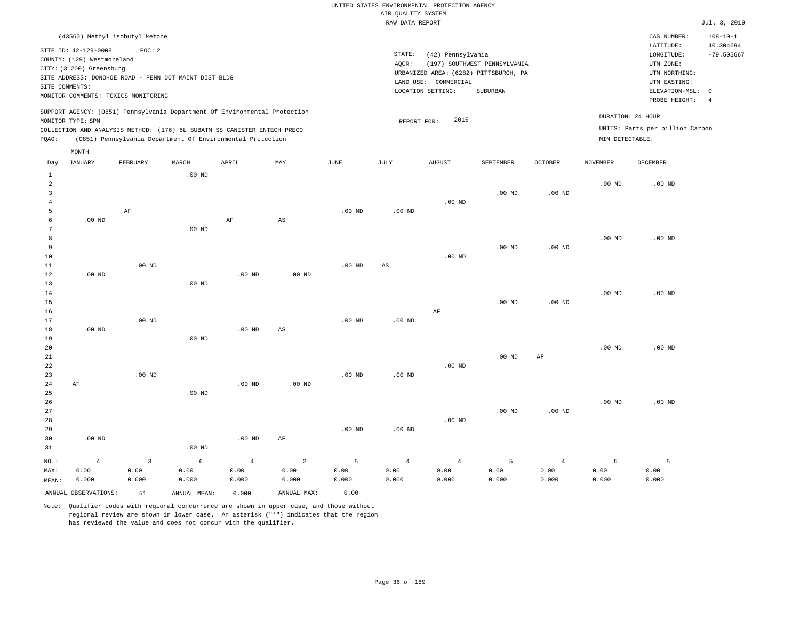| (43560) Methyl isobutyl ketone                                                                                                                                                                                                                     |                                                                                                                                                                        | CAS NUMBER:                                                                                                | $108 - 10 - 1$            |
|----------------------------------------------------------------------------------------------------------------------------------------------------------------------------------------------------------------------------------------------------|------------------------------------------------------------------------------------------------------------------------------------------------------------------------|------------------------------------------------------------------------------------------------------------|---------------------------|
| SITE ID: 42-129-0008<br>POC:2<br>COUNTY: (129) Westmoreland<br>CITY: (31200) Greensburg<br>SITE ADDRESS: DONOHOE ROAD - PENN DOT MAINT DIST BLDG<br>SITE COMMENTS:<br>MONITOR COMMENTS: TOXICS MONITORING                                          | STATE:<br>(42) Pennsylvania<br>(197) SOUTHWEST PENNSYLVANIA<br>AOCR:<br>URBANIZED AREA: (6282) PITTSBURGH, PA<br>LAND USE: COMMERCIAL<br>LOCATION SETTING:<br>SUBURBAN | LATITUDE:<br>LONGITUDE:<br>UTM ZONE:<br>UTM NORTHING:<br>UTM EASTING:<br>ELEVATION-MSL: 0<br>PROBE HEIGHT: | 40.304694<br>$-79.505667$ |
| SUPPORT AGENCY: (0851) Pennsylvania Department Of Environmental Protection<br>MONITOR TYPE: SPM<br>COLLECTION AND ANALYSIS METHOD: (176) 6L SUBATM SS CANISTER ENTECH PRECO<br>(0851) Pennsylvania Department Of Environmental Protection<br>POAO: | DURATION: 24 HOUR<br>2015<br>REPORT FOR:<br>MIN DETECTABLE:                                                                                                            | UNITS: Parts per billion Carbon                                                                            |                           |

| Day            | <b>JANUARY</b>       | FEBRUARY     | MARCH        | APRIL          | MAY         | $_{\rm JUNE}$ | JULY           | AUGUST         | SEPTEMBER      | OCTOBER           | NOVEMBER | DECEMBER |
|----------------|----------------------|--------------|--------------|----------------|-------------|---------------|----------------|----------------|----------------|-------------------|----------|----------|
| $\mathbf{1}$   |                      |              | .00 $ND$     |                |             |               |                |                |                |                   |          |          |
| $\overline{a}$ |                      |              |              |                |             |               |                |                |                |                   | $.00$ ND | $.00$ ND |
| 3              |                      |              |              |                |             |               |                |                | $.00$ ND       | $.00$ ND          |          |          |
| 4              |                      |              |              |                |             |               |                | $.00$ ND       |                |                   |          |          |
| 5              |                      | AF           |              |                |             | $.00$ ND      | $.00$ ND       |                |                |                   |          |          |
| 6              | $.00$ ND             |              |              | $\rm AF$       | AS          |               |                |                |                |                   |          |          |
| 7              |                      |              | $.00$ ND     |                |             |               |                |                |                |                   |          |          |
| 8              |                      |              |              |                |             |               |                |                |                |                   | $.00$ ND | $.00$ ND |
| 9              |                      |              |              |                |             |               |                |                | $.00$ ND       | $.00$ ND          |          |          |
| 10             |                      |              |              |                |             |               |                | $.00$ ND       |                |                   |          |          |
| 11             |                      | $.00$ ND     |              |                |             | $.00$ ND      | AS             |                |                |                   |          |          |
| 12             | $.00$ ND             |              |              | $.00$ ND       | $.00$ ND    |               |                |                |                |                   |          |          |
| 13             |                      |              | $.00$ ND     |                |             |               |                |                |                |                   |          |          |
| 14             |                      |              |              |                |             |               |                |                |                |                   | $.00$ ND | $.00$ ND |
| 15             |                      |              |              |                |             |               |                |                | $.00$ ND       | .00 <sub>ND</sub> |          |          |
| 16             |                      | $.00$ ND     |              |                |             | $.00$ ND      |                | $\rm AF$       |                |                   |          |          |
| 17             |                      |              |              | .00 $ND$       | AS          |               | $.00$ ND       |                |                |                   |          |          |
| 18<br>19       | $.00$ ND             |              | $.00$ ND     |                |             |               |                |                |                |                   |          |          |
| 20             |                      |              |              |                |             |               |                |                |                |                   | $.00$ ND | $.00$ ND |
| 21             |                      |              |              |                |             |               |                |                | $.00$ ND       | AF                |          |          |
| 22             |                      |              |              |                |             |               |                | $.00$ ND       |                |                   |          |          |
| 23             |                      | $.00$ ND     |              |                |             | $.00$ ND      | $.00$ ND       |                |                |                   |          |          |
| 24             | AF                   |              |              | $.00$ ND       | $.00$ ND    |               |                |                |                |                   |          |          |
| 25             |                      |              | $.00$ ND     |                |             |               |                |                |                |                   |          |          |
| 26             |                      |              |              |                |             |               |                |                |                |                   | $.00$ ND | $.00$ ND |
| 27             |                      |              |              |                |             |               |                |                | $.00$ ND       | .00 <sub>ND</sub> |          |          |
| 28             |                      |              |              |                |             |               |                | $.00$ ND       |                |                   |          |          |
| 29             |                      |              |              |                |             | $.00$ ND      | $.00$ ND       |                |                |                   |          |          |
| 30             | $.00$ ND             |              |              | $.00$ ND       | AF          |               |                |                |                |                   |          |          |
| 31             |                      |              | $.00$ ND     |                |             |               |                |                |                |                   |          |          |
| $NO.$ :        | $\overline{4}$       | $\mathbf{3}$ | 6            | $\overline{4}$ | $\sqrt{2}$  | 5             | $\overline{4}$ | $\overline{4}$ | $\overline{5}$ | $\overline{4}$    | 5        | 5        |
| MAX:           | 0.00                 | 0.00         | 0.00         | 0.00           | 0.00        | 0.00          | 0.00           | 0.00           | 0.00           | 0.00              | 0.00     | 0.00     |
| MEAN:          | 0.000                | 0.000        | 0.000        | 0.000          | 0.000       | 0.000         | 0.000          | 0.000          | 0.000          | 0.000             | 0.000    | 0.000    |
|                | ANNUAL OBSERVATIONS: | 51           | ANNUAL MEAN: | 0.000          | ANNUAL MAX: | 0.00          |                |                |                |                   |          |          |

Note: Qualifier codes with regional concurrence are shown in upper case, and those without regional review are shown in lower case. An asterisk ("\*") indicates that the region has reviewed the value and does not concur with the qualifier.

MONTH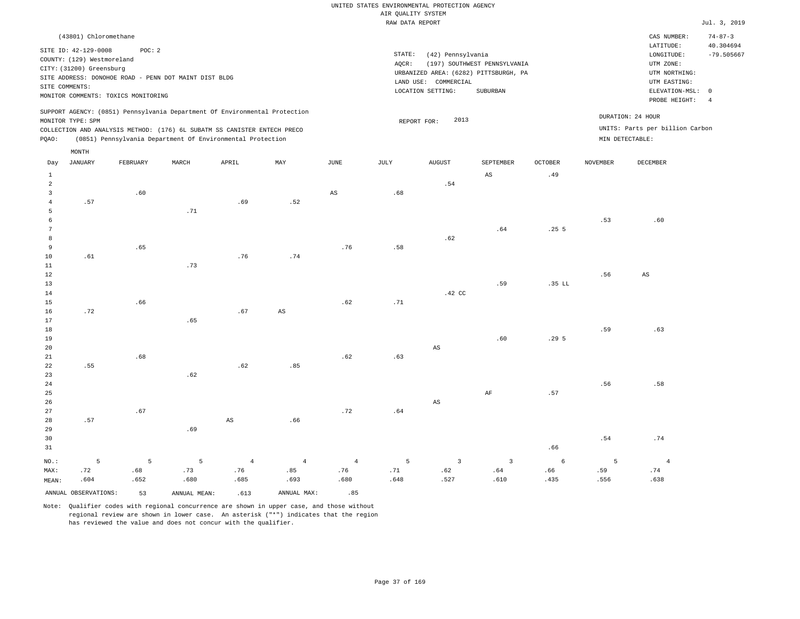|       | (43801) Chloromethane                                                                            |                                                                                                       |       |                                                                                                                                                                                                                      |     |      |                              |                                                                                               |                                          |                |                 | CAS NUMBER:                                                                                              | $74 - 87 - 3$                                           |
|-------|--------------------------------------------------------------------------------------------------|-------------------------------------------------------------------------------------------------------|-------|----------------------------------------------------------------------------------------------------------------------------------------------------------------------------------------------------------------------|-----|------|------------------------------|-----------------------------------------------------------------------------------------------|------------------------------------------|----------------|-----------------|----------------------------------------------------------------------------------------------------------|---------------------------------------------------------|
|       | SITE ID: 42-129-0008<br>COUNTY: (129) Westmoreland<br>CITY: (31200) Greensburg<br>SITE COMMENTS: | POC:2<br>SITE ADDRESS: DONOHOE ROAD - PENN DOT MAINT DIST BLDG<br>MONITOR COMMENTS: TOXICS MONITORING |       |                                                                                                                                                                                                                      |     |      | STATE:<br>AQCR:<br>LAND USE: | (42) Pennsylvania<br>URBANIZED AREA: (6282) PITTSBURGH, PA<br>COMMERCIAL<br>LOCATION SETTING: | (197) SOUTHWEST PENNSYLVANIA<br>SUBURBAN |                |                 | LATITUDE:<br>LONGITUDE:<br>UTM ZONE:<br>UTM NORTHING:<br>UTM EASTING:<br>ELEVATION-MSL:<br>PROBE HEIGHT: | 40.304694<br>$-79.505667$<br>$\Omega$<br>$\overline{4}$ |
| POAO: | MONITOR TYPE: SPM                                                                                |                                                                                                       |       | SUPPORT AGENCY: (0851) Pennsylvania Department Of Environmental Protection<br>COLLECTION AND ANALYSIS METHOD: (176) 6L SUBATM SS CANISTER ENTECH PRECO<br>(0851) Pennsylvania Department Of Environmental Protection |     |      |                              | 2013<br>REPORT FOR:                                                                           |                                          |                |                 | DURATION: 24 HOUR<br>UNITS: Parts per billion Carbon<br>MIN DETECTABLE:                                  |                                                         |
|       | MONTH                                                                                            |                                                                                                       |       |                                                                                                                                                                                                                      |     |      |                              |                                                                                               |                                          |                |                 |                                                                                                          |                                                         |
| Day   | JANUARY                                                                                          | FEBRUARY                                                                                              | MARCH | APRIL                                                                                                                                                                                                                | MAY | JUNE | JULY                         | <b>AUGUST</b>                                                                                 | SEPTEMBER                                | <b>OCTOBER</b> | <b>NOVEMBER</b> | <b>DECEMBER</b>                                                                                          |                                                         |
|       |                                                                                                  |                                                                                                       |       |                                                                                                                                                                                                                      |     |      |                              |                                                                                               | AS                                       | .49            |                 |                                                                                                          |                                                         |
|       |                                                                                                  |                                                                                                       |       |                                                                                                                                                                                                                      |     |      |                              | .54                                                                                           |                                          |                |                 |                                                                                                          |                                                         |
|       |                                                                                                  | .60                                                                                                   |       |                                                                                                                                                                                                                      |     | AS   | .68                          |                                                                                               |                                          |                |                 |                                                                                                          |                                                         |
|       | .57                                                                                              |                                                                                                       |       | .69                                                                                                                                                                                                                  | .52 |      |                              |                                                                                               |                                          |                |                 |                                                                                                          |                                                         |

 5 6 7 8 9 10 .61 .65 .71 .76 .74 .76 .58 .62 .64 .25 5 .53 .60

| 11                                            |     |     | .73 |     |     |     |     |          |     |          |     |                        |
|-----------------------------------------------|-----|-----|-----|-----|-----|-----|-----|----------|-----|----------|-----|------------------------|
| 12                                            |     |     |     |     |     |     |     |          |     |          | .56 | $\mathbb{A}\mathbb{S}$ |
| $13$                                          |     |     |     |     |     |     |     |          | .59 | $.35$ LL |     |                        |
| $1\,4$                                        |     |     |     |     |     |     |     | $.42$ CC |     |          |     |                        |
| $15\,$                                        |     | .66 |     |     |     | .62 | .71 |          |     |          |     |                        |
| $16\,$                                        | .72 |     |     | .67 | AS  |     |     |          |     |          |     |                        |
| $17\,$                                        |     |     | .65 |     |     |     |     |          |     |          |     |                        |
| 18                                            |     |     |     |     |     |     |     |          |     |          | .59 | .63                    |
|                                               |     |     |     |     |     |     |     |          | .60 | .295     |     |                        |
| $\begin{array}{c} 19 \\ 20 \\ 21 \end{array}$ |     |     |     |     |     |     |     | AS       |     |          |     |                        |
|                                               |     | .68 |     |     |     | .62 | .63 |          |     |          |     |                        |
| $\begin{array}{c} 22 \\ 23 \end{array}$       | .55 |     |     | .62 | .85 |     |     |          |     |          |     |                        |
|                                               |     |     | .62 |     |     |     |     |          |     |          |     |                        |
| $24\,$                                        |     |     |     |     |     |     |     |          |     |          | .56 | .58                    |
| $\frac{25}{26}$                               |     |     |     |     |     |     |     |          | AF  | .57      |     |                        |
|                                               |     |     |     |     |     |     |     | AS       |     |          |     |                        |

27 28 29 30 31 .57 NO.: 5 .67 .69 AS .66 .72 .64 .66 .54 .74 5 5 4 4 4 5 3 3 6 5 4

> .76 .680

ANNUAL OBSERVATIONS: 53 ANNUAL MEAN: .613 ANNUAL MAX: .85

 .76 .685

 .85 .693

 .73 .680

MAX: MEAN:

 .72 .604  .68 .652

Note: Qualifier codes with regional concurrence are shown in upper case, and those without regional review are shown in lower case. An asterisk ("\*") indicates that the region has reviewed the value and does not concur with the qualifier.

 .71 .648

 .62 .527

 .64 .610  .66 .435

 .59 .556  .74 .638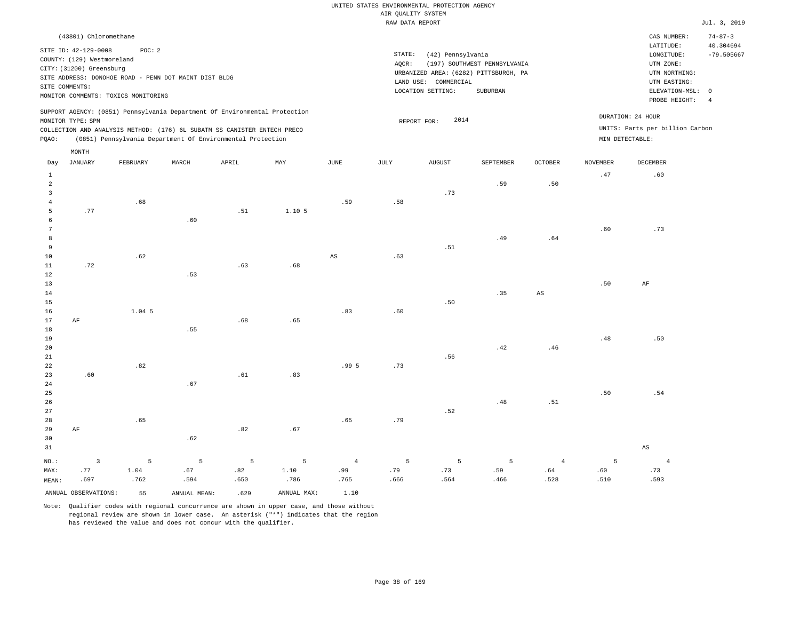|       | (43801) Chloromethane                                  |                                                       |       |                                                                                                                                        |        |      |        |                      |                                                                       |                |                 | CAS NUMBER:                     | $74 - 87 - 3$                |
|-------|--------------------------------------------------------|-------------------------------------------------------|-------|----------------------------------------------------------------------------------------------------------------------------------------|--------|------|--------|----------------------|-----------------------------------------------------------------------|----------------|-----------------|---------------------------------|------------------------------|
|       | SITE ID: 42-129-0008                                   | POC:2                                                 |       |                                                                                                                                        |        |      | STATE: | (42) Pennsylvania    |                                                                       |                |                 | LATITUDE:<br>LONGITUDE:         | 40.304694<br>$-79.505667$    |
|       | COUNTY: (129) Westmoreland<br>CITY: (31200) Greensburg |                                                       |       |                                                                                                                                        |        |      | AOCR:  |                      | (197) SOUTHWEST PENNSYLVANIA<br>URBANIZED AREA: (6282) PITTSBURGH, PA |                |                 | UTM ZONE:<br>UTM NORTHING:      |                              |
|       | SITE COMMENTS:                                         | SITE ADDRESS: DONOHOE ROAD - PENN DOT MAINT DIST BLDG |       |                                                                                                                                        |        |      |        | LAND USE: COMMERCIAL |                                                                       |                |                 | UTM EASTING:                    |                              |
|       |                                                        | MONITOR COMMENTS: TOXICS MONITORING                   |       |                                                                                                                                        |        |      |        | LOCATION SETTING:    | SUBURBAN                                                              |                |                 | ELEVATION-MSL:<br>PROBE HEIGHT: | $^{\circ}$<br>$\overline{4}$ |
|       | MONITOR TYPE: SPM                                      |                                                       |       | SUPPORT AGENCY: (0851) Pennsylvania Department Of Environmental Protection                                                             |        |      |        | 2014<br>REPORT FOR:  |                                                                       |                |                 | DURATION: 24 HOUR               |                              |
| POAO: |                                                        |                                                       |       | COLLECTION AND ANALYSIS METHOD: (176) 6L SUBATM SS CANISTER ENTECH PRECO<br>(0851) Pennsylvania Department Of Environmental Protection |        |      |        |                      |                                                                       |                | MIN DETECTABLE: | UNITS: Parts per billion Carbon |                              |
|       | MONTH                                                  |                                                       |       |                                                                                                                                        |        |      |        |                      |                                                                       |                |                 |                                 |                              |
| Day   | JANUARY                                                | FEBRUARY                                              | MARCH | APRIL                                                                                                                                  | MAY    | JUNE | JULY   | AUGUST               | SEPTEMBER                                                             | <b>OCTOBER</b> | NOVEMBER        | DECEMBER                        |                              |
|       |                                                        |                                                       |       |                                                                                                                                        |        |      |        |                      |                                                                       |                | .47             | .60                             |                              |
| 2     |                                                        |                                                       |       |                                                                                                                                        |        |      |        | .73                  | .59                                                                   | .50            |                 |                                 |                              |
|       |                                                        | .68                                                   |       |                                                                                                                                        |        | .59  | .58    |                      |                                                                       |                |                 |                                 |                              |
|       | .77                                                    |                                                       |       | .51                                                                                                                                    | 1.10 5 |      |        |                      |                                                                       |                |                 |                                 |                              |
| 6     |                                                        |                                                       | .60   |                                                                                                                                        |        |      |        |                      |                                                                       |                |                 |                                 |                              |

| $7\phantom{.0}$ |          |          |     |     |     |       |     |     |     |                        | .60 | .73      |
|-----------------|----------|----------|-----|-----|-----|-------|-----|-----|-----|------------------------|-----|----------|
| $^8\,$          |          |          |     |     |     |       |     |     | .49 | .64                    |     |          |
| 9               |          |          |     |     |     |       |     | .51 |     |                        |     |          |
| $10\,$          |          | .62      |     |     |     | AS    | .63 |     |     |                        |     |          |
| $1\,1$          | .72      |          |     | .63 | .68 |       |     |     |     |                        |     |          |
| $1\,2$          |          |          | .53 |     |     |       |     |     |     |                        |     |          |
| $1\sqrt{3}$     |          |          |     |     |     |       |     |     |     |                        | .50 | $\rm AF$ |
| $1\,4$          |          |          |     |     |     |       |     |     | .35 | $\mathbb{A}\mathbb{S}$ |     |          |
| $1\,5$          |          |          |     |     |     |       |     | .50 |     |                        |     |          |
| $16\,$          |          | $1.04$ 5 |     |     |     | .83   | .60 |     |     |                        |     |          |
| $17\,$          | $\rm AF$ |          |     | .68 |     |       |     |     |     |                        |     |          |
| $1\,8$          |          |          | .55 |     |     |       |     |     |     |                        |     |          |
| $19$            |          |          |     |     |     |       |     |     |     |                        | .48 | .50      |
| $20\,$          |          |          |     |     |     |       |     |     | .42 | .46                    |     |          |
| $2\sqrt{1}$     |          |          |     |     |     |       |     | .56 |     |                        |     |          |
| $2\sqrt{2}$     |          | .82      |     |     |     | .99 5 | .73 |     |     |                        |     |          |
| $2\sqrt{3}$     | .60      |          |     | .61 | .83 |       |     |     |     |                        |     |          |
| $\sqrt{24}$     |          |          | .67 |     |     |       |     |     |     |                        |     |          |
| $\frac{25}{26}$ |          |          |     |     |     |       |     |     |     |                        | .50 | .54      |
|                 |          |          |     |     |     |       |     |     | .48 | .51                    |     |          |

| 27    |                 |  |             |  | .52 |    |
|-------|-----------------|--|-------------|--|-----|----|
|       | 28 .65          |  | $.65$ $.79$ |  |     |    |
| 29 AF |                 |  | $.82$ $.67$ |  |     |    |
|       | $30 \t\t\t .62$ |  |             |  |     |    |
| 31    |                 |  |             |  |     | AS |

| NO.:  |                         |      | - 3 5 5 5 5 5 4 5 5 5 5 |      |             |      |      |      |      | $\sim$ 4 |      |      |
|-------|-------------------------|------|-------------------------|------|-------------|------|------|------|------|----------|------|------|
| MAX:  | . 77                    | 1.04 | .67                     | .82  | 1.10        | .99  | . 79 | .73  | .59  | .64      | .60  |      |
| MEAN: | .697                    | .762 | .594                    | .650 | .786        | .765 | .666 | .564 | .466 | .528     | .510 | .593 |
|       | ANNUAL OBSERVATIONS: 55 |      | ANNUAL MEAN:            | .629 | ANNUAL MAX: | 1.10 |      |      |      |          |      |      |

Note: Qualifier codes with regional concurrence are shown in upper case, and those without regional review are shown in lower case. An asterisk ("\*") indicates that the region

has reviewed the value and does not concur with the qualifier.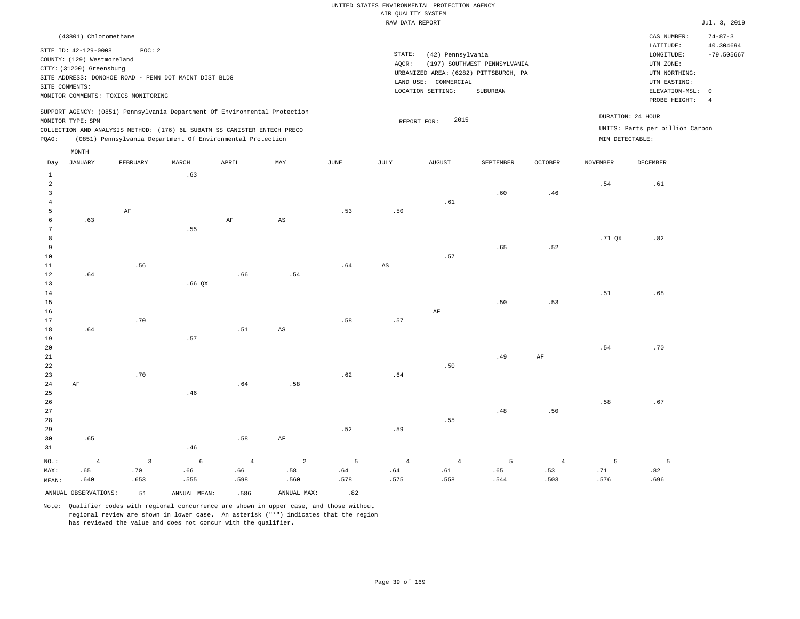| (43801) Chloromethane                                                                                                                                                                                                                              |                                                                                                                                                                        |                                      | CAS NUMBER:                                                                               | $74 - 87 - 3$             |
|----------------------------------------------------------------------------------------------------------------------------------------------------------------------------------------------------------------------------------------------------|------------------------------------------------------------------------------------------------------------------------------------------------------------------------|--------------------------------------|-------------------------------------------------------------------------------------------|---------------------------|
| SITE ID: 42-129-0008<br>POC:2<br>COUNTY: (129) Westmoreland<br>CITY: (31200) Greensburg<br>SITE ADDRESS: DONOHOE ROAD - PENN DOT MAINT DIST BLDG<br>SITE COMMENTS:<br>MONITOR COMMENTS: TOXICS MONITORING                                          | STATE:<br>(42) Pennsylvania<br>(197) SOUTHWEST PENNSYLVANIA<br>AOCR:<br>URBANIZED AREA: (6282) PITTSBURGH, PA<br>LAND USE: COMMERCIAL<br>LOCATION SETTING:<br>SUBURBAN |                                      | LATITUDE:<br>LONGITUDE:<br>UTM ZONE:<br>UTM NORTHING:<br>UTM EASTING:<br>ELEVATION-MSL: 0 | 40.304694<br>$-79.505667$ |
| SUPPORT AGENCY: (0851) Pennsylvania Department Of Environmental Protection<br>MONITOR TYPE: SPM<br>COLLECTION AND ANALYSIS METHOD: (176) 6L SUBATM SS CANISTER ENTECH PRECO<br>(0851) Pennsylvania Department Of Environmental Protection<br>POAO: | 2015<br>REPORT FOR:                                                                                                                                                    | DURATION: 24 HOUR<br>MIN DETECTABLE: | PROBE HEIGHT:<br>UNITS: Parts per billion Carbon                                          | -4                        |
| MONTH                                                                                                                                                                                                                                              |                                                                                                                                                                        |                                      |                                                                                           |                           |

| Day                     | JANUARY              | FEBRUARY                     | MARCH        | APRIL          | MAY                    | JUNE | JULY                          | AUGUST      | SEPTEMBER      | OCTOBER        | NOVEMBER    | DECEMBER |
|-------------------------|----------------------|------------------------------|--------------|----------------|------------------------|------|-------------------------------|-------------|----------------|----------------|-------------|----------|
| $\mathbf{1}$            |                      |                              | .63          |                |                        |      |                               |             |                |                |             |          |
| $\overline{\mathbf{c}}$ |                      |                              |              |                |                        |      |                               |             |                |                | .54         | .61      |
| 3                       |                      |                              |              |                |                        |      |                               |             | .60            | .46            |             |          |
| $\overline{4}$          |                      |                              |              |                |                        |      |                               | .61         |                |                |             |          |
| 5                       |                      | $\rm{AF}$                    |              |                |                        | .53  | .50                           |             |                |                |             |          |
| 6                       | .63                  |                              |              | $\rm{AF}$      | $\mathbb{A}\mathbb{S}$ |      |                               |             |                |                |             |          |
| 7                       |                      |                              | .55          |                |                        |      |                               |             |                |                |             |          |
| 8                       |                      |                              |              |                |                        |      |                               |             |                |                | .71 $QX$    | .82      |
| 9                       |                      |                              |              |                |                        |      |                               |             | .65            | .52            |             |          |
| 10                      |                      |                              |              |                |                        |      |                               | .57         |                |                |             |          |
| 11                      |                      | .56                          |              |                |                        | .64  | $\mathbb{A}\mathbb{S}$        |             |                |                |             |          |
| 12                      | .64                  |                              |              | .66            | .54                    |      |                               |             |                |                |             |          |
| 13                      |                      |                              | .66 QX       |                |                        |      |                               |             |                |                |             |          |
| 14                      |                      |                              |              |                |                        |      |                               |             |                |                | $.51\,$     | .68      |
| 15                      |                      |                              |              |                |                        |      |                               |             | .50            | .53            |             |          |
| 16                      |                      |                              |              |                |                        |      |                               | $\rm AF$    |                |                |             |          |
| 17                      |                      | .70                          |              |                |                        | .58  | $\footnotesize\substack{+57}$ |             |                |                |             |          |
| 18                      | .64                  |                              |              | $\,$ . 51 $\,$ | $\mathbb{A}\mathbb{S}$ |      |                               |             |                |                |             |          |
| 19                      |                      |                              | .57          |                |                        |      |                               |             |                |                |             |          |
| $20\,$                  |                      |                              |              |                |                        |      |                               |             |                |                | .54         | .70      |
| $2\sqrt{1}$             |                      |                              |              |                |                        |      |                               |             | .49            | $\rm{AF}$      |             |          |
| 22                      |                      |                              |              |                |                        |      |                               | $\sqrt{50}$ |                |                |             |          |
| 23                      |                      | .70                          |              |                |                        | .62  | $.64\,$                       |             |                |                |             |          |
| $2\,4$                  | $\rm{AF}$            |                              |              | .64            | .58                    |      |                               |             |                |                |             |          |
| $25\,$                  |                      |                              | .46          |                |                        |      |                               |             |                |                |             |          |
| 26                      |                      |                              |              |                |                        |      |                               |             |                |                | .58         | .67      |
| $2\,7$                  |                      |                              |              |                |                        |      |                               |             | .48            | $.50\,$        |             |          |
| 28                      |                      |                              |              |                |                        |      |                               | .55         |                |                |             |          |
| 29                      |                      |                              |              |                |                        | .52  | .59                           |             |                |                |             |          |
| 30                      | .65                  |                              |              | .58            | $\rm AF$               |      |                               |             |                |                |             |          |
| 31                      |                      |                              | .46          |                |                        |      |                               |             |                |                |             |          |
| $NO.$ :                 | $\sqrt{4}$           | $\overline{\mathbf{3}}$      | $\epsilon$   | $\overline{4}$ | $\overline{a}$         | 5    | $\overline{4}$                | $\sqrt{4}$  | $\overline{5}$ | $\overline{4}$ | $\mathsf S$ | 5        |
| MAX:                    | .65                  | $\boldsymbol{\mathcal{.}}70$ | .66          | .66            | .58                    | .64  | .64                           | $.61\,$     | .65            | .53            | .71         | .82      |
| MEAN:                   | .640                 | .653                         | .555         | .598           | .560                   | .578 | .575                          | .558        | .544           | .503           | .576        | .696     |
|                         | ANNUAL OBSERVATIONS: | 51                           | ANNUAL MEAN: | .586           | ANNUAL MAX:            | .82  |                               |             |                |                |             |          |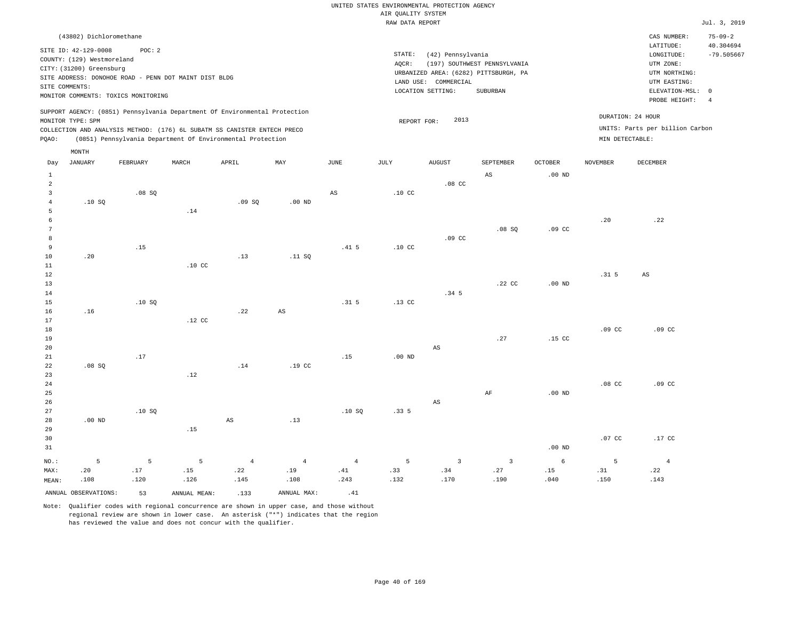|                                                                                                                                                                        |                                                                                           | $75 - 09 - 2$                                                                            |
|------------------------------------------------------------------------------------------------------------------------------------------------------------------------|-------------------------------------------------------------------------------------------|------------------------------------------------------------------------------------------|
| STATE:<br>(42) Pennsylvania<br>(197) SOUTHWEST PENNSYLVANIA<br>AOCR:<br>URBANIZED AREA: (6282) PITTSBURGH, PA<br>LAND USE: COMMERCIAL<br>LOCATION SETTING:<br>SUBURBAN | LATITUDE:<br>LONGITUDE:<br>UTM ZONE:<br>UTM NORTHING:<br>UTM EASTING:<br>ELEVATION-MSL: 0 | 40.304694<br>$-79.505667$<br>-4                                                          |
| 2013<br>REPORT FOR:                                                                                                                                                    |                                                                                           |                                                                                          |
|                                                                                                                                                                        |                                                                                           | PROBE HEIGHT:<br>DURATION: 24 HOUR<br>UNITS: Parts per billion Carbon<br>MIN DETECTABLE: |

| Day                     | <b>JANUARY</b>       | FEBRUARY    | $\tt MARCH$      | APRIL          | $\mathtt{MAX}$   | $_{\rm JUNE}$          | JULY             | <b>AUGUST</b>           | SEPTEMBER               | OCTOBER           | NOVEMBER         | DECEMBER               |
|-------------------------|----------------------|-------------|------------------|----------------|------------------|------------------------|------------------|-------------------------|-------------------------|-------------------|------------------|------------------------|
| $\mathbf{1}$            |                      |             |                  |                |                  |                        |                  |                         | $\mathbb{A}\mathbb{S}$  | .00 <sub>ND</sub> |                  |                        |
| $\overline{\mathbf{c}}$ |                      |             |                  |                |                  |                        |                  | $.08$ CC                |                         |                   |                  |                        |
| $\mathbf{3}$            |                      | .08 SQ      |                  |                |                  | $\mathbb{A}\mathbb{S}$ | .10 <sub>C</sub> |                         |                         |                   |                  |                        |
| $\overline{4}$          | .10SQ                |             |                  | .09SQ          | $.00$ ND         |                        |                  |                         |                         |                   |                  |                        |
| 5                       |                      |             | .14              |                |                  |                        |                  |                         |                         |                   |                  |                        |
| 6                       |                      |             |                  |                |                  |                        |                  |                         |                         |                   | .20              | .22                    |
| $7\phantom{.0}$         |                      |             |                  |                |                  |                        |                  |                         | .08 SQ                  | $.09$ CC          |                  |                        |
| 8                       |                      |             |                  |                |                  |                        |                  | .09 <sub>c</sub>        |                         |                   |                  |                        |
| 9                       |                      | .15         |                  |                |                  | .41 <sub>5</sub>       | .10 <sub>C</sub> |                         |                         |                   |                  |                        |
| 10                      | .20                  |             |                  | .13            | .11 SQ           |                        |                  |                         |                         |                   |                  |                        |
| 11                      |                      |             | .10 <sub>C</sub> |                |                  |                        |                  |                         |                         |                   |                  |                        |
| 12                      |                      |             |                  |                |                  |                        |                  |                         |                         |                   | .31 <sub>5</sub> | $\mathbb{A}\mathbb{S}$ |
| 13                      |                      |             |                  |                |                  |                        |                  |                         | .22 CC                  | .00 <sub>ND</sub> |                  |                        |
| 14                      |                      |             |                  |                |                  |                        |                  | .34 <sub>5</sub>        |                         |                   |                  |                        |
| 15                      |                      | .10SQ       |                  |                |                  | .31 <sub>5</sub>       | $.13$ CC         |                         |                         |                   |                  |                        |
| 16                      | .16                  |             |                  | .22            | $_{\rm AS}$      |                        |                  |                         |                         |                   |                  |                        |
| 17                      |                      |             | $.12$ CC         |                |                  |                        |                  |                         |                         |                   |                  |                        |
| 18                      |                      |             |                  |                |                  |                        |                  |                         |                         |                   | .09 <sub>c</sub> | .09 <sub>c</sub>       |
| 19                      |                      |             |                  |                |                  |                        |                  |                         | .27                     | $.15$ CC          |                  |                        |
| $20\,$                  |                      |             |                  |                |                  |                        |                  | $\mathbb{A}\mathbb{S}$  |                         |                   |                  |                        |
| $2\sqrt{1}$             |                      | .17         |                  | $.14\,$        |                  | .15                    | $.00$ ND         |                         |                         |                   |                  |                        |
| $2\sqrt{2}$<br>23       | .08SQ                |             | .12              |                | .19 <sub>c</sub> |                        |                  |                         |                         |                   |                  |                        |
| ${\bf 24}$              |                      |             |                  |                |                  |                        |                  |                         |                         |                   | $.08$ CC         | .09 <sub>c</sub>       |
| $25\,$                  |                      |             |                  |                |                  |                        |                  |                         | $\rm AF$                | .00 $ND$          |                  |                        |
| $26\,$                  |                      |             |                  |                |                  |                        |                  | $\mathbb{A}\mathbb{S}$  |                         |                   |                  |                        |
| $2\,7$                  |                      | .10S        |                  |                |                  | .10S                   | .335             |                         |                         |                   |                  |                        |
| 28                      | $.00$ ND             |             |                  | AS             | .13              |                        |                  |                         |                         |                   |                  |                        |
| 29                      |                      |             | .15              |                |                  |                        |                  |                         |                         |                   |                  |                        |
| 30                      |                      |             |                  |                |                  |                        |                  |                         |                         |                   | $.07$ CC         | $.17$ CC               |
| 31                      |                      |             |                  |                |                  |                        |                  |                         |                         | $.00$ ND          |                  |                        |
|                         |                      |             |                  |                |                  |                        |                  |                         |                         |                   |                  |                        |
| $NO.$ :                 | $\mathsf S$          | $\mathsf S$ | 5                | $\overline{4}$ | $\overline{4}$   | $\overline{4}$         | $\overline{5}$   | $\overline{\mathbf{3}}$ | $\overline{\mathbf{3}}$ | $\epsilon$        | 5                | $\overline{4}$         |
| MAX:                    | .20                  | $.17\,$     | .15              | .22            | .19              | .41                    | .33              | .34                     | .27                     | .15               | .31              | .22                    |
| MEAN:                   | .108                 | .120        | .126             | .145           | .108             | .243                   | .132             | .170                    | .190                    | .040              | .150             | .143                   |
|                         | ANNUAL OBSERVATIONS: | 53          | ANNUAL MEAN:     | .133           | ANNUAL MAX:      | .41                    |                  |                         |                         |                   |                  |                        |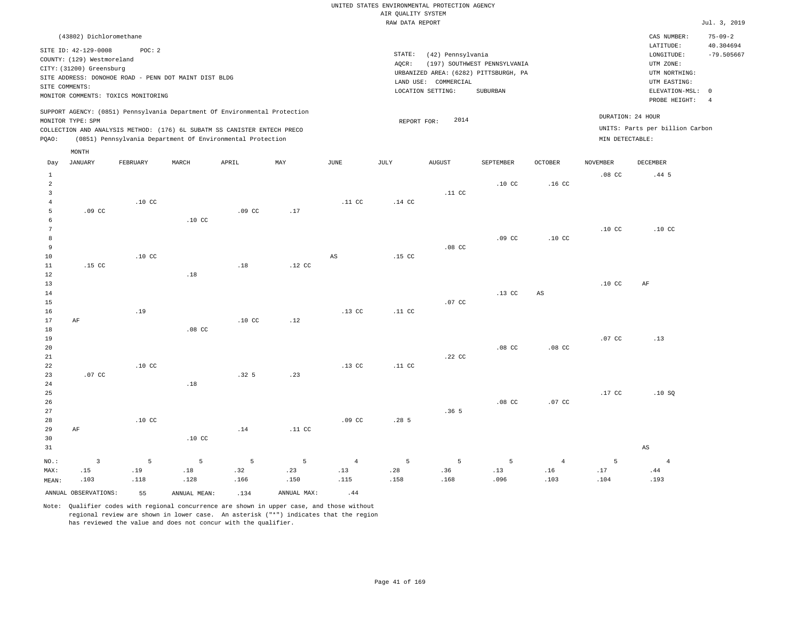|                | (43802) Dichloromethane                                                                          |                                                                                                        |                  |                                                                                                                                                                                                                      |     |          |                              |                                                      |                                                                                   |                  |                  | CAS NUMBER:                                                                                              | $75 - 09 - 2$                                             |
|----------------|--------------------------------------------------------------------------------------------------|--------------------------------------------------------------------------------------------------------|------------------|----------------------------------------------------------------------------------------------------------------------------------------------------------------------------------------------------------------------|-----|----------|------------------------------|------------------------------------------------------|-----------------------------------------------------------------------------------|------------------|------------------|----------------------------------------------------------------------------------------------------------|-----------------------------------------------------------|
|                | SITE ID: 42-129-0008<br>COUNTY: (129) Westmoreland<br>CITY: (31200) Greensburg<br>SITE COMMENTS: | POC: 2<br>SITE ADDRESS: DONOHOE ROAD - PENN DOT MAINT DIST BLDG<br>MONITOR COMMENTS: TOXICS MONITORING |                  |                                                                                                                                                                                                                      |     |          | STATE:<br>AQCR:<br>LAND USE: | (42) Pennsylvania<br>COMMERCIAL<br>LOCATION SETTING: | (197) SOUTHWEST PENNSYLVANIA<br>URBANIZED AREA: (6282) PITTSBURGH, PA<br>SUBURBAN |                  |                  | LATITUDE:<br>LONGITUDE:<br>UTM ZONE:<br>UTM NORTHING:<br>UTM EASTING:<br>ELEVATION-MSL:<br>PROBE HEIGHT: | 40.304694<br>$-79.505667$<br>$^{\circ}$<br>$\overline{4}$ |
| POAO:          | MONITOR TYPE: SPM                                                                                |                                                                                                        |                  | SUPPORT AGENCY: (0851) Pennsylvania Department Of Environmental Protection<br>COLLECTION AND ANALYSIS METHOD: (176) 6L SUBATM SS CANISTER ENTECH PRECO<br>(0851) Pennsylvania Department Of Environmental Protection |     |          | REPORT FOR:                  | 2014                                                 |                                                                                   |                  | MIN DETECTABLE:  | DURATION: 24 HOUR<br>UNITS: Parts per billion Carbon                                                     |                                                           |
| Day            | MONTH<br>JANUARY                                                                                 | FEBRUARY                                                                                               | MARCH            | APRIL                                                                                                                                                                                                                | MAY | JUNE     | JULY                         | <b>AUGUST</b>                                        | SEPTEMBER                                                                         | <b>OCTOBER</b>   | NOVEMBER         | <b>DECEMBER</b>                                                                                          |                                                           |
| $\overline{2}$ |                                                                                                  |                                                                                                        |                  |                                                                                                                                                                                                                      |     |          |                              | .11 <sub>c</sub>                                     | .10 <sub>c</sub>                                                                  | .16 <sub>c</sub> | .08 <sub>c</sub> | $.44\;5$                                                                                                 |                                                           |
| 6              | .09 <sub>c</sub>                                                                                 | .10 <sub>C</sub>                                                                                       | .10 <sub>c</sub> | .09 <sub>c</sub>                                                                                                                                                                                                     | .17 | $.11\,c$ | .14 <sub>c</sub>             |                                                      |                                                                                   |                  |                  |                                                                                                          |                                                           |
|                |                                                                                                  |                                                                                                        |                  |                                                                                                                                                                                                                      |     |          |                              |                                                      |                                                                                   |                  |                  |                                                                                                          |                                                           |

 7 8 9 10 11 12 13 .15 CC .10 CC .18 .18 .12 CC AS .15 CC .08 CC .09 CC .10 CC .10 CC .10 CC .10 CC AF

14 15 16 17 AF .19 .10 CC .12 .13 CC .11 CC .07 CC .13 CC AS

| 18     |        |                  | .08 <sub>C</sub> |                  |     |                  |                  |        |                  |                  |        |      |
|--------|--------|------------------|------------------|------------------|-----|------------------|------------------|--------|------------------|------------------|--------|------|
| 19     |        |                  |                  |                  |     |                  |                  |        |                  |                  | .07 CC | .13  |
| 20     |        |                  |                  |                  |     |                  |                  |        | .08 <sub>C</sub> | .08 <sub>C</sub> |        |      |
| 21     |        |                  |                  |                  |     |                  |                  | .22 CC |                  |                  |        |      |
| 22     |        | .10 <sub>C</sub> |                  |                  |     | .13 <sub>C</sub> | .11 <sub>c</sub> |        |                  |                  |        |      |
| 23     | .07 CC |                  |                  | .32 <sub>5</sub> | .23 |                  |                  |        |                  |                  |        |      |
| $2\,4$ |        |                  | .18              |                  |     |                  |                  |        |                  |                  |        |      |
| 25     |        |                  |                  |                  |     |                  |                  |        |                  |                  | .17 CC | .10S |
| 26     |        |                  |                  |                  |     |                  |                  |        | .08 <sub>C</sub> | .07 CC           |        |      |
| 27     |        |                  |                  |                  |     |                  |                  | .36 5  |                  |                  |        |      |

|         |                            |                  |                  |             |                                           |                  |          | .              |             |                 |      |      |
|---------|----------------------------|------------------|------------------|-------------|-------------------------------------------|------------------|----------|----------------|-------------|-----------------|------|------|
| 28      |                            | .10 <sub>C</sub> |                  |             |                                           | .09 <sub>c</sub> | $.28\,5$ |                |             |                 |      |      |
| 29      | AF                         |                  |                  | .14         | .11 CC                                    |                  |          |                |             |                 |      |      |
| 30      |                            |                  | .10 <sub>C</sub> |             |                                           |                  |          |                |             |                 |      |      |
| 31      |                            |                  |                  |             |                                           |                  |          |                |             |                 |      | AS   |
| $NO.$ : | $\overline{\phantom{a}}$ 3 | $5^{\circ}$      | $5 - 5$          | $5^{\circ}$ | $\sim$ $\sim$ $\sim$ $\sim$ $\sim$ $\sim$ | $\sim$ 4         | $\sim$ 5 | 5 <sup>2</sup> | $5^{\circ}$ | $4\overline{4}$ | - 5  | 4    |
| MAX:    | .15                        | .19              | .18              | .32         | .23                                       | .13              | .28      | .36            | .13         | .16             | .17  | .44  |
| MEAN:   | .103                       | .118             | .128             | .166        | .150                                      | .115             | .158     | .168           | .096        | .103            | .104 | .193 |
|         |                            |                  |                  |             |                                           |                  |          |                |             |                 |      |      |

ANNUAL OBSERVATIONS: 55 ANNUAL MEAN: .134 ANNUAL MAX: .44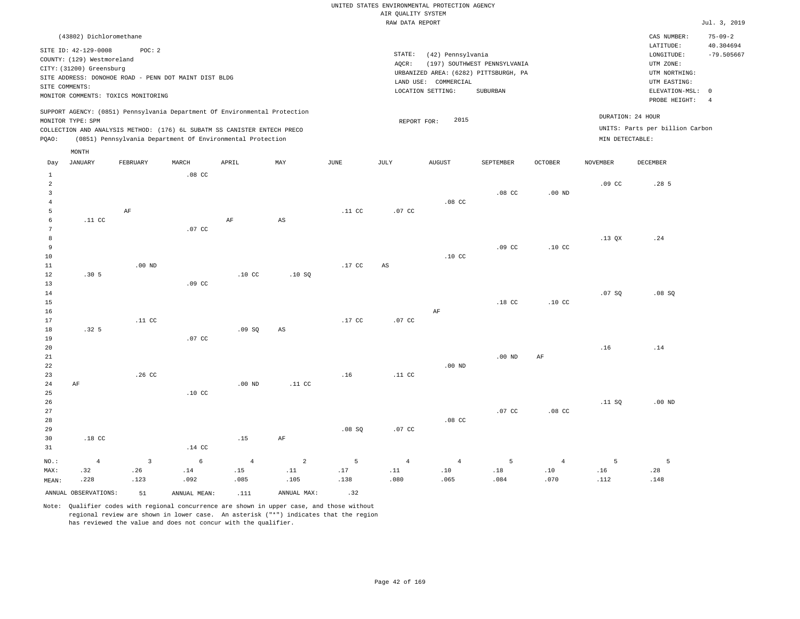| (43802) Dichloromethane                                                                                                                                                                                                                                     |                                                                                                                                                                        | CAS NUMBER:                                                                                                | $75 - 09 - 2$             |
|-------------------------------------------------------------------------------------------------------------------------------------------------------------------------------------------------------------------------------------------------------------|------------------------------------------------------------------------------------------------------------------------------------------------------------------------|------------------------------------------------------------------------------------------------------------|---------------------------|
| SITE ID: 42-129-0008<br>POC:2<br>COUNTY: (129) Westmoreland<br>CITY: (31200) Greensburg<br>SITE ADDRESS: DONOHOE ROAD - PENN DOT MAINT DIST BLDG<br>SITE COMMENTS:<br>MONITOR COMMENTS: TOXICS MONITORING                                                   | STATE:<br>(42) Pennsylvania<br>(197) SOUTHWEST PENNSYLVANIA<br>AOCR:<br>URBANIZED AREA: (6282) PITTSBURGH, PA<br>LAND USE: COMMERCIAL<br>LOCATION SETTING:<br>SUBURBAN | LATITUDE:<br>LONGITUDE:<br>UTM ZONE:<br>UTM NORTHING:<br>UTM EASTING:<br>ELEVATION-MSL: 0<br>PROBE HEIGHT: | 40.304694<br>$-79.505667$ |
| SUPPORT AGENCY: (0851) Pennsylvania Department Of Environmental Protection<br>MONITOR TYPE: SPM<br>COLLECTION AND ANALYSIS METHOD: (176) 6L SUBATM SS CANISTER ENTECH PRECO<br>(0851) Pennsylvania Department Of Environmental Protection<br>POAO:<br>MONTH | DURATION: 24 HOUR<br>2015<br>REPORT FOR:<br>MIN DETECTABLE:                                                                                                            | UNITS: Parts per billion Carbon                                                                            |                           |

| Day            | JANUARY              | FEBRUARY         | MARCH        | APRIL            | MAY                          | JUNE             | JULY                   | AUGUST           | SEPTEMBER        | OCTOBER          | NOVEMBER         | DECEMBER         |
|----------------|----------------------|------------------|--------------|------------------|------------------------------|------------------|------------------------|------------------|------------------|------------------|------------------|------------------|
| $\mathbf{1}$   |                      |                  | $.08$ CC     |                  |                              |                  |                        |                  |                  |                  |                  |                  |
| $\overline{a}$ |                      |                  |              |                  |                              |                  |                        |                  |                  |                  | .09 <sub>c</sub> | .28 <sub>5</sub> |
| $\overline{3}$ |                      |                  |              |                  |                              |                  |                        |                  | $.08$ CC         | $.00$ ND         |                  |                  |
| $\sqrt{4}$     |                      |                  |              |                  |                              |                  |                        | $.08$ CC         |                  |                  |                  |                  |
| 5              |                      | $\rm AF$         |              |                  |                              | .11 <sub>c</sub> | .07 CC                 |                  |                  |                  |                  |                  |
| 6              | $.11$ CC             |                  |              | $\rm AF$         | $\mathbb{A}\mathbb{S}$       |                  |                        |                  |                  |                  |                  |                  |
| 7              |                      |                  | $.07$ CC     |                  |                              |                  |                        |                  |                  |                  |                  |                  |
| 8              |                      |                  |              |                  |                              |                  |                        |                  |                  |                  | .13 QX           | .24              |
| 9              |                      |                  |              |                  |                              |                  |                        |                  | .09 <sub>c</sub> | .10 <sub>C</sub> |                  |                  |
| 10             |                      |                  |              |                  |                              |                  |                        | .10 <sub>C</sub> |                  |                  |                  |                  |
| 11             |                      | .00 $ND$         |              |                  |                              | $.17$ CC         | $\mathbb{A}\mathbb{S}$ |                  |                  |                  |                  |                  |
| 12             | .30 <sub>5</sub>     |                  |              | .10 <sub>C</sub> | .10SQ                        |                  |                        |                  |                  |                  |                  |                  |
| 13             |                      |                  | $.09$ CC     |                  |                              |                  |                        |                  |                  |                  |                  |                  |
| 14             |                      |                  |              |                  |                              |                  |                        |                  |                  |                  | .07SQ            | .08 SQ           |
| 15             |                      |                  |              |                  |                              |                  |                        |                  | .18 CC           | .10 <sub>C</sub> |                  |                  |
| 16             |                      |                  |              |                  |                              |                  |                        | $\rm AF$         |                  |                  |                  |                  |
| 17             |                      | .11 <sub>c</sub> |              |                  |                              | $.17$ CC         | $.07$ CC               |                  |                  |                  |                  |                  |
| 18             | .32 <sub>5</sub>     |                  |              | .09SQ            | $\mathbb{A}\mathbb{S}$       |                  |                        |                  |                  |                  |                  |                  |
| 19             |                      |                  | $.07$ CC     |                  |                              |                  |                        |                  |                  |                  |                  |                  |
| 20             |                      |                  |              |                  |                              |                  |                        |                  |                  |                  | .16              | .14              |
| $21\,$         |                      |                  |              |                  |                              |                  |                        |                  | $.00$ ND         | $\rm{AF}$        |                  |                  |
| 22             |                      |                  |              |                  |                              |                  |                        | $.00$ ND         |                  |                  |                  |                  |
| 23             |                      | .26 CC           |              |                  |                              | .16              | .11 <sub>c</sub>       |                  |                  |                  |                  |                  |
| 24             | $\rm AF$             |                  |              | .00 $ND$         | .11 <sub>c</sub>             |                  |                        |                  |                  |                  |                  |                  |
| 25             |                      |                  | $.10$ CC     |                  |                              |                  |                        |                  |                  |                  |                  |                  |
| 26             |                      |                  |              |                  |                              |                  |                        |                  |                  |                  | .11 SQ           | $.00$ ND         |
| 27             |                      |                  |              |                  |                              |                  |                        |                  | .07 <sub>c</sub> | .08 <sub>C</sub> |                  |                  |
| 28             |                      |                  |              |                  |                              |                  |                        | $.08$ CC         |                  |                  |                  |                  |
| 29             |                      |                  |              |                  |                              | .08SQ            | .07 CC                 |                  |                  |                  |                  |                  |
| 30             | $.18$ CC             |                  |              | .15              | $\rm AF$                     |                  |                        |                  |                  |                  |                  |                  |
| 31             |                      |                  | $.14$ CC     |                  |                              |                  |                        |                  |                  |                  |                  |                  |
| $_{\rm NO.}$ : | $\overline{4}$       | $\overline{3}$   | $\epsilon$   | $\overline{4}$   | $\sqrt{2}$                   | 5                | $\sqrt{4}$             | $\sqrt{4}$       | $\overline{5}$   | $\overline{4}$   | 5                | - 5              |
| MAX:           | .32                  | .26              | .14          | .15              | $\footnotesize\substack{11}$ | $.17\,$          | $\ldots 11$            | .10              | .18              | .10              | .16              | .28              |
| MEAN:          | .228                 | .123             | .092         | .085             | .105                         | .138             | .080                   | .065             | .084             | .070             | .112             | .148             |
|                | ANNUAL OBSERVATIONS: | 51               | ANNUAL MEAN: | .111             | ANNUAL MAX:                  | .32              |                        |                  |                  |                  |                  |                  |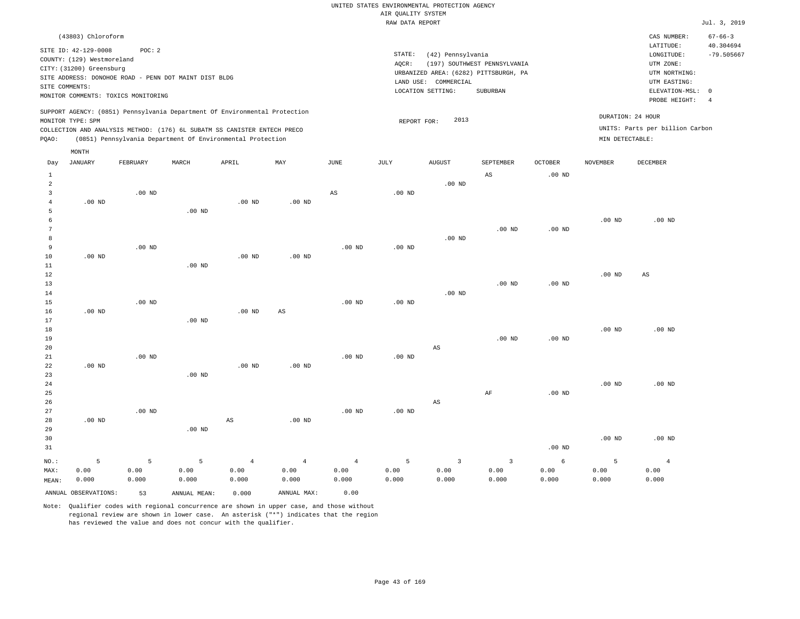|                   | (43803) Chloroform                                                         |        |       |       |     |      |                 |                                       |                              |          |                 | CAS NUMBER:                     | $67 - 66 - 3$   |
|-------------------|----------------------------------------------------------------------------|--------|-------|-------|-----|------|-----------------|---------------------------------------|------------------------------|----------|-----------------|---------------------------------|-----------------|
|                   | SITE ID: 42-129-0008                                                       | POC: 2 |       |       |     |      |                 |                                       |                              |          |                 | LATITUDE:                       | 40.304694       |
|                   | COUNTY: (129) Westmoreland                                                 |        |       |       |     |      | STATE:<br>AOCR: | (42) Pennsylvania                     | (197) SOUTHWEST PENNSYLVANIA |          |                 | LONGITUDE:<br>UTM ZONE:         | $-79.505667$    |
|                   | CITY: (31200) Greensburg                                                   |        |       |       |     |      |                 | URBANIZED AREA: (6282) PITTSBURGH, PA |                              |          |                 | UTM NORTHING:                   |                 |
| SITE COMMENTS:    | SITE ADDRESS: DONOHOE ROAD - PENN DOT MAINT DIST BLDG                      |        |       |       |     |      |                 | COMMERCIAL<br>LAND USE:               |                              |          |                 | UTM EASTING:                    |                 |
|                   | MONITOR COMMENTS: TOXICS MONITORING                                        |        |       |       |     |      |                 | LOCATION SETTING:                     | SUBURBAN                     |          |                 | ELEVATION-MSL:<br>PROBE HEIGHT: | $^{\circ}$<br>4 |
| MONITOR TYPE: SPM | SUPPORT AGENCY: (0851) Pennsylvania Department Of Environmental Protection |        |       |       |     |      |                 | 2013<br>REPORT FOR:                   |                              |          |                 | DURATION: 24 HOUR               |                 |
|                   | COLLECTION AND ANALYSIS METHOD: (176) 6L SUBATM SS CANISTER ENTECH PRECO   |        |       |       |     |      |                 |                                       |                              |          |                 | UNITS: Parts per billion Carbon |                 |
| POAO:             | (0851) Pennsylvania Department Of Environmental Protection                 |        |       |       |     |      |                 |                                       |                              |          | MIN DETECTABLE: |                                 |                 |
|                   | MONTH                                                                      |        |       |       |     |      |                 |                                       |                              |          |                 |                                 |                 |
| Day               | JANUARY<br>FEBRUARY                                                        |        | MARCH | APRIL | MAY | JUNE | JULY            | <b>AUGUST</b>                         | SEPTEMBER                    | OCTOBER  | NOVEMBER        | DECEMBER                        |                 |
|                   |                                                                            |        |       |       |     |      |                 |                                       | AS                           | $.00$ ND |                 |                                 |                 |
|                   |                                                                            |        |       |       |     |      |                 | $.00$ ND                              |                              |          |                 |                                 |                 |

.00 ND

| 4      | $.00$ ND |          |                   | .00 <sub>ND</sub> | $.00$ ND |          |          |          |          |          |          |          |
|--------|----------|----------|-------------------|-------------------|----------|----------|----------|----------|----------|----------|----------|----------|
| 5      |          |          | $.00$ ND          |                   |          |          |          |          |          |          |          |          |
| b      |          |          |                   |                   |          |          |          |          |          |          | $.00$ ND | $.00$ ND |
| $\sim$ |          |          |                   |                   |          |          |          |          | $.00$ ND | $.00$ ND |          |          |
| 8      |          |          |                   |                   |          |          |          | $.00$ ND |          |          |          |          |
| 9      |          | $.00$ ND |                   |                   |          | $.00$ ND | $.00$ ND |          |          |          |          |          |
| 10     | $.00$ ND |          |                   | $.00$ ND          | $.00$ ND |          |          |          |          |          |          |          |
| 11     |          |          | .00 <sub>ND</sub> |                   |          |          |          |          |          |          |          |          |

AS

| 12     |          |          |          |          |          |          |          |                           |          |          | $.00$ ND | AS       |
|--------|----------|----------|----------|----------|----------|----------|----------|---------------------------|----------|----------|----------|----------|
| 13     |          |          |          |          |          |          |          |                           | $.00$ ND | $.00$ ND |          |          |
| 14     |          |          |          |          |          |          |          | $.00$ ND                  |          |          |          |          |
| 15     |          | $.00$ ND |          |          |          | $.00$ ND | $.00$ ND |                           |          |          |          |          |
| 16     | $.00$ ND |          |          | $.00$ ND | AS       |          |          |                           |          |          |          |          |
| 17     |          |          | $.00$ ND |          |          |          |          |                           |          |          |          |          |
| $18\,$ |          |          |          |          |          |          |          |                           |          |          | $.00$ ND | $.00$ ND |
| 19     |          |          |          |          |          |          |          |                           | $.00$ ND | $.00$ ND |          |          |
| 20     |          |          |          |          |          |          |          | AS                        |          |          |          |          |
| 21     |          | $.00$ ND |          |          |          | $.00$ ND | $.00$ ND |                           |          |          |          |          |
| 22     | $.00$ ND |          |          | $.00$ ND | $.00$ ND |          |          |                           |          |          |          |          |
| 23     |          |          | $.00$ ND |          |          |          |          |                           |          |          |          |          |
| 24     |          |          |          |          |          |          |          |                           |          |          | $.00$ ND | $.00$ ND |
| 25     |          |          |          |          |          |          |          |                           | AF       | $.00$ ND |          |          |
| $\sim$ |          |          |          |          |          |          |          | $\mathbb{R}$ $\mathbb{R}$ |          |          |          |          |

| 26   |          |          |          |                |          |                   |                | AS                      |                           |          |          |          |
|------|----------|----------|----------|----------------|----------|-------------------|----------------|-------------------------|---------------------------|----------|----------|----------|
| 27   |          | $.00$ ND |          |                |          | $.00$ ND          | $.00$ ND       |                         |                           |          |          |          |
| 28   | $.00$ ND |          |          | AS             | $.00$ ND |                   |                |                         |                           |          |          |          |
| 29   |          |          | $.00$ ND |                |          |                   |                |                         |                           |          |          |          |
| 30   |          |          |          |                |          |                   |                |                         |                           |          | $.00$ ND | $.00$ ND |
| 31   |          |          |          |                |          |                   |                |                         |                           | $.00$ ND |          |          |
| NO.: |          | 5.       | 5.       | $\overline{4}$ | 4        | $4 \qquad \qquad$ | 5 <sup>7</sup> | $\overline{\mathbf{3}}$ | $\overline{\phantom{a}3}$ | -6       | ъ        |          |

| 00.د<br>00<br>.00<br>00. ل<br>00. ز<br>MAX:<br>0.00<br>.00<br>.00<br>000. (<br>.000<br>.000<br>.000<br>.000<br>0.000<br>.000<br>.000<br>MEAN: |       |  | 0.00 | MAX:<br>ANNUAL | 0.000 | MEAN:<br>ANNUAL | ANNUAL OBSERVATIONS: |  |
|-----------------------------------------------------------------------------------------------------------------------------------------------|-------|--|------|----------------|-------|-----------------|----------------------|--|
|                                                                                                                                               | .000  |  |      |                |       |                 |                      |  |
|                                                                                                                                               | 00. ر |  |      |                |       |                 |                      |  |

Note: Qualifier codes with regional concurrence are shown in upper case, and those without regional review are shown in lower case. An asterisk ("\*") indicates that the region has reviewed the value and does not concur with the qualifier.

3

.00 ND

 0.00 0.000

 0.00 0.000

 0.00 0.000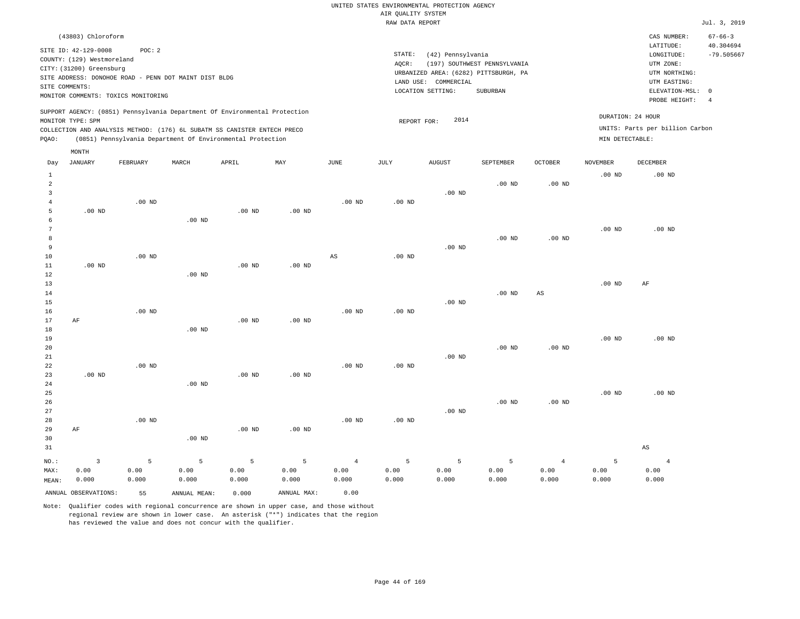| (43803) Chloroform                                                                                                                                                                                                                                 |                                                                                                               |                                      | CAS NUMBER:                                           | $67 - 66 - 3$             |
|----------------------------------------------------------------------------------------------------------------------------------------------------------------------------------------------------------------------------------------------------|---------------------------------------------------------------------------------------------------------------|--------------------------------------|-------------------------------------------------------|---------------------------|
| SITE ID: 42-129-0008<br>POC:2<br>COUNTY: (129) Westmoreland<br>CITY: (31200) Greensburg                                                                                                                                                            | STATE:<br>(42) Pennsylvania<br>(197) SOUTHWEST PENNSYLVANIA<br>AOCR:<br>URBANIZED AREA: (6282) PITTSBURGH, PA |                                      | LATITUDE:<br>LONGITUDE:<br>UTM ZONE:<br>UTM NORTHING: | 40.304694<br>$-79.505667$ |
| SITE ADDRESS: DONOHOE ROAD - PENN DOT MAINT DIST BLDG<br>SITE COMMENTS:<br>MONITOR COMMENTS: TOXICS MONITORING                                                                                                                                     | LAND USE: COMMERCIAL<br>LOCATION SETTING:<br>SUBURBAN                                                         |                                      | UTM EASTING:<br>ELEVATION-MSL: 0<br>PROBE HEIGHT:     |                           |
| SUPPORT AGENCY: (0851) Pennsylvania Department Of Environmental Protection<br>MONITOR TYPE: SPM<br>COLLECTION AND ANALYSIS METHOD: (176) 6L SUBATM SS CANISTER ENTECH PRECO<br>(0851) Pennsylvania Department Of Environmental Protection<br>POAO: | 2014<br>REPORT FOR:                                                                                           | DURATION: 24 HOUR<br>MIN DETECTABLE: | UNITS: Parts per billion Carbon                       |                           |
| MONTH                                                                                                                                                                                                                                              |                                                                                                               |                                      |                                                       |                           |

| Day         | <b>JANUARY</b>       | FEBRUARY          | MARCH        | APRIL    | MAY         | <b>JUNE</b>            | JULY     | <b>AUGUST</b> | SEPTEMBER | OCTOBER        | <b>NOVEMBER</b> | DECEMBER               |
|-------------|----------------------|-------------------|--------------|----------|-------------|------------------------|----------|---------------|-----------|----------------|-----------------|------------------------|
| 1<br>2<br>3 |                      |                   |              |          |             |                        |          | $.00$ ND      | $.00$ ND  | $.00$ ND       | $.00$ ND        | $.00$ ND               |
| 4           |                      | .00 <sub>ND</sub> |              |          |             | $.00$ ND               | $.00$ ND |               |           |                |                 |                        |
| 5           | $.00$ ND             |                   |              | $.00$ ND | $.00$ ND    |                        |          |               |           |                |                 |                        |
| 6           |                      |                   | $.00$ ND     |          |             |                        |          |               |           |                |                 |                        |
| 7           |                      |                   |              |          |             |                        |          |               |           |                | $.00$ ND        | $.00$ ND               |
| 8           |                      |                   |              |          |             |                        |          |               | $.00$ ND  | .00 $ND$       |                 |                        |
| 9<br>10     |                      | $.00$ ND          |              |          |             | $\mathbb{A}\mathbb{S}$ | $.00$ ND | $.00$ ND      |           |                |                 |                        |
| 11          | $.00$ ND             |                   |              | $.00$ ND | $.00$ ND    |                        |          |               |           |                |                 |                        |
| 12          |                      |                   | $.00$ ND     |          |             |                        |          |               |           |                |                 |                        |
| 13          |                      |                   |              |          |             |                        |          |               |           |                | $.00$ ND        | $\rm AF$               |
| 14          |                      |                   |              |          |             |                        |          |               | $.00$ ND  | AS             |                 |                        |
| 15          |                      |                   |              |          |             |                        |          | .00 $ND$      |           |                |                 |                        |
| 16          |                      | $.00$ ND          |              |          |             | $.00$ ND               | $.00$ ND |               |           |                |                 |                        |
| 17          | AF                   |                   |              | $.00$ ND | $.00$ ND    |                        |          |               |           |                |                 |                        |
| 18          |                      |                   | $.00$ ND     |          |             |                        |          |               |           |                |                 |                        |
| 19          |                      |                   |              |          |             |                        |          |               |           |                | $.00$ ND        | $.00$ ND               |
| 20          |                      |                   |              |          |             |                        |          |               | $.00$ ND  | $.00$ ND       |                 |                        |
| 21          |                      |                   |              |          |             |                        |          | $.00$ ND      |           |                |                 |                        |
| 22          |                      | $.00$ ND          |              |          |             | $.00$ ND               | $.00$ ND |               |           |                |                 |                        |
| 23          | $.00$ ND             |                   |              | $.00$ ND | $.00$ ND    |                        |          |               |           |                |                 |                        |
| 24          |                      |                   | $.00$ ND     |          |             |                        |          |               |           |                |                 |                        |
| 25          |                      |                   |              |          |             |                        |          |               |           |                | $.00$ ND        | $.00$ ND               |
| 26<br>27    |                      |                   |              |          |             |                        |          |               | $.00$ ND  | $.00$ ND       |                 |                        |
| 28          |                      | $.00$ ND          |              |          |             | $.00$ ND               | $.00$ ND | $.00$ ND      |           |                |                 |                        |
| 29          | $\rm AF$             |                   |              | $.00$ ND | $.00$ ND    |                        |          |               |           |                |                 |                        |
| 30          |                      |                   | $.00$ ND     |          |             |                        |          |               |           |                |                 |                        |
| 31          |                      |                   |              |          |             |                        |          |               |           |                |                 | $\mathbb{A}\mathbb{S}$ |
|             |                      |                   |              |          |             |                        |          |               |           |                |                 |                        |
| $NO.$ :     | $\overline{3}$       | 5                 | 5            | 5        | 5           | $\overline{4}$         | 5        | 5             | 5         | $\overline{4}$ | 5               | $\overline{4}$         |
| MAX:        | 0.00                 | 0.00              | 0.00         | 0.00     | 0.00        | 0.00                   | 0.00     | 0.00          | 0.00      | 0.00           | 0.00            | 0.00                   |
| MEAN:       | 0.000                | 0.000             | 0.000        | 0.000    | 0.000       | 0.000                  | 0.000    | 0.000         | 0.000     | 0.000          | 0.000           | 0.000                  |
|             | ANNUAL OBSERVATIONS: | 55                | ANNUAL MEAN: | 0.000    | ANNUAL MAX: | 0.00                   |          |               |           |                |                 |                        |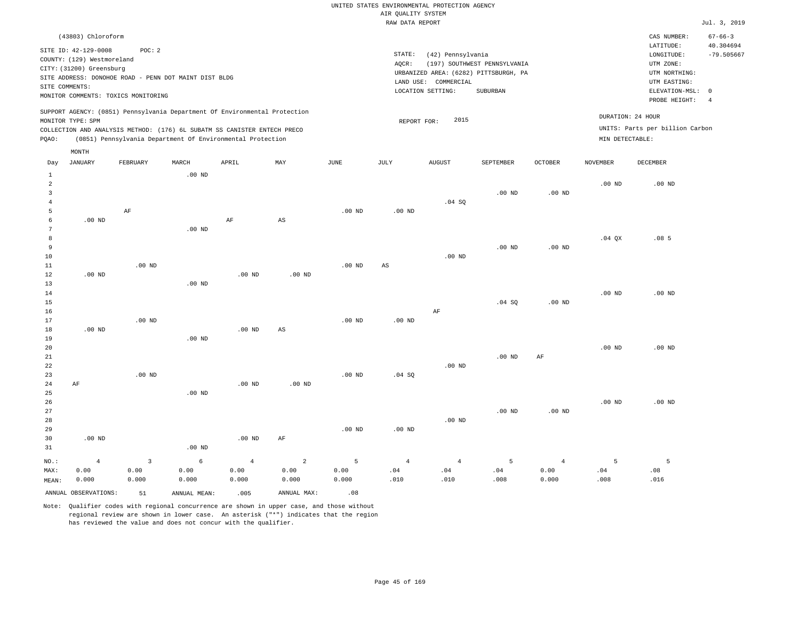| (43803) Chloroform                                                         |          |       |                                                            |     |      |        |                                       |                              |         |                 | CAS NUMBER:                     | $67 - 66 - 3$  |
|----------------------------------------------------------------------------|----------|-------|------------------------------------------------------------|-----|------|--------|---------------------------------------|------------------------------|---------|-----------------|---------------------------------|----------------|
| SITE ID: 42-129-0008                                                       | POC: 2   |       |                                                            |     |      |        |                                       |                              |         |                 | LATITUDE:                       | 40.304694      |
|                                                                            |          |       |                                                            |     |      | STATE: | (42) Pennsylvania                     |                              |         |                 | LONGITUDE:                      | $-79.505667$   |
| COUNTY: (129) Westmoreland                                                 |          |       |                                                            |     |      | AOCR:  |                                       | (197) SOUTHWEST PENNSYLVANIA |         |                 | UTM ZONE:                       |                |
| CITY: (31200) Greensburg                                                   |          |       |                                                            |     |      |        | URBANIZED AREA: (6282) PITTSBURGH, PA |                              |         |                 | UTM NORTHING:                   |                |
| SITE ADDRESS: DONOHOE ROAD - PENN DOT MAINT DIST BLDG                      |          |       |                                                            |     |      |        | LAND USE: COMMERCIAL                  |                              |         |                 | UTM EASTING:                    |                |
| SITE COMMENTS:                                                             |          |       |                                                            |     |      |        |                                       |                              |         |                 |                                 |                |
| MONITOR COMMENTS: TOXICS MONITORING                                        |          |       |                                                            |     |      |        | LOCATION SETTING:                     | SUBURBAN                     |         |                 | ELEVATION-MSL: 0                |                |
|                                                                            |          |       |                                                            |     |      |        |                                       |                              |         |                 | PROBE HEIGHT:                   | $\overline{4}$ |
| SUPPORT AGENCY: (0851) Pennsylvania Department Of Environmental Protection |          |       |                                                            |     |      |        |                                       |                              |         |                 |                                 |                |
| MONITOR TYPE: SPM                                                          |          |       |                                                            |     |      |        | 2015<br>REPORT FOR:                   |                              |         |                 | DURATION: 24 HOUR               |                |
| COLLECTION AND ANALYSIS METHOD: (176) 6L SUBATM SS CANISTER ENTECH PRECO   |          |       |                                                            |     |      |        |                                       |                              |         |                 | UNITS: Parts per billion Carbon |                |
| POAO:                                                                      |          |       | (0851) Pennsylvania Department Of Environmental Protection |     |      |        |                                       |                              |         | MIN DETECTABLE: |                                 |                |
| MONTH                                                                      |          |       |                                                            |     |      |        |                                       |                              |         |                 |                                 |                |
| JANUARY<br>Day                                                             | FEBRUARY | MARCH | APRIL                                                      | MAY | JUNE | JULY   | <b>AUGUST</b>                         | SEPTEMBER                    | OCTOBER | NOVEMBER        | DECEMBER                        |                |
|                                                                            |          | 00 ND |                                                            |     |      |        |                                       |                              |         |                 |                                 |                |

| <b>+</b>        |                |                         | .00W     |                   |                        |                   |                        |                |             |                |          |                  |
|-----------------|----------------|-------------------------|----------|-------------------|------------------------|-------------------|------------------------|----------------|-------------|----------------|----------|------------------|
| $\overline{a}$  |                |                         |          |                   |                        |                   |                        |                |             |                | .00 $ND$ | $.00$ ND         |
| 3               |                |                         |          |                   |                        |                   |                        |                | $.00$ ND    | .00 $ND$       |          |                  |
| $\overline{4}$  |                |                         |          |                   |                        |                   |                        | .04 SQ         |             |                |          |                  |
| 5               |                | $\rm{AF}$               |          |                   |                        | $.00$ ND          | $.00$ ND               |                |             |                |          |                  |
| 6               | $.00$ ND       |                         |          | $\rm{AF}$         | $\mathbb{A}\mathbb{S}$ |                   |                        |                |             |                |          |                  |
| $7\phantom{.0}$ |                |                         | $.00$ ND |                   |                        |                   |                        |                |             |                |          |                  |
| 8               |                |                         |          |                   |                        |                   |                        |                |             |                | $.04$ QX | .08 <sub>5</sub> |
| 9               |                |                         |          |                   |                        |                   |                        |                | $.00$ ND    | $.00$ ND       |          |                  |
| 10              |                |                         |          |                   |                        |                   |                        | $.00$ ND       |             |                |          |                  |
| 11              |                | $.00$ ND                |          |                   |                        | $.00$ ND          | $\mathbb{A}\mathbb{S}$ |                |             |                |          |                  |
| 12              | $.00$ ND       |                         |          | .00 <sub>ND</sub> | $.00$ ND               |                   |                        |                |             |                |          |                  |
| 13              |                |                         | $.00$ ND |                   |                        |                   |                        |                |             |                |          |                  |
| $14$            |                |                         |          |                   |                        |                   |                        |                |             |                | .00 $ND$ | .00 $ND$         |
| 15              |                |                         |          |                   |                        |                   |                        |                | .04 SQ      | .00 $ND$       |          |                  |
| 16              |                |                         |          |                   |                        |                   |                        | $\rm AF$       |             |                |          |                  |
| 17              |                | $.00$ ND                |          |                   |                        | $.00$ ND          | .00 $ND$               |                |             |                |          |                  |
| 18              | $.00$ ND       |                         |          | $.00$ ND          | $\mathbb{A}\mathbb{S}$ |                   |                        |                |             |                |          |                  |
| 19              |                |                         | .00 $ND$ |                   |                        |                   |                        |                |             |                |          |                  |
| 20              |                |                         |          |                   |                        |                   |                        |                |             |                | .00 $ND$ | .00 $ND$         |
| 21              |                |                         |          |                   |                        |                   |                        |                | $.00$ ND    | $\rm{AF}$      |          |                  |
| 22              |                |                         |          |                   |                        |                   |                        | $.00$ ND       |             |                |          |                  |
| 23              |                | $.00$ ND                |          |                   |                        | .00 $ND$          | .04 SQ                 |                |             |                |          |                  |
| 24              | $\rm AF$       |                         |          | .00 <sub>ND</sub> | $.00$ ND               |                   |                        |                |             |                |          |                  |
| 25              |                |                         | .00 $ND$ |                   |                        |                   |                        |                |             |                |          |                  |
| 26              |                |                         |          |                   |                        |                   |                        |                |             |                | $.00$ ND | .00 $ND$         |
| 27              |                |                         |          |                   |                        |                   |                        |                | $.00$ ND    | $.00$ ND       |          |                  |
| $28\,$          |                |                         |          |                   |                        |                   |                        | $.00$ ND       |             |                |          |                  |
| 29              |                |                         |          |                   |                        | $.00~\mathrm{ND}$ | .00 $ND$               |                |             |                |          |                  |
| 30              | $.00$ ND       |                         |          | .00 <sub>ND</sub> | $\rm{AF}$              |                   |                        |                |             |                |          |                  |
| 31              |                |                         | $.00$ ND |                   |                        |                   |                        |                |             |                |          |                  |
| $NO.$ :         | $\overline{4}$ | $\overline{\mathbf{3}}$ | 6        | $\overline{4}$    | $\overline{a}$         | $\overline{5}$    | $\overline{4}$         | $\overline{4}$ | $\mathsf S$ | $\overline{4}$ | 5        | 5                |
| MAX:            | 0.00           | 0.00                    | 0.00     | 0.00              | 0.00                   | 0.00              | .04                    | $.04$          | $.04$       | 0.00           | .04      | .08              |
| MEAN:           | 0.000          | 0.000                   | 0.000    | 0.000             | 0.000                  | 0.000             | .010                   | .010           | .008        | 0.000          | .008     | .016             |
|                 |                |                         |          |                   |                        |                   |                        |                |             |                |          |                  |

ANNUAL OBSERVATIONS:  $51$  ANNUAL MEAN: .005 ANNUAL MAX: .08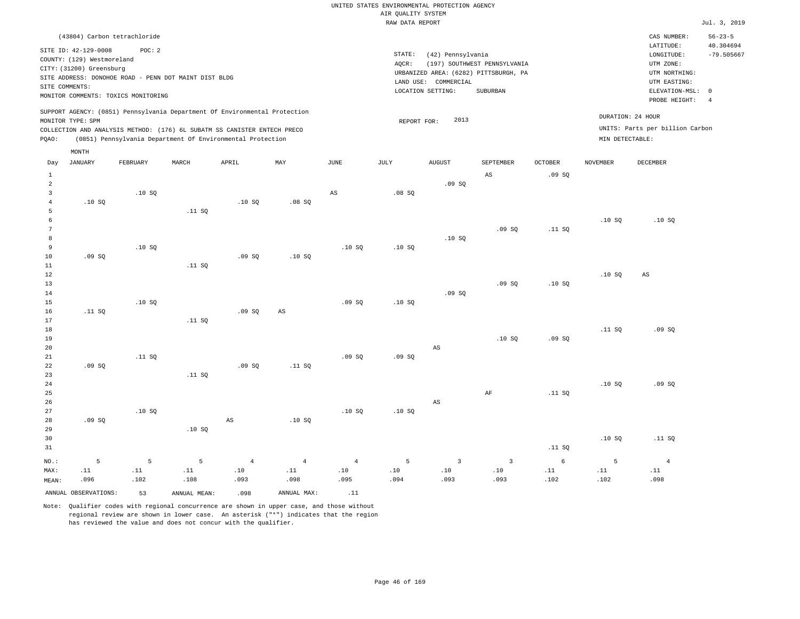|                                                                                | (43804) Carbon tetrachloride |                                                       |                                                                                                                                                        |     |      |                 |                                                                                    |                              |                |                   | CAS NUMBER:                                                           | $56 - 23 - 5$             |
|--------------------------------------------------------------------------------|------------------------------|-------------------------------------------------------|--------------------------------------------------------------------------------------------------------------------------------------------------------|-----|------|-----------------|------------------------------------------------------------------------------------|------------------------------|----------------|-------------------|-----------------------------------------------------------------------|---------------------------|
| SITE ID: 42-129-0008<br>COUNTY: (129) Westmoreland<br>CITY: (31200) Greensburg | POC: 2                       | SITE ADDRESS: DONOHOE ROAD - PENN DOT MAINT DIST BLDG |                                                                                                                                                        |     |      | STATE:<br>AOCR: | (42) Pennsylvania<br>URBANIZED AREA: (6282) PITTSBURGH, PA<br>LAND USE: COMMERCIAL | (197) SOUTHWEST PENNSYLVANIA |                |                   | LATITUDE:<br>LONGITUDE:<br>UTM ZONE:<br>UTM NORTHING:<br>UTM EASTING: | 40.304694<br>$-79.505667$ |
| SITE COMMENTS:                                                                 |                              |                                                       |                                                                                                                                                        |     |      |                 | LOCATION SETTING:                                                                  | SUBURBAN                     |                |                   | ELEVATION-MSL: 0                                                      |                           |
| MONITOR COMMENTS: TOXICS MONITORING                                            |                              |                                                       |                                                                                                                                                        |     |      |                 |                                                                                    |                              |                |                   | PROBE HEIGHT:                                                         | -4                        |
| MONITOR TYPE: SPM                                                              |                              |                                                       | SUPPORT AGENCY: (0851) Pennsylvania Department Of Environmental Protection<br>COLLECTION AND ANALYSIS METHOD: (176) 6L SUBATM SS CANISTER ENTECH PRECO |     |      |                 | 2013<br>REPORT FOR:                                                                |                              |                | DURATION: 24 HOUR | UNITS: Parts per billion Carbon                                       |                           |
| POAO:                                                                          |                              |                                                       | (0851) Pennsylvania Department Of Environmental Protection                                                                                             |     |      |                 |                                                                                    |                              |                | MIN DETECTABLE:   |                                                                       |                           |
| MONTH<br>JANUARY<br>Day                                                        | FEBRUARY                     | MARCH                                                 | APRIL                                                                                                                                                  | MAY | JUNE | JULY            | <b>AUGUST</b>                                                                      | SEPTEMBER                    | <b>OCTOBER</b> | <b>NOVEMBER</b>   | DECEMBER                                                              |                           |

| Day             | JANUARI | PERKUARI                     | MARCH                        | <b>HAKTP</b>   | MA 1                         | <b>UUNL</b>                  | <b>O O TRI</b>               | <b>AUGUST</b>                | <b>PERIEMBEK</b>             | <b>OCTOREK</b>               | <b>NOAFMRFK</b>              | DECEMBEK                     |
|-----------------|---------|------------------------------|------------------------------|----------------|------------------------------|------------------------------|------------------------------|------------------------------|------------------------------|------------------------------|------------------------------|------------------------------|
| $\mathbf{1}$    |         |                              |                              |                |                              |                              |                              |                              | $\mathbb{A}\mathbb{S}$       | .09SQ                        |                              |                              |
| $\sqrt{2}$      |         |                              |                              |                |                              |                              |                              | .09SQ                        |                              |                              |                              |                              |
| $\mathbf{3}$    |         | .10SQ                        |                              |                |                              | $\mathbb{A}\mathbb{S}$       | .08SQ                        |                              |                              |                              |                              |                              |
| $\overline{4}$  | .10SQ   |                              |                              | .10SQ          | .08 SQ                       |                              |                              |                              |                              |                              |                              |                              |
| 5               |         |                              | .11 SQ                       |                |                              |                              |                              |                              |                              |                              |                              |                              |
| $\epsilon$      |         |                              |                              |                |                              |                              |                              |                              |                              |                              | .10S                         | .10SQ                        |
| $7\phantom{.0}$ |         |                              |                              |                |                              |                              |                              |                              | .09SQ                        | .11 SQ                       |                              |                              |
| 8               |         |                              |                              |                |                              |                              |                              | .10S                         |                              |                              |                              |                              |
| 9               |         | .10SQ                        |                              |                |                              | .10SQ                        | .10SQ                        |                              |                              |                              |                              |                              |
| 10              | .09SQ   |                              |                              | .09SQ          | .10SQ                        |                              |                              |                              |                              |                              |                              |                              |
| $11\,$          |         |                              | .11 SQ                       |                |                              |                              |                              |                              |                              |                              |                              |                              |
| $12\,$          |         |                              |                              |                |                              |                              |                              |                              |                              |                              | .10SQ                        | $\mathbb{A}\mathbb{S}$       |
| 13              |         |                              |                              |                |                              |                              |                              |                              | .09SQ                        | .10SQ                        |                              |                              |
| $14\,$          |         |                              |                              |                |                              |                              |                              | .09SQ                        |                              |                              |                              |                              |
| 15              |         | .10SQ                        |                              |                |                              | .09SQ                        | .10 SQ                       |                              |                              |                              |                              |                              |
| 16              | .11 SQ  |                              |                              | .09SQ          | $\mathbb{A}\mathbb{S}$       |                              |                              |                              |                              |                              |                              |                              |
| 17              |         |                              | .11 SQ                       |                |                              |                              |                              |                              |                              |                              |                              |                              |
| 18              |         |                              |                              |                |                              |                              |                              |                              |                              |                              | .11 SQ                       | .09SQ                        |
| 19              |         |                              |                              |                |                              |                              |                              |                              | .10SQ                        | .09SQ                        |                              |                              |
| 20              |         |                              |                              |                |                              |                              |                              | $_{\rm AS}$                  |                              |                              |                              |                              |
| $2\sqrt{1}$     |         | .11 SQ                       |                              |                |                              | .09SQ                        | .09SQ                        |                              |                              |                              |                              |                              |
| 22              | .09 SQ  |                              |                              | .09SQ          | .11 SQ                       |                              |                              |                              |                              |                              |                              |                              |
| 23              |         |                              | .11 SQ                       |                |                              |                              |                              |                              |                              |                              |                              |                              |
| $2\sqrt{4}$     |         |                              |                              |                |                              |                              |                              |                              |                              |                              | .10SQ                        | .09SQ                        |
| 25              |         |                              |                              |                |                              |                              |                              |                              | $\rm AF$                     | .11 SQ                       |                              |                              |
| $26\,$          |         |                              |                              |                |                              |                              |                              | $\mathbb{A}\mathbb{S}$       |                              |                              |                              |                              |
| 27              |         | .10SQ                        |                              |                |                              | .10S                         | .10SQ                        |                              |                              |                              |                              |                              |
| 28              | .09SQ   |                              |                              | $_{\rm AS}$    | .10SQ                        |                              |                              |                              |                              |                              |                              |                              |
| 29              |         |                              | .10SQ                        |                |                              |                              |                              |                              |                              |                              |                              |                              |
| 30              |         |                              |                              |                |                              |                              |                              |                              |                              |                              | .10SQ                        | .11 SQ                       |
| 31              |         |                              |                              |                |                              |                              |                              |                              |                              | .11 $SQ$                     |                              |                              |
|                 |         |                              |                              |                |                              |                              |                              |                              |                              |                              |                              |                              |
| $NO.$ :         | 5       | 5                            | $\mathsf S$                  | $\overline{4}$ | $\overline{4}$               | $\overline{4}$               | $5\phantom{.0}$              | $\overline{\mathbf{3}}$      | $\overline{\mathbf{3}}$      | 6                            | 5                            | $\overline{4}$               |
| MAX:            | .11     | $\footnotesize\substack{11}$ | $\footnotesize\substack{11}$ | $.10$          | $\footnotesize\substack{11}$ | $\footnotesize\substack{10}$ | $\footnotesize\substack{10}$ | $\footnotesize\substack{10}$ | $\footnotesize\substack{10}$ | $\footnotesize\substack{11}$ | $\footnotesize\substack{11}$ | $\footnotesize\substack{11}$ |
| MEAN:           | .096    | .102                         | .108                         | .093           | .098                         | .095                         | .094                         | .093                         | .093                         | .102                         | .102                         | .098                         |

ANNUAL OBSERVATIONS: 53 ANNUAL MEAN: .098 ANNUAL MAX: .11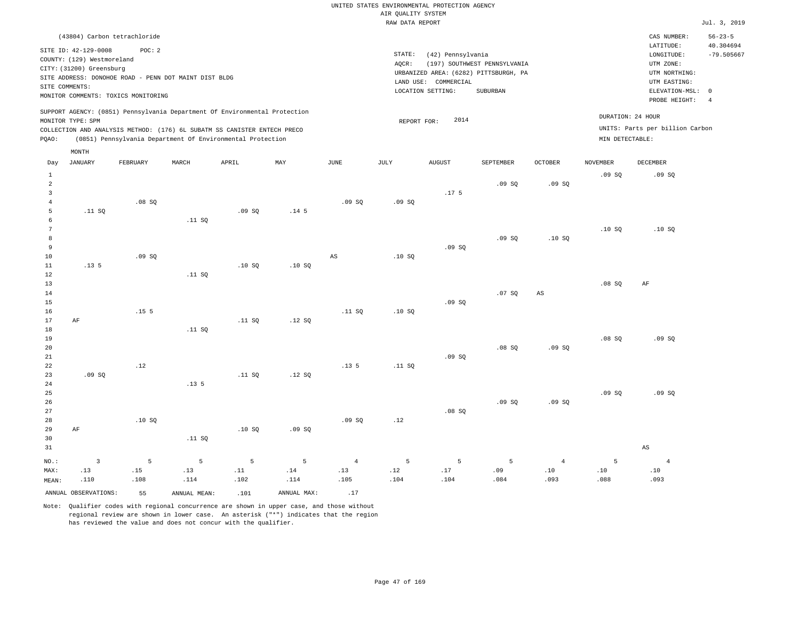|                |                                                                                | (43804) Carbon tetrachloride                                                                                                                                                                                         |       |       |     |      |                 |                                                                                    |                              |                |                 | CAS NUMBER:                                                           | $56 - 23 - 5$             |
|----------------|--------------------------------------------------------------------------------|----------------------------------------------------------------------------------------------------------------------------------------------------------------------------------------------------------------------|-------|-------|-----|------|-----------------|------------------------------------------------------------------------------------|------------------------------|----------------|-----------------|-----------------------------------------------------------------------|---------------------------|
|                | SITE ID: 42-129-0008<br>COUNTY: (129) Westmoreland<br>CITY: (31200) Greensburg | POC: 2<br>SITE ADDRESS: DONOHOE ROAD - PENN DOT MAINT DIST BLDG                                                                                                                                                      |       |       |     |      | STATE:<br>AOCR: | (42) Pennsylvania<br>URBANIZED AREA: (6282) PITTSBURGH, PA<br>LAND USE: COMMERCIAL | (197) SOUTHWEST PENNSYLVANIA |                |                 | LATITUDE:<br>LONGITUDE:<br>UTM ZONE:<br>UTM NORTHING:<br>UTM EASTING: | 40.304694<br>$-79.505667$ |
| SITE COMMENTS: |                                                                                | MONITOR COMMENTS: TOXICS MONITORING                                                                                                                                                                                  |       |       |     |      |                 | LOCATION SETTING:                                                                  | SUBURBAN                     |                |                 | ELEVATION-MSL:                                                        | - 0                       |
|                |                                                                                |                                                                                                                                                                                                                      |       |       |     |      |                 |                                                                                    |                              |                |                 | PROBE HEIGHT:                                                         | -4                        |
| POAO:          | MONITOR TYPE: SPM                                                              | SUPPORT AGENCY: (0851) Pennsylvania Department Of Environmental Protection<br>COLLECTION AND ANALYSIS METHOD: (176) 6L SUBATM SS CANISTER ENTECH PRECO<br>(0851) Pennsylvania Department Of Environmental Protection |       |       |     |      |                 | 2014<br>REPORT FOR:                                                                |                              |                | MIN DETECTABLE: | DURATION: 24 HOUR<br>UNITS: Parts per billion Carbon                  |                           |
|                | MONTH                                                                          |                                                                                                                                                                                                                      |       |       |     |      |                 |                                                                                    |                              |                |                 |                                                                       |                           |
| Day            | JANUARY                                                                        | FEBRUARY                                                                                                                                                                                                             | MARCH | APRIL | MAY | JUNE | JULY            | <b>AUGUST</b>                                                                      | SEPTEMBER                    | <b>OCTOBER</b> | <b>NOVEMBER</b> | DECEMBER                                                              |                           |

| vay            | <b>ONNOUNCE</b>       | L PDI/OM/T       | LIMIT CIT       | <b>ULIZTA</b>        | 1,757.7          | <b>O OTATA</b>         | 0.011           | when t           | OBFIBERY       | OCTOBEL.               | <b>MOATHITE</b> | <b>DECEMBER</b>        |  |
|----------------|-----------------------|------------------|-----------------|----------------------|------------------|------------------------|-----------------|------------------|----------------|------------------------|-----------------|------------------------|--|
| $\mathbf{1}$   |                       |                  |                 |                      |                  |                        |                 |                  |                |                        | .09SQ           | .09SQ                  |  |
| 2              |                       |                  |                 |                      |                  |                        |                 |                  | .09SQ          | .09SQ                  |                 |                        |  |
| 3              |                       |                  |                 |                      |                  |                        |                 | .17 <sub>5</sub> |                |                        |                 |                        |  |
| $\overline{4}$ |                       | .08 SQ           |                 |                      |                  | .09SQ                  | .09SQ           |                  |                |                        |                 |                        |  |
| 5              | .11 SQ                |                  |                 | .09SQ                | .14 <sub>5</sub> |                        |                 |                  |                |                        |                 |                        |  |
| 6              |                       |                  | .11 SQ          |                      |                  |                        |                 |                  |                |                        |                 |                        |  |
| 7              |                       |                  |                 |                      |                  |                        |                 |                  |                |                        | .10SQ           | .10SQ                  |  |
| 8              |                       |                  |                 |                      |                  |                        |                 |                  | .09SQ          | .10SQ                  |                 |                        |  |
| 9              |                       |                  |                 |                      |                  |                        |                 | .09SQ            |                |                        |                 |                        |  |
| $10\,$         |                       | .09SQ            |                 |                      |                  | $\mathbb{A}\mathbb{S}$ | .10SQ           |                  |                |                        |                 |                        |  |
| $11\,$         | .13 <sub>5</sub>      |                  |                 | .10SQ                | .10SQ            |                        |                 |                  |                |                        |                 |                        |  |
| 12             |                       |                  | .11 SQ          |                      |                  |                        |                 |                  |                |                        |                 |                        |  |
| 13             |                       |                  |                 |                      |                  |                        |                 |                  |                |                        | .08SQ           | AF                     |  |
| $14\,$         |                       |                  |                 |                      |                  |                        |                 |                  | .07 SQ         | $\mathbb{A}\mathbb{S}$ |                 |                        |  |
| 15             |                       |                  |                 |                      |                  |                        |                 | .09SQ            |                |                        |                 |                        |  |
| 16             |                       | .15 <sub>5</sub> |                 |                      |                  | .11 SQ                 | .10SQ           |                  |                |                        |                 |                        |  |
| 17             | $\rm{AF}$             |                  |                 | .11 SQ               | .12S             |                        |                 |                  |                |                        |                 |                        |  |
| 18             |                       |                  | .11 SQ          |                      |                  |                        |                 |                  |                |                        |                 |                        |  |
| 19             |                       |                  |                 |                      |                  |                        |                 |                  |                |                        | .08 SQ          | .09SQ                  |  |
| $20\,$         |                       |                  |                 |                      |                  |                        |                 |                  | .08 SQ         | .09SQ                  |                 |                        |  |
| 21             |                       | .12              |                 |                      |                  | .13 <sub>5</sub>       |                 | .09SQ            |                |                        |                 |                        |  |
| 22<br>23       | .09SQ                 |                  |                 | .11 SQ               | .12 SQ           |                        | .11 SQ          |                  |                |                        |                 |                        |  |
| 24             |                       |                  | .13.5           |                      |                  |                        |                 |                  |                |                        |                 |                        |  |
| 25             |                       |                  |                 |                      |                  |                        |                 |                  |                |                        | .09SQ           | .09 SQ                 |  |
| 26             |                       |                  |                 |                      |                  |                        |                 |                  | .09SQ          | .09SQ                  |                 |                        |  |
| 27             |                       |                  |                 |                      |                  |                        |                 | .08 SQ           |                |                        |                 |                        |  |
| 28             |                       | .10SQ            |                 |                      |                  | .09SQ                  | .12             |                  |                |                        |                 |                        |  |
| 29             | $\rm AF$              |                  |                 | .10SQ                | .09SQ            |                        |                 |                  |                |                        |                 |                        |  |
| 30             |                       |                  | .11 SQ          |                      |                  |                        |                 |                  |                |                        |                 |                        |  |
| 31             |                       |                  |                 |                      |                  |                        |                 |                  |                |                        |                 | $\mathbb{A}\mathbb{S}$ |  |
|                |                       |                  |                 |                      |                  |                        |                 |                  |                |                        |                 |                        |  |
| $_{\rm NO.}$ : | $\overline{3}$<br>.13 | $\mathsf S$      | $5\phantom{.0}$ | 5                    | 5                | $\overline{4}$         | $5\phantom{.0}$ | $\overline{5}$   | $\overline{5}$ | $\overline{4}$         | $\mathsf S$     | $\sqrt{4}$             |  |
| MAX:           | .110                  | .15<br>.108      | .13<br>.114     | $\, . \, 11$<br>.102 | .14<br>.114      | .13<br>.105            | .12<br>.104     | $.17\,$<br>.104  | .09<br>.084    | $.10\,$<br>.093        | .10<br>.088     | .10<br>.093            |  |
| MEAN:          |                       |                  |                 |                      |                  |                        |                 |                  |                |                        |                 |                        |  |
|                | ANNUAL OBSERVATIONS:  | 55               | ANNUAL MEAN:    | .101                 | ANNUAL MAX:      | .17                    |                 |                  |                |                        |                 |                        |  |

Note: Qualifier codes with regional concurrence are shown in upper case, and those without

regional review are shown in lower case. An asterisk ("\*") indicates that the region

has reviewed the value and does not concur with the qualifier.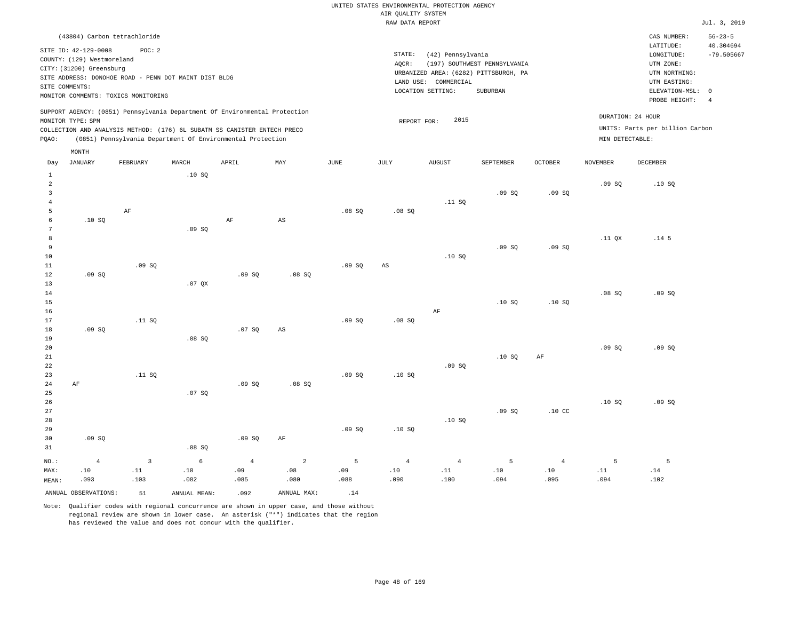|       |                                                        | (43804) Carbon tetrachloride                          |       |                                                                                                                                                                                                                      |     |      |                 |                                                            |                              |                |                 | CAS NUMBER:                                          | $56 - 23 - 5$  |
|-------|--------------------------------------------------------|-------------------------------------------------------|-------|----------------------------------------------------------------------------------------------------------------------------------------------------------------------------------------------------------------------|-----|------|-----------------|------------------------------------------------------------|------------------------------|----------------|-----------------|------------------------------------------------------|----------------|
|       | SITE ID: 42-129-0008                                   | POC:2                                                 |       |                                                                                                                                                                                                                      |     |      |                 |                                                            |                              |                |                 | LATITUDE:                                            | 40.304694      |
|       | COUNTY: (129) Westmoreland<br>CITY: (31200) Greensburg | SITE ADDRESS: DONOHOE ROAD - PENN DOT MAINT DIST BLDG |       |                                                                                                                                                                                                                      |     |      | STATE:<br>AQCR: | (42) Pennsylvania<br>URBANIZED AREA: (6282) PITTSBURGH, PA | (197) SOUTHWEST PENNSYLVANIA |                |                 | LONGITUDE:<br>UTM ZONE:<br>UTM NORTHING:             | $-79.505667$   |
|       | SITE COMMENTS:                                         | MONITOR COMMENTS: TOXICS MONITORING                   |       |                                                                                                                                                                                                                      |     |      |                 | LAND USE: COMMERCIAL<br>LOCATION SETTING:                  | SUBURBAN                     |                |                 | UTM EASTING:<br>ELEVATION-MSL: 0<br>PROBE HEIGHT:    | $\overline{4}$ |
| POAO: | MONITOR TYPE: SPM                                      |                                                       |       | SUPPORT AGENCY: (0851) Pennsylvania Department Of Environmental Protection<br>COLLECTION AND ANALYSIS METHOD: (176) 6L SUBATM SS CANISTER ENTECH PRECO<br>(0851) Pennsylvania Department Of Environmental Protection |     |      |                 | 2015<br>REPORT FOR:                                        |                              |                | MIN DETECTABLE: | DURATION: 24 HOUR<br>UNITS: Parts per billion Carbon |                |
|       | MONTH                                                  |                                                       |       |                                                                                                                                                                                                                      |     |      |                 |                                                            |                              |                |                 |                                                      |                |
| Day   | JANUARY                                                | FEBRUARY                                              | MARCH | APRIL                                                                                                                                                                                                                | MAY | JUNE | JULY            | <b>AUGUST</b>                                              | SEPTEMBER                    | <b>OCTOBER</b> | <b>NOVEMBER</b> | <b>DECEMBER</b>                                      |                |
|       |                                                        |                                                       | .10SQ |                                                                                                                                                                                                                      |     |      |                 |                                                            |                              |                | .09S            | .10S                                                 |                |
|       |                                                        |                                                       |       |                                                                                                                                                                                                                      |     |      |                 |                                                            | .09S                         | .09S           |                 |                                                      |                |

| $\overline{\phantom{0}}$ |        |          |          |          |                        |        |                        |           | .02 <sub>0</sub> | .02 <sub>02</sub> |          |                  |
|--------------------------|--------|----------|----------|----------|------------------------|--------|------------------------|-----------|------------------|-------------------|----------|------------------|
| $\overline{4}$           |        |          |          |          |                        |        |                        | .11 SQ    |                  |                   |          |                  |
| 5                        |        | $\rm AF$ |          |          |                        | .08 SQ | .08SQ                  |           |                  |                   |          |                  |
| 6                        | .10 SQ |          |          | $\rm AF$ | $\mathbb{A}\mathbb{S}$ |        |                        |           |                  |                   |          |                  |
| $7\phantom{.0}$          |        |          | .09SQ    |          |                        |        |                        |           |                  |                   |          |                  |
| $^{\rm 8}$               |        |          |          |          |                        |        |                        |           |                  |                   | $.11$ QX | .14 <sub>5</sub> |
| $\overline{9}$           |        |          |          |          |                        |        |                        |           | .09SQ            | .09SQ             |          |                  |
| $10$                     |        |          |          |          |                        |        |                        | .10SQ     |                  |                   |          |                  |
| 11                       |        | .09SQ    |          |          |                        | .09 SQ | $\mathbb{A}\mathbb{S}$ |           |                  |                   |          |                  |
| 12                       | .09 SQ |          |          | .09SQ    | .08 SQ                 |        |                        |           |                  |                   |          |                  |
| 13                       |        |          | $.07$ QX |          |                        |        |                        |           |                  |                   |          |                  |
| 14                       |        |          |          |          |                        |        |                        |           |                  |                   | .08SQ    | .09SQ            |
| 15                       |        |          |          |          |                        |        |                        |           | .10S             | .10SQ             |          |                  |
| 16                       |        |          |          |          |                        |        |                        | $\rm{AF}$ |                  |                   |          |                  |
| 17                       |        | .11 SQ   |          |          |                        | .09SQ  | .08 SQ                 |           |                  |                   |          |                  |
| 18                       | .09 SQ |          |          | .07 SQ   | $\mathbb{A}\mathbb{S}$ |        |                        |           |                  |                   |          |                  |
| 19                       |        |          | .08 SQ   |          |                        |        |                        |           |                  |                   |          |                  |
| 20                       |        |          |          |          |                        |        |                        |           |                  |                   | .09SQ    | .09SQ            |
| $21\,$                   |        |          |          |          |                        |        |                        |           | .10 SQ           | $\rm{AF}$         |          |                  |
| 22                       |        |          |          |          |                        |        |                        | .09SQ     |                  |                   |          |                  |
| 23                       |        | .11 SQ   |          |          |                        | .09SQ  | .10S                   |           |                  |                   |          |                  |
| 24                       | AF     |          |          | .09SQ    | .08 SQ                 |        |                        |           |                  |                   |          |                  |
| 25                       |        |          | .07 SQ   |          |                        |        |                        |           |                  |                   |          |                  |
| 26                       |        |          |          |          |                        |        |                        |           |                  |                   | .10S     | .09SQ            |
| 27                       |        |          |          |          |                        |        |                        |           | .09SQ            | .10 <sub>C</sub>  |          |                  |

| 28    |                      |      |              |       |             |       |      | .10S |      |      |      |      |
|-------|----------------------|------|--------------|-------|-------------|-------|------|------|------|------|------|------|
| 29    |                      |      |              |       |             | .09SQ | .10S |      |      |      |      |      |
| 30    | .09SQ                |      |              | .09SQ | AF          |       |      |      |      |      |      |      |
| 31    |                      |      | .08 SQ       |       |             |       |      |      |      |      |      |      |
| NO.:  |                      |      | 6.           |       |             |       |      |      |      |      |      |      |
| MAX:  | .10                  | .11  | .10          | .09   | .08         | .09   | .10  | .11  | .10  | .10  | .11  | .14  |
| MEAN: | .093                 | .103 | .082         | .085  | .080        | .088  | .090 | .100 | .094 | .095 | .094 | .102 |
|       | ANNUAL OBSERVATIONS: | 51   | ANNUAL MEAN: | .092  | ANNUAL MAX: | .14   |      |      |      |      |      |      |

Note: Qualifier codes with regional concurrence are shown in upper case, and those without regional review are shown in lower case. An asterisk ("\*") indicates that the region has reviewed the value and does not concur with the qualifier.

5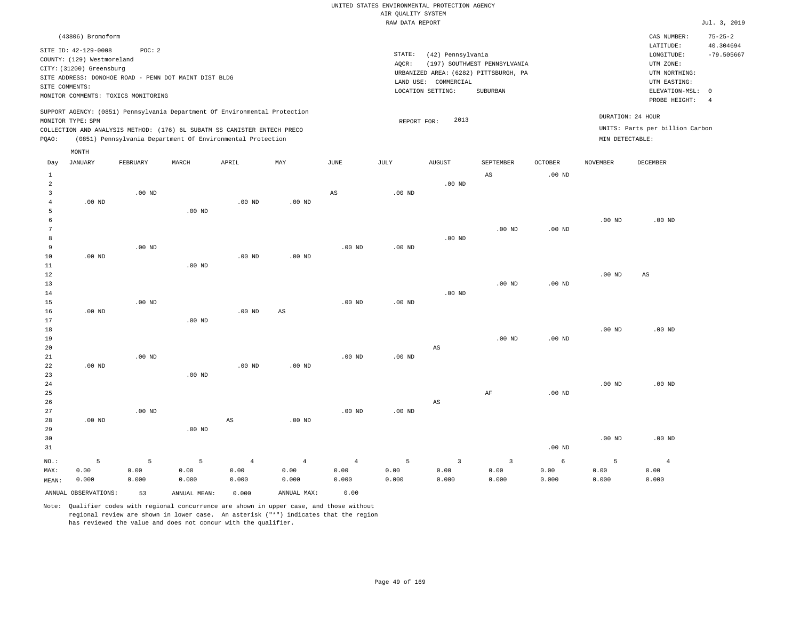|       | (43806) Bromoform                                                                                |                                                                                                        |       |                                                                                                                                                                                                                      |          |      |                    |                                                                                                            |                                          |          |                 | CAS NUMBER:                                                                                              | $75 - 25 - 2$                                             |
|-------|--------------------------------------------------------------------------------------------------|--------------------------------------------------------------------------------------------------------|-------|----------------------------------------------------------------------------------------------------------------------------------------------------------------------------------------------------------------------|----------|------|--------------------|------------------------------------------------------------------------------------------------------------|------------------------------------------|----------|-----------------|----------------------------------------------------------------------------------------------------------|-----------------------------------------------------------|
|       | SITE ID: 42-129-0008<br>COUNTY: (129) Westmoreland<br>CITY: (31200) Greensburg<br>SITE COMMENTS: | POC: 2<br>SITE ADDRESS: DONOHOE ROAD - PENN DOT MAINT DIST BLDG<br>MONITOR COMMENTS: TOXICS MONITORING |       |                                                                                                                                                                                                                      |          |      | STATE:<br>$AQCR$ : | (42) Pennsylvania<br>URBANIZED AREA: (6282) PITTSBURGH, PA<br>COMMERCIAL<br>LAND USE:<br>LOCATION SETTING: | (197) SOUTHWEST PENNSYLVANIA<br>SUBURBAN |          |                 | LATITUDE:<br>LONGITUDE:<br>UTM ZONE:<br>UTM NORTHING:<br>UTM EASTING:<br>ELEVATION-MSL:<br>PROBE HEIGHT: | 40.304694<br>$-79.505667$<br>$^{\circ}$<br>$\overline{4}$ |
| POAO: | MONITOR TYPE: SPM                                                                                |                                                                                                        |       | SUPPORT AGENCY: (0851) Pennsylvania Department Of Environmental Protection<br>COLLECTION AND ANALYSIS METHOD: (176) 6L SUBATM SS CANISTER ENTECH PRECO<br>(0851) Pennsylvania Department Of Environmental Protection |          |      |                    | 2013<br>REPORT FOR:                                                                                        |                                          |          |                 | DURATION: 24 HOUR<br>UNITS: Parts per billion Carbon<br>MIN DETECTABLE:                                  |                                                           |
|       | MONTH                                                                                            |                                                                                                        |       |                                                                                                                                                                                                                      |          |      |                    |                                                                                                            |                                          |          |                 |                                                                                                          |                                                           |
| Day   | JANUARY                                                                                          | FEBRUARY                                                                                               | MARCH | APRIL                                                                                                                                                                                                                | MAY      | JUNE | JULY               | <b>AUGUST</b>                                                                                              | SEPTEMBER                                | OCTOBER  | <b>NOVEMBER</b> | DECEMBER                                                                                                 |                                                           |
|       |                                                                                                  |                                                                                                        |       |                                                                                                                                                                                                                      |          |      |                    |                                                                                                            | AS                                       | $.00$ ND |                 |                                                                                                          |                                                           |
|       |                                                                                                  |                                                                                                        |       |                                                                                                                                                                                                                      |          |      |                    | $.00$ ND                                                                                                   |                                          |          |                 |                                                                                                          |                                                           |
|       |                                                                                                  | $.00$ ND                                                                                               |       |                                                                                                                                                                                                                      |          | AS   | $.00$ ND           |                                                                                                            |                                          |          |                 |                                                                                                          |                                                           |
|       | $.00$ ND                                                                                         |                                                                                                        |       | $.00$ ND                                                                                                                                                                                                             | $.00$ ND |      |                    |                                                                                                            |                                          |          |                 |                                                                                                          |                                                           |

 5 6 7 8 9 10 .00 ND .00 ND .00 ND .00 ND .00 ND .00 ND .00 ND .00 ND .00 ND .00 ND .00 ND .00 ND

| ΙU     | שות טיט. |          |          | . OU ND  | שט טי    |          |          |          |          |          |          |          |
|--------|----------|----------|----------|----------|----------|----------|----------|----------|----------|----------|----------|----------|
| 11     |          |          | $.00$ ND |          |          |          |          |          |          |          |          |          |
| 12     |          |          |          |          |          |          |          |          |          |          | $.00$ ND | AS       |
| 13     |          |          |          |          |          |          |          |          | $.00$ ND | $.00$ ND |          |          |
| $1\,4$ |          |          |          |          |          |          |          | $.00$ ND |          |          |          |          |
| 15     |          | $.00$ ND |          |          |          | $.00$ ND | $.00$ ND |          |          |          |          |          |
| 16     | $.00$ ND |          |          | $.00$ ND | AS       |          |          |          |          |          |          |          |
| 17     |          |          | $.00$ ND |          |          |          |          |          |          |          |          |          |
| $18\,$ |          |          |          |          |          |          |          |          |          |          | $.00$ ND | $.00$ ND |
| 19     |          |          |          |          |          |          |          |          | $.00$ ND | $.00$ ND |          |          |
| 20     |          |          |          |          |          |          |          | AS       |          |          |          |          |
| 21     |          | $.00$ ND |          |          |          | $.00$ ND | $.00$ ND |          |          |          |          |          |
| 22     | $.00$ ND |          |          | $.00$ ND | $.00$ ND |          |          |          |          |          |          |          |
| 23     |          |          | $.00$ ND |          |          |          |          |          |          |          |          |          |
| 24     |          |          |          |          |          |          |          |          |          |          | $.00$ ND | $.00$ ND |

25 26 27 28 .00 ND .00 ND AS .00 ND .00 ND .00 ND AS AF .00 ND .00 ND .00 ND

| 29    |                      |       | $.00$ ND     |       |             |       |       |       |       |          |          |          |
|-------|----------------------|-------|--------------|-------|-------------|-------|-------|-------|-------|----------|----------|----------|
| 30    |                      |       |              |       |             |       |       |       |       |          | $.00$ ND | $.00$ ND |
| 31    |                      |       |              |       |             |       |       |       |       | $.00$ ND |          |          |
| NO.:  |                      |       |              | 4     |             |       |       |       |       |          |          |          |
| MAX:  | 0.00                 | 0.00  | 0.00         | 0.00  | 0.00        | 0.00  | 0.00  | 0.00  | 0.00  | 0.00     | 0.00     | 0.00     |
| MEAN: | 0.000                | 0.000 | 0.000        | 0.000 | 0.000       | 0.000 | 0.000 | 0.000 | 0.000 | 0.000    | 0.000    | 0.000    |
|       | ANNUAL OBSERVATIONS: | 53    | ANNUAL MEAN: | 0.000 | ANNUAL MAX: | 0.00  |       |       |       |          |          |          |

Note: Qualifier codes with regional concurrence are shown in upper case, and those without regional review are shown in lower case. An asterisk ("\*") indicates that the region

has reviewed the value and does not concur with the qualifier.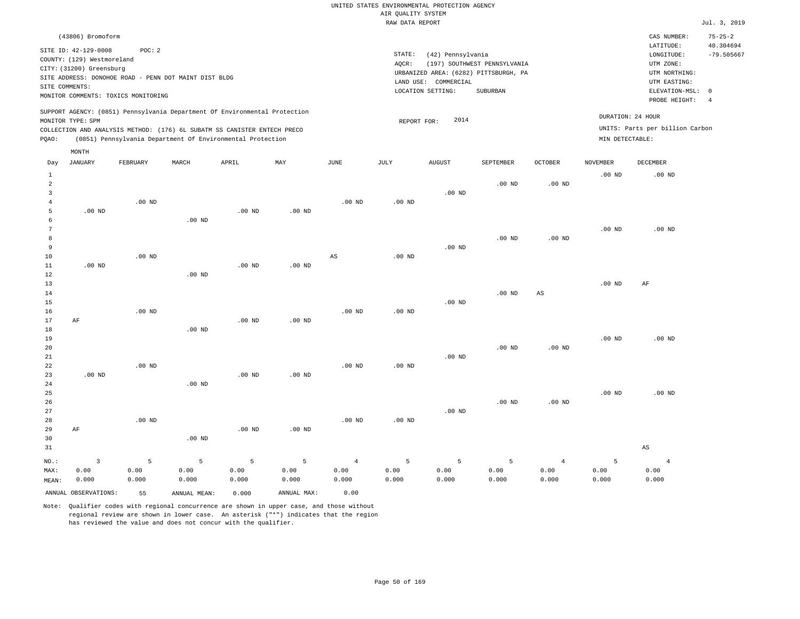| (43806) Bromoform                                                                                                                                                                                         |                                                                                                                                                                        | CAS NUMBER:                                                                               | $75 - 25 - 2$             |
|-----------------------------------------------------------------------------------------------------------------------------------------------------------------------------------------------------------|------------------------------------------------------------------------------------------------------------------------------------------------------------------------|-------------------------------------------------------------------------------------------|---------------------------|
| SITE ID: 42-129-0008<br>POC:2<br>COUNTY: (129) Westmoreland<br>CITY: (31200) Greensburg<br>SITE ADDRESS: DONOHOE ROAD - PENN DOT MAINT DIST BLDG<br>SITE COMMENTS:<br>MONITOR COMMENTS: TOXICS MONITORING | STATE:<br>(42) Pennsylvania<br>(197) SOUTHWEST PENNSYLVANIA<br>AOCR:<br>URBANIZED AREA: (6282) PITTSBURGH, PA<br>LAND USE: COMMERCIAL<br>LOCATION SETTING:<br>SUBURBAN | LATITUDE:<br>LONGITUDE:<br>UTM ZONE:<br>UTM NORTHING:<br>UTM EASTING:<br>ELEVATION-MSL: 0 | 40.304694<br>$-79.505667$ |
| SUPPORT AGENCY: (0851) Pennsylvania Department Of Environmental Protection<br>MONITOR TYPE: SPM<br>COLLECTION AND ANALYSIS METHOD: (176) 6L SUBATM SS CANISTER ENTECH PRECO                               | 2014<br>REPORT FOR:                                                                                                                                                    | PROBE HEIGHT:<br>DURATION: 24 HOUR<br>UNITS: Parts per billion Carbon                     |                           |
| (0851) Pennsylvania Department Of Environmental Protection<br>POAO:<br>MONTH                                                                                                                              |                                                                                                                                                                        | MIN DETECTABLE:                                                                           |                           |

| Day          | <b>JANUARY</b>       | FEBRUARY          | $\tt MARCH$  | APRIL             | MAY         | $_{\rm JUNE}$  | $_{\rm JULY}$ | AUGUST            | SEPTEMBER | OCTOBER                | NOVEMBER | $\tt DECEMBER$         |
|--------------|----------------------|-------------------|--------------|-------------------|-------------|----------------|---------------|-------------------|-----------|------------------------|----------|------------------------|
| $\mathbf{1}$ |                      |                   |              |                   |             |                |               |                   |           |                        | $.00$ ND | $.00$ ND               |
| 2            |                      |                   |              |                   |             |                |               |                   | $.00$ ND  | .00 <sub>ND</sub>      |          |                        |
| 3            |                      |                   |              |                   |             |                |               | $.00$ ND          |           |                        |          |                        |
| 4            |                      | $.00$ ND          |              |                   |             | $.00$ ND       | $.00$ ND      |                   |           |                        |          |                        |
| 5            | $.00$ ND             |                   |              | $.00$ ND          | $.00$ ND    |                |               |                   |           |                        |          |                        |
| 6            |                      |                   | $.00$ ND     |                   |             |                |               |                   |           |                        |          |                        |
| 7            |                      |                   |              |                   |             |                |               |                   |           |                        | $.00$ ND | $.00$ ND               |
| 8            |                      |                   |              |                   |             |                |               |                   | $.00$ ND  | $.00$ ND               |          |                        |
| 9            |                      |                   |              |                   |             |                |               | $.00~\mathrm{ND}$ |           |                        |          |                        |
| 10           |                      | .00 <sub>ND</sub> |              |                   |             | $_{\rm AS}$    | $.00$ ND      |                   |           |                        |          |                        |
| 11           | $.00$ ND             |                   |              | .00 <sub>ND</sub> | $.00$ ND    |                |               |                   |           |                        |          |                        |
| 12           |                      |                   | $.00$ ND     |                   |             |                |               |                   |           |                        |          |                        |
| 13           |                      |                   |              |                   |             |                |               |                   |           |                        | $.00$ ND | $\rm AF$               |
| 14           |                      |                   |              |                   |             |                |               |                   | $.00$ ND  | $\mathbb{A}\mathbb{S}$ |          |                        |
| 15           |                      |                   |              |                   |             |                |               | $.00$ ND          |           |                        |          |                        |
| 16           |                      | .00 <sub>ND</sub> |              |                   |             | $.00$ ND       | $.00$ ND      |                   |           |                        |          |                        |
| 17           | AF                   |                   |              | .00 <sub>ND</sub> | $.00$ ND    |                |               |                   |           |                        |          |                        |
| 18<br>19     |                      |                   | $.00$ ND     |                   |             |                |               |                   |           |                        | $.00$ ND | $.00$ ND               |
| 20           |                      |                   |              |                   |             |                |               |                   | $.00$ ND  | .00 <sub>ND</sub>      |          |                        |
| 21           |                      |                   |              |                   |             |                |               | $.00$ ND          |           |                        |          |                        |
| 22           |                      | $.00$ ND          |              |                   |             | $.00$ ND       | $.00$ ND      |                   |           |                        |          |                        |
| 23           | $.00$ ND             |                   |              | .00 <sub>ND</sub> | $.00$ ND    |                |               |                   |           |                        |          |                        |
| $2\,4$       |                      |                   | $.00$ ND     |                   |             |                |               |                   |           |                        |          |                        |
| 25           |                      |                   |              |                   |             |                |               |                   |           |                        | $.00$ ND | $.00$ ND               |
| 26           |                      |                   |              |                   |             |                |               |                   | $.00$ ND  | $.00$ ND               |          |                        |
| $2\,7$       |                      |                   |              |                   |             |                |               | $.00$ ND          |           |                        |          |                        |
| 28           |                      | $.00$ ND          |              |                   |             | $.00$ ND       | $.00$ ND      |                   |           |                        |          |                        |
| 29           | $\rm AF$             |                   |              | $.00$ ND          | $.00$ ND    |                |               |                   |           |                        |          |                        |
| 30           |                      |                   | $.00$ ND     |                   |             |                |               |                   |           |                        |          |                        |
| 31           |                      |                   |              |                   |             |                |               |                   |           |                        |          | $\mathbb{A}\mathbb{S}$ |
| $NO.$ :      | $\overline{3}$       | 5                 | 5            | $\overline{5}$    | 5           | $\overline{4}$ | 5             | 5                 | 5         | $\overline{4}$         | 5        | $\overline{4}$         |
| MAX:         | 0.00                 | 0.00              | 0.00         | 0.00              | 0.00        | 0.00           | 0.00          | 0.00              | 0.00      | 0.00                   | 0.00     | 0.00                   |
| MEAN:        | 0.000                | 0.000             | 0.000        | 0.000             | 0.000       | 0.000          | 0.000         | 0.000             | 0.000     | 0.000                  | 0.000    | 0.000                  |
|              | ANNUAL OBSERVATIONS: | 55                | ANNUAL MEAN: | 0.000             | ANNUAL MAX: | 0.00           |               |                   |           |                        |          |                        |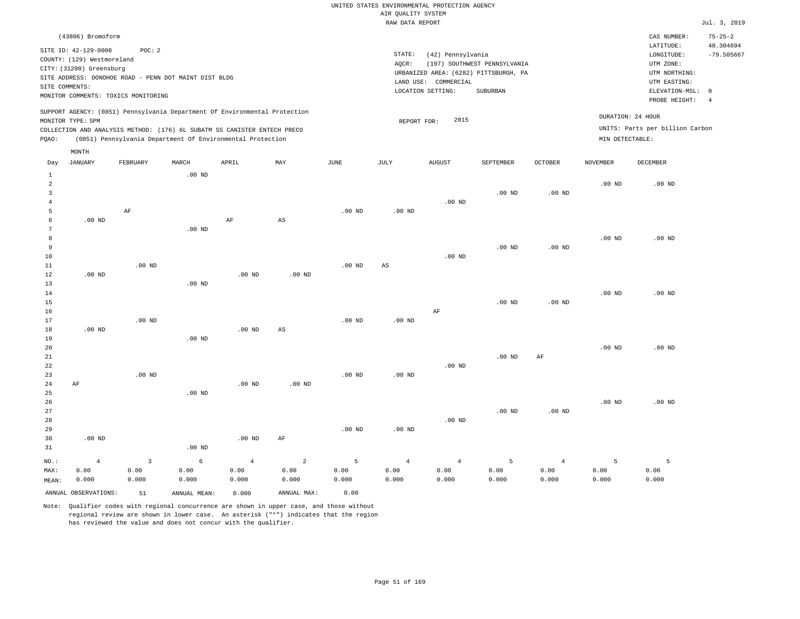| (43806) Bromoform                                                                                                                                                                                                                                           |                                                                                                                                                                        | CAS NUMBER:                                                                                                | $75 - 25 - 2$             |
|-------------------------------------------------------------------------------------------------------------------------------------------------------------------------------------------------------------------------------------------------------------|------------------------------------------------------------------------------------------------------------------------------------------------------------------------|------------------------------------------------------------------------------------------------------------|---------------------------|
| SITE ID: 42-129-0008<br>POC:2<br>COUNTY: (129) Westmoreland<br>CITY: (31200) Greensburg<br>SITE ADDRESS: DONOHOE ROAD - PENN DOT MAINT DIST BLDG<br>SITE COMMENTS:<br>MONITOR COMMENTS: TOXICS MONITORING                                                   | STATE:<br>(42) Pennsylvania<br>AOCR:<br>(197) SOUTHWEST PENNSYLVANIA<br>URBANIZED AREA: (6282) PITTSBURGH, PA<br>LAND USE: COMMERCIAL<br>LOCATION SETTING:<br>SUBURBAN | LATITUDE:<br>LONGITUDE:<br>UTM ZONE:<br>UTM NORTHING:<br>UTM EASTING:<br>ELEVATION-MSL: 0<br>PROBE HEIGHT: | 40.304694<br>$-79.505667$ |
| SUPPORT AGENCY: (0851) Pennsylvania Department Of Environmental Protection<br>MONITOR TYPE: SPM<br>COLLECTION AND ANALYSIS METHOD: (176) 6L SUBATM SS CANISTER ENTECH PRECO<br>(0851) Pennsylvania Department Of Environmental Protection<br>POAO:<br>MONTH | DURATION: 24 HOUR<br>2015<br>REPORT FOR:<br>MIN DETECTABLE:                                                                                                            | UNITS: Parts per billion Carbon                                                                            |                           |

| Day            | JANUARY              | FEBRUARY          | MARCH             | APRIL          | MAY                    | JUNE     | JULY                   | AUGUST         | SEPTEMBER      | OCTOBER        | NOVEMBER | DECEMBER |
|----------------|----------------------|-------------------|-------------------|----------------|------------------------|----------|------------------------|----------------|----------------|----------------|----------|----------|
| $\mathbf{1}$   |                      |                   | $.00$ ND          |                |                        |          |                        |                |                |                |          |          |
| $\overline{a}$ |                      |                   |                   |                |                        |          |                        |                |                |                | $.00$ ND | $.00$ ND |
| 3              |                      |                   |                   |                |                        |          |                        |                | $.00$ ND       | $.00$ ND       |          |          |
| $\overline{4}$ |                      |                   |                   |                |                        |          |                        | $.00$ ND       |                |                |          |          |
| 5              |                      | $\rm AF$          |                   |                |                        | $.00$ ND | $.00$ ND               |                |                |                |          |          |
| 6              | .00 <sub>ND</sub>    |                   |                   | $\rm AF$       | AS                     |          |                        |                |                |                |          |          |
| 7              |                      |                   | .00 <sub>ND</sub> |                |                        |          |                        |                |                |                |          |          |
| $^{\rm 8}$     |                      |                   |                   |                |                        |          |                        |                |                |                | $.00$ ND | $.00$ ND |
| 9              |                      |                   |                   |                |                        |          |                        |                | $.00$ ND       | $.00$ ND       |          |          |
| $10$           |                      |                   |                   |                |                        |          |                        | $.00$ ND       |                |                |          |          |
| $11\,$         |                      | .00 <sub>ND</sub> |                   |                |                        | $.00$ ND | $\mathbb{A}\mathbb{S}$ |                |                |                |          |          |
| 12             | $.00$ ND             |                   |                   | $.00$ ND       | $.00$ ND               |          |                        |                |                |                |          |          |
| 13             |                      |                   | $.00$ ND          |                |                        |          |                        |                |                |                |          |          |
| 14             |                      |                   |                   |                |                        |          |                        |                |                |                | $.00$ ND | $.00$ ND |
| 15             |                      |                   |                   |                |                        |          |                        |                | $.00$ ND       | $.00$ ND       |          |          |
| 16             |                      |                   |                   |                |                        |          |                        | $\rm AF$       |                |                |          |          |
| 17             |                      | .00 <sub>ND</sub> |                   |                |                        | $.00$ ND | $.00$ ND               |                |                |                |          |          |
| 18             | .00 <sub>ND</sub>    |                   |                   | $.00$ ND       | $\mathbb{A}\mathbb{S}$ |          |                        |                |                |                |          |          |
| 19             |                      |                   | $.00$ ND          |                |                        |          |                        |                |                |                |          |          |
| 20             |                      |                   |                   |                |                        |          |                        |                |                |                | $.00$ ND | $.00$ ND |
| 21             |                      |                   |                   |                |                        |          |                        |                | $.00$ ND       | $\rm AF$       |          |          |
| 22             |                      |                   |                   |                |                        |          |                        | $.00$ ND       |                |                |          |          |
| 23             |                      | $.00$ ND          |                   |                |                        | $.00$ ND | $.00$ ND               |                |                |                |          |          |
| 24             | AF                   |                   |                   | $.00$ ND       | $.00$ ND               |          |                        |                |                |                |          |          |
| 25             |                      |                   | $.00$ ND          |                |                        |          |                        |                |                |                |          |          |
| 26             |                      |                   |                   |                |                        |          |                        |                |                |                | $.00$ ND | $.00$ ND |
| 27             |                      |                   |                   |                |                        |          |                        |                | $.00$ ND       | $.00$ ND       |          |          |
| 28             |                      |                   |                   |                |                        |          |                        | $.00$ ND       |                |                |          |          |
| 29             |                      |                   |                   |                |                        | $.00$ ND | $.00$ ND               |                |                |                |          |          |
| 30             | .00 <sub>ND</sub>    |                   |                   | .00 $ND$       | $\rm AF$               |          |                        |                |                |                |          |          |
| 31             |                      |                   | $.00$ ND          |                |                        |          |                        |                |                |                |          |          |
| $_{\rm NO.}$ : | $\overline{4}$       | $\mathbf{3}$      | $\epsilon$        | $\overline{4}$ | $\sqrt{2}$             | 5        | $\overline{4}$         | $\overline{4}$ | $\overline{5}$ | $\overline{4}$ | 5        | 5        |
| MAX:           | 0.00                 | 0.00              | 0.00              | 0.00           | 0.00                   | 0.00     | 0.00                   | 0.00           | 0.00           | 0.00           | 0.00     | 0.00     |
| MEAN:          | 0.000                | 0.000             | 0.000             | 0.000          | 0.000                  | 0.000    | 0.000                  | 0.000          | 0.000          | 0.000          | 0.000    | 0.000    |
|                | ANNUAL OBSERVATIONS: | 51                | ANNUAL MEAN:      | 0.000          | ANNUAL MAX:            | 0.00     |                        |                |                |                |          |          |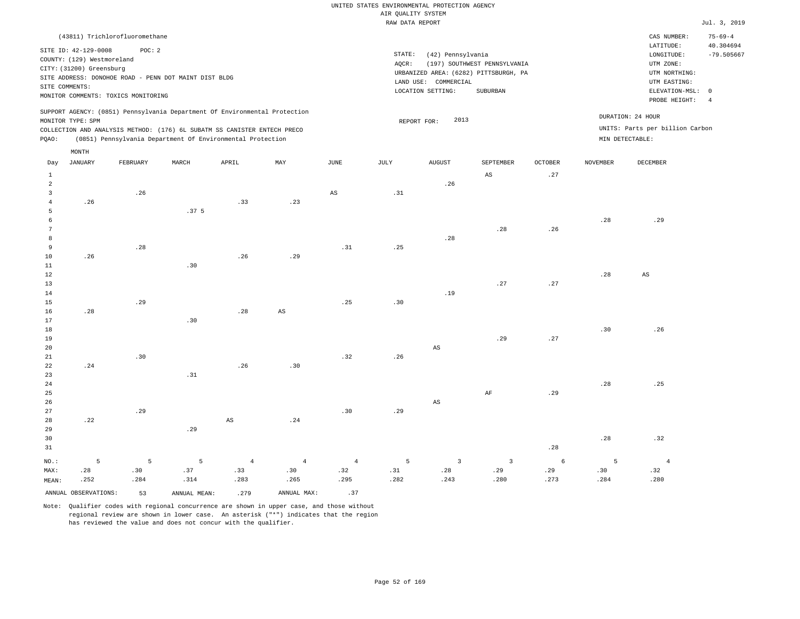| STATE:<br>(42) Pennsylvania<br>(197) SOUTHWEST PENNSYLVANIA<br>AOCR:<br>URBANIZED AREA: (6282) PITTSBURGH, PA<br>COMMERCIAL<br>LAND USE:<br>LOCATION SETTING:<br>SUBURBAN | LATITUDE:<br>LONGITUDE:<br>UTM ZONE:<br>UTM NORTHING:<br>UTM EASTING:<br>ELEVATION-MSL: 0<br>PROBE HEIGHT:<br>-4 | 40.304694<br>$-79.505667$ |
|---------------------------------------------------------------------------------------------------------------------------------------------------------------------------|------------------------------------------------------------------------------------------------------------------|---------------------------|
| 2013<br>REPORT FOR:                                                                                                                                                       | DURATION: 24 HOUR<br>UNITS: Parts per billion Carbon<br>MIN DETECTABLE:                                          |                           |
|                                                                                                                                                                           |                                                                                                                  |                           |

| Day            | $_{\rm JANUARY}$             | FEBRUARY    | MARCH                       | APRIL                        | $\ensuremath{\text{MAX}}$    | $_{\rm JUNE}$          | $\mathtt{JULY}$ | AUGUST                 | SEPTEMBER               | OCTOBER            | NOVEMBER | DECEMBER       |
|----------------|------------------------------|-------------|-----------------------------|------------------------------|------------------------------|------------------------|-----------------|------------------------|-------------------------|--------------------|----------|----------------|
| 1              |                              |             |                             |                              |                              |                        |                 |                        | $\mathbb{A}\mathbb{S}$  | .27                |          |                |
| $\overline{a}$ |                              |             |                             |                              |                              |                        |                 | .26                    |                         |                    |          |                |
| 3              |                              | $\sqrt{26}$ |                             |                              |                              | $\mathbb{A}\mathbb{S}$ | $.31\,$         |                        |                         |                    |          |                |
| $\overline{4}$ | .26                          |             |                             | .33                          | .23                          |                        |                 |                        |                         |                    |          |                |
| 5              |                              |             | .37 <sub>5</sub>            |                              |                              |                        |                 |                        |                         |                    |          |                |
| 6              |                              |             |                             |                              |                              |                        |                 |                        |                         |                    | .28      | .29            |
| 7              |                              |             |                             |                              |                              |                        |                 |                        | .28                     | .26                |          |                |
| 8              |                              |             |                             |                              |                              |                        |                 | .28                    |                         |                    |          |                |
| 9              |                              | .28         |                             |                              |                              | .31                    | .25             |                        |                         |                    |          |                |
| 10             | .26                          |             |                             | .26                          | .29                          |                        |                 |                        |                         |                    |          |                |
| $11\,$         |                              |             | .30                         |                              |                              |                        |                 |                        |                         |                    |          |                |
| 12             |                              |             |                             |                              |                              |                        |                 |                        |                         |                    | .28      | $_{\rm AS}$    |
| $13$           |                              |             |                             |                              |                              |                        |                 |                        | .27                     | .27                |          |                |
| 14             |                              |             |                             |                              |                              |                        |                 | .19                    |                         |                    |          |                |
| 15             |                              | .29         |                             |                              |                              | .25                    | $.30$           |                        |                         |                    |          |                |
| 16             | .28                          |             |                             | $\boldsymbol{\mathcal{.}}28$ | $\mathbb{A}\mathbb{S}$       |                        |                 |                        |                         |                    |          |                |
| 17             |                              |             | $\boldsymbol{\mathsf{.30}}$ |                              |                              |                        |                 |                        |                         |                    |          |                |
| $18\,$         |                              |             |                             |                              |                              |                        |                 |                        |                         |                    | .30      | .26            |
| 19             |                              |             |                             |                              |                              |                        |                 |                        | .29                     | $\boldsymbol{.27}$ |          |                |
| 20             |                              |             |                             |                              |                              |                        |                 | $\mathbb{A}\mathbb{S}$ |                         |                    |          |                |
| $2\sqrt{1}$    |                              | .30         |                             |                              |                              | .32                    | .26             |                        |                         |                    |          |                |
| 22             | .24                          |             |                             | .26                          | .30                          |                        |                 |                        |                         |                    |          |                |
| 23             |                              |             | .31                         |                              |                              |                        |                 |                        |                         |                    |          |                |
| $2\,4$         |                              |             |                             |                              |                              |                        |                 |                        |                         |                    | .28      | .25            |
| 25             |                              |             |                             |                              |                              |                        |                 |                        | $\rm{AF}$               | .29                |          |                |
| 26             |                              |             |                             |                              |                              |                        |                 | $\mathbb{A}\mathbb{S}$ |                         |                    |          |                |
| 27             |                              | .29         |                             |                              |                              | .30                    | .29             |                        |                         |                    |          |                |
| 28             | $\boldsymbol{\mathcal{.}}22$ |             |                             | $\mathbb{A}\mathbb{S}$       | $\boldsymbol{\mathcal{.}}24$ |                        |                 |                        |                         |                    |          |                |
| 29             |                              |             | .29                         |                              |                              |                        |                 |                        |                         |                    |          |                |
| 30             |                              |             |                             |                              |                              |                        |                 |                        |                         | .28                | .28      | .32            |
| 31             |                              |             |                             |                              |                              |                        |                 |                        |                         |                    |          |                |
| $NO.$ :        | $\overline{5}$               | 5           | 5                           | $\overline{4}$               | $\overline{4}$               | $\overline{4}$         | 5               | $\overline{3}$         | $\overline{\mathbf{3}}$ | $\sqrt{6}$         | 5        | $\overline{4}$ |
| MAX:           | .28                          | .30         | .37                         | .33                          | .30                          | .32                    | .31             | .28                    | .29                     | $.29$              | $.30\,$  | .32            |
| MEAN:          | .252                         | .284        | .314                        | .283                         | .265                         | .295                   | .282            | .243                   | .280                    | .273               | .284     | .280           |
|                | ANNUAL OBSERVATIONS:         | 53          | ANNUAL MEAN:                | .279                         | ANNUAL MAX:                  | .37                    |                 |                        |                         |                    |          |                |

Note: Qualifier codes with regional concurrence are shown in upper case, and those without

regional review are shown in lower case. An asterisk ("\*") indicates that the region

has reviewed the value and does not concur with the qualifier.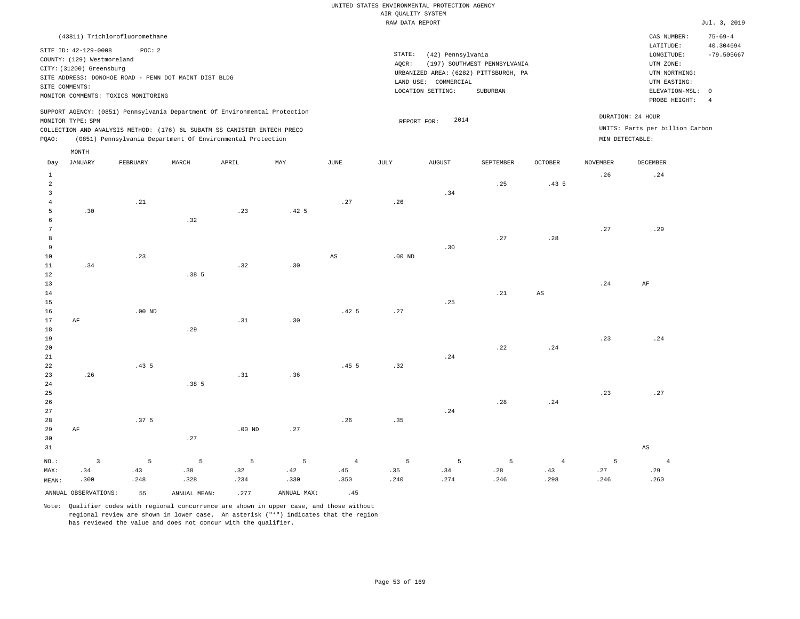|                                                                                                                                                                                                                                                    | (43811) Trichlorofluoromethane |       |       |     |             |                              |                                                      |                                                                                   |                |                                      | CAS NUMBER:                                   | $75 - 69 - 4$ |
|----------------------------------------------------------------------------------------------------------------------------------------------------------------------------------------------------------------------------------------------------|--------------------------------|-------|-------|-----|-------------|------------------------------|------------------------------------------------------|-----------------------------------------------------------------------------------|----------------|--------------------------------------|-----------------------------------------------|---------------|
| SITE ID: 42-129-0008<br>POC:2<br>COUNTY: (129) Westmoreland<br>CITY: (31200) Greensburg<br>SITE ADDRESS: DONOHOE ROAD - PENN DOT MAINT DIST BLDG<br>SITE COMMENTS:<br>MONITOR COMMENTS: TOXICS MONITORING                                          |                                |       |       |     |             | STATE:<br>AOCR:<br>LAND USE: | (42) Pennsylvania<br>COMMERCIAL<br>LOCATION SETTING: | (197) SOUTHWEST PENNSYLVANIA<br>URBANIZED AREA: (6282) PITTSBURGH, PA<br>SUBURBAN |                |                                      | 40.304694<br>$-79.505667$<br>ELEVATION-MSL: 0 |               |
| SUPPORT AGENCY: (0851) Pennsylvania Department Of Environmental Protection<br>MONITOR TYPE: SPM<br>COLLECTION AND ANALYSIS METHOD: (176) 6L SUBATM SS CANISTER ENTECH PRECO<br>(0851) Pennsylvania Department Of Environmental Protection<br>POAO: |                                |       |       |     |             | REPORT FOR:                  | 2014                                                 |                                                                                   |                | DURATION: 24 HOUR<br>MIN DETECTABLE: | UNITS: Parts per billion Carbon               |               |
| Day                                                                                                                                                                                                                                                | MONTH<br>JANUARY<br>FEBRUARY   | MARCH | APRIL | MAY | <b>JUNE</b> | JULY                         | <b>AUGUST</b>                                        | <b>SEPTEMBER</b>                                                                  | <b>OCTOBER</b> | <b>NOVEMBER</b>                      | <b>DECEMBER</b>                               |               |

| $\mathbf 1$          |                         |                  |                 |                 |                  |                        |                |                |             |                        | .26            | .24                    |
|----------------------|-------------------------|------------------|-----------------|-----------------|------------------|------------------------|----------------|----------------|-------------|------------------------|----------------|------------------------|
| $\overline{a}$       |                         |                  |                 |                 |                  |                        |                |                | .25         | .435                   |                |                        |
| $\overline{3}$       |                         |                  |                 |                 |                  |                        |                | .34            |             |                        |                |                        |
| $\overline{4}$       |                         | .21              |                 |                 |                  | .27                    | .26            |                |             |                        |                |                        |
| 5                    | .30                     |                  |                 | .23             | .42 <sub>5</sub> |                        |                |                |             |                        |                |                        |
| 6                    |                         |                  | .32             |                 |                  |                        |                |                |             |                        |                |                        |
| $7\phantom{.0}$<br>8 |                         |                  |                 |                 |                  |                        |                |                | .27         | .28                    | .27            | .29                    |
| 9                    |                         |                  |                 |                 |                  |                        |                | .30            |             |                        |                |                        |
| 10                   |                         | .23              |                 |                 |                  | $\mathbb{A}\mathbb{S}$ | $.00$ ND       |                |             |                        |                |                        |
| $11\,$               | .34                     |                  |                 | .32             | .30              |                        |                |                |             |                        |                |                        |
| 12                   |                         |                  | .38 5           |                 |                  |                        |                |                |             |                        |                |                        |
| 13                   |                         |                  |                 |                 |                  |                        |                |                |             |                        | .24            | $\rm{AF}$              |
| 14                   |                         |                  |                 |                 |                  |                        |                |                | .21         | $\mathbb{A}\mathbb{S}$ |                |                        |
| 15                   |                         |                  |                 |                 |                  |                        |                | .25            |             |                        |                |                        |
| 16                   |                         | $.00$ ND         |                 |                 |                  | .42 <sub>5</sub>       | .27            |                |             |                        |                |                        |
| 17                   | $\rm AF$                |                  |                 | .31             | .30              |                        |                |                |             |                        |                |                        |
| 18                   |                         |                  | .29             |                 |                  |                        |                |                |             |                        |                |                        |
| 19                   |                         |                  |                 |                 |                  |                        |                |                |             |                        | .23            | .24                    |
| 20                   |                         |                  |                 |                 |                  |                        |                |                | .22         | .24                    |                |                        |
| $21\,$               |                         |                  |                 |                 |                  |                        |                | .24            |             |                        |                |                        |
| 22                   |                         | .435             |                 |                 |                  | .45 <sub>5</sub>       | .32            |                |             |                        |                |                        |
| 23                   | .26                     |                  |                 | .31             | .36              |                        |                |                |             |                        |                |                        |
| 24                   |                         |                  | .38 5           |                 |                  |                        |                |                |             |                        |                |                        |
| $25\,$               |                         |                  |                 |                 |                  |                        |                |                |             |                        | .23            | .27                    |
| 26                   |                         |                  |                 |                 |                  |                        |                |                | .28         | .24                    |                |                        |
| 27<br>28             |                         | .37 <sub>5</sub> |                 |                 |                  | .26                    | .35            | .24            |             |                        |                |                        |
| 29                   | $\rm AF$                |                  |                 | .00 $ND$        | .27              |                        |                |                |             |                        |                |                        |
| 30                   |                         |                  | .27             |                 |                  |                        |                |                |             |                        |                |                        |
| 31                   |                         |                  |                 |                 |                  |                        |                |                |             |                        |                | $\mathbb{A}\mathbb{S}$ |
|                      |                         |                  |                 |                 |                  |                        |                |                |             |                        |                |                        |
| $_{\rm NO.}$ :       | $\overline{\mathbf{3}}$ | $5\phantom{.0}$  | $5\phantom{.0}$ | $5\phantom{.0}$ | $\mathsf S$      | $\bf{4}$               | $\overline{5}$ | $\overline{5}$ | $\mathsf S$ | $\overline{4}$         | $\overline{5}$ | $\overline{4}$         |
| MAX:                 | .34                     | .43              | .38             | .32             | .42              | .45                    | .35            | .34            | .28         | .43                    | .27            | .29                    |
| MEAN:                | .300                    | .248             | .328            | .234            | .330             | .350                   | .240           | .274           | .246        | .298                   | .246           | .260                   |
|                      | ANNUAL OBSERVATIONS:    | 55               | ANNUAL MEAN:    | .277            | ANNUAL MAX:      | .45                    |                |                |             |                        |                |                        |

Note: Qualifier codes with regional concurrence are shown in upper case, and those without

regional review are shown in lower case. An asterisk ("\*") indicates that the region

has reviewed the value and does not concur with the qualifier.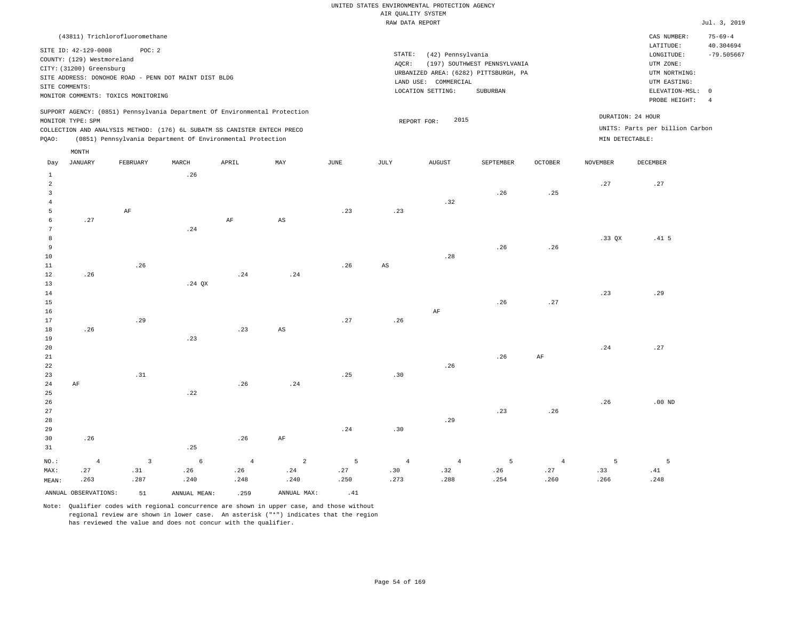|                                                                                                                                                                        | CAS NUMBER:                                                                            | $75 - 69 - 4$                                                                               |
|------------------------------------------------------------------------------------------------------------------------------------------------------------------------|----------------------------------------------------------------------------------------|---------------------------------------------------------------------------------------------|
| STATE:<br>(42) Pennsylvania<br>(197) SOUTHWEST PENNSYLVANIA<br>AOCR:<br>URBANIZED AREA: (6282) PITTSBURGH, PA<br>LAND USE: COMMERCIAL<br>LOCATION SETTING:<br>SUBURBAN | LATITUDE:<br>LONGITUDE:<br>UTM ZONE:<br>UTM NORTHING:<br>UTM EASTING:<br>PROBE HEIGHT: | 40.304694<br>$-79.505667$<br>-4                                                             |
| 2015<br>REPORT FOR:                                                                                                                                                    |                                                                                        |                                                                                             |
|                                                                                                                                                                        |                                                                                        | ELEVATION-MSL: 0<br>DURATION: 24 HOUR<br>UNITS: Parts per billion Carbon<br>MIN DETECTABLE: |

| Day            | JANUARY              | FEBRUARY     | MARCH              | APRIL          | MAY                    | JUNE        | JULY        | AUGUST     | SEPTEMBER   | OCTOBER                      | NOVEMBER | DECEMBER                     |
|----------------|----------------------|--------------|--------------------|----------------|------------------------|-------------|-------------|------------|-------------|------------------------------|----------|------------------------------|
| $\mathbf{1}$   |                      |              | .26                |                |                        |             |             |            |             |                              |          |                              |
| $\overline{a}$ |                      |              |                    |                |                        |             |             |            |             |                              | .27      | $\boldsymbol{\mathcal{.}}27$ |
| 3              |                      |              |                    |                |                        |             |             |            | .26         | .25                          |          |                              |
| $\overline{4}$ |                      |              |                    |                |                        |             |             | .32        |             |                              |          |                              |
| 5              |                      | $\rm{AF}$    |                    |                |                        | .23         | .23         |            |             |                              |          |                              |
| 6              | .27                  |              |                    | $\rm AF$       | $\mathbb{A}\mathbb{S}$ |             |             |            |             |                              |          |                              |
| $\overline{7}$ |                      |              | $\boldsymbol{.24}$ |                |                        |             |             |            |             |                              |          |                              |
| 8              |                      |              |                    |                |                        |             |             |            |             |                              | .33 QX   | .41 <sub>5</sub>             |
| 9              |                      |              |                    |                |                        |             |             |            | .26         | .26                          |          |                              |
| $10$           |                      |              |                    |                |                        |             |             | .28        |             |                              |          |                              |
| 11             |                      | .26          |                    |                |                        | .26         | $_{\rm AS}$ |            |             |                              |          |                              |
| 12             | .26                  |              |                    | .24            | .24                    |             |             |            |             |                              |          |                              |
| 13             |                      |              | .24 $QX$           |                |                        |             |             |            |             |                              |          |                              |
| 14             |                      |              |                    |                |                        |             |             |            |             |                              | .23      | .29                          |
| 15             |                      |              |                    |                |                        |             |             |            | .26         | $\boldsymbol{\mathcal{.}}27$ |          |                              |
| 16             |                      |              |                    |                |                        |             |             | $\rm{AF}$  |             |                              |          |                              |
| 17             |                      | .29          |                    |                |                        | $.27\,$     | .26         |            |             |                              |          |                              |
| 18             | .26                  |              |                    | .23            | AS                     |             |             |            |             |                              |          |                              |
| 19             |                      |              | .23                |                |                        |             |             |            |             |                              |          |                              |
| $20\,$         |                      |              |                    |                |                        |             |             |            |             |                              | .24      | .27                          |
| $2\sqrt{1}$    |                      |              |                    |                |                        |             |             |            | .26         | $\rm{AF}$                    |          |                              |
| $2\sqrt{2}$    |                      |              |                    |                |                        |             |             | .26        |             |                              |          |                              |
| 23             |                      | .31          |                    |                |                        | .25         | .30         |            |             |                              |          |                              |
| $2\,4$         | $\rm{AF}$            |              |                    | .26            | .24                    |             |             |            |             |                              |          |                              |
| $25\,$         |                      |              | .22                |                |                        |             |             |            |             |                              |          |                              |
| $26\,$         |                      |              |                    |                |                        |             |             |            |             |                              | .26      | .00 $ND$                     |
| $2\,7$         |                      |              |                    |                |                        |             |             |            | .23         | .26                          |          |                              |
| $28\,$         |                      |              |                    |                |                        | .24         |             | .29        |             |                              |          |                              |
| 29             |                      |              |                    | .26            |                        |             | .30         |            |             |                              |          |                              |
| 30<br>31       | .26                  |              | .25                |                | $\rm{AF}$              |             |             |            |             |                              |          |                              |
|                |                      |              |                    |                |                        |             |             |            |             |                              |          |                              |
| $NO.$ :        | $\overline{4}$       | $\mathbf{3}$ | $\epsilon$         | $\overline{4}$ | $\overline{a}$         | $\mathsf S$ | $\sqrt{4}$  | $\sqrt{4}$ | $\mathsf S$ | $\sqrt{4}$                   | 5        | 5                            |
| MAX:           | .27                  | .31          | .26                | .26            | .24                    | .27         | .30         | .32        | .26         | .27                          | .33      | .41                          |
| MEAN:          | .263                 | .287         | .240               | .248           | .240                   | .250        | .273        | .288       | .254        | .260                         | .266     | .248                         |
|                | ANNUAL OBSERVATIONS: | 51           | ANNUAL MEAN:       | .259           | ANNUAL MAX:            | .41         |             |            |             |                              |          |                              |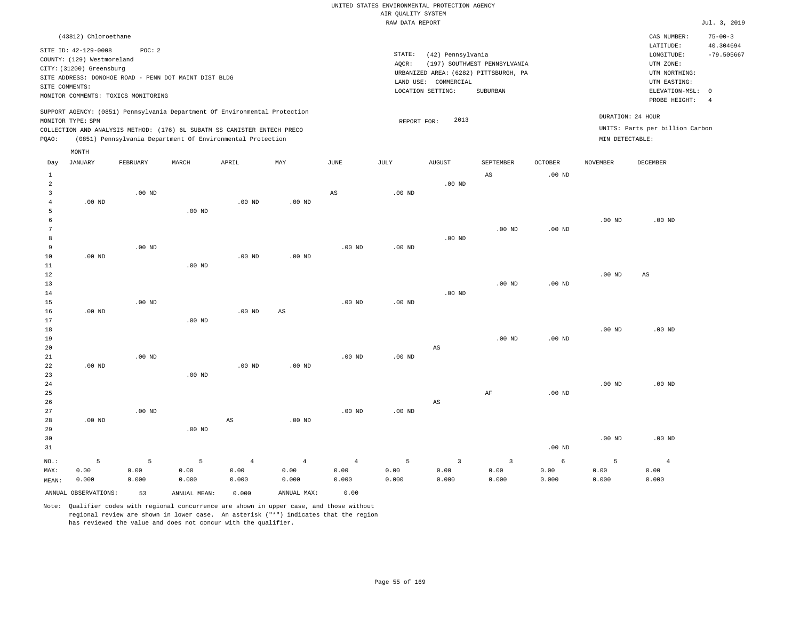| (43812) Chloroethane                                                                                                                                                                                                                               |                                                                                                               | CAS NUMBER:                                           | $75 - 00 - 3$ |  |  |
|----------------------------------------------------------------------------------------------------------------------------------------------------------------------------------------------------------------------------------------------------|---------------------------------------------------------------------------------------------------------------|-------------------------------------------------------|---------------|--|--|
| SITE ID: 42-129-0008<br>POC: 2<br>COUNTY: (129) Westmoreland<br>CITY: (31200) Greensburg                                                                                                                                                           | STATE:<br>(42) Pennsylvania<br>(197) SOUTHWEST PENNSYLVANIA<br>AOCR:<br>URBANIZED AREA: (6282) PITTSBURGH, PA | LATITUDE:<br>LONGITUDE:<br>UTM ZONE:<br>UTM NORTHING: |               |  |  |
| SITE ADDRESS: DONOHOE ROAD - PENN DOT MAINT DIST BLDG<br>SITE COMMENTS:<br>MONITOR COMMENTS: TOXICS MONITORING                                                                                                                                     | LAND USE: COMMERCIAL<br>SUBURBAN<br>LOCATION SETTING:                                                         | UTM EASTING:<br>ELEVATION-MSL: 0<br>PROBE HEIGHT:     |               |  |  |
| SUPPORT AGENCY: (0851) Pennsylvania Department Of Environmental Protection<br>MONITOR TYPE: SPM<br>COLLECTION AND ANALYSIS METHOD: (176) 6L SUBATM SS CANISTER ENTECH PRECO<br>(0851) Pennsylvania Department Of Environmental Protection<br>POAO: | DURATION: 24 HOUR<br>2013<br>REPORT FOR:<br>MIN DETECTABLE:                                                   | UNITS: Parts per billion Carbon                       |               |  |  |
| MONTH<br>$\sim$ mm $\sim$ $\sim$<br>$-$ -----<br>$- - - - - -$<br><b>Property Controllering Controllering</b><br>-----------<br>$\mathbf{r}$<br><b></b>                                                                                            | 1.77777777777<br>$\alpha$ mmmtrenn<br>$\alpha$ monn<br><b>370770380000</b>                                    | <b>DRAHLIND</b>                                       |               |  |  |

| Day            | JANUARY              | FEBRUARY | MARCH             | APRIL                  | MAY                    | JUNE           | JULY     | AUGUST                  | SEPTEMBER               | OCTOBER           | NOVEMBER | DECEMBER       |
|----------------|----------------------|----------|-------------------|------------------------|------------------------|----------------|----------|-------------------------|-------------------------|-------------------|----------|----------------|
| $\mathbf{1}$   |                      |          |                   |                        |                        |                |          |                         | $\mathbb{A}\mathbb{S}$  | .00 <sub>ND</sub> |          |                |
| $\sqrt{2}$     |                      |          |                   |                        |                        |                |          | $.00$ ND                |                         |                   |          |                |
| 3              |                      | $.00$ ND |                   |                        |                        | $_{\rm AS}$    | $.00$ ND |                         |                         |                   |          |                |
| $\overline{4}$ | $.00$ ND             |          |                   | $.00$ ND               | $.00$ ND               |                |          |                         |                         |                   |          |                |
| 5              |                      |          | $.00$ ND          |                        |                        |                |          |                         |                         |                   |          |                |
| 6              |                      |          |                   |                        |                        |                |          |                         |                         |                   | $.00$ ND | $.00$ ND       |
| 7              |                      |          |                   |                        |                        |                |          |                         | $.00$ ND                | $.00$ ND          |          |                |
| 8              |                      |          |                   |                        |                        |                |          | $.00$ ND                |                         |                   |          |                |
| 9              |                      | $.00$ ND |                   |                        |                        | $.00$ ND       | $.00$ ND |                         |                         |                   |          |                |
| 10             | $.00$ ND             |          |                   | $.00$ ND               | $.00$ ND               |                |          |                         |                         |                   |          |                |
| 11             |                      |          | $.00$ ND          |                        |                        |                |          |                         |                         |                   |          |                |
| 12             |                      |          |                   |                        |                        |                |          |                         |                         |                   | $.00$ ND | $_{\rm AS}$    |
| 13             |                      |          |                   |                        |                        |                |          |                         | $.00$ ND                | $.00$ ND          |          |                |
| 14             |                      |          |                   |                        |                        |                |          | $.00$ ND                |                         |                   |          |                |
| 15             |                      | $.00$ ND |                   |                        |                        | $.00$ ND       | $.00$ ND |                         |                         |                   |          |                |
| 16             | $.00$ ND             |          |                   | $.00$ ND               | $\mathbb{A}\mathbb{S}$ |                |          |                         |                         |                   |          |                |
| 17             |                      |          | .00 <sub>ND</sub> |                        |                        |                |          |                         |                         |                   |          |                |
| 18             |                      |          |                   |                        |                        |                |          |                         |                         |                   | $.00$ ND | $.00$ ND       |
| 19             |                      |          |                   |                        |                        |                |          |                         | $.00$ ND                | $.00$ ND          |          |                |
| 20             |                      |          |                   |                        |                        |                |          | $\mathbb{A}\mathbb{S}$  |                         |                   |          |                |
| 21             |                      | $.00$ ND |                   |                        |                        | $.00$ ND       | $.00$ ND |                         |                         |                   |          |                |
| 22             | $.00~\mathrm{ND}$    |          |                   | $.00$ ND               | $.00$ ND               |                |          |                         |                         |                   |          |                |
| 23             |                      |          | $.00$ ND          |                        |                        |                |          |                         |                         |                   |          |                |
| $2\sqrt{4}$    |                      |          |                   |                        |                        |                |          |                         |                         |                   | $.00$ ND | $.00$ ND       |
| 25             |                      |          |                   |                        |                        |                |          |                         | AF                      | $.00$ ND          |          |                |
| 26             |                      |          |                   |                        |                        |                |          | $\mathbb{A}\mathbb{S}$  |                         |                   |          |                |
| 27             |                      | $.00$ ND |                   |                        |                        | $.00$ ND       | $.00$ ND |                         |                         |                   |          |                |
| 28             | $.00$ ND             |          |                   | $\mathbb{A}\mathbb{S}$ | $.00$ ND               |                |          |                         |                         |                   |          |                |
| 29             |                      |          | $.00$ ND          |                        |                        |                |          |                         |                         |                   |          |                |
| 30             |                      |          |                   |                        |                        |                |          |                         |                         |                   | $.00$ ND | $.00$ ND       |
| 31             |                      |          |                   |                        |                        |                |          |                         |                         | $.00$ ND          |          |                |
| NO.:           | 5                    | 5        | 5                 | $\overline{4}$         | $\overline{4}$         | $\overline{4}$ | 5        | $\overline{\mathbf{3}}$ | $\overline{\mathbf{3}}$ | $\epsilon$        | 5        | $\overline{4}$ |
| MAX:           | 0.00                 | 0.00     | 0.00              | 0.00                   | 0.00                   | 0.00           | 0.00     | 0.00                    | 0.00                    | 0.00              | 0.00     | 0.00           |
| MEAN:          | 0.000                | 0.000    | 0.000             | 0.000                  | 0.000                  | 0.000          | 0.000    | 0.000                   | 0.000                   | 0.000             | 0.000    | 0.000          |
|                | ANNUAL OBSERVATIONS: | 53       | ANNUAL MEAN:      | 0.000                  | ANNUAL MAX:            | 0.00           |          |                         |                         |                   |          |                |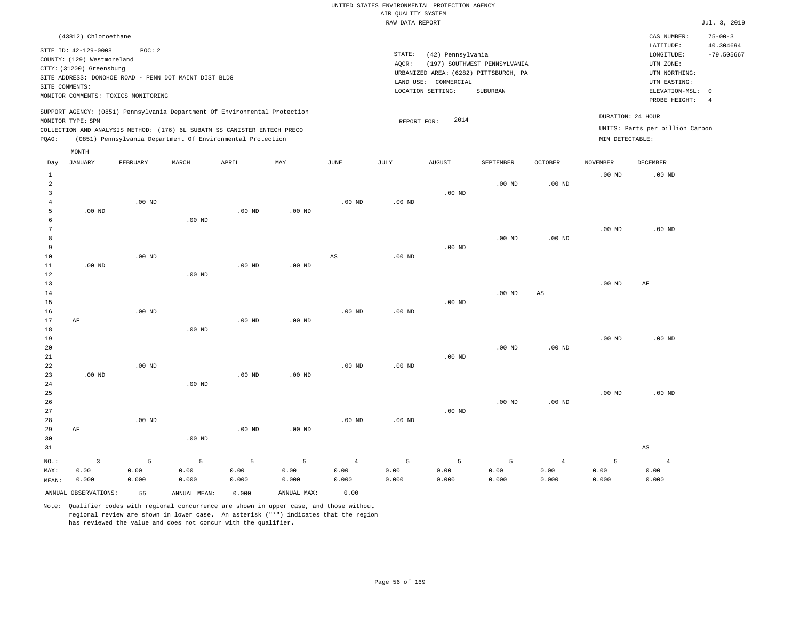| (43812) Chloroethane                                                                                                                                                                                                                               |                                                                                                                                       | $75 - 00 - 3$<br>CAS NUMBER:                                                                       |
|----------------------------------------------------------------------------------------------------------------------------------------------------------------------------------------------------------------------------------------------------|---------------------------------------------------------------------------------------------------------------------------------------|----------------------------------------------------------------------------------------------------|
| SITE ID: 42-129-0008<br>POC:2<br>COUNTY: (129) Westmoreland<br>CITY: (31200) Greensburg<br>SITE ADDRESS: DONOHOE ROAD - PENN DOT MAINT DIST BLDG                                                                                                   | STATE:<br>(42) Pennsylvania<br>(197) SOUTHWEST PENNSYLVANIA<br>AOCR:<br>URBANIZED AREA: (6282) PITTSBURGH, PA<br>LAND USE: COMMERCIAL | 40.304694<br>LATITUDE:<br>$-79.505667$<br>LONGITUDE:<br>UTM ZONE:<br>UTM NORTHING:<br>UTM EASTING: |
| SITE COMMENTS:<br>MONITOR COMMENTS: TOXICS MONITORING                                                                                                                                                                                              | LOCATION SETTING:<br>SUBURBAN                                                                                                         | ELEVATION-MSL: 0<br>PROBE HEIGHT:<br>-4                                                            |
| SUPPORT AGENCY: (0851) Pennsylvania Department Of Environmental Protection<br>MONITOR TYPE: SPM<br>COLLECTION AND ANALYSIS METHOD: (176) 6L SUBATM SS CANISTER ENTECH PRECO<br>(0851) Pennsylvania Department Of Environmental Protection<br>POAO: | 2014<br>REPORT FOR:                                                                                                                   | DURATION: 24 HOUR<br>UNITS: Parts per billion Carbon<br>MIN DETECTABLE:                            |
| MONTH                                                                                                                                                                                                                                              |                                                                                                                                       |                                                                                                    |

| Day            | <b>JANUARY</b>       | FEBRUARY | $\tt MARCH$  | APRIL             | $\mathtt{MAX}$    | $_{\rm JUNE}$  | $\mathtt{JULY}$   | AUGUST   | SEPTEMBER | OCTOBER                | NOVEMBER | $\tt DECEMBER$ |
|----------------|----------------------|----------|--------------|-------------------|-------------------|----------------|-------------------|----------|-----------|------------------------|----------|----------------|
| $\mathbf{1}$   |                      |          |              |                   |                   |                |                   |          |           |                        | $.00$ ND | $.00$ ND       |
| $\overline{a}$ |                      |          |              |                   |                   |                |                   |          | $.00$ ND  | $.00$ ND               |          |                |
| 3              |                      |          |              |                   |                   |                |                   | $.00$ ND |           |                        |          |                |
| 4              |                      | $.00$ ND |              |                   |                   | $.00$ ND       | $.00$ ND          |          |           |                        |          |                |
| 5              | $.00$ ND             |          |              | .00 <sub>ND</sub> | .00 <sub>ND</sub> |                |                   |          |           |                        |          |                |
| 6              |                      |          | $.00$ ND     |                   |                   |                |                   |          |           |                        |          |                |
| 7              |                      |          |              |                   |                   |                |                   |          |           |                        | $.00$ ND | $.00$ ND       |
| 8<br>9         |                      |          |              |                   |                   |                |                   | .00 $ND$ | $.00$ ND  | $.00$ ND               |          |                |
| 10             |                      | $.00$ ND |              |                   |                   | AS             | $.00$ ND          |          |           |                        |          |                |
| 11             | $.00$ ND             |          |              | $.00$ ND          | $.00$ ND          |                |                   |          |           |                        |          |                |
| 12             |                      |          | $.00$ ND     |                   |                   |                |                   |          |           |                        |          |                |
| 13             |                      |          |              |                   |                   |                |                   |          |           |                        | $.00$ ND | $\rm AF$       |
| 14             |                      |          |              |                   |                   |                |                   |          | $.00$ ND  | $\mathbb{A}\mathbb{S}$ |          |                |
| 15             |                      |          |              |                   |                   |                |                   | $.00$ ND |           |                        |          |                |
| 16             |                      | $.00$ ND |              |                   |                   | $.00$ ND       | .00 <sub>ND</sub> |          |           |                        |          |                |
| 17             | $\rm AF$             |          |              | $.00$ ND          | $.00$ ND          |                |                   |          |           |                        |          |                |
| $18\,$         |                      |          | $.00$ ND     |                   |                   |                |                   |          |           |                        |          |                |
| 19             |                      |          |              |                   |                   |                |                   |          |           |                        | $.00$ ND | $.00$ ND       |
| 20             |                      |          |              |                   |                   |                |                   |          | $.00$ ND  | $.00$ ND               |          |                |
| 21             |                      |          |              |                   |                   |                |                   | $.00$ ND |           |                        |          |                |
| 22             |                      | $.00$ ND |              |                   |                   | $.00$ ND       | .00 <sub>ND</sub> |          |           |                        |          |                |
| 23             | $.00$ ND             |          |              | $.00$ ND          | $.00$ ND          |                |                   |          |           |                        |          |                |
| 24             |                      |          | $.00$ ND     |                   |                   |                |                   |          |           |                        |          |                |
| 25             |                      |          |              |                   |                   |                |                   |          |           |                        | $.00$ ND | $.00$ ND       |
| 26             |                      |          |              |                   |                   |                |                   |          | $.00$ ND  | $.00$ ND               |          |                |
| 27<br>28       |                      | $.00$ ND |              |                   |                   | $.00$ ND       | $.00$ ND          | $.00$ ND |           |                        |          |                |
| 29             | $\rm AF$             |          |              | $.00$ ND          | $.00$ ND          |                |                   |          |           |                        |          |                |
| 30             |                      |          | $.00$ ND     |                   |                   |                |                   |          |           |                        |          |                |
| 31             |                      |          |              |                   |                   |                |                   |          |           |                        |          | $_{\rm AS}$    |
|                |                      |          |              |                   |                   |                |                   |          |           |                        |          |                |
| $NO.$ :        | $\mathbf{3}$         | 5        | 5            | 5                 | 5                 | $\overline{4}$ | 5                 | 5        | 5         | $\overline{4}$         | 5        | $\overline{4}$ |
| MAX:           | 0.00                 | 0.00     | 0.00         | 0.00              | 0.00              | 0.00           | 0.00              | 0.00     | 0.00      | 0.00                   | 0.00     | 0.00           |
| MEAN:          | 0.000                | 0.000    | 0.000        | 0.000             | 0.000             | 0.000          | 0.000             | 0.000    | 0.000     | 0.000                  | 0.000    | 0.000          |
|                | ANNUAL OBSERVATIONS: | 55       | ANNUAL MEAN: | 0.000             | ANNUAL MAX:       | 0.00           |                   |          |           |                        |          |                |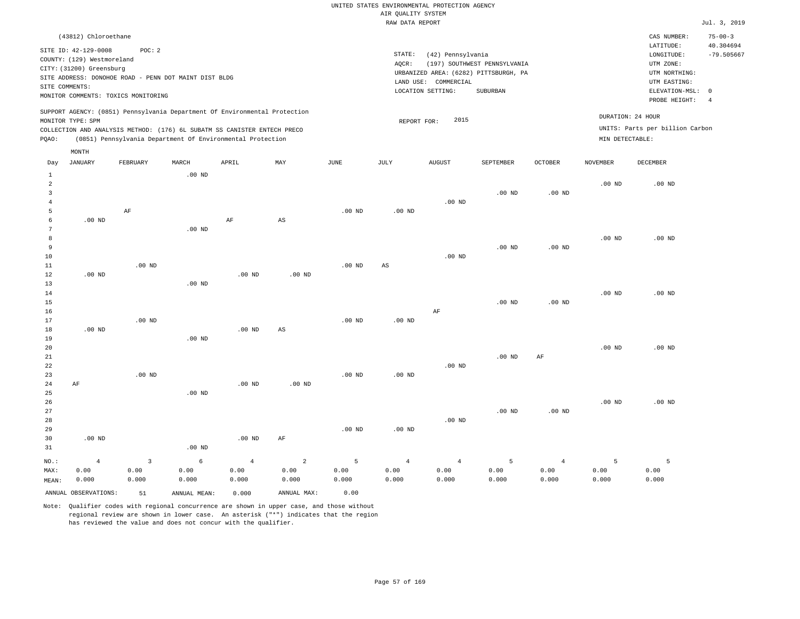|                                                                                                                                                                                                           | (43812) Chloroethane         |                                                                                                                                                                                                                      |       |     |      |                 |                                                                |                                                                                   |         |                                      | CAS NUMBER:                                   | $75 - 00 - 3$ |
|-----------------------------------------------------------------------------------------------------------------------------------------------------------------------------------------------------------|------------------------------|----------------------------------------------------------------------------------------------------------------------------------------------------------------------------------------------------------------------|-------|-----|------|-----------------|----------------------------------------------------------------|-----------------------------------------------------------------------------------|---------|--------------------------------------|-----------------------------------------------|---------------|
| POC:2<br>SITE ID: 42-129-0008<br>COUNTY: (129) Westmoreland<br>CITY: (31200) Greensburg<br>SITE ADDRESS: DONOHOE ROAD - PENN DOT MAINT DIST BLDG<br>SITE COMMENTS:<br>MONITOR COMMENTS: TOXICS MONITORING |                              |                                                                                                                                                                                                                      |       |     |      | STATE:<br>AOCR: | (42) Pennsylvania<br>LAND USE: COMMERCIAL<br>LOCATION SETTING: | (197) SOUTHWEST PENNSYLVANIA<br>URBANIZED AREA: (6282) PITTSBURGH, PA<br>SUBURBAN |         |                                      | 40.304694<br>$-79.505667$<br>ELEVATION-MSL: 0 |               |
| MONITOR TYPE: SPM<br>POAO:                                                                                                                                                                                |                              | SUPPORT AGENCY: (0851) Pennsylvania Department Of Environmental Protection<br>COLLECTION AND ANALYSIS METHOD: (176) 6L SUBATM SS CANISTER ENTECH PRECO<br>(0851) Pennsylvania Department Of Environmental Protection |       |     |      | REPORT FOR:     | 2015                                                           |                                                                                   |         | DURATION: 24 HOUR<br>MIN DETECTABLE: | UNITS: Parts per billion Carbon               |               |
| Day                                                                                                                                                                                                       | MONTH<br>FEBRUARY<br>JANUARY | MARCH                                                                                                                                                                                                                | APRIL | MAY | JUNE | JULY            | AUGUST                                                         | SEPTEMBER                                                                         | OCTOBER | NOVEMBER                             | DECEMBER                                      |               |

|                | ANNUAL OBSERVATIONS: | 51             | ANNUAL MEAN:  | 0.000          | ANNUAL MAX:            | 0.00          |                        |                |               |                |               |               |
|----------------|----------------------|----------------|---------------|----------------|------------------------|---------------|------------------------|----------------|---------------|----------------|---------------|---------------|
| MAX:<br>MEAN:  | 0.00<br>0.000        | 0.00<br>0.000  | 0.00<br>0.000 | 0.00<br>0.000  | 0.00<br>0.000          | 0.00<br>0.000 | 0.00<br>0.000          | 0.00<br>0.000  | 0.00<br>0.000 | 0.00<br>0.000  | 0.00<br>0.000 | 0.00<br>0.000 |
| $_{\rm NO.}$ : | $\overline{4}$       | $\overline{3}$ | $\epsilon$    | $\overline{4}$ | $\overline{a}$         | 5             | $\overline{4}$         | $\overline{4}$ | 5             | $\overline{4}$ | 5             | 5             |
| 31             |                      |                | .00 $ND$      |                |                        |               |                        |                |               |                |               |               |
| 30             | $.00$ ND             |                |               | $.00$ ND       | AF                     |               |                        |                |               |                |               |               |
| 29             |                      |                |               |                |                        | $.00$ ND      | $.00$ ND               |                |               |                |               |               |
| 28             |                      |                |               |                |                        |               |                        | $.00$ ND       |               |                |               |               |
| 27             |                      |                |               |                |                        |               |                        |                | $.00$ ND      | .00 $ND$       |               |               |
| 26             |                      |                |               |                |                        |               |                        |                |               |                | $.00$ ND      | $.00$ ND      |
| 25             |                      |                | $.00$ ND      |                |                        |               |                        |                |               |                |               |               |
| 23<br>24       | $\rm AF$             | .00 $ND$       |               | .00 $ND$       | $.00$ ND               | .00 $ND$      | .00 $ND$               |                |               |                |               |               |
| 22             |                      |                |               |                |                        |               |                        | $.00$ ND       |               |                |               |               |
| 21             |                      |                |               |                |                        |               |                        |                | $.00$ ND      | $\rm{AF}$      |               |               |
| 20             |                      |                |               |                |                        |               |                        |                |               |                | $.00$ ND      | .00 $ND$      |
| 19             |                      |                | $.00$ ND      |                |                        |               |                        |                |               |                |               |               |
| 18             | $.00$ ND             |                |               | $.00$ ND       | $\mathbb{A}\mathbb{S}$ |               |                        |                |               |                |               |               |
| 17             |                      | $.00$ ND       |               |                |                        | $.00$ ND      | .00 $ND$               |                |               |                |               |               |
| 16             |                      |                |               |                |                        |               |                        | $\rm{AF}$      |               |                |               |               |
| 15             |                      |                |               |                |                        |               |                        |                | $.00$ ND      | .00 $ND$       |               |               |
| 14             |                      |                |               |                |                        |               |                        |                |               |                | .00 $ND$      | $.00$ ND      |
| 13             |                      |                | $.00$ ND      |                |                        |               |                        |                |               |                |               |               |
| 12             | $.00$ ND             |                |               | $.00$ ND       | $.00$ ND               |               |                        |                |               |                |               |               |
| 11             |                      | $.00$ ND       |               |                |                        | .00 $ND$      | $\mathbb{A}\mathbb{S}$ |                |               |                |               |               |
| 10             |                      |                |               |                |                        |               |                        | $.00$ ND       |               |                |               |               |
| 9              |                      |                |               |                |                        |               |                        |                | $.00$ ND      | $.00$ ND       |               |               |
| 8              |                      |                |               |                |                        |               |                        |                |               |                | $.00$ ND      | $.00$ ND      |
| 7              |                      |                | $.00$ ND      |                |                        |               |                        |                |               |                |               |               |
| 5<br>6         | $.00$ ND             | $\rm AF$       |               | $\rm{AF}$      | $\mathbb{A}\mathbb{S}$ | $.00$ ND      | .00 $ND$               |                |               |                |               |               |
| $\sqrt{4}$     |                      |                |               |                |                        |               |                        | $.00$ ND       |               |                |               |               |
| 3              |                      |                |               |                |                        |               |                        |                | .00 $ND$      | .00 $ND$       |               |               |
| $\sqrt{2}$     |                      |                |               |                |                        |               |                        |                |               |                | .00 $ND$      | .00 $ND$      |
| 1              |                      |                | .00 $ND$      |                |                        |               |                        |                |               |                |               |               |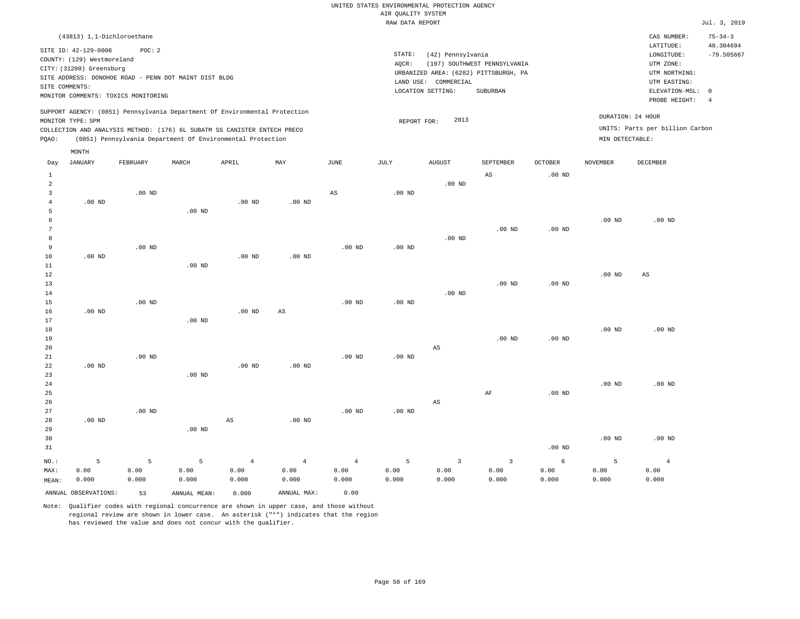| (43813) 1,1-Dichloroethane                                                                                                                                                                                                                                  |                                                                                                                                                                        | CAS NUMBER:                                                                                                | $75 - 34 - 3$                   |
|-------------------------------------------------------------------------------------------------------------------------------------------------------------------------------------------------------------------------------------------------------------|------------------------------------------------------------------------------------------------------------------------------------------------------------------------|------------------------------------------------------------------------------------------------------------|---------------------------------|
| SITE ID: 42-129-0008<br>POC:2<br>COUNTY: (129) Westmoreland<br>CITY: (31200) Greensburg<br>SITE ADDRESS: DONOHOE ROAD - PENN DOT MAINT DIST BLDG<br>SITE COMMENTS:<br>MONITOR COMMENTS: TOXICS MONITORING                                                   | STATE:<br>(42) Pennsylvania<br>(197) SOUTHWEST PENNSYLVANIA<br>AOCR:<br>URBANIZED AREA: (6282) PITTSBURGH, PA<br>LAND USE: COMMERCIAL<br>LOCATION SETTING:<br>SUBURBAN | LATITUDE:<br>LONGITUDE:<br>UTM ZONE:<br>UTM NORTHING:<br>UTM EASTING:<br>ELEVATION-MSL: 0<br>PROBE HEIGHT: | 40.304694<br>$-79.505667$<br>-4 |
| SUPPORT AGENCY: (0851) Pennsylvania Department Of Environmental Protection<br>MONITOR TYPE: SPM<br>COLLECTION AND ANALYSIS METHOD: (176) 6L SUBATM SS CANISTER ENTECH PRECO<br>(0851) Pennsylvania Department Of Environmental Protection<br>POAO:<br>MONTH | 2013<br>REPORT FOR:<br>MIN DETECTABLE:                                                                                                                                 | DURATION: 24 HOUR<br>UNITS: Parts per billion Carbon                                                       |                                 |

| Day               | JANUARY              | FEBRUARY | MARCH        | APRIL          | $\mathtt{MAX}$         | $_{\rm JUNE}$  | JULY     | ${\tt AUGUST}$          | SEPTEMBER               | OCTOBER           | NOVEMBER          | DECEMBER       |
|-------------------|----------------------|----------|--------------|----------------|------------------------|----------------|----------|-------------------------|-------------------------|-------------------|-------------------|----------------|
| 1                 |                      |          |              |                |                        |                |          |                         | $\mathbb{A}\mathbb{S}$  | .00 <sub>ND</sub> |                   |                |
| $\overline{a}$    |                      |          |              |                |                        |                |          | .00 $ND$                |                         |                   |                   |                |
| 3                 |                      | $.00$ ND |              |                |                        | $_{\rm AS}$    | .00 $ND$ |                         |                         |                   |                   |                |
| $\overline{4}$    | $.00$ ND             |          |              | $.00$ ND       | $.00$ ND               |                |          |                         |                         |                   |                   |                |
| 5                 |                      |          | $.00$ ND     |                |                        |                |          |                         |                         |                   |                   |                |
| 6                 |                      |          |              |                |                        |                |          |                         |                         |                   | $.00$ ND          | $.00$ ND       |
| 7                 |                      |          |              |                |                        |                |          |                         | $.00$ ND                | $.00$ ND          |                   |                |
| 8                 |                      |          |              |                |                        |                |          | $.00$ ND                |                         |                   |                   |                |
| 9                 |                      | $.00$ ND |              |                |                        | $.00$ ND       | $.00$ ND |                         |                         |                   |                   |                |
| 10                | $.00$ ND             |          |              | $.00$ ND       | $.00$ ND               |                |          |                         |                         |                   |                   |                |
| $11\,$            |                      |          | $.00$ ND     |                |                        |                |          |                         |                         |                   |                   |                |
| 12                |                      |          |              |                |                        |                |          |                         |                         |                   | $.00$ ND          | AS             |
| $13$              |                      |          |              |                |                        |                |          |                         | $.00$ ND                | .00 <sub>ND</sub> |                   |                |
| 14                |                      |          |              |                |                        |                |          | $.00$ ND                |                         |                   |                   |                |
| 15                |                      | $.00$ ND |              |                |                        | $.00$ ND       | $.00$ ND |                         |                         |                   |                   |                |
| 16                | .00 $ND$             |          |              | $.00$ ND       | $\mathbb{A}\mathbb{S}$ |                |          |                         |                         |                   |                   |                |
| 17                |                      |          | $.00$ ND     |                |                        |                |          |                         |                         |                   |                   |                |
| 18                |                      |          |              |                |                        |                |          |                         |                         |                   | $.00$ ND          | $.00$ ND       |
| 19                |                      |          |              |                |                        |                |          |                         | $.00$ ND                | $.00$ ND          |                   |                |
| 20                |                      |          |              |                |                        |                |          | $_{\rm AS}$             |                         |                   |                   |                |
| 21                |                      | $.00$ ND |              |                |                        | $.00$ ND       | .00 $ND$ |                         |                         |                   |                   |                |
| 22                | $.00$ ND             |          |              | $.00$ ND       | $.00$ ND               |                |          |                         |                         |                   |                   |                |
| 23                |                      |          | $.00$ ND     |                |                        |                |          |                         |                         |                   |                   |                |
| $2\sqrt{4}$<br>25 |                      |          |              |                |                        |                |          |                         | $\rm AF$                | $.00$ ND          | .00 <sub>ND</sub> | $.00$ ND       |
| 26                |                      |          |              |                |                        |                |          | $\mathbb{A}\mathbb{S}$  |                         |                   |                   |                |
| 27                |                      | .00 $ND$ |              |                |                        | $.00$ ND       | $.00$ ND |                         |                         |                   |                   |                |
| 28                | .00 $ND$             |          |              | AS             | $.00$ ND               |                |          |                         |                         |                   |                   |                |
| 29                |                      |          | $.00$ ND     |                |                        |                |          |                         |                         |                   |                   |                |
| 30                |                      |          |              |                |                        |                |          |                         |                         |                   | $.00$ ND          | $.00$ ND       |
| 31                |                      |          |              |                |                        |                |          |                         |                         | .00 $ND$          |                   |                |
|                   |                      |          |              |                |                        |                |          |                         |                         |                   |                   |                |
| $NO.$ :           | 5                    | 5        | 5            | $\overline{4}$ | $\overline{4}$         | $\overline{4}$ | 5        | $\overline{\mathbf{3}}$ | $\overline{\mathbf{3}}$ | 6                 | 5                 | $\overline{4}$ |
| MAX:              | 0.00                 | 0.00     | 0.00         | 0.00           | 0.00                   | 0.00           | 0.00     | 0.00                    | 0.00                    | 0.00              | 0.00              | 0.00           |
| MEAN:             | 0.000                | 0.000    | 0.000        | 0.000          | 0.000                  | 0.000          | 0.000    | 0.000                   | 0.000                   | 0.000             | 0.000             | 0.000          |
|                   | ANNUAL OBSERVATIONS: | 53       | ANNUAL MEAN: | 0.000          | ANNUAL MAX:            | 0.00           |          |                         |                         |                   |                   |                |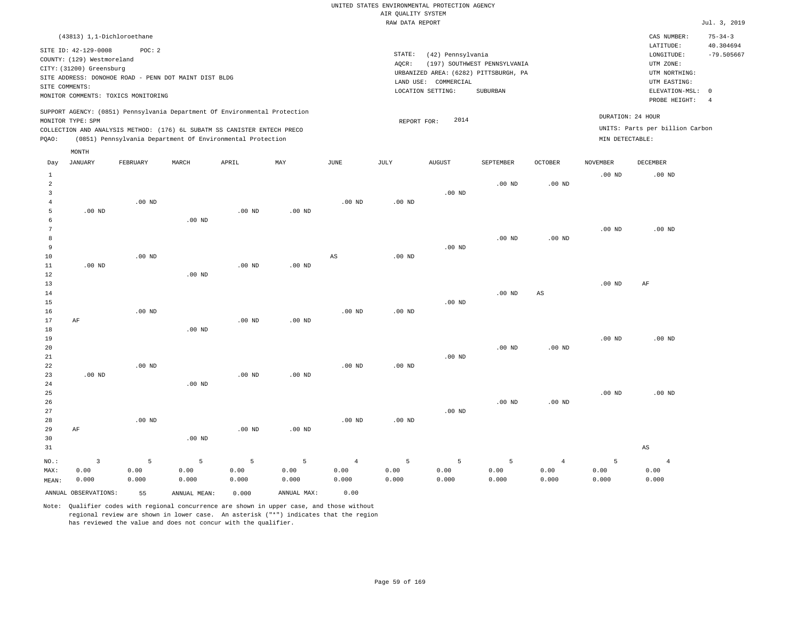|                                                                                                                                                                        | CAS NUMBER:                                                           | $75 - 34 - 3$                                                                                                |
|------------------------------------------------------------------------------------------------------------------------------------------------------------------------|-----------------------------------------------------------------------|--------------------------------------------------------------------------------------------------------------|
| STATE:<br>(42) Pennsylvania<br>(197) SOUTHWEST PENNSYLVANIA<br>AOCR:<br>URBANIZED AREA: (6282) PITTSBURGH, PA<br>LAND USE: COMMERCIAL<br>LOCATION SETTING:<br>SUBURBAN | LATITUDE:<br>LONGITUDE:<br>UTM ZONE:<br>UTM NORTHING:<br>UTM EASTING: | 40.304694<br>$-79.505667$<br>-4                                                                              |
| 2014<br>REPORT FOR:                                                                                                                                                    |                                                                       |                                                                                                              |
|                                                                                                                                                                        |                                                                       | ELEVATION-MSL: 0<br>PROBE HEIGHT:<br>DURATION: 24 HOUR<br>UNITS: Parts per billion Carbon<br>MIN DETECTABLE: |

| Day                     | <b>JANUARY</b>       | FEBRUARY | MARCH           | APRIL    | MAY         | JUNE           | $_{\rm JULY}$     | <b>AUGUST</b> | SEPTEMBER | OCTOBER                | NOVEMBER | DECEMBER               |
|-------------------------|----------------------|----------|-----------------|----------|-------------|----------------|-------------------|---------------|-----------|------------------------|----------|------------------------|
| $\mathbf{1}$            |                      |          |                 |          |             |                |                   |               |           |                        | $.00$ ND | .00 <sub>ND</sub>      |
| $\overline{\mathbf{c}}$ |                      |          |                 |          |             |                |                   |               | $.00$ ND  | .00 <sub>ND</sub>      |          |                        |
| 3                       |                      |          |                 |          |             |                |                   | $.00$ ND      |           |                        |          |                        |
| $\overline{4}$          |                      | $.00$ ND |                 |          |             | $.00$ ND       | $.00$ ND          |               |           |                        |          |                        |
| 5                       | $.00$ ND             |          |                 | $.00$ ND | $.00$ ND    |                |                   |               |           |                        |          |                        |
| 6                       |                      |          | $.00$ ND        |          |             |                |                   |               |           |                        |          |                        |
| 7                       |                      |          |                 |          |             |                |                   |               |           |                        | $.00$ ND | $.00$ ND               |
| 8                       |                      |          |                 |          |             |                |                   |               | $.00$ ND  | $.00$ ND               |          |                        |
| 9                       |                      |          |                 |          |             |                |                   | $.00$ ND      |           |                        |          |                        |
| 10                      |                      | $.00$ ND |                 |          |             | AS             | $.00$ ND          |               |           |                        |          |                        |
| 11                      | $.00$ ND             |          |                 | $.00$ ND | $.00$ ND    |                |                   |               |           |                        |          |                        |
| 12                      |                      |          | $.00$ ND        |          |             |                |                   |               |           |                        |          |                        |
| 13                      |                      |          |                 |          |             |                |                   |               |           |                        | $.00$ ND | AF                     |
| 14                      |                      |          |                 |          |             |                |                   |               | $.00$ ND  | $\mathbb{A}\mathbb{S}$ |          |                        |
| 15                      |                      |          |                 |          |             |                |                   | $.00$ ND      |           |                        |          |                        |
| 16                      |                      | $.00$ ND |                 |          |             | $.00$ ND       | $.00$ ND          |               |           |                        |          |                        |
| 17                      | $\rm AF$             |          |                 | $.00$ ND | $.00$ ND    |                |                   |               |           |                        |          |                        |
| 18                      |                      |          | $.00$ ND        |          |             |                |                   |               |           |                        |          |                        |
| 19                      |                      |          |                 |          |             |                |                   |               |           |                        | $.00$ ND | $.00$ ND               |
| 20<br>21                |                      |          |                 |          |             |                |                   | $.00$ ND      | $.00$ ND  | $.00$ ND               |          |                        |
| $2\sqrt{2}$             |                      | $.00$ ND |                 |          |             | $.00$ ND       | $.00$ ND          |               |           |                        |          |                        |
| 23                      | $.00$ ND             |          |                 | $.00$ ND | $.00$ ND    |                |                   |               |           |                        |          |                        |
| 24                      |                      |          | $.00$ ND        |          |             |                |                   |               |           |                        |          |                        |
| 25                      |                      |          |                 |          |             |                |                   |               |           |                        | $.00$ ND | $.00$ ND               |
| 26                      |                      |          |                 |          |             |                |                   |               | $.00$ ND  | $.00$ ND               |          |                        |
| 27                      |                      |          |                 |          |             |                |                   | $.00$ ND      |           |                        |          |                        |
| 28                      |                      | $.00$ ND |                 |          |             | $.00$ ND       | .00 <sub>ND</sub> |               |           |                        |          |                        |
| 29                      | $\rm AF$             |          |                 | $.00$ ND | $.00$ ND    |                |                   |               |           |                        |          |                        |
| 30                      |                      |          | $.00$ ND        |          |             |                |                   |               |           |                        |          |                        |
| 31                      |                      |          |                 |          |             |                |                   |               |           |                        |          | $\mathbb{A}\mathbb{S}$ |
| $NO.$ :                 | $\overline{3}$       | 5        | $5\phantom{.0}$ | 5        | 5           | $\overline{4}$ | 5                 | 5             | 5         | $\overline{4}$         | 5        | $\overline{4}$         |
| MAX:                    | 0.00                 | 0.00     | 0.00            | 0.00     | 0.00        | 0.00           | 0.00              | 0.00          | 0.00      | 0.00                   | 0.00     | 0.00                   |
| MEAN:                   | 0.000                | 0.000    | 0.000           | 0.000    | 0.000       | 0.000          | 0.000             | 0.000         | 0.000     | 0.000                  | 0.000    | 0.000                  |
|                         |                      |          |                 |          |             |                |                   |               |           |                        |          |                        |
|                         | ANNUAL OBSERVATIONS: | 55       | ANNUAL MEAN:    | 0.000    | ANNUAL MAX: | 0.00           |                   |               |           |                        |          |                        |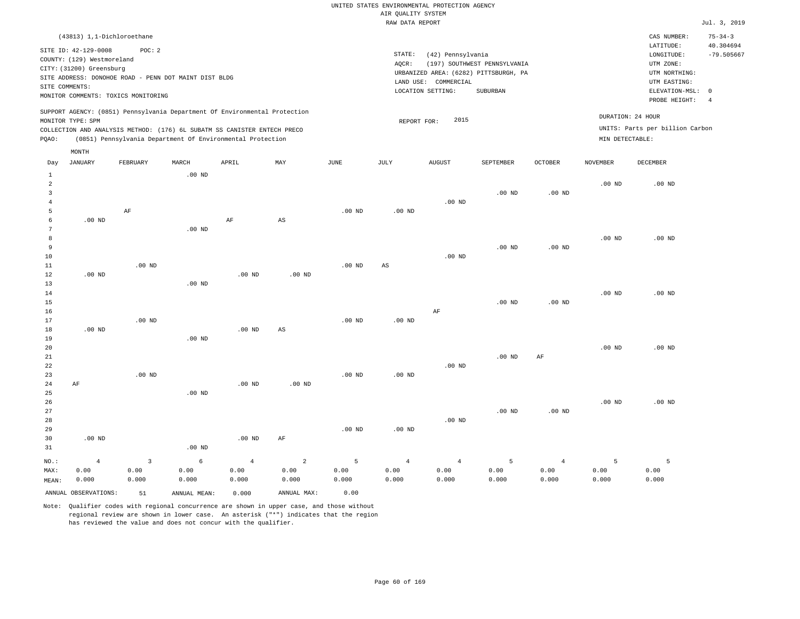| (43813) 1,1-Dichloroethane                                                                                                                                                                                                                         |                                                                                                                                                                        |                                      | CAS NUMBER:                                                                                                | $75 - 34 - 3$             |
|----------------------------------------------------------------------------------------------------------------------------------------------------------------------------------------------------------------------------------------------------|------------------------------------------------------------------------------------------------------------------------------------------------------------------------|--------------------------------------|------------------------------------------------------------------------------------------------------------|---------------------------|
| SITE ID: 42-129-0008<br>POC: 2<br>COUNTY: (129) Westmoreland<br>CITY: (31200) Greensburg<br>SITE ADDRESS: DONOHOE ROAD - PENN DOT MAINT DIST BLDG<br>SITE COMMENTS:<br>MONITOR COMMENTS: TOXICS MONITORING                                         | STATE:<br>(42) Pennsylvania<br>(197) SOUTHWEST PENNSYLVANIA<br>AOCR:<br>URBANIZED AREA: (6282) PITTSBURGH, PA<br>LAND USE: COMMERCIAL<br>LOCATION SETTING:<br>SUBURBAN |                                      | LATITUDE:<br>LONGITUDE:<br>UTM ZONE:<br>UTM NORTHING:<br>UTM EASTING:<br>ELEVATION-MSL: 0<br>PROBE HEIGHT: | 40.304694<br>$-79.505667$ |
| SUPPORT AGENCY: (0851) Pennsylvania Department Of Environmental Protection<br>MONITOR TYPE: SPM<br>COLLECTION AND ANALYSIS METHOD: (176) 6L SUBATM SS CANISTER ENTECH PRECO<br>(0851) Pennsylvania Department Of Environmental Protection<br>POAO: | 2015<br>REPORT FOR:                                                                                                                                                    | DURATION: 24 HOUR<br>MIN DETECTABLE: | UNITS: Parts per billion Carbon                                                                            |                           |
| MONTH                                                                                                                                                                                                                                              |                                                                                                                                                                        |                                      |                                                                                                            |                           |

| Day                                     | <b>JANUARY</b>       | FEBRUARY                  | MARCH             | APRIL          | MAY                    | $_{\rm JUNE}$ | $\mathtt{JULY}$        | AUGUST         | SEPTEMBER      | $OCTOBER$         | NOVEMBER | DECEMBER          |
|-----------------------------------------|----------------------|---------------------------|-------------------|----------------|------------------------|---------------|------------------------|----------------|----------------|-------------------|----------|-------------------|
| $\mathbf{1}$<br>$\overline{\mathbf{c}}$ |                      |                           | .00 <sub>ND</sub> |                |                        |               |                        |                |                |                   | $.00$ ND | $.00$ ND          |
| 3                                       |                      |                           |                   |                |                        |               |                        |                | $.00$ ND       | .00 <sub>ND</sub> |          |                   |
| $\overline{4}$                          |                      |                           |                   |                |                        |               |                        | $.00$ ND       |                |                   |          |                   |
| 5                                       |                      | AF                        |                   |                |                        | $.00$ ND      | $.00$ ND               |                |                |                   |          |                   |
| 6                                       | $.00$ ND             |                           |                   | AF             | $\mathbb{A}\mathbb{S}$ |               |                        |                |                |                   |          |                   |
| 7                                       |                      |                           | .00 <sub>ND</sub> |                |                        |               |                        |                |                |                   |          |                   |
| 8                                       |                      |                           |                   |                |                        |               |                        |                |                |                   | $.00$ ND | .00 <sub>ND</sub> |
| 9                                       |                      |                           |                   |                |                        |               |                        |                | $.00$ ND       | .00 <sub>ND</sub> |          |                   |
| 10                                      |                      |                           |                   |                |                        |               |                        | $.00$ ND       |                |                   |          |                   |
| 11                                      |                      | $.00$ ND                  |                   |                |                        | $.00$ ND      | $\mathbb{A}\mathbb{S}$ |                |                |                   |          |                   |
| $12\,$<br>13                            | $.00$ ND             |                           | $.00$ ND          | $.00$ ND       | $.00$ ND               |               |                        |                |                |                   |          |                   |
| 14                                      |                      |                           |                   |                |                        |               |                        |                |                |                   | $.00$ ND | $.00$ ND          |
| 15                                      |                      |                           |                   |                |                        |               |                        |                | $.00$ ND       | $.00$ ND          |          |                   |
| 16                                      |                      |                           |                   |                |                        |               |                        | AF             |                |                   |          |                   |
| 17                                      |                      | $.00$ ND                  |                   |                |                        | $.00$ ND      | $.00$ ND               |                |                |                   |          |                   |
| 18                                      | $.00$ ND             |                           |                   | $.00$ ND       | AS                     |               |                        |                |                |                   |          |                   |
| 19                                      |                      |                           | $.00$ ND          |                |                        |               |                        |                |                |                   |          |                   |
| 20                                      |                      |                           |                   |                |                        |               |                        |                |                |                   | $.00$ ND | $.00$ ND          |
| 21                                      |                      |                           |                   |                |                        |               |                        |                | $.00$ ND       | $\rm{AF}$         |          |                   |
| 22                                      |                      |                           |                   |                |                        |               |                        | $.00$ ND       |                |                   |          |                   |
| 23                                      |                      | $.00$ ND                  |                   |                |                        | $.00$ ND      | $.00$ ND               |                |                |                   |          |                   |
| 24                                      | $\rm AF$             |                           |                   | $.00$ ND       | .00 <sub>ND</sub>      |               |                        |                |                |                   |          |                   |
| 25                                      |                      |                           | $.00$ ND          |                |                        |               |                        |                |                |                   |          |                   |
| $26\,$                                  |                      |                           |                   |                |                        |               |                        |                |                |                   | .00 $ND$ | $.00$ ND          |
| $2\,7$                                  |                      |                           |                   |                |                        |               |                        |                | $.00$ ND       | $.00$ ND          |          |                   |
| $2\,8$<br>29                            |                      |                           |                   |                |                        | $.00$ ND      | $.00$ ND               | $.00$ ND       |                |                   |          |                   |
| 30                                      | $.00$ ND             |                           |                   | $.00$ ND       | AF                     |               |                        |                |                |                   |          |                   |
| 31                                      |                      |                           | $.00$ ND          |                |                        |               |                        |                |                |                   |          |                   |
|                                         |                      |                           |                   |                |                        |               |                        |                |                |                   |          |                   |
| $_{\rm NO.}$ :                          | $\overline{4}$       | $\ensuremath{\mathsf{3}}$ | $\epsilon$        | $\overline{4}$ | $\sqrt{2}$             | 5             | $\sqrt{4}$             | $\overline{4}$ | $\overline{5}$ | $\overline{4}$    | 5        | 5                 |
| MAX:                                    | 0.00                 | 0.00                      | 0.00              | 0.00           | 0.00                   | 0.00          | 0.00                   | 0.00           | 0.00           | 0.00              | 0.00     | 0.00              |
| MEAN:                                   | 0.000                | 0.000                     | 0.000             | 0.000          | 0.000                  | 0.000         | 0.000                  | 0.000          | 0.000          | 0.000             | 0.000    | 0.000             |
|                                         | ANNUAL OBSERVATIONS: | 51                        | ANNUAL MEAN:      | 0.000          | ANNUAL MAX:            | 0.00          |                        |                |                |                   |          |                   |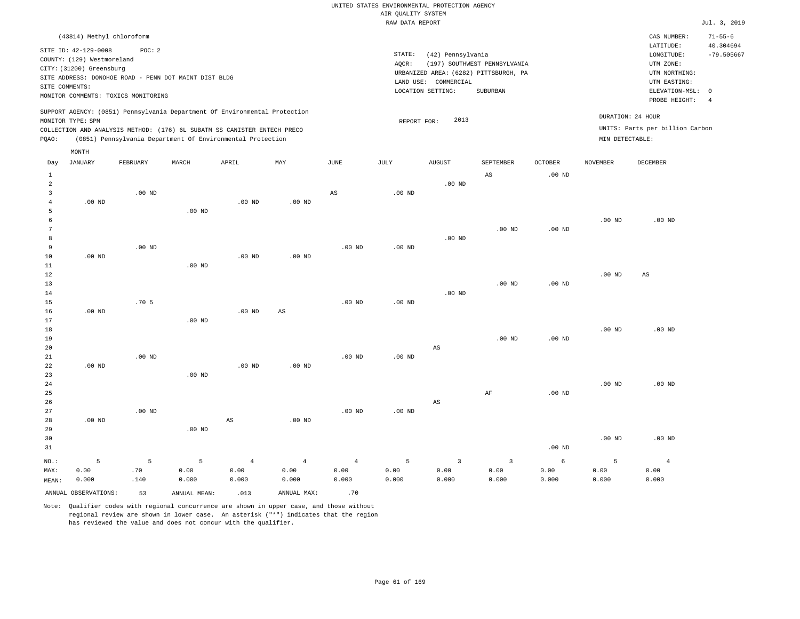| (43814) Methyl chloroform                                                                                                                                                                                                                                   |                                                                                                                                                                        | CAS NUMBER:                                                                                                | $71 - 55 - 6$                   |
|-------------------------------------------------------------------------------------------------------------------------------------------------------------------------------------------------------------------------------------------------------------|------------------------------------------------------------------------------------------------------------------------------------------------------------------------|------------------------------------------------------------------------------------------------------------|---------------------------------|
| SITE ID: 42-129-0008<br>POC:2<br>COUNTY: (129) Westmoreland<br>CITY: (31200) Greensburg<br>SITE ADDRESS: DONOHOE ROAD - PENN DOT MAINT DIST BLDG<br>SITE COMMENTS:<br>MONITOR COMMENTS: TOXICS MONITORING                                                   | STATE:<br>(42) Pennsylvania<br>(197) SOUTHWEST PENNSYLVANIA<br>AOCR:<br>URBANIZED AREA: (6282) PITTSBURGH, PA<br>LAND USE: COMMERCIAL<br>LOCATION SETTING:<br>SUBURBAN | LATITUDE:<br>LONGITUDE:<br>UTM ZONE:<br>UTM NORTHING:<br>UTM EASTING:<br>ELEVATION-MSL: 0<br>PROBE HEIGHT: | 40.304694<br>$-79.505667$<br>-4 |
| SUPPORT AGENCY: (0851) Pennsylvania Department Of Environmental Protection<br>MONITOR TYPE: SPM<br>COLLECTION AND ANALYSIS METHOD: (176) 6L SUBATM SS CANISTER ENTECH PRECO<br>POAO:<br>(0851) Pennsylvania Department Of Environmental Protection<br>MONTH | 2013<br>REPORT FOR:                                                                                                                                                    | DURATION: 24 HOUR<br>UNITS: Parts per billion Carbon<br>MIN DETECTABLE:                                    |                                 |

| Day            | JANUARY              | FEBRUARY         | MARCH        | APRIL          | MAY            | $_{\rm JUNE}$  | JULY     | ${\tt AUGUST}$          | SEPTEMBER               | OCTOBER  | <b>NOVEMBER</b>   | DECEMBER       |
|----------------|----------------------|------------------|--------------|----------------|----------------|----------------|----------|-------------------------|-------------------------|----------|-------------------|----------------|
| $\mathbf{1}$   |                      |                  |              |                |                |                |          |                         | AS                      | .00 $ND$ |                   |                |
| $\overline{a}$ |                      |                  |              |                |                |                |          | $.00$ ND                |                         |          |                   |                |
| 3              |                      | $.00$ ND         |              |                |                | AS             | $.00$ ND |                         |                         |          |                   |                |
| $\overline{4}$ | $.00$ ND             |                  |              | $.00$ ND       | $.00$ ND       |                |          |                         |                         |          |                   |                |
| 5              |                      |                  | $.00$ ND     |                |                |                |          |                         |                         |          |                   |                |
| 6              |                      |                  |              |                |                |                |          |                         |                         |          | $.00$ ND          | $.00$ ND       |
| 7              |                      |                  |              |                |                |                |          |                         | $.00$ ND                | $.00$ ND |                   |                |
| 8              |                      |                  |              |                |                |                |          | $.00$ ND                |                         |          |                   |                |
| 9              |                      | $.00$ ND         |              |                |                | $.00$ ND       | $.00$ ND |                         |                         |          |                   |                |
| 10<br>11       | $.00$ ND             |                  | $.00$ ND     | $.00$ ND       | $.00$ ND       |                |          |                         |                         |          |                   |                |
| $1\,2$         |                      |                  |              |                |                |                |          |                         |                         |          | $.00$ ND          | AS             |
| 13             |                      |                  |              |                |                |                |          |                         | $.00$ ND                | $.00$ ND |                   |                |
| 14             |                      |                  |              |                |                |                |          | $.00$ ND                |                         |          |                   |                |
| 15             |                      | .70 <sub>5</sub> |              |                |                | .00 $ND$       | $.00$ ND |                         |                         |          |                   |                |
| 16             | $.00$ ND             |                  |              | $.00$ ND       | AS             |                |          |                         |                         |          |                   |                |
| 17             |                      |                  | $.00$ ND     |                |                |                |          |                         |                         |          |                   |                |
| $18\,$         |                      |                  |              |                |                |                |          |                         |                         |          | .00 <sub>ND</sub> | $.00$ ND       |
| 19             |                      |                  |              |                |                |                |          |                         | $.00$ ND                | $.00$ ND |                   |                |
| 20             |                      |                  |              |                |                |                |          | AS                      |                         |          |                   |                |
| 21             |                      | $.00$ ND         |              |                |                | .00 $ND$       | .00 $ND$ |                         |                         |          |                   |                |
| 22             | $.00$ ND             |                  |              | $.00$ ND       | $.00$ ND       |                |          |                         |                         |          |                   |                |
| 23             |                      |                  | $.00$ ND     |                |                |                |          |                         |                         |          |                   |                |
| $2\sqrt{4}$    |                      |                  |              |                |                |                |          |                         |                         |          | $.00$ ND          | $.00$ ND       |
| 25             |                      |                  |              |                |                |                |          |                         | AF                      | $.00$ ND |                   |                |
| 26             |                      |                  |              |                |                |                |          | $\mathbb{A}\mathbb{S}$  |                         |          |                   |                |
| 27             |                      | $.00$ ND         |              |                |                | $.00$ ND       | $.00$ ND |                         |                         |          |                   |                |
| 28             | $.00$ ND             |                  |              | AS             | $.00$ ND       |                |          |                         |                         |          |                   |                |
| 29             |                      |                  | $.00$ ND     |                |                |                |          |                         |                         |          |                   |                |
| 30             |                      |                  |              |                |                |                |          |                         |                         |          | $.00$ ND          | $.00$ ND       |
| 31             |                      |                  |              |                |                |                |          |                         |                         | $.00$ ND |                   |                |
| $NO.$ :        | 5                    | $\mathsf S$      | 5            | $\overline{4}$ | $\overline{4}$ | $\overline{4}$ | 5        | $\overline{\mathbf{3}}$ | $\overline{\mathbf{3}}$ | 6        | 5                 | $\overline{4}$ |
| MAX:           | 0.00                 | .70              | 0.00         | 0.00           | 0.00           | 0.00           | 0.00     | 0.00                    | 0.00                    | 0.00     | 0.00              | 0.00           |
| MEAN:          | 0.000                | .140             | 0.000        | 0.000          | 0.000          | 0.000          | 0.000    | 0.000                   | 0.000                   | 0.000    | 0.000             | 0.000          |
|                | ANNUAL OBSERVATIONS: | 53               | ANNUAL MEAN: | .013           | ANNUAL MAX:    | .70            |          |                         |                         |          |                   |                |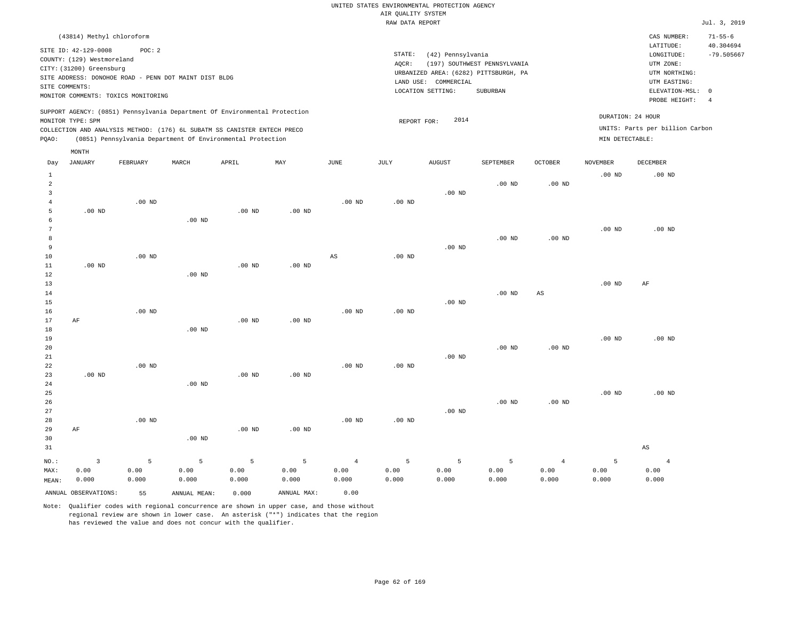| (43814) Methyl chloroform                                                                                                                                                                                                                          |                                                                                                                                                                        | CAS NUMBER:                                                                                                | $71 - 55 - 6$             |
|----------------------------------------------------------------------------------------------------------------------------------------------------------------------------------------------------------------------------------------------------|------------------------------------------------------------------------------------------------------------------------------------------------------------------------|------------------------------------------------------------------------------------------------------------|---------------------------|
| SITE ID: 42-129-0008<br>POC:2<br>COUNTY: (129) Westmoreland<br>CITY: (31200) Greensburg<br>SITE ADDRESS: DONOHOE ROAD - PENN DOT MAINT DIST BLDG<br>SITE COMMENTS:<br>MONITOR COMMENTS: TOXICS MONITORING                                          | STATE:<br>(42) Pennsylvania<br>(197) SOUTHWEST PENNSYLVANIA<br>AOCR:<br>URBANIZED AREA: (6282) PITTSBURGH, PA<br>LAND USE: COMMERCIAL<br>LOCATION SETTING:<br>SUBURBAN | LATITUDE:<br>LONGITUDE:<br>UTM ZONE:<br>UTM NORTHING:<br>UTM EASTING:<br>ELEVATION-MSL: 0<br>PROBE HEIGHT: | 40.304694<br>$-79.505667$ |
| SUPPORT AGENCY: (0851) Pennsylvania Department Of Environmental Protection<br>MONITOR TYPE: SPM<br>COLLECTION AND ANALYSIS METHOD: (176) 6L SUBATM SS CANISTER ENTECH PRECO<br>(0851) Pennsylvania Department Of Environmental Protection<br>POAO: | 2014<br>REPORT FOR:                                                                                                                                                    | DURATION: 24 HOUR<br>UNITS: Parts per billion Carbon<br>MIN DETECTABLE:                                    |                           |
| MONTH                                                                                                                                                                                                                                              |                                                                                                                                                                        |                                                                                                            |                           |

| Day            | <b>JANUARY</b>       | FEBRUARY | MARCH        | APRIL    | MAY         | $_{\rm JUNE}$          | JULY     | AUGUST   | SEPTEMBER | OCTOBER           | <b>NOVEMBER</b> | DECEMBER               |
|----------------|----------------------|----------|--------------|----------|-------------|------------------------|----------|----------|-----------|-------------------|-----------------|------------------------|
| $\mathbf{1}$   |                      |          |              |          |             |                        |          |          |           |                   | $.00$ ND        | $.00$ ND               |
| $\overline{a}$ |                      |          |              |          |             |                        |          |          | $.00$ ND  | .00 $ND$          |                 |                        |
| 3              |                      |          |              |          |             |                        |          | $.00$ ND |           |                   |                 |                        |
| 4              |                      | $.00$ ND |              |          |             | .00 <sub>ND</sub>      | $.00$ ND |          |           |                   |                 |                        |
| 5              | $.00$ ND             |          |              | $.00$ ND | $.00$ ND    |                        |          |          |           |                   |                 |                        |
| 6              |                      |          | $.00$ ND     |          |             |                        |          |          |           |                   |                 |                        |
| 7              |                      |          |              |          |             |                        |          |          |           |                   | $.00$ ND        | $.00$ ND               |
| 8<br>9         |                      |          |              |          |             |                        |          |          | $.00$ ND  | .00 <sub>ND</sub> |                 |                        |
| 10             |                      | $.00$ ND |              |          |             | $\mathbb{A}\mathbb{S}$ | $.00$ ND | $.00$ ND |           |                   |                 |                        |
| 11             | $.00$ ND             |          |              | $.00$ ND | $.00$ ND    |                        |          |          |           |                   |                 |                        |
| 12             |                      |          | $.00$ ND     |          |             |                        |          |          |           |                   |                 |                        |
| 13             |                      |          |              |          |             |                        |          |          |           |                   | .00 $ND$        | AF                     |
| 14             |                      |          |              |          |             |                        |          |          | $.00$ ND  | AS                |                 |                        |
| 15             |                      |          |              |          |             |                        |          | $.00$ ND |           |                   |                 |                        |
| 16             |                      | $.00$ ND |              |          |             | $.00$ ND               | $.00$ ND |          |           |                   |                 |                        |
| 17             | AF                   |          |              | $.00$ ND | $.00$ ND    |                        |          |          |           |                   |                 |                        |
| 18             |                      |          | $.00$ ND     |          |             |                        |          |          |           |                   |                 |                        |
| 19             |                      |          |              |          |             |                        |          |          |           |                   | $.00$ ND        | $.00$ ND               |
| 20             |                      |          |              |          |             |                        |          |          | $.00$ ND  | $.00$ ND          |                 |                        |
| $2\sqrt{1}$    |                      |          |              |          |             |                        |          | $.00$ ND |           |                   |                 |                        |
| 22             |                      | $.00$ ND |              |          |             | $.00$ ND               | $.00$ ND |          |           |                   |                 |                        |
| 23             | $.00$ ND             |          |              | $.00$ ND | .00 $ND$    |                        |          |          |           |                   |                 |                        |
| 24             |                      |          | $.00$ ND     |          |             |                        |          |          |           |                   |                 |                        |
| 25             |                      |          |              |          |             |                        |          |          |           |                   | $.00$ ND        | $.00$ ND               |
| 26             |                      |          |              |          |             |                        |          |          | $.00$ ND  | $.00$ ND          |                 |                        |
| 27             |                      |          |              |          |             |                        |          | $.00$ ND |           |                   |                 |                        |
| 28             |                      | $.00$ ND |              |          |             | $.00$ ND               | $.00$ ND |          |           |                   |                 |                        |
| 29             | $\rm AF$             |          |              | $.00$ ND | $.00$ ND    |                        |          |          |           |                   |                 |                        |
| 30             |                      |          | $.00$ ND     |          |             |                        |          |          |           |                   |                 |                        |
| 31             |                      |          |              |          |             |                        |          |          |           |                   |                 | $\mathbb{A}\mathbb{S}$ |
| $NO.$ :        | $\overline{3}$       | 5        | 5            | 5        | 5           | $\overline{4}$         | 5        | 5        | 5         | $\overline{4}$    | 5               | $\overline{4}$         |
| MAX:           | 0.00                 | 0.00     | 0.00         | 0.00     | 0.00        | 0.00                   | 0.00     | 0.00     | 0.00      | 0.00              | 0.00            | 0.00                   |
| MEAN:          | 0.000                | 0.000    | 0.000        | 0.000    | 0.000       | 0.000                  | 0.000    | 0.000    | 0.000     | 0.000             | 0.000           | 0.000                  |
|                | ANNUAL OBSERVATIONS: | 55       | ANNUAL MEAN: | 0.000    | ANNUAL MAX: | 0.00                   |          |          |           |                   |                 |                        |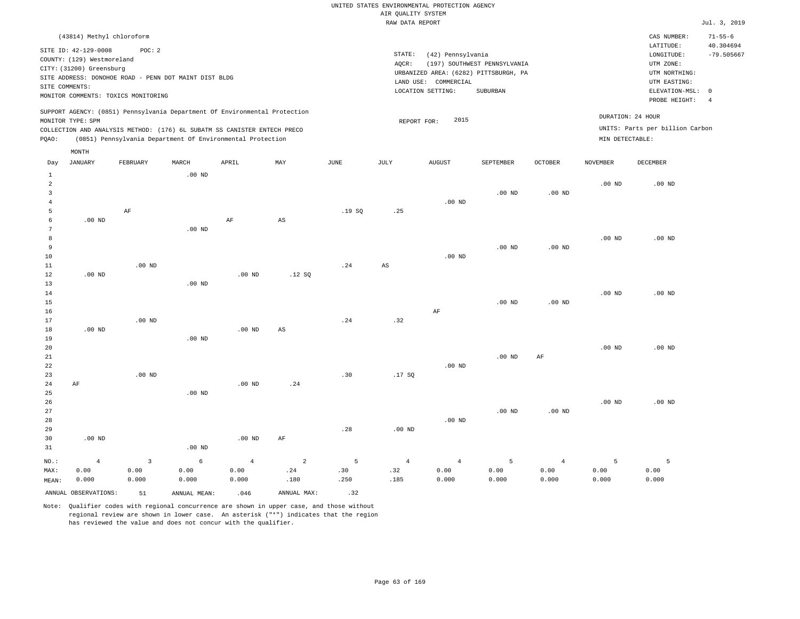| (43814) Methyl chloroform                                                                                                                                                                                                                                   |                                                                                                                                                                        | CAS NUMBER:                                                                                                | $71 - 55 - 6$             |
|-------------------------------------------------------------------------------------------------------------------------------------------------------------------------------------------------------------------------------------------------------------|------------------------------------------------------------------------------------------------------------------------------------------------------------------------|------------------------------------------------------------------------------------------------------------|---------------------------|
| SITE ID: 42-129-0008<br>POC:2<br>COUNTY: (129) Westmoreland<br>CITY: (31200) Greensburg<br>SITE ADDRESS: DONOHOE ROAD - PENN DOT MAINT DIST BLDG<br>SITE COMMENTS:<br>MONITOR COMMENTS: TOXICS MONITORING                                                   | STATE:<br>(42) Pennsylvania<br>(197) SOUTHWEST PENNSYLVANIA<br>AOCR:<br>URBANIZED AREA: (6282) PITTSBURGH, PA<br>LAND USE: COMMERCIAL<br>LOCATION SETTING:<br>SUBURBAN | LATITUDE:<br>LONGITUDE:<br>UTM ZONE:<br>UTM NORTHING:<br>UTM EASTING:<br>ELEVATION-MSL: 0<br>PROBE HEIGHT: | 40.304694<br>$-79.505667$ |
| SUPPORT AGENCY: (0851) Pennsylvania Department Of Environmental Protection<br>MONITOR TYPE: SPM<br>COLLECTION AND ANALYSIS METHOD: (176) 6L SUBATM SS CANISTER ENTECH PRECO<br>(0851) Pennsylvania Department Of Environmental Protection<br>POAO:<br>MONTH | DURATION: 24 HOUR<br>2015<br>REPORT FOR:<br>MIN DETECTABLE:                                                                                                            | UNITS: Parts per billion Carbon                                                                            |                           |

| Day            | JANUARY              | FEBRUARY    | MARCH             | APRIL          | MAY                    | JUNE        | JULY        | AUGUST         | SEPTEMBER         | OCTOBER        | NOVEMBER          | DECEMBER |
|----------------|----------------------|-------------|-------------------|----------------|------------------------|-------------|-------------|----------------|-------------------|----------------|-------------------|----------|
| $\mathbf{1}$   |                      |             | $.00$ ND          |                |                        |             |             |                |                   |                |                   |          |
| $\,2$          |                      |             |                   |                |                        |             |             |                |                   |                | $.00$ ND          | $.00$ ND |
| 3              |                      |             |                   |                |                        |             |             |                | .00 <sub>ND</sub> | $.00$ ND       |                   |          |
| $\overline{4}$ |                      |             |                   |                |                        |             |             | $.00$ ND       |                   |                |                   |          |
| 5              |                      | $\rm AF$    |                   |                |                        | .19SQ       | .25         |                |                   |                |                   |          |
| 6              | $.00$ ND             |             |                   | $\rm AF$       | AS                     |             |             |                |                   |                |                   |          |
| 7              |                      |             | $.00$ ND          |                |                        |             |             |                |                   |                |                   |          |
| 8              |                      |             |                   |                |                        |             |             |                |                   |                | $.00$ ND          | $.00$ ND |
| 9              |                      |             |                   |                |                        |             |             |                | $.00$ ND          | $.00$ ND       |                   |          |
| 10             |                      |             |                   |                |                        |             |             | $.00$ ND       |                   |                |                   |          |
| 11             |                      | $.00$ ND    |                   |                |                        | .24         | $_{\rm AS}$ |                |                   |                |                   |          |
| 12             | $.00$ ND             |             |                   | $.00$ ND       | .12 SQ                 |             |             |                |                   |                |                   |          |
| 13             |                      |             | $.00$ ND          |                |                        |             |             |                |                   |                |                   |          |
| 14             |                      |             |                   |                |                        |             |             |                |                   |                | $.00$ ND          | $.00$ ND |
| 15             |                      |             |                   |                |                        |             |             |                | $.00$ ND          | $.00$ ND       |                   |          |
| 16             |                      |             |                   |                |                        |             |             | $\rm AF$       |                   |                |                   |          |
| 17             |                      | $.00$ ND    |                   |                |                        | .24         | .32         |                |                   |                |                   |          |
| 18             | $.00$ ND             |             |                   | .00 $ND$       | $\mathbb{A}\mathbb{S}$ |             |             |                |                   |                |                   |          |
| 19             |                      |             | $.00$ ND          |                |                        |             |             |                |                   |                |                   |          |
| 20             |                      |             |                   |                |                        |             |             |                |                   |                | $.00~\mathrm{ND}$ | $.00$ ND |
| $2\sqrt{1}$    |                      |             |                   |                |                        |             |             |                | .00 <sub>ND</sub> | AF             |                   |          |
| 22             |                      |             |                   |                |                        |             |             | $.00$ ND       |                   |                |                   |          |
| 23             |                      | $.00$ ND    |                   |                |                        | .30         | .17 SQ      |                |                   |                |                   |          |
| 24             | $\rm AF$             |             |                   | .00 $ND$       | .24                    |             |             |                |                   |                |                   |          |
| 25             |                      |             | $.00$ ND          |                |                        |             |             |                |                   |                |                   |          |
| 26             |                      |             |                   |                |                        |             |             |                |                   |                | $.00$ ND          | $.00$ ND |
| 27             |                      |             |                   |                |                        |             |             |                | $.00$ ND          | $.00$ ND       |                   |          |
| 28             |                      |             |                   |                |                        |             |             | $.00$ ND       |                   |                |                   |          |
| 29             |                      |             |                   |                |                        | .28         | $.00$ ND    |                |                   |                |                   |          |
| 30             | $.00$ ND             |             |                   | .00 $ND$       | $\rm AF$               |             |             |                |                   |                |                   |          |
| 31             |                      |             | .00 <sub>ND</sub> |                |                        |             |             |                |                   |                |                   |          |
| $_{\rm NO.}$ : | $\,4$                | $\mathsf 3$ | $\epsilon$        | $\overline{4}$ | $\,2$                  | $\mathsf S$ | $\sqrt{4}$  | $\overline{4}$ | $\mathsf S$       | $\overline{4}$ | 5                 | 5        |
| MAX:           | 0.00                 | 0.00        | 0.00              | 0.00           | .24                    | .30         | .32         | 0.00           | 0.00              | 0.00           | 0.00              | 0.00     |
| MEAN:          | 0.000                | 0.000       | 0.000             | 0.000          | .180                   | .250        | .185        | 0.000          | 0.000             | 0.000          | 0.000             | 0.000    |
|                | ANNUAL OBSERVATIONS: | 51          | ANNUAL MEAN:      | .046           | ANNUAL MAX:            | .32         |             |                |                   |                |                   |          |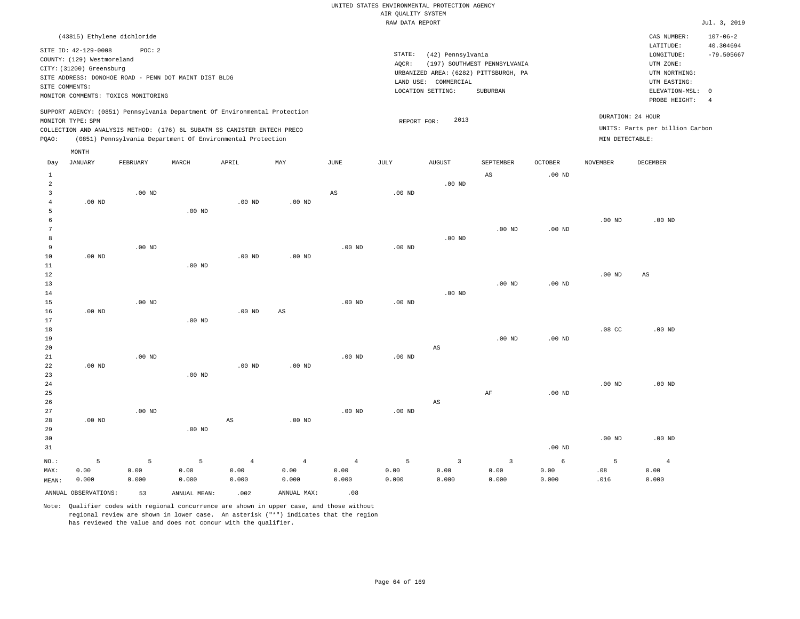| (43815) Ethylene dichloride                                                                                                                                                                                                                                 |                                                                                                                                                                        | CAS NUMBER:                                                                                                | $107 - 06 - 2$                  |
|-------------------------------------------------------------------------------------------------------------------------------------------------------------------------------------------------------------------------------------------------------------|------------------------------------------------------------------------------------------------------------------------------------------------------------------------|------------------------------------------------------------------------------------------------------------|---------------------------------|
| SITE ID: 42-129-0008<br>POC: 2<br>COUNTY: (129) Westmoreland<br>CITY: (31200) Greensburg<br>SITE ADDRESS: DONOHOE ROAD - PENN DOT MAINT DIST BLDG<br>SITE COMMENTS:<br>MONITOR COMMENTS: TOXICS MONITORING                                                  | STATE:<br>(42) Pennsylvania<br>(197) SOUTHWEST PENNSYLVANIA<br>AOCR:<br>URBANIZED AREA: (6282) PITTSBURGH, PA<br>LAND USE: COMMERCIAL<br>LOCATION SETTING:<br>SUBURBAN | LATITUDE:<br>LONGITUDE:<br>UTM ZONE:<br>UTM NORTHING:<br>UTM EASTING:<br>ELEVATION-MSL: 0<br>PROBE HEIGHT: | 40.304694<br>$-79.505667$<br>-4 |
| SUPPORT AGENCY: (0851) Pennsylvania Department Of Environmental Protection<br>MONITOR TYPE: SPM<br>COLLECTION AND ANALYSIS METHOD: (176) 6L SUBATM SS CANISTER ENTECH PRECO<br>(0851) Pennsylvania Department Of Environmental Protection<br>POAO:<br>MONTH | DURATION: 24 HOUR<br>2013<br>REPORT FOR:<br>MIN DETECTABLE:                                                                                                            | UNITS: Parts per billion Carbon                                                                            |                                 |

| Day            | JANUARY              | FEBRUARY    | MARCH             | APRIL          | MAY                    | $_{\rm JUNE}$  | JULY           | AUGUST                  | SEPTEMBER               | OCTOBER           | NOVEMBER         | DECEMBER       |
|----------------|----------------------|-------------|-------------------|----------------|------------------------|----------------|----------------|-------------------------|-------------------------|-------------------|------------------|----------------|
| $\mathbf{1}$   |                      |             |                   |                |                        |                |                |                         | $\mathbb{A}\mathbb{S}$  | .00 <sub>ND</sub> |                  |                |
| $\overline{a}$ |                      |             |                   |                |                        |                |                | $.00$ ND                |                         |                   |                  |                |
| 3              |                      | $.00$ ND    |                   |                |                        | $_{\rm AS}$    | $.00$ ND       |                         |                         |                   |                  |                |
| $\overline{4}$ | $.00$ ND             |             |                   | $.00$ ND       | $.00$ ND               |                |                |                         |                         |                   |                  |                |
| 5              |                      |             | .00 <sub>ND</sub> |                |                        |                |                |                         |                         |                   |                  |                |
| 6              |                      |             |                   |                |                        |                |                |                         |                         |                   | $.00$ ND         | $.00$ ND       |
| 7              |                      |             |                   |                |                        |                |                |                         | $.00$ ND                | $.00$ ND          |                  |                |
| 8              |                      |             |                   |                |                        |                |                | $.00$ ND                |                         |                   |                  |                |
| 9              |                      | $.00$ ND    |                   |                |                        | $.00$ ND       | $.00$ ND       |                         |                         |                   |                  |                |
| $10$           | $.00$ ND             |             |                   | $.00$ ND       | $.00$ ND               |                |                |                         |                         |                   |                  |                |
| $11\,$         |                      |             | .00 <sub>ND</sub> |                |                        |                |                |                         |                         |                   |                  |                |
| 12             |                      |             |                   |                |                        |                |                |                         |                         |                   | $.00$ ND         | AS             |
| 13             |                      |             |                   |                |                        |                |                |                         | $.00$ ND                | .00 <sub>ND</sub> |                  |                |
| 14             |                      |             |                   |                |                        |                |                | $.00$ ND                |                         |                   |                  |                |
| 15             |                      | $.00$ ND    |                   |                |                        | $.00$ ND       | $.00$ ND       |                         |                         |                   |                  |                |
| 16             | $.00$ ND             |             |                   | $.00$ ND       | $\mathbb{A}\mathbb{S}$ |                |                |                         |                         |                   |                  |                |
| 17             |                      |             | .00 <sub>ND</sub> |                |                        |                |                |                         |                         |                   |                  |                |
| 18             |                      |             |                   |                |                        |                |                |                         |                         |                   | .08 <sub>c</sub> | $.00$ ND       |
| 19             |                      |             |                   |                |                        |                |                |                         | $.00$ ND                | .00 <sub>ND</sub> |                  |                |
| 20             |                      |             |                   |                |                        |                |                | $\mathbb{A}\mathbb{S}$  |                         |                   |                  |                |
| 21             |                      | $.00$ ND    |                   |                |                        | $.00$ ND       | $.00$ ND       |                         |                         |                   |                  |                |
| 22             | $.00$ ND             |             |                   | $.00$ ND       | $.00$ ND               |                |                |                         |                         |                   |                  |                |
| 23             |                      |             | .00 <sub>ND</sub> |                |                        |                |                |                         |                         |                   |                  |                |
| 24             |                      |             |                   |                |                        |                |                |                         |                         |                   | $.00$ ND         | $.00$ ND       |
| 25             |                      |             |                   |                |                        |                |                |                         | $\rm AF$                | .00 <sub>ND</sub> |                  |                |
| 26             |                      |             |                   |                |                        |                |                | $\mathbb{A}\mathbb{S}$  |                         |                   |                  |                |
| 27             |                      | $.00$ ND    |                   |                |                        | $.00$ ND       | $.00$ ND       |                         |                         |                   |                  |                |
| 28             | .00 $ND$             |             |                   | AS             | $.00$ ND               |                |                |                         |                         |                   |                  |                |
| 29             |                      |             | $.00$ ND          |                |                        |                |                |                         |                         |                   | $.00$ ND         | $.00$ ND       |
| 30             |                      |             |                   |                |                        |                |                |                         |                         | .00 <sub>ND</sub> |                  |                |
| 31             |                      |             |                   |                |                        |                |                |                         |                         |                   |                  |                |
| $_{\rm NO.}$ : | $\mathsf S$          | $\mathsf S$ | 5                 | $\overline{4}$ | $\overline{4}$         | $\overline{4}$ | $\overline{5}$ | $\overline{\mathbf{3}}$ | $\overline{\mathbf{3}}$ | $\epsilon$        | 5                | $\overline{4}$ |
| MAX:           | 0.00                 | 0.00        | 0.00              | 0.00           | 0.00                   | 0.00           | 0.00           | 0.00                    | 0.00                    | 0.00              | .08              | 0.00           |
| MEAN:          | 0.000                | 0.000       | 0.000             | 0.000          | 0.000                  | 0.000          | 0.000          | 0.000                   | 0.000                   | 0.000             | .016             | 0.000          |
|                | ANNUAL OBSERVATIONS: | 53          | ANNUAL MEAN:      | .002           | ANNUAL MAX:            | .08            |                |                         |                         |                   |                  |                |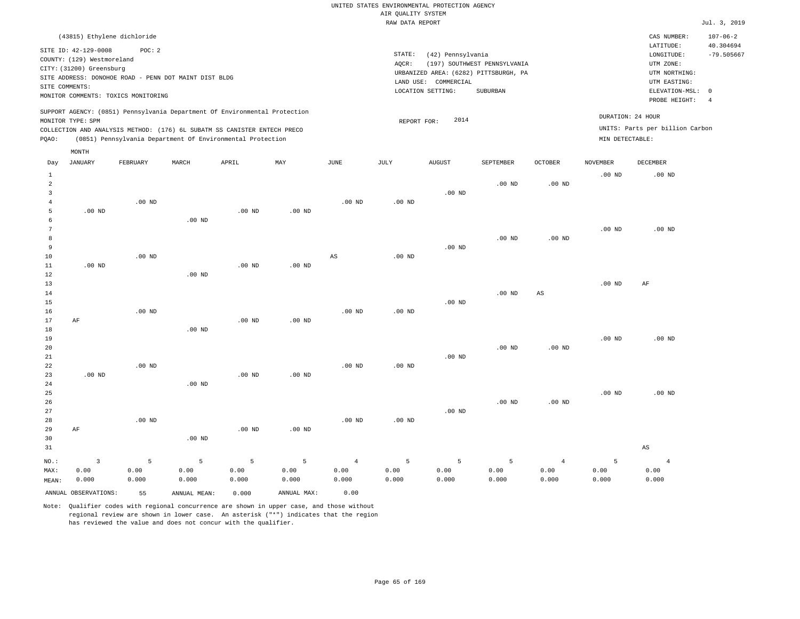| (43815) Ethylene dichloride                                                                                                                                                                                                                                 |                                                                                                                                                                        | $107 - 06 - 2$<br>CAS NUMBER:                                                                                                                 |
|-------------------------------------------------------------------------------------------------------------------------------------------------------------------------------------------------------------------------------------------------------------|------------------------------------------------------------------------------------------------------------------------------------------------------------------------|-----------------------------------------------------------------------------------------------------------------------------------------------|
| SITE ID: 42-129-0008<br>POC: 2<br>COUNTY: (129) Westmoreland<br>CITY: (31200) Greensburg<br>SITE ADDRESS: DONOHOE ROAD - PENN DOT MAINT DIST BLDG<br>SITE COMMENTS:<br>MONITOR COMMENTS: TOXICS MONITORING                                                  | STATE:<br>(42) Pennsylvania<br>(197) SOUTHWEST PENNSYLVANIA<br>AOCR:<br>URBANIZED AREA: (6282) PITTSBURGH, PA<br>LAND USE: COMMERCIAL<br>LOCATION SETTING:<br>SUBURBAN | 40.304694<br>LATITUDE:<br>$-79.505667$<br>LONGITUDE:<br>UTM ZONE:<br>UTM NORTHING:<br>UTM EASTING:<br>ELEVATION-MSL: 0<br>PROBE HEIGHT:<br>-4 |
| SUPPORT AGENCY: (0851) Pennsylvania Department Of Environmental Protection<br>MONITOR TYPE: SPM<br>COLLECTION AND ANALYSIS METHOD: (176) 6L SUBATM SS CANISTER ENTECH PRECO<br>POAO:<br>(0851) Pennsylvania Department Of Environmental Protection<br>MONTH | 2014<br>REPORT FOR:                                                                                                                                                    | DURATION: 24 HOUR<br>UNITS: Parts per billion Carbon<br>MIN DETECTABLE:                                                                       |

| Day            | <b>JANUARY</b>          | FEBRUARY | MARCH        | APRIL    | $\ensuremath{\text{MAX}}$ | $_{\rm JUNE}$          | JULY              | AUGUST   | SEPTEMBER | OCTOBER                | <b>NOVEMBER</b> | $\tt DECEMBER$         |
|----------------|-------------------------|----------|--------------|----------|---------------------------|------------------------|-------------------|----------|-----------|------------------------|-----------------|------------------------|
| $\mathbf{1}$   |                         |          |              |          |                           |                        |                   |          |           |                        | $.00$ ND        | $.00$ ND               |
| $\overline{a}$ |                         |          |              |          |                           |                        |                   |          | $.00$ ND  | $.00$ ND               |                 |                        |
| 3              |                         |          |              |          |                           |                        |                   | $.00$ ND |           |                        |                 |                        |
| 4              |                         | $.00$ ND |              |          |                           | $.00$ ND               | .00 <sub>ND</sub> |          |           |                        |                 |                        |
| 5              | $.00$ ND                |          |              | $.00$ ND | $.00$ ND                  |                        |                   |          |           |                        |                 |                        |
| 6              |                         |          | $.00$ ND     |          |                           |                        |                   |          |           |                        |                 |                        |
| 7              |                         |          |              |          |                           |                        |                   |          |           |                        | $.00$ ND        | $.00$ ND               |
| 8              |                         |          |              |          |                           |                        |                   |          | $.00$ ND  | .00 $ND$               |                 |                        |
| 9              |                         |          |              |          |                           |                        |                   | $.00$ ND |           |                        |                 |                        |
| 10             |                         | $.00$ ND |              |          |                           | $\mathbb{A}\mathbb{S}$ | .00 <sub>ND</sub> |          |           |                        |                 |                        |
| 11             | $.00$ ND                |          |              | $.00$ ND | .00 $ND$                  |                        |                   |          |           |                        |                 |                        |
| 12             |                         |          | $.00$ ND     |          |                           |                        |                   |          |           |                        |                 |                        |
| 13             |                         |          |              |          |                           |                        |                   |          |           |                        | $.00$ ND        | $\rm AF$               |
| 14             |                         |          |              |          |                           |                        |                   |          | $.00$ ND  | $\mathbb{A}\mathbb{S}$ |                 |                        |
| 15<br>16       |                         | $.00$ ND |              |          |                           | .00 <sub>ND</sub>      | $.00$ ND          | $.00$ ND |           |                        |                 |                        |
| 17             | AF                      |          |              | $.00$ ND | .00 $ND$                  |                        |                   |          |           |                        |                 |                        |
| 18             |                         |          | $.00$ ND     |          |                           |                        |                   |          |           |                        |                 |                        |
| 19             |                         |          |              |          |                           |                        |                   |          |           |                        | $.00$ ND        | $.00$ ND               |
| 20             |                         |          |              |          |                           |                        |                   |          | $.00$ ND  | $.00$ ND               |                 |                        |
| 21             |                         |          |              |          |                           |                        |                   | $.00$ ND |           |                        |                 |                        |
| 22             |                         | $.00$ ND |              |          |                           | .00 <sub>ND</sub>      | $.00$ ND          |          |           |                        |                 |                        |
| 23             | .00 $ND$                |          |              | $.00$ ND | .00 $ND$                  |                        |                   |          |           |                        |                 |                        |
| 24             |                         |          | $.00$ ND     |          |                           |                        |                   |          |           |                        |                 |                        |
| 25             |                         |          |              |          |                           |                        |                   |          |           |                        | $.00$ ND        | .00 <sub>ND</sub>      |
| 26             |                         |          |              |          |                           |                        |                   |          | $.00$ ND  | $.00$ ND               |                 |                        |
| 27             |                         |          |              |          |                           |                        |                   | $.00$ ND |           |                        |                 |                        |
| 28             |                         | $.00$ ND |              |          |                           | $.00$ ND               | $.00$ ND          |          |           |                        |                 |                        |
| 29             | $\rm AF$                |          |              | .00 $ND$ | $.00$ ND                  |                        |                   |          |           |                        |                 |                        |
| 30             |                         |          | $.00$ ND     |          |                           |                        |                   |          |           |                        |                 |                        |
| 31             |                         |          |              |          |                           |                        |                   |          |           |                        |                 | $\mathbb{A}\mathbb{S}$ |
| $NO.$ :        | $\overline{\mathbf{3}}$ | 5        | 5            | 5        | 5                         | $\overline{4}$         | 5                 | 5        | 5         | $\overline{4}$         | 5               | $\overline{4}$         |
| MAX:           | 0.00                    | 0.00     | 0.00         | 0.00     | 0.00                      | 0.00                   | 0.00              | 0.00     | 0.00      | 0.00                   | 0.00            | 0.00                   |
| MEAN:          | 0.000                   | 0.000    | 0.000        | 0.000    | 0.000                     | 0.000                  | 0.000             | 0.000    | 0.000     | 0.000                  | 0.000           | 0.000                  |
|                | ANNUAL OBSERVATIONS:    | 55       | ANNUAL MEAN: | 0.000    | ANNUAL MAX:               | 0.00                   |                   |          |           |                        |                 |                        |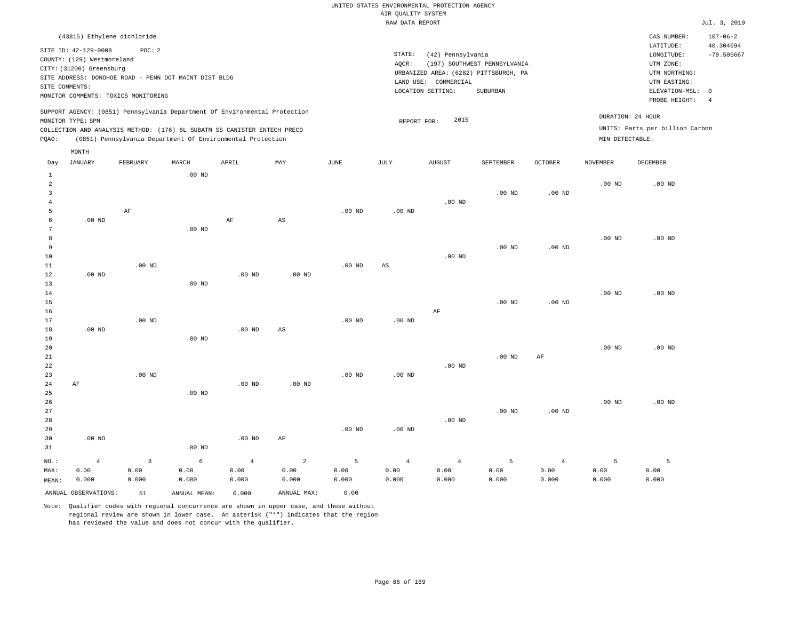|                                                                                                                                | LATITUDE:         | 40.304694                                                                                                                                                                |
|--------------------------------------------------------------------------------------------------------------------------------|-------------------|--------------------------------------------------------------------------------------------------------------------------------------------------------------------------|
| (197) SOUTHWEST PENNSYLVANIA<br>URBANIZED AREA: (6282) PITTSBURGH, PA<br>LAND USE: COMMERCIAL<br>LOCATION SETTING:<br>SUBURBAN |                   | $-79.505667$                                                                                                                                                             |
| 2015<br>REPORT FOR:                                                                                                            |                   |                                                                                                                                                                          |
|                                                                                                                                | (42) Pennsylvania | LONGITUDE:<br>UTM ZONE:<br>UTM NORTHING:<br>UTM EASTING:<br>ELEVATION-MSL: 0<br>PROBE HEIGHT:<br>DURATION: 24 HOUR<br>UNITS: Parts per billion Carbon<br>MIN DETECTABLE: |

| Day            | <b>JANUARY</b>       | FEBRUARY                  | MARCH        | APRIL          | MAY                    | <b>JUNE</b>    | JULY           | <b>AUGUST</b>  | SEPTEMBER         | OCTOBER        | <b>NOVEMBER</b> | DECEMBER |
|----------------|----------------------|---------------------------|--------------|----------------|------------------------|----------------|----------------|----------------|-------------------|----------------|-----------------|----------|
| $\mathbf{1}$   |                      |                           | $.00$ ND     |                |                        |                |                |                |                   |                |                 |          |
| 2              |                      |                           |              |                |                        |                |                |                |                   |                | $.00$ ND        | $.00$ ND |
| 3              |                      |                           |              |                |                        |                |                |                | $.00$ ND          | $.00$ ND       |                 |          |
| $\overline{4}$ |                      |                           |              |                |                        |                |                | $.00$ ND       |                   |                |                 |          |
| 5              |                      | $\rm AF$                  |              |                |                        | $.00$ ND       | $.00$ ND       |                |                   |                |                 |          |
| 6              | .00 $ND$             |                           |              | $\rm{AF}$      | $\mathbb{A}\mathbb{S}$ |                |                |                |                   |                |                 |          |
| 7              |                      |                           | $.00$ ND     |                |                        |                |                |                |                   |                |                 |          |
| 8              |                      |                           |              |                |                        |                |                |                |                   |                | $.00$ ND        | $.00$ ND |
| 9              |                      |                           |              |                |                        |                |                |                | $.00$ ND          | $.00$ ND       |                 |          |
| $10$           |                      |                           |              |                |                        |                |                | $.00$ ND       |                   |                |                 |          |
| 11             |                      | $.00$ ND                  |              |                |                        | $.00$ ND       | $_{\rm AS}$    |                |                   |                |                 |          |
| 12             | $.00$ ND             |                           |              | $.00$ ND       | $.00$ ND               |                |                |                |                   |                |                 |          |
| 13             |                      |                           | $.00$ ND     |                |                        |                |                |                |                   |                |                 |          |
| 14             |                      |                           |              |                |                        |                |                |                |                   |                | $.00$ ND        | $.00$ ND |
| 15             |                      |                           |              |                |                        |                |                |                | .00 <sub>ND</sub> | $.00$ ND       |                 |          |
| 16             |                      |                           |              |                |                        |                |                | $\rm{AF}$      |                   |                |                 |          |
| 17             |                      | $.00$ ND                  |              |                |                        | .00 $ND$       | .00 $ND$       |                |                   |                |                 |          |
| 18<br>19       | $.00$ ND             |                           | $.00$ ND     | $.00$ ND       | $\mathbb{A}\mathbb{S}$ |                |                |                |                   |                |                 |          |
| 20             |                      |                           |              |                |                        |                |                |                |                   |                | $.00$ ND        | $.00$ ND |
| 21             |                      |                           |              |                |                        |                |                |                | $.00$ ND          | $\rm{AF}$      |                 |          |
| $2\sqrt{2}$    |                      |                           |              |                |                        |                |                | $.00$ ND       |                   |                |                 |          |
| 23             |                      | $.00$ ND                  |              |                |                        | $.00$ ND       | $.00$ ND       |                |                   |                |                 |          |
| 24             | $\rm AF$             |                           |              | $.00$ ND       | $.00$ ND               |                |                |                |                   |                |                 |          |
| 25             |                      |                           | $.00$ ND     |                |                        |                |                |                |                   |                |                 |          |
| 26             |                      |                           |              |                |                        |                |                |                |                   |                | $.00$ ND        | $.00$ ND |
| 27             |                      |                           |              |                |                        |                |                |                | $.00$ ND          | $.00$ ND       |                 |          |
| 28             |                      |                           |              |                |                        |                |                | $.00$ ND       |                   |                |                 |          |
| 29             |                      |                           |              |                |                        | $.00$ ND       | $.00$ ND       |                |                   |                |                 |          |
| 30             | $.00$ ND             |                           |              | .00 $ND$       | AF                     |                |                |                |                   |                |                 |          |
| 31             |                      |                           | $.00$ ND     |                |                        |                |                |                |                   |                |                 |          |
| $NO.$ :        | $\overline{4}$       | $\ensuremath{\mathsf{3}}$ | $\epsilon$   | $\overline{4}$ | $\,$ 2 $\,$            | $\overline{5}$ | $\overline{4}$ | $\overline{4}$ | $\overline{5}$    | $\overline{4}$ | 5               | 5        |
| MAX:           | 0.00                 | 0.00                      | 0.00         | 0.00           | 0.00                   | 0.00           | 0.00           | 0.00           | 0.00              | 0.00           | 0.00            | 0.00     |
| MEAN:          | 0.000                | 0.000                     | 0.000        | 0.000          | 0.000                  | 0.000          | 0.000          | 0.000          | 0.000             | 0.000          | 0.000           | 0.000    |
|                | ANNUAL OBSERVATIONS: | 51                        | ANNUAL MEAN: | 0.000          | ANNUAL MAX:            | 0.00           |                |                |                   |                |                 |          |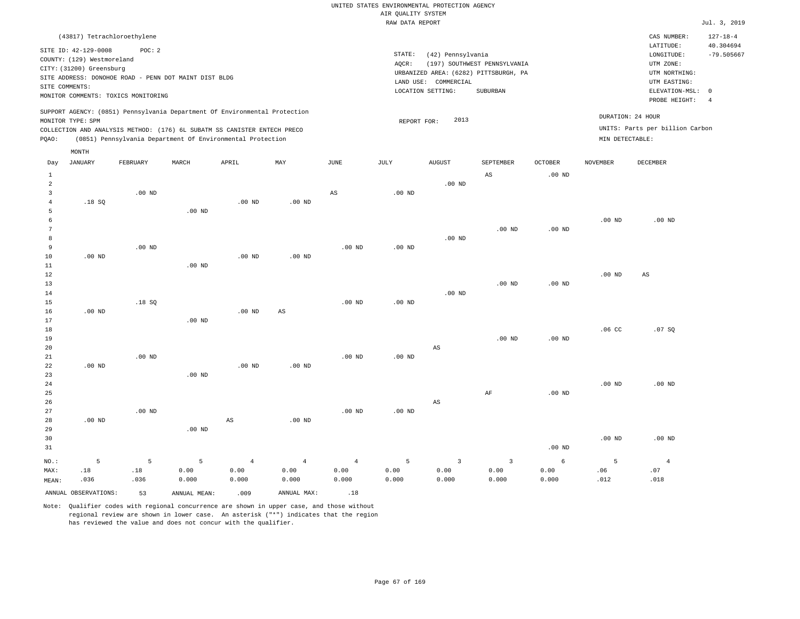| (43817) Tetrachloroethylene                                                                                                                                                                                                                                 |                                                                                                                                                                        | CAS NUMBER:                                                                                                | $127 - 18 - 4$            |
|-------------------------------------------------------------------------------------------------------------------------------------------------------------------------------------------------------------------------------------------------------------|------------------------------------------------------------------------------------------------------------------------------------------------------------------------|------------------------------------------------------------------------------------------------------------|---------------------------|
| SITE ID: 42-129-0008<br>POC: 2<br>COUNTY: (129) Westmoreland<br>CITY: (31200) Greensburg<br>SITE ADDRESS: DONOHOE ROAD - PENN DOT MAINT DIST BLDG<br>SITE COMMENTS:<br>MONITOR COMMENTS: TOXICS MONITORING                                                  | STATE:<br>(42) Pennsylvania<br>(197) SOUTHWEST PENNSYLVANIA<br>AOCR:<br>URBANIZED AREA: (6282) PITTSBURGH, PA<br>LAND USE: COMMERCIAL<br>LOCATION SETTING:<br>SUBURBAN | LATITUDE:<br>LONGITUDE:<br>UTM ZONE:<br>UTM NORTHING:<br>UTM EASTING:<br>ELEVATION-MSL: 0<br>PROBE HEIGHT: | 40.304694<br>$-79.505667$ |
| SUPPORT AGENCY: (0851) Pennsylvania Department Of Environmental Protection<br>MONITOR TYPE: SPM<br>COLLECTION AND ANALYSIS METHOD: (176) 6L SUBATM SS CANISTER ENTECH PRECO<br>(0851) Pennsylvania Department Of Environmental Protection<br>POAO:<br>MONTH | DURATION: 24 HOUR<br>2013<br>REPORT FOR:<br>MIN DETECTABLE:                                                                                                            | UNITS: Parts per billion Carbon                                                                            |                           |

| Day            | JANUARY              | FEBRUARY    | MARCH        | APRIL             | MAY                    | JUNE                   | JULY     | AUGUST                  | SEPTEMBER               | OCTOBER    | NOVEMBER         | DECEMBER       |
|----------------|----------------------|-------------|--------------|-------------------|------------------------|------------------------|----------|-------------------------|-------------------------|------------|------------------|----------------|
| $\mathbf{1}$   |                      |             |              |                   |                        |                        |          |                         | $\mathbb{A}\mathbb{S}$  | $.00$ ND   |                  |                |
| $\overline{a}$ |                      |             |              |                   |                        |                        |          | $.00$ ND                |                         |            |                  |                |
| 3              |                      | $.00$ ND    |              |                   |                        | $\mathbb{A}\mathbb{S}$ | $.00$ ND |                         |                         |            |                  |                |
| 4              | .18SQ                |             |              | .00 <sub>ND</sub> | .00 $ND$               |                        |          |                         |                         |            |                  |                |
| 5              |                      |             | $.00$ ND     |                   |                        |                        |          |                         |                         |            |                  |                |
| 6              |                      |             |              |                   |                        |                        |          |                         |                         |            | $.00$ ND         | $.00$ ND       |
| 7              |                      |             |              |                   |                        |                        |          |                         | $.00$ ND                | $.00$ ND   |                  |                |
| 8              |                      |             |              |                   |                        |                        |          | $.00$ ND                |                         |            |                  |                |
| 9              |                      | $.00$ ND    |              |                   |                        | $.00$ ND               | $.00$ ND |                         |                         |            |                  |                |
| $10$           | $.00$ ND             |             |              | .00 <sub>ND</sub> | $.00$ ND               |                        |          |                         |                         |            |                  |                |
| 11             |                      |             | $.00$ ND     |                   |                        |                        |          |                         |                         |            |                  |                |
| $1\,2$         |                      |             |              |                   |                        |                        |          |                         |                         |            | $.00$ ND         | AS             |
| 13             |                      |             |              |                   |                        |                        |          |                         | $.00$ ND                | $.00$ ND   |                  |                |
| 14             |                      |             |              |                   |                        |                        |          | $.00$ ND                |                         |            |                  |                |
| 15             |                      | .18SQ       |              |                   |                        | $.00$ ND               | $.00$ ND |                         |                         |            |                  |                |
| 16             | $.00$ ND             |             |              | .00 <sub>ND</sub> | $\mathbb{A}\mathbb{S}$ |                        |          |                         |                         |            |                  |                |
| 17             |                      |             | $.00$ ND     |                   |                        |                        |          |                         |                         |            |                  |                |
| 18             |                      |             |              |                   |                        |                        |          |                         |                         |            | .06 <sub>C</sub> | .07SQ          |
| 19             |                      |             |              |                   |                        |                        |          |                         | $.00$ ND                | $.00$ ND   |                  |                |
| 20             |                      |             |              |                   |                        |                        |          | $\mathbb{A}\mathbb{S}$  |                         |            |                  |                |
| 21             |                      | $.00$ ND    |              |                   |                        | $.00$ ND               | $.00$ ND |                         |                         |            |                  |                |
| 22             | $.00$ ND             |             |              | .00 <sub>ND</sub> | $.00$ ND               |                        |          |                         |                         |            |                  |                |
| 23             |                      |             | $.00$ ND     |                   |                        |                        |          |                         |                         |            |                  |                |
| 24             |                      |             |              |                   |                        |                        |          |                         |                         |            | $.00$ ND         | $.00$ ND       |
| 25             |                      |             |              |                   |                        |                        |          |                         | $\rm{AF}$               | $.00$ ND   |                  |                |
| 26             |                      |             |              |                   |                        |                        |          | $\mathbb{A}\mathbb{S}$  |                         |            |                  |                |
| 27             |                      | $.00$ ND    |              |                   |                        | $.00$ ND               | $.00$ ND |                         |                         |            |                  |                |
| 28             | $.00$ ND             |             |              | AS                | $.00$ ND               |                        |          |                         |                         |            |                  |                |
| 29             |                      |             | $.00$ ND     |                   |                        |                        |          |                         |                         |            |                  |                |
| 30             |                      |             |              |                   |                        |                        |          |                         |                         |            | $.00$ ND         | $.00$ ND       |
| 31             |                      |             |              |                   |                        |                        |          |                         |                         | $.00$ ND   |                  |                |
| $NO.$ :        | 5                    | $\mathsf S$ | 5            | $\,4$             | $\overline{4}$         | $\sqrt{4}$             | 5        | $\overline{\mathbf{3}}$ | $\overline{\mathbf{3}}$ | $\epsilon$ | 5                | $\overline{4}$ |
| MAX:           | .18                  | $.18\,$     | 0.00         | 0.00              | 0.00                   | 0.00                   | 0.00     | 0.00                    | 0.00                    | 0.00       | .06              | .07            |
| MEAN:          | .036                 | .036        | 0.000        | 0.000             | 0.000                  | 0.000                  | 0.000    | 0.000                   | 0.000                   | 0.000      | .012             | .018           |
|                | ANNUAL OBSERVATIONS: | 53          | ANNUAL MEAN: | .009              | ANNUAL MAX:            | .18                    |          |                         |                         |            |                  |                |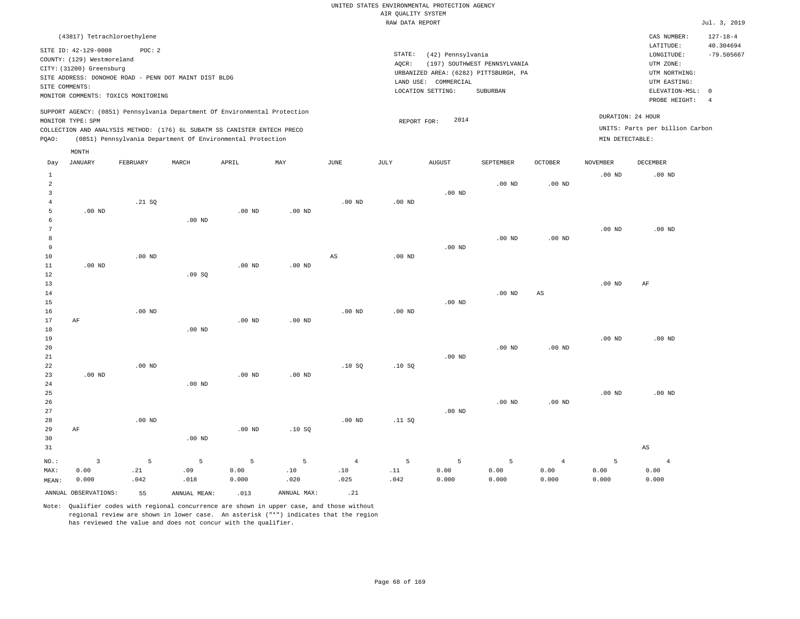| (43817) Tetrachloroethylene                                                                                                                                                                                                                                 |                                                                                                                                                                        | CAS NUMBER:                                                                                                | $127 - 18 - 4$            |
|-------------------------------------------------------------------------------------------------------------------------------------------------------------------------------------------------------------------------------------------------------------|------------------------------------------------------------------------------------------------------------------------------------------------------------------------|------------------------------------------------------------------------------------------------------------|---------------------------|
| SITE ID: 42-129-0008<br>POC: 2<br>COUNTY: (129) Westmoreland<br>CITY: (31200) Greensburg<br>SITE ADDRESS: DONOHOE ROAD - PENN DOT MAINT DIST BLDG<br>SITE COMMENTS:<br>MONITOR COMMENTS: TOXICS MONITORING                                                  | STATE:<br>(42) Pennsylvania<br>(197) SOUTHWEST PENNSYLVANIA<br>AOCR:<br>URBANIZED AREA: (6282) PITTSBURGH, PA<br>LAND USE: COMMERCIAL<br>LOCATION SETTING:<br>SUBURBAN | LATITUDE:<br>LONGITUDE:<br>UTM ZONE:<br>UTM NORTHING:<br>UTM EASTING:<br>ELEVATION-MSL: 0<br>PROBE HEIGHT: | 40.304694<br>$-79.505667$ |
| SUPPORT AGENCY: (0851) Pennsylvania Department Of Environmental Protection<br>MONITOR TYPE: SPM<br>COLLECTION AND ANALYSIS METHOD: (176) 6L SUBATM SS CANISTER ENTECH PRECO<br>(0851) Pennsylvania Department Of Environmental Protection<br>POAO:<br>MONTH | DURATION: 24 HOUR<br>2014<br>REPORT FOR:<br>MIN DETECTABLE:                                                                                                            | UNITS: Parts per billion Carbon                                                                            |                           |

| Day            | JANUARY                 | FEBRUARY       | MARCH    | APRIL           | MAY         | JUNE                         | JULY                         | AUGUST   | SEPTEMBER | OCTOBER                | NOVEMBER | DECEMBER               |
|----------------|-------------------------|----------------|----------|-----------------|-------------|------------------------------|------------------------------|----------|-----------|------------------------|----------|------------------------|
| $\mathbf{1}$   |                         |                |          |                 |             |                              |                              |          |           |                        | $.00$ ND | .00 <sub>ND</sub>      |
| $\overline{a}$ |                         |                |          |                 |             |                              |                              |          | $.00$ ND  | $.00$ ND               |          |                        |
| 3              |                         |                |          |                 |             |                              |                              | $.00$ ND |           |                        |          |                        |
| $\overline{4}$ |                         | .21 SQ         |          |                 |             | $.00$ ND                     | $.00$ ND                     |          |           |                        |          |                        |
| 5              | $.00$ ND                |                |          | $.00$ ND        | $.00$ ND    |                              |                              |          |           |                        |          |                        |
| 6              |                         |                | $.00$ ND |                 |             |                              |                              |          |           |                        |          |                        |
| 7              |                         |                |          |                 |             |                              |                              |          |           |                        | $.00$ ND | $.00$ ND               |
| 8<br>9         |                         |                |          |                 |             |                              |                              | $.00$ ND | $.00$ ND  | $.00$ ND               |          |                        |
| 10             |                         | $.00$ ND       |          |                 |             | AS                           | $.00$ ND                     |          |           |                        |          |                        |
| 11             | $.00$ ND                |                |          | $.00$ ND        | $.00$ ND    |                              |                              |          |           |                        |          |                        |
| 12             |                         |                | .09SQ    |                 |             |                              |                              |          |           |                        |          |                        |
| 13             |                         |                |          |                 |             |                              |                              |          |           |                        | $.00$ ND | AF                     |
| 14             |                         |                |          |                 |             |                              |                              |          | $.00$ ND  | $\mathbb{A}\mathbb{S}$ |          |                        |
| 15             |                         |                |          |                 |             |                              |                              | $.00$ ND |           |                        |          |                        |
| 16             |                         | $.00$ ND       |          |                 |             | $.00$ ND                     | $.00$ ND                     |          |           |                        |          |                        |
| 17             | $\rm AF$                |                |          | $.00$ ND        | $.00$ ND    |                              |                              |          |           |                        |          |                        |
| 18             |                         |                | $.00$ ND |                 |             |                              |                              |          |           |                        |          |                        |
| 19             |                         |                |          |                 |             |                              |                              |          |           |                        | $.00$ ND | $.00$ ND               |
| 20             |                         |                |          |                 |             |                              |                              |          | $.00$ ND  | $.00$ ND               |          |                        |
| $2\sqrt{1}$    |                         |                |          |                 |             |                              |                              | $.00$ ND |           |                        |          |                        |
| 22<br>23       | $.00$ ND                | .00 $ND$       |          | $.00$ ND        | $.00$ ND    | .10SQ                        | .10SQ                        |          |           |                        |          |                        |
| 24             |                         |                | $.00$ ND |                 |             |                              |                              |          |           |                        |          |                        |
| 25             |                         |                |          |                 |             |                              |                              |          |           |                        | $.00$ ND | $.00$ ND               |
| 26             |                         |                |          |                 |             |                              |                              |          | $.00$ ND  | $.00$ ND               |          |                        |
| 27             |                         |                |          |                 |             |                              |                              | $.00$ ND |           |                        |          |                        |
| 28             |                         | $.00$ ND       |          |                 |             | .00 <sub>ND</sub>            | .11 SQ                       |          |           |                        |          |                        |
| 29             | AF                      |                |          | $.00$ ND        | .10SQ       |                              |                              |          |           |                        |          |                        |
| 30             |                         |                | $.00$ ND |                 |             |                              |                              |          |           |                        |          |                        |
| 31             |                         |                |          |                 |             |                              |                              |          |           |                        |          | $\mathbb{A}\mathbb{S}$ |
| $NO.$ :        | $\overline{\mathbf{3}}$ | $\overline{5}$ | 5        | $5\phantom{.0}$ | $\mathsf S$ | $\,4$                        | 5                            | 5        | 5         | $\overline{4}$         | 5        | $\overline{4}$         |
| MAX:           | 0.00                    | .21            | .09      | 0.00            | $.10\,$     | $\footnotesize\substack{10}$ | $\footnotesize\substack{11}$ | 0.00     | 0.00      | 0.00                   | 0.00     | 0.00                   |
| MEAN:          | 0.000                   | .042           | .018     | 0.000           | .020        | .025                         | .042                         | 0.000    | 0.000     | 0.000                  | 0.000    | 0.000                  |
|                |                         |                |          |                 |             |                              |                              |          |           |                        |          |                        |

ANNUAL OBSERVATIONS: 55 ANNUAL MEAN: .013 ANNUAL MAX: .21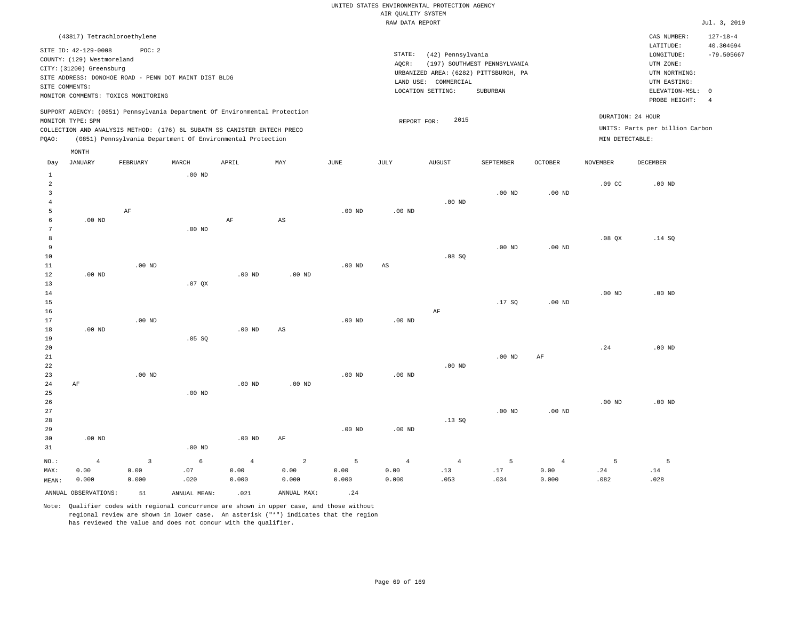| LATITUDE:<br>SITE ID: 42-129-0008<br>POC: 2<br>STATE:<br>(42) Pennsylvania<br>LONGITUDE:<br>COUNTY: (129) Westmoreland<br>UTM ZONE:<br>(197) SOUTHWEST PENNSYLVANIA<br>AOCR:<br>CITY: (31200) Greensburg<br>URBANIZED AREA: (6282) PITTSBURGH, PA<br>UTM NORTHING:<br>SITE ADDRESS: DONOHOE ROAD - PENN DOT MAINT DIST BLDG<br>LAND USE: COMMERCIAL<br>UTM EASTING:<br>SITE COMMENTS:<br>ELEVATION-MSL: 0<br>LOCATION SETTING:<br>SUBURBAN<br>MONITOR COMMENTS: TOXICS MONITORING<br>PROBE HEIGHT:<br>SUPPORT AGENCY: (0851) Pennsylvania Department Of Environmental Protection<br>DURATION: 24 HOUR | (43817) Tetrachloroethylene |                     | CAS NUMBER: | $127 - 18 - 4$            |
|-------------------------------------------------------------------------------------------------------------------------------------------------------------------------------------------------------------------------------------------------------------------------------------------------------------------------------------------------------------------------------------------------------------------------------------------------------------------------------------------------------------------------------------------------------------------------------------------------------|-----------------------------|---------------------|-------------|---------------------------|
|                                                                                                                                                                                                                                                                                                                                                                                                                                                                                                                                                                                                       |                             |                     |             | 40.304694<br>$-79.505667$ |
| UNITS: Parts per billion Carbon<br>COLLECTION AND ANALYSIS METHOD: (176) 6L SUBATM SS CANISTER ENTECH PRECO<br>(0851) Pennsylvania Department Of Environmental Protection<br>MIN DETECTABLE:<br>POAO:<br>MONTH                                                                                                                                                                                                                                                                                                                                                                                        | MONITOR TYPE: SPM           | 2015<br>REPORT FOR: |             |                           |

| Day            | <b>JANUARY</b>       | FEBRUARY    | MARCH        | APRIL          | MAY                     | <b>JUNE</b>    | JULY        | ${\tt AUGUST}$ | SEPTEMBER      | OCTOBER           | <b>NOVEMBER</b>  | DECEMBER |
|----------------|----------------------|-------------|--------------|----------------|-------------------------|----------------|-------------|----------------|----------------|-------------------|------------------|----------|
| $\mathbf{1}$   |                      |             | $.00$ ND     |                |                         |                |             |                |                |                   |                  |          |
| $\overline{a}$ |                      |             |              |                |                         |                |             |                |                |                   | .09 <sub>c</sub> | $.00$ ND |
| 3              |                      |             |              |                |                         |                |             |                | $.00$ ND       | $.00$ ND          |                  |          |
| $\overline{4}$ |                      |             |              |                |                         |                |             | $.00$ ND       |                |                   |                  |          |
| 5              |                      | $\rm AF$    |              |                |                         | $.00$ ND       | $.00$ ND    |                |                |                   |                  |          |
| 6              | $.00$ ND             |             |              | $\rm{AF}$      | $\mathbb{A}\mathbb{S}$  |                |             |                |                |                   |                  |          |
| 7              |                      |             | $.00$ ND     |                |                         |                |             |                |                |                   |                  |          |
| 8              |                      |             |              |                |                         |                |             |                |                |                   | .08 QX           | .14 SQ   |
| 9              |                      |             |              |                |                         |                |             |                | $.00$ ND       | $.00$ ND          |                  |          |
| $10$           |                      |             |              |                |                         |                |             | .08SQ          |                |                   |                  |          |
| 11             |                      | $.00$ ND    |              |                |                         | $.00$ ND       | $_{\rm AS}$ |                |                |                   |                  |          |
| 12             | $.00$ ND             |             |              | $.00$ ND       | $.00$ ND                |                |             |                |                |                   |                  |          |
| 13             |                      |             | .07QX        |                |                         |                |             |                |                |                   |                  |          |
| 14             |                      |             |              |                |                         |                |             |                |                |                   | $.00$ ND         | $.00$ ND |
| 15             |                      |             |              |                |                         |                |             |                | .17SQ          | .00 <sub>ND</sub> |                  |          |
| 16             |                      |             |              |                |                         |                |             | $\rm{AF}$      |                |                   |                  |          |
| 17             |                      | $.00$ ND    |              |                |                         | .00 $ND$       | .00 $ND$    |                |                |                   |                  |          |
| 18<br>19       | .00 $ND$             |             | .05 SQ       | $.00$ ND       | $\mathbb{A}\mathbb{S}$  |                |             |                |                |                   |                  |          |
| 20             |                      |             |              |                |                         |                |             |                |                |                   | .24              | $.00$ ND |
| 21             |                      |             |              |                |                         |                |             |                | $.00$ ND       | $\rm{AF}$         |                  |          |
| $2\sqrt{2}$    |                      |             |              |                |                         |                |             | $.00$ ND       |                |                   |                  |          |
| 23             |                      | $.00$ ND    |              |                |                         | $.00$ ND       | $.00$ ND    |                |                |                   |                  |          |
| $2\,4$         | $\rm AF$             |             |              | $.00$ ND       | $.00$ ND                |                |             |                |                |                   |                  |          |
| 25             |                      |             | $.00$ ND     |                |                         |                |             |                |                |                   |                  |          |
| $26\,$         |                      |             |              |                |                         |                |             |                |                |                   | $.00$ ND         | $.00$ ND |
| 27             |                      |             |              |                |                         |                |             |                | $.00$ ND       | $.00$ ND          |                  |          |
| 28             |                      |             |              |                |                         |                |             | .13SQ          |                |                   |                  |          |
| 29             |                      |             |              |                |                         | $.00$ ND       | $.00$ ND    |                |                |                   |                  |          |
| 30             | $.00$ ND             |             |              | .00 $ND$       | $\rm AF$                |                |             |                |                |                   |                  |          |
| 31             |                      |             | $.00$ ND     |                |                         |                |             |                |                |                   |                  |          |
| $_{\rm NO.}$ : | $\overline{4}$       | $\mathsf 3$ | $\epsilon$   | $\overline{4}$ | $\overline{\mathbf{c}}$ | $\overline{5}$ | $\sqrt{4}$  | $\overline{4}$ | $\overline{5}$ | $\overline{4}$    | 5                | 5        |
| MAX:           | 0.00                 | 0.00        | $.07$        | 0.00           | 0.00                    | 0.00           | 0.00        | .13            | $.17$          | 0.00              | .24              | .14      |
| MEAN:          | 0.000                | 0.000       | .020         | 0.000          | 0.000                   | 0.000          | 0.000       | .053           | .034           | 0.000             | .082             | .028     |
|                | ANNUAL OBSERVATIONS: | 51          | ANNUAL MEAN: | .021           | ANNUAL MAX:             | .24            |             |                |                |                   |                  |          |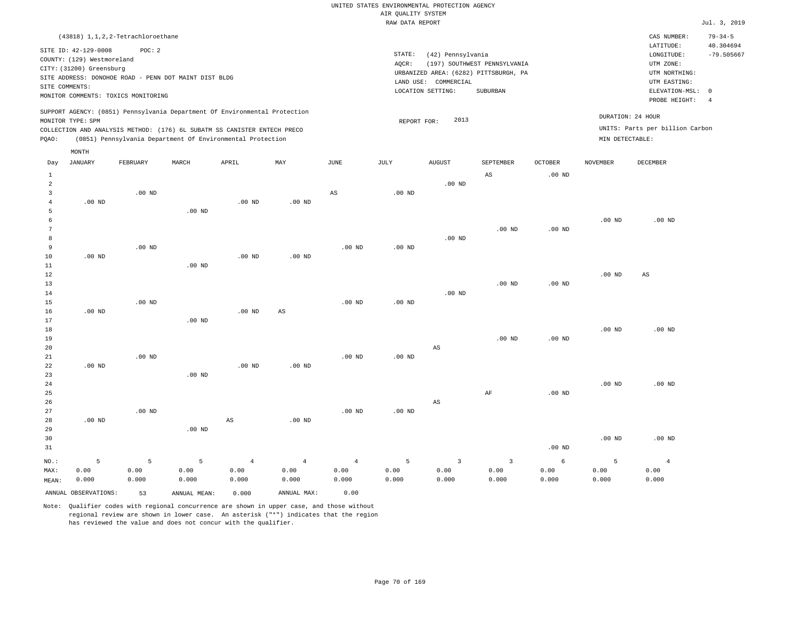|                            |                                                                                | (43818) 1, 1, 2, 2-Tetrachloroethane                                                                   |       |                                                                                                                                                                                                                      |     |      |                 |                                                                                                         |                                          |                |                 | CAS NUMBER:                                                                                                | $79 - 34 - 5$                   |
|----------------------------|--------------------------------------------------------------------------------|--------------------------------------------------------------------------------------------------------|-------|----------------------------------------------------------------------------------------------------------------------------------------------------------------------------------------------------------------------|-----|------|-----------------|---------------------------------------------------------------------------------------------------------|------------------------------------------|----------------|-----------------|------------------------------------------------------------------------------------------------------------|---------------------------------|
| SITE COMMENTS:             | SITE ID: 42-129-0008<br>COUNTY: (129) Westmoreland<br>CITY: (31200) Greensburg | POC: 2<br>SITE ADDRESS: DONOHOE ROAD - PENN DOT MAINT DIST BLDG<br>MONITOR COMMENTS: TOXICS MONITORING |       |                                                                                                                                                                                                                      |     |      | STATE:<br>AOCR: | (42) Pennsylvania<br>URBANIZED AREA: (6282) PITTSBURGH, PA<br>LAND USE: COMMERCIAL<br>LOCATION SETTING: | (197) SOUTHWEST PENNSYLVANIA<br>SUBURBAN |                |                 | LATITUDE:<br>LONGITUDE:<br>UTM ZONE:<br>UTM NORTHING:<br>UTM EASTING:<br>ELEVATION-MSL: 0<br>PROBE HEIGHT: | 40.304694<br>$-79.505667$<br>-4 |
| MONITOR TYPE: SPM<br>POAO: |                                                                                |                                                                                                        |       | SUPPORT AGENCY: (0851) Pennsylvania Department Of Environmental Protection<br>COLLECTION AND ANALYSIS METHOD: (176) 6L SUBATM SS CANISTER ENTECH PRECO<br>(0851) Pennsylvania Department Of Environmental Protection |     |      |                 | 2013<br>REPORT FOR:                                                                                     |                                          |                |                 | DURATION: 24 HOUR<br>UNITS: Parts per billion Carbon<br>MIN DETECTABLE:                                    |                                 |
| Day                        | MONTH<br>JANUARY                                                               | FEBRUARY                                                                                               | MARCH | APRIL                                                                                                                                                                                                                | MAY | JUNE | JULY            | AUGUST                                                                                                  | SEPTEMBER                                | <b>OCTOBER</b> | <b>NOVEMBER</b> | DECEMBER                                                                                                   |                                 |

| vay            | O MIAO MILI          | L PDI/OM/T  | 17777/177         | <b>ULIATIO</b>         | 1,77.7                 | <b>O OTATA</b>         | <b>OOH</b> | when t                 | OBF I BRIDBA            | <b>OCTOBET</b> | <b>MOATHITE</b>   | <b>DECEMBER</b>        |
|----------------|----------------------|-------------|-------------------|------------------------|------------------------|------------------------|------------|------------------------|-------------------------|----------------|-------------------|------------------------|
| $\mathbf{1}$   |                      |             |                   |                        |                        |                        |            |                        | $_{\rm AS}$             | $.00$ ND       |                   |                        |
| $\overline{a}$ |                      |             |                   |                        |                        |                        |            | $.00$ ND               |                         |                |                   |                        |
| 3              |                      | $.00$ ND    |                   |                        |                        | $\mathbb{A}\mathbb{S}$ | $.00$ ND   |                        |                         |                |                   |                        |
| 4              | $.00$ ND             |             |                   | $.00$ ND               | $.00$ ND               |                        |            |                        |                         |                |                   |                        |
| 5              |                      |             | .00 <sub>ND</sub> |                        |                        |                        |            |                        |                         |                |                   |                        |
| 6              |                      |             |                   |                        |                        |                        |            |                        |                         |                | $.00$ ND          | $.00$ ND               |
| 7              |                      |             |                   |                        |                        |                        |            |                        | $.00$ ND                | $.00$ ND       |                   |                        |
| 8              |                      |             |                   |                        |                        |                        |            | $.00$ ND               |                         |                |                   |                        |
| 9              |                      | $.00$ ND    |                   |                        |                        | $.00$ ND               | $.00$ ND   |                        |                         |                |                   |                        |
| 10             | .00 $ND$             |             |                   | .00 $ND$               | $.00$ ND               |                        |            |                        |                         |                |                   |                        |
| 11             |                      |             | $.00$ ND          |                        |                        |                        |            |                        |                         |                |                   |                        |
| 12             |                      |             |                   |                        |                        |                        |            |                        |                         |                | $.00$ ND          | $\mathbb{A}\mathbb{S}$ |
| 13             |                      |             |                   |                        |                        |                        |            |                        | $.00$ ND                | $.00$ ND       |                   |                        |
| 14             |                      |             |                   |                        |                        |                        |            | $.00$ ND               |                         |                |                   |                        |
| $15\,$         |                      | $.00$ ND    |                   |                        |                        | $.00$ ND               | .00 $ND$   |                        |                         |                |                   |                        |
| 16             | $.00$ ND             |             |                   | $.00$ ND               | $\mathbb{A}\mathbb{S}$ |                        |            |                        |                         |                |                   |                        |
| 17             |                      |             | $.00$ ND          |                        |                        |                        |            |                        |                         |                |                   |                        |
| 18             |                      |             |                   |                        |                        |                        |            |                        |                         |                | $.00$ ND          | $.00$ ND               |
| 19             |                      |             |                   |                        |                        |                        |            |                        | $.00$ ND                | $.00$ ND       |                   |                        |
| 20             |                      |             |                   |                        |                        |                        |            | $\mathbb{A}\mathbb{S}$ |                         |                |                   |                        |
| 21             |                      | $.00$ ND    |                   |                        |                        | $.00$ ND               | $.00$ ND   |                        |                         |                |                   |                        |
| 22             | $.00$ ND             |             |                   | $.00$ ND               | .00 <sub>ND</sub>      |                        |            |                        |                         |                |                   |                        |
| 23             |                      |             | .00 <sub>ND</sub> |                        |                        |                        |            |                        |                         |                |                   |                        |
| 24             |                      |             |                   |                        |                        |                        |            |                        |                         |                | $.00$ ND          | $.00$ ND               |
| 25             |                      |             |                   |                        |                        |                        |            |                        | $\rm AF$                | $.00$ ND       |                   |                        |
| 26             |                      |             |                   |                        |                        |                        |            | $\mathbb{A}\mathbb{S}$ |                         |                |                   |                        |
| 27             |                      | $.00$ ND    |                   | $\mathbb{A}\mathbb{S}$ | .00 <sub>ND</sub>      | $.00$ ND               | $.00$ ND   |                        |                         |                |                   |                        |
| 28<br>29       | $.00$ ND             |             | .00 <sub>ND</sub> |                        |                        |                        |            |                        |                         |                |                   |                        |
| 30             |                      |             |                   |                        |                        |                        |            |                        |                         |                | .00 <sub>ND</sub> | $.00$ ND               |
| 31             |                      |             |                   |                        |                        |                        |            |                        |                         | $.00$ ND       |                   |                        |
|                |                      |             |                   |                        |                        |                        |            |                        |                         |                |                   |                        |
| $NO.$ :        | $\mathsf S$          | $\mathsf S$ | $\overline{5}$    | $\overline{4}$         | $\,4\,$                | $\sqrt{4}$             | $\sqrt{5}$ | $\mathsf 3$            | $\overline{\mathbf{3}}$ | $\epsilon$     | 5                 | $\overline{4}$         |
| MAX:           | 0.00                 | 0.00        | 0.00              | 0.00                   | 0.00                   | 0.00                   | 0.00       | 0.00                   | 0.00                    | 0.00           | 0.00              | 0.00                   |
| MEAN:          | 0.000                | 0.000       | 0.000             | 0.000                  | 0.000                  | 0.000                  | 0.000      | 0.000                  | 0.000                   | 0.000          | 0.000             | 0.000                  |
|                | ANNUAL OBSERVATIONS: | 53          | ANNUAL MEAN:      | 0.000                  | ANNUAL MAX:            | 0.00                   |            |                        |                         |                |                   |                        |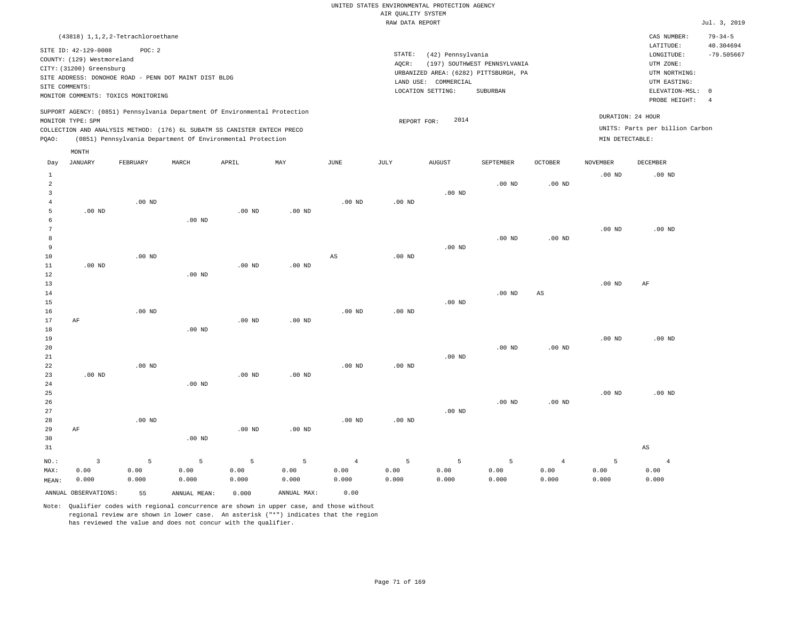|                                                                                                                                                                        | $79 - 34 - 5$<br>CAS NUMBER:                                                                                     |                           |
|------------------------------------------------------------------------------------------------------------------------------------------------------------------------|------------------------------------------------------------------------------------------------------------------|---------------------------|
| STATE:<br>(42) Pennsylvania<br>(197) SOUTHWEST PENNSYLVANIA<br>AOCR:<br>URBANIZED AREA: (6282) PITTSBURGH, PA<br>LAND USE: COMMERCIAL<br>LOCATION SETTING:<br>SUBURBAN | LATITUDE:<br>LONGITUDE:<br>UTM ZONE:<br>UTM NORTHING:<br>UTM EASTING:<br>ELEVATION-MSL: 0<br>PROBE HEIGHT:<br>-4 |                           |
| 2014<br>REPORT FOR:                                                                                                                                                    | DURATION: 24 HOUR<br>UNITS: Parts per billion Carbon<br>MIN DETECTABLE:                                          |                           |
|                                                                                                                                                                        |                                                                                                                  | 40.304694<br>$-79.505667$ |

| Day            | JANUARY              | FEBRUARY | MARCH        | APRIL    | $\ensuremath{\text{MAX}}$ | $_{\rm JUNE}$     | $\mathtt{JULY}$ | AUGUST   | SEPTEMBER | OCTOBER                | NOVEMBER          | $\tt DECEMBER$ |
|----------------|----------------------|----------|--------------|----------|---------------------------|-------------------|-----------------|----------|-----------|------------------------|-------------------|----------------|
| $\mathbf{1}$   |                      |          |              |          |                           |                   |                 |          |           |                        | .00 <sub>ND</sub> | $.00$ ND       |
| $\overline{a}$ |                      |          |              |          |                           |                   |                 |          | $.00$ ND  | $.00$ ND               |                   |                |
| 3              |                      |          |              |          |                           |                   |                 | $.00$ ND |           |                        |                   |                |
| $\overline{4}$ |                      | $.00$ ND |              |          |                           | .00 <sub>ND</sub> | .00 $ND$        |          |           |                        |                   |                |
| 5              | $.00$ ND             |          |              | $.00$ ND | .00 $ND$                  |                   |                 |          |           |                        |                   |                |
| 6              |                      |          | $.00$ ND     |          |                           |                   |                 |          |           |                        |                   |                |
| $\overline{7}$ |                      |          |              |          |                           |                   |                 |          |           |                        | $.00$ ND          | $.00$ ND       |
| 8              |                      |          |              |          |                           |                   |                 |          | $.00$ ND  | .00 <sub>ND</sub>      |                   |                |
| 9              |                      |          |              |          |                           |                   |                 | $.00$ ND |           |                        |                   |                |
| 10             |                      | $.00$ ND |              |          |                           | $_{\rm AS}$       | $.00$ ND        |          |           |                        |                   |                |
| 11             | $.00$ ND             |          |              | $.00$ ND | .00 $ND$                  |                   |                 |          |           |                        |                   |                |
| 12             |                      |          | $.00$ ND     |          |                           |                   |                 |          |           |                        |                   |                |
| 13<br>14       |                      |          |              |          |                           |                   |                 |          | $.00$ ND  | $\mathbb{A}\mathbb{S}$ | .00 $ND$          | AF             |
| 15             |                      |          |              |          |                           |                   |                 | $.00$ ND |           |                        |                   |                |
| 16             |                      | $.00$ ND |              |          |                           | .00 <sub>ND</sub> | .00 $ND$        |          |           |                        |                   |                |
| 17             | $\rm AF$             |          |              | $.00$ ND | .00 $ND$                  |                   |                 |          |           |                        |                   |                |
| 18             |                      |          | $.00$ ND     |          |                           |                   |                 |          |           |                        |                   |                |
| 19             |                      |          |              |          |                           |                   |                 |          |           |                        | $.00$ ND          | $.00$ ND       |
| 20             |                      |          |              |          |                           |                   |                 |          | $.00$ ND  | $.00$ ND               |                   |                |
| 21             |                      |          |              |          |                           |                   |                 | $.00$ ND |           |                        |                   |                |
| 22             |                      | $.00$ ND |              |          |                           | .00 <sub>ND</sub> | $.00$ ND        |          |           |                        |                   |                |
| 23             | $.00$ ND             |          |              | $.00$ ND | $.00$ ND                  |                   |                 |          |           |                        |                   |                |
| 24             |                      |          | $.00$ ND     |          |                           |                   |                 |          |           |                        |                   |                |
| 25             |                      |          |              |          |                           |                   |                 |          |           |                        | $.00$ ND          | $.00$ ND       |
| 26             |                      |          |              |          |                           |                   |                 |          | $.00$ ND  | $.00$ ND               |                   |                |
| 27             |                      |          |              |          |                           |                   |                 | $.00$ ND |           |                        |                   |                |
| 28             |                      | $.00$ ND |              |          |                           | .00 <sub>ND</sub> | $.00$ ND        |          |           |                        |                   |                |
| 29             | $\rm AF$             |          |              | $.00$ ND | $.00$ ND                  |                   |                 |          |           |                        |                   |                |
| 30             |                      |          | $.00$ ND     |          |                           |                   |                 |          |           |                        |                   |                |
| 31             |                      |          |              |          |                           |                   |                 |          |           |                        |                   | $_{\rm AS}$    |
| $NO.$ :        | $\overline{3}$       | 5        | 5            | 5        | 5                         | $\overline{4}$    | 5               | 5        | 5         | $\overline{4}$         | 5                 | $\overline{4}$ |
| MAX:           | 0.00                 | 0.00     | 0.00         | 0.00     | 0.00                      | 0.00              | 0.00            | 0.00     | 0.00      | 0.00                   | 0.00              | 0.00           |
| MEAN:          | 0.000                | 0.000    | 0.000        | 0.000    | 0.000                     | 0.000             | 0.000           | 0.000    | 0.000     | 0.000                  | 0.000             | 0.000          |
|                | ANNUAL OBSERVATIONS: | 55       | ANNUAL MEAN: | 0.000    | ANNUAL MAX:               | 0.00              |                 |          |           |                        |                   |                |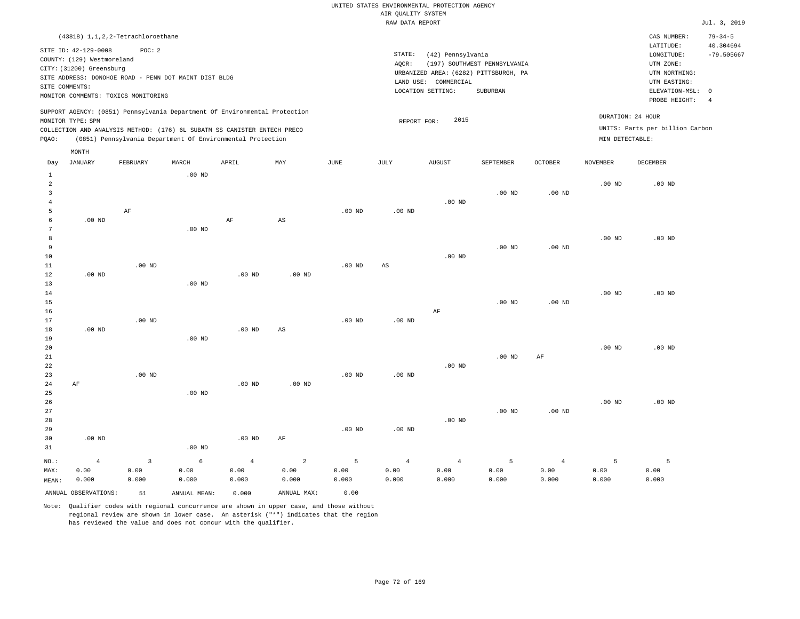| (42) Pennsylvania                        | CAS NUMBER:<br>LATITUDE:                                                                                   | $79 - 34 - 5$<br>40.304694                                                                                                                                                         |
|------------------------------------------|------------------------------------------------------------------------------------------------------------|------------------------------------------------------------------------------------------------------------------------------------------------------------------------------------|
|                                          |                                                                                                            |                                                                                                                                                                                    |
| (197) SOUTHWEST PENNSYLVANIA<br>SUBURBAN |                                                                                                            | $-79.505667$<br>-4                                                                                                                                                                 |
| 2015                                     |                                                                                                            |                                                                                                                                                                                    |
|                                          | AOCR:<br>URBANIZED AREA: (6282) PITTSBURGH, PA<br>LAND USE: COMMERCIAL<br>LOCATION SETTING:<br>REPORT FOR: | STATE:<br>LONGITUDE:<br>UTM ZONE:<br>UTM NORTHING:<br>UTM EASTING:<br>ELEVATION-MSL: 0<br>PROBE HEIGHT:<br>DURATION: 24 HOUR<br>UNITS: Parts per billion Carbon<br>MIN DETECTABLE: |

| Day            | <b>JANUARY</b>       | ${\tt FEBRUARY}$  | $\tt MARCH$       | ${\tt APRIL}$     | $\texttt{MAX}$         | $_{\rm JUNE}$ | $\mathtt{JULY}$ | ${\tt AUGUST}$ | SEPTEMBER      | $\mathtt{OCTOBER}$ | NOVEMBER | $\begin{minipage}{.4\linewidth} DECEMBER \end{minipage} \vspace{-0.5em}$ |
|----------------|----------------------|-------------------|-------------------|-------------------|------------------------|---------------|-----------------|----------------|----------------|--------------------|----------|--------------------------------------------------------------------------|
| $\mathbf{1}$   |                      |                   | $.00$ ND          |                   |                        |               |                 |                |                |                    |          |                                                                          |
| $\overline{a}$ |                      |                   |                   |                   |                        |               |                 |                |                |                    | $.00$ ND | $.00$ ND                                                                 |
| 3              |                      |                   |                   |                   |                        |               |                 |                | $.00$ ND       | $.00$ ND           |          |                                                                          |
| $\overline{4}$ |                      |                   |                   |                   |                        |               |                 | $.00$ ND       |                |                    |          |                                                                          |
| 5              |                      | AF                |                   |                   |                        | $.00$ ND      | $.00$ ND        |                |                |                    |          |                                                                          |
| 6              | .00 <sub>ND</sub>    |                   |                   | AF                | $\mathbb{A}\mathbb{S}$ |               |                 |                |                |                    |          |                                                                          |
| 7              |                      |                   | $.00$ ND          |                   |                        |               |                 |                |                |                    |          |                                                                          |
| 8              |                      |                   |                   |                   |                        |               |                 |                |                |                    | $.00$ ND | $.00$ ND                                                                 |
| 9              |                      |                   |                   |                   |                        |               |                 |                | $.00$ ND       | $.00$ ND           |          |                                                                          |
| 10             |                      |                   |                   |                   |                        |               |                 | $.00$ ND       |                |                    |          |                                                                          |
| 11             |                      | .00 <sub>ND</sub> |                   |                   |                        | $.00$ ND      | AS              |                |                |                    |          |                                                                          |
| 12             | $.00$ ND             |                   |                   | $.00~\mathrm{ND}$ | $.00$ ND               |               |                 |                |                |                    |          |                                                                          |
| 13             |                      |                   | $.00$ ND          |                   |                        |               |                 |                |                |                    |          |                                                                          |
| 14             |                      |                   |                   |                   |                        |               |                 |                |                |                    | $.00$ ND | $.00$ ND                                                                 |
| 15             |                      |                   |                   |                   |                        |               |                 |                | $.00$ ND       | $.00$ ND           |          |                                                                          |
| 16             |                      |                   |                   |                   |                        |               |                 | $\rm AF$       |                |                    |          |                                                                          |
| 17             |                      | $.00$ ND          |                   |                   |                        | $.00$ ND      | $.00$ ND        |                |                |                    |          |                                                                          |
| 18             | $.00$ ND             |                   |                   | .00 <sub>ND</sub> | $\mathbb{A}\mathbb{S}$ |               |                 |                |                |                    |          |                                                                          |
| 19             |                      |                   | $.00$ ND          |                   |                        |               |                 |                |                |                    |          |                                                                          |
| 20             |                      |                   |                   |                   |                        |               |                 |                |                |                    | $.00$ ND | $.00$ ND                                                                 |
| 21             |                      |                   |                   |                   |                        |               |                 |                | $.00$ ND       | $\rm{AF}$          |          |                                                                          |
| 22             |                      |                   |                   |                   |                        |               |                 | $.00$ ND       |                |                    |          |                                                                          |
| 23             |                      | $.00$ ND          |                   |                   |                        | $.00$ ND      | $.00$ ND        |                |                |                    |          |                                                                          |
| 24             | AF                   |                   |                   | $.00~\mathrm{ND}$ | $.00$ ND               |               |                 |                |                |                    |          |                                                                          |
| 25             |                      |                   | $.00$ ND          |                   |                        |               |                 |                |                |                    |          |                                                                          |
| 26             |                      |                   |                   |                   |                        |               |                 |                |                |                    | .00 $ND$ | $.00$ ND                                                                 |
| 27             |                      |                   |                   |                   |                        |               |                 |                | $.00$ ND       | $.00$ ND           |          |                                                                          |
| 28<br>29       |                      |                   |                   |                   |                        | $.00$ ND      | $.00$ ND        | $.00$ ND       |                |                    |          |                                                                          |
| 30             | .00 $ND$             |                   |                   | .00 $ND$          | $\rm AF$               |               |                 |                |                |                    |          |                                                                          |
| 31             |                      |                   | .00 <sub>ND</sub> |                   |                        |               |                 |                |                |                    |          |                                                                          |
|                |                      |                   |                   |                   |                        |               |                 |                |                |                    |          |                                                                          |
| $NO.$ :        | $\overline{4}$       | 3                 | 6                 | $\overline{4}$    | $\sqrt{2}$             | 5             | $\overline{4}$  | $\overline{4}$ | $\overline{5}$ | $\overline{4}$     | 5        | 5                                                                        |
| MAX:           | 0.00                 | 0.00              | 0.00              | 0.00              | 0.00                   | 0.00          | 0.00            | 0.00           | 0.00           | 0.00               | 0.00     | 0.00                                                                     |
| MEAN:          | 0.000                | 0.000             | 0.000             | 0.000             | 0.000                  | 0.000         | 0.000           | 0.000          | 0.000          | 0.000              | 0.000    | 0.000                                                                    |
|                | ANNUAL OBSERVATIONS: | 51                | ANNUAL MEAN:      | 0.000             | ANNUAL MAX:            | 0.00          |                 |                |                |                    |          |                                                                          |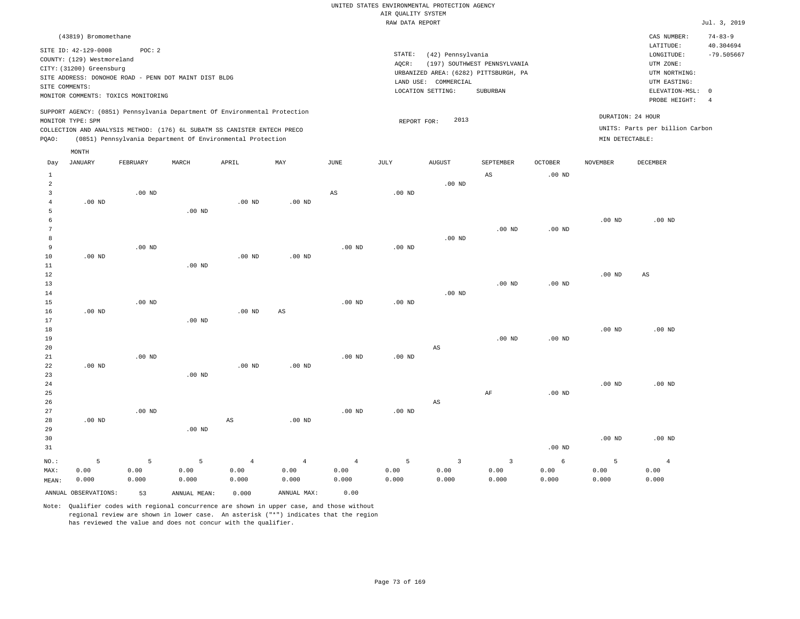| (43819) Bromomethane                                                                                                                                                                             |                                                            |       |     |      |                 |                                                                                                         |                                          |                |                                      | CAS NUMBER:                                                                                                | $74 - 83 - 9$             |
|--------------------------------------------------------------------------------------------------------------------------------------------------------------------------------------------------|------------------------------------------------------------|-------|-----|------|-----------------|---------------------------------------------------------------------------------------------------------|------------------------------------------|----------------|--------------------------------------|------------------------------------------------------------------------------------------------------------|---------------------------|
| SITE ID: 42-129-0008<br>COUNTY: (129) Westmoreland<br>CITY: (31200) Greensburg<br>SITE ADDRESS: DONOHOE ROAD - PENN DOT MAINT DIST BLDG<br>SITE COMMENTS:<br>MONITOR COMMENTS: TOXICS MONITORING | POC: 2                                                     |       |     |      | STATE:<br>AOCR: | (42) Pennsylvania<br>URBANIZED AREA: (6282) PITTSBURGH, PA<br>LAND USE: COMMERCIAL<br>LOCATION SETTING: | (197) SOUTHWEST PENNSYLVANIA<br>SUBURBAN |                |                                      | LATITUDE:<br>LONGITUDE:<br>UTM ZONE:<br>UTM NORTHING:<br>UTM EASTING:<br>ELEVATION-MSL: 0<br>PROBE HEIGHT: | 40.304694<br>$-79.505667$ |
| SUPPORT AGENCY: (0851) Pennsylvania Department Of Environmental Protection<br>MONITOR TYPE: SPM<br>COLLECTION AND ANALYSIS METHOD: (176) 6L SUBATM SS CANISTER ENTECH PRECO<br>POAO:<br>MONTH    | (0851) Pennsylvania Department Of Environmental Protection |       |     |      |                 | 2013<br>REPORT FOR:                                                                                     |                                          |                | DURATION: 24 HOUR<br>MIN DETECTABLE: | UNITS: Parts per billion Carbon                                                                            |                           |
| JANUARY<br>FEBRUARY<br>Day                                                                                                                                                                       | MARCH                                                      | APRIL | MAY | JUNE | JULY            | AUGUST                                                                                                  | SEPTEMBER                                | <b>OCTOBER</b> | NOVEMBER                             | DECEMBER                                                                                                   |                           |

| Day            | UMNUMAI              | PLORUARI | индеп             | WELTH          | LATTE                  | <b>UUND</b>            | <b>UULI</b> | HOGOD T                 | <b>OFFIFINDEY</b>       | <b>OCTODEY</b> | MOAFMPFL | <b>DECEMBER</b>        |
|----------------|----------------------|----------|-------------------|----------------|------------------------|------------------------|-------------|-------------------------|-------------------------|----------------|----------|------------------------|
| $\mathbf{1}$   |                      |          |                   |                |                        |                        |             |                         | $\mathbb{A}\mathbb{S}$  | $.00$ ND       |          |                        |
| $\overline{a}$ |                      |          |                   |                |                        |                        |             | $.00$ ND                |                         |                |          |                        |
| 3              |                      | $.00$ ND |                   |                |                        | $\mathbb{A}\mathbb{S}$ | $.00$ ND    |                         |                         |                |          |                        |
| 4              | .00 $ND$             |          |                   | .00 $ND$       | .00 <sub>ND</sub>      |                        |             |                         |                         |                |          |                        |
| 5              |                      |          | .00 <sub>ND</sub> |                |                        |                        |             |                         |                         |                |          |                        |
| 6              |                      |          |                   |                |                        |                        |             |                         |                         |                | $.00$ ND | $.00$ ND               |
| $\overline{7}$ |                      |          |                   |                |                        |                        |             |                         | $.00$ ND                | .00 $ND$       |          |                        |
| 8              |                      |          |                   |                |                        |                        |             | $.00$ ND                |                         |                |          |                        |
| 9              |                      | $.00$ ND |                   |                |                        | $.00$ ND               | $.00$ ND    |                         |                         |                |          |                        |
| 10             | $.00$ ND             |          |                   | $.00$ ND       | $.00$ ND               |                        |             |                         |                         |                |          |                        |
| 11             |                      |          | $.00$ ND          |                |                        |                        |             |                         |                         |                |          |                        |
| 12             |                      |          |                   |                |                        |                        |             |                         |                         |                | $.00$ ND | $\mathbb{A}\mathbb{S}$ |
| 13             |                      |          |                   |                |                        |                        |             |                         | $.00$ ND                | $.00$ ND       |          |                        |
| 14             |                      |          |                   |                |                        |                        |             | $.00$ ND                |                         |                |          |                        |
| 15             |                      | $.00$ ND |                   |                |                        | $.00$ ND               | $.00$ ND    |                         |                         |                |          |                        |
| 16             | $.00$ ND             |          |                   | $.00$ ND       | $\mathbb{A}\mathbb{S}$ |                        |             |                         |                         |                |          |                        |
| 17             |                      |          | .00 <sub>ND</sub> |                |                        |                        |             |                         |                         |                |          |                        |
| 18             |                      |          |                   |                |                        |                        |             |                         |                         |                | $.00$ ND | $.00$ ND               |
| 19             |                      |          |                   |                |                        |                        |             |                         | $.00$ ND                | $.00$ ND       |          |                        |
| 20             |                      |          |                   |                |                        |                        |             | $\mathbb{A}\mathbb{S}$  |                         |                |          |                        |
| 21             |                      | $.00$ ND |                   |                |                        | $.00$ ND               | $.00$ ND    |                         |                         |                |          |                        |
| 22             | $.00$ ND             |          |                   | $.00$ ND       | $.00$ ND               |                        |             |                         |                         |                |          |                        |
| 23             |                      |          | .00 <sub>ND</sub> |                |                        |                        |             |                         |                         |                |          |                        |
| $2\,4$         |                      |          |                   |                |                        |                        |             |                         |                         |                | $.00$ ND | $.00$ ND               |
| 25             |                      |          |                   |                |                        |                        |             |                         | $\rm AF$                | .00 $ND$       |          |                        |
| 26             |                      |          |                   |                |                        |                        |             | $\mathbb{A}\mathbb{S}$  |                         |                |          |                        |
| 27             |                      | $.00$ ND |                   |                |                        | $.00$ ND               | $.00$ ND    |                         |                         |                |          |                        |
| 28             | $.00$ ND             |          |                   | AS             | $.00$ ND               |                        |             |                         |                         |                |          |                        |
| 29             |                      |          | $.00$ ND          |                |                        |                        |             |                         |                         |                |          |                        |
| 30             |                      |          |                   |                |                        |                        |             |                         |                         |                | $.00$ ND | $.00$ ND               |
| 31             |                      |          |                   |                |                        |                        |             |                         |                         | $.00$ ND       |          |                        |
| $NO.$ :        | 5                    | 5        | $\overline{5}$    | $\overline{4}$ | $\sqrt{4}$             | $\overline{4}$         | 5           | $\overline{\mathbf{3}}$ | $\overline{\mathbf{3}}$ | $\epsilon$     | 5        | $\overline{4}$         |
| MAX:           | 0.00                 | 0.00     | 0.00              | 0.00           | 0.00                   | 0.00                   | 0.00        | 0.00                    | 0.00                    | 0.00           | 0.00     | 0.00                   |
| MEAN:          | 0.000                | 0.000    | 0.000             | 0.000          | 0.000                  | 0.000                  | 0.000       | 0.000                   | 0.000                   | 0.000          | 0.000    | 0.000                  |
|                | ANNUAL OBSERVATIONS: | 53       | ANNUAL MEAN:      | 0.000          | ANNUAL MAX:            | 0.00                   |             |                         |                         |                |          |                        |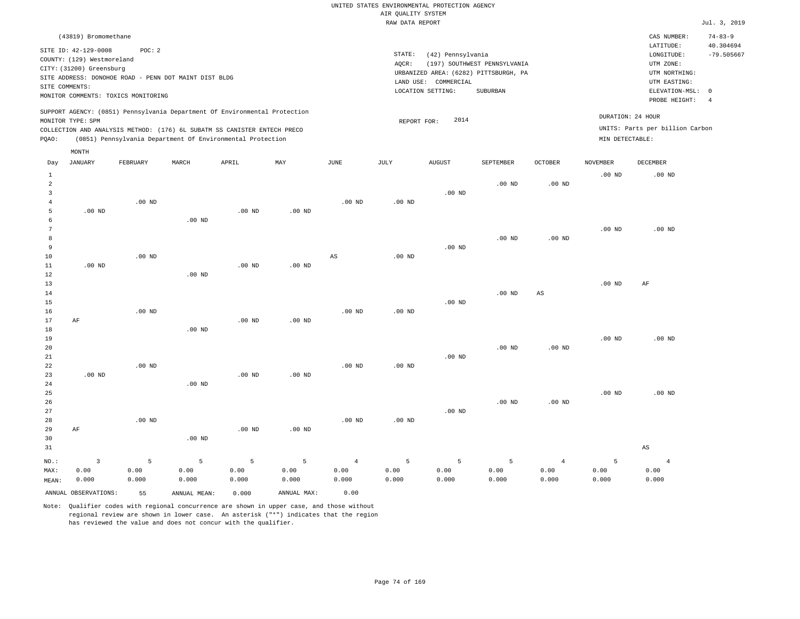| (43819) Bromomethane                                                                                                                                                                                                                               |                                                                                                                                                                        |                                                                         | CAS NUMBER:                                                                                                | $74 - 83 - 9$                   |
|----------------------------------------------------------------------------------------------------------------------------------------------------------------------------------------------------------------------------------------------------|------------------------------------------------------------------------------------------------------------------------------------------------------------------------|-------------------------------------------------------------------------|------------------------------------------------------------------------------------------------------------|---------------------------------|
| SITE ID: 42-129-0008<br>POC:2<br>COUNTY: (129) Westmoreland<br>CITY: (31200) Greensburg<br>SITE ADDRESS: DONOHOE ROAD - PENN DOT MAINT DIST BLDG<br>SITE COMMENTS:<br>MONITOR COMMENTS: TOXICS MONITORING                                          | STATE:<br>(42) Pennsylvania<br>(197) SOUTHWEST PENNSYLVANIA<br>AOCR:<br>URBANIZED AREA: (6282) PITTSBURGH, PA<br>LAND USE: COMMERCIAL<br>LOCATION SETTING:<br>SUBURBAN |                                                                         | LATITUDE:<br>LONGITUDE:<br>UTM ZONE:<br>UTM NORTHING:<br>UTM EASTING:<br>ELEVATION-MSL: 0<br>PROBE HEIGHT: | 40.304694<br>$-79.505667$<br>-4 |
| SUPPORT AGENCY: (0851) Pennsylvania Department Of Environmental Protection<br>MONITOR TYPE: SPM<br>COLLECTION AND ANALYSIS METHOD: (176) 6L SUBATM SS CANISTER ENTECH PRECO<br>(0851) Pennsylvania Department Of Environmental Protection<br>POAO: | 2014<br>REPORT FOR:                                                                                                                                                    | DURATION: 24 HOUR<br>UNITS: Parts per billion Carbon<br>MIN DETECTABLE: |                                                                                                            |                                 |
| MONTH                                                                                                                                                                                                                                              |                                                                                                                                                                        |                                                                         |                                                                                                            |                                 |

| Day            | JANUARY              | FEBRUARY | $\tt MARCH$  | APRIL    | MAY               | $_{\rm JUNE}$          | $\mathtt{JULY}$   | AUGUST   | SEPTEMBER | OCTOBER                | <b>NOVEMBER</b> | DECEMBER               |
|----------------|----------------------|----------|--------------|----------|-------------------|------------------------|-------------------|----------|-----------|------------------------|-----------------|------------------------|
| $\mathbf{1}$   |                      |          |              |          |                   |                        |                   |          |           |                        | $.00$ ND        | $.00$ ND               |
| $\overline{a}$ |                      |          |              |          |                   |                        |                   |          | $.00$ ND  | $.00~\mathrm{ND}$      |                 |                        |
| 3              |                      |          |              |          |                   |                        |                   | $.00$ ND |           |                        |                 |                        |
| 4              | $.00$ ND             | $.00$ ND |              | $.00$ ND | $.00$ ND          | $.00$ ND               | .00 <sub>ND</sub> |          |           |                        |                 |                        |
| 5<br>6         |                      |          | $.00$ ND     |          |                   |                        |                   |          |           |                        |                 |                        |
| 7              |                      |          |              |          |                   |                        |                   |          |           |                        | $.00$ ND        | $.00$ ND               |
| 8              |                      |          |              |          |                   |                        |                   |          | $.00$ ND  | $.00$ ND               |                 |                        |
| 9              |                      |          |              |          |                   |                        |                   | $.00$ ND |           |                        |                 |                        |
| 10             |                      | $.00$ ND |              |          |                   | $\mathbb{A}\mathbb{S}$ | $.00$ ND          |          |           |                        |                 |                        |
| 11             | $.00$ ND             |          |              | $.00$ ND | $.00$ ND          |                        |                   |          |           |                        |                 |                        |
| 12             |                      |          | $.00$ ND     |          |                   |                        |                   |          |           |                        |                 |                        |
| 13             |                      |          |              |          |                   |                        |                   |          |           |                        | $.00$ ND        | AF                     |
| 14             |                      |          |              |          |                   |                        |                   |          | $.00$ ND  | $\mathbb{A}\mathbb{S}$ |                 |                        |
| 15             |                      |          |              |          |                   |                        |                   | $.00$ ND |           |                        |                 |                        |
| 16             |                      | $.00$ ND |              |          |                   | $.00$ ND               | $.00$ ND          |          |           |                        |                 |                        |
| 17             | AF                   |          |              | $.00$ ND | .00 <sub>ND</sub> |                        |                   |          |           |                        |                 |                        |
| 18             |                      |          | $.00$ ND     |          |                   |                        |                   |          |           |                        |                 |                        |
| 19             |                      |          |              |          |                   |                        |                   |          |           |                        | $.00$ ND        | $.00$ ND               |
| 20             |                      |          |              |          |                   |                        |                   |          | $.00$ ND  | .00 <sub>ND</sub>      |                 |                        |
| 21             |                      |          |              |          |                   |                        |                   | $.00$ ND |           |                        |                 |                        |
| 22             |                      | $.00$ ND |              |          |                   | $.00$ ND               | $.00$ ND          |          |           |                        |                 |                        |
| 23             | $.00$ ND             |          |              | $.00$ ND | .00 <sub>ND</sub> |                        |                   |          |           |                        |                 |                        |
| 24             |                      |          | $.00$ ND     |          |                   |                        |                   |          |           |                        |                 |                        |
| 25             |                      |          |              |          |                   |                        |                   |          |           |                        | $.00$ ND        | $.00$ ND               |
| 26             |                      |          |              |          |                   |                        |                   |          | $.00$ ND  | $.00$ ND               |                 |                        |
| 27<br>28       |                      | $.00$ ND |              |          |                   | $.00$ ND               | .00 <sub>ND</sub> | $.00$ ND |           |                        |                 |                        |
| 29             | AF                   |          |              | $.00$ ND | $.00$ ND          |                        |                   |          |           |                        |                 |                        |
| 30             |                      |          | $.00$ ND     |          |                   |                        |                   |          |           |                        |                 |                        |
| 31             |                      |          |              |          |                   |                        |                   |          |           |                        |                 | $\mathbb{A}\mathbb{S}$ |
|                |                      |          |              |          |                   |                        |                   |          |           |                        |                 |                        |
| $NO.$ :        | $\overline{3}$       | 5        | 5            | 5        | 5                 | $\overline{4}$         | 5                 | 5        | 5         | $\sqrt{4}$             | 5               | $\overline{4}$         |
| MAX:           | 0.00                 | 0.00     | 0.00         | 0.00     | 0.00              | 0.00                   | 0.00              | 0.00     | 0.00      | 0.00                   | 0.00            | 0.00                   |
| MEAN:          | 0.000                | 0.000    | 0.000        | 0.000    | 0.000             | 0.000                  | 0.000             | 0.000    | 0.000     | 0.000                  | 0.000           | 0.000                  |
|                | ANNUAL OBSERVATIONS: | 55       | ANNUAL MEAN: | 0.000    | ANNUAL MAX:       | 0.00                   |                   |          |           |                        |                 |                        |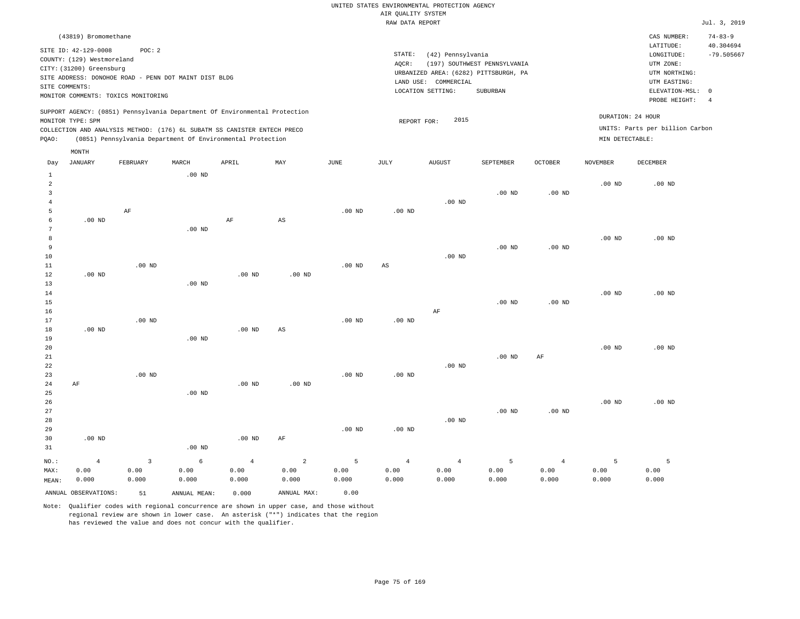| (43819) Bromomethane                                                                                                                                                                 |          |                                                            |       |     |      |                                                                                                                                                            |                     |           |                |                                      | CAS NUMBER:                                                           | $74 - 83 - 9$  |  |
|--------------------------------------------------------------------------------------------------------------------------------------------------------------------------------------|----------|------------------------------------------------------------|-------|-----|------|------------------------------------------------------------------------------------------------------------------------------------------------------------|---------------------|-----------|----------------|--------------------------------------|-----------------------------------------------------------------------|----------------|--|
| SITE ID: 42-129-0008<br>COUNTY: (129) Westmoreland<br>CITY: (31200) Greensburg<br>SITE ADDRESS: DONOHOE ROAD - PENN DOT MAINT DIST BLDG<br>SITE COMMENTS:                            | POC:2    |                                                            |       |     |      | STATE:<br>(42) Pennsylvania<br>AOCR:<br>(197) SOUTHWEST PENNSYLVANIA<br>URBANIZED AREA: (6282) PITTSBURGH, PA<br>LAND USE: COMMERCIAL<br>LOCATION SETTING: |                     |           |                |                                      | LATITUDE:<br>LONGITUDE:<br>UTM ZONE:<br>UTM NORTHING:<br>UTM EASTING: |                |  |
| MONITOR COMMENTS: TOXICS MONITORING                                                                                                                                                  |          |                                                            |       |     |      |                                                                                                                                                            |                     | SUBURBAN  |                |                                      | ELEVATION-MSL: 0                                                      | $\overline{4}$ |  |
| SUPPORT AGENCY: (0851) Pennsylvania Department Of Environmental Protection<br>MONITOR TYPE: SPM<br>COLLECTION AND ANALYSIS METHOD: (176) 6L SUBATM SS CANISTER ENTECH PRECO<br>POAO: |          | (0851) Pennsylvania Department Of Environmental Protection |       |     |      |                                                                                                                                                            | 2015<br>REPORT FOR: |           |                | DURATION: 24 HOUR<br>MIN DETECTABLE: | PROBE HEIGHT:<br>UNITS: Parts per billion Carbon                      |                |  |
| MONTH<br>JANUARY<br>Day                                                                                                                                                              | FEBRUARY | MARCH                                                      | APRIL | MAY | JUNE | JULY                                                                                                                                                       | <b>AUGUST</b>       | SEPTEMBER | <b>OCTOBER</b> | <b>NOVEMBER</b>                      | DECEMBER                                                              |                |  |
|                                                                                                                                                                                      |          | $\sim$ $\sim$ $\sim$ $\sim$                                |       |     |      |                                                                                                                                                            |                     |           |                |                                      |                                                                       |                |  |

| 1              |                |                | $.00$ ND |                |                        |          |                |                |          |                |          |          |
|----------------|----------------|----------------|----------|----------------|------------------------|----------|----------------|----------------|----------|----------------|----------|----------|
| $\overline{a}$ |                |                |          |                |                        |          |                |                |          |                | $.00$ ND | $.00$ ND |
| 3              |                |                |          |                |                        |          |                |                | $.00$ ND | $.00$ ND       |          |          |
| $\overline{4}$ |                |                |          |                |                        |          |                | $.00$ ND       |          |                |          |          |
| 5              |                | $\rm AF$       |          |                |                        | $.00$ ND | .00 $ND$       |                |          |                |          |          |
| 6              | $.00$ ND       |                |          | $\rm AF$       | $\mathbb{A}\mathbb{S}$ |          |                |                |          |                |          |          |
| 7              |                |                | $.00$ ND |                |                        |          |                |                |          |                |          |          |
| 8              |                |                |          |                |                        |          |                |                |          |                | $.00$ ND | $.00$ ND |
| 9              |                |                |          |                |                        |          |                |                | $.00$ ND | $.00$ ND       |          |          |
| $10$           |                |                |          |                |                        |          |                | .00 $ND$       |          |                |          |          |
| $11\,$         |                | .00 $ND$       |          |                |                        | .00 $ND$ | AS             |                |          |                |          |          |
| 12             | .00 $ND$       |                |          | .00 $ND$       | $.00$ ND               |          |                |                |          |                |          |          |
| 13             |                |                | $.00$ ND |                |                        |          |                |                |          |                |          |          |
| 14             |                |                |          |                |                        |          |                |                |          |                | $.00$ ND | $.00$ ND |
| 15             |                |                |          |                |                        |          |                |                | $.00$ ND | $.00$ ND       |          |          |
| 16             |                |                |          |                |                        |          |                | $\rm AF$       |          |                |          |          |
| 17             |                | $.00$ ND       |          |                |                        | $.00$ ND | $.00$ ND       |                |          |                |          |          |
| 18             | .00 $ND$       |                |          | $.00$ ND       | $\mathbb{A}\mathbb{S}$ |          |                |                |          |                |          |          |
| 19             |                |                | $.00$ ND |                |                        |          |                |                |          |                |          |          |
| 20             |                |                |          |                |                        |          |                |                |          |                | $.00$ ND | $.00$ ND |
| $2\sqrt{1}$    |                |                |          |                |                        |          |                |                | .00 $ND$ | AF             |          |          |
| 22             |                |                |          |                |                        |          |                | .00 $ND$       |          |                |          |          |
| 23             |                | $.00$ ND       |          |                |                        | $.00$ ND | $.00$ ND       |                |          |                |          |          |
| 24             | $\rm AF$       |                |          | .00 $ND$       | $.00$ ND               |          |                |                |          |                |          |          |
| 25             |                |                | $.00$ ND |                |                        |          |                |                |          |                |          |          |
| 26             |                |                |          |                |                        |          |                |                |          |                | $.00$ ND | $.00$ ND |
| 27             |                |                |          |                |                        |          |                |                | $.00$ ND | $.00$ ND       |          |          |
| 28             |                |                |          |                |                        |          |                | $.00$ ND       |          |                |          |          |
| 29             |                |                |          |                |                        | $.00$ ND | .00 $ND$       |                |          |                |          |          |
| 30             | $.00$ ND       |                |          | .00 $ND$       | $\rm AF$               |          |                |                |          |                |          |          |
| 31             |                |                | $.00$ ND |                |                        |          |                |                |          |                |          |          |
| $_{\rm NO.}$ : | $\overline{4}$ | $\overline{3}$ | 6        | $\overline{4}$ | $\overline{a}$         | 5        | $\overline{4}$ | $\overline{4}$ | 5        | $\overline{4}$ | 5        | 5        |
| MAX:           | 0.00           | 0.00           | 0.00     | 0.00           | 0.00                   | 0.00     | 0.00           | 0.00           | 0.00     | 0.00           | 0.00     | 0.00     |
| MEAN:          | 0.000          | 0.000          | 0.000    | 0.000          | 0.000                  | 0.000    | 0.000          | 0.000          | 0.000    | 0.000          | 0.000    | 0.000    |

ANNUAL OBSERVATIONS: 51 ANNUAL MEAN: 0.000 ANNUAL MAX: 0.00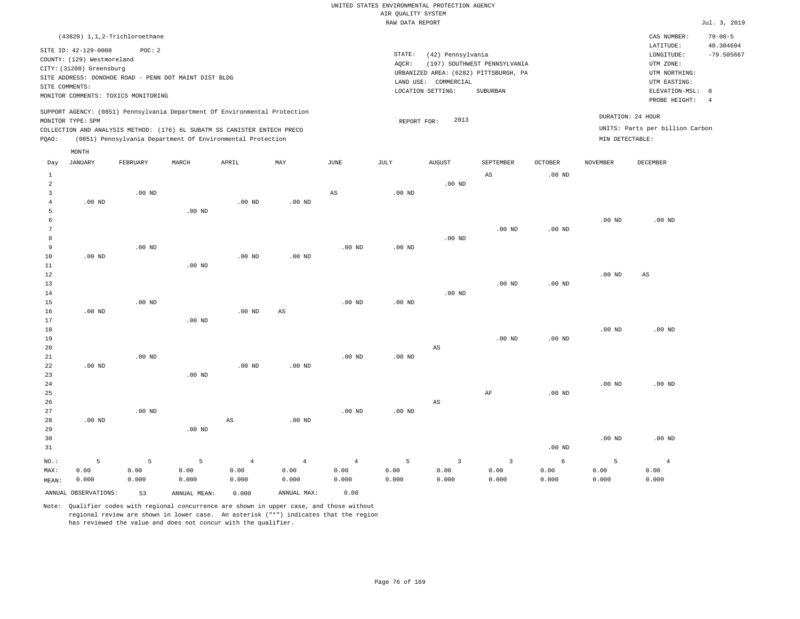| $(43820)$ 1,1,2-Trichloroethane                                                                                                                                                                                                                             |                                                                                                                                                                        |                                      | CAS NUMBER:                                                                                                | $79 - 00 - 5$             |
|-------------------------------------------------------------------------------------------------------------------------------------------------------------------------------------------------------------------------------------------------------------|------------------------------------------------------------------------------------------------------------------------------------------------------------------------|--------------------------------------|------------------------------------------------------------------------------------------------------------|---------------------------|
| SITE ID: 42-129-0008<br>POC:2<br>COUNTY: (129) Westmoreland<br>CITY: (31200) Greensburg<br>SITE ADDRESS: DONOHOE ROAD - PENN DOT MAINT DIST BLDG<br>SITE COMMENTS:<br>MONITOR COMMENTS: TOXICS MONITORING                                                   | STATE:<br>(42) Pennsylvania<br>(197) SOUTHWEST PENNSYLVANIA<br>AOCR:<br>URBANIZED AREA: (6282) PITTSBURGH, PA<br>LAND USE: COMMERCIAL<br>LOCATION SETTING:<br>SUBURBAN |                                      | LATITUDE:<br>LONGITUDE:<br>UTM ZONE:<br>UTM NORTHING:<br>UTM EASTING:<br>ELEVATION-MSL: 0<br>PROBE HEIGHT: | 40.304694<br>$-79.505667$ |
| SUPPORT AGENCY: (0851) Pennsylvania Department Of Environmental Protection<br>MONITOR TYPE: SPM<br>COLLECTION AND ANALYSIS METHOD: (176) 6L SUBATM SS CANISTER ENTECH PRECO<br>(0851) Pennsylvania Department Of Environmental Protection<br>POAO:<br>MONTH | 2013<br>REPORT FOR:                                                                                                                                                    | DURATION: 24 HOUR<br>MIN DETECTABLE: | UNITS: Parts per billion Carbon                                                                            |                           |

| Day            | JANUARY              | FEBRUARY | MARCH        | APRIL             | MAY                    | JUNE                   | JULY     | AUGUST                  | SEPTEMBER               | OCTOBER  | NOVEMBER | DECEMBER       |
|----------------|----------------------|----------|--------------|-------------------|------------------------|------------------------|----------|-------------------------|-------------------------|----------|----------|----------------|
| $\mathbf{1}$   |                      |          |              |                   |                        |                        |          |                         | $\mathbb{A}\mathbb{S}$  | $.00$ ND |          |                |
| $\overline{a}$ |                      |          |              |                   |                        |                        |          | $.00$ ND                |                         |          |          |                |
| 3              |                      | $.00$ ND |              |                   |                        | $\mathbb{A}\mathbb{S}$ | $.00$ ND |                         |                         |          |          |                |
| 4              | $.00$ ND             |          |              | .00 <sub>ND</sub> | $.00$ ND               |                        |          |                         |                         |          |          |                |
| 5              |                      |          | $.00$ ND     |                   |                        |                        |          |                         |                         |          |          |                |
| 6              |                      |          |              |                   |                        |                        |          |                         |                         |          | $.00$ ND | $.00$ ND       |
| 7              |                      |          |              |                   |                        |                        |          |                         | $.00$ ND                | $.00$ ND |          |                |
| 8              |                      |          |              |                   |                        |                        |          | $.00$ ND                |                         |          |          |                |
| 9              |                      | $.00$ ND |              |                   |                        | $.00$ ND               | $.00$ ND |                         |                         |          |          |                |
| $10$           | $.00$ ND             |          |              | .00 <sub>ND</sub> | $.00$ ND               |                        |          |                         |                         |          |          |                |
| 11             |                      |          | $.00$ ND     |                   |                        |                        |          |                         |                         |          |          |                |
| $1\,2$         |                      |          |              |                   |                        |                        |          |                         |                         |          | $.00$ ND | AS             |
| 13             |                      |          |              |                   |                        |                        |          |                         | $.00$ ND                | $.00$ ND |          |                |
| 14             |                      |          |              |                   |                        |                        |          | $.00$ ND                |                         |          |          |                |
| 15             |                      | $.00$ ND |              |                   |                        | $.00$ ND               | $.00$ ND |                         |                         |          |          |                |
| 16             | $.00$ ND             |          |              | .00 <sub>ND</sub> | $\mathbb{A}\mathbb{S}$ |                        |          |                         |                         |          |          |                |
| 17             |                      |          | $.00$ ND     |                   |                        |                        |          |                         |                         |          |          |                |
| 18             |                      |          |              |                   |                        |                        |          |                         |                         |          | $.00$ ND | $.00$ ND       |
| 19             |                      |          |              |                   |                        |                        |          |                         | $.00$ ND                | $.00$ ND |          |                |
| 20             |                      |          |              |                   |                        |                        |          | $\mathbb{A}\mathbb{S}$  |                         |          |          |                |
| 21             |                      | $.00$ ND |              |                   |                        | $.00$ ND               | $.00$ ND |                         |                         |          |          |                |
| 22             | $.00$ ND             |          |              | .00 <sub>ND</sub> | $.00$ ND               |                        |          |                         |                         |          |          |                |
| 23             |                      |          | $.00$ ND     |                   |                        |                        |          |                         |                         |          |          |                |
| $2\sqrt{4}$    |                      |          |              |                   |                        |                        |          |                         |                         |          | $.00$ ND | $.00$ ND       |
| 25             |                      |          |              |                   |                        |                        |          |                         | $\rm AF$                | $.00$ ND |          |                |
| 26             |                      |          |              |                   |                        |                        |          | $\mathbb{A}\mathbb{S}$  |                         |          |          |                |
| 27             |                      | $.00$ ND |              |                   |                        | $.00$ ND               | $.00$ ND |                         |                         |          |          |                |
| 28             | $.00~\mathrm{ND}$    |          |              | AS                | $.00$ ND               |                        |          |                         |                         |          |          |                |
| 29             |                      |          | $.00$ ND     |                   |                        |                        |          |                         |                         |          |          |                |
| 30             |                      |          |              |                   |                        |                        |          |                         |                         |          | $.00$ ND | $.00$ ND       |
| 31             |                      |          |              |                   |                        |                        |          |                         |                         | $.00$ ND |          |                |
| $NO.$ :        | 5                    | 5        | 5            | $\,4$             | $\overline{4}$         | $\overline{4}$         | 5        | $\overline{\mathbf{3}}$ | $\overline{\mathbf{3}}$ | 6        | 5        | $\overline{4}$ |
| MAX:           | 0.00                 | 0.00     | 0.00         | 0.00              | 0.00                   | 0.00                   | 0.00     | 0.00                    | 0.00                    | 0.00     | 0.00     | 0.00           |
| MEAN:          | 0.000                | 0.000    | 0.000        | 0.000             | 0.000                  | 0.000                  | 0.000    | 0.000                   | 0.000                   | 0.000    | 0.000    | 0.000          |
|                | ANNUAL OBSERVATIONS: | 53       | ANNUAL MEAN: | 0.000             | ANNUAL MAX:            | 0.00                   |          |                         |                         |          |          |                |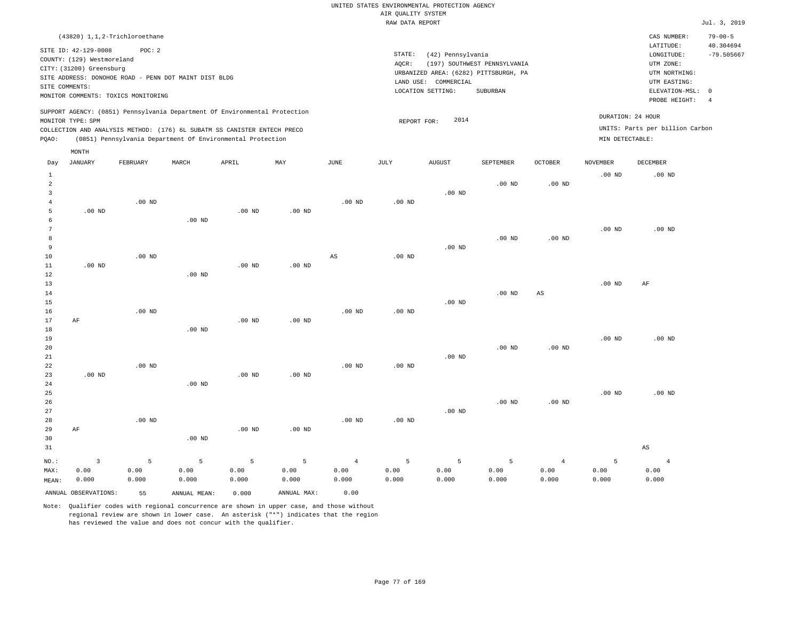|                                                                                                                                                                        | CAS NUMBER: | $79 - 00 - 5$                                                                                                                                                                         |
|------------------------------------------------------------------------------------------------------------------------------------------------------------------------|-------------|---------------------------------------------------------------------------------------------------------------------------------------------------------------------------------------|
| STATE:<br>(42) Pennsylvania<br>(197) SOUTHWEST PENNSYLVANIA<br>AOCR:<br>URBANIZED AREA: (6282) PITTSBURGH, PA<br>LAND USE: COMMERCIAL<br>LOCATION SETTING:<br>SUBURBAN |             | 40.304694<br>$-79.505667$                                                                                                                                                             |
| 2014<br>REPORT FOR:                                                                                                                                                    |             |                                                                                                                                                                                       |
|                                                                                                                                                                        |             | LATITUDE:<br>LONGITUDE:<br>UTM ZONE:<br>UTM NORTHING:<br>UTM EASTING:<br>ELEVATION-MSL: 0<br>PROBE HEIGHT:<br>DURATION: 24 HOUR<br>UNITS: Parts per billion Carbon<br>MIN DETECTABLE: |

| Day            | <b>JANUARY</b>       | FEBRUARY | MARCH        | APRIL             | MAY         | JUNE                   | JULY     | AUGUST   | SEPTEMBER         | OCTOBER                | <b>NOVEMBER</b> | DECEMBER               |
|----------------|----------------------|----------|--------------|-------------------|-------------|------------------------|----------|----------|-------------------|------------------------|-----------------|------------------------|
| $\mathbf{1}$   |                      |          |              |                   |             |                        |          |          |                   |                        | .00 $ND$        | $.00$ ND               |
| $\overline{a}$ |                      |          |              |                   |             |                        |          |          | $.00$ ND          | $.00$ ND               |                 |                        |
| 3              |                      |          |              |                   |             |                        |          | $.00$ ND |                   |                        |                 |                        |
| 4              |                      | $.00$ ND |              |                   |             | $.00$ ND               | $.00$ ND |          |                   |                        |                 |                        |
| 5              | $.00$ ND             |          |              | $.00$ ND          | $.00$ ND    |                        |          |          |                   |                        |                 |                        |
| 6              |                      |          | $.00$ ND     |                   |             |                        |          |          |                   |                        |                 |                        |
| 7              |                      |          |              |                   |             |                        |          |          |                   |                        | $.00$ ND        | $.00$ ND               |
| 8              |                      |          |              |                   |             |                        |          |          | $.00$ ND          | $.00$ ND               |                 |                        |
| 9              |                      |          |              |                   |             |                        |          | .00 $ND$ |                   |                        |                 |                        |
| 10             |                      | $.00$ ND |              |                   |             | $\mathbb{A}\mathbb{S}$ | $.00$ ND |          |                   |                        |                 |                        |
| 11             | $.00$ ND             |          |              | .00 <sub>ND</sub> | $.00$ ND    |                        |          |          |                   |                        |                 |                        |
| 12             |                      |          | $.00$ ND     |                   |             |                        |          |          |                   |                        |                 |                        |
| 13             |                      |          |              |                   |             |                        |          |          |                   |                        | $.00$ ND        | $\rm AF$               |
| 14<br>15       |                      |          |              |                   |             |                        |          | $.00$ ND | .00 $ND$          | $\mathbb{A}\mathbb{S}$ |                 |                        |
| 16             |                      | $.00$ ND |              |                   |             | $.00$ ND               | $.00$ ND |          |                   |                        |                 |                        |
| 17             | AF                   |          |              | $.00$ ND          | $.00$ ND    |                        |          |          |                   |                        |                 |                        |
| 18             |                      |          | $.00$ ND     |                   |             |                        |          |          |                   |                        |                 |                        |
| 19             |                      |          |              |                   |             |                        |          |          |                   |                        | $.00$ ND        | $.00$ ND               |
| 20             |                      |          |              |                   |             |                        |          |          | .00 <sub>ND</sub> | .00 <sub>ND</sub>      |                 |                        |
| 21             |                      |          |              |                   |             |                        |          | $.00$ ND |                   |                        |                 |                        |
| 22             |                      | $.00$ ND |              |                   |             | $.00$ ND               | $.00$ ND |          |                   |                        |                 |                        |
| 23             | $.00$ ND             |          |              | $.00$ ND          | $.00$ ND    |                        |          |          |                   |                        |                 |                        |
| 24             |                      |          | $.00$ ND     |                   |             |                        |          |          |                   |                        |                 |                        |
| 25             |                      |          |              |                   |             |                        |          |          |                   |                        | $.00$ ND        | .00 <sub>ND</sub>      |
| 26             |                      |          |              |                   |             |                        |          |          | $.00$ ND          | $.00$ ND               |                 |                        |
| 27             |                      |          |              |                   |             |                        |          | $.00$ ND |                   |                        |                 |                        |
| 28             |                      | $.00$ ND |              |                   |             | $.00$ ND               | $.00$ ND |          |                   |                        |                 |                        |
| 29             | AF                   |          |              | $.00$ ND          | $.00$ ND    |                        |          |          |                   |                        |                 |                        |
| 30             |                      |          | $.00$ ND     |                   |             |                        |          |          |                   |                        |                 |                        |
| 31             |                      |          |              |                   |             |                        |          |          |                   |                        |                 | $\mathbb{A}\mathbb{S}$ |
| $NO.$ :        | $\mathbf{3}$         | 5        | 5            | 5                 | 5           | $\overline{4}$         | 5        | 5        | 5                 | $\overline{4}$         | 5               | $\overline{4}$         |
| MAX:           | 0.00                 | 0.00     | 0.00         | 0.00              | 0.00        | 0.00                   | 0.00     | 0.00     | 0.00              | 0.00                   | 0.00            | 0.00                   |
| MEAN:          | 0.000                | 0.000    | 0.000        | 0.000             | 0.000       | 0.000                  | 0.000    | 0.000    | 0.000             | 0.000                  | 0.000           | 0.000                  |
|                | ANNUAL OBSERVATIONS: | 55       | ANNUAL MEAN: | 0.000             | ANNUAL MAX: | 0.00                   |          |          |                   |                        |                 |                        |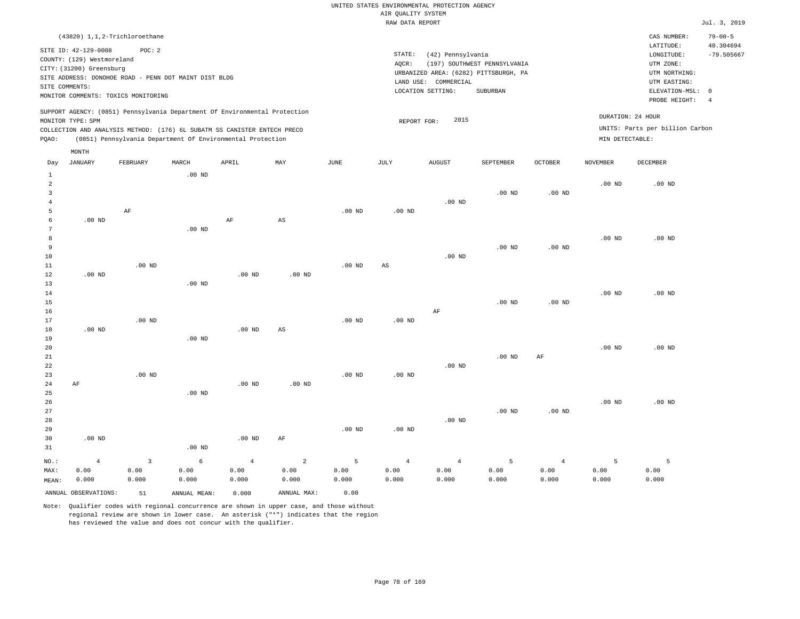| (43820) 1,1,2-Trichloroethane                                                                                                                                                                                                                      |                                                                                                                                                                        | CAS NUMBER:                                                                                                | $79 - 00 - 5$             |
|----------------------------------------------------------------------------------------------------------------------------------------------------------------------------------------------------------------------------------------------------|------------------------------------------------------------------------------------------------------------------------------------------------------------------------|------------------------------------------------------------------------------------------------------------|---------------------------|
| SITE ID: 42-129-0008<br>POC:2<br>COUNTY: (129) Westmoreland<br>CITY: (31200) Greensburg<br>SITE ADDRESS: DONOHOE ROAD - PENN DOT MAINT DIST BLDG<br>SITE COMMENTS:<br>MONITOR COMMENTS: TOXICS MONITORING                                          | STATE:<br>(42) Pennsylvania<br>(197) SOUTHWEST PENNSYLVANIA<br>AOCR:<br>URBANIZED AREA: (6282) PITTSBURGH, PA<br>LAND USE: COMMERCIAL<br>LOCATION SETTING:<br>SUBURBAN | LATITUDE:<br>LONGITUDE:<br>UTM ZONE:<br>UTM NORTHING:<br>UTM EASTING:<br>ELEVATION-MSL: 0<br>PROBE HEIGHT: | 40.304694<br>$-79.505667$ |
| SUPPORT AGENCY: (0851) Pennsylvania Department Of Environmental Protection<br>MONITOR TYPE: SPM<br>COLLECTION AND ANALYSIS METHOD: (176) 6L SUBATM SS CANISTER ENTECH PRECO<br>(0851) Pennsylvania Department Of Environmental Protection<br>POAO: | 2015<br>REPORT FOR:                                                                                                                                                    | DURATION: 24 HOUR<br>UNITS: Parts per billion Carbon<br>MIN DETECTABLE:                                    |                           |

| Day            | <b>JANUARY</b>       | FEBRUARY     | MARCH        | APRIL          | MAY         | $_{\rm JUNE}$ | JULY           | AUGUST         | SEPTEMBER      | OCTOBER           | NOVEMBER | DECEMBER |
|----------------|----------------------|--------------|--------------|----------------|-------------|---------------|----------------|----------------|----------------|-------------------|----------|----------|
| $\mathbf{1}$   |                      |              | .00 $ND$     |                |             |               |                |                |                |                   |          |          |
| $\overline{a}$ |                      |              |              |                |             |               |                |                |                |                   | $.00$ ND | $.00$ ND |
| 3              |                      |              |              |                |             |               |                |                | $.00$ ND       | $.00$ ND          |          |          |
| 4              |                      |              |              |                |             |               |                | $.00$ ND       |                |                   |          |          |
| 5              |                      | AF           |              |                |             | $.00$ ND      | $.00$ ND       |                |                |                   |          |          |
| 6              | $.00$ ND             |              |              | $\rm AF$       | AS          |               |                |                |                |                   |          |          |
| 7              |                      |              | $.00$ ND     |                |             |               |                |                |                |                   |          |          |
| 8              |                      |              |              |                |             |               |                |                |                |                   | $.00$ ND | $.00$ ND |
| 9              |                      |              |              |                |             |               |                |                | $.00$ ND       | $.00$ ND          |          |          |
| 10             |                      |              |              |                |             |               |                | $.00$ ND       |                |                   |          |          |
| 11             |                      | $.00$ ND     |              |                |             | $.00$ ND      | AS             |                |                |                   |          |          |
| 12             | $.00$ ND             |              |              | $.00$ ND       | $.00$ ND    |               |                |                |                |                   |          |          |
| 13             |                      |              | $.00$ ND     |                |             |               |                |                |                |                   |          |          |
| 14             |                      |              |              |                |             |               |                |                |                |                   | $.00$ ND | $.00$ ND |
| 15             |                      |              |              |                |             |               |                |                | $.00$ ND       | .00 <sub>ND</sub> |          |          |
| 16             |                      | $.00$ ND     |              |                |             | $.00$ ND      |                | $\rm AF$       |                |                   |          |          |
| 17             |                      |              |              | .00 $ND$       | AS          |               | $.00$ ND       |                |                |                   |          |          |
| 18<br>19       | $.00$ ND             |              | $.00$ ND     |                |             |               |                |                |                |                   |          |          |
| 20             |                      |              |              |                |             |               |                |                |                |                   | $.00$ ND | $.00$ ND |
| 21             |                      |              |              |                |             |               |                |                | $.00$ ND       | AF                |          |          |
| 22             |                      |              |              |                |             |               |                | $.00$ ND       |                |                   |          |          |
| 23             |                      | $.00$ ND     |              |                |             | $.00$ ND      | $.00$ ND       |                |                |                   |          |          |
| $2\sqrt{4}$    | AF                   |              |              | $.00$ ND       | $.00$ ND    |               |                |                |                |                   |          |          |
| 25             |                      |              | $.00$ ND     |                |             |               |                |                |                |                   |          |          |
| 26             |                      |              |              |                |             |               |                |                |                |                   | $.00$ ND | $.00$ ND |
| 27             |                      |              |              |                |             |               |                |                | $.00$ ND       | .00 <sub>ND</sub> |          |          |
| 28             |                      |              |              |                |             |               |                | $.00$ ND       |                |                   |          |          |
| 29             |                      |              |              |                |             | $.00$ ND      | $.00$ ND       |                |                |                   |          |          |
| 30             | $.00$ ND             |              |              | $.00$ ND       | AF          |               |                |                |                |                   |          |          |
| 31             |                      |              | $.00$ ND     |                |             |               |                |                |                |                   |          |          |
| $NO.$ :        | $\overline{4}$       | $\mathbf{3}$ | 6            | $\overline{4}$ | $\sqrt{2}$  | 5             | $\overline{4}$ | $\overline{4}$ | $\overline{5}$ | $\overline{4}$    | 5        | 5        |
| MAX:           | 0.00                 | 0.00         | 0.00         | 0.00           | 0.00        | 0.00          | 0.00           | 0.00           | 0.00           | 0.00              | 0.00     | 0.00     |
| MEAN:          | 0.000                | 0.000        | 0.000        | 0.000          | 0.000       | 0.000         | 0.000          | 0.000          | 0.000          | 0.000             | 0.000    | 0.000    |
|                | ANNUAL OBSERVATIONS: | 51           | ANNUAL MEAN: | 0.000          | ANNUAL MAX: | 0.00          |                |                |                |                   |          |          |

Note: Qualifier codes with regional concurrence are shown in upper case, and those without regional review are shown in lower case. An asterisk ("\*") indicates that the region has reviewed the value and does not concur with the qualifier.

MONTH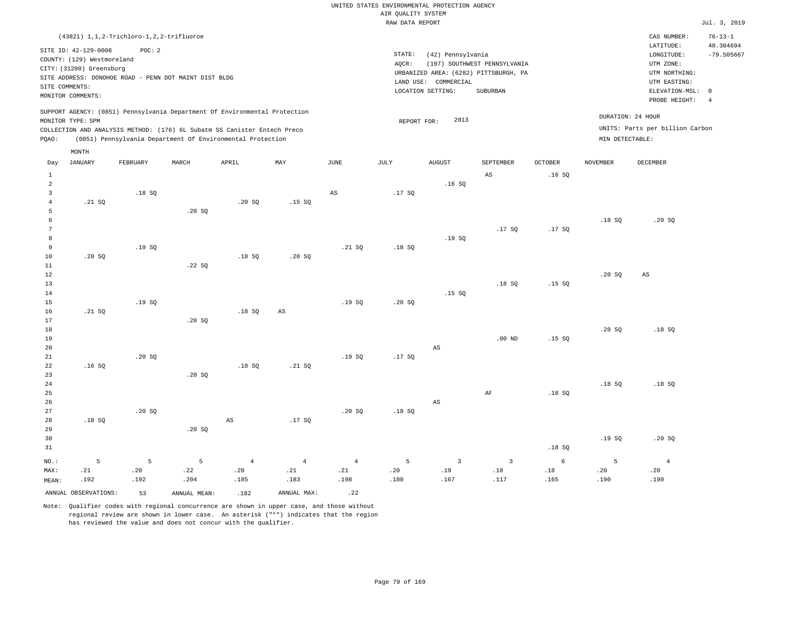|                                       |                                                                                                                       | (43821) 1, 1, 2-Trichloro-1, 2, 2-trifluoroe                    |                  |                                                                                                                                        |                               |                               |                                                                                                                                                                                     |                  |                               |                      |                  | CAS NUMBER:<br>LATITUDE:        | $76 - 13 - 1$<br>40.304694                                                   |
|---------------------------------------|-----------------------------------------------------------------------------------------------------------------------|-----------------------------------------------------------------|------------------|----------------------------------------------------------------------------------------------------------------------------------------|-------------------------------|-------------------------------|-------------------------------------------------------------------------------------------------------------------------------------------------------------------------------------|------------------|-------------------------------|----------------------|------------------|---------------------------------|------------------------------------------------------------------------------|
|                                       | SITE ID: 42-129-0008<br>COUNTY: (129) Westmoreland<br>CITY: (31200) Greensburg<br>SITE COMMENTS:<br>MONITOR COMMENTS: | POC: 2<br>SITE ADDRESS: DONOHOE ROAD - PENN DOT MAINT DIST BLDG |                  |                                                                                                                                        |                               |                               | $\texttt{STATE}{}:$<br>(42) Pennsylvania<br>AQCR:<br>(197) SOUTHWEST PENNSYLVANIA<br>URBANIZED AREA: (6282) PITTSBURGH, PA<br>LAND USE: COMMERCIAL<br>LOCATION SETTING:<br>SUBURBAN |                  |                               |                      |                  |                                 | $-79.505667$<br>ELEVATION-MSL:<br>$\circ$<br>PROBE HEIGHT:<br>$\overline{4}$ |
|                                       | MONITOR TYPE: SPM                                                                                                     |                                                                 |                  | SUPPORT AGENCY: (0851) Pennsylvania Department Of Environmental Protection                                                             |                               |                               | REPORT FOR:                                                                                                                                                                         | 2013             |                               |                      |                  | DURATION: 24 HOUR               |                                                                              |
| PQAO:                                 |                                                                                                                       |                                                                 |                  | COLLECTION AND ANALYSIS METHOD: (176) 6L Subatm SS Canister Entech Preco<br>(0851) Pennsylvania Department Of Environmental Protection |                               |                               |                                                                                                                                                                                     |                  |                               |                      | MIN DETECTABLE:  | UNITS: Parts per billion Carbon |                                                                              |
|                                       | MONTH                                                                                                                 |                                                                 |                  |                                                                                                                                        |                               |                               |                                                                                                                                                                                     |                  |                               |                      |                  |                                 |                                                                              |
| Day                                   | <b>JANUARY</b>                                                                                                        | FEBRUARY                                                        | MARCH            | APRIL                                                                                                                                  | MAY                           | <b>JUNE</b>                   | JULY                                                                                                                                                                                | <b>AUGUST</b>    | SEPTEMBER                     | <b>OCTOBER</b>       | <b>NOVEMBER</b>  | DECEMBER                        |                                                                              |
| $\mathbf{1}$<br>$\sqrt{2}$            |                                                                                                                       |                                                                 |                  |                                                                                                                                        |                               |                               |                                                                                                                                                                                     | .16S             | AS                            | .16S                 |                  |                                 |                                                                              |
| $\overline{3}$<br>$\overline{4}$<br>5 | .21 S0                                                                                                                | .18S                                                            | .20 SQ           | .20S                                                                                                                                   | .15S                          | AS                            | .17S                                                                                                                                                                                |                  |                               |                      |                  |                                 |                                                                              |
| $\epsilon$<br>$7\phantom{.0}$<br>8    |                                                                                                                       |                                                                 |                  |                                                                                                                                        |                               |                               |                                                                                                                                                                                     | .19SQ            | .17SQ                         | .17S                 | .18S             | .20S                            |                                                                              |
| 9<br>10<br>11                         | .20S                                                                                                                  | .19SQ                                                           | .22SQ            | .18SQ                                                                                                                                  | .20 SQ                        | .21 SQ                        | .18S                                                                                                                                                                                |                  |                               |                      |                  |                                 |                                                                              |
| 12<br>13<br>14                        |                                                                                                                       |                                                                 |                  |                                                                                                                                        |                               |                               |                                                                                                                                                                                     | .15S             | .18S                          | .15S                 | .20SQ            | $\mathbb{A}\mathbb{S}$          |                                                                              |
| 15<br>16<br>17                        | .21 S0                                                                                                                | .19SQ                                                           | .20S             | .18S                                                                                                                                   | AS                            | .19SQ                         | .20S                                                                                                                                                                                |                  |                               |                      |                  |                                 |                                                                              |
| 18<br>19<br>20                        |                                                                                                                       |                                                                 |                  |                                                                                                                                        |                               |                               |                                                                                                                                                                                     | $_{\rm AS}$      | $.00$ ND                      | .15S                 | .20S             | .18S                            |                                                                              |
| 21<br>22<br>23                        | .16S                                                                                                                  | .20SQ                                                           | .20 SQ           | .18SQ                                                                                                                                  | .21 SQ                        | .19SQ                         | .17S                                                                                                                                                                                |                  |                               |                      |                  |                                 |                                                                              |
| 24<br>25<br>26                        |                                                                                                                       |                                                                 |                  |                                                                                                                                        |                               |                               |                                                                                                                                                                                     | $_{\rm AS}$      | $\rm AF$                      | .18SQ                | .18S             | .18S                            |                                                                              |
| 27<br>28<br>29                        | .18S                                                                                                                  | .20SQ                                                           | .20S             | AS                                                                                                                                     | .17S                          | .20S                          | .18S                                                                                                                                                                                |                  |                               |                      |                  |                                 |                                                                              |
| 30<br>31                              |                                                                                                                       |                                                                 |                  |                                                                                                                                        |                               |                               |                                                                                                                                                                                     |                  |                               | .18SQ                | .19S             | .20S                            |                                                                              |
| NO.:<br>MAX:<br>MEAN:                 | 5<br>.21<br>.192                                                                                                      | 5<br>.20<br>.192                                                | 5<br>.22<br>.204 | $\overline{4}$<br>.20<br>.185                                                                                                          | $\overline{4}$<br>.21<br>.183 | $\overline{4}$<br>.21<br>.198 | 5<br>.20<br>.180                                                                                                                                                                    | 3<br>.19<br>.167 | $\overline{3}$<br>.18<br>.117 | 6<br>$.18\,$<br>.165 | 5<br>.20<br>.190 | $\overline{4}$<br>.20<br>.190   |                                                                              |

ANNUAL OBSERVATIONS: 53 ANNUAL MEAN: .182 ANNUAL MAX: .22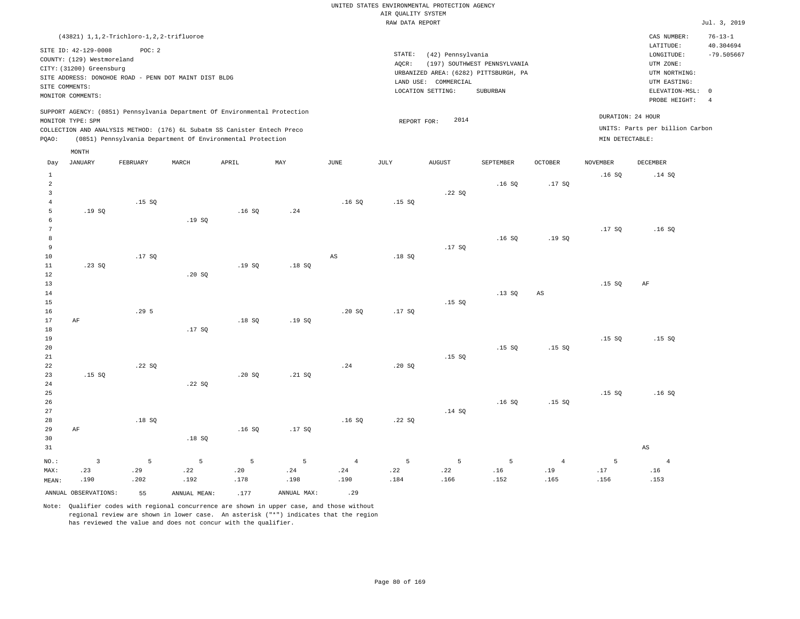|                |                            | (43821) 1, 1, 2-Trichloro-1, 2, 2-trifluoroe          |              |                                                                            |             |                |                 |                   |                                       |                |                 | CAS NUMBER:<br>LATITUDE:        | $76 - 13 - 1$<br>40.304694 |
|----------------|----------------------------|-------------------------------------------------------|--------------|----------------------------------------------------------------------------|-------------|----------------|-----------------|-------------------|---------------------------------------|----------------|-----------------|---------------------------------|----------------------------|
|                | SITE ID: 42-129-0008       | POC: 2                                                |              |                                                                            |             |                | STATE:          | (42) Pennsylvania |                                       |                |                 | LONGITUDE:                      | $-79.505667$               |
|                | COUNTY: (129) Westmoreland |                                                       |              |                                                                            |             |                | AQCR:           |                   | (197) SOUTHWEST PENNSYLVANIA          |                |                 | UTM ZONE:                       |                            |
|                | CITY: (31200) Greensburg   |                                                       |              |                                                                            |             |                |                 |                   | URBANIZED AREA: (6282) PITTSBURGH, PA |                |                 | UTM NORTHING:                   |                            |
|                |                            | SITE ADDRESS: DONOHOE ROAD - PENN DOT MAINT DIST BLDG |              |                                                                            |             |                | LAND USE:       | COMMERCIAL        |                                       |                |                 | UTM EASTING:                    |                            |
| SITE COMMENTS: |                            |                                                       |              |                                                                            |             |                |                 | LOCATION SETTING: | SUBURBAN                              |                |                 | ELEVATION-MSL:                  | $\mathbf 0$                |
|                | MONITOR COMMENTS:          |                                                       |              |                                                                            |             |                |                 |                   |                                       |                |                 | PROBE HEIGHT:                   | $\overline{4}$             |
|                | MONITOR TYPE: SPM          |                                                       |              | SUPPORT AGENCY: (0851) Pennsylvania Department Of Environmental Protection |             |                | REPORT FOR:     | 2014              |                                       |                |                 | DURATION: 24 HOUR               |                            |
|                |                            |                                                       |              | COLLECTION AND ANALYSIS METHOD: (176) 6L Subatm SS Canister Entech Preco   |             |                |                 |                   |                                       |                |                 | UNITS: Parts per billion Carbon |                            |
| PQAO:          |                            |                                                       |              | (0851) Pennsylvania Department Of Environmental Protection                 |             |                |                 |                   |                                       |                | MIN DETECTABLE: |                                 |                            |
|                | MONTH                      |                                                       |              |                                                                            |             |                |                 |                   |                                       |                |                 |                                 |                            |
| Day            | <b>JANUARY</b>             | FEBRUARY                                              | MARCH        | APRIL                                                                      | MAX         | $_{\rm JUNE}$  | $\mathtt{JULY}$ | <b>AUGUST</b>     | SEPTEMBER                             | OCTOBER        | <b>NOVEMBER</b> | DECEMBER                        |                            |
| $\mathbf{1}$   |                            |                                                       |              |                                                                            |             |                |                 |                   |                                       |                | .16SQ           | .14 SQ                          |                            |
| $\overline{a}$ |                            |                                                       |              |                                                                            |             |                |                 |                   | .16S                                  | .17SQ          |                 |                                 |                            |
| 3              |                            |                                                       |              |                                                                            |             |                |                 | .22S              |                                       |                |                 |                                 |                            |
| $\overline{4}$ |                            | .15S                                                  |              |                                                                            |             | .16S           | .15S            |                   |                                       |                |                 |                                 |                            |
| 5              | .19SQ                      |                                                       |              | .16SQ                                                                      | .24         |                |                 |                   |                                       |                |                 |                                 |                            |
| 6              |                            |                                                       | .19SQ        |                                                                            |             |                |                 |                   |                                       |                |                 |                                 |                            |
| 7              |                            |                                                       |              |                                                                            |             |                |                 |                   |                                       |                | .17SQ           | .16S                            |                            |
| 8              |                            |                                                       |              |                                                                            |             |                |                 |                   | .16S                                  | .19S           |                 |                                 |                            |
| 9              |                            |                                                       |              |                                                                            |             |                |                 | .17SQ             |                                       |                |                 |                                 |                            |
| 10             |                            | .17S                                                  |              |                                                                            |             | AS             | .18S            |                   |                                       |                |                 |                                 |                            |
| 11             | .23SQ                      |                                                       |              | .19SQ                                                                      | .18SQ       |                |                 |                   |                                       |                |                 |                                 |                            |
| 12             |                            |                                                       | .20 SQ       |                                                                            |             |                |                 |                   |                                       |                |                 |                                 |                            |
| 13<br>14       |                            |                                                       |              |                                                                            |             |                |                 |                   | .13S                                  | $_{\rm AS}$    | .15SQ           | AF                              |                            |
| 15             |                            |                                                       |              |                                                                            |             |                |                 | .15SQ             |                                       |                |                 |                                 |                            |
| 16             |                            | .295                                                  |              |                                                                            |             | .20SQ          | .17SQ           |                   |                                       |                |                 |                                 |                            |
| 17             | AF                         |                                                       |              | .18S                                                                       | .19 SO      |                |                 |                   |                                       |                |                 |                                 |                            |
| 18             |                            |                                                       | .17S         |                                                                            |             |                |                 |                   |                                       |                |                 |                                 |                            |
| 19             |                            |                                                       |              |                                                                            |             |                |                 |                   |                                       |                | .15S            | .15S                            |                            |
| 20             |                            |                                                       |              |                                                                            |             |                |                 |                   | .15S                                  | .15S           |                 |                                 |                            |
| 21             |                            |                                                       |              |                                                                            |             |                |                 | .15S              |                                       |                |                 |                                 |                            |
| 22             |                            | .22SQ                                                 |              |                                                                            |             | .24            | .20SQ           |                   |                                       |                |                 |                                 |                            |
| 23             | .15S                       |                                                       |              | .20 SQ                                                                     | .21 SQ      |                |                 |                   |                                       |                |                 |                                 |                            |
| 24             |                            |                                                       | .22SQ        |                                                                            |             |                |                 |                   |                                       |                |                 |                                 |                            |
| 25             |                            |                                                       |              |                                                                            |             |                |                 |                   |                                       |                | .15S            | .16S                            |                            |
| 26             |                            |                                                       |              |                                                                            |             |                |                 |                   | .16S                                  | .15S           |                 |                                 |                            |
| 27             |                            |                                                       |              |                                                                            |             |                |                 | .14 SQ            |                                       |                |                 |                                 |                            |
| 28             |                            | .18SQ                                                 |              |                                                                            |             | .16S           | .22SQ           |                   |                                       |                |                 |                                 |                            |
| 29             | AF                         |                                                       |              | .16S                                                                       | .17SQ       |                |                 |                   |                                       |                |                 |                                 |                            |
| 30             |                            |                                                       | .18S         |                                                                            |             |                |                 |                   |                                       |                |                 |                                 |                            |
| 31             |                            |                                                       |              |                                                                            |             |                |                 |                   |                                       |                |                 | $\mathbb{A}\mathbb{S}$          |                            |
| NO.:           | $\overline{\mathbf{3}}$    | 5                                                     | 5            | 5                                                                          | 5           | $\overline{4}$ | 5               | 5                 | 5                                     | $\overline{4}$ | 5               | $\overline{4}$                  |                            |
| MAX:           | .23                        | .29                                                   | .22          | .20                                                                        | .24         | .24            | .22             | .22               | .16                                   | .19            | .17             | .16                             |                            |
| MEAN:          | .190                       | .202                                                  | .192         | .178                                                                       | .198        | .190           | .184            | .166              | .152                                  | .165           | .156            | .153                            |                            |
|                | ANNUAL OBSERVATIONS:       | 55                                                    | ANNUAL MEAN: | .177                                                                       | ANNUAL MAX: | .29            |                 |                   |                                       |                |                 |                                 |                            |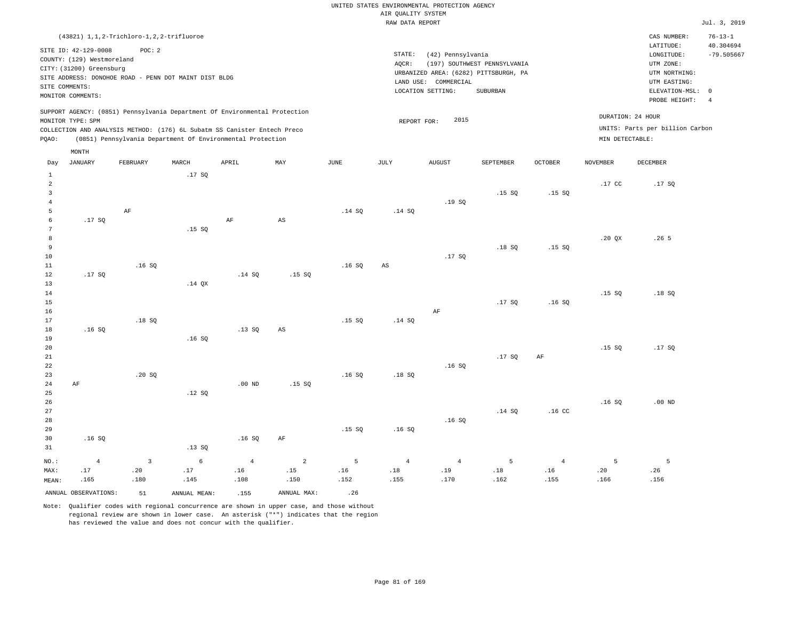UNITED STATES ENVIRONMENTAL PROTECTION AGENCY AIR QUALITY SYSTEM

|                |                            |                                                                            |            |                |                        |        | RAW DATA REPORT |                      |                                       |                  |                 |                                 | Jul. 3, 2019   |
|----------------|----------------------------|----------------------------------------------------------------------------|------------|----------------|------------------------|--------|-----------------|----------------------|---------------------------------------|------------------|-----------------|---------------------------------|----------------|
|                |                            | (43821) 1, 1, 2-Trichloro-1, 2, 2-trifluoroe                               |            |                |                        |        |                 |                      |                                       |                  |                 | CAS NUMBER:                     | $76 - 13 - 1$  |
|                |                            |                                                                            |            |                |                        |        |                 |                      |                                       |                  |                 | LATITUDE:                       | 40.304694      |
|                | SITE ID: 42-129-0008       | POC: 2                                                                     |            |                |                        |        | STATE:          | (42) Pennsylvania    |                                       |                  |                 | LONGITUDE:                      | $-79.505667$   |
|                | COUNTY: (129) Westmoreland |                                                                            |            |                |                        |        | AOCR:           |                      | (197) SOUTHWEST PENNSYLVANIA          |                  |                 | UTM ZONE:                       |                |
|                | CITY: (31200) Greensburg   |                                                                            |            |                |                        |        |                 |                      | URBANIZED AREA: (6282) PITTSBURGH, PA |                  |                 | UTM NORTHING:                   |                |
|                |                            | SITE ADDRESS: DONOHOE ROAD - PENN DOT MAINT DIST BLDG                      |            |                |                        |        |                 | LAND USE: COMMERCIAL |                                       |                  |                 | UTM EASTING:                    |                |
| SITE COMMENTS: |                            |                                                                            |            |                |                        |        |                 | LOCATION SETTING:    | SUBURBAN                              |                  |                 | ELEVATION-MSL: 0                |                |
|                | MONITOR COMMENTS:          |                                                                            |            |                |                        |        |                 |                      |                                       |                  |                 | PROBE HEIGHT:                   | $\overline{4}$ |
|                |                            | SUPPORT AGENCY: (0851) Pennsylvania Department Of Environmental Protection |            |                |                        |        |                 |                      |                                       |                  |                 |                                 |                |
|                | MONITOR TYPE: SPM          |                                                                            |            |                |                        |        | REPORT FOR:     | 2015                 |                                       |                  |                 | DURATION: 24 HOUR               |                |
|                |                            | COLLECTION AND ANALYSIS METHOD: (176) 6L Subatm SS Canister Entech Preco   |            |                |                        |        |                 |                      |                                       |                  |                 | UNITS: Parts per billion Carbon |                |
| PQAO:          |                            | (0851) Pennsylvania Department Of Environmental Protection                 |            |                |                        |        |                 |                      |                                       |                  | MIN DETECTABLE: |                                 |                |
|                | MONTH                      |                                                                            |            |                |                        |        |                 |                      |                                       |                  |                 |                                 |                |
| Day            | <b>JANUARY</b>             | FEBRUARY                                                                   | MARCH      | APRIL          | MAY                    | JUNE   | JULY            | <b>AUGUST</b>        | SEPTEMBER                             | <b>OCTOBER</b>   | <b>NOVEMBER</b> | <b>DECEMBER</b>                 |                |
| $\mathbf{1}$   |                            |                                                                            | .17SQ      |                |                        |        |                 |                      |                                       |                  |                 |                                 |                |
| $\overline{2}$ |                            |                                                                            |            |                |                        |        |                 |                      |                                       |                  | .17 CC          | .17S                            |                |
| $\overline{3}$ |                            |                                                                            |            |                |                        |        |                 |                      | .15S                                  | .15S             |                 |                                 |                |
| $\overline{4}$ |                            |                                                                            |            |                |                        |        |                 | .19S                 |                                       |                  |                 |                                 |                |
| 5              |                            | AF                                                                         |            |                |                        | .14 SQ | .14 SQ          |                      |                                       |                  |                 |                                 |                |
| $\epsilon$     | .17SQ                      |                                                                            |            | $\rm AF$       | $\mathbb{A}\mathbb{S}$ |        |                 |                      |                                       |                  |                 |                                 |                |
| 7              |                            |                                                                            | .15SQ      |                |                        |        |                 |                      |                                       |                  |                 |                                 |                |
| 8              |                            |                                                                            |            |                |                        |        |                 |                      |                                       |                  | .20 QX          | .26 <sub>5</sub>                |                |
| $\overline{9}$ |                            |                                                                            |            |                |                        |        |                 |                      | .18S                                  | .15S             |                 |                                 |                |
| 10             |                            |                                                                            |            |                |                        |        |                 | .17SQ                |                                       |                  |                 |                                 |                |
| 11             |                            | .16S                                                                       |            |                |                        | .16S   | $_{\rm AS}$     |                      |                                       |                  |                 |                                 |                |
| 12             | .17SQ                      |                                                                            |            | .14 SQ         | .15SQ                  |        |                 |                      |                                       |                  |                 |                                 |                |
| 13             |                            |                                                                            | $.14$ QX   |                |                        |        |                 |                      |                                       |                  |                 |                                 |                |
| 14             |                            |                                                                            |            |                |                        |        |                 |                      |                                       |                  | .15S            | .18S                            |                |
| 15             |                            |                                                                            |            |                |                        |        |                 |                      | .17S                                  | .16S             |                 |                                 |                |
| 16             |                            |                                                                            |            |                |                        |        |                 | $\rm AF$             |                                       |                  |                 |                                 |                |
| 17             |                            | .18S                                                                       |            |                |                        | .15S   | .14 SQ          |                      |                                       |                  |                 |                                 |                |
| 18             | .16S                       |                                                                            |            | .13SQ          | AS                     |        |                 |                      |                                       |                  |                 |                                 |                |
| 19             |                            |                                                                            | .16S       |                |                        |        |                 |                      |                                       |                  |                 |                                 |                |
| 20             |                            |                                                                            |            |                |                        |        |                 |                      |                                       |                  | .15S            | .17S                            |                |
| 21             |                            |                                                                            |            |                |                        |        |                 |                      | .17S                                  | AF               |                 |                                 |                |
| 22             |                            |                                                                            |            |                |                        |        |                 | .16S                 |                                       |                  |                 |                                 |                |
| 23             |                            | .20 SQ                                                                     |            |                |                        | .16S   | .18SQ           |                      |                                       |                  |                 |                                 |                |
| 24             | AF                         |                                                                            |            | $.00$ ND       | .15S                   |        |                 |                      |                                       |                  |                 |                                 |                |
| 25             |                            |                                                                            | .12S       |                |                        |        |                 |                      |                                       |                  |                 |                                 |                |
| 26             |                            |                                                                            |            |                |                        |        |                 |                      |                                       |                  | .16S            | $.00$ ND                        |                |
| 27             |                            |                                                                            |            |                |                        |        |                 |                      | .14 SQ                                | .16 <sub>c</sub> |                 |                                 |                |
| 28             |                            |                                                                            |            |                |                        |        |                 | .16S                 |                                       |                  |                 |                                 |                |
| 29             |                            |                                                                            |            |                |                        | .15S   | .16S            |                      |                                       |                  |                 |                                 |                |
| 30             | .16S                       |                                                                            |            | .16SQ          | $\rm{AF}$              |        |                 |                      |                                       |                  |                 |                                 |                |
| 31             |                            |                                                                            | .13SQ      |                |                        |        |                 |                      |                                       |                  |                 |                                 |                |
| $NO.$ :        | $\overline{4}$             | $\overline{3}$                                                             | $\epsilon$ | $\overline{4}$ | $\overline{a}$         | 5      | $\overline{4}$  | $\overline{4}$       | $\overline{5}$                        | $\overline{4}$   | 5               | 5                               |                |
| MAX:           | .17                        | .20                                                                        | .17        | .16            | .15                    | .16    | .18             | .19                  | .18                                   | .16              | .20             | .26                             |                |
| MEAN:          | .165                       | .180                                                                       | .145       | .108           | .150                   | .152   | .155            | .170                 | .162                                  | .155             | .166            | .156                            |                |

ANNUAL OBSERVATIONS:  $51$  ANNUAL MEAN: .155 ANNUAL MAX: .26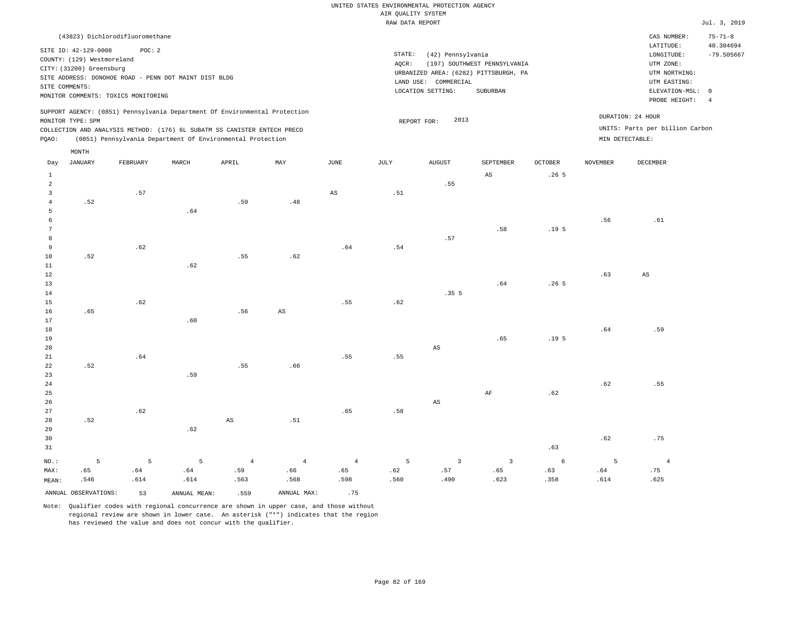| (43823) Dichlorodifluoromethane                                                                                                                                                                                                                    |                                                                                                                                                                        | CAS NUMBER:                                                                                                | $75 - 71 - 8$                   |
|----------------------------------------------------------------------------------------------------------------------------------------------------------------------------------------------------------------------------------------------------|------------------------------------------------------------------------------------------------------------------------------------------------------------------------|------------------------------------------------------------------------------------------------------------|---------------------------------|
| SITE ID: 42-129-0008<br>POC:2<br>COUNTY: (129) Westmoreland<br>CITY: (31200) Greensburg<br>SITE ADDRESS: DONOHOE ROAD - PENN DOT MAINT DIST BLDG<br>SITE COMMENTS:<br>MONITOR COMMENTS: TOXICS MONITORING                                          | STATE:<br>(42) Pennsylvania<br>(197) SOUTHWEST PENNSYLVANIA<br>AOCR:<br>URBANIZED AREA: (6282) PITTSBURGH, PA<br>LAND USE: COMMERCIAL<br>LOCATION SETTING:<br>SUBURBAN | LATITUDE:<br>LONGITUDE:<br>UTM ZONE:<br>UTM NORTHING:<br>UTM EASTING:<br>ELEVATION-MSL: 0<br>PROBE HEIGHT: | 40.304694<br>$-79.505667$<br>-4 |
| SUPPORT AGENCY: (0851) Pennsylvania Department Of Environmental Protection<br>MONITOR TYPE: SPM<br>COLLECTION AND ANALYSIS METHOD: (176) 6L SUBATM SS CANISTER ENTECH PRECO<br>POAO:<br>(0851) Pennsylvania Department Of Environmental Protection | DURATION: 24 HOUR<br>2013<br>REPORT FOR:<br>MIN DETECTABLE:                                                                                                            | UNITS: Parts per billion Carbon                                                                            |                                 |

|                | MONTH                |          |              |                        |                        |                        |      |                        |                         |                  |                 |                        |
|----------------|----------------------|----------|--------------|------------------------|------------------------|------------------------|------|------------------------|-------------------------|------------------|-----------------|------------------------|
| Day            | JANUARY              | FEBRUARY | MARCH        | APRIL                  | MAY                    | $_{\rm JUNE}$          | JULY | <b>AUGUST</b>          | SEPTEMBER               | OCTOBER          | <b>NOVEMBER</b> | DECEMBER               |
| $\mathbf{1}$   |                      |          |              |                        |                        |                        |      |                        | $\mathbb{A}\mathbb{S}$  | .265             |                 |                        |
| $\overline{a}$ |                      |          |              |                        |                        |                        |      | .55                    |                         |                  |                 |                        |
| 3              |                      | .57      |              |                        |                        | $\mathbb{A}\mathbb{S}$ | .51  |                        |                         |                  |                 |                        |
| $\overline{4}$ | .52                  |          |              | .59                    | .48                    |                        |      |                        |                         |                  |                 |                        |
| 5              |                      |          | .64          |                        |                        |                        |      |                        |                         |                  |                 |                        |
| 6              |                      |          |              |                        |                        |                        |      |                        |                         |                  | .56             | .61                    |
| 7              |                      |          |              |                        |                        |                        |      |                        | .58                     | .19 <sub>5</sub> |                 |                        |
| 8              |                      |          |              |                        |                        |                        |      | .57                    |                         |                  |                 |                        |
| 9              |                      | .62      |              |                        |                        | .64                    | .54  |                        |                         |                  |                 |                        |
| 10             | .52                  |          |              | .55                    | .62                    |                        |      |                        |                         |                  |                 |                        |
| 11             |                      |          | .62          |                        |                        |                        |      |                        |                         |                  |                 |                        |
| $12\,$         |                      |          |              |                        |                        |                        |      |                        |                         |                  | .63             | $\mathbb{A}\mathbb{S}$ |
| 13             |                      |          |              |                        |                        |                        |      |                        | .64                     | .265             |                 |                        |
| 14             |                      |          |              |                        |                        |                        |      | .355                   |                         |                  |                 |                        |
| 15             |                      | .62      |              |                        |                        | .55                    | .62  |                        |                         |                  |                 |                        |
| 16             | .65                  |          |              | .56                    | $\mathbb{A}\mathbb{S}$ |                        |      |                        |                         |                  |                 |                        |
| 17             |                      |          | .60          |                        |                        |                        |      |                        |                         |                  |                 |                        |
| 18             |                      |          |              |                        |                        |                        |      |                        |                         |                  | .64             | .59                    |
| 19             |                      |          |              |                        |                        |                        |      |                        | .65                     | .19 <sub>5</sub> |                 |                        |
| 20             |                      |          |              |                        |                        |                        |      | AS                     |                         |                  |                 |                        |
| 21             |                      | .64      |              |                        |                        | .55                    | .55  |                        |                         |                  |                 |                        |
| 22             | .52                  |          | .59          | .55                    | .66                    |                        |      |                        |                         |                  |                 |                        |
| 23<br>$2\,4$   |                      |          |              |                        |                        |                        |      |                        |                         |                  | .62             | .55                    |
| 25             |                      |          |              |                        |                        |                        |      |                        | $\rm{AF}$               | .62              |                 |                        |
| 26             |                      |          |              |                        |                        |                        |      | $\mathbb{A}\mathbb{S}$ |                         |                  |                 |                        |
| 27             |                      | .62      |              |                        |                        | .65                    | .58  |                        |                         |                  |                 |                        |
| 28             | .52                  |          |              | $\mathbb{A}\mathbb{S}$ | .51                    |                        |      |                        |                         |                  |                 |                        |
| 29             |                      |          | .62          |                        |                        |                        |      |                        |                         |                  |                 |                        |
| 30             |                      |          |              |                        |                        |                        |      |                        |                         |                  | .62             | .75                    |
| 31             |                      |          |              |                        |                        |                        |      |                        |                         | .63              |                 |                        |
| $NO.$ :        | 5                    | 5        | 5            | $\overline{4}$         | $\overline{4}$         | $\overline{4}$         | 5    | $\overline{3}$         | $\overline{\mathbf{3}}$ | $\epsilon$       | 5               | $\overline{4}$         |
| MAX:           | .65                  | .64      | .64          | .59                    | .66                    | .65                    | .62  | .57                    | .65                     | .63              | .64             | .75                    |
| MEAN:          | .546                 | .614     | .614         | .563                   | .568                   | .598                   | .560 | .490                   | .623                    | .358             | .614            | .625                   |
|                | ANNUAL OBSERVATIONS: | 53       | ANNUAL MEAN: | .559                   | ANNUAL MAX:            | .75                    |      |                        |                         |                  |                 |                        |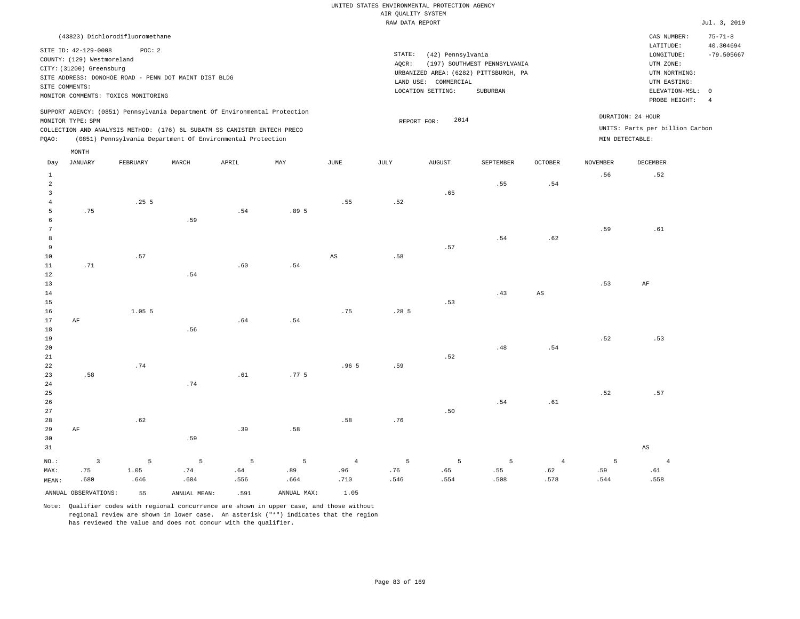|                | (43823) Dichlorodifluoromethane     |          |                                                       |                                                                            |             |                |        |                      |                                                                       |                        |                 | CAS NUMBER:                     | $75 - 71 - 8$  |
|----------------|-------------------------------------|----------|-------------------------------------------------------|----------------------------------------------------------------------------|-------------|----------------|--------|----------------------|-----------------------------------------------------------------------|------------------------|-----------------|---------------------------------|----------------|
|                | SITE ID: 42-129-0008                | POC: 2   |                                                       |                                                                            |             |                | STATE: |                      |                                                                       |                        |                 | LATITUDE:                       | 40.304694      |
|                | COUNTY: (129) Westmoreland          |          |                                                       |                                                                            |             |                |        | (42) Pennsylvania    |                                                                       |                        |                 | LONGITUDE:                      | $-79.505667$   |
|                | CITY: (31200) Greensburg            |          |                                                       |                                                                            |             |                | AQCR:  |                      | (197) SOUTHWEST PENNSYLVANIA<br>URBANIZED AREA: (6282) PITTSBURGH, PA |                        |                 | UTM ZONE:<br>UTM NORTHING:      |                |
|                |                                     |          | SITE ADDRESS: DONOHOE ROAD - PENN DOT MAINT DIST BLDG |                                                                            |             |                |        | LAND USE: COMMERCIAL |                                                                       |                        |                 | UTM EASTING:                    |                |
| SITE COMMENTS: |                                     |          |                                                       |                                                                            |             |                |        | LOCATION SETTING:    | SUBURBAN                                                              |                        |                 | ELEVATION-MSL: 0                |                |
|                | MONITOR COMMENTS: TOXICS MONITORING |          |                                                       |                                                                            |             |                |        |                      |                                                                       |                        |                 | PROBE HEIGHT:                   | $\overline{4}$ |
|                | MONITOR TYPE: SPM                   |          |                                                       | SUPPORT AGENCY: (0851) Pennsylvania Department Of Environmental Protection |             |                |        | 2014<br>REPORT FOR:  |                                                                       |                        |                 | DURATION: 24 HOUR               |                |
|                |                                     |          |                                                       | COLLECTION AND ANALYSIS METHOD: (176) 6L SUBATM SS CANISTER ENTECH PRECO   |             |                |        |                      |                                                                       |                        |                 | UNITS: Parts per billion Carbon |                |
| PQAO:          |                                     |          |                                                       | (0851) Pennsylvania Department Of Environmental Protection                 |             |                |        |                      |                                                                       |                        |                 | MIN DETECTABLE:                 |                |
|                | MONTH                               |          |                                                       |                                                                            |             |                |        |                      |                                                                       |                        |                 |                                 |                |
| Day            | <b>JANUARY</b>                      | FEBRUARY | MARCH                                                 | APRIL                                                                      | MAY         | $_{\rm JUNE}$  | JULY   | <b>AUGUST</b>        | SEPTEMBER                                                             | OCTOBER                | <b>NOVEMBER</b> | DECEMBER                        |                |
| $\mathbf{1}$   |                                     |          |                                                       |                                                                            |             |                |        |                      |                                                                       |                        | .56             | .52                             |                |
| $\overline{a}$ |                                     |          |                                                       |                                                                            |             |                |        |                      | .55                                                                   | .54                    |                 |                                 |                |
| $\overline{3}$ |                                     |          |                                                       |                                                                            |             |                |        | .65                  |                                                                       |                        |                 |                                 |                |
| $\overline{4}$ |                                     | .255     |                                                       |                                                                            |             | .55            | .52    |                      |                                                                       |                        |                 |                                 |                |
| 5              | .75                                 |          |                                                       | .54                                                                        | .89 5       |                |        |                      |                                                                       |                        |                 |                                 |                |
| 6              |                                     |          | .59                                                   |                                                                            |             |                |        |                      |                                                                       |                        |                 |                                 |                |
| 7              |                                     |          |                                                       |                                                                            |             |                |        |                      |                                                                       |                        | .59             | .61                             |                |
| 8              |                                     |          |                                                       |                                                                            |             |                |        |                      | .54                                                                   | .62                    |                 |                                 |                |
| 9              |                                     |          |                                                       |                                                                            |             |                |        | .57                  |                                                                       |                        |                 |                                 |                |
| 10             |                                     | .57      |                                                       |                                                                            |             | AS             | .58    |                      |                                                                       |                        |                 |                                 |                |
| 11             | .71                                 |          |                                                       | .60                                                                        | .54         |                |        |                      |                                                                       |                        |                 |                                 |                |
| 12             |                                     |          | .54                                                   |                                                                            |             |                |        |                      |                                                                       |                        |                 |                                 |                |
| 13             |                                     |          |                                                       |                                                                            |             |                |        |                      |                                                                       |                        | .53             | AF                              |                |
| 14             |                                     |          |                                                       |                                                                            |             |                |        |                      | .43                                                                   | $\mathbb{A}\mathbb{S}$ |                 |                                 |                |
| 15             |                                     |          |                                                       |                                                                            |             |                |        | .53                  |                                                                       |                        |                 |                                 |                |
| 16             |                                     | 1.05 5   |                                                       |                                                                            |             | .75            | .285   |                      |                                                                       |                        |                 |                                 |                |
| 17             | AF                                  |          |                                                       | .64                                                                        | .54         |                |        |                      |                                                                       |                        |                 |                                 |                |
| 18             |                                     |          | .56                                                   |                                                                            |             |                |        |                      |                                                                       |                        |                 |                                 |                |
| 19             |                                     |          |                                                       |                                                                            |             |                |        |                      |                                                                       |                        | .52             | .53                             |                |
| 20             |                                     |          |                                                       |                                                                            |             |                |        |                      | .48                                                                   | .54                    |                 |                                 |                |
| 21             |                                     |          |                                                       |                                                                            |             |                |        | .52                  |                                                                       |                        |                 |                                 |                |
| 22             |                                     | .74      |                                                       |                                                                            |             | .965           | .59    |                      |                                                                       |                        |                 |                                 |                |
| 23             | .58                                 |          |                                                       | .61                                                                        | .77.5       |                |        |                      |                                                                       |                        |                 |                                 |                |
| 24             |                                     |          | .74                                                   |                                                                            |             |                |        |                      |                                                                       |                        |                 |                                 |                |
| 25             |                                     |          |                                                       |                                                                            |             |                |        |                      |                                                                       |                        | .52             | .57                             |                |
| 26             |                                     |          |                                                       |                                                                            |             |                |        |                      | .54                                                                   | .61                    |                 |                                 |                |
| 27             |                                     |          |                                                       |                                                                            |             |                |        | .50                  |                                                                       |                        |                 |                                 |                |
| 28             |                                     | .62      |                                                       |                                                                            |             | .58            | .76    |                      |                                                                       |                        |                 |                                 |                |
| 29             | AF                                  |          |                                                       | .39                                                                        | .58         |                |        |                      |                                                                       |                        |                 |                                 |                |
| 30             |                                     |          | .59                                                   |                                                                            |             |                |        |                      |                                                                       |                        |                 |                                 |                |
| 31             |                                     |          |                                                       |                                                                            |             |                |        |                      |                                                                       |                        |                 | $\mathbb{A}\mathbb{S}$          |                |
| NO.:           | $\overline{\mathbf{3}}$             | 5        | 5                                                     | 5                                                                          | 5           | $\overline{4}$ | 5      | 5                    | - 5                                                                   | $\overline{4}$         | 5               | $\overline{4}$                  |                |
| MAX:           | .75                                 | 1.05     | .74                                                   | .64                                                                        | .89         | .96            | .76    | .65                  | .55                                                                   | .62                    | .59             | .61                             |                |
| MEAN:          | .680                                | .646     | .604                                                  | .556                                                                       | .664        | .710           | .546   | .554                 | .508                                                                  | .578                   | .544            | .558                            |                |
|                | ANNUAL OBSERVATIONS:                | 55       | ANNUAL, MEAN:                                         | .591                                                                       | ANNUAL MAX: | 1.05           |        |                      |                                                                       |                        |                 |                                 |                |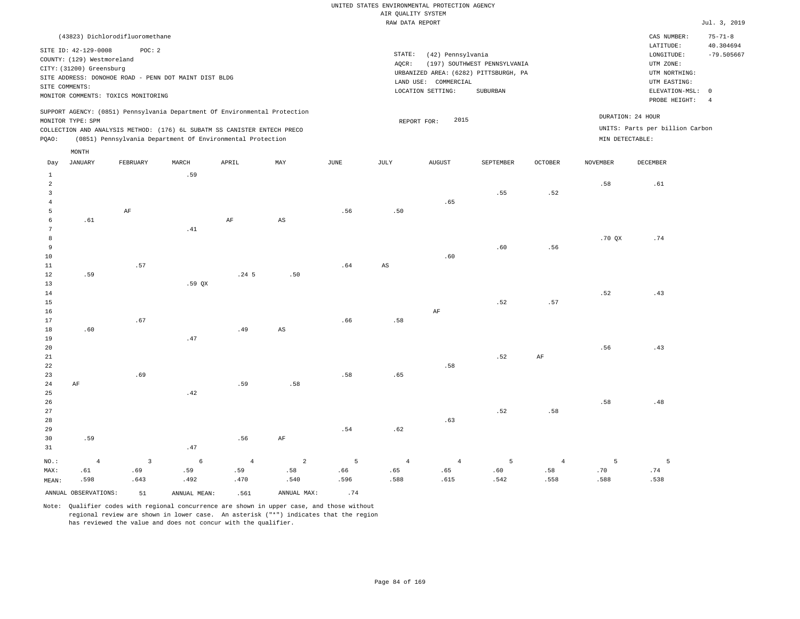| (43823) Dichlorodifluoromethane                                                                                                                                                                                                                             |                                                                                                                                                                        |                                      | CAS NUMBER:                                                                                                | $75 - 71 - 8$             |
|-------------------------------------------------------------------------------------------------------------------------------------------------------------------------------------------------------------------------------------------------------------|------------------------------------------------------------------------------------------------------------------------------------------------------------------------|--------------------------------------|------------------------------------------------------------------------------------------------------------|---------------------------|
| SITE ID: 42-129-0008<br>POC:2<br>COUNTY: (129) Westmoreland<br>CITY: (31200) Greensburg<br>SITE ADDRESS: DONOHOE ROAD - PENN DOT MAINT DIST BLDG<br>SITE COMMENTS:<br>MONITOR COMMENTS: TOXICS MONITORING                                                   | STATE:<br>(42) Pennsylvania<br>(197) SOUTHWEST PENNSYLVANIA<br>AOCR:<br>URBANIZED AREA: (6282) PITTSBURGH, PA<br>LAND USE: COMMERCIAL<br>LOCATION SETTING:<br>SUBURBAN |                                      | LATITUDE:<br>LONGITUDE:<br>UTM ZONE:<br>UTM NORTHING:<br>UTM EASTING:<br>ELEVATION-MSL: 0<br>PROBE HEIGHT: | 40.304694<br>$-79.505667$ |
| SUPPORT AGENCY: (0851) Pennsylvania Department Of Environmental Protection<br>MONITOR TYPE: SPM<br>COLLECTION AND ANALYSIS METHOD: (176) 6L SUBATM SS CANISTER ENTECH PRECO<br>(0851) Pennsylvania Department Of Environmental Protection<br>POAO:<br>MONTH | 2015<br>REPORT FOR:                                                                                                                                                    | DURATION: 24 HOUR<br>MIN DETECTABLE: | UNITS: Parts per billion Carbon                                                                            |                           |

| Day                     | JANUARY              | FEBRUARY                | MARCH        | APRIL            | $\mathtt{MAX}$         | $_{\rm JUNE}$ | $\mathtt{JULY}$        | AUGUST         | SEPTEMBER | $\mathtt{OCTOBER}$            | NOVEMBER                     | $\tt DECEMBER$                |
|-------------------------|----------------------|-------------------------|--------------|------------------|------------------------|---------------|------------------------|----------------|-----------|-------------------------------|------------------------------|-------------------------------|
| $\mathbf{1}$            |                      |                         | .59          |                  |                        |               |                        |                |           |                               |                              |                               |
| $\overline{\mathbf{c}}$ |                      |                         |              |                  |                        |               |                        |                |           |                               | .58                          | .61                           |
| 3                       |                      |                         |              |                  |                        |               |                        |                | .55       | $\footnotesize\substack{5.2}$ |                              |                               |
| $\overline{4}$          |                      |                         |              |                  |                        |               |                        | .65            |           |                               |                              |                               |
| 5                       |                      | $\rm AF$                |              |                  |                        | .56           | .50                    |                |           |                               |                              |                               |
| 6                       | .61                  |                         |              | AF               | $\mathbb{A}\mathbb{S}$ |               |                        |                |           |                               |                              |                               |
| 7                       |                      |                         | .41          |                  |                        |               |                        |                |           |                               |                              |                               |
| 8                       |                      |                         |              |                  |                        |               |                        |                |           |                               | .70QX                        | .74                           |
| 9                       |                      |                         |              |                  |                        |               |                        |                | .60       | .56                           |                              |                               |
| $10$                    |                      |                         |              |                  |                        |               |                        | .60            |           |                               |                              |                               |
| 11                      |                      | .57                     |              |                  |                        | .64           | $\mathbb{A}\mathbb{S}$ |                |           |                               |                              |                               |
| 12                      | .59                  |                         |              | .24 <sub>5</sub> | .50                    |               |                        |                |           |                               |                              |                               |
| 13                      |                      |                         | .59 QX       |                  |                        |               |                        |                |           |                               |                              |                               |
| 14                      |                      |                         |              |                  |                        |               |                        |                |           |                               | .52                          | .43                           |
| 15                      |                      |                         |              |                  |                        |               |                        |                | .52       | $\footnotesize\substack{57}$  |                              |                               |
| 16                      |                      |                         |              |                  |                        |               |                        | $\rm{AF}$      |           |                               |                              |                               |
| 17                      |                      | .67                     |              |                  |                        | .66           | $.58\,$                |                |           |                               |                              |                               |
| 18                      | .60                  |                         |              | .49              | $_{\rm AS}$            |               |                        |                |           |                               |                              |                               |
| 19                      |                      |                         | .47          |                  |                        |               |                        |                |           |                               |                              |                               |
| $20\,$                  |                      |                         |              |                  |                        |               |                        |                |           |                               | .56                          | .43                           |
| $2\sqrt{1}$             |                      |                         |              |                  |                        |               |                        |                | .52       | $\rm{AF}$                     |                              |                               |
| $^{\rm 22}$             |                      |                         |              |                  |                        |               |                        | .58            |           |                               |                              |                               |
| $23\,$                  |                      | .69                     |              |                  |                        | .58           | .65                    |                |           |                               |                              |                               |
| $2\,4$                  | $\rm{AF}$            |                         |              | .59              | .58                    |               |                        |                |           |                               |                              |                               |
| $25\,$                  |                      |                         | .42          |                  |                        |               |                        |                |           |                               |                              |                               |
| $26\,$                  |                      |                         |              |                  |                        |               |                        |                |           |                               | $\footnotesize\substack{58}$ | $\footnotesize{\textbf{.48}}$ |
| $2\,7$                  |                      |                         |              |                  |                        |               |                        |                | .52       | .58                           |                              |                               |
| 28                      |                      |                         |              |                  |                        |               |                        | .63            |           |                               |                              |                               |
| 29                      |                      |                         |              |                  |                        | .54           | $.62\,$                |                |           |                               |                              |                               |
| 30                      | .59                  |                         |              | .56              | $\rm{AF}$              |               |                        |                |           |                               |                              |                               |
| 31                      |                      |                         | .47          |                  |                        |               |                        |                |           |                               |                              |                               |
| $_{\rm NO.}$ :          | $\sqrt{4}$           | $\overline{\mathbf{3}}$ | $\epsilon$   | $\sqrt{4}$       | $\overline{2}$         | 5             | $\sqrt{4}$             | $\overline{4}$ | 5         | $\sqrt{4}$                    | 5                            | 5                             |
| MAX:                    | .61                  | .69                     | .59          | .59              | .58                    | .66           | .65                    | .65            | .60       | .58                           | .70                          | .74                           |
| MEAN:                   | .598                 | .643                    | .492         | .470             | .540                   | .596          | .588                   | .615           | .542      | .558                          | .588                         | .538                          |
|                         | ANNUAL OBSERVATIONS: | 51                      | ANNUAL MEAN: | .561             | ANNUAL MAX:            | .74           |                        |                |           |                               |                              |                               |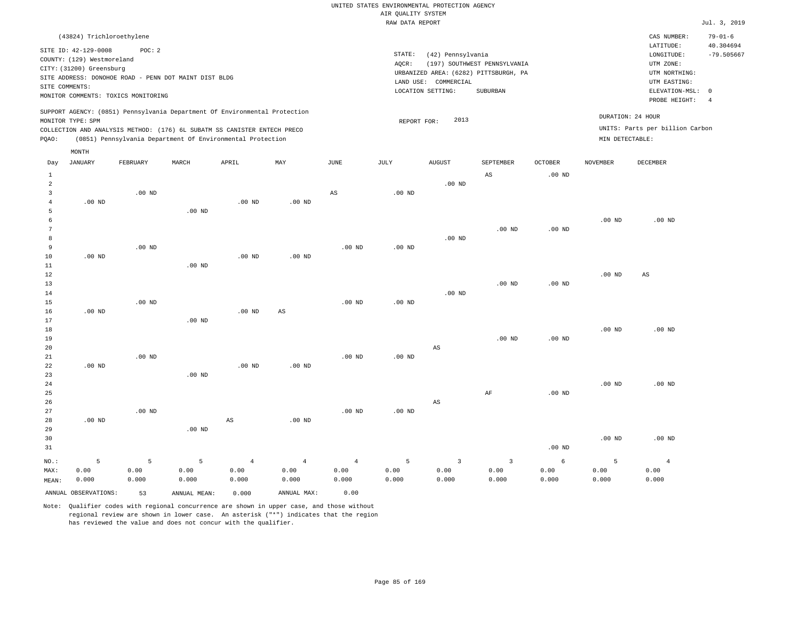| (43824) Trichloroethylene                                                                                                                                                                                                                                   |                                                                                                                                                                        | CAS NUMBER:                                                                                                      | $79 - 01 - 6$             |
|-------------------------------------------------------------------------------------------------------------------------------------------------------------------------------------------------------------------------------------------------------------|------------------------------------------------------------------------------------------------------------------------------------------------------------------------|------------------------------------------------------------------------------------------------------------------|---------------------------|
| SITE ID: 42-129-0008<br>POC: 2<br>COUNTY: (129) Westmoreland<br>CITY: (31200) Greensburg<br>SITE ADDRESS: DONOHOE ROAD - PENN DOT MAINT DIST BLDG<br>SITE COMMENTS:<br>MONITOR COMMENTS: TOXICS MONITORING                                                  | STATE:<br>(42) Pennsylvania<br>(197) SOUTHWEST PENNSYLVANIA<br>AOCR:<br>URBANIZED AREA: (6282) PITTSBURGH, PA<br>LAND USE: COMMERCIAL<br>LOCATION SETTING:<br>SUBURBAN | LATITUDE:<br>LONGITUDE:<br>UTM ZONE:<br>UTM NORTHING:<br>UTM EASTING:<br>ELEVATION-MSL: 0<br>PROBE HEIGHT:<br>-4 | 40.304694<br>$-79.505667$ |
| SUPPORT AGENCY: (0851) Pennsylvania Department Of Environmental Protection<br>MONITOR TYPE: SPM<br>COLLECTION AND ANALYSIS METHOD: (176) 6L SUBATM SS CANISTER ENTECH PRECO<br>(0851) Pennsylvania Department Of Environmental Protection<br>POAO:<br>MONTH | 2013<br>REPORT FOR:                                                                                                                                                    | DURATION: 24 HOUR<br>UNITS: Parts per billion Carbon<br>MIN DETECTABLE:                                          |                           |

| Day            | JANUARY              | FEBRUARY | MARCH        | APRIL             | MAY               | $_{\rm JUNE}$          | JULY     | AUGUST                  | SEPTEMBER               | OCTOBER           | NOVEMBER          | DECEMBER       |
|----------------|----------------------|----------|--------------|-------------------|-------------------|------------------------|----------|-------------------------|-------------------------|-------------------|-------------------|----------------|
| $\mathbf{1}$   |                      |          |              |                   |                   |                        |          |                         | $_{\rm AS}$             | $.00$ ND          |                   |                |
| $\overline{a}$ |                      |          |              |                   |                   |                        |          | $.00$ ND                |                         |                   |                   |                |
| 3              |                      | $.00$ ND |              |                   |                   | $\mathbb{A}\mathbb{S}$ | .00 $ND$ |                         |                         |                   |                   |                |
| 4              | $.00$ ND             |          |              | .00 <sub>ND</sub> | $.00$ ND          |                        |          |                         |                         |                   |                   |                |
| 5              |                      |          | $.00$ ND     |                   |                   |                        |          |                         |                         |                   |                   |                |
| 6              |                      |          |              |                   |                   |                        |          |                         |                         |                   | $.00$ ND          | $.00$ ND       |
| $\overline{7}$ |                      |          |              |                   |                   |                        |          |                         | $.00$ ND                | $.00$ ND          |                   |                |
| 8              |                      |          |              |                   |                   |                        |          | $.00$ ND                |                         |                   |                   |                |
| 9              |                      | $.00$ ND |              |                   |                   | $.00$ ND               | .00 $ND$ |                         |                         |                   |                   |                |
| 10             | $.00$ ND             |          |              | .00 <sub>ND</sub> | $.00$ ND          |                        |          |                         |                         |                   |                   |                |
| $11\,$         |                      |          | $.00$ ND     |                   |                   |                        |          |                         |                         |                   |                   |                |
| $1\,2$         |                      |          |              |                   |                   |                        |          |                         |                         |                   | .00 <sub>ND</sub> | AS             |
| 13             |                      |          |              |                   |                   |                        |          |                         | $.00$ ND                | .00 <sub>ND</sub> |                   |                |
| 14             |                      |          |              |                   |                   |                        |          | $.00$ ND                |                         |                   |                   |                |
| 15             |                      | $.00$ ND |              |                   |                   | $.00$ ND               | $.00$ ND |                         |                         |                   |                   |                |
| 16             | $.00$ ND             |          |              | $.00$ ND          | $_{\rm AS}$       |                        |          |                         |                         |                   |                   |                |
| 17             |                      |          | $.00$ ND     |                   |                   |                        |          |                         |                         |                   |                   |                |
| 18             |                      |          |              |                   |                   |                        |          |                         |                         |                   | $.00$ ND          | $.00$ ND       |
| 19             |                      |          |              |                   |                   |                        |          |                         | $.00$ ND                | $.00$ ND          |                   |                |
| 20             |                      |          |              |                   |                   |                        |          | $\mathbb{A}\mathbb{S}$  |                         |                   |                   |                |
| 21             |                      | $.00$ ND |              |                   |                   | $.00$ ND               | .00 $ND$ |                         |                         |                   |                   |                |
| 22             | $.00$ ND             |          |              | $.00$ ND          | $.00$ ND          |                        |          |                         |                         |                   |                   |                |
| 23             |                      |          | $.00$ ND     |                   |                   |                        |          |                         |                         |                   |                   |                |
| 24             |                      |          |              |                   |                   |                        |          |                         |                         |                   | $.00$ ND          | $.00$ ND       |
| 25<br>26       |                      |          |              |                   |                   |                        |          | $\mathbb{A}\mathbb{S}$  | $\rm AF$                | $.00$ ND          |                   |                |
| 27             |                      | $.00$ ND |              |                   |                   | $.00$ ND               | .00 $ND$ |                         |                         |                   |                   |                |
| 28             | $.00$ ND             |          |              | AS                | .00 <sub>ND</sub> |                        |          |                         |                         |                   |                   |                |
| 29             |                      |          | $.00$ ND     |                   |                   |                        |          |                         |                         |                   |                   |                |
| 30             |                      |          |              |                   |                   |                        |          |                         |                         |                   | $.00$ ND          | $.00$ ND       |
| 31             |                      |          |              |                   |                   |                        |          |                         |                         | .00 <sub>ND</sub> |                   |                |
|                |                      |          |              |                   |                   |                        |          |                         |                         |                   |                   |                |
| $NO.$ :        | 5                    | 5        | 5            | $\overline{4}$    | $\overline{4}$    | $\overline{4}$         | 5        | $\overline{\mathbf{3}}$ | $\overline{\mathbf{3}}$ | 6                 | 5                 | $\overline{4}$ |
| MAX:           | 0.00                 | 0.00     | 0.00         | 0.00              | 0.00              | 0.00                   | 0.00     | 0.00                    | 0.00                    | 0.00              | 0.00              | 0.00           |
| MEAN:          | 0.000                | 0.000    | 0.000        | 0.000             | 0.000             | 0.000                  | 0.000    | 0.000                   | 0.000                   | 0.000             | 0.000             | 0.000          |
|                | ANNUAL OBSERVATIONS: | 53       | ANNUAL MEAN: | 0.000             | ANNUAL MAX:       | 0.00                   |          |                         |                         |                   |                   |                |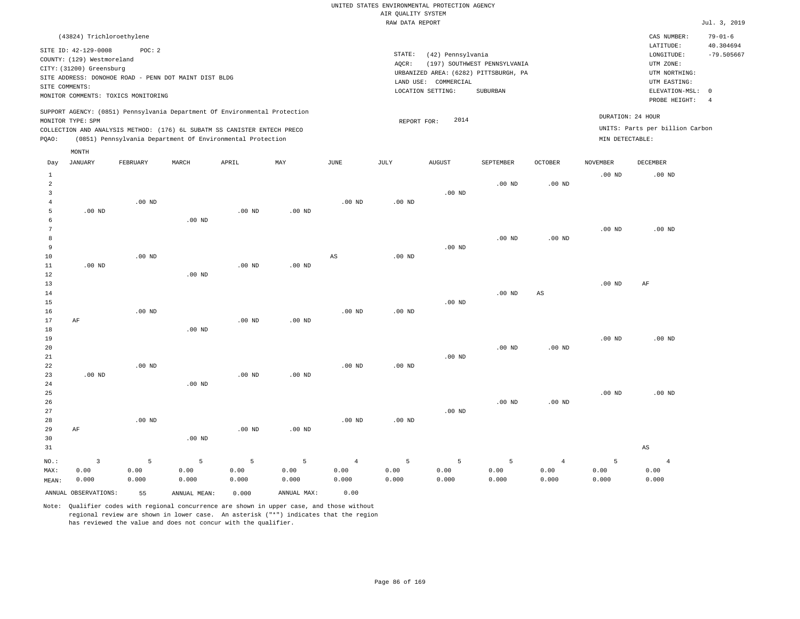| (43824) Trichloroethylene                                                                                                                                                                                                                                   |                                                                                                                                                                        | CAS NUMBER:                                                                                                      | $79 - 01 - 6$             |
|-------------------------------------------------------------------------------------------------------------------------------------------------------------------------------------------------------------------------------------------------------------|------------------------------------------------------------------------------------------------------------------------------------------------------------------------|------------------------------------------------------------------------------------------------------------------|---------------------------|
| SITE ID: 42-129-0008<br>POC:2<br>COUNTY: (129) Westmoreland<br>CITY: (31200) Greensburg<br>SITE ADDRESS: DONOHOE ROAD - PENN DOT MAINT DIST BLDG<br>SITE COMMENTS:<br>MONITOR COMMENTS: TOXICS MONITORING                                                   | STATE:<br>(42) Pennsylvania<br>(197) SOUTHWEST PENNSYLVANIA<br>AOCR:<br>URBANIZED AREA: (6282) PITTSBURGH, PA<br>LAND USE: COMMERCIAL<br>LOCATION SETTING:<br>SUBURBAN | LATITUDE:<br>LONGITUDE:<br>UTM ZONE:<br>UTM NORTHING:<br>UTM EASTING:<br>ELEVATION-MSL: 0<br>PROBE HEIGHT:<br>-4 | 40.304694<br>$-79.505667$ |
| SUPPORT AGENCY: (0851) Pennsylvania Department Of Environmental Protection<br>MONITOR TYPE: SPM<br>COLLECTION AND ANALYSIS METHOD: (176) 6L SUBATM SS CANISTER ENTECH PRECO<br>(0851) Pennsylvania Department Of Environmental Protection<br>POAO:<br>MONTH | 2014<br>REPORT FOR:                                                                                                                                                    | DURATION: 24 HOUR<br>UNITS: Parts per billion Carbon<br>MIN DETECTABLE:                                          |                           |

| Day               | JANUARY              | FEBRUARY | MARCH          | APRIL    | MAY         | JUNE     | JULY     | AUGUST            | SEPTEMBER | OCTOBER                | NOVEMBER    | DECEMBER          |
|-------------------|----------------------|----------|----------------|----------|-------------|----------|----------|-------------------|-----------|------------------------|-------------|-------------------|
| $\mathbf{1}$      |                      |          |                |          |             |          |          |                   |           |                        | $.00$ ND    | .00 <sub>ND</sub> |
| $\overline{a}$    |                      |          |                |          |             |          |          |                   | $.00$ ND  | .00 <sub>ND</sub>      |             |                   |
| 3                 |                      |          |                |          |             |          |          | $.00$ ND          |           |                        |             |                   |
| 4                 |                      | $.00$ ND |                |          |             | $.00$ ND | $.00$ ND |                   |           |                        |             |                   |
| 5                 | $.00$ ND             |          |                | $.00$ ND | $.00$ ND    |          |          |                   |           |                        |             |                   |
| 6                 |                      |          | $.00$ ND       |          |             |          |          |                   |           |                        |             |                   |
| 7                 |                      |          |                |          |             |          |          |                   |           |                        | $.00$ ND    | $.00$ ND          |
| 8                 |                      |          |                |          |             |          |          |                   | $.00$ ND  | .00 <sub>ND</sub>      |             |                   |
| 9                 |                      |          |                |          |             |          |          | $.00$ ND          |           |                        |             |                   |
| 10                |                      | $.00$ ND |                |          |             | AS       | $.00$ ND |                   |           |                        |             |                   |
| 11                | $.00$ ND             |          |                | $.00$ ND | $.00$ ND    |          |          |                   |           |                        |             |                   |
| $1\,2$            |                      |          | $.00$ ND       |          |             |          |          |                   |           |                        |             |                   |
| 13                |                      |          |                |          |             |          |          |                   |           |                        | $.00$ ND    | AF                |
| 14                |                      |          |                |          |             |          |          |                   | $.00$ ND  | $\mathbb{A}\mathbb{S}$ |             |                   |
| 15                |                      |          |                |          |             |          |          | .00 <sub>ND</sub> |           |                        |             |                   |
| 16                |                      | $.00$ ND |                |          |             | $.00$ ND | $.00$ ND |                   |           |                        |             |                   |
| 17                | AF                   |          |                | $.00$ ND | $.00$ ND    |          |          |                   |           |                        |             |                   |
| 18                |                      |          | $.00$ ND       |          |             |          |          |                   |           |                        |             |                   |
| 19                |                      |          |                |          |             |          |          |                   |           |                        | $.00$ ND    | $.00$ ND          |
| 20                |                      |          |                |          |             |          |          |                   | $.00$ ND  | $.00$ ND               |             |                   |
| 21                |                      |          |                |          |             |          |          | .00 <sub>ND</sub> |           |                        |             |                   |
| 22                |                      | $.00$ ND |                |          |             | $.00$ ND | $.00$ ND |                   |           |                        |             |                   |
| 23                | $.00$ ND             |          |                | $.00$ ND | $.00$ ND    |          |          |                   |           |                        |             |                   |
| $2\sqrt{4}$<br>25 |                      |          | $.00$ ND       |          |             |          |          |                   |           |                        | $.00$ ND    | $.00$ ND          |
| 26                |                      |          |                |          |             |          |          |                   | $.00$ ND  | $.00$ ND               |             |                   |
| 27                |                      |          |                |          |             |          |          | $.00$ ND          |           |                        |             |                   |
| 28                |                      | $.00$ ND |                |          |             | $.00$ ND | $.00$ ND |                   |           |                        |             |                   |
| 29                | $\rm AF$             |          |                | $.00$ ND | $.00$ ND    |          |          |                   |           |                        |             |                   |
| 30                |                      |          | $.00$ ND       |          |             |          |          |                   |           |                        |             |                   |
| 31                |                      |          |                |          |             |          |          |                   |           |                        |             | AS                |
|                   |                      |          |                |          |             |          |          |                   |           |                        |             |                   |
| $NO.$ :           | $\mathsf 3$          | 5        | $\overline{5}$ | 5        | 5           | $\,4$    | 5        | 5                 | 5         | $\overline{4}$         | $\mathsf S$ | $\overline{4}$    |
| MAX:              | 0.00                 | 0.00     | 0.00           | 0.00     | 0.00        | 0.00     | 0.00     | 0.00              | 0.00      | 0.00                   | 0.00        | 0.00              |
| MEAN:             | 0.000                | 0.000    | 0.000          | 0.000    | 0.000       | 0.000    | 0.000    | 0.000             | 0.000     | 0.000                  | 0.000       | 0.000             |
|                   | ANNUAL OBSERVATIONS: | 55       | ANNUAL MEAN:   | 0.000    | ANNUAL MAX: | 0.00     |          |                   |           |                        |             |                   |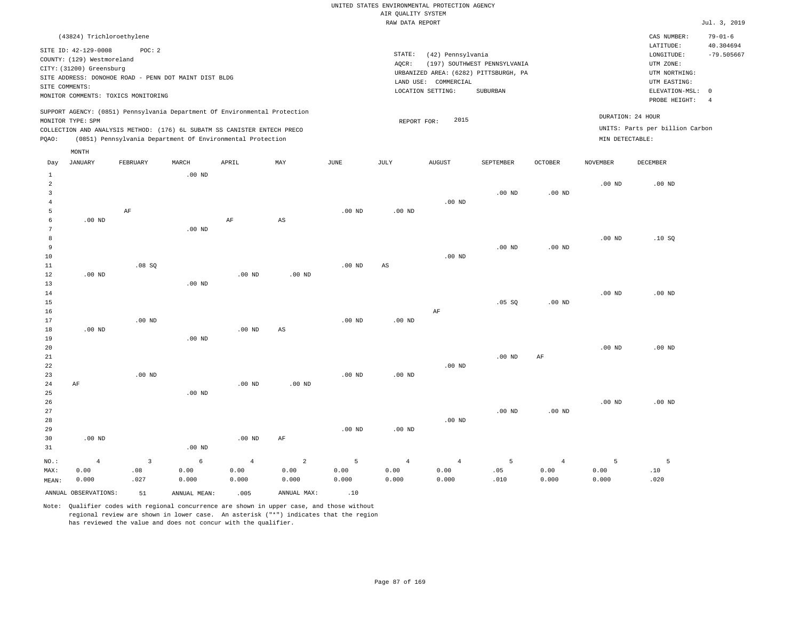| (43824) Trichloroethylene                                                                                                                                                                                                                                   |                                                                                                                                                                        | CAS NUMBER:                                                                                                | $79 - 01 - 6$             |
|-------------------------------------------------------------------------------------------------------------------------------------------------------------------------------------------------------------------------------------------------------------|------------------------------------------------------------------------------------------------------------------------------------------------------------------------|------------------------------------------------------------------------------------------------------------|---------------------------|
| SITE ID: 42-129-0008<br>POC: 2<br>COUNTY: (129) Westmoreland<br>CITY: (31200) Greensburg<br>SITE ADDRESS: DONOHOE ROAD - PENN DOT MAINT DIST BLDG<br>SITE COMMENTS:<br>MONITOR COMMENTS: TOXICS MONITORING                                                  | STATE:<br>(42) Pennsylvania<br>(197) SOUTHWEST PENNSYLVANIA<br>AOCR:<br>URBANIZED AREA: (6282) PITTSBURGH, PA<br>LAND USE: COMMERCIAL<br>LOCATION SETTING:<br>SUBURBAN | LATITUDE:<br>LONGITUDE:<br>UTM ZONE:<br>UTM NORTHING:<br>UTM EASTING:<br>ELEVATION-MSL: 0<br>PROBE HEIGHT: | 40.304694<br>$-79.505667$ |
| SUPPORT AGENCY: (0851) Pennsylvania Department Of Environmental Protection<br>MONITOR TYPE: SPM<br>COLLECTION AND ANALYSIS METHOD: (176) 6L SUBATM SS CANISTER ENTECH PRECO<br>(0851) Pennsylvania Department Of Environmental Protection<br>POAO:<br>MONTH | DURATION: 24 HOUR<br>2015<br>REPORT FOR:<br>MIN DETECTABLE:                                                                                                            | UNITS: Parts per billion Carbon                                                                            |                           |

| Day            | JANUARY              | FEBRUARY                | MARCH             | APRIL      | MAY                    | JUNE     | JULY                   | AUGUST         | SEPTEMBER      | OCTOBER        | NOVEMBER | DECEMBER |
|----------------|----------------------|-------------------------|-------------------|------------|------------------------|----------|------------------------|----------------|----------------|----------------|----------|----------|
| $\mathbf{1}$   |                      |                         | $.00$ ND          |            |                        |          |                        |                |                |                |          |          |
| $\overline{a}$ |                      |                         |                   |            |                        |          |                        |                |                |                | $.00$ ND | $.00$ ND |
| 3              |                      |                         |                   |            |                        |          |                        |                | $.00$ ND       | $.00$ ND       |          |          |
| $\overline{4}$ |                      |                         |                   |            |                        |          |                        | $.00$ ND       |                |                |          |          |
| 5              |                      | $\rm AF$                |                   |            |                        | $.00$ ND | $.00$ ND               |                |                |                |          |          |
| 6              | $.00$ ND             |                         |                   | $\rm AF$   | AS                     |          |                        |                |                |                |          |          |
| 7              |                      |                         | $.00$ ND          |            |                        |          |                        |                |                |                |          |          |
| 8              |                      |                         |                   |            |                        |          |                        |                |                |                | $.00$ ND | .10SQ    |
| 9              |                      |                         |                   |            |                        |          |                        |                | $.00$ ND       | $.00$ ND       |          |          |
| $10$           |                      |                         |                   |            |                        |          |                        | $.00$ ND       |                |                |          |          |
| $11\,$         |                      | .08 SQ                  |                   |            |                        | $.00$ ND | $\mathbb{A}\mathbb{S}$ |                |                |                |          |          |
| 12             | $.00$ ND             |                         |                   | $.00$ ND   | $.00$ ND               |          |                        |                |                |                |          |          |
| 13             |                      |                         | $.00$ ND          |            |                        |          |                        |                |                |                |          |          |
| 14             |                      |                         |                   |            |                        |          |                        |                |                |                | $.00$ ND | $.00$ ND |
| 15             |                      |                         |                   |            |                        |          |                        |                | .05 SQ         | $.00$ ND       |          |          |
| 16             |                      |                         |                   |            |                        |          |                        | $\rm AF$       |                |                |          |          |
| 17             |                      | $.00$ ND                |                   |            |                        | $.00$ ND | $.00$ ND               |                |                |                |          |          |
| 18             | $.00$ ND             |                         |                   | $.00$ ND   | $\mathbb{A}\mathbb{S}$ |          |                        |                |                |                |          |          |
| 19             |                      |                         | $.00$ ND          |            |                        |          |                        |                |                |                |          |          |
| 20             |                      |                         |                   |            |                        |          |                        |                |                |                | $.00$ ND | $.00$ ND |
| 21             |                      |                         |                   |            |                        |          |                        |                | $.00$ ND       | $\rm AF$       |          |          |
| 22             |                      |                         |                   |            |                        |          |                        | $.00$ ND       |                |                |          |          |
| 23             |                      | $.00$ ND                |                   |            |                        | $.00$ ND | $.00$ ND               |                |                |                |          |          |
| 24             | AF                   |                         |                   | $.00$ ND   | $.00$ ND               |          |                        |                |                |                |          |          |
| 25             |                      |                         | $.00$ ND          |            |                        |          |                        |                |                |                |          |          |
| 26             |                      |                         |                   |            |                        |          |                        |                |                |                | $.00$ ND | $.00$ ND |
| 27             |                      |                         |                   |            |                        |          |                        |                | $.00$ ND       | $.00$ ND       |          |          |
| 28             |                      |                         |                   |            |                        |          |                        | $.00$ ND       |                |                |          |          |
| 29             |                      |                         |                   |            |                        | $.00$ ND | $.00$ ND               |                |                |                |          |          |
| 30             | .00 <sub>ND</sub>    |                         |                   | .00 $ND$   | $\rm AF$               |          |                        |                |                |                |          |          |
| 31             |                      |                         | .00 <sub>ND</sub> |            |                        |          |                        |                |                |                |          |          |
| $_{\rm NO.}$ : | $\overline{4}$       | $\overline{\mathbf{3}}$ | $\epsilon$        | $\sqrt{4}$ | $\sqrt{2}$             | 5        | $\overline{4}$         | $\overline{4}$ | $\overline{5}$ | $\overline{4}$ | 5        | 5        |
| MAX:           | 0.00                 | .08                     | 0.00              | 0.00       | 0.00                   | 0.00     | 0.00                   | 0.00           | .05            | 0.00           | 0.00     | .10      |
| MEAN:          | 0.000                | .027                    | 0.000             | 0.000      | 0.000                  | 0.000    | 0.000                  | 0.000          | .010           | 0.000          | 0.000    | .020     |
|                | ANNUAL OBSERVATIONS: | 51                      | ANNUAL MEAN:      | .005       | ANNUAL MAX:            | .10      |                        |                |                |                |          |          |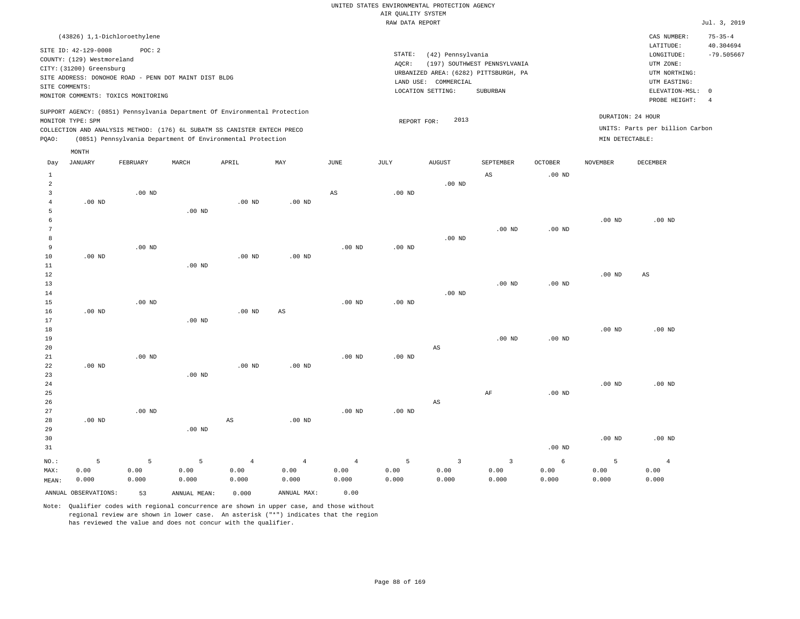| (43826) 1,1-Dichloroethylene                                                                                                                                                                                                                                |                                                                                                                                                                        | CAS NUMBER:                                                                                                | $75 - 35 - 4$             |
|-------------------------------------------------------------------------------------------------------------------------------------------------------------------------------------------------------------------------------------------------------------|------------------------------------------------------------------------------------------------------------------------------------------------------------------------|------------------------------------------------------------------------------------------------------------|---------------------------|
| SITE ID: 42-129-0008<br>POC:2<br>COUNTY: (129) Westmoreland<br>CITY: (31200) Greensburg<br>SITE ADDRESS: DONOHOE ROAD - PENN DOT MAINT DIST BLDG<br>SITE COMMENTS:<br>MONITOR COMMENTS: TOXICS MONITORING                                                   | STATE:<br>(42) Pennsylvania<br>(197) SOUTHWEST PENNSYLVANIA<br>AOCR:<br>URBANIZED AREA: (6282) PITTSBURGH, PA<br>LAND USE: COMMERCIAL<br>LOCATION SETTING:<br>SUBURBAN | LATITUDE:<br>LONGITUDE:<br>UTM ZONE:<br>UTM NORTHING:<br>UTM EASTING:<br>ELEVATION-MSL: 0<br>PROBE HEIGHT: | 40.304694<br>$-79.505667$ |
| SUPPORT AGENCY: (0851) Pennsylvania Department Of Environmental Protection<br>MONITOR TYPE: SPM<br>COLLECTION AND ANALYSIS METHOD: (176) 6L SUBATM SS CANISTER ENTECH PRECO<br>(0851) Pennsylvania Department Of Environmental Protection<br>POAO:<br>MONTH | DURATION: 24 HOUR<br>2013<br>REPORT FOR:<br>MIN DETECTABLE:                                                                                                            | UNITS: Parts per billion Carbon                                                                            |                           |

| Day            | JANUARY  | FEBRUARY | MARCH    | APRIL                  | MAY            | JUNE                   | JULY     | AUGUST                  | SEPTEMBER               | OCTOBER    | NOVEMBER | DECEMBER               |
|----------------|----------|----------|----------|------------------------|----------------|------------------------|----------|-------------------------|-------------------------|------------|----------|------------------------|
| $\mathbf{1}$   |          |          |          |                        |                |                        |          |                         | $\mathbb{A}\mathbb{S}$  | $.00$ ND   |          |                        |
| $\overline{a}$ |          |          |          |                        |                |                        |          | $.00$ ND                |                         |            |          |                        |
| 3              |          | $.00$ ND |          |                        |                | $\mathbb{A}\mathbb{S}$ | $.00$ ND |                         |                         |            |          |                        |
| 4              | $.00$ ND |          |          | .00 <sub>ND</sub>      | .00 $ND$       |                        |          |                         |                         |            |          |                        |
| 5              |          |          | $.00$ ND |                        |                |                        |          |                         |                         |            |          |                        |
| 6              |          |          |          |                        |                |                        |          |                         |                         |            | $.00$ ND | $.00$ ND               |
| 7              |          |          |          |                        |                |                        |          |                         | $.00$ ND                | .00 $ND$   |          |                        |
| 8              |          |          |          |                        |                |                        |          | $.00$ ND                |                         |            |          |                        |
| 9              |          | $.00$ ND |          |                        |                | $.00$ ND               | $.00$ ND |                         |                         |            |          |                        |
| 10             | $.00$ ND |          |          | .00 <sub>ND</sub>      | $.00$ ND       |                        |          |                         |                         |            |          |                        |
| 11             |          |          | $.00$ ND |                        |                |                        |          |                         |                         |            |          |                        |
| 12             |          |          |          |                        |                |                        |          |                         |                         |            | $.00$ ND | $\mathbb{A}\mathbb{S}$ |
| 13             |          |          |          |                        |                |                        |          |                         | $.00$ ND                | $.00$ ND   |          |                        |
| 14             |          |          |          |                        |                |                        |          | $.00$ ND                |                         |            |          |                        |
| 15             |          | $.00$ ND |          |                        |                | $.00$ ND               | $.00$ ND |                         |                         |            |          |                        |
| 16             | $.00$ ND |          |          | $.00$ ND               | $_{\rm AS}$    |                        |          |                         |                         |            |          |                        |
| 17             |          |          | $.00$ ND |                        |                |                        |          |                         |                         |            |          |                        |
| $18\,$         |          |          |          |                        |                |                        |          |                         |                         |            | $.00$ ND | $.00$ ND               |
| 19             |          |          |          |                        |                |                        |          |                         | $.00$ ND                | $.00$ ND   |          |                        |
| 20             |          |          |          |                        |                |                        |          | $\mathbb{A}\mathbb{S}$  |                         |            |          |                        |
| 21             |          | $.00$ ND |          |                        |                | $.00$ ND               | $.00$ ND |                         |                         |            |          |                        |
| $2\sqrt{2}$    | $.00$ ND |          |          | .00 <sub>ND</sub>      | $.00$ ND       |                        |          |                         |                         |            |          |                        |
| 23             |          |          | $.00$ ND |                        |                |                        |          |                         |                         |            |          |                        |
| $2\sqrt{4}$    |          |          |          |                        |                |                        |          |                         |                         |            | $.00$ ND | $.00$ ND               |
| 25             |          |          |          |                        |                |                        |          |                         | $\rm AF$                | $.00$ ND   |          |                        |
| 26             |          |          |          |                        |                |                        |          | $\mathbb{A}\mathbb{S}$  |                         |            |          |                        |
| 27             |          | $.00$ ND |          |                        |                | $.00$ ND               | .00 $ND$ |                         |                         |            |          |                        |
| 28             | $.00$ ND |          |          | $\mathbb{A}\mathbb{S}$ | $.00$ ND       |                        |          |                         |                         |            |          |                        |
| 29             |          |          | $.00$ ND |                        |                |                        |          |                         |                         |            |          |                        |
| 30<br>31       |          |          |          |                        |                |                        |          |                         |                         | $.00$ ND   | $.00$ ND | $.00$ ND               |
|                |          |          |          |                        |                |                        |          |                         |                         |            |          |                        |
| $NO.$ :        | 5        | 5        | 5        | $\,4$                  | $\overline{4}$ | $\overline{4}$         | 5        | $\overline{\mathbf{3}}$ | $\overline{\mathbf{3}}$ | $\epsilon$ | 5        | $\overline{4}$         |
| MAX:           | 0.00     | 0.00     | 0.00     | 0.00                   | 0.00           | 0.00                   | 0.00     | 0.00                    | 0.00                    | 0.00       | 0.00     | 0.00                   |
| MEAN:          | 0.000    | 0.000    | 0.000    | 0.000                  | 0.000          | 0.000                  | 0.000    | 0.000                   | 0.000                   | 0.000      | 0.000    | 0.000                  |
|                |          |          |          |                        |                |                        |          |                         |                         |            |          |                        |

ANNUAL OBSERVATIONS: 53 ANNUAL MEAN: 0.000 ANNUAL MAX: 0.00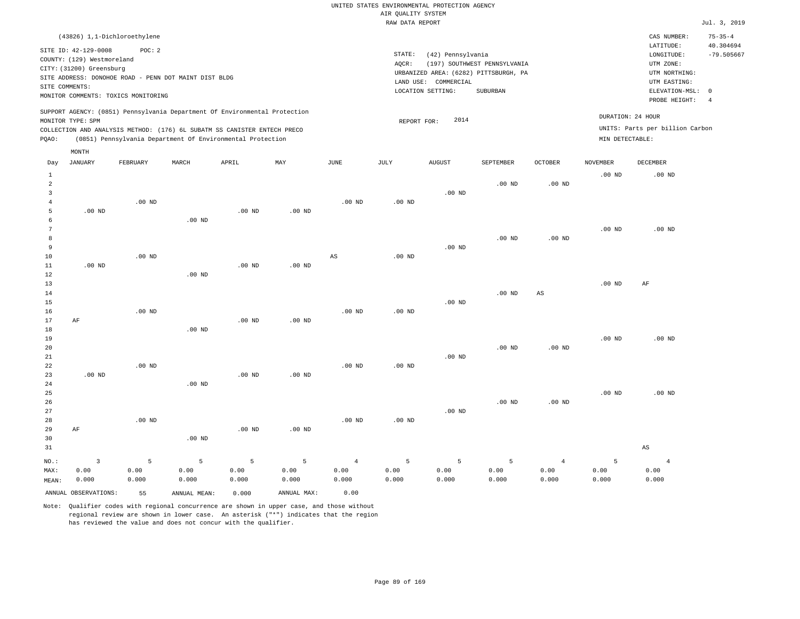|                                                                                                                                                                        | CAS NUMBER:                                                                            | $75 - 35 - 4$                                                                               |
|------------------------------------------------------------------------------------------------------------------------------------------------------------------------|----------------------------------------------------------------------------------------|---------------------------------------------------------------------------------------------|
| STATE:<br>(42) Pennsylvania<br>(197) SOUTHWEST PENNSYLVANIA<br>AOCR:<br>URBANIZED AREA: (6282) PITTSBURGH, PA<br>LAND USE: COMMERCIAL<br>LOCATION SETTING:<br>SUBURBAN | LATITUDE:<br>LONGITUDE:<br>UTM ZONE:<br>UTM NORTHING:<br>UTM EASTING:<br>PROBE HEIGHT: | 40.304694<br>$-79.505667$                                                                   |
| 2014<br>REPORT FOR:                                                                                                                                                    |                                                                                        |                                                                                             |
|                                                                                                                                                                        |                                                                                        | ELEVATION-MSL: 0<br>DURATION: 24 HOUR<br>UNITS: Parts per billion Carbon<br>MIN DETECTABLE: |

| Day            | <b>JANUARY</b>       | FEBRUARY | $\tt MARCH$  | APRIL             | $\mathtt{MAX}$    | $_{\rm JUNE}$  | $\mathtt{JULY}$   | AUGUST   | SEPTEMBER | OCTOBER                | NOVEMBER | $\tt DECEMBER$    |
|----------------|----------------------|----------|--------------|-------------------|-------------------|----------------|-------------------|----------|-----------|------------------------|----------|-------------------|
| $\mathbf{1}$   |                      |          |              |                   |                   |                |                   |          |           |                        | $.00$ ND | .00 <sub>ND</sub> |
| $\overline{a}$ |                      |          |              |                   |                   |                |                   |          | $.00$ ND  | $.00$ ND               |          |                   |
| 3              |                      |          |              |                   |                   |                |                   | $.00$ ND |           |                        |          |                   |
| 4              |                      | $.00$ ND |              |                   |                   | $.00$ ND       | $.00$ ND          |          |           |                        |          |                   |
| 5              | $.00$ ND             |          |              | .00 <sub>ND</sub> | .00 <sub>ND</sub> |                |                   |          |           |                        |          |                   |
| 6              |                      |          | $.00$ ND     |                   |                   |                |                   |          |           |                        |          |                   |
| 7              |                      |          |              |                   |                   |                |                   |          |           |                        | $.00$ ND | $.00$ ND          |
| 8<br>9         |                      |          |              |                   |                   |                |                   | .00 $ND$ | $.00$ ND  | $.00$ ND               |          |                   |
| 10             |                      | $.00$ ND |              |                   |                   | AS             | $.00$ ND          |          |           |                        |          |                   |
| 11             | $.00$ ND             |          |              | $.00$ ND          | $.00$ ND          |                |                   |          |           |                        |          |                   |
| 12             |                      |          | $.00$ ND     |                   |                   |                |                   |          |           |                        |          |                   |
| 13             |                      |          |              |                   |                   |                |                   |          |           |                        | $.00$ ND | $\rm AF$          |
| 14             |                      |          |              |                   |                   |                |                   |          | $.00$ ND  | $\mathbb{A}\mathbb{S}$ |          |                   |
| 15             |                      |          |              |                   |                   |                |                   | $.00$ ND |           |                        |          |                   |
| 16             |                      | $.00$ ND |              |                   |                   | $.00$ ND       | .00 <sub>ND</sub> |          |           |                        |          |                   |
| 17             | $\rm AF$             |          |              | $.00$ ND          | $.00$ ND          |                |                   |          |           |                        |          |                   |
| 18             |                      |          | $.00$ ND     |                   |                   |                |                   |          |           |                        |          |                   |
| 19             |                      |          |              |                   |                   |                |                   |          |           |                        | $.00$ ND | $.00$ ND          |
| 20             |                      |          |              |                   |                   |                |                   |          | $.00$ ND  | $.00$ ND               |          |                   |
| 21             |                      |          |              |                   |                   |                |                   | $.00$ ND |           |                        |          |                   |
| 22             |                      | $.00$ ND |              |                   |                   | $.00$ ND       | .00 <sub>ND</sub> |          |           |                        |          |                   |
| 23             | $.00$ ND             |          |              | $.00$ ND          | $.00$ ND          |                |                   |          |           |                        |          |                   |
| 24             |                      |          | $.00$ ND     |                   |                   |                |                   |          |           |                        |          |                   |
| 25             |                      |          |              |                   |                   |                |                   |          |           |                        | $.00$ ND | .00 <sub>ND</sub> |
| 26             |                      |          |              |                   |                   |                |                   |          | $.00$ ND  | $.00$ ND               |          |                   |
| 27<br>28       |                      | $.00$ ND |              |                   |                   | $.00$ ND       | $.00$ ND          | $.00$ ND |           |                        |          |                   |
| 29             | $\rm AF$             |          |              | $.00$ ND          | $.00$ ND          |                |                   |          |           |                        |          |                   |
| 30             |                      |          | $.00$ ND     |                   |                   |                |                   |          |           |                        |          |                   |
| 31             |                      |          |              |                   |                   |                |                   |          |           |                        |          | $_{\rm AS}$       |
|                |                      |          |              |                   |                   |                |                   |          |           |                        |          |                   |
| $NO.$ :        | $\mathbf{3}$         | 5        | 5            | 5                 | 5                 | $\overline{4}$ | 5                 | 5        | 5         | $\overline{4}$         | 5        | $\overline{4}$    |
| MAX:           | 0.00                 | 0.00     | 0.00         | 0.00              | 0.00              | 0.00           | 0.00              | 0.00     | 0.00      | 0.00                   | 0.00     | 0.00              |
| MEAN:          | 0.000                | 0.000    | 0.000        | 0.000             | 0.000             | 0.000          | 0.000             | 0.000    | 0.000     | 0.000                  | 0.000    | 0.000             |
|                | ANNUAL OBSERVATIONS: | 55       | ANNUAL MEAN: | 0.000             | ANNUAL MAX:       | 0.00           |                   |          |           |                        |          |                   |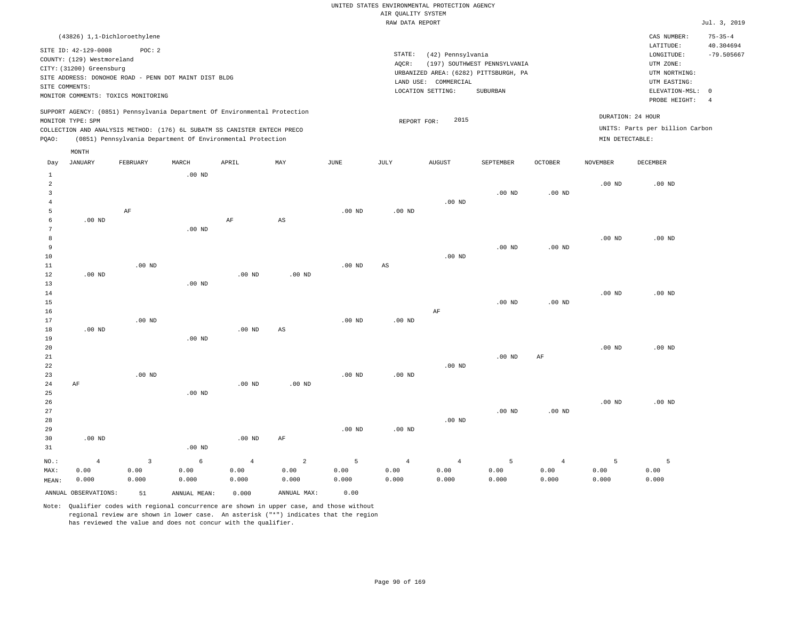| (43826) 1,1-Dichloroethylene                                                                                                                                                                                                                       |                                                                                                                                                                        | CAS NUMBER:                                                                                                | $75 - 35 - 4$             |
|----------------------------------------------------------------------------------------------------------------------------------------------------------------------------------------------------------------------------------------------------|------------------------------------------------------------------------------------------------------------------------------------------------------------------------|------------------------------------------------------------------------------------------------------------|---------------------------|
| SITE ID: 42-129-0008<br>POC: 2<br>COUNTY: (129) Westmoreland<br>CITY: (31200) Greensburg<br>SITE ADDRESS: DONOHOE ROAD - PENN DOT MAINT DIST BLDG<br>SITE COMMENTS:<br>MONITOR COMMENTS: TOXICS MONITORING                                         | STATE:<br>(42) Pennsylvania<br>(197) SOUTHWEST PENNSYLVANIA<br>AOCR:<br>URBANIZED AREA: (6282) PITTSBURGH, PA<br>LAND USE: COMMERCIAL<br>LOCATION SETTING:<br>SUBURBAN | LATITUDE:<br>LONGITUDE:<br>UTM ZONE:<br>UTM NORTHING:<br>UTM EASTING:<br>ELEVATION-MSL: 0<br>PROBE HEIGHT: | 40.304694<br>$-79.505667$ |
| SUPPORT AGENCY: (0851) Pennsylvania Department Of Environmental Protection<br>MONITOR TYPE: SPM<br>COLLECTION AND ANALYSIS METHOD: (176) 6L SUBATM SS CANISTER ENTECH PRECO<br>(0851) Pennsylvania Department Of Environmental Protection<br>POAO: | 2015<br>REPORT FOR:<br>MIN DETECTABLE:                                                                                                                                 | DURATION: 24 HOUR<br>UNITS: Parts per billion Carbon                                                       |                           |

| Day            | <b>JANUARY</b>       | FEBRUARY     | $\tt MARCH$  | APRIL          | MAY                    | $_{\rm JUNE}$ | $\mathtt{JULY}$        | AUGUST         | SEPTEMBER      | OCTOBER        | <b>NOVEMBER</b> | DECEMBER          |
|----------------|----------------------|--------------|--------------|----------------|------------------------|---------------|------------------------|----------------|----------------|----------------|-----------------|-------------------|
| $\mathbf{1}$   |                      |              | $.00$ ND     |                |                        |               |                        |                |                |                |                 |                   |
| $\overline{a}$ |                      |              |              |                |                        |               |                        |                |                |                | $.00$ ND        | .00 <sub>ND</sub> |
| 3              |                      |              |              |                |                        |               |                        |                | $.00$ ND       | $.00$ ND       |                 |                   |
| $\overline{4}$ |                      |              |              |                |                        |               |                        | $.00$ ND       |                |                |                 |                   |
| 5              |                      | AF           |              |                |                        | $.00$ ND      | $.00$ ND               |                |                |                |                 |                   |
| 6              | $.00$ ND             |              |              | $\rm AF$       | AS                     |               |                        |                |                |                |                 |                   |
| 7              |                      |              | $.00$ ND     |                |                        |               |                        |                |                |                |                 |                   |
| 8              |                      |              |              |                |                        |               |                        |                |                |                | $.00$ ND        | $.00$ ND          |
| 9              |                      |              |              |                |                        |               |                        |                | $.00$ ND       | $.00$ ND       |                 |                   |
| 10             |                      |              |              |                |                        |               |                        | $.00$ ND       |                |                |                 |                   |
| 11             |                      | $.00$ ND     |              |                |                        | $.00$ ND      | $\mathbb{A}\mathbb{S}$ |                |                |                |                 |                   |
| 12             | .00 <sub>ND</sub>    |              |              | $.00$ ND       | $.00$ ND               |               |                        |                |                |                |                 |                   |
| 13             |                      |              | $.00$ ND     |                |                        |               |                        |                |                |                |                 |                   |
| 14             |                      |              |              |                |                        |               |                        |                |                |                | $.00$ ND        | .00 <sub>ND</sub> |
| 15             |                      |              |              |                |                        |               |                        |                | $.00$ ND       | $.00$ ND       |                 |                   |
| 16             |                      |              |              |                |                        |               |                        | $\rm AF$       |                |                |                 |                   |
| 17             |                      | $.00$ ND     |              |                |                        | $.00$ ND      | $.00$ ND               |                |                |                |                 |                   |
| 18             | $.00$ ND             |              |              | $.00$ ND       | $\mathbb{A}\mathbb{S}$ |               |                        |                |                |                |                 |                   |
| 19             |                      |              | $.00$ ND     |                |                        |               |                        |                |                |                |                 |                   |
| 20             |                      |              |              |                |                        |               |                        |                |                |                | .00 $ND$        | .00 <sub>ND</sub> |
| 21             |                      |              |              |                |                        |               |                        |                | $.00$ ND       | AF             |                 |                   |
| 22             |                      |              |              |                |                        |               |                        | $.00$ ND       |                |                |                 |                   |
| 23             |                      | $.00$ ND     |              |                |                        | $.00$ ND      | $.00$ ND               |                |                |                |                 |                   |
| 24             | AF                   |              |              | $.00$ ND       | $.00$ ND               |               |                        |                |                |                |                 |                   |
| 25             |                      |              | $.00$ ND     |                |                        |               |                        |                |                |                |                 |                   |
| 26             |                      |              |              |                |                        |               |                        |                |                |                | $.00$ ND        | $.00$ ND          |
| 27             |                      |              |              |                |                        |               |                        |                | $.00$ ND       | $.00$ ND       |                 |                   |
| 28             |                      |              |              |                |                        |               |                        | $.00$ ND       |                |                |                 |                   |
| 29             |                      |              |              |                |                        | $.00$ ND      | $.00$ ND               |                |                |                |                 |                   |
| 30             | .00 <sub>ND</sub>    |              |              | $.00$ ND       | AF                     |               |                        |                |                |                |                 |                   |
| 31             |                      |              | $.00$ ND     |                |                        |               |                        |                |                |                |                 |                   |
| $NO.$ :        | $\overline{4}$       | $\mathbf{3}$ | $\epsilon$   | $\overline{4}$ | $\sqrt{2}$             | 5             | $\overline{4}$         | $\overline{4}$ | $\overline{5}$ | $\overline{4}$ | 5               | 5                 |
| MAX:           | 0.00                 | 0.00         | 0.00         | 0.00           | 0.00                   | 0.00          | 0.00                   | 0.00           | 0.00           | 0.00           | 0.00            | 0.00              |
| MEAN:          | 0.000                | 0.000        | 0.000        | 0.000          | 0.000                  | 0.000         | 0.000                  | 0.000          | 0.000          | 0.000          | 0.000           | 0.000             |
|                | ANNUAL OBSERVATIONS: | 51           | ANNUAL MEAN: | 0.000          | ANNUAL MAX:            | 0.00          |                        |                |                |                |                 |                   |

Note: Qualifier codes with regional concurrence are shown in upper case, and those without regional review are shown in lower case. An asterisk ("\*") indicates that the region has reviewed the value and does not concur with the qualifier.

MONTH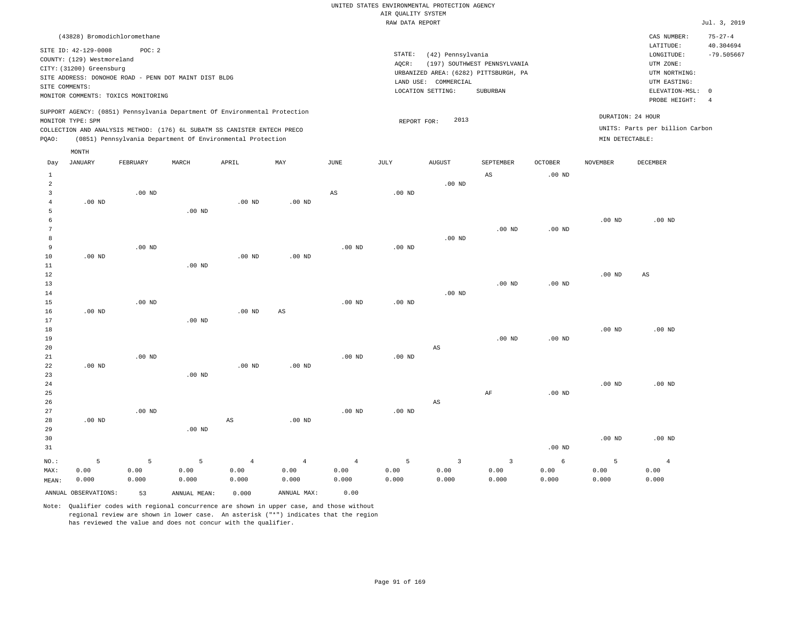| (43828) Bromodichloromethane                                                                                                                                                                                                                                |                                                                                                                                                                        | CAS NUMBER:                                                                                                | $75 - 27 - 4$                   |
|-------------------------------------------------------------------------------------------------------------------------------------------------------------------------------------------------------------------------------------------------------------|------------------------------------------------------------------------------------------------------------------------------------------------------------------------|------------------------------------------------------------------------------------------------------------|---------------------------------|
| SITE ID: 42-129-0008<br>POC:2<br>COUNTY: (129) Westmoreland<br>CITY: (31200) Greensburg<br>SITE ADDRESS: DONOHOE ROAD - PENN DOT MAINT DIST BLDG<br>SITE COMMENTS:<br>MONITOR COMMENTS: TOXICS MONITORING                                                   | STATE:<br>(42) Pennsylvania<br>(197) SOUTHWEST PENNSYLVANIA<br>AOCR:<br>URBANIZED AREA: (6282) PITTSBURGH, PA<br>LAND USE: COMMERCIAL<br>LOCATION SETTING:<br>SUBURBAN | LATITUDE:<br>LONGITUDE:<br>UTM ZONE:<br>UTM NORTHING:<br>UTM EASTING:<br>ELEVATION-MSL: 0<br>PROBE HEIGHT: | 40.304694<br>$-79.505667$<br>-4 |
| SUPPORT AGENCY: (0851) Pennsylvania Department Of Environmental Protection<br>MONITOR TYPE: SPM<br>COLLECTION AND ANALYSIS METHOD: (176) 6L SUBATM SS CANISTER ENTECH PRECO<br>(0851) Pennsylvania Department Of Environmental Protection<br>POAO:<br>MONTH | DURATION: 24 HOUR<br>2013<br>REPORT FOR:<br>MIN DETECTABLE:                                                                                                            | UNITS: Parts per billion Carbon                                                                            |                                 |

| Day            | JANUARY              | FEBRUARY | MARCH        | APRIL                  | MAY                    | JUNE           | JULY     | AUGUST                  | SEPTEMBER               | OCTOBER  | NOVEMBER | DECEMBER               |
|----------------|----------------------|----------|--------------|------------------------|------------------------|----------------|----------|-------------------------|-------------------------|----------|----------|------------------------|
| $\mathbf{1}$   |                      |          |              |                        |                        |                |          |                         | $\mathbb{A}\mathbb{S}$  | $.00$ ND |          |                        |
| $\overline{a}$ |                      |          |              |                        |                        |                |          | $.00$ ND                |                         |          |          |                        |
| 3              |                      | $.00$ ND |              |                        |                        | $_{\rm AS}$    | $.00$ ND |                         |                         |          |          |                        |
| $\overline{4}$ | $.00$ ND             |          |              | $.00$ ND               | $.00$ ND               |                |          |                         |                         |          |          |                        |
| 5              |                      |          | $.00$ ND     |                        |                        |                |          |                         |                         |          |          |                        |
| 6              |                      |          |              |                        |                        |                |          |                         |                         |          | $.00$ ND | $.00$ ND               |
| 7              |                      |          |              |                        |                        |                |          |                         | $.00$ ND                | $.00$ ND |          |                        |
| 8              |                      |          |              |                        |                        |                |          | $.00$ ND                |                         |          |          |                        |
| 9              |                      | $.00$ ND |              |                        |                        | $.00$ ND       | $.00$ ND |                         |                         |          |          |                        |
| 10             | $.00$ ND             |          |              | $.00$ ND               | $.00$ ND               |                |          |                         |                         |          |          |                        |
| 11             |                      |          | $.00$ ND     |                        |                        |                |          |                         |                         |          |          |                        |
| 12             |                      |          |              |                        |                        |                |          |                         |                         |          | $.00$ ND | $\mathbb{A}\mathbb{S}$ |
| 13             |                      |          |              |                        |                        |                |          |                         | $.00$ ND                | $.00$ ND |          |                        |
| 14             |                      |          |              |                        |                        |                |          | $.00$ ND                |                         |          |          |                        |
| 15             |                      | $.00$ ND |              |                        |                        | $.00$ ND       | $.00$ ND |                         |                         |          |          |                        |
| 16             | .00 $ND$             |          |              | $.00$ ND               | $\mathbb{A}\mathbb{S}$ |                |          |                         |                         |          |          |                        |
| 17             |                      |          | $.00$ ND     |                        |                        |                |          |                         |                         |          |          |                        |
| 18             |                      |          |              |                        |                        |                |          |                         |                         |          | $.00$ ND | $.00$ ND               |
| 19             |                      |          |              |                        |                        |                |          |                         | $.00$ ND                | $.00$ ND |          |                        |
| 20             |                      |          |              |                        |                        |                |          | $\mathbb{A}\mathbb{S}$  |                         |          |          |                        |
| $21\,$         |                      | $.00$ ND |              |                        |                        | $.00$ ND       | $.00$ ND |                         |                         |          |          |                        |
| 22             | .00 $ND$             |          |              | $.00$ ND               | $.00$ ND               |                |          |                         |                         |          |          |                        |
| 23             |                      |          | $.00$ ND     |                        |                        |                |          |                         |                         |          |          |                        |
| 24             |                      |          |              |                        |                        |                |          |                         |                         |          | $.00$ ND | $.00$ ND               |
| 25             |                      |          |              |                        |                        |                |          |                         | $\rm AF$                | $.00$ ND |          |                        |
| 26             |                      |          |              |                        |                        |                |          | $\mathbb{A}\mathbb{S}$  |                         |          |          |                        |
| 27             |                      | .00 $ND$ |              |                        |                        | $.00$ ND       | $.00$ ND |                         |                         |          |          |                        |
| 28             | $.00$ ND             |          |              | $\mathbb{A}\mathbb{S}$ | $.00$ ND               |                |          |                         |                         |          |          |                        |
| 29             |                      |          | $.00$ ND     |                        |                        |                |          |                         |                         |          |          |                        |
| 30             |                      |          |              |                        |                        |                |          |                         |                         |          | $.00$ ND | $.00$ ND               |
| 31             |                      |          |              |                        |                        |                |          |                         |                         | $.00$ ND |          |                        |
| $_{\rm NO.}$ : | 5                    | 5        | 5            | $\overline{4}$         | $\overline{4}$         | $\overline{4}$ | 5        | $\overline{\mathbf{3}}$ | $\overline{\mathbf{3}}$ | 6        | 5        | $\overline{4}$         |
| MAX:           | 0.00                 | 0.00     | 0.00         | 0.00                   | 0.00                   | 0.00           | 0.00     | 0.00                    | 0.00                    | 0.00     | 0.00     | 0.00                   |
| MEAN:          | 0.000                | 0.000    | 0.000        | 0.000                  | 0.000                  | 0.000          | 0.000    | 0.000                   | 0.000                   | 0.000    | 0.000    | 0.000                  |
|                | ANNUAL OBSERVATIONS: | 53       | ANNUAL MEAN: | 0.000                  | ANNUAL MAX:            | 0.00           |          |                         |                         |          |          |                        |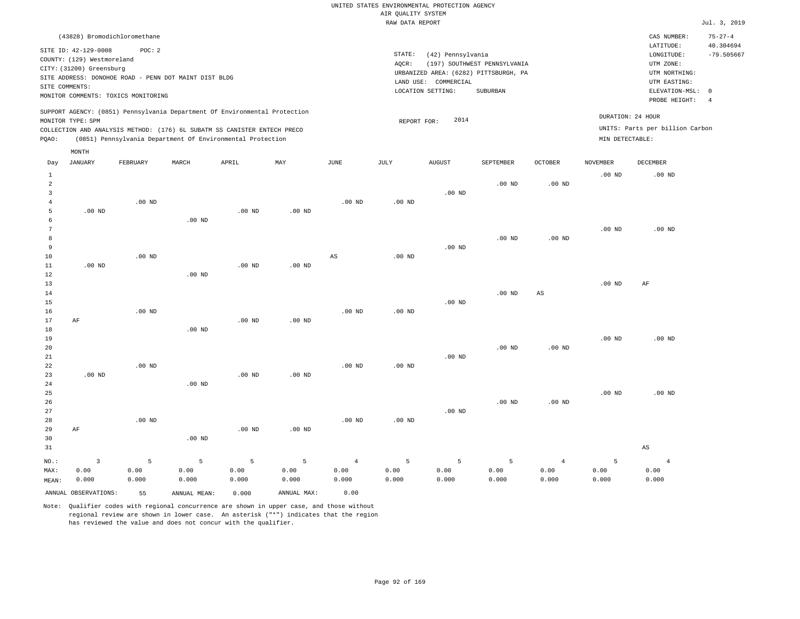| (43828) Bromodichloromethane                                                                                                                                                                                                                                |                                                                                                                                                                        | CAS NUMBER:<br>$75 - 27 - 4$                                                                                                                  |
|-------------------------------------------------------------------------------------------------------------------------------------------------------------------------------------------------------------------------------------------------------------|------------------------------------------------------------------------------------------------------------------------------------------------------------------------|-----------------------------------------------------------------------------------------------------------------------------------------------|
| SITE ID: 42-129-0008<br>POC:2<br>COUNTY: (129) Westmoreland<br>CITY: (31200) Greensburg<br>SITE ADDRESS: DONOHOE ROAD - PENN DOT MAINT DIST BLDG<br>SITE COMMENTS:<br>MONITOR COMMENTS: TOXICS MONITORING                                                   | STATE:<br>(42) Pennsylvania<br>(197) SOUTHWEST PENNSYLVANIA<br>AOCR:<br>URBANIZED AREA: (6282) PITTSBURGH, PA<br>LAND USE: COMMERCIAL<br>LOCATION SETTING:<br>SUBURBAN | 40.304694<br>LATITUDE:<br>$-79.505667$<br>LONGITUDE:<br>UTM ZONE:<br>UTM NORTHING:<br>UTM EASTING:<br>ELEVATION-MSL: 0<br>PROBE HEIGHT:<br>-4 |
| SUPPORT AGENCY: (0851) Pennsylvania Department Of Environmental Protection<br>MONITOR TYPE: SPM<br>COLLECTION AND ANALYSIS METHOD: (176) 6L SUBATM SS CANISTER ENTECH PRECO<br>(0851) Pennsylvania Department Of Environmental Protection<br>POAO:<br>MONTH | 2014<br>REPORT FOR:                                                                                                                                                    | DURATION: 24 HOUR<br>UNITS: Parts per billion Carbon<br>MIN DETECTABLE:                                                                       |

| Day                     | JANUARY              | FEBRUARY | $\tt MARCH$  | APRIL    | MAY         | $_{\rm JUNE}$  | $_{\rm JULY}$ | AUGUST   | SEPTEMBER         | OCTOBER        | NOVEMBER          | DECEMBER               |
|-------------------------|----------------------|----------|--------------|----------|-------------|----------------|---------------|----------|-------------------|----------------|-------------------|------------------------|
| $\mathbf{1}$            |                      |          |              |          |             |                |               |          |                   |                | $.00$ ND          | .00 <sub>ND</sub>      |
| $\overline{\mathbf{c}}$ |                      |          |              |          |             |                |               |          | $.00$ ND          | $.00$ ND       |                   |                        |
| 3                       |                      |          |              |          |             |                |               | $.00$ ND |                   |                |                   |                        |
| $\overline{4}$          |                      | $.00$ ND |              |          |             | $.00$ ND       | .00 $ND$      |          |                   |                |                   |                        |
| 5                       | $.00$ ND             |          |              | .00 $ND$ | $.00$ ND    |                |               |          |                   |                |                   |                        |
| 6                       |                      |          | $.00$ ND     |          |             |                |               |          |                   |                |                   |                        |
| 7                       |                      |          |              |          |             |                |               |          |                   |                | $.00$ ND          | $.00$ ND               |
| 8                       |                      |          |              |          |             |                |               |          | $.00$ ND          | $.00$ ND       |                   |                        |
| 9                       |                      |          |              |          |             |                |               | $.00$ ND |                   |                |                   |                        |
| 10                      |                      | $.00$ ND |              |          |             | $_{\rm AS}$    | $.00$ ND      |          |                   |                |                   |                        |
| 11                      | $.00$ ND             |          |              | $.00$ ND | $.00$ ND    |                |               |          |                   |                |                   |                        |
| 12                      |                      |          | $.00$ ND     |          |             |                |               |          |                   |                |                   |                        |
| 13<br>14                |                      |          |              |          |             |                |               |          | $.00$ ND          | $_{\rm AS}$    | .00 <sub>ND</sub> | AF                     |
| 15                      |                      |          |              |          |             |                |               | $.00$ ND |                   |                |                   |                        |
| 16                      |                      | $.00$ ND |              |          |             | $.00$ ND       | .00 $ND$      |          |                   |                |                   |                        |
| 17                      | $\rm AF$             |          |              | .00 $ND$ | $.00$ ND    |                |               |          |                   |                |                   |                        |
| 18                      |                      |          | $.00$ ND     |          |             |                |               |          |                   |                |                   |                        |
| 19                      |                      |          |              |          |             |                |               |          |                   |                | $.00$ ND          | $.00$ ND               |
| 20                      |                      |          |              |          |             |                |               |          | .00 <sub>ND</sub> | $.00$ ND       |                   |                        |
| $2\sqrt{1}$             |                      |          |              |          |             |                |               | $.00$ ND |                   |                |                   |                        |
| 22                      |                      | $.00$ ND |              |          |             | $.00$ ND       | $.00$ ND      |          |                   |                |                   |                        |
| 23                      | $.00$ ND             |          |              | $.00$ ND | $.00$ ND    |                |               |          |                   |                |                   |                        |
| 24                      |                      |          | $.00$ ND     |          |             |                |               |          |                   |                |                   |                        |
| 25                      |                      |          |              |          |             |                |               |          |                   |                | .00 <sub>ND</sub> | $.00$ ND               |
| 26                      |                      |          |              |          |             |                |               |          | $.00$ ND          | $.00$ ND       |                   |                        |
| 27                      |                      |          |              |          |             |                |               | $.00$ ND |                   |                |                   |                        |
| 28                      |                      | $.00$ ND |              |          |             | $.00$ ND       | $.00$ ND      |          |                   |                |                   |                        |
| 29                      | $\rm AF$             |          |              | $.00$ ND | $.00$ ND    |                |               |          |                   |                |                   |                        |
| 30                      |                      |          | $.00$ ND     |          |             |                |               |          |                   |                |                   |                        |
| 31                      |                      |          |              |          |             |                |               |          |                   |                |                   | $\mathbb{A}\mathbb{S}$ |
| $_{\rm NO.}$ :          | $\overline{3}$       | 5        | 5            | 5        | 5           | $\overline{4}$ | 5             | 5        | 5                 | $\overline{4}$ | 5                 | $\overline{4}$         |
| MAX:                    | 0.00                 | 0.00     | 0.00         | 0.00     | 0.00        | 0.00           | 0.00          | 0.00     | 0.00              | 0.00           | 0.00              | 0.00                   |
| MEAN:                   | 0.000                | 0.000    | 0.000        | 0.000    | 0.000       | 0.000          | 0.000         | 0.000    | 0.000             | 0.000          | 0.000             | 0.000                  |
|                         | ANNUAL OBSERVATIONS: | 55       | ANNUAL MEAN: | 0.000    | ANNUAL MAX: | 0.00           |               |          |                   |                |                   |                        |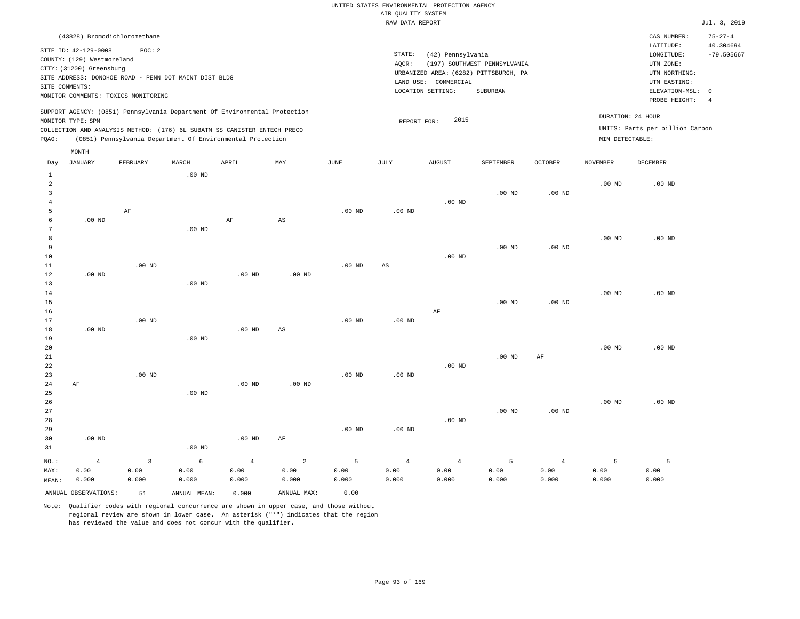| (43828) Bromodichloromethane                                                                                                                                                                                                                                |                                                                                                                                                                        | CAS NUMBER:                                                                                                | $75 - 27 - 4$             |
|-------------------------------------------------------------------------------------------------------------------------------------------------------------------------------------------------------------------------------------------------------------|------------------------------------------------------------------------------------------------------------------------------------------------------------------------|------------------------------------------------------------------------------------------------------------|---------------------------|
| SITE ID: 42-129-0008<br>POC:2<br>COUNTY: (129) Westmoreland<br>CITY: (31200) Greensburg<br>SITE ADDRESS: DONOHOE ROAD - PENN DOT MAINT DIST BLDG<br>SITE COMMENTS:<br>MONITOR COMMENTS: TOXICS MONITORING                                                   | STATE:<br>(42) Pennsylvania<br>(197) SOUTHWEST PENNSYLVANIA<br>AOCR:<br>URBANIZED AREA: (6282) PITTSBURGH, PA<br>LAND USE: COMMERCIAL<br>LOCATION SETTING:<br>SUBURBAN | LATITUDE:<br>LONGITUDE:<br>UTM ZONE:<br>UTM NORTHING:<br>UTM EASTING:<br>ELEVATION-MSL: 0<br>PROBE HEIGHT: | 40.304694<br>$-79.505667$ |
| SUPPORT AGENCY: (0851) Pennsylvania Department Of Environmental Protection<br>MONITOR TYPE: SPM<br>COLLECTION AND ANALYSIS METHOD: (176) 6L SUBATM SS CANISTER ENTECH PRECO<br>(0851) Pennsylvania Department Of Environmental Protection<br>POAO:<br>MONTH | 2015<br>REPORT FOR:                                                                                                                                                    | DURATION: 24 HOUR<br>UNITS: Parts per billion Carbon<br>MIN DETECTABLE:                                    |                           |

| Day            | <b>JANUARY</b>       | FEBRUARY    | MARCH        | APRIL          | MAY                    | $_{\rm JUNE}$     | JULY                   | <b>AUGUST</b>  | SEPTEMBER         | OCTOBER           | <b>NOVEMBER</b> | DECEMBER |
|----------------|----------------------|-------------|--------------|----------------|------------------------|-------------------|------------------------|----------------|-------------------|-------------------|-----------------|----------|
| $\mathbf{1}$   |                      |             | $.00$ ND     |                |                        |                   |                        |                |                   |                   |                 |          |
| $\overline{2}$ |                      |             |              |                |                        |                   |                        |                |                   |                   | $.00$ ND        | $.00$ ND |
| 3              |                      |             |              |                |                        |                   |                        |                | .00 <sub>ND</sub> | $.00$ ND          |                 |          |
| $\overline{4}$ |                      |             |              |                |                        |                   |                        | $.00$ ND       |                   |                   |                 |          |
| 5              |                      | AF          |              |                |                        | $.00$ ND          | $.00$ ND               |                |                   |                   |                 |          |
| 6              | $.00$ ND             |             |              | $\rm AF$       | $\mathbb{A}\mathbb{S}$ |                   |                        |                |                   |                   |                 |          |
| 7              |                      |             | $.00$ ND     |                |                        |                   |                        |                |                   |                   |                 |          |
| 8              |                      |             |              |                |                        |                   |                        |                |                   |                   | $.00$ ND        | $.00$ ND |
| 9              |                      |             |              |                |                        |                   |                        |                | .00 <sub>ND</sub> | $.00$ ND          |                 |          |
| 10             |                      |             |              |                |                        |                   |                        | $.00$ ND       |                   |                   |                 |          |
| 11             |                      | $.00$ ND    |              |                |                        | $.00$ ND          | $\mathbb{A}\mathbb{S}$ |                |                   |                   |                 |          |
| 12             | $.00$ ND             |             |              | $.00$ ND       | $.00$ ND               |                   |                        |                |                   |                   |                 |          |
| 13             |                      |             | $.00$ ND     |                |                        |                   |                        |                |                   |                   |                 |          |
| 14             |                      |             |              |                |                        |                   |                        |                |                   |                   | $.00$ ND        | $.00$ ND |
| 15             |                      |             |              |                |                        |                   |                        |                | $.00$ ND          | .00 <sub>ND</sub> |                 |          |
| 16             |                      |             |              |                |                        |                   |                        | AF             |                   |                   |                 |          |
| 17             |                      | $.00$ ND    |              |                |                        | .00 <sub>ND</sub> | $.00$ ND               |                |                   |                   |                 |          |
| 18<br>19       | $.00$ ND             |             | .00 $ND$     | $.00$ ND       | $\mathbb{A}\mathbb{S}$ |                   |                        |                |                   |                   |                 |          |
| 20             |                      |             |              |                |                        |                   |                        |                |                   |                   | .00 $ND$        | $.00$ ND |
| 21             |                      |             |              |                |                        |                   |                        |                | $.00$ ND          | AF                |                 |          |
| $2\sqrt{2}$    |                      |             |              |                |                        |                   |                        | $.00$ ND       |                   |                   |                 |          |
| 23             |                      | $.00$ ND    |              |                |                        | $.00$ ND          | $.00$ ND               |                |                   |                   |                 |          |
| $2\sqrt{4}$    | AF                   |             |              | $.00$ ND       | $.00$ ND               |                   |                        |                |                   |                   |                 |          |
| 25             |                      |             | $.00$ ND     |                |                        |                   |                        |                |                   |                   |                 |          |
| 26             |                      |             |              |                |                        |                   |                        |                |                   |                   | $.00$ ND        | $.00$ ND |
| 27             |                      |             |              |                |                        |                   |                        |                | $.00$ ND          | $.00$ ND          |                 |          |
| 28             |                      |             |              |                |                        |                   |                        | $.00$ ND       |                   |                   |                 |          |
| 29             |                      |             |              |                |                        | $.00$ ND          | $.00$ ND               |                |                   |                   |                 |          |
| 30             | $.00$ ND             |             |              | $.00$ ND       | AF                     |                   |                        |                |                   |                   |                 |          |
| 31             |                      |             | $.00$ ND     |                |                        |                   |                        |                |                   |                   |                 |          |
| $NO.$ :        | $\overline{4}$       | $\mathsf 3$ | $\epsilon$   | $\overline{4}$ | $\sqrt{2}$             | $\mathsf S$       | $\overline{4}$         | $\overline{4}$ | $\overline{5}$    | $\overline{4}$    | 5               | 5        |
| MAX:           | 0.00                 | 0.00        | 0.00         | 0.00           | 0.00                   | 0.00              | 0.00                   | 0.00           | 0.00              | 0.00              | 0.00            | 0.00     |
| MEAN:          | 0.000                | 0.000       | 0.000        | 0.000          | 0.000                  | 0.000             | 0.000                  | 0.000          | 0.000             | 0.000             | 0.000           | 0.000    |
|                | ANNUAL OBSERVATIONS: | 51          | ANNUAL MEAN: | 0.000          | ANNUAL MAX:            | 0.00              |                        |                |                   |                   |                 |          |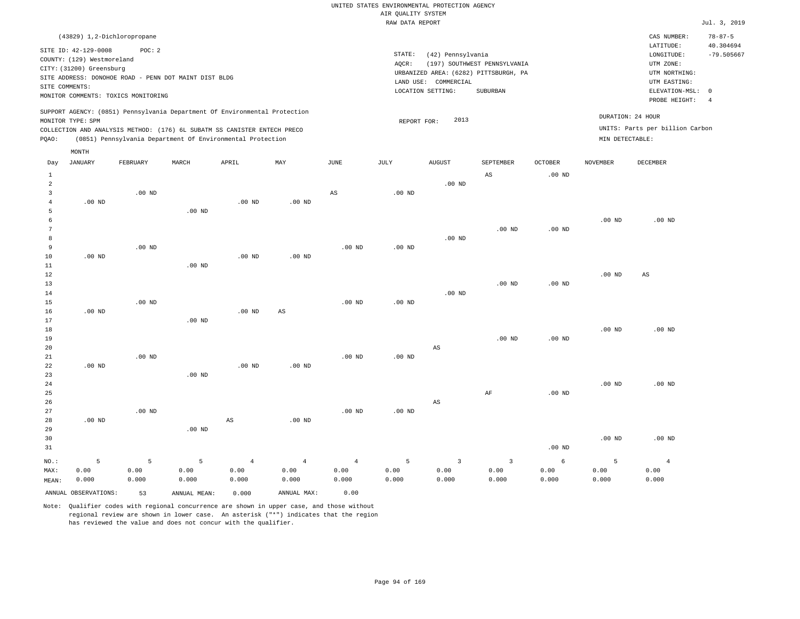| (43829) 1,2-Dichloropropane                                                                                                                                                                                                                                 |                                                                                                                                                                        | CAS NUMBER:                                                                                                | $78 - 87 - 5$                   |
|-------------------------------------------------------------------------------------------------------------------------------------------------------------------------------------------------------------------------------------------------------------|------------------------------------------------------------------------------------------------------------------------------------------------------------------------|------------------------------------------------------------------------------------------------------------|---------------------------------|
| SITE ID: 42-129-0008<br>POC: 2<br>COUNTY: (129) Westmoreland<br>CITY: (31200) Greensburg<br>SITE ADDRESS: DONOHOE ROAD - PENN DOT MAINT DIST BLDG<br>SITE COMMENTS:<br>MONITOR COMMENTS: TOXICS MONITORING                                                  | STATE:<br>(42) Pennsylvania<br>(197) SOUTHWEST PENNSYLVANIA<br>AOCR:<br>URBANIZED AREA: (6282) PITTSBURGH, PA<br>LAND USE: COMMERCIAL<br>LOCATION SETTING:<br>SUBURBAN | LATITUDE:<br>LONGITUDE:<br>UTM ZONE:<br>UTM NORTHING:<br>UTM EASTING:<br>ELEVATION-MSL: 0<br>PROBE HEIGHT: | 40.304694<br>$-79.505667$<br>-4 |
| SUPPORT AGENCY: (0851) Pennsylvania Department Of Environmental Protection<br>MONITOR TYPE: SPM<br>COLLECTION AND ANALYSIS METHOD: (176) 6L SUBATM SS CANISTER ENTECH PRECO<br>(0851) Pennsylvania Department Of Environmental Protection<br>POAO:<br>MONTH | DURATION: 24 HOUR<br>2013<br>REPORT FOR:<br>MIN DETECTABLE:                                                                                                            | UNITS: Parts per billion Carbon                                                                            |                                 |

| Day            | JANUARY              | FEBRUARY    | MARCH        | APRIL             | MAY                    | JUNE           | JULY              | AUGUST                 | SEPTEMBER               | OCTOBER           | NOVEMBER | DECEMBER               |
|----------------|----------------------|-------------|--------------|-------------------|------------------------|----------------|-------------------|------------------------|-------------------------|-------------------|----------|------------------------|
| $\mathbf{1}$   |                      |             |              |                   |                        |                |                   |                        | $\mathbb{A}\mathbb{S}$  | .00 <sub>ND</sub> |          |                        |
| $\overline{a}$ |                      |             |              |                   |                        |                |                   | $.00$ ND               |                         |                   |          |                        |
| 3              |                      | $.00$ ND    |              |                   |                        | $_{\rm AS}$    | .00 <sub>ND</sub> |                        |                         |                   |          |                        |
| $\overline{4}$ | $.00$ ND             |             |              | .00 <sub>ND</sub> | $.00$ ND               |                |                   |                        |                         |                   |          |                        |
| 5              |                      |             | $.00$ ND     |                   |                        |                |                   |                        |                         |                   |          |                        |
| 6              |                      |             |              |                   |                        |                |                   |                        |                         |                   | $.00$ ND | $.00$ ND               |
| 7              |                      |             |              |                   |                        |                |                   |                        | $.00$ ND                | .00 <sub>ND</sub> |          |                        |
| 8              |                      |             |              |                   |                        |                |                   | $.00$ ND               |                         |                   |          |                        |
| 9              |                      | $.00$ ND    |              |                   |                        | $.00$ ND       | .00 <sub>ND</sub> |                        |                         |                   |          |                        |
| $10$           | $.00$ ND             |             |              | .00 <sub>ND</sub> | .00 <sub>ND</sub>      |                |                   |                        |                         |                   |          |                        |
| $11\,$         |                      |             | $.00$ ND     |                   |                        |                |                   |                        |                         |                   |          |                        |
| 12             |                      |             |              |                   |                        |                |                   |                        |                         |                   | $.00$ ND | $\mathbb{A}\mathbb{S}$ |
| 13             |                      |             |              |                   |                        |                |                   |                        | $.00$ ND                | .00 <sub>ND</sub> |          |                        |
| 14             |                      |             |              |                   |                        |                |                   | $.00$ ND               |                         |                   |          |                        |
| 15             |                      | $.00$ ND    |              |                   |                        | $.00$ ND       | .00 <sub>ND</sub> |                        |                         |                   |          |                        |
| 16             | $.00$ ND             |             |              | .00 <sub>ND</sub> | $\mathbb{A}\mathbb{S}$ |                |                   |                        |                         |                   |          |                        |
| 17             |                      |             | $.00$ ND     |                   |                        |                |                   |                        |                         |                   |          |                        |
| 18             |                      |             |              |                   |                        |                |                   |                        |                         |                   | $.00$ ND | $.00$ ND               |
| 19             |                      |             |              |                   |                        |                |                   |                        | $.00$ ND                | .00 <sub>ND</sub> |          |                        |
| 20             |                      |             |              |                   |                        |                |                   | $\mathbb{A}\mathbb{S}$ |                         |                   |          |                        |
| $2\sqrt{1}$    |                      | $.00$ ND    |              |                   |                        | $.00$ ND       | $.00$ ND          |                        |                         |                   |          |                        |
| 22             | .00 $ND$             |             |              | .00 <sub>ND</sub> | $.00$ ND               |                |                   |                        |                         |                   |          |                        |
| 23             |                      |             | $.00$ ND     |                   |                        |                |                   |                        |                         |                   |          |                        |
| $2\,4$         |                      |             |              |                   |                        |                |                   |                        |                         |                   | .00 $ND$ | $.00$ ND               |
| 25             |                      |             |              |                   |                        |                |                   |                        | AF                      | .00 <sub>ND</sub> |          |                        |
| 26             |                      |             |              |                   |                        |                |                   | $\mathbb{A}\mathbb{S}$ |                         |                   |          |                        |
| 27             |                      | $.00$ ND    |              |                   |                        | $.00$ ND       | $.00$ ND          |                        |                         |                   |          |                        |
| 28             | $.00$ ND             |             |              | AS                | $.00$ ND               |                |                   |                        |                         |                   |          |                        |
| 29             |                      |             | $.00$ ND     |                   |                        |                |                   |                        |                         |                   |          |                        |
| 30             |                      |             |              |                   |                        |                |                   |                        |                         |                   | $.00$ ND | $.00$ ND               |
| 31             |                      |             |              |                   |                        |                |                   |                        |                         | .00 <sub>ND</sub> |          |                        |
| $_{\rm NO.}$ : | $\mathsf S$          | $\mathsf S$ | $\mathsf S$  | $\overline{4}$    | $\overline{4}$         | $\overline{4}$ | 5                 | $\overline{3}$         | $\overline{\mathbf{3}}$ | $\epsilon$        | 5        | $\overline{4}$         |
| MAX:           | 0.00                 | 0.00        | 0.00         | 0.00              | 0.00                   | 0.00           | 0.00              | 0.00                   | 0.00                    | 0.00              | 0.00     | 0.00                   |
| MEAN:          | 0.000                | 0.000       | 0.000        | 0.000             | 0.000                  | 0.000          | 0.000             | 0.000                  | 0.000                   | 0.000             | 0.000    | 0.000                  |
|                | ANNUAL OBSERVATIONS: | 53          | ANNUAL MEAN: | 0.000             | ANNUAL MAX:            | 0.00           |                   |                        |                         |                   |          |                        |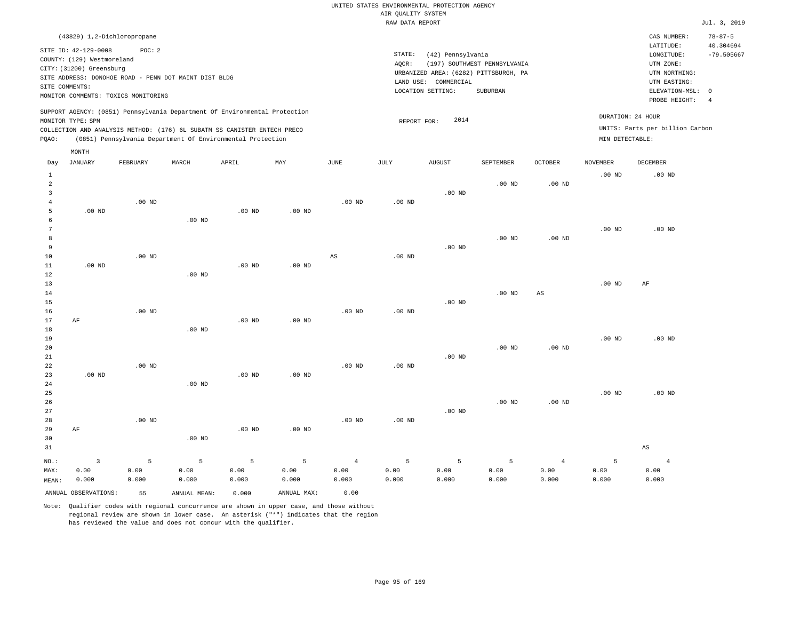|                                                                                                                                                                        | CAS NUMBER:                                                           | $78 - 87 - 5$                                                                                                |
|------------------------------------------------------------------------------------------------------------------------------------------------------------------------|-----------------------------------------------------------------------|--------------------------------------------------------------------------------------------------------------|
| STATE:<br>(42) Pennsylvania<br>(197) SOUTHWEST PENNSYLVANIA<br>AOCR:<br>URBANIZED AREA: (6282) PITTSBURGH, PA<br>LAND USE: COMMERCIAL<br>LOCATION SETTING:<br>SUBURBAN | LATITUDE:<br>LONGITUDE:<br>UTM ZONE:<br>UTM NORTHING:<br>UTM EASTING: | 40.304694<br>$-79.505667$                                                                                    |
| 2014<br>REPORT FOR:                                                                                                                                                    |                                                                       |                                                                                                              |
|                                                                                                                                                                        |                                                                       | ELEVATION-MSL: 0<br>PROBE HEIGHT:<br>DURATION: 24 HOUR<br>UNITS: Parts per billion Carbon<br>MIN DETECTABLE: |

| Day            | <b>JANUARY</b>       | FEBRUARY | $\tt MARCH$  | APRIL    | MAY         | JUNE           | $\mathtt{JULY}$ | AUGUST   | SEPTEMBER | OCTOBER                | <b>NOVEMBER</b> | DECEMBER               |
|----------------|----------------------|----------|--------------|----------|-------------|----------------|-----------------|----------|-----------|------------------------|-----------------|------------------------|
| $\mathbf{1}$   |                      |          |              |          |             |                |                 |          |           |                        | $.00$ ND        | .00 <sub>ND</sub>      |
| $\overline{a}$ |                      |          |              |          |             |                |                 |          | $.00$ ND  | .00 $ND$               |                 |                        |
| 3              |                      |          |              |          |             |                |                 | $.00$ ND |           |                        |                 |                        |
| $\overline{4}$ |                      | $.00$ ND |              |          |             | $.00$ ND       | $.00$ ND        |          |           |                        |                 |                        |
| 5              | $.00$ ND             |          |              | $.00$ ND | $.00$ ND    |                |                 |          |           |                        |                 |                        |
| 6              |                      |          | $.00$ ND     |          |             |                |                 |          |           |                        |                 |                        |
| 7              |                      |          |              |          |             |                |                 |          |           |                        | $.00$ ND        | .00 <sub>ND</sub>      |
| 8              |                      |          |              |          |             |                |                 |          | $.00$ ND  | $.00$ ND               |                 |                        |
| 9              |                      |          |              |          |             |                |                 | $.00$ ND |           |                        |                 |                        |
| 10             |                      | $.00$ ND |              |          |             | AS             | .00 $ND$        |          |           |                        |                 |                        |
| 11             | $.00$ ND             |          |              | $.00$ ND | $.00$ ND    |                |                 |          |           |                        |                 |                        |
| 12             |                      |          | $.00$ ND     |          |             |                |                 |          |           |                        |                 |                        |
| 13<br>14       |                      |          |              |          |             |                |                 |          | $.00$ ND  |                        | $.00$ ND        | AF                     |
| 15             |                      |          |              |          |             |                |                 | $.00$ ND |           | $\mathbb{A}\mathbb{S}$ |                 |                        |
| 16             |                      | $.00$ ND |              |          |             | $.00$ ND       | $.00$ ND        |          |           |                        |                 |                        |
| 17             | AF                   |          |              | $.00$ ND | $.00$ ND    |                |                 |          |           |                        |                 |                        |
| 18             |                      |          | $.00$ ND     |          |             |                |                 |          |           |                        |                 |                        |
| 19             |                      |          |              |          |             |                |                 |          |           |                        | $.00$ ND        | .00 <sub>ND</sub>      |
| 20             |                      |          |              |          |             |                |                 |          | $.00$ ND  | $.00$ ND               |                 |                        |
| 21             |                      |          |              |          |             |                |                 | $.00$ ND |           |                        |                 |                        |
| 22             |                      | $.00$ ND |              |          |             | $.00$ ND       | $.00$ ND        |          |           |                        |                 |                        |
| 23             | $.00$ ND             |          |              | $.00$ ND | $.00$ ND    |                |                 |          |           |                        |                 |                        |
| 24             |                      |          | $.00$ ND     |          |             |                |                 |          |           |                        |                 |                        |
| 25             |                      |          |              |          |             |                |                 |          |           |                        | $.00$ ND        | .00 <sub>ND</sub>      |
| 26             |                      |          |              |          |             |                |                 |          | $.00$ ND  | $.00$ ND               |                 |                        |
| 27             |                      |          |              |          |             |                |                 | $.00$ ND |           |                        |                 |                        |
| 28             |                      | $.00$ ND |              |          |             | $.00$ ND       | $.00$ ND        |          |           |                        |                 |                        |
| 29             | $\rm AF$             |          |              | $.00$ ND | $.00$ ND    |                |                 |          |           |                        |                 |                        |
| 30             |                      |          | $.00$ ND     |          |             |                |                 |          |           |                        |                 |                        |
| 31             |                      |          |              |          |             |                |                 |          |           |                        |                 | $\mathbb{A}\mathbb{S}$ |
| $NO.$ :        | $\overline{3}$       | 5        | 5            | 5        | 5           | $\overline{4}$ | 5               | 5        | 5         | $\overline{4}$         | 5               | $\overline{4}$         |
| MAX:           | 0.00                 | 0.00     | 0.00         | 0.00     | 0.00        | 0.00           | 0.00            | 0.00     | 0.00      | 0.00                   | 0.00            | 0.00                   |
| MEAN:          | 0.000                | 0.000    | 0.000        | 0.000    | 0.000       | 0.000          | 0.000           | 0.000    | 0.000     | 0.000                  | 0.000           | 0.000                  |
|                | ANNUAL OBSERVATIONS: | 55       | ANNUAL MEAN: | 0.000    | ANNUAL MAX: | 0.00           |                 |          |           |                        |                 |                        |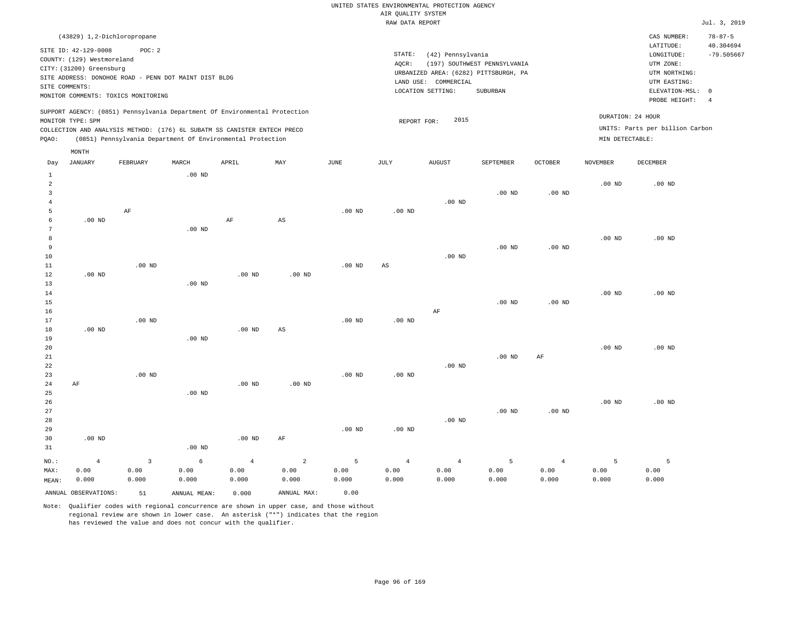| (43829) 1,2-Dichloropropane                                                                                                                                                                                                                        |                                                                                                                                                                        | CAS NUMBER:                                                                                                | $78 - 87 - 5$             |
|----------------------------------------------------------------------------------------------------------------------------------------------------------------------------------------------------------------------------------------------------|------------------------------------------------------------------------------------------------------------------------------------------------------------------------|------------------------------------------------------------------------------------------------------------|---------------------------|
| SITE ID: 42-129-0008<br>POC: 2<br>COUNTY: (129) Westmoreland<br>CITY: (31200) Greensburg<br>SITE ADDRESS: DONOHOE ROAD - PENN DOT MAINT DIST BLDG<br>SITE COMMENTS:<br>MONITOR COMMENTS: TOXICS MONITORING                                         | STATE:<br>(42) Pennsylvania<br>(197) SOUTHWEST PENNSYLVANIA<br>AOCR:<br>URBANIZED AREA: (6282) PITTSBURGH, PA<br>LAND USE: COMMERCIAL<br>LOCATION SETTING:<br>SUBURBAN | LATITUDE:<br>LONGITUDE:<br>UTM ZONE:<br>UTM NORTHING:<br>UTM EASTING:<br>ELEVATION-MSL: 0<br>PROBE HEIGHT: | 40.304694<br>$-79.505667$ |
| SUPPORT AGENCY: (0851) Pennsylvania Department Of Environmental Protection<br>MONITOR TYPE: SPM<br>COLLECTION AND ANALYSIS METHOD: (176) 6L SUBATM SS CANISTER ENTECH PRECO<br>(0851) Pennsylvania Department Of Environmental Protection<br>POAO: | 2015<br>REPORT FOR:                                                                                                                                                    | DURATION: 24 HOUR<br>UNITS: Parts per billion Carbon<br>MIN DETECTABLE:                                    |                           |

| Day            | <b>JANUARY</b>       | FEBRUARY     | $\tt MARCH$  | APRIL          | MAY                    | $_{\rm JUNE}$ | $\mathtt{JULY}$        | AUGUST         | SEPTEMBER      | OCTOBER        | <b>NOVEMBER</b> | DECEMBER          |
|----------------|----------------------|--------------|--------------|----------------|------------------------|---------------|------------------------|----------------|----------------|----------------|-----------------|-------------------|
| $\mathbf{1}$   |                      |              | $.00$ ND     |                |                        |               |                        |                |                |                |                 |                   |
| $\overline{a}$ |                      |              |              |                |                        |               |                        |                |                |                | $.00$ ND        | .00 <sub>ND</sub> |
| 3              |                      |              |              |                |                        |               |                        |                | $.00$ ND       | $.00$ ND       |                 |                   |
| $\overline{4}$ |                      |              |              |                |                        |               |                        | $.00$ ND       |                |                |                 |                   |
| 5              |                      | AF           |              |                |                        | $.00$ ND      | $.00$ ND               |                |                |                |                 |                   |
| 6              | $.00$ ND             |              |              | $\rm AF$       | AS                     |               |                        |                |                |                |                 |                   |
| 7              |                      |              | $.00$ ND     |                |                        |               |                        |                |                |                |                 |                   |
| 8              |                      |              |              |                |                        |               |                        |                |                |                | $.00$ ND        | $.00$ ND          |
| 9              |                      |              |              |                |                        |               |                        |                | $.00$ ND       | $.00$ ND       |                 |                   |
| 10             |                      |              |              |                |                        |               |                        | $.00$ ND       |                |                |                 |                   |
| 11             |                      | $.00$ ND     |              |                |                        | $.00$ ND      | $\mathbb{A}\mathbb{S}$ |                |                |                |                 |                   |
| 12             | .00 <sub>ND</sub>    |              |              | $.00$ ND       | $.00$ ND               |               |                        |                |                |                |                 |                   |
| 13             |                      |              | $.00$ ND     |                |                        |               |                        |                |                |                |                 |                   |
| 14             |                      |              |              |                |                        |               |                        |                |                |                | $.00$ ND        | .00 <sub>ND</sub> |
| 15             |                      |              |              |                |                        |               |                        |                | $.00$ ND       | $.00$ ND       |                 |                   |
| 16             |                      |              |              |                |                        |               |                        | $\rm AF$       |                |                |                 |                   |
| 17             |                      | $.00$ ND     |              |                |                        | $.00$ ND      | $.00$ ND               |                |                |                |                 |                   |
| 18             | $.00$ ND             |              |              | $.00$ ND       | $\mathbb{A}\mathbb{S}$ |               |                        |                |                |                |                 |                   |
| 19             |                      |              | $.00$ ND     |                |                        |               |                        |                |                |                |                 |                   |
| 20             |                      |              |              |                |                        |               |                        |                |                |                | .00 $ND$        | $.00$ ND          |
| 21             |                      |              |              |                |                        |               |                        |                | $.00$ ND       | AF             |                 |                   |
| 22             |                      |              |              |                |                        |               |                        | $.00$ ND       |                |                |                 |                   |
| 23             |                      | $.00$ ND     |              |                |                        | $.00$ ND      | $.00$ ND               |                |                |                |                 |                   |
| 24             | AF                   |              |              | $.00$ ND       | $.00$ ND               |               |                        |                |                |                |                 |                   |
| 25             |                      |              | $.00$ ND     |                |                        |               |                        |                |                |                |                 |                   |
| 26             |                      |              |              |                |                        |               |                        |                |                |                | $.00$ ND        | $.00$ ND          |
| 27             |                      |              |              |                |                        |               |                        |                | $.00$ ND       | $.00$ ND       |                 |                   |
| 28             |                      |              |              |                |                        |               |                        | $.00$ ND       |                |                |                 |                   |
| 29             |                      |              |              |                |                        | $.00$ ND      | $.00$ ND               |                |                |                |                 |                   |
| 30             | $.00$ ND             |              |              | $.00$ ND       | AF                     |               |                        |                |                |                |                 |                   |
| 31             |                      |              | $.00$ ND     |                |                        |               |                        |                |                |                |                 |                   |
| $NO.$ :        | $\overline{4}$       | $\mathbf{3}$ | $\epsilon$   | $\overline{4}$ | $\sqrt{2}$             | 5             | $\overline{4}$         | $\overline{4}$ | $\overline{5}$ | $\overline{4}$ | 5               | 5                 |
| MAX:           | 0.00                 | 0.00         | 0.00         | 0.00           | 0.00                   | 0.00          | 0.00                   | 0.00           | 0.00           | 0.00           | 0.00            | 0.00              |
| MEAN:          | 0.000                | 0.000        | 0.000        | 0.000          | 0.000                  | 0.000         | 0.000                  | 0.000          | 0.000          | 0.000          | 0.000           | 0.000             |
|                | ANNUAL OBSERVATIONS: | 51           | ANNUAL MEAN: | 0.000          | ANNUAL MAX:            | 0.00          |                        |                |                |                |                 |                   |

Note: Qualifier codes with regional concurrence are shown in upper case, and those without regional review are shown in lower case. An asterisk ("\*") indicates that the region has reviewed the value and does not concur with the qualifier.

MONTH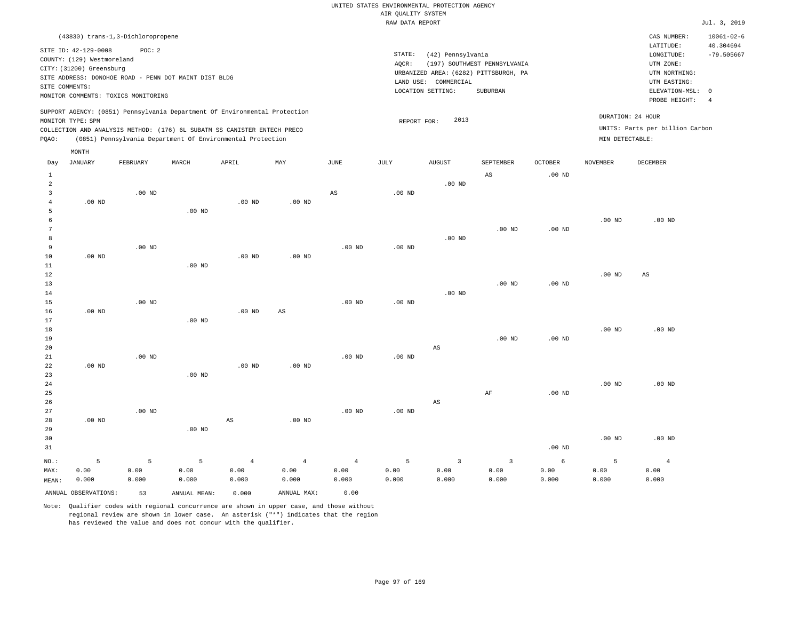| (43830) trans-1,3-Dichloropropene                                                                                                                                                                                                                           |                                                                                                                                                                           | CAS NUMBER:                                                                                                | $10061 - 02 - 6$                |
|-------------------------------------------------------------------------------------------------------------------------------------------------------------------------------------------------------------------------------------------------------------|---------------------------------------------------------------------------------------------------------------------------------------------------------------------------|------------------------------------------------------------------------------------------------------------|---------------------------------|
| SITE ID: 42-129-0008<br>POC:2<br>COUNTY: (129) Westmoreland<br>CITY: (31200) Greensburg<br>SITE ADDRESS: DONOHOE ROAD - PENN DOT MAINT DIST BLDG<br>SITE COMMENTS:<br>MONITOR COMMENTS: TOXICS MONITORING                                                   | STATE:<br>(42) Pennsylvania<br>(197) SOUTHWEST PENNSYLVANIA<br>AOCR:<br>URBANIZED AREA: (6282) PITTSBURGH, PA<br>LAND USE:<br>COMMERCIAL<br>LOCATION SETTING:<br>SUBURBAN | LATITUDE:<br>LONGITUDE:<br>UTM ZONE:<br>UTM NORTHING:<br>UTM EASTING:<br>ELEVATION-MSL: 0<br>PROBE HEIGHT: | 40.304694<br>$-79.505667$<br>-4 |
| SUPPORT AGENCY: (0851) Pennsylvania Department Of Environmental Protection<br>MONITOR TYPE: SPM<br>COLLECTION AND ANALYSIS METHOD: (176) 6L SUBATM SS CANISTER ENTECH PRECO<br>(0851) Pennsylvania Department Of Environmental Protection<br>POAO:<br>MONTH | 2013<br>REPORT FOR:                                                                                                                                                       | DURATION: 24 HOUR<br>UNITS: Parts per billion Carbon<br>MIN DETECTABLE:                                    |                                 |

| Day            | JANUARY              | FEBRUARY | MARCH        | APRIL             | $\ensuremath{\text{MAX}}$ | $_{\rm JUNE}$          | JULY              | ${\tt AUGUST}$         | SEPTEMBER               | OCTOBER  | NOVEMBER          | DECEMBER               |
|----------------|----------------------|----------|--------------|-------------------|---------------------------|------------------------|-------------------|------------------------|-------------------------|----------|-------------------|------------------------|
| $\mathbf{1}$   |                      |          |              |                   |                           |                        |                   |                        | $_{\rm AS}$             | $.00$ ND |                   |                        |
| $\overline{a}$ |                      |          |              |                   |                           |                        |                   | $.00$ ND               |                         |          |                   |                        |
| 3              |                      | $.00$ ND |              |                   |                           | $\mathbb{A}\mathbb{S}$ | $.00$ ND          |                        |                         |          |                   |                        |
| 4              | $.00$ ND             |          |              | .00 <sub>ND</sub> | $.00$ ND                  |                        |                   |                        |                         |          |                   |                        |
| 5              |                      |          | $.00$ ND     |                   |                           |                        |                   |                        |                         |          |                   |                        |
| 6              |                      |          |              |                   |                           |                        |                   |                        |                         |          | $.00$ ND          | $.00$ ND               |
| 7              |                      |          |              |                   |                           |                        |                   |                        | $.00$ ND                | $.00$ ND |                   |                        |
| 8              |                      |          |              |                   |                           |                        |                   | $.00$ ND               |                         |          |                   |                        |
| 9              |                      | $.00$ ND |              |                   |                           | $.00$ ND               | $.00$ ND          |                        |                         |          |                   |                        |
| 10             | $.00$ ND             |          |              | .00 <sub>ND</sub> | $.00$ ND                  |                        |                   |                        |                         |          |                   |                        |
| $11\,$         |                      |          | $.00$ ND     |                   |                           |                        |                   |                        |                         |          |                   |                        |
| $12\,$         |                      |          |              |                   |                           |                        |                   |                        |                         |          | $.00$ ND          | $\mathbb{A}\mathbb{S}$ |
| 13             |                      |          |              |                   |                           |                        |                   |                        | $.00$ ND                | .00 $ND$ |                   |                        |
| 14             |                      |          |              |                   |                           |                        |                   | $.00$ ND               |                         |          |                   |                        |
| 15             |                      | $.00$ ND |              |                   |                           | .00 $ND$               | .00 $ND$          |                        |                         |          |                   |                        |
| 16             | $.00$ ND             |          |              | .00 <sub>ND</sub> | $_{\rm AS}$               |                        |                   |                        |                         |          |                   |                        |
| 17             |                      |          | $.00$ ND     |                   |                           |                        |                   |                        |                         |          |                   |                        |
| 18             |                      |          |              |                   |                           |                        |                   |                        |                         |          | .00 <sub>ND</sub> | $.00$ ND               |
| 19             |                      |          |              |                   |                           |                        |                   |                        | $.00$ ND                | $.00$ ND |                   |                        |
| $20\,$         |                      |          |              |                   |                           |                        |                   | $\mathbb{A}\mathbb{S}$ |                         |          |                   |                        |
| 21             |                      | $.00$ ND |              |                   |                           | $.00$ ND               | .00 <sub>ND</sub> |                        |                         |          |                   |                        |
| 22             | $.00$ ND             |          |              | .00 <sub>ND</sub> | $.00$ ND                  |                        |                   |                        |                         |          |                   |                        |
| 23             |                      |          | $.00$ ND     |                   |                           |                        |                   |                        |                         |          |                   |                        |
| 24             |                      |          |              |                   |                           |                        |                   |                        |                         |          | $.00$ ND          | $.00$ ND               |
| 25             |                      |          |              |                   |                           |                        |                   |                        | $\rm AF$                | $.00$ ND |                   |                        |
| 26<br>27       |                      | $.00$ ND |              |                   |                           |                        |                   | $\mathbb{A}\mathbb{S}$ |                         |          |                   |                        |
| 28             | $.00$ ND             |          |              | AS                | $.00$ ND                  | $.00$ ND               | .00 $ND$          |                        |                         |          |                   |                        |
| 29             |                      |          | .00 $ND$     |                   |                           |                        |                   |                        |                         |          |                   |                        |
| 30             |                      |          |              |                   |                           |                        |                   |                        |                         |          | $.00$ ND          | $.00$ ND               |
| 31             |                      |          |              |                   |                           |                        |                   |                        |                         | $.00$ ND |                   |                        |
|                |                      |          |              |                   |                           |                        |                   |                        |                         |          |                   |                        |
| $NO.$ :        | 5                    | 5        | 5            | $\overline{4}$    | $\overline{4}$            | $\overline{4}$         | 5                 | $\overline{3}$         | $\overline{\mathbf{3}}$ | 6        | 5                 | $\overline{4}$         |
| MAX:           | 0.00                 | 0.00     | 0.00         | 0.00              | 0.00                      | 0.00                   | 0.00              | 0.00                   | 0.00                    | 0.00     | 0.00              | 0.00                   |
| MEAN:          | 0.000                | 0.000    | 0.000        | 0.000             | 0.000                     | 0.000                  | 0.000             | 0.000                  | 0.000                   | 0.000    | 0.000             | 0.000                  |
|                | ANNUAL OBSERVATIONS: | 53       | ANNUAL MEAN: | 0.000             | ANNUAL MAX:               | 0.00                   |                   |                        |                         |          |                   |                        |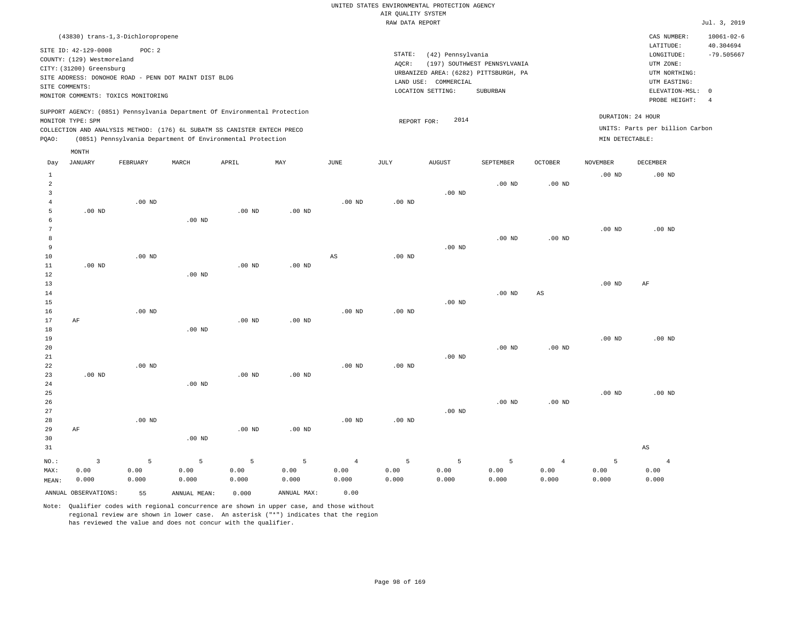|                                                                                                                                                                        | CAS NUMBER:                                                                                                      | $10061 - 02 - 6$          |
|------------------------------------------------------------------------------------------------------------------------------------------------------------------------|------------------------------------------------------------------------------------------------------------------|---------------------------|
| STATE:<br>(42) Pennsylvania<br>(197) SOUTHWEST PENNSYLVANIA<br>AOCR:<br>URBANIZED AREA: (6282) PITTSBURGH, PA<br>LAND USE: COMMERCIAL<br>LOCATION SETTING:<br>SUBURBAN | LATITUDE:<br>LONGITUDE:<br>UTM ZONE:<br>UTM NORTHING:<br>UTM EASTING:<br>ELEVATION-MSL: 0<br>PROBE HEIGHT:<br>-4 | 40.304694<br>$-79.505667$ |
| 2014<br>REPORT FOR:                                                                                                                                                    | DURATION: 24 HOUR<br>UNITS: Parts per billion Carbon<br>MIN DETECTABLE:                                          |                           |
|                                                                                                                                                                        |                                                                                                                  |                           |

| Day            | $_{\rm JANUARY}$     | FEBRUARY | MARCH        | APRIL    | MAY         | $_{\rm JUNE}$  | $\mathtt{JULY}$   | <b>AUGUST</b> | SEPTEMBER | OCTOBER           | NOVEMBER | DECEMBER               |
|----------------|----------------------|----------|--------------|----------|-------------|----------------|-------------------|---------------|-----------|-------------------|----------|------------------------|
| $\mathbf{1}$   |                      |          |              |          |             |                |                   |               |           |                   | $.00$ ND | $.00$ ND               |
| $\overline{a}$ |                      |          |              |          |             |                |                   |               | $.00$ ND  | .00 <sub>ND</sub> |          |                        |
| 3              |                      |          |              |          |             |                |                   | $.00$ ND      |           |                   |          |                        |
| $\overline{4}$ |                      | $.00$ ND |              |          |             | $.00$ ND       | $.00$ ND          |               |           |                   |          |                        |
| 5              | $.00$ ND             |          |              | .00 $ND$ | $.00$ ND    |                |                   |               |           |                   |          |                        |
| 6              |                      |          | $.00$ ND     |          |             |                |                   |               |           |                   |          |                        |
| $\overline{7}$ |                      |          |              |          |             |                |                   |               |           |                   | $.00$ ND | $.00$ ND               |
| 8              |                      |          |              |          |             |                |                   |               | $.00$ ND  | .00 <sub>ND</sub> |          |                        |
| 9              |                      |          |              |          |             |                |                   | .00 $ND$      |           |                   |          |                        |
| 10             |                      | $.00$ ND |              |          |             | $_{\rm AS}$    | .00 <sub>ND</sub> |               |           |                   |          |                        |
| 11             | $.00$ ND             |          |              | $.00$ ND | $.00$ ND    |                |                   |               |           |                   |          |                        |
| 12             |                      |          | $.00$ ND     |          |             |                |                   |               |           |                   |          |                        |
| 13             |                      |          |              |          |             |                |                   |               |           |                   | $.00$ ND | AF                     |
| 14             |                      |          |              |          |             |                |                   |               | $.00$ ND  | $_{\rm AS}$       |          |                        |
| 15             |                      |          |              |          |             |                |                   | .00 $ND$      |           |                   |          |                        |
| 16             |                      | $.00$ ND |              |          |             | $.00$ ND       | $.00$ ND          |               |           |                   |          |                        |
| 17             | $\rm AF$             |          |              | $.00$ ND | $.00$ ND    |                |                   |               |           |                   |          |                        |
| 18             |                      |          | $.00$ ND     |          |             |                |                   |               |           |                   |          |                        |
| 19<br>20       |                      |          |              |          |             |                |                   |               | $.00$ ND  |                   | $.00$ ND | $.00$ ND               |
| 21             |                      |          |              |          |             |                |                   | $.00$ ND      |           | $.00$ ND          |          |                        |
| 22             |                      | $.00$ ND |              |          |             | $.00$ ND       | $.00$ ND          |               |           |                   |          |                        |
| 23             | $.00$ ND             |          |              | $.00$ ND | $.00$ ND    |                |                   |               |           |                   |          |                        |
| 24             |                      |          | $.00$ ND     |          |             |                |                   |               |           |                   |          |                        |
| $25\,$         |                      |          |              |          |             |                |                   |               |           |                   | $.00$ ND | $.00$ ND               |
| 26             |                      |          |              |          |             |                |                   |               | $.00$ ND  | .00 <sub>ND</sub> |          |                        |
| 27             |                      |          |              |          |             |                |                   | $.00$ ND      |           |                   |          |                        |
| 28             |                      | $.00$ ND |              |          |             | $.00$ ND       | $.00$ ND          |               |           |                   |          |                        |
| 29             | $\rm AF$             |          |              | $.00$ ND | $.00$ ND    |                |                   |               |           |                   |          |                        |
| 30             |                      |          | $.00$ ND     |          |             |                |                   |               |           |                   |          |                        |
| 31             |                      |          |              |          |             |                |                   |               |           |                   |          | $\mathbb{A}\mathbb{S}$ |
| $_{\rm NO.}$ : | $\overline{3}$       | 5        | 5            | 5        | 5           | $\overline{4}$ | 5                 | 5             | 5         | $\overline{4}$    | 5        | $\overline{4}$         |
| MAX:           | 0.00                 | 0.00     | 0.00         | 0.00     | 0.00        | 0.00           | 0.00              | 0.00          | 0.00      | 0.00              | 0.00     | 0.00                   |
| MEAN:          | 0.000                | 0.000    | 0.000        | 0.000    | 0.000       | 0.000          | 0.000             | 0.000         | 0.000     | 0.000             | 0.000    | 0.000                  |
|                | ANNUAL OBSERVATIONS: | 55       | ANNUAL MEAN: | 0.000    | ANNUAL MAX: | 0.00           |                   |               |           |                   |          |                        |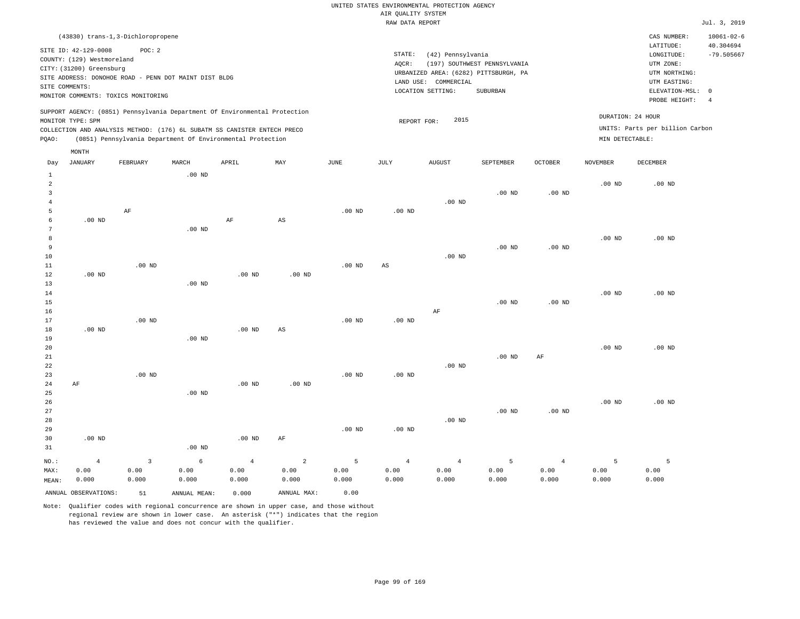| (43830) trans-1,3-Dichloropropene                                                                                                                                                                                                                  |                                                                                                                                                                        | CAS NUMBER:                                                                                                | $10061 - 02 - 6$          |
|----------------------------------------------------------------------------------------------------------------------------------------------------------------------------------------------------------------------------------------------------|------------------------------------------------------------------------------------------------------------------------------------------------------------------------|------------------------------------------------------------------------------------------------------------|---------------------------|
| SITE ID: 42-129-0008<br>POC:2<br>COUNTY: (129) Westmoreland<br>CITY: (31200) Greensburg<br>SITE ADDRESS: DONOHOE ROAD - PENN DOT MAINT DIST BLDG<br>SITE COMMENTS:<br>MONITOR COMMENTS: TOXICS MONITORING                                          | STATE:<br>(42) Pennsylvania<br>(197) SOUTHWEST PENNSYLVANIA<br>AOCR:<br>URBANIZED AREA: (6282) PITTSBURGH, PA<br>LAND USE: COMMERCIAL<br>LOCATION SETTING:<br>SUBURBAN | LATITUDE:<br>LONGITUDE:<br>UTM ZONE:<br>UTM NORTHING:<br>UTM EASTING:<br>ELEVATION-MSL: 0<br>PROBE HEIGHT: | 40.304694<br>$-79.505667$ |
| SUPPORT AGENCY: (0851) Pennsylvania Department Of Environmental Protection<br>MONITOR TYPE: SPM<br>COLLECTION AND ANALYSIS METHOD: (176) 6L SUBATM SS CANISTER ENTECH PRECO<br>(0851) Pennsylvania Department Of Environmental Protection<br>POAO: | 2015<br>REPORT FOR:                                                                                                                                                    | DURATION: 24 HOUR<br>UNITS: Parts per billion Carbon<br>MIN DETECTABLE:                                    |                           |

| Day            | JANUARY              | FEBRUARY     | MARCH        | APRIL          | MAY                    | JUNE     | JULY                   | AUGUST         | SEPTEMBER      | OCTOBER        | NOVEMBER          | DECEMBER |
|----------------|----------------------|--------------|--------------|----------------|------------------------|----------|------------------------|----------------|----------------|----------------|-------------------|----------|
| $\mathbf{1}$   |                      |              | $.00$ ND     |                |                        |          |                        |                |                |                |                   |          |
| $\overline{a}$ |                      |              |              |                |                        |          |                        |                |                |                | .00 <sub>ND</sub> | $.00$ ND |
| 3              |                      |              |              |                |                        |          |                        |                | $.00$ ND       | $.00$ ND       |                   |          |
| 4              |                      |              |              |                |                        |          |                        | $.00$ ND       |                |                |                   |          |
| 5              |                      | $\rm AF$     |              |                |                        | $.00$ ND | $.00$ ND               |                |                |                |                   |          |
| 6              | $.00$ ND             |              |              | $\rm AF$       | $\mathbb{A}\mathbb{S}$ |          |                        |                |                |                |                   |          |
| 7              |                      |              | $.00$ ND     |                |                        |          |                        |                |                |                |                   |          |
| $\,8\,$        |                      |              |              |                |                        |          |                        |                |                |                | $.00~\mathrm{ND}$ | .00 $ND$ |
| 9              |                      |              |              |                |                        |          |                        |                | $.00$ ND       | $.00$ ND       |                   |          |
| 10             |                      |              |              |                |                        |          |                        | $.00$ ND       |                |                |                   |          |
| 11             |                      | $.00$ ND     |              |                |                        | $.00$ ND | $\mathbb{A}\mathbb{S}$ |                |                |                |                   |          |
| 12             | $.00$ ND             |              |              | $.00$ ND       | $.00$ ND               |          |                        |                |                |                |                   |          |
| 13             |                      |              | $.00$ ND     |                |                        |          |                        |                |                |                |                   |          |
| 14             |                      |              |              |                |                        |          |                        |                |                |                | .00 <sub>ND</sub> | $.00$ ND |
| 15             |                      |              |              |                |                        |          |                        |                | $.00$ ND       | $.00$ ND       |                   |          |
| 16             |                      |              |              |                |                        |          |                        | AF             |                |                |                   |          |
| 17             |                      | $.00$ ND     |              |                |                        | $.00$ ND | $.00$ ND               |                |                |                |                   |          |
| 18             | $.00$ ND             |              |              | $.00$ ND       | $\mathbb{A}\mathbb{S}$ |          |                        |                |                |                |                   |          |
| 19             |                      |              | $.00$ ND     |                |                        |          |                        |                |                |                |                   |          |
| 20             |                      |              |              |                |                        |          |                        |                |                |                | $.00$ ND          | $.00$ ND |
| 21             |                      |              |              |                |                        |          |                        |                | $.00$ ND       | $\rm{AF}$      |                   |          |
| 22             |                      |              |              |                |                        |          |                        | $.00$ ND       |                |                |                   |          |
| 23             |                      | $.00$ ND     |              |                |                        | $.00$ ND | .00 <sub>ND</sub>      |                |                |                |                   |          |
| 24             | AF                   |              |              | $.00$ ND       | $.00$ ND               |          |                        |                |                |                |                   |          |
| 25             |                      |              | $.00$ ND     |                |                        |          |                        |                |                |                |                   |          |
| 26             |                      |              |              |                |                        |          |                        |                |                |                | .00 <sub>ND</sub> | $.00$ ND |
| 27             |                      |              |              |                |                        |          |                        |                | $.00$ ND       | $.00$ ND       |                   |          |
| 28             |                      |              |              |                |                        |          |                        | $.00$ ND       |                |                |                   |          |
| 29             |                      |              |              |                |                        | $.00$ ND | $.00$ ND               |                |                |                |                   |          |
| 30             | $.00$ ND             |              |              | $.00$ ND       | AF                     |          |                        |                |                |                |                   |          |
| 31             |                      |              | $.00$ ND     |                |                        |          |                        |                |                |                |                   |          |
| $NO.$ :        | $\overline{4}$       | $\mathbf{3}$ | $\epsilon$   | $\overline{4}$ | $\sqrt{2}$             | 5        | $\overline{4}$         | $\overline{4}$ | $\overline{5}$ | $\overline{4}$ | 5                 | 5        |
| MAX:           | 0.00                 | 0.00         | 0.00         | 0.00           | 0.00                   | 0.00     | 0.00                   | 0.00           | 0.00           | 0.00           | 0.00              | 0.00     |
| MEAN:          | 0.000                | 0.000        | 0.000        | 0.000          | 0.000                  | 0.000    | 0.000                  | 0.000          | 0.000          | 0.000          | 0.000             | 0.000    |
|                | ANNUAL OBSERVATIONS: | 51           | ANNUAL MEAN: | 0.000          | ANNUAL MAX:            | 0.00     |                        |                |                |                |                   |          |

Note: Qualifier codes with regional concurrence are shown in upper case, and those without regional review are shown in lower case. An asterisk ("\*") indicates that the region has reviewed the value and does not concur with the qualifier.

MONTH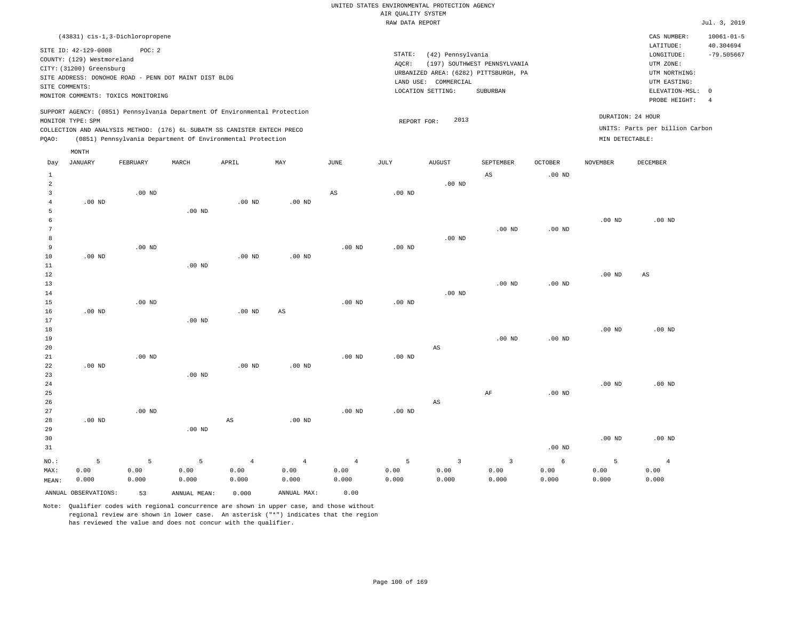| (43831) cis-1,3-Dichloropropene                                                                                                                                                                                                                    |       |       |     |      |                 |                                                                                                         |                                          |                  |                 | CAS NUMBER:                                                                                              | $10061 - 01 - 5$                                        |
|----------------------------------------------------------------------------------------------------------------------------------------------------------------------------------------------------------------------------------------------------|-------|-------|-----|------|-----------------|---------------------------------------------------------------------------------------------------------|------------------------------------------|------------------|-----------------|----------------------------------------------------------------------------------------------------------|---------------------------------------------------------|
| SITE ID: 42-129-0008<br>POC: 2<br>COUNTY: (129) Westmoreland<br>CITY: (31200) Greensburg<br>SITE ADDRESS: DONOHOE ROAD - PENN DOT MAINT DIST BLDG<br>SITE COMMENTS:<br>MONITOR COMMENTS: TOXICS MONITORING                                         |       |       |     |      | STATE:<br>AQCR: | (42) Pennsylvania<br>URBANIZED AREA: (6282) PITTSBURGH, PA<br>LAND USE: COMMERCIAL<br>LOCATION SETTING: | (197) SOUTHWEST PENNSYLVANIA<br>SUBURBAN |                  |                 | LATITUDE:<br>LONGITUDE:<br>UTM ZONE:<br>UTM NORTHING:<br>UTM EASTING:<br>ELEVATION-MSL:<br>PROBE HEIGHT: | 40.304694<br>$-79.505667$<br>$\Omega$<br>$\overline{4}$ |
| SUPPORT AGENCY: (0851) Pennsylvania Department Of Environmental Protection<br>MONITOR TYPE: SPM<br>COLLECTION AND ANALYSIS METHOD: (176) 6L SUBATM SS CANISTER ENTECH PRECO<br>(0851) Pennsylvania Department Of Environmental Protection<br>POAO: |       |       |     |      |                 | 2013<br>REPORT FOR:                                                                                     |                                          |                  | MIN DETECTABLE: | DURATION: 24 HOUR<br>UNITS: Parts per billion Carbon                                                     |                                                         |
| MONTH<br>JANUARY<br>FEBRUARY<br>Day                                                                                                                                                                                                                | MARCH | APRIL | MAY | JUNE | JULY            | <b>AUGUST</b>                                                                                           | SEPTEMBER<br>ΆS                          | OCTOBER<br>00 ND | <b>NOVEMBER</b> | DECEMBER                                                                                                 |                                                         |

| MAX:                | 0.00     | 0.00     | 0.00              | 0.00           | 0.00              | 0.00           | 0.00     | 0.00                    | 0.00                    | 0.00              | 0.00     | 0.00                   |
|---------------------|----------|----------|-------------------|----------------|-------------------|----------------|----------|-------------------------|-------------------------|-------------------|----------|------------------------|
| $NO.$ :             | 5        | 5        | $\overline{5}$    | $\overline{4}$ | $\overline{4}$    | $\overline{4}$ | 5        | $\overline{\mathbf{3}}$ | $\overline{\mathbf{3}}$ | $\epsilon$        | 5        | $\overline{4}$         |
| 31                  |          |          |                   |                |                   |                |          |                         |                         | $.00{\rm ~ND}$    |          |                        |
| 30                  |          |          |                   |                |                   |                |          |                         |                         |                   | $.00$ ND | $.00$ ND               |
| 29                  |          |          | $.00$ ND          |                |                   |                |          |                         |                         |                   |          |                        |
| 28                  | $.00$ ND |          |                   | AS             | $.00$ ND          |                |          |                         |                         |                   |          |                        |
| 27                  |          | $.00$ ND |                   |                |                   | $.00$ ND       | .00 $ND$ |                         |                         |                   |          |                        |
| 26                  |          |          |                   |                |                   |                |          | $\mathbb{A}\mathbb{S}$  |                         |                   |          |                        |
| 25                  |          |          |                   |                |                   |                |          |                         | $\rm{AF}$               | $.00{\rm ~ND}$    |          |                        |
| 24                  |          |          |                   |                |                   |                |          |                         |                         |                   | $.00$ ND | .00 $ND$               |
| 23                  |          |          | $.00$ ND          |                |                   |                |          |                         |                         |                   |          |                        |
| 22                  | .00 $ND$ |          |                   | $.00$ ND       | .00 <sub>ND</sub> |                |          |                         |                         |                   |          |                        |
| 21                  |          | $.00$ ND |                   |                |                   | $.00$ ND       | .00 $ND$ |                         |                         |                   |          |                        |
| 20                  |          |          |                   |                |                   |                |          | $\mathbb{A}\mathbb{S}$  |                         |                   |          |                        |
| 19                  |          |          |                   |                |                   |                |          |                         | $.00$ ND                | $.00$ ND          |          |                        |
| 18                  |          |          |                   |                |                   |                |          |                         |                         |                   | $.00$ ND | $.00$ ND               |
| 17                  |          |          | $.00$ ND          |                |                   |                |          |                         |                         |                   |          |                        |
| 16                  | $.00$ ND |          |                   | $.00$ ND       | AS                |                |          |                         |                         |                   |          |                        |
| 15                  |          | $.00$ ND |                   |                |                   | $.00$ ND       | $.00$ ND |                         |                         |                   |          |                        |
| 14                  |          |          |                   |                |                   |                |          | $.00$ ND                |                         |                   |          |                        |
| 13                  |          |          |                   |                |                   |                |          |                         | $.00$ ND                | $.00~\mathrm{ND}$ |          |                        |
| 12                  |          |          |                   |                |                   |                |          |                         |                         |                   | $.00$ ND | $\mathbb{A}\mathbb{S}$ |
| 11                  |          |          | $.00$ ND          |                |                   |                |          |                         |                         |                   |          |                        |
| 10                  | $.00$ ND |          |                   | $.00$ ND       | $.00$ ND          |                |          |                         |                         |                   |          |                        |
| 9                   |          | $.00$ ND |                   |                |                   | $.00$ ND       | $.00$ ND |                         |                         |                   |          |                        |
| 8                   |          |          |                   |                |                   |                |          | $.00$ ND                |                         |                   |          |                        |
| 7                   |          |          |                   |                |                   |                |          |                         | $.00$ ND                | .00 $ND$          |          |                        |
| 6                   |          |          |                   |                |                   |                |          |                         |                         |                   | $.00$ ND | .00 $ND$               |
| $\overline{4}$<br>5 | $.00$ ND |          | .00 <sub>ND</sub> | $.00$ ND       | $.00$ ND          |                |          |                         |                         |                   |          |                        |
| 3                   |          | $.00$ ND |                   |                |                   | $_{\rm AS}$    | $.00$ ND |                         |                         |                   |          |                        |
| $\sqrt{2}$          |          |          |                   |                |                   |                |          | $.00$ ND                |                         |                   |          |                        |
| ÷                   |          |          |                   |                |                   |                |          |                         | no.                     | .00 <sub>IV</sub> |          |                        |

0.000

Note: Qualifier codes with regional concurrence are shown in upper case, and those without regional review are shown in lower case. An asterisk ("\*") indicates that the region has reviewed the value and does not concur with the qualifier.

ANNUAL OBSERVATIONS: 53 ANNUAL MEAN: 0.000 ANNUAL MAX: 0.00

0.000

0.000

0.000

MEAN: 0.000

0.000

0.000 0.000

0.000

0.000

0.000

0.000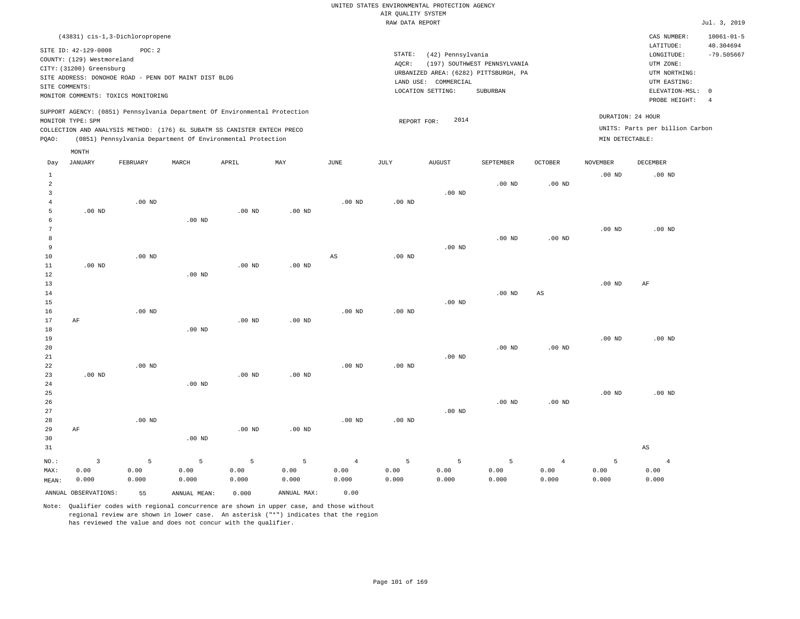| (43831) cis-1,3-Dichloropropene                                                                                                                                                                                                                             |                                                                                                                                                                        |                                                                         | CAS NUMBER:<br>$10061 - 01 - 5$                                                                                                  |  |
|-------------------------------------------------------------------------------------------------------------------------------------------------------------------------------------------------------------------------------------------------------------|------------------------------------------------------------------------------------------------------------------------------------------------------------------------|-------------------------------------------------------------------------|----------------------------------------------------------------------------------------------------------------------------------|--|
| SITE ID: 42-129-0008<br>POC:2<br>COUNTY: (129) Westmoreland<br>CITY: (31200) Greensburg<br>SITE ADDRESS: DONOHOE ROAD - PENN DOT MAINT DIST BLDG<br>SITE COMMENTS:<br>MONITOR COMMENTS: TOXICS MONITORING                                                   | STATE:<br>(42) Pennsylvania<br>(197) SOUTHWEST PENNSYLVANIA<br>AOCR:<br>URBANIZED AREA: (6282) PITTSBURGH, PA<br>LAND USE: COMMERCIAL<br>LOCATION SETTING:<br>SUBURBAN | UTM ZONE:                                                               | 40.304694<br>LATITUDE:<br>$-79.505667$<br>LONGITUDE:<br>UTM NORTHING:<br>UTM EASTING:<br>ELEVATION-MSL: 0<br>PROBE HEIGHT:<br>-4 |  |
| SUPPORT AGENCY: (0851) Pennsylvania Department Of Environmental Protection<br>MONITOR TYPE: SPM<br>COLLECTION AND ANALYSIS METHOD: (176) 6L SUBATM SS CANISTER ENTECH PRECO<br>(0851) Pennsylvania Department Of Environmental Protection<br>POAO:<br>MONTH | 2014<br>REPORT FOR:                                                                                                                                                    | DURATION: 24 HOUR<br>UNITS: Parts per billion Carbon<br>MIN DETECTABLE: |                                                                                                                                  |  |

| Day            | JANUARY              | FEBRUARY | MARCH        | APRIL             | MAY         | JUNE           | JULY     | AUGUST   | SEPTEMBER         | OCTOBER        | NOVEMBER          | DECEMBER               |
|----------------|----------------------|----------|--------------|-------------------|-------------|----------------|----------|----------|-------------------|----------------|-------------------|------------------------|
| $1\,$          |                      |          |              |                   |             |                |          |          |                   |                | $.00$ ND          | $.00$ ND               |
| $\sqrt{2}$     |                      |          |              |                   |             |                |          |          | $.00$ ND          | .00 $ND$       |                   |                        |
| 3              |                      |          |              |                   |             |                |          | $.00$ ND |                   |                |                   |                        |
| $\overline{4}$ |                      | $.00$ ND |              |                   |             | $.00$ ND       | $.00$ ND |          |                   |                |                   |                        |
| 5              | $.00$ ND             |          |              | $.00$ ND          | $.00$ ND    |                |          |          |                   |                |                   |                        |
| 6              |                      |          | $.00$ ND     |                   |             |                |          |          |                   |                |                   |                        |
| 7              |                      |          |              |                   |             |                |          |          |                   |                | $.00$ ND          | $.00$ ND               |
| 8              |                      |          |              |                   |             |                |          |          | $.00$ ND          | $.00$ ND       |                   |                        |
| 9              |                      |          |              |                   |             |                |          | $.00$ ND |                   |                |                   |                        |
| 10             |                      | $.00$ ND |              |                   |             | $_{\rm AS}$    | .00 $ND$ |          |                   |                |                   |                        |
| 11             | .00 $ND$             |          |              | .00 $ND$          | $.00$ ND    |                |          |          |                   |                |                   |                        |
| 12             |                      |          | $.00$ ND     |                   |             |                |          |          |                   |                |                   |                        |
| 13             |                      |          |              |                   |             |                |          |          |                   |                | .00 <sub>ND</sub> | AF                     |
| 14             |                      |          |              |                   |             |                |          |          | $.00$ ND          | $_{\rm AS}$    |                   |                        |
| 15             |                      |          |              |                   |             |                |          | $.00$ ND |                   |                |                   |                        |
| 16             |                      | $.00$ ND |              |                   |             | $.00$ ND       | $.00$ ND |          |                   |                |                   |                        |
| 17             | $\rm AF$             |          |              | .00 <sub>ND</sub> | $.00$ ND    |                |          |          |                   |                |                   |                        |
| 18             |                      |          | $.00$ ND     |                   |             |                |          |          |                   |                |                   |                        |
| 19             |                      |          |              |                   |             |                |          |          |                   |                | $.00$ ND          | $.00$ ND               |
| 20             |                      |          |              |                   |             |                |          |          | $.00$ ND          | $.00$ ND       |                   |                        |
| $2\sqrt{1}$    |                      |          |              |                   |             |                |          | $.00$ ND |                   |                |                   |                        |
| $2\sqrt{2}$    |                      | $.00$ ND |              |                   |             | $.00$ ND       | $.00$ ND |          |                   |                |                   |                        |
| 23             | .00 $ND$             |          |              | $.00$ ND          | $.00$ ND    |                |          |          |                   |                |                   |                        |
| 24             |                      |          | $.00$ ND     |                   |             |                |          |          |                   |                |                   | $.00$ ND               |
| 25<br>26       |                      |          |              |                   |             |                |          |          | .00 <sub>ND</sub> | $.00$ ND       | .00 <sub>ND</sub> |                        |
| 27             |                      |          |              |                   |             |                |          | $.00$ ND |                   |                |                   |                        |
| 28             |                      | $.00$ ND |              |                   |             | $.00$ ND       | $.00$ ND |          |                   |                |                   |                        |
| 29             | AF                   |          |              | $.00$ ND          | $.00$ ND    |                |          |          |                   |                |                   |                        |
| 30             |                      |          | $.00$ ND     |                   |             |                |          |          |                   |                |                   |                        |
| 31             |                      |          |              |                   |             |                |          |          |                   |                |                   | $\mathbb{A}\mathbb{S}$ |
|                |                      |          |              |                   |             |                |          |          |                   |                |                   |                        |
| $NO.$ :        | $\overline{3}$       | 5        | 5            | 5                 | 5           | $\overline{4}$ | 5        | 5        | 5                 | $\overline{4}$ | 5                 | $\overline{4}$         |
| MAX:           | 0.00                 | 0.00     | 0.00         | 0.00              | 0.00        | 0.00           | 0.00     | 0.00     | 0.00              | 0.00           | 0.00              | 0.00                   |
| MEAN:          | 0.000                | 0.000    | 0.000        | 0.000             | 0.000       | 0.000          | 0.000    | 0.000    | 0.000             | 0.000          | 0.000             | 0.000                  |
|                | ANNUAL OBSERVATIONS: | 55       | ANNUAL MEAN: | 0.000             | ANNUAL MAX: | 0.00           |          |          |                   |                |                   |                        |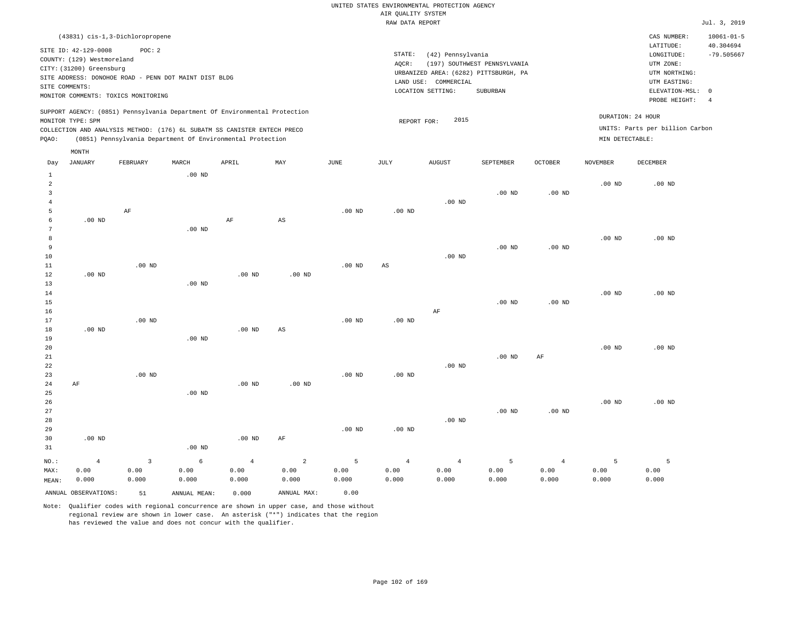| (43831) cis-1,3-Dichloropropene                                                                                                                                                                                                                    |                                                                                                                                                                        |                                                                         | CAS NUMBER:                                                                                                | $10061 - 01 - 5$                |
|----------------------------------------------------------------------------------------------------------------------------------------------------------------------------------------------------------------------------------------------------|------------------------------------------------------------------------------------------------------------------------------------------------------------------------|-------------------------------------------------------------------------|------------------------------------------------------------------------------------------------------------|---------------------------------|
| SITE ID: 42-129-0008<br>POC:2<br>COUNTY: (129) Westmoreland<br>CITY: (31200) Greensburg<br>SITE ADDRESS: DONOHOE ROAD - PENN DOT MAINT DIST BLDG<br>SITE COMMENTS:<br>MONITOR COMMENTS: TOXICS MONITORING                                          | STATE:<br>(42) Pennsylvania<br>(197) SOUTHWEST PENNSYLVANIA<br>AOCR:<br>URBANIZED AREA: (6282) PITTSBURGH, PA<br>LAND USE: COMMERCIAL<br>LOCATION SETTING:<br>SUBURBAN |                                                                         | LATITUDE:<br>LONGITUDE:<br>UTM ZONE:<br>UTM NORTHING:<br>UTM EASTING:<br>ELEVATION-MSL: 0<br>PROBE HEIGHT: | 40.304694<br>$-79.505667$<br>-4 |
| SUPPORT AGENCY: (0851) Pennsylvania Department Of Environmental Protection<br>MONITOR TYPE: SPM<br>COLLECTION AND ANALYSIS METHOD: (176) 6L SUBATM SS CANISTER ENTECH PRECO<br>(0851) Pennsylvania Department Of Environmental Protection<br>POAO: | 2015<br>REPORT FOR:                                                                                                                                                    | DURATION: 24 HOUR<br>UNITS: Parts per billion Carbon<br>MIN DETECTABLE: |                                                                                                            |                                 |
| MONTH                                                                                                                                                                                                                                              |                                                                                                                                                                        |                                                                         |                                                                                                            |                                 |

| Day          | <b>JANUARY</b>       | FEBRUARY    | MARCH             | APRIL          | MAY                    | $\mathtt{JUNE}$ | $\mathtt{JULY}$ | AUGUST         | SEPTEMBER      | OCTOBER           | <b>NOVEMBER</b> | DECEMBER |
|--------------|----------------------|-------------|-------------------|----------------|------------------------|-----------------|-----------------|----------------|----------------|-------------------|-----------------|----------|
| $\mathbf{1}$ |                      |             | .00 <sub>ND</sub> |                |                        |                 |                 |                |                |                   |                 |          |
| 2            |                      |             |                   |                |                        |                 |                 |                |                |                   | $.00$ ND        | $.00$ ND |
| 3            |                      |             |                   |                |                        |                 |                 |                | $.00$ ND       | $.00$ ND          |                 |          |
| 4            |                      |             |                   |                |                        |                 |                 | $.00$ ND       |                |                   |                 |          |
| 5            |                      | $\rm AF$    |                   |                |                        | $.00$ ND        | $.00$ ND        |                |                |                   |                 |          |
| 6            | $.00$ ND             |             |                   | AF             | $\mathbb{A}\mathbb{S}$ |                 |                 |                |                |                   |                 |          |
| 7            |                      |             | $.00$ ND          |                |                        |                 |                 |                |                |                   |                 |          |
| 8            |                      |             |                   |                |                        |                 |                 |                |                |                   | .00 $ND$        | $.00$ ND |
| 9            |                      |             |                   |                |                        |                 |                 |                | $.00$ ND       | .00 <sub>ND</sub> |                 |          |
| $10$         |                      |             |                   |                |                        |                 |                 | $.00$ ND       |                |                   |                 |          |
| $1\,1$       |                      | $.00$ ND    |                   |                |                        | $.00$ ND        | AS              |                |                |                   |                 |          |
| $1\,2$       | $.00$ ND             |             |                   | $.00$ ND       | $.00$ ND               |                 |                 |                |                |                   |                 |          |
| 13           |                      |             | $.00$ ND          |                |                        |                 |                 |                |                |                   |                 |          |
| 14           |                      |             |                   |                |                        |                 |                 |                |                |                   | $.00$ ND        | $.00$ ND |
| 15           |                      |             |                   |                |                        |                 |                 |                | $.00$ ND       | $.00$ ND          |                 |          |
| 16           |                      |             |                   |                |                        |                 |                 | $\rm AF$       |                |                   |                 |          |
| 17           |                      | $.00$ ND    |                   |                |                        | $.00$ ND        | $.00$ ND        |                |                |                   |                 |          |
| 18<br>19     | $.00$ ND             |             | .00 <sub>ND</sub> | $.00$ ND       | AS                     |                 |                 |                |                |                   |                 |          |
| 20           |                      |             |                   |                |                        |                 |                 |                |                |                   | $.00$ ND        | $.00$ ND |
| 21           |                      |             |                   |                |                        |                 |                 |                | $.00$ ND       | AF                |                 |          |
| 22           |                      |             |                   |                |                        |                 |                 | $.00$ ND       |                |                   |                 |          |
| 23           |                      | $.00$ ND    |                   |                |                        | $.00$ ND        | $.00$ ND        |                |                |                   |                 |          |
| $2\sqrt{4}$  | $\rm AF$             |             |                   | $.00$ ND       | .00 $ND$               |                 |                 |                |                |                   |                 |          |
| $25\,$       |                      |             | $.00$ ND          |                |                        |                 |                 |                |                |                   |                 |          |
| 26           |                      |             |                   |                |                        |                 |                 |                |                |                   | $.00$ ND        | $.00$ ND |
| 27           |                      |             |                   |                |                        |                 |                 |                | $.00$ ND       | $.00$ ND          |                 |          |
| 28           |                      |             |                   |                |                        |                 |                 | $.00$ ND       |                |                   |                 |          |
| 29           |                      |             |                   |                |                        | $.00$ ND        | $.00$ ND        |                |                |                   |                 |          |
| 30           | $.00$ ND             |             |                   | $.00$ ND       | AF                     |                 |                 |                |                |                   |                 |          |
| 31           |                      |             | $.00$ ND          |                |                        |                 |                 |                |                |                   |                 |          |
| $NO.$ :      | $\overline{4}$       | $\mathsf 3$ | 6                 | $\overline{4}$ | $\sqrt{2}$             | 5               | $\sqrt{4}$      | $\overline{4}$ | $\overline{5}$ | $\overline{4}$    | 5               | 5        |
| MAX:         | 0.00                 | 0.00        | 0.00              | 0.00           | 0.00                   | 0.00            | 0.00            | 0.00           | 0.00           | 0.00              | 0.00            | 0.00     |
| MEAN:        | 0.000                | 0.000       | 0.000             | 0.000          | 0.000                  | 0.000           | 0.000           | 0.000          | 0.000          | 0.000             | 0.000           | 0.000    |
|              | ANNUAL OBSERVATIONS: | 51          | ANNUAL MEAN:      | 0.000          | ANNUAL MAX:            | 0.00            |                 |                |                |                   |                 |          |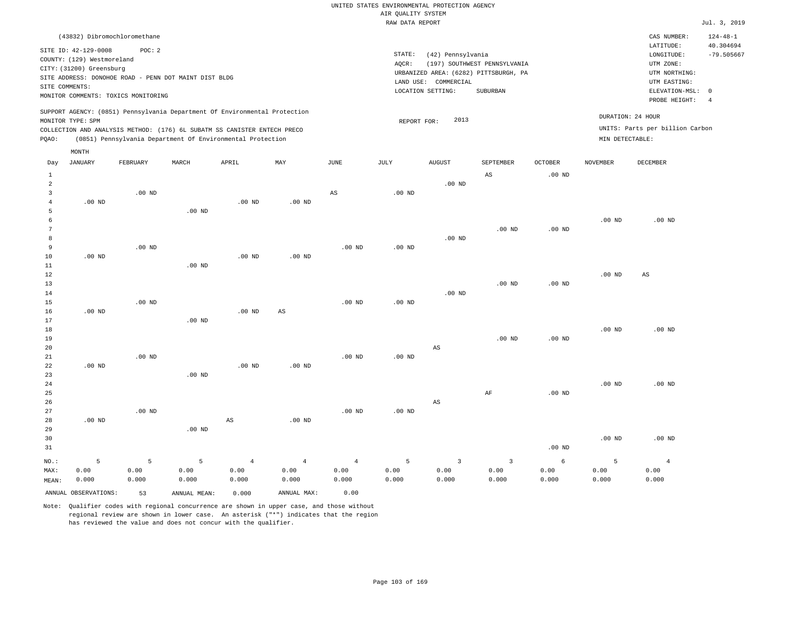|                |                                                                                                  | (43832) Dibromochloromethane                                                                          |       |                                                                                                                                                                                                                      |          |      |                 |                                                                                                            |                                          |          |          | CAS NUMBER:                                                                                              | $124 - 48 - 1$                                          |
|----------------|--------------------------------------------------------------------------------------------------|-------------------------------------------------------------------------------------------------------|-------|----------------------------------------------------------------------------------------------------------------------------------------------------------------------------------------------------------------------|----------|------|-----------------|------------------------------------------------------------------------------------------------------------|------------------------------------------|----------|----------|----------------------------------------------------------------------------------------------------------|---------------------------------------------------------|
|                | SITE ID: 42-129-0008<br>COUNTY: (129) Westmoreland<br>CITY: (31200) Greensburg<br>SITE COMMENTS: | POC:2<br>SITE ADDRESS: DONOHOE ROAD - PENN DOT MAINT DIST BLDG<br>MONITOR COMMENTS: TOXICS MONITORING |       |                                                                                                                                                                                                                      |          |      | STATE:<br>AQCR: | (42) Pennsylvania<br>URBANIZED AREA: (6282) PITTSBURGH, PA<br>LAND USE:<br>COMMERCIAL<br>LOCATION SETTING: | (197) SOUTHWEST PENNSYLVANIA<br>SUBURBAN |          |          | LATITUDE:<br>LONGITUDE:<br>UTM ZONE:<br>UTM NORTHING:<br>UTM EASTING:<br>ELEVATION-MSL:<br>PROBE HEIGHT: | 40.304694<br>$-79.505667$<br>$\Omega$<br>$\overline{4}$ |
| POAO:          | MONITOR TYPE: SPM                                                                                |                                                                                                       |       | SUPPORT AGENCY: (0851) Pennsylvania Department Of Environmental Protection<br>COLLECTION AND ANALYSIS METHOD: (176) 6L SUBATM SS CANISTER ENTECH PRECO<br>(0851) Pennsylvania Department Of Environmental Protection |          |      |                 | 2013<br>REPORT FOR:                                                                                        |                                          |          |          | DURATION: 24 HOUR<br>UNITS: Parts per billion Carbon<br>MIN DETECTABLE:                                  |                                                         |
|                | MONTH<br>JANUARY                                                                                 | FEBRUARY                                                                                              | MARCH | APRIL                                                                                                                                                                                                                | MAY      | JUNE | JULY            | AUGUST                                                                                                     | SEPTEMBER                                | OCTOBER  | NOVEMBER | DECEMBER                                                                                                 |                                                         |
| Day            |                                                                                                  |                                                                                                       |       |                                                                                                                                                                                                                      |          |      |                 |                                                                                                            | AS                                       | $.00$ ND |          |                                                                                                          |                                                         |
| $\overline{2}$ |                                                                                                  |                                                                                                       |       |                                                                                                                                                                                                                      |          |      |                 | $.00$ ND                                                                                                   |                                          |          |          |                                                                                                          |                                                         |
|                |                                                                                                  | $.00$ ND                                                                                              |       |                                                                                                                                                                                                                      |          | AS   | $.00$ ND        |                                                                                                            |                                          |          |          |                                                                                                          |                                                         |
|                | $.00$ ND                                                                                         |                                                                                                       |       | $.00$ ND                                                                                                                                                                                                             | $.00$ ND |      |                 |                                                                                                            |                                          |          |          |                                                                                                          |                                                         |

|    |          |          | $.00$ ND |          |          |          |          |          |          |          |          |          |
|----|----------|----------|----------|----------|----------|----------|----------|----------|----------|----------|----------|----------|
|    |          |          |          |          |          |          |          |          |          |          | $.00$ ND | $.00$ ND |
|    |          |          |          |          |          |          |          |          | $.00$ ND | $.00$ ND |          |          |
| 8  |          |          |          |          |          |          |          | $.00$ ND |          |          |          |          |
|    |          | $.00$ ND |          |          |          | $.00$ ND | $.00$ ND |          |          |          |          |          |
| 10 | $.00$ ND |          |          | $.00$ ND | $.00$ ND |          |          |          |          |          |          |          |

| 12 |          |          |          |          |          |          |          |          |          |          | $.00$ ND | AS       |
|----|----------|----------|----------|----------|----------|----------|----------|----------|----------|----------|----------|----------|
|    |          |          |          |          |          |          |          |          |          |          |          |          |
| 13 |          |          |          |          |          |          |          |          | $.00$ ND | $.00$ ND |          |          |
| 14 |          |          |          |          |          |          |          | $.00$ ND |          |          |          |          |
| 15 |          | $.00$ ND |          |          |          | $.00$ ND | $.00$ ND |          |          |          |          |          |
| 16 | $.00$ ND |          |          | $.00$ ND | AS       |          |          |          |          |          |          |          |
| 17 |          |          | $.00$ ND |          |          |          |          |          |          |          |          |          |
| 18 |          |          |          |          |          |          |          |          |          |          | $.00$ ND | $.00$ ND |
| 19 |          |          |          |          |          |          |          |          | $.00$ ND | $.00$ ND |          |          |
| 20 |          |          |          |          |          |          |          | AS       |          |          |          |          |
| 21 |          | $.00$ ND |          |          |          | $.00$ ND | $.00$ ND |          |          |          |          |          |
| 22 | $.00$ ND |          |          | $.00$ ND | $.00$ ND |          |          |          |          |          |          |          |
| 23 |          |          | $.00$ ND |          |          |          |          |          |          |          |          |          |
| 24 |          |          |          |          |          |          |          |          |          |          | $.00$ ND | $.00$ ND |
| 25 |          |          |          |          |          |          |          |          | AF       | $.00$ ND |          |          |

| 26    |          |          |          |       |                |                   |          | AS    |       |          |          |          |
|-------|----------|----------|----------|-------|----------------|-------------------|----------|-------|-------|----------|----------|----------|
| 27    |          | $.00$ ND |          |       |                | .00 <sub>ND</sub> | $.00$ ND |       |       |          |          |          |
| 28    | $.00$ ND |          |          | AS    | $.00$ ND       |                   |          |       |       |          |          |          |
| 29    |          |          | $.00$ ND |       |                |                   |          |       |       |          |          |          |
| 30    |          |          |          |       |                |                   |          |       |       |          | $.00$ ND | $.00$ ND |
| 31    |          |          |          |       |                |                   |          |       |       | $.00$ ND |          |          |
| NO.:  |          |          | 5        | 4     | $\overline{4}$ |                   | 5        | 3     |       | 6        |          |          |
| MAX:  | 0.00     | 0.00     | 0.00     | 0.00  | 0.00           | 0.00              | 0.00     | 0.00  | 0.00  | 0.00     | 0.00     | 0.00     |
| MEAN: | 0.000    | 0.000    | 0.000    | 0.000 | 0.000          | 0.000             | 0.000    | 0.000 | 0.000 | 0.000    | 0.000    | 0.000    |

Note: Qualifier codes with regional concurrence are shown in upper case, and those without regional review are shown in lower case. An asterisk ("\*") indicates that the region has reviewed the value and does not concur with the qualifier.

ANNUAL OBSERVATIONS: 53 ANNUAL MEAN: 0.000 ANNUAL MAX: 0.00

.00 ND

11

MEAN: 0.000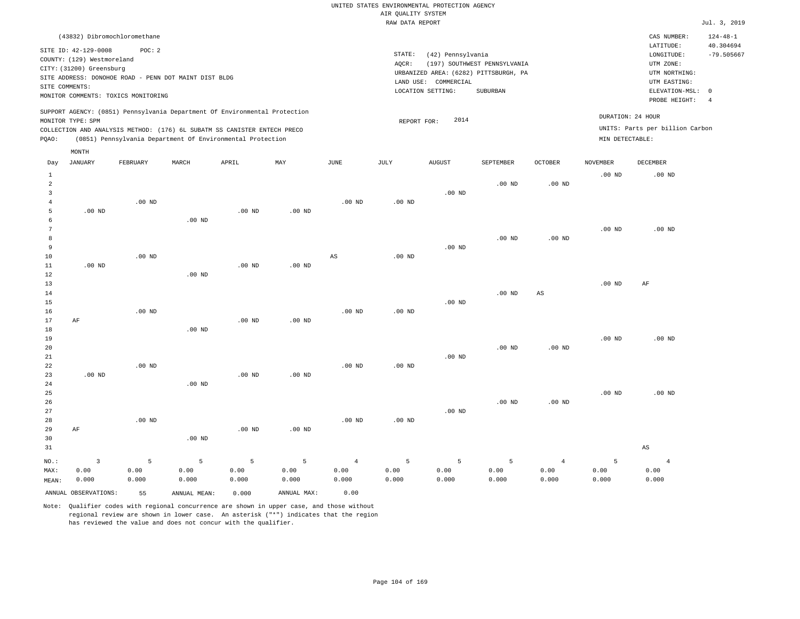| (43832) Dibromochloromethane                                                                                                                                                                                                                                |                                                                                                                                                                        | $124 - 48 - 1$<br>CAS NUMBER:                                                                                                                 |
|-------------------------------------------------------------------------------------------------------------------------------------------------------------------------------------------------------------------------------------------------------------|------------------------------------------------------------------------------------------------------------------------------------------------------------------------|-----------------------------------------------------------------------------------------------------------------------------------------------|
| SITE ID: 42-129-0008<br>POC:2<br>COUNTY: (129) Westmoreland<br>CITY: (31200) Greensburg<br>SITE ADDRESS: DONOHOE ROAD - PENN DOT MAINT DIST BLDG<br>SITE COMMENTS:<br>MONITOR COMMENTS: TOXICS MONITORING                                                   | STATE:<br>(42) Pennsylvania<br>(197) SOUTHWEST PENNSYLVANIA<br>AOCR:<br>URBANIZED AREA: (6282) PITTSBURGH, PA<br>LAND USE: COMMERCIAL<br>LOCATION SETTING:<br>SUBURBAN | 40.304694<br>LATITUDE:<br>$-79.505667$<br>LONGITUDE:<br>UTM ZONE:<br>UTM NORTHING:<br>UTM EASTING:<br>ELEVATION-MSL: 0<br>PROBE HEIGHT:<br>-4 |
| SUPPORT AGENCY: (0851) Pennsylvania Department Of Environmental Protection<br>MONITOR TYPE: SPM<br>COLLECTION AND ANALYSIS METHOD: (176) 6L SUBATM SS CANISTER ENTECH PRECO<br>(0851) Pennsylvania Department Of Environmental Protection<br>POAO:<br>MONTH | 2014<br>REPORT FOR:                                                                                                                                                    | DURATION: 24 HOUR<br>UNITS: Parts per billion Carbon<br>MIN DETECTABLE:                                                                       |

| Day            | JANUARY              | FEBRUARY | MARCH             | APRIL    | $\mathtt{MAX}$ | JUNE                   | JULY              | <b>AUGUST</b> | SEPTEMBER         | OCTOBER           | NOVEMBER    | DECEMBER               |
|----------------|----------------------|----------|-------------------|----------|----------------|------------------------|-------------------|---------------|-------------------|-------------------|-------------|------------------------|
| $\mathbf{1}$   |                      |          |                   |          |                |                        |                   |               |                   |                   | $.00$ ND    | $.00$ ND               |
| $\overline{a}$ |                      |          |                   |          |                |                        |                   |               | .00 <sub>ND</sub> | .00 <sub>ND</sub> |             |                        |
| 3              |                      |          |                   |          |                |                        |                   | .00 $ND$      |                   |                   |             |                        |
| $\overline{4}$ |                      | $.00$ ND |                   |          |                | $.00$ ND               | .00 <sub>ND</sub> |               |                   |                   |             |                        |
| 5              | $.00$ ND             |          |                   | $.00$ ND | $.00$ ND       |                        |                   |               |                   |                   |             |                        |
| 6              |                      |          | $.00$ ND          |          |                |                        |                   |               |                   |                   |             |                        |
| 7              |                      |          |                   |          |                |                        |                   |               |                   |                   | $.00$ ND    | $.00$ ND               |
| 8              |                      |          |                   |          |                |                        |                   |               | $.00$ ND          | $.00$ ND          |             |                        |
| 9              |                      |          |                   |          |                |                        |                   | $.00$ ND      |                   |                   |             |                        |
| $10$           |                      | $.00$ ND |                   |          |                | $\mathbb{A}\mathbb{S}$ | $.00$ ND          |               |                   |                   |             |                        |
| $11\,$         | $.00$ ND             |          |                   | .00 $ND$ | $.00$ ND       |                        |                   |               |                   |                   |             |                        |
| 12             |                      |          | .00 <sub>ND</sub> |          |                |                        |                   |               |                   |                   |             |                        |
| 13             |                      |          |                   |          |                |                        |                   |               |                   |                   | $.00$ ND    | AF                     |
| 14             |                      |          |                   |          |                |                        |                   |               | $.00$ ND          | AS                |             |                        |
| 15             |                      |          |                   |          |                |                        |                   | $.00$ ND      |                   |                   |             |                        |
| 16             |                      | $.00$ ND |                   |          |                | $.00$ ND               | .00 <sub>ND</sub> |               |                   |                   |             |                        |
| 17             | AF                   |          |                   | $.00$ ND | $.00$ ND       |                        |                   |               |                   |                   |             |                        |
| 18             |                      |          | $.00$ ND          |          |                |                        |                   |               |                   |                   |             |                        |
| 19             |                      |          |                   |          |                |                        |                   |               |                   |                   | $.00$ ND    | $.00$ ND               |
| 20             |                      |          |                   |          |                |                        |                   |               | $.00$ ND          | $.00$ ND          |             |                        |
| $2\sqrt{1}$    |                      |          |                   |          |                |                        |                   | .00 $ND$      |                   |                   |             |                        |
| 22             |                      | $.00$ ND |                   |          |                | $.00$ ND               | $.00$ ND          |               |                   |                   |             |                        |
| 23<br>24       | $.00$ ND             |          | $.00$ ND          | $.00$ ND | $.00$ ND       |                        |                   |               |                   |                   |             |                        |
| 25             |                      |          |                   |          |                |                        |                   |               |                   |                   | $.00$ ND    | $.00$ ND               |
| 26             |                      |          |                   |          |                |                        |                   |               | $.00$ ND          | $.00$ ND          |             |                        |
| 27             |                      |          |                   |          |                |                        |                   | $.00$ ND      |                   |                   |             |                        |
| 28             |                      | $.00$ ND |                   |          |                | $.00$ ND               | $.00$ ND          |               |                   |                   |             |                        |
| 29             | AF                   |          |                   | .00 $ND$ | $.00$ ND       |                        |                   |               |                   |                   |             |                        |
| 30             |                      |          | $.00$ ND          |          |                |                        |                   |               |                   |                   |             |                        |
| 31             |                      |          |                   |          |                |                        |                   |               |                   |                   |             | $\mathbb{A}\mathbb{S}$ |
|                |                      |          |                   |          |                |                        |                   |               |                   |                   |             |                        |
| $NO.$ :        | $\overline{3}$       | 5        | 5                 | 5        | 5              | $\overline{4}$         | 5                 | 5             | 5                 | $\overline{4}$    | $\mathsf S$ | $\overline{4}$         |
| MAX:           | 0.00                 | 0.00     | 0.00              | 0.00     | 0.00           | 0.00                   | 0.00              | 0.00          | 0.00              | 0.00              | 0.00        | 0.00                   |
| MEAN:          | 0.000                | 0.000    | 0.000             | 0.000    | 0.000          | 0.000                  | 0.000             | 0.000         | 0.000             | 0.000             | 0.000       | 0.000                  |
|                | ANNUAL OBSERVATIONS: | 55       | ANNUAL MEAN:      | 0.000    | ANNUAL MAX:    | 0.00                   |                   |               |                   |                   |             |                        |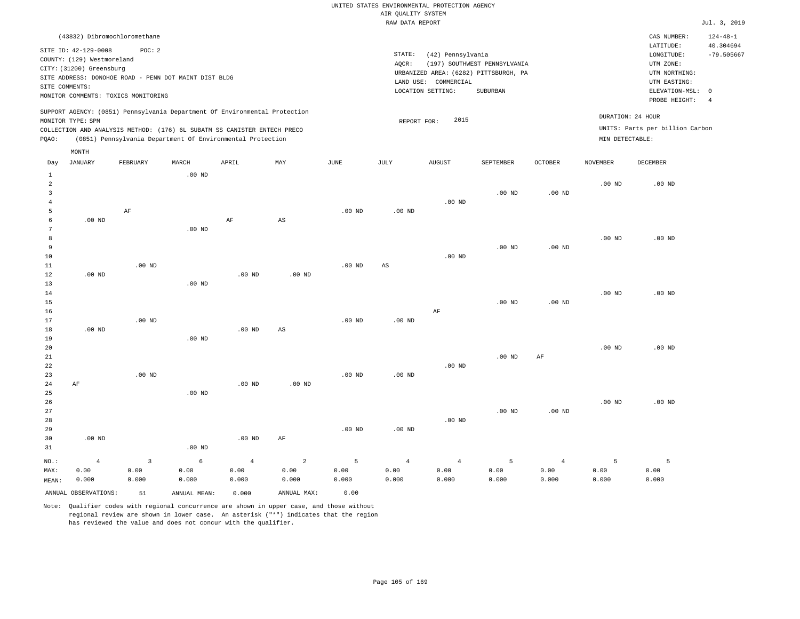# RAW DATA REPORT **FOUND ASSESSED ASSESSED A**  $J$ ul. 3, 2019 UNITED STATES ENVIRONMENTAL PROTECTION AGENCY AIR QUALITY SYSTEM

| (43832) Dibromochloromethane                                                                                                                                                                                                                                |                                                                                                                                                                        | CAS NUMBER:                                                                                                | $124 - 48 - 1$            |
|-------------------------------------------------------------------------------------------------------------------------------------------------------------------------------------------------------------------------------------------------------------|------------------------------------------------------------------------------------------------------------------------------------------------------------------------|------------------------------------------------------------------------------------------------------------|---------------------------|
| SITE ID: 42-129-0008<br>POC: 2<br>COUNTY: (129) Westmoreland<br>CITY: (31200) Greensburg<br>SITE ADDRESS: DONOHOE ROAD - PENN DOT MAINT DIST BLDG<br>SITE COMMENTS:<br>MONITOR COMMENTS: TOXICS MONITORING                                                  | STATE:<br>(42) Pennsylvania<br>(197) SOUTHWEST PENNSYLVANIA<br>AOCR:<br>URBANIZED AREA: (6282) PITTSBURGH, PA<br>LAND USE: COMMERCIAL<br>LOCATION SETTING:<br>SUBURBAN | LATITUDE:<br>LONGITUDE:<br>UTM ZONE:<br>UTM NORTHING:<br>UTM EASTING:<br>ELEVATION-MSL: 0<br>PROBE HEIGHT: | 40.304694<br>$-79.505667$ |
| SUPPORT AGENCY: (0851) Pennsylvania Department Of Environmental Protection<br>MONITOR TYPE: SPM<br>COLLECTION AND ANALYSIS METHOD: (176) 6L SUBATM SS CANISTER ENTECH PRECO<br>(0851) Pennsylvania Department Of Environmental Protection<br>POAO:<br>MONTH | 2015<br>REPORT FOR:                                                                                                                                                    | DURATION: 24 HOUR<br>UNITS: Parts per billion Carbon<br>MIN DETECTABLE:                                    |                           |

|                |               |               |                |                        |               |                |                                       |                   |                |                   | DECEMBER      |
|----------------|---------------|---------------|----------------|------------------------|---------------|----------------|---------------------------------------|-------------------|----------------|-------------------|---------------|
|                |               | $.00$ ND      |                |                        |               |                |                                       |                   |                |                   |               |
|                |               |               |                |                        |               |                |                                       |                   |                | .00 <sub>ND</sub> | $.00$ ND      |
|                |               |               |                |                        |               |                |                                       | .00 <sub>ND</sub> | $.00$ ND       |                   |               |
|                |               |               |                |                        |               |                | $.00$ ND                              |                   |                |                   |               |
|                | $\rm AF$      |               |                |                        | $.00$ ND      | $.00$ ND       |                                       |                   |                |                   |               |
| $.00$ ND       |               |               | $\rm AF$       |                        |               |                |                                       |                   |                |                   |               |
|                |               | $.00$ ND      |                |                        |               |                |                                       |                   |                |                   |               |
|                |               |               |                |                        |               |                |                                       |                   |                | $.00$ ND          | $.00$ ND      |
|                |               |               |                |                        |               |                |                                       | $.00$ ND          | $.00$ ND       |                   |               |
|                |               |               |                |                        |               |                | $.00$ ND                              |                   |                |                   |               |
|                | $.00$ ND      |               |                |                        | $.00$ ND      | AS             |                                       |                   |                |                   |               |
| $.00$ ND       |               |               | $.00$ ND       | $.00$ ND               |               |                |                                       |                   |                |                   |               |
|                |               | $.00$ ND      |                |                        |               |                |                                       |                   |                |                   |               |
|                |               |               |                |                        |               |                |                                       |                   |                | $.00$ ND          | $.00$ ND      |
|                |               |               |                |                        |               |                |                                       | $.00$ ND          | $.00$ ND       |                   |               |
|                |               |               |                |                        |               |                | $\rm AF$                              |                   |                |                   |               |
|                | $.00$ ND      |               |                |                        | $.00$ ND      | $.00$ ND       |                                       |                   |                |                   |               |
| $.00$ ND       |               |               | .00 $ND$       | $\mathbb{A}\mathbb{S}$ |               |                |                                       |                   |                |                   |               |
|                |               | $.00$ ND      |                |                        |               |                |                                       |                   |                |                   |               |
|                |               |               |                |                        |               |                |                                       |                   |                | $.00~\mathrm{ND}$ | $.00$ ND      |
|                |               |               |                |                        |               |                |                                       | $.00$ ND          | AF             |                   |               |
|                |               |               |                |                        |               |                | $.00$ ND                              |                   |                |                   |               |
|                | $.00$ ND      |               |                |                        | $.00$ ND      | $.00$ ND       |                                       |                   |                |                   |               |
| $\rm AF$       |               |               | $.00$ ND       | $.00$ ND               |               |                |                                       |                   |                |                   |               |
|                |               | $.00$ ND      |                |                        |               |                |                                       |                   |                |                   |               |
|                |               |               |                |                        |               |                |                                       |                   |                | $.00$ ND          | $.00$ ND      |
|                |               |               |                |                        |               |                |                                       | $.00$ ND          | $.00$ ND       |                   |               |
|                |               |               |                |                        |               |                | $.00$ ND                              |                   |                |                   |               |
|                |               |               |                |                        |               |                |                                       |                   |                |                   |               |
|                |               |               |                |                        | $.00$ ND      | $.00$ ND       |                                       |                   |                |                   |               |
| $.00$ ND       |               |               | $.00$ ND       | $\rm AF$               |               |                |                                       |                   |                |                   |               |
|                |               | $.00$ ND      |                |                        |               |                |                                       |                   |                |                   |               |
|                |               |               |                |                        |               |                |                                       |                   |                |                   |               |
| $\overline{4}$ | $\mathsf 3$   | $\epsilon$    | $\overline{4}$ | $\sqrt{2}$             | 5             | $\overline{4}$ | $\overline{4}$                        | $\mathsf S$       | $\overline{4}$ | 5                 | 5             |
| 0.00<br>0.000  | 0.00<br>0.000 | 0.00<br>0.000 | 0.00<br>0.000  | 0.00<br>0.000          | 0.00<br>0.000 | 0.00<br>0.000  | 0.00<br>0.000                         | 0.00<br>0.000     | 0.00<br>0.000  | 0.00<br>0.000     | 0.00<br>0.000 |
|                | JANUARY       | FEBRUARY      |                |                        | AS            |                | APRIL<br>MAY<br>JUNE<br>JULY<br>MARCH | AUGUST            | SEPTEMBER      | OCTOBER           | NOVEMBER      |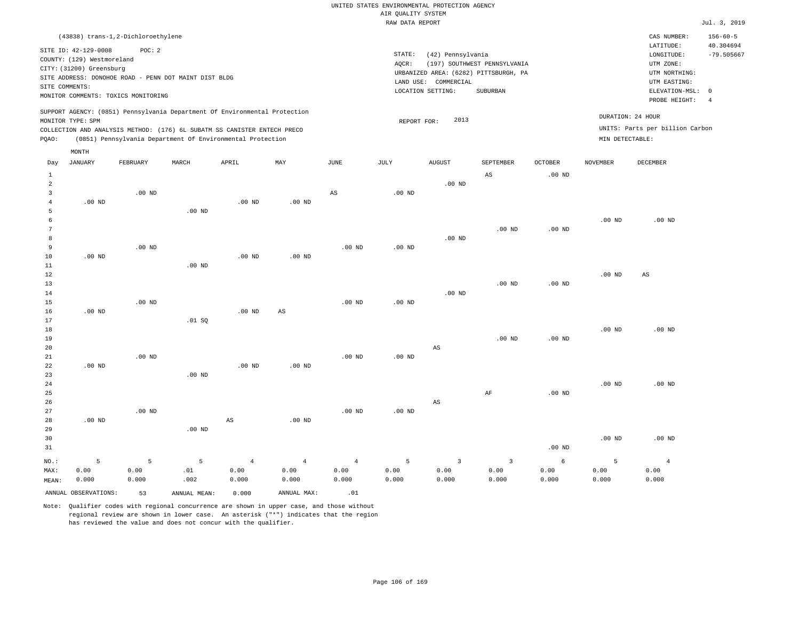| (43838) trans-1,2-Dichloroethylene                                                                                                                                                                                                                          |                                                                                                                                                                        |                                      | CAS NUMBER:                                                                                                | $156 - 60 - 5$                  |
|-------------------------------------------------------------------------------------------------------------------------------------------------------------------------------------------------------------------------------------------------------------|------------------------------------------------------------------------------------------------------------------------------------------------------------------------|--------------------------------------|------------------------------------------------------------------------------------------------------------|---------------------------------|
| SITE ID: 42-129-0008<br>POC:2<br>COUNTY: (129) Westmoreland<br>CITY: (31200) Greensburg<br>SITE ADDRESS: DONOHOE ROAD - PENN DOT MAINT DIST BLDG<br>SITE COMMENTS:<br>MONITOR COMMENTS: TOXICS MONITORING                                                   | STATE:<br>(42) Pennsylvania<br>(197) SOUTHWEST PENNSYLVANIA<br>AOCR:<br>URBANIZED AREA: (6282) PITTSBURGH, PA<br>LAND USE: COMMERCIAL<br>LOCATION SETTING:<br>SUBURBAN |                                      | LATITUDE:<br>LONGITUDE:<br>UTM ZONE:<br>UTM NORTHING:<br>UTM EASTING:<br>ELEVATION-MSL: 0<br>PROBE HEIGHT: | 40.304694<br>$-79.505667$<br>-4 |
| SUPPORT AGENCY: (0851) Pennsylvania Department Of Environmental Protection<br>MONITOR TYPE: SPM<br>COLLECTION AND ANALYSIS METHOD: (176) 6L SUBATM SS CANISTER ENTECH PRECO<br>(0851) Pennsylvania Department Of Environmental Protection<br>POAO:<br>MONTH | 2013<br>REPORT FOR:                                                                                                                                                    | DURATION: 24 HOUR<br>MIN DETECTABLE: | UNITS: Parts per billion Carbon                                                                            |                                 |

| Day                  | <b>JANUARY</b> | FEBRUARY | MARCH             | APRIL          | MAY                    | $_{\rm JUNE}$  | JULY     | ${\tt AUGUST}$          | SEPTEMBER               | OCTOBER           | NOVEMBER | DECEMBER       |
|----------------------|----------------|----------|-------------------|----------------|------------------------|----------------|----------|-------------------------|-------------------------|-------------------|----------|----------------|
| $\mathbf{1}$         |                |          |                   |                |                        |                |          |                         | $_{\rm AS}$             | $.00$ ND          |          |                |
| $\overline{a}$       |                |          |                   |                |                        |                |          | $.00$ ND                |                         |                   |          |                |
| 3                    |                | $.00$ ND |                   |                |                        | $_{\rm AS}$    | $.00$ ND |                         |                         |                   |          |                |
| $\overline{4}$       | $.00$ ND       |          |                   | $.00$ ND       | $.00$ ND               |                |          |                         |                         |                   |          |                |
| 5                    |                |          | .00 <sub>ND</sub> |                |                        |                |          |                         |                         |                   |          |                |
| 6                    |                |          |                   |                |                        |                |          |                         |                         |                   | $.00$ ND | $.00$ ND       |
| $7\phantom{.0}$<br>8 |                |          |                   |                |                        |                |          | $.00$ ND                | $.00$ ND                | .00 <sub>ND</sub> |          |                |
| 9                    |                | $.00$ ND |                   |                |                        | $.00$ ND       | $.00$ ND |                         |                         |                   |          |                |
| 10                   | $.00$ ND       |          |                   | $.00$ ND       | $.00$ ND               |                |          |                         |                         |                   |          |                |
| 11                   |                |          | .00 <sub>ND</sub> |                |                        |                |          |                         |                         |                   |          |                |
| 12                   |                |          |                   |                |                        |                |          |                         |                         |                   | $.00$ ND | AS             |
| 13                   |                |          |                   |                |                        |                |          |                         | $.00$ ND                | $.00$ ND          |          |                |
| 14                   |                |          |                   |                |                        |                |          | $.00$ ND                |                         |                   |          |                |
| 15                   |                | $.00$ ND |                   |                |                        | $.00$ ND       | $.00$ ND |                         |                         |                   |          |                |
| 16                   | $.00$ ND       |          |                   | $.00$ ND       | $\mathbb{A}\mathbb{S}$ |                |          |                         |                         |                   |          |                |
| 17                   |                |          | .01 SQ            |                |                        |                |          |                         |                         |                   |          |                |
| 18                   |                |          |                   |                |                        |                |          |                         |                         |                   | $.00$ ND | $.00$ ND       |
| 19                   |                |          |                   |                |                        |                |          |                         | $.00$ ND                | $.00$ ND          |          |                |
| 20                   |                |          |                   |                |                        |                |          | AS                      |                         |                   |          |                |
| $2\sqrt{1}$          |                | $.00$ ND |                   |                |                        | $.00$ ND       | $.00$ ND |                         |                         |                   |          |                |
| 22                   | $.00$ ND       |          |                   | $.00$ ND       | $.00$ ND               |                |          |                         |                         |                   |          |                |
| 23                   |                |          | .00 <sub>ND</sub> |                |                        |                |          |                         |                         |                   |          |                |
| $2\,4$<br>25         |                |          |                   |                |                        |                |          |                         | $\rm AF$                | .00 <sub>ND</sub> | $.00$ ND | $.00$ ND       |
| 26                   |                |          |                   |                |                        |                |          | $\mathbb{A}\mathbb{S}$  |                         |                   |          |                |
| 27                   |                | $.00$ ND |                   |                |                        | $.00$ ND       | $.00$ ND |                         |                         |                   |          |                |
| 28                   | $.00$ ND       |          |                   | AS             | $.00$ ND               |                |          |                         |                         |                   |          |                |
| 29                   |                |          | .00 <sub>ND</sub> |                |                        |                |          |                         |                         |                   |          |                |
| 30                   |                |          |                   |                |                        |                |          |                         |                         |                   | $.00$ ND | $.00$ ND       |
| 31                   |                |          |                   |                |                        |                |          |                         |                         | .00 <sub>ND</sub> |          |                |
| $_{\rm NO.}$ :       | 5              | 5        | 5                 | $\overline{4}$ | $\overline{4}$         | $\overline{4}$ | 5        | $\overline{\mathbf{3}}$ | $\overline{\mathbf{3}}$ | $6\overline{6}$   | 5        | $\overline{4}$ |
| MAX:                 | 0.00           | 0.00     | $\ldots$ 0.1      | 0.00           | 0.00                   | 0.00           | 0.00     | 0.00                    | 0.00                    | 0.00              | 0.00     | 0.00           |
| MEAN:                | 0.000          | 0.000    | .002              | 0.000          | 0.000                  | 0.000          | 0.000    | 0.000                   | 0.000                   | 0.000             | 0.000    | 0.000          |
|                      |                |          |                   |                |                        |                |          |                         |                         |                   |          |                |

ANNUAL OBSERVATIONS:  $\begin{array}{ccc} 53 & 2000 & 0.000 \end{array}$  ANNUAL MAX: . .01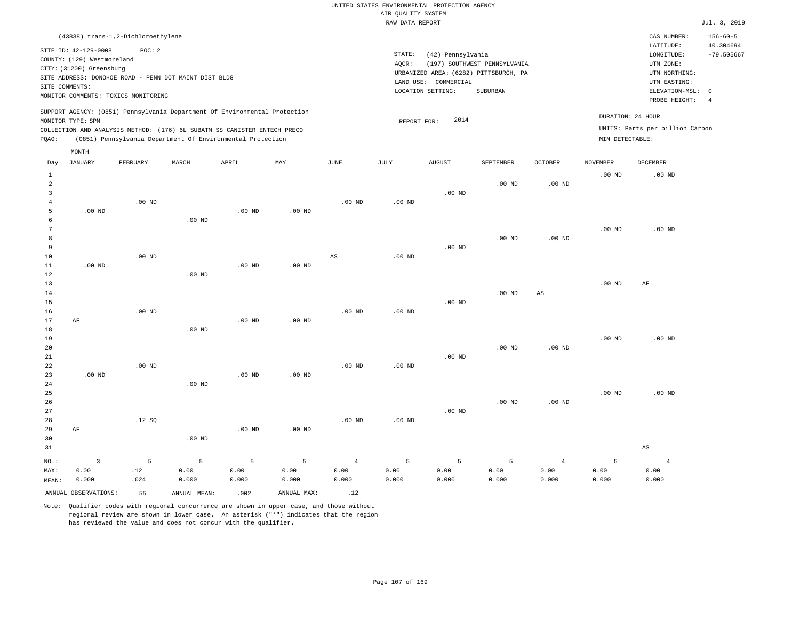| (43838) trans-1,2-Dichloroethylene                                                                                                                                                                                                                          |                                                                                                                                                                        | $156 - 60 - 5$<br>CAS NUMBER:                                                                                                                |  |
|-------------------------------------------------------------------------------------------------------------------------------------------------------------------------------------------------------------------------------------------------------------|------------------------------------------------------------------------------------------------------------------------------------------------------------------------|----------------------------------------------------------------------------------------------------------------------------------------------|--|
| SITE ID: 42-129-0008<br>POC: 2<br>COUNTY: (129) Westmoreland<br>CITY: (31200) Greensburg<br>SITE ADDRESS: DONOHOE ROAD - PENN DOT MAINT DIST BLDG<br>SITE COMMENTS:<br>MONITOR COMMENTS: TOXICS MONITORING                                                  | STATE:<br>(42) Pennsylvania<br>(197) SOUTHWEST PENNSYLVANIA<br>AOCR:<br>URBANIZED AREA: (6282) PITTSBURGH, PA<br>LAND USE: COMMERCIAL<br>LOCATION SETTING:<br>SUBURBAN | 40.304694<br>LATITUDE:<br>$-79.505667$<br>LONGITUDE:<br>UTM ZONE:<br>UTM NORTHING:<br>UTM EASTING:<br>ELEVATION-MSL: 0<br>PROBE HEIGHT:<br>4 |  |
| SUPPORT AGENCY: (0851) Pennsylvania Department Of Environmental Protection<br>MONITOR TYPE: SPM<br>COLLECTION AND ANALYSIS METHOD: (176) 6L SUBATM SS CANISTER ENTECH PRECO<br>(0851) Pennsylvania Department Of Environmental Protection<br>POAO:<br>MONTH | 2014<br>REPORT FOR:                                                                                                                                                    | DURATION: 24 HOUR<br>UNITS: Parts per billion Carbon<br>MIN DETECTABLE:                                                                      |  |

| Day            | <b>JANUARY</b>       | FEBRUARY | MARCH        | APRIL             | $\ensuremath{\text{MAX}}$ | $_{\rm JUNE}$     | $\mathtt{JULY}$ | AUGUST   | SEPTEMBER      | OCTOBER                | NOVEMBER    | $\tt DECEMBER$    |
|----------------|----------------------|----------|--------------|-------------------|---------------------------|-------------------|-----------------|----------|----------------|------------------------|-------------|-------------------|
| $\mathbf{1}$   |                      |          |              |                   |                           |                   |                 |          |                |                        | $.00$ ND    | .00 <sub>ND</sub> |
| $\overline{a}$ |                      |          |              |                   |                           |                   |                 |          | $.00$ ND       | .00 $ND$               |             |                   |
| 3              |                      |          |              |                   |                           |                   |                 | $.00$ ND |                |                        |             |                   |
| $\overline{4}$ |                      | $.00$ ND |              |                   |                           | .00 <sub>ND</sub> | .00 $ND$        |          |                |                        |             |                   |
| 5              | $.00$ ND             |          |              | $.00$ ND          | .00 $ND$                  |                   |                 |          |                |                        |             |                   |
| 6              |                      |          | $.00$ ND     |                   |                           |                   |                 |          |                |                        |             |                   |
| $\overline{7}$ |                      |          |              |                   |                           |                   |                 |          |                |                        | $.00$ ND    | $.00$ ND          |
| 8              |                      |          |              |                   |                           |                   |                 |          | $.00$ ND       | $.00$ ND               |             |                   |
| 9              |                      |          |              |                   |                           |                   |                 | $.00$ ND |                |                        |             |                   |
| 10             |                      | $.00$ ND |              |                   |                           | $_{\rm AS}$       | $.00$ ND        |          |                |                        |             |                   |
| 11             | $.00$ ND             |          |              | .00 <sub>ND</sub> | $.00$ ND                  |                   |                 |          |                |                        |             |                   |
| 12             |                      |          | $.00$ ND     |                   |                           |                   |                 |          |                |                        |             |                   |
| 13             |                      |          |              |                   |                           |                   |                 |          |                |                        | $.00$ ND    | AF                |
| 14             |                      |          |              |                   |                           |                   |                 |          | $.00$ ND       | $\mathbb{A}\mathbb{S}$ |             |                   |
| 15             |                      |          |              |                   |                           |                   |                 | $.00$ ND |                |                        |             |                   |
| 16             |                      | $.00$ ND |              |                   |                           | .00 <sub>ND</sub> | .00 $ND$        |          |                |                        |             |                   |
| 17             | $\rm AF$             |          |              | $.00$ ND          | .00 $ND$                  |                   |                 |          |                |                        |             |                   |
| 18             |                      |          | $.00$ ND     |                   |                           |                   |                 |          |                |                        |             |                   |
| 19             |                      |          |              |                   |                           |                   |                 |          |                |                        | $.00$ ND    | $.00$ ND          |
| 20<br>21       |                      |          |              |                   |                           |                   |                 | $.00$ ND | $.00$ ND       | .00 <sub>ND</sub>      |             |                   |
| 22             |                      | $.00$ ND |              |                   |                           | $.00$ ND          | .00 $ND$        |          |                |                        |             |                   |
| 23             | $.00$ ND             |          |              | $.00$ ND          | .00 $ND$                  |                   |                 |          |                |                        |             |                   |
| 24             |                      |          | $.00$ ND     |                   |                           |                   |                 |          |                |                        |             |                   |
| $25\,$         |                      |          |              |                   |                           |                   |                 |          |                |                        | $.00$ ND    | $.00$ ND          |
| 26             |                      |          |              |                   |                           |                   |                 |          | $.00$ ND       | $.00$ ND               |             |                   |
| 27             |                      |          |              |                   |                           |                   |                 | $.00$ ND |                |                        |             |                   |
| 28             |                      | .12SQ    |              |                   |                           | $.00$ ND          | $.00$ ND        |          |                |                        |             |                   |
| 29             | $\rm AF$             |          |              | $.00$ ND          | $.00$ ND                  |                   |                 |          |                |                        |             |                   |
| 30             |                      |          | $.00$ ND     |                   |                           |                   |                 |          |                |                        |             |                   |
| 31             |                      |          |              |                   |                           |                   |                 |          |                |                        |             | $_{\rm AS}$       |
| $_{\rm NO.}$ : | $\overline{3}$       | 5        | 5            | 5                 | 5                         | $\overline{4}$    | 5               | 5        | $\overline{5}$ | $\overline{4}$         | $\mathsf S$ | $\overline{4}$    |
| MAX:           | 0.00                 | $.12\,$  | 0.00         | 0.00              | 0.00                      | 0.00              | 0.00            | 0.00     | 0.00           | 0.00                   | 0.00        | 0.00              |
| MEAN:          | 0.000                | .024     | 0.000        | 0.000             | 0.000                     | 0.000             | 0.000           | 0.000    | 0.000          | 0.000                  | 0.000       | 0.000             |
|                | ANNUAL OBSERVATIONS: | 55       | ANNUAL MEAN: | .002              | ANNUAL MAX:               | .12               |                 |          |                |                        |             |                   |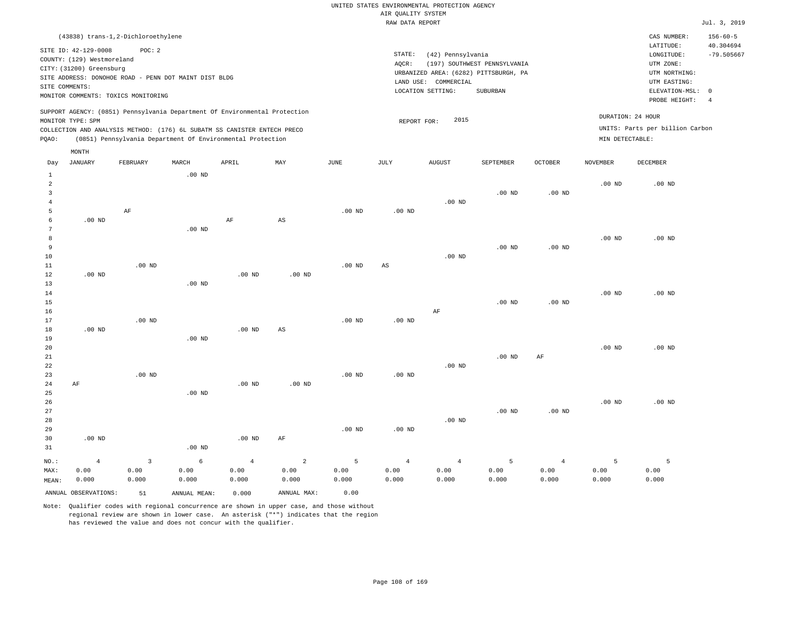| (43838) trans-1,2-Dichloroethylene                                                                                                                                                                                                                 |                                                                                                                                                                        | $156 - 60 - 5$<br>CAS NUMBER:                                                                                                           |
|----------------------------------------------------------------------------------------------------------------------------------------------------------------------------------------------------------------------------------------------------|------------------------------------------------------------------------------------------------------------------------------------------------------------------------|-----------------------------------------------------------------------------------------------------------------------------------------|
| SITE ID: 42-129-0008<br>POC:2<br>COUNTY: (129) Westmoreland<br>CITY: (31200) Greensburg<br>SITE ADDRESS: DONOHOE ROAD - PENN DOT MAINT DIST BLDG<br>SITE COMMENTS:<br>MONITOR COMMENTS: TOXICS MONITORING                                          | STATE:<br>(42) Pennsylvania<br>(197) SOUTHWEST PENNSYLVANIA<br>AOCR:<br>URBANIZED AREA: (6282) PITTSBURGH, PA<br>LAND USE: COMMERCIAL<br>LOCATION SETTING:<br>SUBURBAN | 40.304694<br>LATITUDE:<br>$-79.505667$<br>LONGITUDE:<br>UTM ZONE:<br>UTM NORTHING:<br>UTM EASTING:<br>ELEVATION-MSL: 0<br>PROBE HEIGHT: |
| SUPPORT AGENCY: (0851) Pennsylvania Department Of Environmental Protection<br>MONITOR TYPE: SPM<br>COLLECTION AND ANALYSIS METHOD: (176) 6L SUBATM SS CANISTER ENTECH PRECO<br>(0851) Pennsylvania Department Of Environmental Protection<br>POAO: | 2015<br>REPORT FOR:                                                                                                                                                    | DURATION: 24 HOUR<br>UNITS: Parts per billion Carbon<br>MIN DETECTABLE:                                                                 |

|                | $\texttt{MONTH}$     |              |              |          |                        |          |             |               |           |                |                   |                   |
|----------------|----------------------|--------------|--------------|----------|------------------------|----------|-------------|---------------|-----------|----------------|-------------------|-------------------|
| Day            | JANUARY              | FEBRUARY     | MARCH        | APRIL    | MAY                    | JUNE     | JULY        | <b>AUGUST</b> | SEPTEMBER | OCTOBER        | NOVEMBER          | DECEMBER          |
| $\mathbf{1}$   |                      |              | $.00$ ND     |          |                        |          |             |               |           |                |                   |                   |
| $\overline{a}$ |                      |              |              |          |                        |          |             |               |           |                | $.00$ ND          | $.00$ ND          |
| 3              |                      |              |              |          |                        |          |             |               | $.00$ ND  | $.00$ ND       |                   |                   |
| $\overline{4}$ |                      |              |              |          |                        |          |             | $.00$ ND      |           |                |                   |                   |
| 5              |                      | AF           |              |          |                        | $.00$ ND | $.00$ ND    |               |           |                |                   |                   |
| 6              | $.00$ ND             |              |              | $\rm AF$ | $\mathbb{A}\mathbb{S}$ |          |             |               |           |                |                   |                   |
| 7              |                      |              | $.00$ ND     |          |                        |          |             |               |           |                |                   |                   |
| 8              |                      |              |              |          |                        |          |             |               |           |                | $.00$ ND          | $.00$ ND          |
| $\overline{9}$ |                      |              |              |          |                        |          |             |               | $.00$ ND  | $.00$ ND       |                   |                   |
| 10             |                      |              |              |          |                        |          |             | $.00$ ND      |           |                |                   |                   |
| 11             |                      | $.00$ ND     |              |          |                        | $.00$ ND | $_{\rm AS}$ |               |           |                |                   |                   |
| 12             | $.00$ ND             |              |              | $.00$ ND | $.00$ ND               |          |             |               |           |                |                   |                   |
| 13             |                      |              | $.00$ ND     |          |                        |          |             |               |           |                |                   |                   |
| 14             |                      |              |              |          |                        |          |             |               |           |                | .00 <sub>ND</sub> | $.00$ ND          |
| 15             |                      |              |              |          |                        |          |             |               | $.00$ ND  | $.00$ ND       |                   |                   |
| 16             |                      |              |              |          |                        |          |             | $\rm AF$      |           |                |                   |                   |
| 17             |                      | $.00$ ND     |              |          |                        | $.00$ ND | $.00$ ND    |               |           |                |                   |                   |
| 18             | $.00$ ND             |              |              | .00 $ND$ | AS                     |          |             |               |           |                |                   |                   |
| 19<br>20       |                      |              | $.00$ ND     |          |                        |          |             |               |           |                | $.00$ ND          | .00 <sub>ND</sub> |
| 21             |                      |              |              |          |                        |          |             |               | $.00$ ND  | AF             |                   |                   |
| 22             |                      |              |              |          |                        |          |             | $.00$ ND      |           |                |                   |                   |
| 23             |                      | $.00$ ND     |              |          |                        | $.00$ ND | $.00$ ND    |               |           |                |                   |                   |
| 24             | $\rm AF$             |              |              | $.00$ ND | .00 <sub>ND</sub>      |          |             |               |           |                |                   |                   |
| 25             |                      |              | $.00$ ND     |          |                        |          |             |               |           |                |                   |                   |
| 26             |                      |              |              |          |                        |          |             |               |           |                | $.00$ ND          | .00 <sub>ND</sub> |
| 27             |                      |              |              |          |                        |          |             |               | $.00$ ND  | $.00$ ND       |                   |                   |
| 28             |                      |              |              |          |                        |          |             | $.00$ ND      |           |                |                   |                   |
| 29             |                      |              |              |          |                        | $.00$ ND | $.00$ ND    |               |           |                |                   |                   |
| 30             | $.00$ ND             |              |              | $.00$ ND | $\rm AF$               |          |             |               |           |                |                   |                   |
| 31             |                      |              | $.00$ ND     |          |                        |          |             |               |           |                |                   |                   |
| NO.:           | $\sqrt{4}$           | $\mathbf{3}$ | 6            | $\bf{4}$ | $\sqrt{2}$             | 5        | $\sqrt{4}$  | $\sqrt{4}$    | 5         | $\overline{4}$ | 5                 | 5                 |
| MAX:           | 0.00                 | 0.00         | 0.00         | 0.00     | 0.00                   | 0.00     | 0.00        | 0.00          | 0.00      | 0.00           | 0.00              | 0.00              |
| MEAN:          | 0.000                | 0.000        | 0.000        | 0.000    | 0.000                  | 0.000    | 0.000       | 0.000         | 0.000     | 0.000          | 0.000             | 0.000             |
|                | ANNUAL OBSERVATIONS: | 51           | ANNUAL MEAN: | 0.000    | ANNUAL MAX:            | 0.00     |             |               |           |                |                   |                   |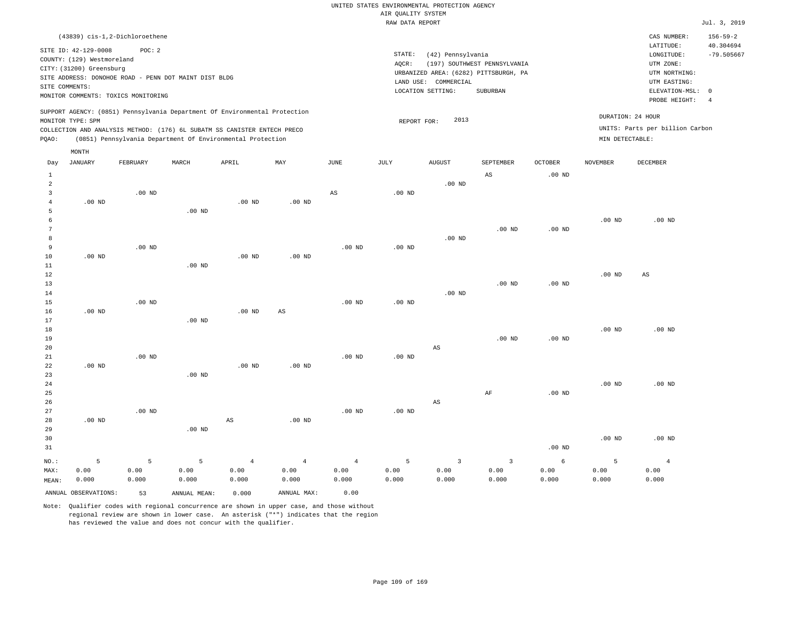|       |                                                        | (43839) cis-1.2-Dichloroethene                                             |       |       |     |      |                     |                   |                                       |                |                   | CAS NUMBER:                     | $156 - 59 - 2$ |
|-------|--------------------------------------------------------|----------------------------------------------------------------------------|-------|-------|-----|------|---------------------|-------------------|---------------------------------------|----------------|-------------------|---------------------------------|----------------|
|       | SITE ID: 42-129-0008                                   | POC: 2                                                                     |       |       |     |      |                     |                   |                                       |                |                   | LATITUDE:                       | 40.304694      |
|       | COUNTY: (129) Westmoreland<br>CITY: (31200) Greensburg |                                                                            |       |       |     |      | STATE:              | (42) Pennsylvania |                                       | $-79.505667$   |                   |                                 |                |
|       |                                                        |                                                                            |       |       |     |      | AOCR:               |                   | (197) SOUTHWEST PENNSYLVANIA          |                |                   | UTM ZONE:                       |                |
|       |                                                        | SITE ADDRESS: DONOHOE ROAD - PENN DOT MAINT DIST BLDG                      |       |       |     |      |                     |                   | URBANIZED AREA: (6282) PITTSBURGH, PA |                |                   |                                 |                |
|       | SITE COMMENTS:                                         |                                                                            |       |       |     |      | LAND USE:           | COMMERCIAL        |                                       |                |                   | UTM EASTING:                    |                |
|       |                                                        | MONITOR COMMENTS: TOXICS MONITORING                                        |       |       |     |      |                     | LOCATION SETTING: | SUBURBAN                              |                |                   | ELEVATION-MSL:                  | - 0            |
|       |                                                        |                                                                            |       |       |     |      |                     |                   |                                       |                |                   | PROBE HEIGHT:                   | -4             |
|       |                                                        | SUPPORT AGENCY: (0851) Pennsylvania Department Of Environmental Protection |       |       |     |      |                     |                   |                                       |                | DURATION: 24 HOUR |                                 |                |
|       | MONITOR TYPE: SPM                                      |                                                                            |       |       |     |      | 2013<br>REPORT FOR: |                   |                                       |                |                   |                                 |                |
|       |                                                        | COLLECTION AND ANALYSIS METHOD: (176) 6L SUBATM SS CANISTER ENTECH PRECO   |       |       |     |      |                     |                   |                                       |                |                   | UNITS: Parts per billion Carbon |                |
| POAO: |                                                        | (0851) Pennsylvania Department Of Environmental Protection                 |       |       |     |      |                     |                   |                                       |                | MIN DETECTABLE:   |                                 |                |
|       | MONTH                                                  |                                                                            |       |       |     |      |                     |                   |                                       |                |                   |                                 |                |
| Day   | JANUARY                                                | FEBRUARY                                                                   | MARCH | APRIL | MAY | JUNE | JULY                | <b>AUGUST</b>     | SEPTEMBER                             | <b>OCTOBER</b> | <b>NOVEMBER</b>   | DECEMBER                        |                |

| $\mathbf{1}$<br>$\,2$ |          |          |                   |                        |                        |             |                   | .00 $ND$                | AS                        | $.00$ ND          |                   |                        |
|-----------------------|----------|----------|-------------------|------------------------|------------------------|-------------|-------------------|-------------------------|---------------------------|-------------------|-------------------|------------------------|
| 3                     |          | $.00$ ND |                   |                        |                        | $_{\rm AS}$ | $.00$ ND          |                         |                           |                   |                   |                        |
| $\overline{4}$        | $.00$ ND |          |                   | .00 $ND$               | $.00$ ND               |             |                   |                         |                           |                   |                   |                        |
| 5                     |          |          | $.00$ ND          |                        |                        |             |                   |                         |                           |                   |                   |                        |
| 6                     |          |          |                   |                        |                        |             |                   |                         |                           |                   | $.00$ ND          | $.00$ ND               |
| 7                     |          |          |                   |                        |                        |             |                   |                         | $.00$ ND                  | .00 <sub>ND</sub> |                   |                        |
| 8                     |          |          |                   |                        |                        |             |                   | $.00$ ND                |                           |                   |                   |                        |
| 9                     |          | $.00$ ND |                   |                        |                        | $.00$ ND    | .00 <sub>ND</sub> |                         |                           |                   |                   |                        |
| $10$                  | $.00$ ND |          |                   | $.00$ ND               | $.00$ ND               |             |                   |                         |                           |                   |                   |                        |
| 11                    |          |          | $.00$ ND          |                        |                        |             |                   |                         |                           |                   |                   |                        |
| 12                    |          |          |                   |                        |                        |             |                   |                         |                           |                   | .00 $ND$          | $\mathbb{A}\mathbb{S}$ |
| 13                    |          |          |                   |                        |                        |             |                   |                         | $.00$ ND                  | $.00$ ND          |                   |                        |
| 14                    |          |          |                   |                        |                        |             |                   | $.00$ ND                |                           |                   |                   |                        |
| 15                    |          | $.00$ ND |                   |                        |                        | $.00$ ND    | $.00$ ND          |                         |                           |                   |                   |                        |
| 16                    | $.00$ ND |          |                   | $.00$ ND               | $\mathbb{A}\mathbb{S}$ |             |                   |                         |                           |                   |                   |                        |
| 17                    |          |          | .00 <sub>ND</sub> |                        |                        |             |                   |                         |                           |                   |                   |                        |
| 18                    |          |          |                   |                        |                        |             |                   |                         |                           |                   | .00 $ND$          | $.00$ ND               |
| 19                    |          |          |                   |                        |                        |             |                   |                         | $.00$ ND                  | $.00$ ND          |                   |                        |
| 20                    |          |          |                   |                        |                        |             |                   | AS                      |                           |                   |                   |                        |
| $2\sqrt{1}$           |          | $.00$ ND |                   |                        |                        | $.00$ ND    | .00 $ND$          |                         |                           |                   |                   |                        |
| 22                    | $.00$ ND |          |                   | .00 $ND$               | $.00$ ND               |             |                   |                         |                           |                   |                   |                        |
| 23                    |          |          | $.00$ ND          |                        |                        |             |                   |                         |                           |                   |                   |                        |
| 24                    |          |          |                   |                        |                        |             |                   |                         |                           |                   | $.00~\mathrm{ND}$ | $.00$ ND               |
| 25                    |          |          |                   |                        |                        |             |                   |                         | $\rm AF$                  | $.00$ ND          |                   |                        |
| 26                    |          |          |                   |                        |                        |             |                   | AS                      |                           |                   |                   |                        |
| 27                    |          | $.00$ ND |                   |                        |                        | $.00$ ND    | $.00$ ND          |                         |                           |                   |                   |                        |
| 28                    | $.00$ ND |          |                   | $\mathbb{A}\mathbb{S}$ | $.00$ ND               |             |                   |                         |                           |                   |                   |                        |
| 29                    |          |          | $.00$ ND          |                        |                        |             |                   |                         |                           |                   |                   |                        |
| 30                    |          |          |                   |                        |                        |             |                   |                         |                           |                   | $.00~\mathrm{ND}$ | $.00$ ND               |
| 31                    |          |          |                   |                        |                        |             |                   |                         |                           | $.00$ ND          |                   |                        |
| $NO.$ :               | 5        | 5        | 5                 | $\overline{4}$         | $\,4$                  | $\,4$       | 5                 | $\overline{\mathbf{3}}$ | $\ensuremath{\mathsf{3}}$ | $\epsilon$        | 5                 | $\overline{4}$         |
| MAX:                  | 0.00     | 0.00     | 0.00              | 0.00                   | 0.00                   | 0.00        | 0.00              | 0.00                    | 0.00                      | 0.00              | 0.00              | 0.00                   |
| MEAN:                 | 0.000    | 0.000    | 0.000             | 0.000                  | 0.000                  | 0.000       | 0.000             | 0.000                   | 0.000                     | 0.000             | 0.000             | 0.000                  |

ANNUAL OBSERVATIONS: 53 ANNUAL MEAN: 0.000 ANNUAL MAX: 0.00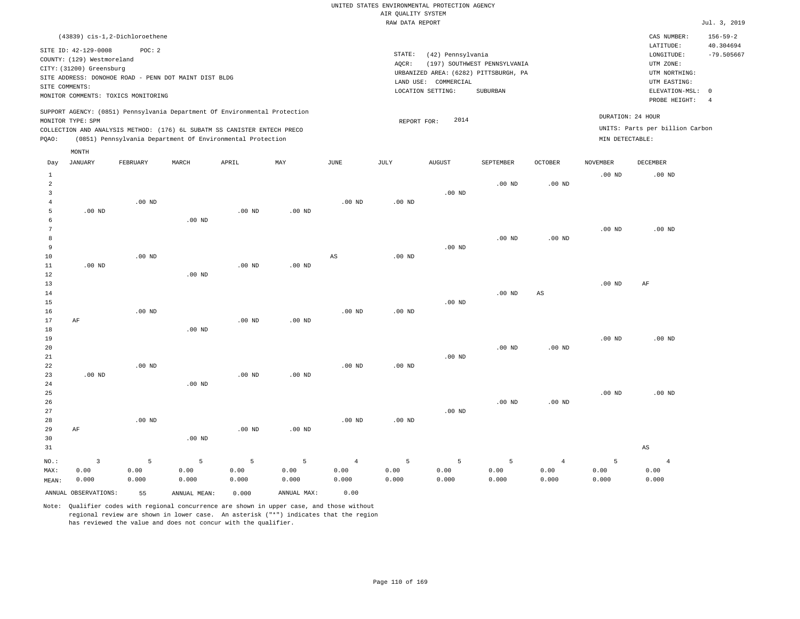| (43839) cis-1,2-Dichloroethene                                                                                                                                                                                                                     |                                                                                                                                                                        |                                      | CAS NUMBER:                                                                                                | $156 - 59 - 2$            |
|----------------------------------------------------------------------------------------------------------------------------------------------------------------------------------------------------------------------------------------------------|------------------------------------------------------------------------------------------------------------------------------------------------------------------------|--------------------------------------|------------------------------------------------------------------------------------------------------------|---------------------------|
| SITE ID: 42-129-0008<br>POC:2<br>COUNTY: (129) Westmoreland<br>CITY: (31200) Greensburg<br>SITE ADDRESS: DONOHOE ROAD - PENN DOT MAINT DIST BLDG<br>SITE COMMENTS:<br>MONITOR COMMENTS: TOXICS MONITORING                                          | STATE:<br>(42) Pennsylvania<br>(197) SOUTHWEST PENNSYLVANIA<br>AOCR:<br>URBANIZED AREA: (6282) PITTSBURGH, PA<br>LAND USE: COMMERCIAL<br>LOCATION SETTING:<br>SUBURBAN |                                      | LATITUDE:<br>LONGITUDE:<br>UTM ZONE:<br>UTM NORTHING:<br>UTM EASTING:<br>ELEVATION-MSL: 0<br>PROBE HEIGHT: | 40.304694<br>$-79.505667$ |
| SUPPORT AGENCY: (0851) Pennsylvania Department Of Environmental Protection<br>MONITOR TYPE: SPM<br>COLLECTION AND ANALYSIS METHOD: (176) 6L SUBATM SS CANISTER ENTECH PRECO<br>(0851) Pennsylvania Department Of Environmental Protection<br>POAO: | 2014<br>REPORT FOR:                                                                                                                                                    | DURATION: 24 HOUR<br>MIN DETECTABLE: | UNITS: Parts per billion Carbon                                                                            |                           |
| MONTH                                                                                                                                                                                                                                              |                                                                                                                                                                        |                                      |                                                                                                            |                           |

| Day                     | <b>JANUARY</b>       | FEBRUARY | $\tt MARCH$  | APRIL    | MAY         | JUNE           | $\mathtt{JULY}$   | AUGUST   | SEPTEMBER | $\mathtt{OCTOBER}$ | NOVEMBER          | DECEMBER       |
|-------------------------|----------------------|----------|--------------|----------|-------------|----------------|-------------------|----------|-----------|--------------------|-------------------|----------------|
| $\mathbf{1}$            |                      |          |              |          |             |                |                   |          |           |                    | .00 <sub>ND</sub> | $.00$ ND       |
| $\overline{\mathbf{c}}$ |                      |          |              |          |             |                |                   |          | $.00$ ND  | $.00$ ND           |                   |                |
| 3<br>$\overline{4}$     |                      | $.00$ ND |              |          |             | $.00$ ND       | $.00$ ND          | $.00$ ND |           |                    |                   |                |
| 5                       | $.00$ ND             |          |              | $.00$ ND | $.00$ ND    |                |                   |          |           |                    |                   |                |
| 6                       |                      |          | $.00$ ND     |          |             |                |                   |          |           |                    |                   |                |
| 7                       |                      |          |              |          |             |                |                   |          |           |                    | .00 <sub>ND</sub> | $.00$ ND       |
| 8                       |                      |          |              |          |             |                |                   |          | $.00$ ND  | .00 <sub>ND</sub>  |                   |                |
| 9                       |                      |          |              |          |             |                |                   | $.00$ ND |           |                    |                   |                |
| $10$                    |                      | $.00$ ND |              |          |             | AS             | $.00$ ND          |          |           |                    |                   |                |
| $11\,$                  | $.00$ ND             |          |              | $.00$ ND | $.00$ ND    |                |                   |          |           |                    |                   |                |
| 12                      |                      |          | $.00$ ND     |          |             |                |                   |          |           |                    |                   |                |
| 13                      |                      |          |              |          |             |                |                   |          |           |                    | .00 <sub>ND</sub> | AF             |
| 14                      |                      |          |              |          |             |                |                   |          | $.00$ ND  | AS                 |                   |                |
| 15                      |                      |          |              |          |             |                |                   | $.00$ ND |           |                    |                   |                |
| 16                      |                      | $.00$ ND |              |          |             | $.00$ ND       | .00 <sub>ND</sub> |          |           |                    |                   |                |
| 17                      | $\rm AF$             |          |              | $.00$ ND | $.00$ ND    |                |                   |          |           |                    |                   |                |
| 18                      |                      |          | $.00$ ND     |          |             |                |                   |          |           |                    |                   |                |
| 19                      |                      |          |              |          |             |                |                   |          |           |                    | $.00$ ND          | $.00$ ND       |
| 20                      |                      |          |              |          |             |                |                   |          | $.00$ ND  | $.00$ ND           |                   |                |
| $2\sqrt{1}$             |                      |          |              |          |             |                |                   | $.00$ ND |           |                    |                   |                |
| $2\sqrt{2}$             |                      | $.00$ ND |              |          |             | $.00$ ND       | $.00$ ND          |          |           |                    |                   |                |
| 23                      | $.00$ ND             |          |              | $.00$ ND | $.00$ ND    |                |                   |          |           |                    |                   |                |
| 24                      |                      |          | $.00$ ND     |          |             |                |                   |          |           |                    |                   |                |
| 25                      |                      |          |              |          |             |                |                   |          |           |                    | $.00$ ND          | $.00$ ND       |
| 26                      |                      |          |              |          |             |                |                   |          | $.00$ ND  | $.00$ ND           |                   |                |
| $2\,7$                  |                      | $.00$ ND |              |          |             |                |                   | .00 $ND$ |           |                    |                   |                |
| 28<br>29                | AF                   |          |              | $.00$ ND | $.00$ ND    | $.00$ ND       | $.00$ ND          |          |           |                    |                   |                |
| 30                      |                      |          | $.00$ ND     |          |             |                |                   |          |           |                    |                   |                |
| 31                      |                      |          |              |          |             |                |                   |          |           |                    |                   | AS             |
|                         |                      |          |              |          |             |                |                   |          |           |                    |                   |                |
| $NO.$ :                 | $\mathsf 3$          | 5        | $\mathsf S$  | 5        | 5           | $\overline{4}$ | 5                 | 5        | 5         | $\overline{4}$     | 5                 | $\overline{4}$ |
| MAX:                    | 0.00                 | 0.00     | 0.00         | 0.00     | 0.00        | 0.00           | 0.00              | 0.00     | 0.00      | 0.00               | 0.00              | 0.00           |
| MEAN:                   | 0.000                | 0.000    | 0.000        | 0.000    | 0.000       | 0.000          | 0.000             | 0.000    | 0.000     | 0.000              | 0.000             | 0.000          |
|                         | ANNUAL OBSERVATIONS: | 55       | ANNUAL MEAN: | 0.000    | ANNUAL MAX: | 0.00           |                   |          |           |                    |                   |                |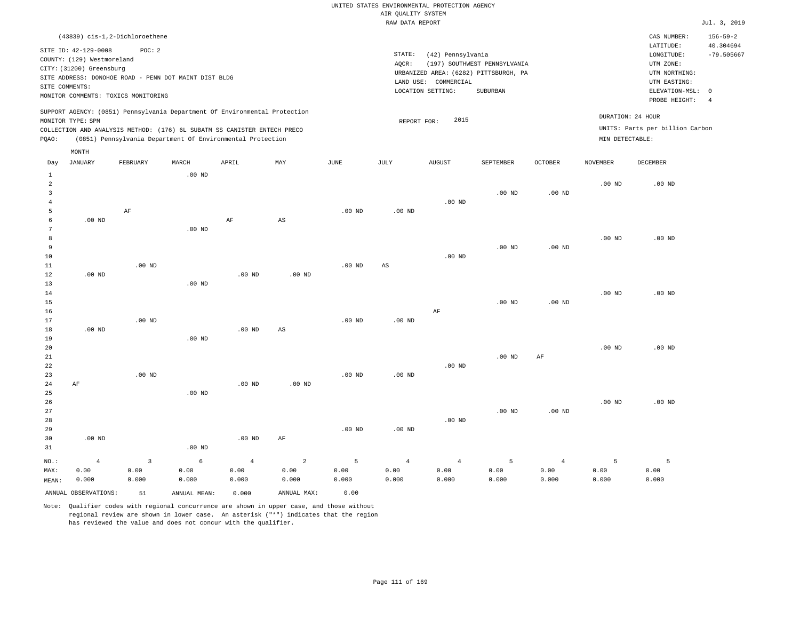|                                                                                                                                                                        | CAS NUMBER:                                                           | $156 - 59 - 2$                                                                                               |
|------------------------------------------------------------------------------------------------------------------------------------------------------------------------|-----------------------------------------------------------------------|--------------------------------------------------------------------------------------------------------------|
| STATE:<br>(42) Pennsylvania<br>(197) SOUTHWEST PENNSYLVANIA<br>AOCR:<br>URBANIZED AREA: (6282) PITTSBURGH, PA<br>LAND USE: COMMERCIAL<br>LOCATION SETTING:<br>SUBURBAN | LATITUDE:<br>LONGITUDE:<br>UTM ZONE:<br>UTM NORTHING:<br>UTM EASTING: | 40.304694<br>$-79.505667$                                                                                    |
| 2015<br>REPORT FOR:                                                                                                                                                    |                                                                       |                                                                                                              |
|                                                                                                                                                                        |                                                                       | ELEVATION-MSL: 0<br>PROBE HEIGHT:<br>DURATION: 24 HOUR<br>UNITS: Parts per billion Carbon<br>MIN DETECTABLE: |

| Day                     | <b>JANUARY</b>       | FEBRUARY    | MARCH             | APRIL      | MAY                    | $_{\rm JUNE}$ | $\mathtt{JULY}$        | <b>AUGUST</b>  | SEPTEMBER      | OCTOBER        | NOVEMBER          | $\begin{minipage}{.4\linewidth} DECEMBER \end{minipage} \vspace{-0.5em}$ |
|-------------------------|----------------------|-------------|-------------------|------------|------------------------|---------------|------------------------|----------------|----------------|----------------|-------------------|--------------------------------------------------------------------------|
| $\mathbf{1}$            |                      |             | .00 <sub>ND</sub> |            |                        |               |                        |                |                |                |                   |                                                                          |
| $\overline{\mathbf{c}}$ |                      |             |                   |            |                        |               |                        |                |                |                | $.00$ ND          | $.00$ ND                                                                 |
| 3                       |                      |             |                   |            |                        |               |                        |                | $.00$ ND       | $.00$ ND       |                   |                                                                          |
| $\overline{4}$          |                      |             |                   |            |                        |               |                        | $.00$ ND       |                |                |                   |                                                                          |
| 5                       |                      | AF          |                   |            |                        | $.00$ ND      | $.00$ ND               |                |                |                |                   |                                                                          |
| 6                       | $.00$ ND             |             |                   | $\rm AF$   | $\mathbb{A}\mathbb{S}$ |               |                        |                |                |                |                   |                                                                          |
| 7                       |                      |             | $.00$ ND          |            |                        |               |                        |                |                |                |                   |                                                                          |
| 8                       |                      |             |                   |            |                        |               |                        |                |                |                | .00 <sub>ND</sub> | $.00$ ND                                                                 |
| 9                       |                      |             |                   |            |                        |               |                        |                | $.00$ ND       | $.00$ ND       |                   |                                                                          |
| $10$<br>$11\,$          |                      | $.00$ ND    |                   |            |                        |               |                        | $.00$ ND       |                |                |                   |                                                                          |
| 12                      | $.00$ ND             |             |                   | $.00$ ND   | $.00$ ND               | $.00$ ND      | $\mathbb{A}\mathbb{S}$ |                |                |                |                   |                                                                          |
| 13                      |                      |             | $.00$ ND          |            |                        |               |                        |                |                |                |                   |                                                                          |
| 14                      |                      |             |                   |            |                        |               |                        |                |                |                | $.00$ ND          | $.00$ ND                                                                 |
| 15                      |                      |             |                   |            |                        |               |                        |                | $.00$ ND       | $.00$ ND       |                   |                                                                          |
| 16                      |                      |             |                   |            |                        |               |                        | AF             |                |                |                   |                                                                          |
| 17                      |                      | $.00$ ND    |                   |            |                        | $.00$ ND      | $.00$ ND               |                |                |                |                   |                                                                          |
| 18                      | $.00$ ND             |             |                   | .00 $ND$   | AS                     |               |                        |                |                |                |                   |                                                                          |
| 19                      |                      |             | $.00$ ND          |            |                        |               |                        |                |                |                |                   |                                                                          |
| 20                      |                      |             |                   |            |                        |               |                        |                |                |                | .00 <sub>ND</sub> | $.00$ ND                                                                 |
| 21                      |                      |             |                   |            |                        |               |                        |                | $.00$ ND       | $\rm{AF}$      |                   |                                                                          |
| 22                      |                      |             |                   |            |                        |               |                        | $.00$ ND       |                |                |                   |                                                                          |
| 23                      |                      | $.00$ ND    |                   |            |                        | $.00$ ND      | $.00$ ND               |                |                |                |                   |                                                                          |
| 24                      | $\rm AF$             |             |                   | .00 $ND$   | $.00$ ND               |               |                        |                |                |                |                   |                                                                          |
| 25                      |                      |             | $.00$ ND          |            |                        |               |                        |                |                |                |                   |                                                                          |
| 26                      |                      |             |                   |            |                        |               |                        |                |                |                | $.00$ ND          | $.00$ ND                                                                 |
| 27                      |                      |             |                   |            |                        |               |                        |                | $.00$ ND       | $.00$ ND       |                   |                                                                          |
| 28                      |                      |             |                   |            |                        |               |                        | $.00$ ND       |                |                |                   |                                                                          |
| 29                      |                      |             |                   |            |                        | $.00$ ND      | .00 <sub>ND</sub>      |                |                |                |                   |                                                                          |
| 30                      | $.00$ ND             |             |                   | .00 $ND$   | AF                     |               |                        |                |                |                |                   |                                                                          |
| 31                      |                      |             | $.00$ ND          |            |                        |               |                        |                |                |                |                   |                                                                          |
| $_{\rm NO.}$ :          | $\overline{4}$       | $\mathsf 3$ | 6                 | $\sqrt{4}$ | $\sqrt{2}$             | 5             | $\overline{4}$         | $\overline{4}$ | $\overline{5}$ | $\overline{4}$ | 5                 | 5                                                                        |
| MAX:                    | 0.00                 | 0.00        | 0.00              | 0.00       | 0.00                   | 0.00          | 0.00                   | 0.00           | 0.00           | 0.00           | 0.00              | 0.00                                                                     |
| MEAN:                   | 0.000                | 0.000       | 0.000             | 0.000      | 0.000                  | 0.000         | 0.000                  | 0.000          | 0.000          | 0.000          | 0.000             | 0.000                                                                    |
|                         | ANNUAL OBSERVATIONS: | 51          | ANNUAL MEAN:      | 0.000      | ANNUAL MAX:            | 0.00          |                        |                |                |                |                   |                                                                          |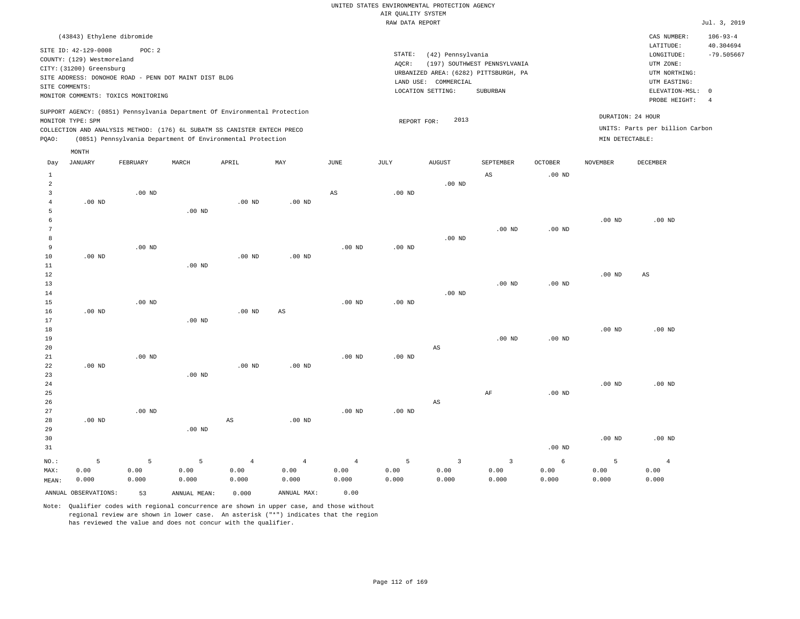| (43843) Ethylene dibromide                                                                                                                                                                                                                                  |                                                                                                                                                                           | CAS NUMBER:                                                                                                | $106 - 93 - 4$            |
|-------------------------------------------------------------------------------------------------------------------------------------------------------------------------------------------------------------------------------------------------------------|---------------------------------------------------------------------------------------------------------------------------------------------------------------------------|------------------------------------------------------------------------------------------------------------|---------------------------|
| SITE ID: 42-129-0008<br>POC:2<br>COUNTY: (129) Westmoreland<br>CITY: (31200) Greensburg<br>SITE ADDRESS: DONOHOE ROAD - PENN DOT MAINT DIST BLDG<br>SITE COMMENTS:<br>MONITOR COMMENTS: TOXICS MONITORING                                                   | STATE:<br>(42) Pennsylvania<br>(197) SOUTHWEST PENNSYLVANIA<br>AOCR:<br>URBANIZED AREA: (6282) PITTSBURGH, PA<br>COMMERCIAL<br>LAND USE:<br>LOCATION SETTING:<br>SUBURBAN | LATITUDE:<br>LONGITUDE:<br>UTM ZONE:<br>UTM NORTHING:<br>UTM EASTING:<br>ELEVATION-MSL: 0<br>PROBE HEIGHT: | 40.304694<br>$-79.505667$ |
| SUPPORT AGENCY: (0851) Pennsylvania Department Of Environmental Protection<br>MONITOR TYPE: SPM<br>COLLECTION AND ANALYSIS METHOD: (176) 6L SUBATM SS CANISTER ENTECH PRECO<br>(0851) Pennsylvania Department Of Environmental Protection<br>POAO:<br>MONTH | DURATION: 24 HOUR<br>2013<br>REPORT FOR:<br>MIN DETECTABLE:                                                                                                               | UNITS: Parts per billion Carbon                                                                            |                           |

| Day            | JANUARY              | FEBRUARY | MARCH        | APRIL             | MAY            | $_{\rm JUNE}$  | JULY              | <b>AUGUST</b>          | SEPTEMBER              | OCTOBER           | NOVEMBER | DECEMBER       |
|----------------|----------------------|----------|--------------|-------------------|----------------|----------------|-------------------|------------------------|------------------------|-------------------|----------|----------------|
| $\mathbf{1}$   |                      |          |              |                   |                |                |                   |                        | $\mathbb{A}\mathbb{S}$ | .00 <sub>ND</sub> |          |                |
| $\overline{a}$ |                      |          |              |                   |                |                |                   | .00 $ND$               |                        |                   |          |                |
| 3              |                      | $.00$ ND |              |                   |                | $_{\rm AS}$    | $.00$ ND          |                        |                        |                   |          |                |
| $\overline{4}$ | $.00$ ND             |          |              | $.00$ ND          | .00 $ND$       |                |                   |                        |                        |                   |          |                |
| 5              |                      |          | $.00$ ND     |                   |                |                |                   |                        |                        |                   |          |                |
| 6              |                      |          |              |                   |                |                |                   |                        |                        |                   | $.00$ ND | $.00$ ND       |
| 7              |                      |          |              |                   |                |                |                   |                        | $.00$ ND               | .00 <sub>ND</sub> |          |                |
| 8              |                      |          |              |                   |                |                |                   | $.00$ ND               |                        |                   |          |                |
| 9              |                      | $.00$ ND |              |                   |                | $.00$ ND       | .00 <sub>ND</sub> |                        |                        |                   |          |                |
| 10             | $.00$ ND             |          |              | .00 <sub>ND</sub> | $.00$ ND       |                |                   |                        |                        |                   |          |                |
| 11             |                      |          | $.00$ ND     |                   |                |                |                   |                        |                        |                   |          |                |
| 12             |                      |          |              |                   |                |                |                   |                        |                        |                   | $.00$ ND | AS             |
| 13             |                      |          |              |                   |                |                |                   |                        | $.00$ ND               | $.00$ ND          |          |                |
| 14             |                      |          |              |                   |                |                |                   | $.00$ ND               |                        |                   |          |                |
| 15             |                      | $.00$ ND |              |                   |                | $.00$ ND       | $.00$ ND          |                        |                        |                   |          |                |
| 16             | .00 $ND$             |          |              | .00 <sub>ND</sub> | $_{\rm AS}$    |                |                   |                        |                        |                   |          |                |
| 17             |                      |          | $.00$ ND     |                   |                |                |                   |                        |                        |                   |          |                |
| 18             |                      |          |              |                   |                |                |                   |                        |                        |                   | $.00$ ND | $.00$ ND       |
| 19             |                      |          |              |                   |                |                |                   |                        | $.00$ ND               | $.00$ ND          |          |                |
| 20             |                      |          |              |                   |                |                |                   | $\mathbb{A}\mathbb{S}$ |                        |                   |          |                |
| $2\sqrt{1}$    |                      | $.00$ ND |              |                   |                | $.00$ ND       | .00 $ND$          |                        |                        |                   |          |                |
| 22             | $.00$ ND             |          |              | .00 <sub>ND</sub> | $.00$ ND       |                |                   |                        |                        |                   |          |                |
| 23             |                      |          | $.00$ ND     |                   |                |                |                   |                        |                        |                   |          |                |
| $2\,4$         |                      |          |              |                   |                |                |                   |                        |                        |                   | $.00$ ND | $.00$ ND       |
| 25             |                      |          |              |                   |                |                |                   |                        | $\rm AF$               | $.00$ ND          |          |                |
| 26             |                      |          |              |                   |                |                |                   | $\mathbb{A}\mathbb{S}$ |                        |                   |          |                |
| 27             |                      | $.00$ ND |              |                   |                | $.00$ ND       | $.00$ ND          |                        |                        |                   |          |                |
| 28             | $.00$ ND             |          |              | AS                | $.00$ ND       |                |                   |                        |                        |                   |          |                |
| 29             |                      |          | $.00$ ND     |                   |                |                |                   |                        |                        |                   |          |                |
| 30             |                      |          |              |                   |                |                |                   |                        |                        |                   | $.00$ ND | $.00$ ND       |
| 31             |                      |          |              |                   |                |                |                   |                        |                        | .00 <sub>ND</sub> |          |                |
|                |                      |          |              |                   |                |                |                   |                        |                        |                   |          |                |
| $NO.$ :        | 5                    | 5        | 5            | $\overline{4}$    | $\overline{4}$ | $\overline{4}$ | 5                 | $\overline{3}$         | $\overline{3}$         | 6                 | 5        | $\overline{4}$ |
| MAX:           | 0.00                 | 0.00     | 0.00         | 0.00              | 0.00           | 0.00           | 0.00              | 0.00                   | 0.00                   | 0.00              | 0.00     | 0.00           |
| MEAN:          | 0.000                | 0.000    | 0.000        | 0.000             | 0.000          | 0.000          | 0.000             | 0.000                  | 0.000                  | 0.000             | 0.000    | 0.000          |
|                | ANNUAL OBSERVATIONS: | 53       | ANNUAL MEAN: | 0.000             | ANNUAL MAX:    | 0.00           |                   |                        |                        |                   |          |                |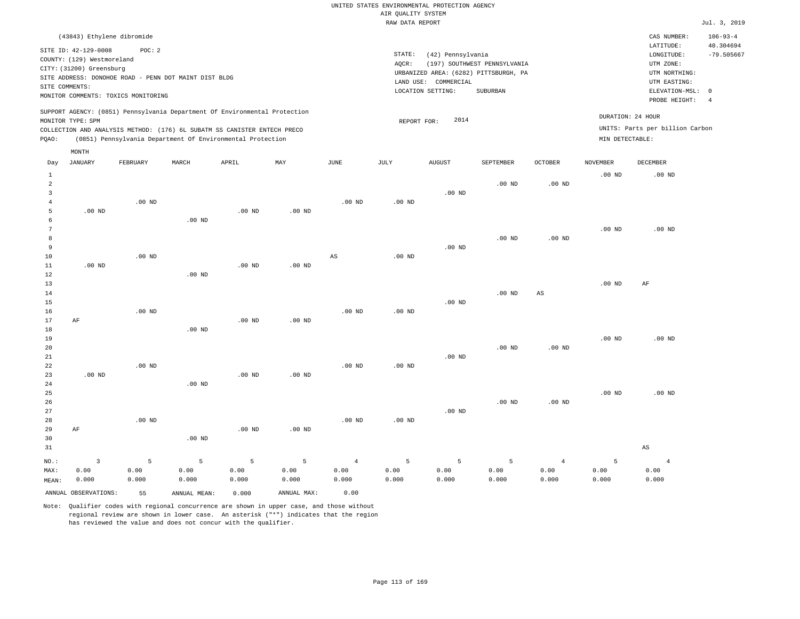|                                                                                                                                                                        | CAS NUMBER:                                                                                                | $106 - 93 - 4$                                                          |
|------------------------------------------------------------------------------------------------------------------------------------------------------------------------|------------------------------------------------------------------------------------------------------------|-------------------------------------------------------------------------|
| STATE:<br>(42) Pennsylvania<br>(197) SOUTHWEST PENNSYLVANIA<br>AOCR:<br>URBANIZED AREA: (6282) PITTSBURGH, PA<br>LAND USE: COMMERCIAL<br>LOCATION SETTING:<br>SUBURBAN | LATITUDE:<br>LONGITUDE:<br>UTM ZONE:<br>UTM NORTHING:<br>UTM EASTING:<br>ELEVATION-MSL: 0<br>PROBE HEIGHT: | 40.304694<br>$-79.505667$<br>-4                                         |
| 2014<br>REPORT FOR:                                                                                                                                                    |                                                                                                            |                                                                         |
|                                                                                                                                                                        |                                                                                                            | DURATION: 24 HOUR<br>UNITS: Parts per billion Carbon<br>MIN DETECTABLE: |

| Day            | <b>JANUARY</b>          | FEBRUARY        | $\tt MARCH$    | APRIL    | MAY            | $_{\rm JUNE}$  | $\mathtt{JULY}$ | AUGUST   | SEPTEMBER | OCTOBER           | NOVEMBER | DECEMBER       |
|----------------|-------------------------|-----------------|----------------|----------|----------------|----------------|-----------------|----------|-----------|-------------------|----------|----------------|
| $\mathbf{1}$   |                         |                 |                |          |                |                |                 |          |           |                   | $.00$ ND | $.00$ ND       |
| $\overline{a}$ |                         |                 |                |          |                |                |                 |          | $.00$ ND  | .00 <sub>ND</sub> |          |                |
| 3              |                         |                 |                |          |                |                |                 | $.00$ ND |           |                   |          |                |
| 4              |                         | $.00$ ND        |                |          |                | .00 $ND$       | .00 $ND$        |          |           |                   |          |                |
| 5              | $.00$ ND                |                 |                | .00 $ND$ | $.00$ ND       |                |                 |          |           |                   |          |                |
| 6              |                         |                 | $.00$ ND       |          |                |                |                 |          |           |                   |          |                |
| 7              |                         |                 |                |          |                |                |                 |          |           |                   | $.00$ ND | $.00$ ND       |
| 8              |                         |                 |                |          |                |                |                 |          | .00 $ND$  | $.00$ ND          |          |                |
| 9              |                         |                 |                |          |                |                |                 | $.00$ ND |           |                   |          |                |
| 10             |                         | $.00$ ND        |                |          |                | $_{\rm AS}$    | $.00$ ND        |          |           |                   |          |                |
| 11             | $.00$ ND                |                 |                | $.00$ ND | $.00$ ND       |                |                 |          |           |                   |          |                |
| 12             |                         |                 | $.00$ ND       |          |                |                |                 |          |           |                   |          |                |
| 13             |                         |                 |                |          |                |                |                 |          |           |                   | $.00$ ND | $\rm AF$       |
| 14             |                         |                 |                |          |                |                |                 |          | $.00$ ND  | $_{\rm AS}$       |          |                |
| 15             |                         |                 |                |          |                |                |                 | .00 $ND$ |           |                   |          |                |
| 16<br>17       |                         | $.00$ ND        |                |          |                | $.00$ ND       | .00 $ND$        |          |           |                   |          |                |
| 18             | AF                      |                 | $.00$ ND       | .00 $ND$ | $.00$ ND       |                |                 |          |           |                   |          |                |
| 19             |                         |                 |                |          |                |                |                 |          |           |                   | $.00$ ND | $.00$ ND       |
| 20             |                         |                 |                |          |                |                |                 |          | $.00$ ND  | $.00$ ND          |          |                |
| 21             |                         |                 |                |          |                |                |                 | $.00$ ND |           |                   |          |                |
| 22             |                         | $.00$ ND        |                |          |                | $.00$ ND       | $.00$ ND        |          |           |                   |          |                |
| 23             | $.00$ ND                |                 |                | $.00$ ND | $.00$ ND       |                |                 |          |           |                   |          |                |
| 24             |                         |                 | $.00$ ND       |          |                |                |                 |          |           |                   |          |                |
| 25             |                         |                 |                |          |                |                |                 |          |           |                   | $.00$ ND | $.00$ ND       |
| 26             |                         |                 |                |          |                |                |                 |          | $.00$ ND  | $.00$ ND          |          |                |
| 27             |                         |                 |                |          |                |                |                 | $.00$ ND |           |                   |          |                |
| 28             |                         | $.00$ ND        |                |          |                | $.00$ ND       | $.00$ ND        |          |           |                   |          |                |
| 29             | AF                      |                 |                | $.00$ ND | $.00$ ND       |                |                 |          |           |                   |          |                |
| 30             |                         |                 | $.00$ ND       |          |                |                |                 |          |           |                   |          |                |
| 31             |                         |                 |                |          |                |                |                 |          |           |                   |          | AS             |
| $NO.$ :        | $\overline{\mathbf{3}}$ | $5\phantom{.0}$ | $\overline{5}$ | 5        | $\overline{5}$ | $\overline{4}$ | 5               | 5        | 5         | $\overline{4}$    | 5        | $\overline{4}$ |
| MAX:           | 0.00                    | 0.00            | 0.00           | 0.00     | 0.00           | 0.00           | 0.00            | 0.00     | 0.00      | 0.00              | 0.00     | 0.00           |
| MEAN:          | 0.000                   | 0.000           | 0.000          | 0.000    | 0.000          | 0.000          | 0.000           | 0.000    | 0.000     | 0.000             | 0.000    | 0.000          |
|                | ANNUAL OBSERVATIONS:    | 55              | ANNUAL MEAN:   | 0.000    | ANNUAL MAX:    | 0.00           |                 |          |           |                   |          |                |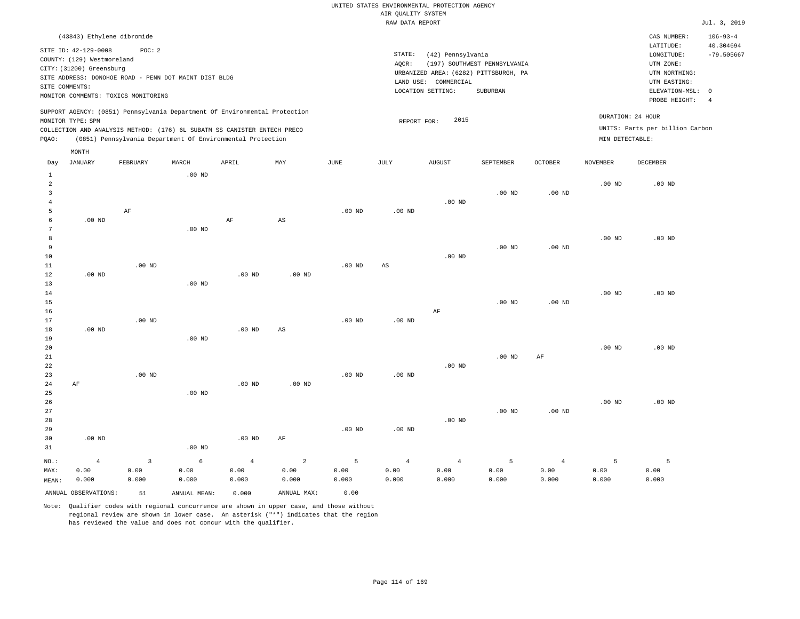| (43843) Ethylene dibromide                                                                                                                                                                                                                         |                                                                                                                                                                        |                                      | CAS NUMBER:                                                                                                | $106 - 93 - 4$            |
|----------------------------------------------------------------------------------------------------------------------------------------------------------------------------------------------------------------------------------------------------|------------------------------------------------------------------------------------------------------------------------------------------------------------------------|--------------------------------------|------------------------------------------------------------------------------------------------------------|---------------------------|
| SITE ID: 42-129-0008<br>POC:2<br>COUNTY: (129) Westmoreland<br>CITY: (31200) Greensburg<br>SITE ADDRESS: DONOHOE ROAD - PENN DOT MAINT DIST BLDG<br>SITE COMMENTS:<br>MONITOR COMMENTS: TOXICS MONITORING                                          | STATE:<br>(42) Pennsylvania<br>(197) SOUTHWEST PENNSYLVANIA<br>AOCR:<br>URBANIZED AREA: (6282) PITTSBURGH, PA<br>LAND USE: COMMERCIAL<br>LOCATION SETTING:<br>SUBURBAN |                                      | LATITUDE:<br>LONGITUDE:<br>UTM ZONE:<br>UTM NORTHING:<br>UTM EASTING:<br>ELEVATION-MSL: 0<br>PROBE HEIGHT: | 40.304694<br>$-79.505667$ |
| SUPPORT AGENCY: (0851) Pennsylvania Department Of Environmental Protection<br>MONITOR TYPE: SPM<br>COLLECTION AND ANALYSIS METHOD: (176) 6L SUBATM SS CANISTER ENTECH PRECO<br>(0851) Pennsylvania Department Of Environmental Protection<br>POAO: | 2015<br>REPORT FOR:                                                                                                                                                    | DURATION: 24 HOUR<br>MIN DETECTABLE: | UNITS: Parts per billion Carbon                                                                            |                           |
| MONTH                                                                                                                                                                                                                                              |                                                                                                                                                                        |                                      |                                                                                                            |                           |

| Day            | <b>JANUARY</b>       | FEBRUARY | $\tt MARCH$  | APRIL             | MAY                    | $_{\rm JUNE}$ | $_{\rm JULY}$          | AUGUST         | SEPTEMBER         | OCTOBER        | <b>NOVEMBER</b> | DECEMBER |
|----------------|----------------------|----------|--------------|-------------------|------------------------|---------------|------------------------|----------------|-------------------|----------------|-----------------|----------|
| $\mathbf{1}$   |                      |          | $.00$ ND     |                   |                        |               |                        |                |                   |                |                 |          |
| $\overline{a}$ |                      |          |              |                   |                        |               |                        |                |                   |                | $.00$ ND        | $.00$ ND |
| 3              |                      |          |              |                   |                        |               |                        |                | $.00$ ND          | $.00$ ND       |                 |          |
| $\overline{4}$ |                      |          |              |                   |                        |               |                        | $.00$ ND       |                   |                |                 |          |
| 5              |                      | AF       |              |                   |                        | $.00$ ND      | $.00$ ND               |                |                   |                |                 |          |
| 6              | $.00$ ND             |          |              | $\rm{AF}$         | $\mathbb{A}\mathbb{S}$ |               |                        |                |                   |                |                 |          |
| 7              |                      |          | $.00$ ND     |                   |                        |               |                        |                |                   |                |                 |          |
| 8              |                      |          |              |                   |                        |               |                        |                |                   |                | $.00$ ND        | $.00$ ND |
| 9              |                      |          |              |                   |                        |               |                        |                | .00 <sub>ND</sub> | $.00$ ND       |                 |          |
| 10             |                      |          |              |                   |                        |               |                        | $.00$ ND       |                   |                |                 |          |
| 11             |                      | $.00$ ND |              |                   |                        | $.00$ ND      | $\mathbb{A}\mathbb{S}$ |                |                   |                |                 |          |
| 12             | .00 <sub>ND</sub>    |          |              | $.00$ ND          | $.00$ ND               |               |                        |                |                   |                |                 |          |
| 13             |                      |          | $.00$ ND     |                   |                        |               |                        |                |                   |                |                 |          |
| 14             |                      |          |              |                   |                        |               |                        |                |                   |                | $.00$ ND        | $.00$ ND |
| 15             |                      |          |              |                   |                        |               |                        |                | $.00$ ND          | $.00$ ND       |                 |          |
| 16             |                      |          |              |                   |                        |               |                        | $\rm AF$       |                   |                |                 |          |
| 17             |                      | $.00$ ND |              |                   |                        | $.00$ ND      | $.00$ ND               |                |                   |                |                 |          |
| 18             | $.00$ ND             |          |              | $.00~\mathrm{ND}$ | $\mathbb{A}\mathbb{S}$ |               |                        |                |                   |                |                 |          |
| 19             |                      |          | $.00$ ND     |                   |                        |               |                        |                |                   |                |                 |          |
| 20             |                      |          |              |                   |                        |               |                        |                |                   |                | $.00$ ND        | $.00$ ND |
| 21             |                      |          |              |                   |                        |               |                        |                | $.00$ ND          | AF             |                 |          |
| 22             |                      |          |              |                   |                        |               |                        | $.00$ ND       |                   |                |                 |          |
| 23             |                      | $.00$ ND |              |                   |                        | $.00$ ND      | $.00$ ND               |                |                   |                |                 |          |
| 24             | AF                   |          |              | $.00$ ND          | $.00$ ND               |               |                        |                |                   |                |                 |          |
| 25             |                      |          | $.00$ ND     |                   |                        |               |                        |                |                   |                |                 |          |
| 26             |                      |          |              |                   |                        |               |                        |                | .00 <sub>ND</sub> | $.00$ ND       | .00 $ND$        | $.00$ ND |
| 27             |                      |          |              |                   |                        |               |                        | $.00$ ND       |                   |                |                 |          |
| 28<br>29       |                      |          |              |                   |                        | $.00$ ND      | $.00$ ND               |                |                   |                |                 |          |
| 30             | .00 <sub>ND</sub>    |          |              | $.00$ ND          | AF                     |               |                        |                |                   |                |                 |          |
| 31             |                      |          | $.00$ ND     |                   |                        |               |                        |                |                   |                |                 |          |
|                |                      |          |              |                   |                        |               |                        |                |                   |                |                 |          |
| $NO.$ :        | $\overline{4}$       | 3        | 6            | $\overline{4}$    | $\overline{a}$         | $\mathsf S$   | $\overline{4}$         | $\overline{4}$ | 5                 | $\overline{4}$ | 5               | 5        |
| MAX:           | 0.00                 | 0.00     | 0.00         | 0.00              | 0.00                   | 0.00          | 0.00                   | 0.00           | 0.00              | 0.00           | 0.00            | 0.00     |
| MEAN:          | 0.000                | 0.000    | 0.000        | 0.000             | 0.000                  | 0.000         | 0.000                  | 0.000          | 0.000             | 0.000          | 0.000           | 0.000    |
|                | ANNUAL OBSERVATIONS: | 51       | ANNUAL MEAN: | 0.000             | ANNUAL MAX:            | 0.00          |                        |                |                   |                |                 |          |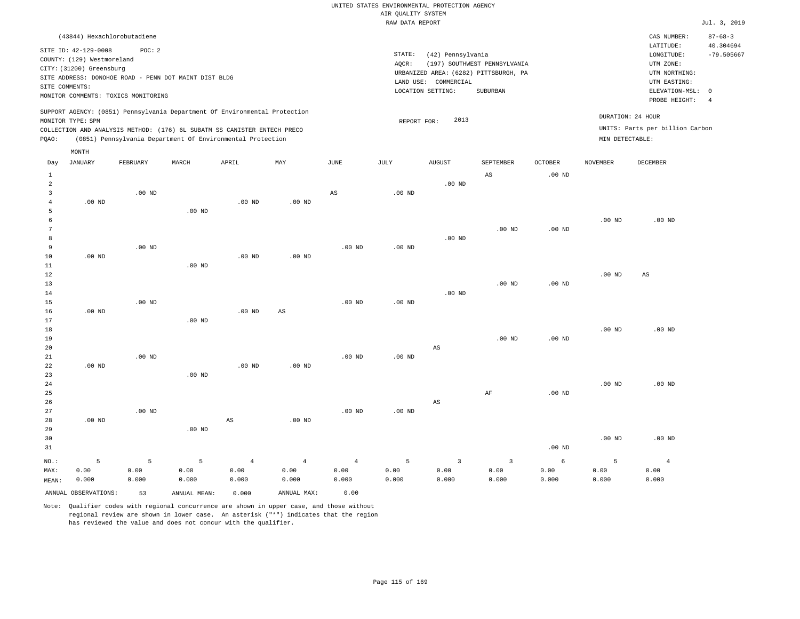| (43844) Hexachlorobutadiene                                                                                                                                                                                                                        |                                                                                                                                                                        | CAS NUMBER:                                                                               | $87 - 68 - 3$             |
|----------------------------------------------------------------------------------------------------------------------------------------------------------------------------------------------------------------------------------------------------|------------------------------------------------------------------------------------------------------------------------------------------------------------------------|-------------------------------------------------------------------------------------------|---------------------------|
| SITE ID: 42-129-0008<br>POC:2<br>COUNTY: (129) Westmoreland<br>CITY: (31200) Greensburg<br>SITE ADDRESS: DONOHOE ROAD - PENN DOT MAINT DIST BLDG<br>SITE COMMENTS:                                                                                 | STATE:<br>(42) Pennsylvania<br>(197) SOUTHWEST PENNSYLVANIA<br>AOCR:<br>URBANIZED AREA: (6282) PITTSBURGH, PA<br>LAND USE: COMMERCIAL<br>LOCATION SETTING:<br>SUBURBAN | LATITUDE:<br>LONGITUDE:<br>UTM ZONE:<br>UTM NORTHING:<br>UTM EASTING:<br>ELEVATION-MSL: 0 | 40.304694<br>$-79.505667$ |
| MONITOR COMMENTS: TOXICS MONITORING                                                                                                                                                                                                                |                                                                                                                                                                        | PROBE HEIGHT:                                                                             | -4                        |
| SUPPORT AGENCY: (0851) Pennsylvania Department Of Environmental Protection<br>MONITOR TYPE: SPM<br>COLLECTION AND ANALYSIS METHOD: (176) 6L SUBATM SS CANISTER ENTECH PRECO<br>(0851) Pennsylvania Department Of Environmental Protection<br>POAO: | DURATION: 24 HOUR<br>2013<br>REPORT FOR:<br>MIN DETECTABLE:                                                                                                            | UNITS: Parts per billion Carbon                                                           |                           |
| MONTH                                                                                                                                                                                                                                              |                                                                                                                                                                        |                                                                                           |                           |

| Day            | JANUARY              | FEBRUARY | MARCH             | APRIL             | $\ensuremath{\text{MAX}}$ | $_{\rm JUNE}$  | JULY     | ${\tt AUGUST}$          | SEPTEMBER               | OCTOBER           | $\,$ NOVEMBER     | DECEMBER               |
|----------------|----------------------|----------|-------------------|-------------------|---------------------------|----------------|----------|-------------------------|-------------------------|-------------------|-------------------|------------------------|
| 1              |                      |          |                   |                   |                           |                |          |                         | $_{\rm AS}$             | .00 <sub>ND</sub> |                   |                        |
| $\overline{a}$ |                      |          |                   |                   |                           |                |          | $.00$ ND                |                         |                   |                   |                        |
| 3              |                      | $.00$ ND |                   |                   |                           | $_{\rm AS}$    | $.00$ ND |                         |                         |                   |                   |                        |
| $\overline{4}$ | $.00$ ND             |          |                   | .00 <sub>ND</sub> | .00 $ND$                  |                |          |                         |                         |                   |                   |                        |
| 5              |                      |          | $.00$ ND          |                   |                           |                |          |                         |                         |                   |                   |                        |
| 6              |                      |          |                   |                   |                           |                |          |                         |                         |                   | .00 <sub>ND</sub> | $.00$ ND               |
| 7              |                      |          |                   |                   |                           |                |          |                         | $.00$ ND                | .00 <sub>ND</sub> |                   |                        |
| 8              |                      |          |                   |                   |                           |                |          | $.00$ ND                |                         |                   |                   |                        |
| 9              |                      | $.00$ ND |                   |                   |                           | $.00$ ND       | $.00$ ND |                         |                         |                   |                   |                        |
| 10             | $.00$ ND             |          |                   | .00 <sub>ND</sub> | .00 <sub>ND</sub>         |                |          |                         |                         |                   |                   |                        |
| 11             |                      |          | .00 <sub>ND</sub> |                   |                           |                |          |                         |                         |                   |                   |                        |
| 12             |                      |          |                   |                   |                           |                |          |                         |                         |                   | .00 <sub>ND</sub> | $\mathbb{A}\mathbb{S}$ |
| 13             |                      |          |                   |                   |                           |                |          |                         | $.00$ ND                | .00 <sub>ND</sub> |                   |                        |
| $14$           |                      |          |                   |                   |                           |                |          | $.00$ ND                |                         |                   |                   |                        |
| 15             |                      | $.00$ ND |                   |                   |                           | $.00$ ND       | $.00$ ND |                         |                         |                   |                   |                        |
| 16             | $.00$ ND             |          |                   | $.00$ ND          | $_{\rm AS}$               |                |          |                         |                         |                   |                   |                        |
| 17             |                      |          | $.00$ ND          |                   |                           |                |          |                         |                         |                   |                   |                        |
| 18             |                      |          |                   |                   |                           |                |          |                         |                         |                   | .00 <sub>ND</sub> | $.00$ ND               |
| 19             |                      |          |                   |                   |                           |                |          |                         | $.00$ ND                | $.00$ ND          |                   |                        |
| 20             |                      |          |                   |                   |                           |                |          | AS                      |                         |                   |                   |                        |
| 21             |                      | $.00$ ND |                   |                   |                           | $.00$ ND       | .00 $ND$ |                         |                         |                   |                   |                        |
| 22             | .00 $ND$             |          |                   | .00 <sub>ND</sub> | $.00$ ND                  |                |          |                         |                         |                   |                   |                        |
| 23             |                      |          | $.00$ ND          |                   |                           |                |          |                         |                         |                   |                   |                        |
| 24             |                      |          |                   |                   |                           |                |          |                         | $\rm AF$                |                   | .00 <sub>ND</sub> | $.00$ ND               |
| 25<br>26       |                      |          |                   |                   |                           |                |          | $\mathbb{A}\mathbb{S}$  |                         | .00 <sub>ND</sub> |                   |                        |
| 27             |                      | $.00$ ND |                   |                   |                           | $.00$ ND       | $.00$ ND |                         |                         |                   |                   |                        |
| 28             | $.00$ ND             |          |                   | AS                | $.00$ ND                  |                |          |                         |                         |                   |                   |                        |
| 29             |                      |          | $.00$ ND          |                   |                           |                |          |                         |                         |                   |                   |                        |
| 30             |                      |          |                   |                   |                           |                |          |                         |                         |                   | .00 <sub>ND</sub> | $.00$ ND               |
| 31             |                      |          |                   |                   |                           |                |          |                         |                         | .00 <sub>ND</sub> |                   |                        |
|                |                      |          |                   |                   |                           |                |          |                         |                         |                   |                   |                        |
| $NO.$ :        | 5                    | 5        | 5                 | $\overline{4}$    | $\overline{4}$            | $\overline{4}$ | 5        | $\overline{\mathbf{3}}$ | $\overline{\mathbf{3}}$ | $\sqrt{6}$        | 5                 | $\overline{4}$         |
| MAX:           | 0.00                 | 0.00     | 0.00              | 0.00              | 0.00                      | 0.00           | 0.00     | 0.00                    | 0.00                    | 0.00              | 0.00              | 0.00                   |
| MEAN:          | 0.000                | 0.000    | 0.000             | 0.000             | 0.000                     | 0.000          | 0.000    | 0.000                   | 0.000                   | 0.000             | 0.000             | 0.000                  |
|                | ANNUAL OBSERVATIONS: | 53       | ANNUAL MEAN:      | 0.000             | ANNUAL MAX:               | 0.00           |          |                         |                         |                   |                   |                        |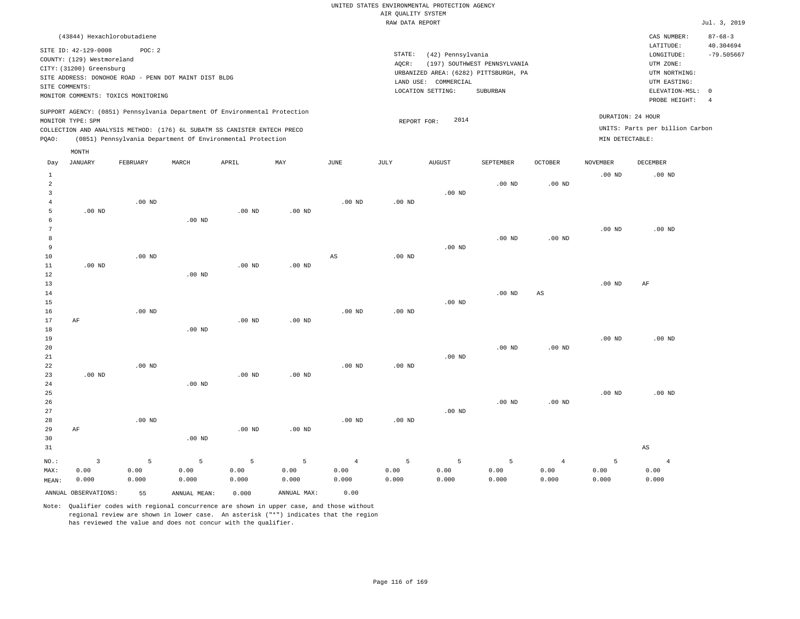|                                                                                                                                                                        | CAS NUMBER:                                                                                                      | $87 - 68 - 3$             |
|------------------------------------------------------------------------------------------------------------------------------------------------------------------------|------------------------------------------------------------------------------------------------------------------|---------------------------|
| STATE:<br>(42) Pennsylvania<br>(197) SOUTHWEST PENNSYLVANIA<br>AOCR:<br>URBANIZED AREA: (6282) PITTSBURGH, PA<br>LAND USE: COMMERCIAL<br>LOCATION SETTING:<br>SUBURBAN | LATITUDE:<br>LONGITUDE:<br>UTM ZONE:<br>UTM NORTHING:<br>UTM EASTING:<br>ELEVATION-MSL: 0<br>PROBE HEIGHT:<br>-4 | 40.304694<br>$-79.505667$ |
| 2014<br>REPORT FOR:                                                                                                                                                    | DURATION: 24 HOUR<br>UNITS: Parts per billion Carbon<br>MIN DETECTABLE:                                          |                           |
|                                                                                                                                                                        |                                                                                                                  |                           |

| Day            | <b>JANUARY</b>          | ${\tt FEBRUARY}$ | $\tt MARCH$  | APRIL             | MAY         | $_{\rm JUNE}$  | $_{\rm JULY}$ | AUGUST   | SEPTEMBER         | $\mathtt{OCTOBER}$ | NOVEMBER          | ${\tt DECEMBER}$       |
|----------------|-------------------------|------------------|--------------|-------------------|-------------|----------------|---------------|----------|-------------------|--------------------|-------------------|------------------------|
| $\mathbf{1}$   |                         |                  |              |                   |             |                |               |          |                   |                    | .00 <sub>ND</sub> | $.00$ ND               |
| $\overline{a}$ |                         |                  |              |                   |             |                |               |          | .00 <sub>ND</sub> | $.00$ ND           |                   |                        |
| 3              |                         |                  |              |                   |             |                |               | $.00$ ND |                   |                    |                   |                        |
| $\overline{4}$ |                         | $.00$ ND         |              |                   |             | $.00$ ND       | $.00$ ND      |          |                   |                    |                   |                        |
| 5              | $.00$ ND                |                  |              | $.00$ ND          | $.00$ ND    |                |               |          |                   |                    |                   |                        |
| 6              |                         |                  | $.00$ ND     |                   |             |                |               |          |                   |                    |                   |                        |
| 7              |                         |                  |              |                   |             |                |               |          |                   |                    | .00 <sub>ND</sub> | $.00$ ND               |
| 8              |                         |                  |              |                   |             |                |               |          | .00 <sub>ND</sub> | $.00$ ND           |                   |                        |
| 9              |                         |                  |              |                   |             |                |               | $.00$ ND |                   |                    |                   |                        |
| 10             |                         | $.00$ ND         |              |                   |             | AS             | $.00$ ND      |          |                   |                    |                   |                        |
| 11             | $.00$ ND                |                  |              | $.00$ ND          | $.00$ ND    |                |               |          |                   |                    |                   |                        |
| 12             |                         |                  | $.00$ ND     |                   |             |                |               |          |                   |                    |                   |                        |
| 13             |                         |                  |              |                   |             |                |               |          |                   |                    | $.00$ ND          | $\rm AF$               |
| 14<br>15       |                         |                  |              |                   |             |                |               | $.00$ ND | $.00$ ND          | AS                 |                   |                        |
| 16             |                         | $.00$ ND         |              |                   |             | $.00$ ND       | $.00$ ND      |          |                   |                    |                   |                        |
| 17             | AF                      |                  |              | $.00~\mathrm{ND}$ | $.00$ ND    |                |               |          |                   |                    |                   |                        |
| 18             |                         |                  | $.00$ ND     |                   |             |                |               |          |                   |                    |                   |                        |
| 19             |                         |                  |              |                   |             |                |               |          |                   |                    | $.00$ ND          | $.00$ ND               |
| 20             |                         |                  |              |                   |             |                |               |          | .00 <sub>ND</sub> | $.00$ ND           |                   |                        |
| 21             |                         |                  |              |                   |             |                |               | $.00$ ND |                   |                    |                   |                        |
| 22             |                         | $.00$ ND         |              |                   |             | $.00$ ND       | $.00$ ND      |          |                   |                    |                   |                        |
| 23             | $.00$ ND                |                  |              | .00 <sub>ND</sub> | $.00$ ND    |                |               |          |                   |                    |                   |                        |
| 24             |                         |                  | $.00$ ND     |                   |             |                |               |          |                   |                    |                   |                        |
| 25             |                         |                  |              |                   |             |                |               |          |                   |                    | $.00$ ND          | $.00$ ND               |
| 26             |                         |                  |              |                   |             |                |               |          | $.00$ ND          | $.00$ ND           |                   |                        |
| 27             |                         |                  |              |                   |             |                |               | $.00$ ND |                   |                    |                   |                        |
| 28             |                         | $.00$ ND         |              |                   |             | $.00$ ND       | $.00$ ND      |          |                   |                    |                   |                        |
| 29             | AF                      |                  |              | $.00$ ND          | $.00$ ND    |                |               |          |                   |                    |                   |                        |
| 30             |                         |                  | $.00$ ND     |                   |             |                |               |          |                   |                    |                   |                        |
| 31             |                         |                  |              |                   |             |                |               |          |                   |                    |                   | $\mathbb{A}\mathbb{S}$ |
| $_{\rm NO.}$ : | $\overline{\mathbf{3}}$ | 5                | 5            | 5                 | 5           | $\overline{4}$ | 5             | 5        | 5                 | $\overline{4}$     | 5                 | $\overline{4}$         |
| MAX:           | 0.00                    | 0.00             | 0.00         | 0.00              | 0.00        | 0.00           | 0.00          | 0.00     | 0.00              | 0.00               | 0.00              | 0.00                   |
| MEAN:          | 0.000                   | 0.000            | 0.000        | 0.000             | 0.000       | 0.000          | 0.000         | 0.000    | 0.000             | 0.000              | 0.000             | 0.000                  |
|                | ANNUAL OBSERVATIONS:    | 55               | ANNUAL MEAN: | 0.000             | ANNUAL MAX: | 0.00           |               |          |                   |                    |                   |                        |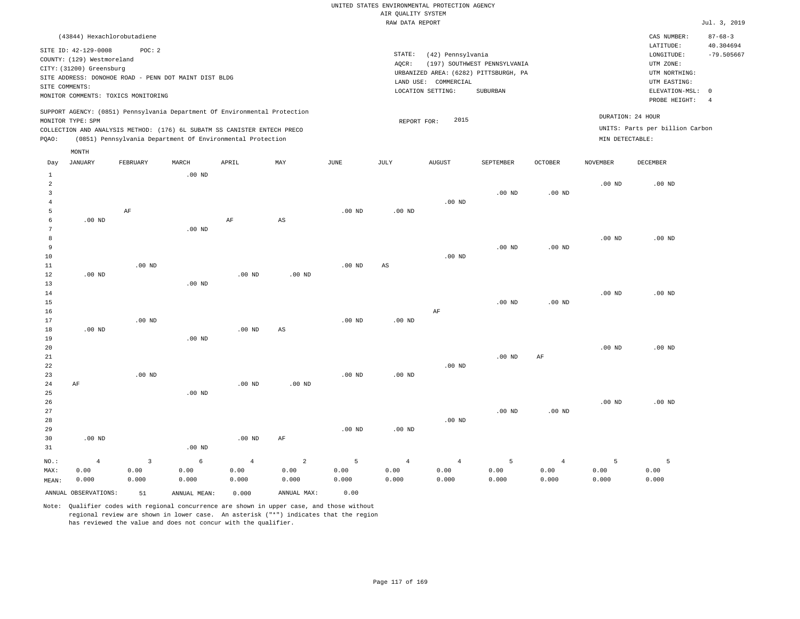| (43844) Hexachlorobutadiene                                                                                                                                                                                                                        |                                                                                                                                                                        | CAS NUMBER:                                                                                                | $87 - 68 - 3$             |
|----------------------------------------------------------------------------------------------------------------------------------------------------------------------------------------------------------------------------------------------------|------------------------------------------------------------------------------------------------------------------------------------------------------------------------|------------------------------------------------------------------------------------------------------------|---------------------------|
| SITE ID: 42-129-0008<br>POC:2<br>COUNTY: (129) Westmoreland<br>CITY: (31200) Greensburg<br>SITE ADDRESS: DONOHOE ROAD - PENN DOT MAINT DIST BLDG<br>SITE COMMENTS:<br>MONITOR COMMENTS: TOXICS MONITORING                                          | STATE:<br>(42) Pennsylvania<br>(197) SOUTHWEST PENNSYLVANIA<br>AOCR:<br>URBANIZED AREA: (6282) PITTSBURGH, PA<br>LAND USE: COMMERCIAL<br>LOCATION SETTING:<br>SUBURBAN | LATITUDE:<br>LONGITUDE:<br>UTM ZONE:<br>UTM NORTHING:<br>UTM EASTING:<br>ELEVATION-MSL: 0<br>PROBE HEIGHT: | 40.304694<br>$-79.505667$ |
| SUPPORT AGENCY: (0851) Pennsylvania Department Of Environmental Protection<br>MONITOR TYPE: SPM<br>COLLECTION AND ANALYSIS METHOD: (176) 6L SUBATM SS CANISTER ENTECH PRECO<br>(0851) Pennsylvania Department Of Environmental Protection<br>POAO: | 2015<br>REPORT FOR:<br>MIN DETECTABLE:                                                                                                                                 | DURATION: 24 HOUR<br>UNITS: Parts per billion Carbon                                                       |                           |

|                | MONTH                |                         |              |                   |                        |          |                   |                |           |                |                   |                   |
|----------------|----------------------|-------------------------|--------------|-------------------|------------------------|----------|-------------------|----------------|-----------|----------------|-------------------|-------------------|
| Day            | JANUARY              | FEBRUARY                | $\tt MARCH$  | APRIL             | MAY                    | JUNE     | JULY              | <b>AUGUST</b>  | SEPTEMBER | <b>OCTOBER</b> | NOVEMBER          | DECEMBER          |
| $\mathbf{1}$   |                      |                         | $.00$ ND     |                   |                        |          |                   |                |           |                |                   |                   |
| $\overline{a}$ |                      |                         |              |                   |                        |          |                   |                |           |                | .00 <sub>ND</sub> | $.00$ ND          |
| 3              |                      |                         |              |                   |                        |          |                   |                | $.00$ ND  | $.00$ ND       |                   |                   |
| $\overline{4}$ |                      |                         |              |                   |                        |          |                   | $.00$ ND       |           |                |                   |                   |
| 5              |                      | $\rm AF$                |              |                   |                        | $.00$ ND | $.00$ ND          |                |           |                |                   |                   |
| 6              | $.00$ ND             |                         |              | $\rm AF$          | $\mathbb{A}\mathbb{S}$ |          |                   |                |           |                |                   |                   |
| 7              |                      |                         | $.00$ ND     |                   |                        |          |                   |                |           |                |                   |                   |
| 8              |                      |                         |              |                   |                        |          |                   |                |           |                | $.00$ ND          | $.00$ ND          |
| 9              |                      |                         |              |                   |                        |          |                   |                | $.00$ ND  | $.00$ ND       |                   |                   |
| 10             |                      |                         |              |                   |                        |          |                   | $.00$ ND       |           |                |                   |                   |
| 11             |                      | $.00$ ND                |              |                   |                        | $.00$ ND | $_{\rm AS}$       |                |           |                |                   |                   |
| 12             | $.00$ ND             |                         |              | $.00$ ND          | $.00$ ND               |          |                   |                |           |                |                   |                   |
| 13             |                      |                         | $.00$ ND     |                   |                        |          |                   |                |           |                |                   |                   |
| 14             |                      |                         |              |                   |                        |          |                   |                |           |                | $.00$ ND          | $.00$ ND          |
| 15             |                      |                         |              |                   |                        |          |                   |                | $.00$ ND  | $.00$ ND       |                   |                   |
| 16             |                      |                         |              |                   |                        |          |                   | AF             |           |                |                   |                   |
| 17             |                      | $.00$ ND                |              |                   |                        | $.00$ ND | .00 <sub>ND</sub> |                |           |                |                   |                   |
| 18             | $.00$ ND             |                         |              | $.00~\mathrm{ND}$ | $\mathbb{A}\mathbb{S}$ |          |                   |                |           |                |                   |                   |
| 19             |                      |                         | $.00$ ND     |                   |                        |          |                   |                |           |                |                   |                   |
| 20             |                      |                         |              |                   |                        |          |                   |                |           |                | .00 <sub>ND</sub> | $.00$ ND          |
| 21<br>22       |                      |                         |              |                   |                        |          |                   | $.00$ ND       | $.00$ ND  | AF             |                   |                   |
| 23             |                      | $.00$ ND                |              |                   |                        | $.00$ ND | .00 <sub>ND</sub> |                |           |                |                   |                   |
| 24             | $\rm AF$             |                         |              | $.00$ ND          | $.00$ ND               |          |                   |                |           |                |                   |                   |
| 25             |                      |                         | $.00$ ND     |                   |                        |          |                   |                |           |                |                   |                   |
| 26             |                      |                         |              |                   |                        |          |                   |                |           |                | $.00$ ND          | .00 <sub>ND</sub> |
| 27             |                      |                         |              |                   |                        |          |                   |                | $.00$ ND  | $.00$ ND       |                   |                   |
| 28             |                      |                         |              |                   |                        |          |                   | $.00$ ND       |           |                |                   |                   |
| 29             |                      |                         |              |                   |                        | $.00$ ND | $.00$ ND          |                |           |                |                   |                   |
| 30             | $.00$ ND             |                         |              | $.00$ ND          | $\rm AF$               |          |                   |                |           |                |                   |                   |
| 31             |                      |                         | $.00$ ND     |                   |                        |          |                   |                |           |                |                   |                   |
| NO.:           | $\overline{4}$       | $\overline{\mathbf{3}}$ | $\epsilon$   | $\sqrt{4}$        | $\sqrt{2}$             | 5        | $\overline{4}$    | $\overline{4}$ | 5         | $\overline{4}$ | 5                 | 5                 |
| MAX:           | 0.00                 | 0.00                    | 0.00         | 0.00              | 0.00                   | 0.00     | 0.00              | 0.00           | 0.00      | 0.00           | 0.00              | 0.00              |
| MEAN:          | 0.000                | 0.000                   | 0.000        | 0.000             | 0.000                  | 0.000    | 0.000             | 0.000          | 0.000     | 0.000          | 0.000             | 0.000             |
|                | ANNUAL OBSERVATIONS: | 51                      | ANNUAL MEAN: | 0.000             | ANNUAL MAX:            | 0.00     |                   |                |           |                |                   |                   |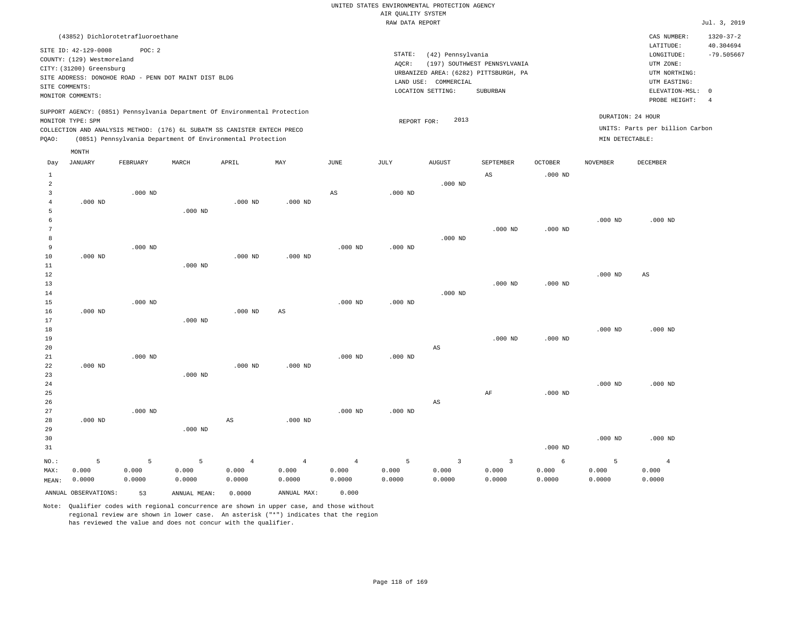UNITED STATES ENVIRONMENTAL PROTECTION AGENCY AIR QUALITY SYSTEM

|                |                                                                            |           |                |                                                            |                         |                         | RAW DATA REPORT |                         |                                       |                |                 |                                 | Jul. 3, 2019    |
|----------------|----------------------------------------------------------------------------|-----------|----------------|------------------------------------------------------------|-------------------------|-------------------------|-----------------|-------------------------|---------------------------------------|----------------|-----------------|---------------------------------|-----------------|
|                | (43852) Dichlorotetrafluoroethane                                          |           |                |                                                            |                         |                         |                 |                         |                                       |                |                 | CAS NUMBER:                     | $1320 - 37 - 2$ |
|                |                                                                            |           |                |                                                            |                         |                         |                 |                         |                                       |                |                 | LATITUDE:                       | 40.304694       |
|                | SITE ID: 42-129-0008                                                       | POC: 2    |                |                                                            |                         |                         | STATE:          | (42) Pennsylvania       |                                       |                |                 | LONGITUDE:                      | $-79.505667$    |
|                | COUNTY: (129) Westmoreland                                                 |           |                |                                                            |                         |                         | AQCR:           |                         | (197) SOUTHWEST PENNSYLVANIA          |                |                 | UTM ZONE:                       |                 |
|                | CITY: (31200) Greensburg                                                   |           |                |                                                            |                         |                         |                 |                         | URBANIZED AREA: (6282) PITTSBURGH, PA |                |                 | UTM NORTHING:                   |                 |
|                | SITE ADDRESS: DONOHOE ROAD - PENN DOT MAINT DIST BLDG                      |           |                |                                                            |                         |                         |                 | LAND USE: COMMERCIAL    |                                       |                |                 | UTM EASTING:                    |                 |
|                | SITE COMMENTS:                                                             |           |                |                                                            |                         |                         |                 | LOCATION SETTING:       | SUBURBAN                              |                |                 | ELEVATION-MSL:                  | $\overline{0}$  |
|                | MONITOR COMMENTS:                                                          |           |                |                                                            |                         |                         |                 |                         |                                       |                |                 | PROBE HEIGHT:                   | $\overline{4}$  |
|                | SUPPORT AGENCY: (0851) Pennsylvania Department Of Environmental Protection |           |                |                                                            |                         |                         |                 |                         |                                       |                |                 | DURATION: 24 HOUR               |                 |
|                | MONITOR TYPE: SPM                                                          |           |                |                                                            |                         |                         | REPORT FOR:     | 2013                    |                                       |                |                 |                                 |                 |
|                | COLLECTION AND ANALYSIS METHOD: (176) 6L SUBATM SS CANISTER ENTECH PRECO   |           |                |                                                            |                         |                         |                 |                         |                                       |                |                 | UNITS: Parts per billion Carbon |                 |
| PQAO:          |                                                                            |           |                | (0851) Pennsylvania Department Of Environmental Protection |                         |                         |                 |                         |                                       |                | MIN DETECTABLE: |                                 |                 |
|                | MONTH                                                                      |           |                |                                                            |                         |                         |                 |                         |                                       |                |                 |                                 |                 |
| Day            | JANUARY                                                                    | FEBRUARY  | MARCH          | APRIL                                                      | MAY                     | JUNE                    | JULY            | <b>AUGUST</b>           | SEPTEMBER                             | <b>OCTOBER</b> | NOVEMBER        | DECEMBER                        |                 |
| $\mathbf{1}$   |                                                                            |           |                |                                                            |                         |                         |                 |                         | AS                                    | $.000$ ND      |                 |                                 |                 |
| 2              |                                                                            |           |                |                                                            |                         |                         |                 | $.000$ ND               |                                       |                |                 |                                 |                 |
| $\overline{3}$ |                                                                            | $.000$ ND |                |                                                            |                         | $\mathbb{A}\mathbb{S}$  | $.000$ ND       |                         |                                       |                |                 |                                 |                 |
| $\overline{4}$ | $.000$ ND                                                                  |           |                | $.000$ ND                                                  | $.000$ ND               |                         |                 |                         |                                       |                |                 |                                 |                 |
| 5              |                                                                            |           | $.000$ ND      |                                                            |                         |                         |                 |                         |                                       |                |                 |                                 |                 |
| 6              |                                                                            |           |                |                                                            |                         |                         |                 |                         |                                       |                | $.000$ ND       | $.000$ ND                       |                 |
| 7              |                                                                            |           |                |                                                            |                         |                         |                 |                         | $.000$ ND                             | $.000$ ND      |                 |                                 |                 |
| 8              |                                                                            |           |                |                                                            |                         |                         |                 | $.000$ ND               |                                       |                |                 |                                 |                 |
| 9              |                                                                            | $.000$ ND |                |                                                            |                         | $.000$ ND               | $.000$ ND       |                         |                                       |                |                 |                                 |                 |
| 10             | $.000$ ND                                                                  |           |                | $.000$ ND                                                  | $.000$ ND               |                         |                 |                         |                                       |                |                 |                                 |                 |
| 11             |                                                                            |           | $.000$ ND      |                                                            |                         |                         |                 |                         |                                       |                |                 |                                 |                 |
| 12             |                                                                            |           |                |                                                            |                         |                         |                 |                         |                                       |                | $.000$ ND       | AS                              |                 |
| 13             |                                                                            |           |                |                                                            |                         |                         |                 |                         | $.000$ ND                             | $.000$ ND      |                 |                                 |                 |
| 14             |                                                                            |           |                |                                                            |                         |                         |                 | $.000$ ND               |                                       |                |                 |                                 |                 |
| 15<br>16       |                                                                            | $.000$ ND |                | $.000$ ND                                                  |                         | $.000$ ND               | $.000$ ND       |                         |                                       |                |                 |                                 |                 |
| 17             | $.000$ ND                                                                  |           | $.000$ ND      |                                                            | AS                      |                         |                 |                         |                                       |                |                 |                                 |                 |
| 18             |                                                                            |           |                |                                                            |                         |                         |                 |                         |                                       |                | $.000$ ND       | $.000$ ND                       |                 |
| 19             |                                                                            |           |                |                                                            |                         |                         |                 |                         | $.000$ ND                             | $.000$ ND      |                 |                                 |                 |
| 20             |                                                                            |           |                |                                                            |                         |                         |                 | AS                      |                                       |                |                 |                                 |                 |
| 21             |                                                                            | $.000$ ND |                |                                                            |                         | $.000$ ND               | $.000$ ND       |                         |                                       |                |                 |                                 |                 |
| 22             | $.000$ ND                                                                  |           |                | $.000$ ND                                                  | $.000$ ND               |                         |                 |                         |                                       |                |                 |                                 |                 |
| 23             |                                                                            |           | $.000$ ND      |                                                            |                         |                         |                 |                         |                                       |                |                 |                                 |                 |
| 24             |                                                                            |           |                |                                                            |                         |                         |                 |                         |                                       |                | $.000$ ND       | $.000$ ND                       |                 |
| 25             |                                                                            |           |                |                                                            |                         |                         |                 |                         | AF                                    | $.000$ ND      |                 |                                 |                 |
| 26             |                                                                            |           |                |                                                            |                         |                         |                 | AS                      |                                       |                |                 |                                 |                 |
| 27             |                                                                            | $.000$ ND |                |                                                            |                         | $.000$ ND               | $.000$ ND       |                         |                                       |                |                 |                                 |                 |
| 28             | $.000$ ND                                                                  |           |                | $_{\rm AS}$                                                | $.000$ ND               |                         |                 |                         |                                       |                |                 |                                 |                 |
| 29             |                                                                            |           | $.000$ ND      |                                                            |                         |                         |                 |                         |                                       |                |                 |                                 |                 |
| 30             |                                                                            |           |                |                                                            |                         |                         |                 |                         |                                       |                | $.000$ ND       | $.000$ ND                       |                 |
| 31             |                                                                            |           |                |                                                            |                         |                         |                 |                         |                                       | $.000$ ND      |                 |                                 |                 |
|                | 5                                                                          | 5         | $\overline{5}$ |                                                            |                         |                         | 5               | $\overline{\mathbf{3}}$ | $\overline{\mathbf{3}}$               | 6              | 5               |                                 |                 |
| NO.:<br>MAX:   | 0.000                                                                      | 0.000     | 0.000          | $\overline{4}$<br>0.000                                    | $\overline{4}$<br>0.000 | $\overline{4}$<br>0.000 | 0.000           | 0.000                   | 0.000                                 | 0.000          | 0.000           | $\overline{4}$<br>0.000         |                 |
| MEAN:          | 0.0000                                                                     | 0.0000    | 0.0000         | 0.0000                                                     | 0.0000                  | 0.0000                  | 0.0000          | 0.0000                  | 0.0000                                | 0.0000         | 0.0000          | 0.0000                          |                 |
|                |                                                                            |           |                |                                                            |                         |                         |                 |                         |                                       |                |                 |                                 |                 |
|                | ANNUAL OBSERVATIONS:                                                       | 53        | ANNUAL MEAN:   | 0.0000                                                     | ANNUAL MAX:             | 0.000                   |                 |                         |                                       |                |                 |                                 |                 |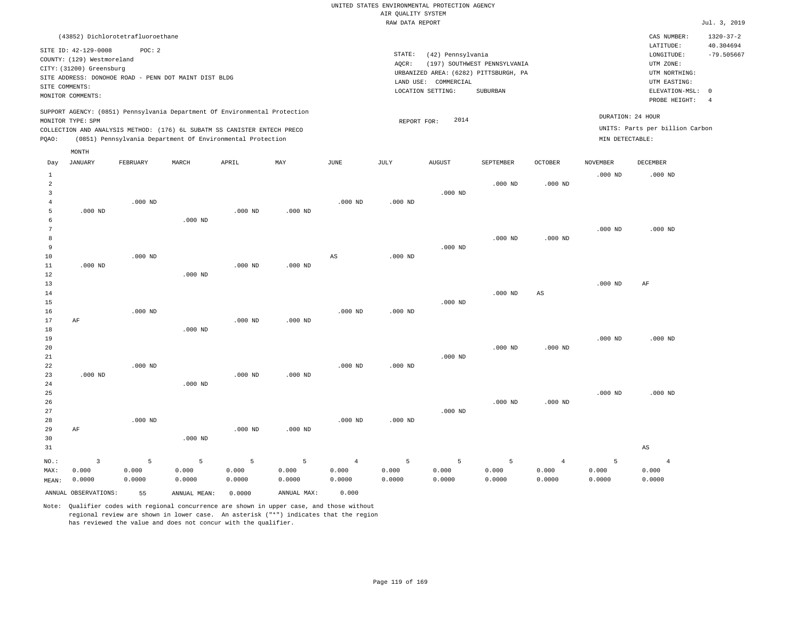UNITED STATES ENVIRONMENTAL PROTECTION AGENCY AIR QUALITY SYSTEM

|                          |                                                                                                     |                 |                                                       |                                                                                                                                        |                 |                 | RAW DATA REPORT |                                                                |                                                                                   |                        |                    |                                                                                                            | Jul. 3, 2019                                |
|--------------------------|-----------------------------------------------------------------------------------------------------|-----------------|-------------------------------------------------------|----------------------------------------------------------------------------------------------------------------------------------------|-----------------|-----------------|-----------------|----------------------------------------------------------------|-----------------------------------------------------------------------------------|------------------------|--------------------|------------------------------------------------------------------------------------------------------------|---------------------------------------------|
|                          | (43852) Dichlorotetrafluoroethane                                                                   |                 |                                                       |                                                                                                                                        |                 |                 |                 |                                                                |                                                                                   |                        |                    | CAS NUMBER:                                                                                                | $1320 - 37 - 2$                             |
| SITE COMMENTS:           | SITE ID: 42-129-0008<br>COUNTY: (129) Westmoreland<br>CITY: (31200) Greensburg<br>MONITOR COMMENTS: | POC: 2          | SITE ADDRESS: DONOHOE ROAD - PENN DOT MAINT DIST BLDG |                                                                                                                                        |                 |                 | STATE:<br>AOCR: | (42) Pennsylvania<br>LAND USE: COMMERCIAL<br>LOCATION SETTING: | (197) SOUTHWEST PENNSYLVANIA<br>URBANIZED AREA: (6282) PITTSBURGH, PA<br>SUBURBAN |                        |                    | LATITUDE:<br>LONGITUDE:<br>UTM ZONE:<br>UTM NORTHING:<br>UTM EASTING:<br>ELEVATION-MSL: 0<br>PROBE HEIGHT: | 40.304694<br>$-79.505667$<br>$\overline{4}$ |
|                          |                                                                                                     |                 |                                                       | SUPPORT AGENCY: (0851) Pennsylvania Department Of Environmental Protection                                                             |                 |                 |                 |                                                                |                                                                                   |                        |                    | DURATION: 24 HOUR                                                                                          |                                             |
|                          | MONITOR TYPE: SPM                                                                                   |                 |                                                       |                                                                                                                                        |                 |                 | REPORT FOR:     | 2014                                                           |                                                                                   |                        |                    | UNITS: Parts per billion Carbon                                                                            |                                             |
| PQAO:                    |                                                                                                     |                 |                                                       | COLLECTION AND ANALYSIS METHOD: (176) 6L SUBATM SS CANISTER ENTECH PRECO<br>(0851) Pennsylvania Department Of Environmental Protection |                 |                 |                 |                                                                |                                                                                   |                        | MIN DETECTABLE:    |                                                                                                            |                                             |
|                          | MONTH                                                                                               |                 |                                                       |                                                                                                                                        |                 |                 |                 |                                                                |                                                                                   |                        |                    |                                                                                                            |                                             |
| Day                      | <b>JANUARY</b>                                                                                      | FEBRUARY        | MARCH                                                 | APRIL                                                                                                                                  | MAY             | <b>JUNE</b>     | JULY            | <b>AUGUST</b>                                                  | SEPTEMBER                                                                         | <b>OCTOBER</b>         | <b>NOVEMBER</b>    | DECEMBER                                                                                                   |                                             |
| 1<br>$\overline{c}$<br>3 |                                                                                                     |                 |                                                       |                                                                                                                                        |                 |                 |                 | $.000$ ND                                                      | $.000$ ND                                                                         | $.000$ ND              | .000 <sub>ND</sub> | $.000$ ND                                                                                                  |                                             |
| 4<br>5<br>6              | $.000$ ND                                                                                           | $.000$ ND       | $.000$ ND                                             | $.000$ ND                                                                                                                              | $.000$ ND       | $.000$ ND       | $.000$ ND       |                                                                |                                                                                   |                        |                    |                                                                                                            |                                             |
| 7<br>8<br>9<br>10        |                                                                                                     | $.000$ ND       |                                                       |                                                                                                                                        |                 | $_{\rm AS}$     | $.000$ ND       | $.000$ ND                                                      | $.000$ ND                                                                         | $.000$ ND              | $.000$ ND          | $.000$ ND                                                                                                  |                                             |
| $11\,$<br>12<br>13       | $.000$ ND                                                                                           |                 | $.000$ ND                                             | $.000$ ND                                                                                                                              | $.000$ ND       |                 |                 |                                                                |                                                                                   |                        | $.000$ ND          | AF                                                                                                         |                                             |
| 14<br>15<br>16<br>17     | AF                                                                                                  | $.000$ ND       |                                                       | $.000$ ND                                                                                                                              | $.000$ ND       | $.000$ ND       | $.000$ ND       | $.000$ ND                                                      | $.000$ ND                                                                         | $\mathbb{A}\mathbb{S}$ |                    |                                                                                                            |                                             |
| 18<br>19<br>20           |                                                                                                     |                 | $.000$ ND                                             |                                                                                                                                        |                 |                 |                 |                                                                | $.000$ ND                                                                         | $.000$ ND              | $.000$ ND          | $.000$ ND                                                                                                  |                                             |
| 21<br>22<br>23<br>24     | $.000$ ND                                                                                           | $.000$ ND       | $.000$ ND                                             | $.000$ ND                                                                                                                              | $.000$ ND       | $.000$ ND       | $.000$ ND       | $.000$ ND                                                      |                                                                                   |                        |                    |                                                                                                            |                                             |
| 25<br>26<br>27<br>28     |                                                                                                     | $.000$ ND       |                                                       |                                                                                                                                        |                 | $.000$ ND       | $.000$ ND       | $.000$ ND                                                      | $.000$ ND                                                                         | $.000$ ND              | $.000$ ND          | $.000$ ND                                                                                                  |                                             |
| 29<br>30<br>31           | AF                                                                                                  |                 | $.000$ ND                                             | $.000$ ND                                                                                                                              | $.000$ ND       |                 |                 |                                                                |                                                                                   |                        |                    | $_{\rm AS}$                                                                                                |                                             |
| NO.:                     | $\overline{3}$                                                                                      | 5               | 5                                                     | 5                                                                                                                                      | 5               | $\overline{4}$  | 5               | 5                                                              | 5                                                                                 | $\overline{4}$         | 5                  | $\overline{4}$                                                                                             |                                             |
| MAX:<br>MEAN:            | 0.000<br>0.0000                                                                                     | 0.000<br>0.0000 | 0.000<br>0.0000                                       | 0.000<br>0.0000                                                                                                                        | 0.000<br>0.0000 | 0.000<br>0.0000 | 0.000<br>0.0000 | 0.000<br>0.0000                                                | 0.000<br>0.0000                                                                   | 0.000<br>0.0000        | 0.000<br>0.0000    | 0.000<br>0.0000                                                                                            |                                             |
|                          | ANNUAL OBSERVATIONS:                                                                                | 55              | ANNUAL MEAN:                                          | 0.0000                                                                                                                                 | ANNUAL MAX:     | 0.000           |                 |                                                                |                                                                                   |                        |                    |                                                                                                            |                                             |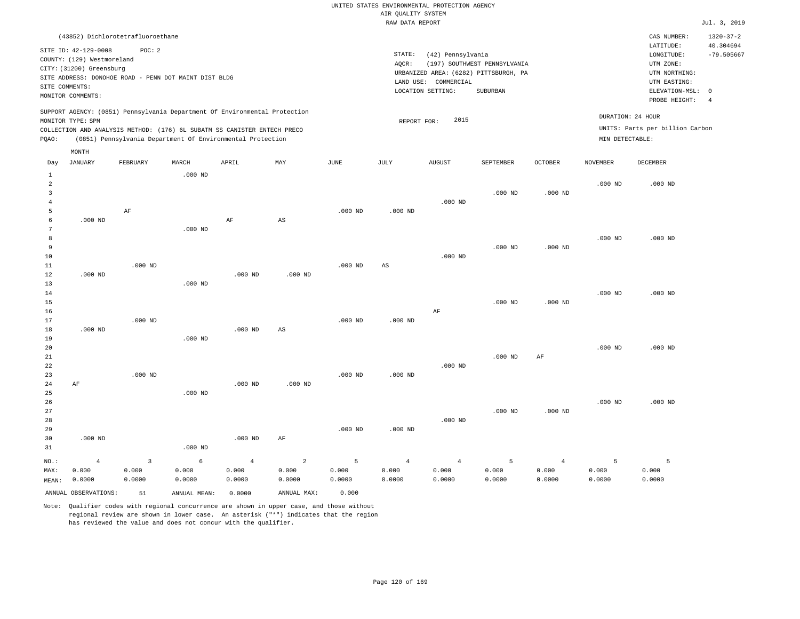|                                | (43852) Dichlorotetrafluoroethane                                                                                                                         |                 |                 |                                                                                                                                        |                        |                 |                              |                                                      |                                                                                   |                 |                    | CAS NUMBER:                                                                             | $1320 - 37 - 2$                             |
|--------------------------------|-----------------------------------------------------------------------------------------------------------------------------------------------------------|-----------------|-----------------|----------------------------------------------------------------------------------------------------------------------------------------|------------------------|-----------------|------------------------------|------------------------------------------------------|-----------------------------------------------------------------------------------|-----------------|--------------------|-----------------------------------------------------------------------------------------|---------------------------------------------|
|                                | SITE ID: 42-129-0008<br>COUNTY: (129) Westmoreland<br>CITY: (31200) Greensburg<br>SITE ADDRESS: DONOHOE ROAD - PENN DOT MAINT DIST BLDG<br>SITE COMMENTS: | POC: 2          |                 |                                                                                                                                        |                        |                 | STATE:<br>AOCR:<br>LAND USE: | (42) Pennsylvania<br>COMMERCIAL<br>LOCATION SETTING: | (197) SOUTHWEST PENNSYLVANIA<br>URBANIZED AREA: (6282) PITTSBURGH, PA<br>SUBURBAN |                 |                    | LATITUDE:<br>LONGITUDE:<br>UTM ZONE:<br>UTM NORTHING:<br>UTM EASTING:<br>ELEVATION-MSL: | 40.304694<br>$-79.505667$<br>$\overline{0}$ |
|                                | MONITOR COMMENTS:                                                                                                                                         |                 |                 |                                                                                                                                        |                        |                 |                              |                                                      |                                                                                   |                 |                    | PROBE HEIGHT:                                                                           | $\overline{4}$                              |
|                                | MONITOR TYPE: SPM                                                                                                                                         |                 |                 | SUPPORT AGENCY: (0851) Pennsylvania Department Of Environmental Protection                                                             |                        |                 | REPORT FOR:                  | 2015                                                 |                                                                                   |                 |                    | DURATION: 24 HOUR                                                                       |                                             |
| PQAO:                          |                                                                                                                                                           |                 |                 | COLLECTION AND ANALYSIS METHOD: (176) 6L SUBATM SS CANISTER ENTECH PRECO<br>(0851) Pennsylvania Department Of Environmental Protection |                        |                 |                              |                                                      |                                                                                   |                 | MIN DETECTABLE:    | UNITS: Parts per billion Carbon                                                         |                                             |
|                                | MONTH                                                                                                                                                     |                 |                 |                                                                                                                                        |                        |                 |                              |                                                      |                                                                                   |                 |                    |                                                                                         |                                             |
| Day                            | JANUARY                                                                                                                                                   | FEBRUARY        | MARCH           | APRIL                                                                                                                                  | MAY                    | JUNE            | JULY                         | <b>AUGUST</b>                                        | SEPTEMBER                                                                         | <b>OCTOBER</b>  | NOVEMBER           | DECEMBER                                                                                |                                             |
| $\mathbf{1}$<br>$\overline{a}$ |                                                                                                                                                           |                 | $.000$ ND       |                                                                                                                                        |                        |                 |                              |                                                      |                                                                                   |                 | $.000$ ND          | $.000$ ND                                                                               |                                             |
| 3                              |                                                                                                                                                           |                 |                 |                                                                                                                                        |                        |                 |                              |                                                      | $.000$ ND                                                                         | $.000$ ND       |                    |                                                                                         |                                             |
| $\overline{4}$<br>5            |                                                                                                                                                           | $\rm{AF}$       |                 |                                                                                                                                        |                        | $.000$ ND       | $.000$ ND                    | $.000$ ND                                            |                                                                                   |                 |                    |                                                                                         |                                             |
| 6                              | $.000$ ND                                                                                                                                                 |                 |                 | $\rm AF$                                                                                                                               | $\mathbb{A}\mathbb{S}$ |                 |                              |                                                      |                                                                                   |                 |                    |                                                                                         |                                             |
| 7<br>8                         |                                                                                                                                                           |                 | $.000$ ND       |                                                                                                                                        |                        |                 |                              |                                                      |                                                                                   |                 | $.000$ ND          | $.000$ ND                                                                               |                                             |
| 9                              |                                                                                                                                                           |                 |                 |                                                                                                                                        |                        |                 |                              |                                                      | $.000$ ND                                                                         | $.000$ ND       |                    |                                                                                         |                                             |
| 10<br>11                       |                                                                                                                                                           | $.000$ ND       |                 |                                                                                                                                        |                        | $.000$ ND       | AS                           | $.000$ ND                                            |                                                                                   |                 |                    |                                                                                         |                                             |
| 12                             | $.000$ ND                                                                                                                                                 |                 |                 | $.000$ ND                                                                                                                              | $.000$ ND              |                 |                              |                                                      |                                                                                   |                 |                    |                                                                                         |                                             |
| 13<br>14                       |                                                                                                                                                           |                 | $.000$ ND       |                                                                                                                                        |                        |                 |                              |                                                      |                                                                                   |                 | $.000$ ND          | $.000$ ND                                                                               |                                             |
| 15                             |                                                                                                                                                           |                 |                 |                                                                                                                                        |                        |                 |                              |                                                      | $.000$ ND                                                                         | $.000$ ND       |                    |                                                                                         |                                             |
| 16<br>17                       |                                                                                                                                                           | $.000$ ND       |                 |                                                                                                                                        |                        | $.000$ ND       | $.000$ ND                    | AF                                                   |                                                                                   |                 |                    |                                                                                         |                                             |
| 18<br>19                       | $.000$ ND                                                                                                                                                 |                 | $.000$ ND       | $.000$ ND                                                                                                                              | AS                     |                 |                              |                                                      |                                                                                   |                 |                    |                                                                                         |                                             |
| 20                             |                                                                                                                                                           |                 |                 |                                                                                                                                        |                        |                 |                              |                                                      |                                                                                   |                 | $.000$ ND          | $.000$ ND                                                                               |                                             |
| 21<br>22                       |                                                                                                                                                           |                 |                 |                                                                                                                                        |                        |                 |                              | $.000$ ND                                            | $.000$ ND                                                                         | $\rm{AF}$       |                    |                                                                                         |                                             |
| 23                             |                                                                                                                                                           | $.000$ ND       |                 |                                                                                                                                        |                        | $.000$ ND       | $.000$ ND                    |                                                      |                                                                                   |                 |                    |                                                                                         |                                             |
| 24<br>25                       | AF                                                                                                                                                        |                 | $.000$ ND       | $.000$ ND                                                                                                                              | $.000$ ND              |                 |                              |                                                      |                                                                                   |                 |                    |                                                                                         |                                             |
| 26                             |                                                                                                                                                           |                 |                 |                                                                                                                                        |                        |                 |                              |                                                      |                                                                                   |                 | .000 <sub>ND</sub> | $.000$ ND                                                                               |                                             |
| 27<br>28                       |                                                                                                                                                           |                 |                 |                                                                                                                                        |                        |                 |                              | $.000$ ND                                            | $.000$ ND                                                                         | $.000$ ND       |                    |                                                                                         |                                             |
| 29<br>30                       | $.000$ ND                                                                                                                                                 |                 |                 | $.000$ ND                                                                                                                              | AF                     | $.000$ ND       | $.000$ ND                    |                                                      |                                                                                   |                 |                    |                                                                                         |                                             |
| 31                             |                                                                                                                                                           |                 | $.000$ ND       |                                                                                                                                        |                        |                 |                              |                                                      |                                                                                   |                 |                    |                                                                                         |                                             |
| NO.:                           | $\overline{4}$                                                                                                                                            | $\overline{3}$  | $\epsilon$      | $\overline{4}$                                                                                                                         | $\overline{a}$         | 5               | $\overline{4}$               | $\overline{4}$                                       | 5                                                                                 | $\overline{4}$  | 5                  | 5                                                                                       |                                             |
| MAX:<br>MEAN:                  | 0.000<br>0.0000                                                                                                                                           | 0.000<br>0.0000 | 0.000<br>0.0000 | 0.000<br>0.0000                                                                                                                        | 0.000<br>0.0000        | 0.000<br>0.0000 | 0.000<br>0.0000              | 0.000<br>0.0000                                      | 0.000<br>0.0000                                                                   | 0.000<br>0.0000 | 0.000<br>0.0000    | 0.000<br>0.0000                                                                         |                                             |
|                                | ANNUAL OBSERVATIONS:                                                                                                                                      | 51              | ANNUAL MEAN:    | 0.0000                                                                                                                                 | ANNUAL MAX:            | 0.000           |                              |                                                      |                                                                                   |                 |                    |                                                                                         |                                             |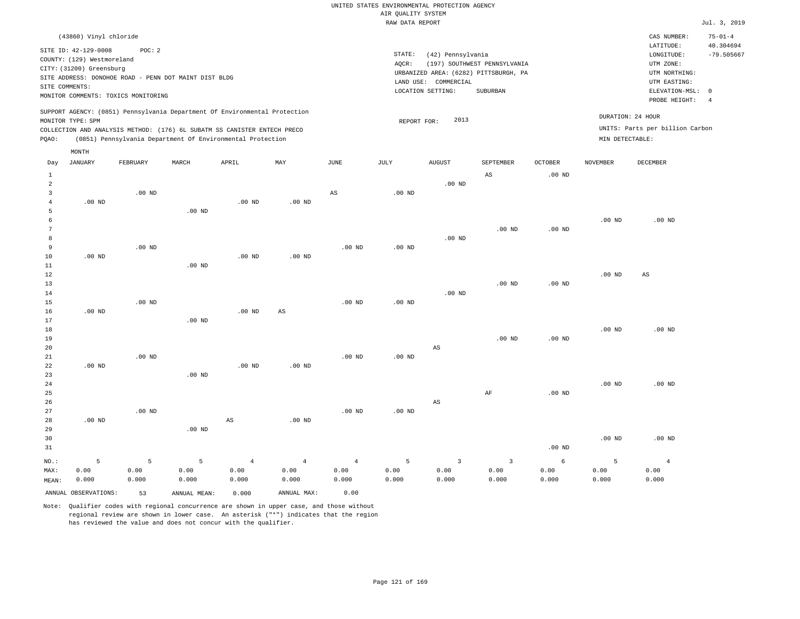| (43860) Vinyl chloride                                                                                                                                                                                                                                      |                                                                                                                                                                        | CAS NUMBER:                                                                                                | $75 - 01 - 4$                   |
|-------------------------------------------------------------------------------------------------------------------------------------------------------------------------------------------------------------------------------------------------------------|------------------------------------------------------------------------------------------------------------------------------------------------------------------------|------------------------------------------------------------------------------------------------------------|---------------------------------|
| SITE ID: 42-129-0008<br>POC:2<br>COUNTY: (129) Westmoreland<br>CITY: (31200) Greensburg<br>SITE ADDRESS: DONOHOE ROAD - PENN DOT MAINT DIST BLDG<br>SITE COMMENTS:<br>MONITOR COMMENTS: TOXICS MONITORING                                                   | STATE:<br>(42) Pennsylvania<br>(197) SOUTHWEST PENNSYLVANIA<br>AOCR:<br>URBANIZED AREA: (6282) PITTSBURGH, PA<br>LAND USE: COMMERCIAL<br>LOCATION SETTING:<br>SUBURBAN | LATITUDE:<br>LONGITUDE:<br>UTM ZONE:<br>UTM NORTHING:<br>UTM EASTING:<br>ELEVATION-MSL: 0<br>PROBE HEIGHT: | 40.304694<br>$-79.505667$<br>-4 |
| SUPPORT AGENCY: (0851) Pennsylvania Department Of Environmental Protection<br>MONITOR TYPE: SPM<br>COLLECTION AND ANALYSIS METHOD: (176) 6L SUBATM SS CANISTER ENTECH PRECO<br>(0851) Pennsylvania Department Of Environmental Protection<br>POAO:<br>MONTH | DURATION: 24 HOUR<br>2013<br>REPORT FOR:<br>MIN DETECTABLE:                                                                                                            | UNITS: Parts per billion Carbon                                                                            |                                 |

| Day            | JANUARY              | FEBRUARY | MARCH             | APRIL             | MAY                    | JUNE           | JULY     | AUGUST                  | SEPTEMBER               | OCTOBER    | NOVEMBER | DECEMBER               |
|----------------|----------------------|----------|-------------------|-------------------|------------------------|----------------|----------|-------------------------|-------------------------|------------|----------|------------------------|
| $\mathbf{1}$   |                      |          |                   |                   |                        |                |          |                         | $\mathbb{A}\mathbb{S}$  | $.00$ ND   |          |                        |
| $\overline{a}$ |                      |          |                   |                   |                        |                |          | $.00$ ND                |                         |            |          |                        |
| 3              |                      | $.00$ ND |                   |                   |                        | $_{\rm AS}$    | $.00$ ND |                         |                         |            |          |                        |
| $\overline{4}$ | $.00$ ND             |          |                   | .00 <sub>ND</sub> | $.00$ ND               |                |          |                         |                         |            |          |                        |
| 5              |                      |          | $.00$ ND          |                   |                        |                |          |                         |                         |            |          |                        |
| 6              |                      |          |                   |                   |                        |                |          |                         |                         |            | $.00$ ND | $.00$ ND               |
| 7              |                      |          |                   |                   |                        |                |          |                         | $.00$ ND                | $.00$ ND   |          |                        |
| 8              |                      |          |                   |                   |                        |                |          | $.00$ ND                |                         |            |          |                        |
| 9              |                      | $.00$ ND |                   |                   |                        | $.00$ ND       | $.00$ ND |                         |                         |            |          |                        |
| 10             | $.00$ ND             |          |                   | .00 <sub>ND</sub> | $.00$ ND               |                |          |                         |                         |            |          |                        |
| 11             |                      |          | $.00$ ND          |                   |                        |                |          |                         |                         |            |          |                        |
| 12             |                      |          |                   |                   |                        |                |          |                         |                         |            | $.00$ ND | $\mathbb{A}\mathbb{S}$ |
| 13             |                      |          |                   |                   |                        |                |          |                         | $.00$ ND                | $.00$ ND   |          |                        |
| 14             |                      |          |                   |                   |                        |                |          | $.00$ ND                |                         |            |          |                        |
| 15             |                      | $.00$ ND |                   |                   |                        | $.00$ ND       | $.00$ ND |                         |                         |            |          |                        |
| 16             | .00 $ND$             |          |                   | .00 <sub>ND</sub> | $\mathbb{A}\mathbb{S}$ |                |          |                         |                         |            |          |                        |
| 17             |                      |          | $.00$ ND          |                   |                        |                |          |                         |                         |            |          |                        |
| 18             |                      |          |                   |                   |                        |                |          |                         |                         |            | $.00$ ND | $.00$ ND               |
| 19             |                      |          |                   |                   |                        |                |          |                         | $.00$ ND                | $.00$ ND   |          |                        |
| 20             |                      |          |                   |                   |                        |                |          | $\mathbb{A}\mathbb{S}$  |                         |            |          |                        |
| $21\,$         |                      | $.00$ ND |                   |                   |                        | $.00$ ND       | .00 $ND$ |                         |                         |            |          |                        |
| 22             | .00 $ND$             |          |                   | .00 <sub>ND</sub> | $.00$ ND               |                |          |                         |                         |            |          |                        |
| 23             |                      |          | .00 <sub>ND</sub> |                   |                        |                |          |                         |                         |            |          |                        |
| 24             |                      |          |                   |                   |                        |                |          |                         |                         |            | $.00$ ND | $.00$ ND               |
| 25             |                      |          |                   |                   |                        |                |          |                         | $\rm{AF}$               | $.00$ ND   |          |                        |
| 26             |                      |          |                   |                   |                        |                |          | $\mathbb{A}\mathbb{S}$  |                         |            |          |                        |
| 27             |                      | $.00$ ND |                   |                   |                        | $.00$ ND       | $.00$ ND |                         |                         |            |          |                        |
| 28             | .00 <sub>ND</sub>    |          |                   | AS                | $.00$ ND               |                |          |                         |                         |            |          |                        |
| 29             |                      |          | $.00$ ND          |                   |                        |                |          |                         |                         |            |          |                        |
| 30             |                      |          |                   |                   |                        |                |          |                         |                         |            | $.00$ ND | $.00$ ND               |
| 31             |                      |          |                   |                   |                        |                |          |                         |                         | $.00$ ND   |          |                        |
| $_{\rm NO.}$ : | 5                    | 5        | 5                 | $\,4$             | $\overline{4}$         | $\overline{4}$ | 5        | $\overline{\mathbf{3}}$ | $\overline{\mathbf{3}}$ | $\epsilon$ | 5        | $\overline{4}$         |
| MAX:           | 0.00                 | 0.00     | 0.00              | 0.00              | 0.00                   | 0.00           | 0.00     | 0.00                    | 0.00                    | 0.00       | 0.00     | 0.00                   |
| MEAN:          | 0.000                | 0.000    | 0.000             | 0.000             | 0.000                  | 0.000          | 0.000    | 0.000                   | 0.000                   | 0.000      | 0.000    | 0.000                  |
|                | ANNUAL OBSERVATIONS: | 53       | ANNUAL MEAN:      | 0.000             | ANNUAL MAX:            | 0.00           |          |                         |                         |            |          |                        |

Note: Qualifier codes with regional concurrence are shown in upper case, and those without

regional review are shown in lower case. An asterisk ("\*") indicates that the region

has reviewed the value and does not concur with the qualifier.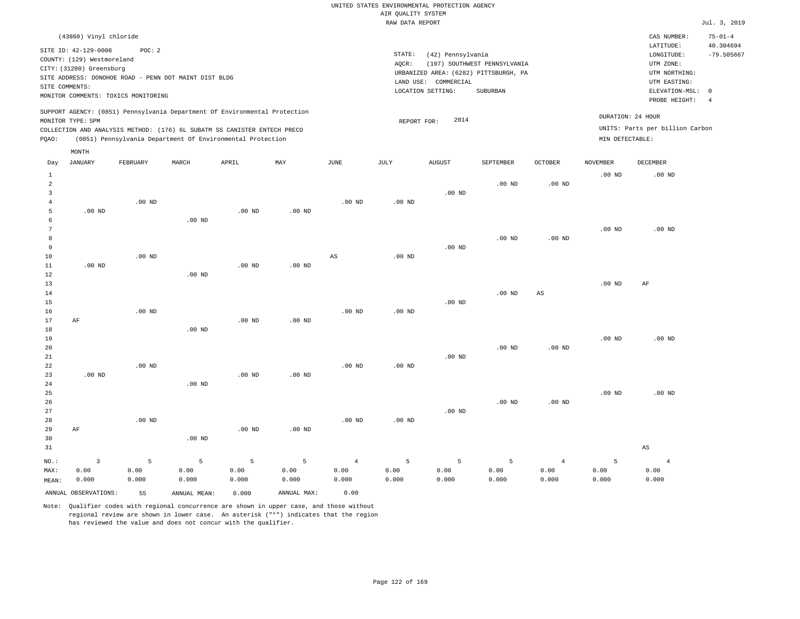| (43860) Vinyl chloride                                                     |                                                               | CAS NUMBER:                     | $75 - 01 - 4$ |
|----------------------------------------------------------------------------|---------------------------------------------------------------|---------------------------------|---------------|
| SITE ID: 42-129-0008<br>POC:2                                              |                                                               | LATITUDE:                       | 40.304694     |
| COUNTY: (129) Westmoreland                                                 | STATE:<br>(42) Pennsylvania                                   | LONGITUDE:                      | $-79.505667$  |
| CITY: (31200) Greensburg                                                   | (197) SOUTHWEST PENNSYLVANIA<br>AOCR:                         | UTM ZONE:                       |               |
| SITE ADDRESS: DONOHOE ROAD - PENN DOT MAINT DIST BLDG                      | URBANIZED AREA: (6282) PITTSBURGH, PA<br>LAND USE: COMMERCIAL | UTM NORTHING:<br>UTM EASTING:   |               |
| SITE COMMENTS:                                                             | LOCATION SETTING:<br>SUBURBAN                                 | ELEVATION-MSL: 0                |               |
| MONITOR COMMENTS: TOXICS MONITORING                                        |                                                               | PROBE HEIGHT:                   | -4            |
| SUPPORT AGENCY: (0851) Pennsylvania Department Of Environmental Protection |                                                               |                                 |               |
| MONITOR TYPE: SPM                                                          | 2014<br>REPORT FOR:                                           | DURATION: 24 HOUR               |               |
| COLLECTION AND ANALYSIS METHOD: (176) 6L SUBATM SS CANISTER ENTECH PRECO   |                                                               | UNITS: Parts per billion Carbon |               |
| (0851) Pennsylvania Department Of Environmental Protection<br>POAO:        | MIN DETECTABLE:                                               |                                 |               |
|                                                                            |                                                               |                                 |               |

| Day            | <b>JANUARY</b>       | FEBRUARY | $\tt MARCH$  | APRIL    | MAY             | $_{\rm JUNE}$  | $\mathtt{JULY}$   | <b>AUGUST</b>     | SEPTEMBER | OCTOBER           | NOVEMBER | DECEMBER               |
|----------------|----------------------|----------|--------------|----------|-----------------|----------------|-------------------|-------------------|-----------|-------------------|----------|------------------------|
| $\mathbf{1}$   |                      |          |              |          |                 |                |                   |                   |           |                   | $.00$ ND | $.00$ ND               |
| $\overline{a}$ |                      |          |              |          |                 |                |                   |                   | $.00$ ND  | $.00$ ND          |          |                        |
| 3              |                      |          |              |          |                 |                |                   | .00 $ND$          |           |                   |          |                        |
| $\overline{4}$ |                      | $.00$ ND |              |          |                 | .00 $ND$       | .00 <sub>ND</sub> |                   |           |                   |          |                        |
| 5              | .00 $ND$             |          |              | $.00$ ND | $.00$ ND        |                |                   |                   |           |                   |          |                        |
| 6              |                      |          | .00 $ND$     |          |                 |                |                   |                   |           |                   |          |                        |
| 7              |                      |          |              |          |                 |                |                   |                   |           |                   | $.00$ ND | $.00$ ND               |
| 8              |                      |          |              |          |                 |                |                   |                   | $.00$ ND  | $.00$ ND          |          |                        |
| 9              |                      |          |              |          |                 |                |                   | .00 <sub>ND</sub> |           |                   |          |                        |
| 10             |                      | $.00$ ND |              |          |                 | $_{\rm AS}$    | .00 <sub>ND</sub> |                   |           |                   |          |                        |
| 11             | $.00$ ND             |          |              | $.00$ ND | $.00$ ND        |                |                   |                   |           |                   |          |                        |
| 12             |                      |          | $.00$ ND     |          |                 |                |                   |                   |           |                   |          |                        |
| 13             |                      |          |              |          |                 |                |                   |                   |           |                   | $.00$ ND | AF                     |
| 14<br>15       |                      |          |              |          |                 |                |                   | .00 $ND$          | $.00$ ND  | $_{\rm AS}$       |          |                        |
| 16             |                      | $.00$ ND |              |          |                 | $.00$ ND       | $.00$ ND          |                   |           |                   |          |                        |
| 17             | $\rm AF$             |          |              | $.00$ ND | $.00$ ND        |                |                   |                   |           |                   |          |                        |
| 18             |                      |          | $.00$ ND     |          |                 |                |                   |                   |           |                   |          |                        |
| 19             |                      |          |              |          |                 |                |                   |                   |           |                   | $.00$ ND | $.00$ ND               |
| 20             |                      |          |              |          |                 |                |                   |                   | $.00$ ND  | $.00$ ND          |          |                        |
| 21             |                      |          |              |          |                 |                |                   | .00 $ND$          |           |                   |          |                        |
| 22             |                      | $.00$ ND |              |          |                 | $.00$ ND       | $.00$ ND          |                   |           |                   |          |                        |
| 23             | $.00$ ND             |          |              | $.00$ ND | $.00$ ND        |                |                   |                   |           |                   |          |                        |
| 24             |                      |          | $.00$ ND     |          |                 |                |                   |                   |           |                   |          |                        |
| 25             |                      |          |              |          |                 |                |                   |                   |           |                   | $.00$ ND | $.00$ ND               |
| 26             |                      |          |              |          |                 |                |                   |                   | $.00$ ND  | .00 <sub>ND</sub> |          |                        |
| 27             |                      |          |              |          |                 |                |                   | $.00$ ND          |           |                   |          |                        |
| 28             |                      | $.00$ ND |              |          |                 | $.00$ ND       | $.00$ ND          |                   |           |                   |          |                        |
| 29             | $\rm AF$             |          |              | $.00$ ND | $.00$ ND        |                |                   |                   |           |                   |          |                        |
| 30             |                      |          | $.00$ ND     |          |                 |                |                   |                   |           |                   |          |                        |
| 31             |                      |          |              |          |                 |                |                   |                   |           |                   |          | $\mathbb{A}\mathbb{S}$ |
| NO.:           | $\mathbf{3}$         | 5        | $\mathsf S$  | 5        | $5\phantom{.0}$ | $\overline{4}$ | $5\phantom{.0}$   | 5                 | 5         | $\overline{4}$    | 5        | $\overline{4}$         |
| MAX:           | 0.00                 | 0.00     | 0.00         | 0.00     | 0.00            | 0.00           | 0.00              | 0.00              | 0.00      | 0.00              | 0.00     | 0.00                   |
| MEAN:          | 0.000                | 0.000    | 0.000        | 0.000    | 0.000           | 0.000          | 0.000             | 0.000             | 0.000     | 0.000             | 0.000    | 0.000                  |
|                | ANNUAL OBSERVATIONS: | 55       | ANNUAL MEAN: | 0.000    | ANNUAL MAX:     | 0.00           |                   |                   |           |                   |          |                        |

Note: Qualifier codes with regional concurrence are shown in upper case, and those without regional review are shown in lower case. An asterisk ("\*") indicates that the region has reviewed the value and does not concur with the qualifier.

MONTH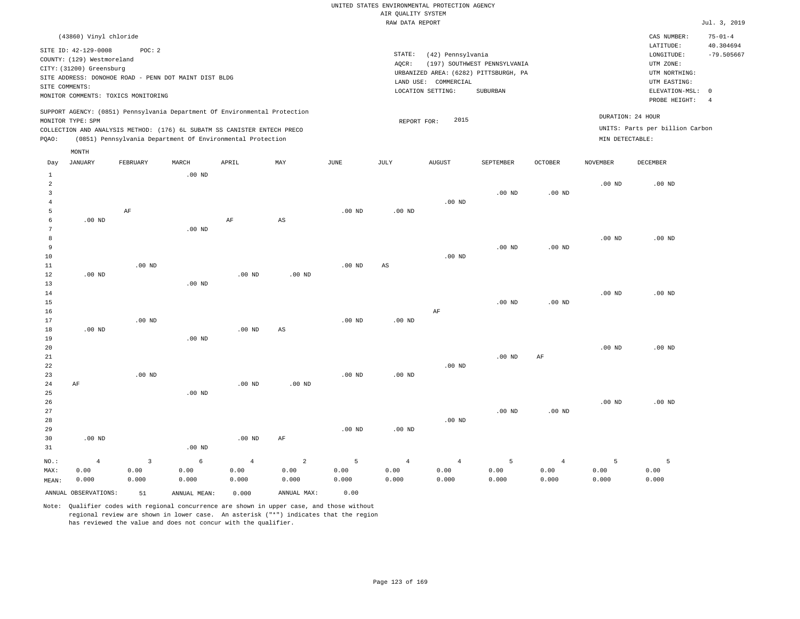|                | (43860) Vinyl chloride                                |          |       |                                                                          |                                                                            |      |      |                                       |                              |         |                   | CAS NUMBER:                     | $75 - 01 - 4$ |
|----------------|-------------------------------------------------------|----------|-------|--------------------------------------------------------------------------|----------------------------------------------------------------------------|------|------|---------------------------------------|------------------------------|---------|-------------------|---------------------------------|---------------|
|                |                                                       |          |       |                                                                          |                                                                            |      |      |                                       |                              |         |                   |                                 |               |
|                | SITE ID: 42-129-0008                                  | POC:2    |       |                                                                          |                                                                            |      |      |                                       |                              |         |                   | LATITUDE:                       | 40.304694     |
|                |                                                       |          |       |                                                                          |                                                                            |      |      | STATE:<br>(42) Pennsylvania           |                              |         |                   | LONGITUDE:                      | $-79.505667$  |
|                | COUNTY: (129) Westmoreland                            |          |       |                                                                          |                                                                            |      |      | AOCR:                                 | (197) SOUTHWEST PENNSYLVANIA |         |                   | UTM ZONE:                       |               |
|                | CITY: (31200) Greensburg                              |          |       |                                                                          |                                                                            |      |      |                                       |                              |         |                   |                                 |               |
|                | SITE ADDRESS: DONOHOE ROAD - PENN DOT MAINT DIST BLDG |          |       |                                                                          |                                                                            |      |      | URBANIZED AREA: (6282) PITTSBURGH, PA |                              |         |                   | UTM NORTHING:                   |               |
| SITE COMMENTS: |                                                       |          |       |                                                                          |                                                                            |      |      | LAND USE: COMMERCIAL                  |                              |         |                   | UTM EASTING:                    |               |
|                |                                                       |          |       |                                                                          |                                                                            |      |      | LOCATION SETTING:                     | SUBURBAN                     |         |                   | ELEVATION-MSL: 0                |               |
|                | MONITOR COMMENTS: TOXICS MONITORING                   |          |       |                                                                          |                                                                            |      |      |                                       |                              |         |                   | PROBE HEIGHT:                   |               |
|                |                                                       |          |       |                                                                          |                                                                            |      |      |                                       |                              |         |                   |                                 |               |
|                |                                                       |          |       |                                                                          | SUPPORT AGENCY: (0851) Pennsylvania Department Of Environmental Protection |      |      |                                       |                              |         | DURATION: 24 HOUR |                                 |               |
|                | MONITOR TYPE: SPM                                     |          |       |                                                                          |                                                                            |      |      | 2015<br>REPORT FOR:                   |                              |         |                   |                                 |               |
|                |                                                       |          |       | COLLECTION AND ANALYSIS METHOD: (176) 6L SUBATM SS CANISTER ENTECH PRECO |                                                                            |      |      |                                       |                              |         |                   | UNITS: Parts per billion Carbon |               |
| POAO:          |                                                       |          |       | (0851) Pennsylvania Department Of Environmental Protection               |                                                                            |      |      |                                       |                              |         | MIN DETECTABLE:   |                                 |               |
|                |                                                       |          |       |                                                                          |                                                                            |      |      |                                       |                              |         |                   |                                 |               |
|                | MONTH                                                 |          |       |                                                                          |                                                                            |      |      |                                       |                              |         |                   |                                 |               |
| Day            | JANUARY                                               | FEBRUARY | MARCH | APRIL                                                                    | MAY                                                                        | JUNE | JULY | AUGUST                                | SEPTEMBER                    | OCTOBER | NOVEMBER          | DECEMBER                        |               |

| $\mathbf{1}$   |                      |                | $.00$ ND     |                |                        |          |                   |                |                   |                   |          |          |
|----------------|----------------------|----------------|--------------|----------------|------------------------|----------|-------------------|----------------|-------------------|-------------------|----------|----------|
| 2              |                      |                |              |                |                        |          |                   |                |                   |                   | $.00$ ND | $.00$ ND |
| 3              |                      |                |              |                |                        |          |                   |                | $.00$ ND          | .00 <sub>ND</sub> |          |          |
| $\overline{4}$ |                      |                |              |                |                        |          |                   | $.00$ ND       |                   |                   |          |          |
| 5              |                      | AF             |              |                |                        | $.00$ ND | $.00$ ND          |                |                   |                   |          |          |
| 6              | $.00$ ND             |                |              | $\rm AF$       | $\mathbb{A}\mathbb{S}$ |          |                   |                |                   |                   |          |          |
| 7              |                      |                | $.00$ ND     |                |                        |          |                   |                |                   |                   |          |          |
| 8              |                      |                |              |                |                        |          |                   |                |                   |                   | $.00$ ND | $.00$ ND |
| 9              |                      |                |              |                |                        |          |                   |                | $.00$ ND          | $.00$ ND          |          |          |
| 10             |                      |                |              |                |                        |          |                   | $.00$ ND       |                   |                   |          |          |
| 11             |                      | $.00$ ND       |              |                |                        | $.00$ ND | $_{\rm AS}$       |                |                   |                   |          |          |
| 12             | $.00$ ND             |                |              | .00 $ND$       | $.00$ ND               |          |                   |                |                   |                   |          |          |
| 13             |                      |                | $.00$ ND     |                |                        |          |                   |                |                   |                   |          |          |
| 14             |                      |                |              |                |                        |          |                   |                |                   |                   | $.00$ ND | $.00$ ND |
| 15             |                      |                |              |                |                        |          |                   |                | $.00$ ND          | $.00$ ND          |          |          |
| 16             |                      |                |              |                |                        |          |                   | $\rm AF$       |                   |                   |          |          |
| 17             |                      | $.00$ ND       |              |                |                        | $.00$ ND | $.00$ ND          |                |                   |                   |          |          |
| 18             | $.00$ ND             |                |              | $.00$ ND       | $\mathbb{A}\mathbb{S}$ |          |                   |                |                   |                   |          |          |
| 19             |                      |                | $.00$ ND     |                |                        |          |                   |                |                   |                   |          |          |
| 20             |                      |                |              |                |                        |          |                   |                |                   |                   | $.00$ ND | $.00$ ND |
| 21             |                      |                |              |                |                        |          |                   |                | $.00$ ND          | $\rm{AF}$         |          |          |
| 22             |                      |                |              |                |                        |          |                   | $.00$ ND       |                   |                   |          |          |
| 23             |                      | $.00$ ND       |              |                |                        | $.00$ ND | .00 <sub>ND</sub> |                |                   |                   |          |          |
| 24             | AF                   |                |              | $.00$ ND       | $.00$ ND               |          |                   |                |                   |                   |          |          |
| 25             |                      |                | $.00$ ND     |                |                        |          |                   |                |                   |                   |          |          |
| 26             |                      |                |              |                |                        |          |                   |                |                   |                   | $.00$ ND | $.00$ ND |
| 27             |                      |                |              |                |                        |          |                   |                | .00 <sub>ND</sub> | .00 <sub>ND</sub> |          |          |
| 28             |                      |                |              |                |                        |          |                   | $.00$ ND       |                   |                   |          |          |
| 29             |                      |                |              |                |                        | $.00$ ND | .00 <sub>ND</sub> |                |                   |                   |          |          |
| 30             | $.00$ ND             |                |              | $.00$ ND       | $\rm{AF}$              |          |                   |                |                   |                   |          |          |
| 31             |                      |                | $.00$ ND     |                |                        |          |                   |                |                   |                   |          |          |
| $_{\rm NO.}$ : | $\overline{4}$       | $\overline{3}$ | $\epsilon$   | $\overline{4}$ | $\overline{a}$         | 5        | $\overline{4}$    | $\overline{4}$ | 5                 | $\sqrt{4}$        | 5        | 5        |
| MAX:           | 0.00                 | 0.00           | 0.00         | 0.00           | 0.00                   | 0.00     | 0.00              | 0.00           | 0.00              | 0.00              | 0.00     | 0.00     |
| MEAN:          | 0.000                | 0.000          | 0.000        | 0.000          | 0.000                  | 0.000    | 0.000             | 0.000          | 0.000             | 0.000             | 0.000    | 0.000    |
|                | ANNUAL OBSERVATIONS: | 51             | ANNUAL MEAN: | 0.000          | ANNUAL MAX:            | 0.00     |                   |                |                   |                   |          |          |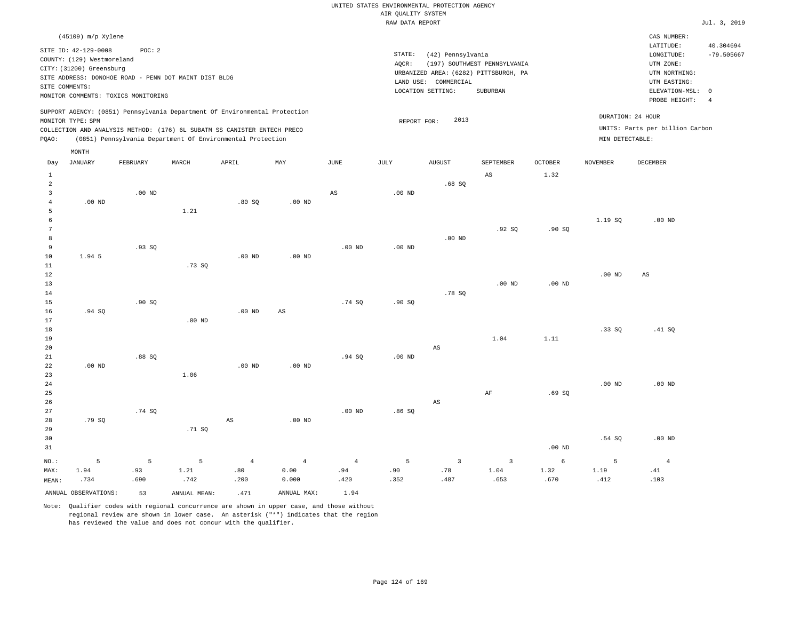|                | $(45109)$ m/p Xylene       |                                                       |       |                                                                          |                                                                            |       |       |                                       |                              |         |                   | CAS NUMBER:                       |              |
|----------------|----------------------------|-------------------------------------------------------|-------|--------------------------------------------------------------------------|----------------------------------------------------------------------------|-------|-------|---------------------------------------|------------------------------|---------|-------------------|-----------------------------------|--------------|
|                | SITE ID: 42-129-0008       | POC: 2                                                |       |                                                                          |                                                                            |       |       |                                       |                              |         |                   | LATITUDE:                         | 40.304694    |
|                | COUNTY: (129) Westmoreland |                                                       |       |                                                                          |                                                                            |       |       | STATE:<br>(42) Pennsylvania           |                              |         |                   | LONGITUDE:                        | $-79.505667$ |
|                | CITY: (31200) Greensburg   |                                                       |       |                                                                          |                                                                            |       | AOCR: | URBANIZED AREA: (6282) PITTSBURGH, PA | (197) SOUTHWEST PENNSYLVANIA |         |                   | UTM ZONE:<br>UTM NORTHING:        |              |
| SITE COMMENTS: |                            | SITE ADDRESS: DONOHOE ROAD - PENN DOT MAINT DIST BLDG |       |                                                                          |                                                                            |       |       | LAND USE: COMMERCIAL                  |                              |         |                   | UTM EASTING:                      |              |
|                |                            | MONITOR COMMENTS: TOXICS MONITORING                   |       |                                                                          |                                                                            |       |       | LOCATION SETTING:                     | SUBURBAN                     |         |                   | ELEVATION-MSL: 0<br>PROBE HEIGHT: |              |
|                |                            |                                                       |       |                                                                          | SUPPORT AGENCY: (0851) Pennsylvania Department Of Environmental Protection |       |       |                                       |                              |         |                   |                                   |              |
|                | MONITOR TYPE: SPM          |                                                       |       |                                                                          |                                                                            |       |       | 2013<br>REPORT FOR:                   |                              |         | DURATION: 24 HOUR |                                   |              |
|                |                            |                                                       |       | COLLECTION AND ANALYSIS METHOD: (176) 6L SUBATM SS CANISTER ENTECH PRECO |                                                                            |       |       |                                       |                              |         |                   | UNITS: Parts per billion Carbon   |              |
| POAO:          |                            |                                                       |       | (0851) Pennsylvania Department Of Environmental Protection               |                                                                            |       |       |                                       |                              |         | MIN DETECTABLE:   |                                   |              |
|                | MONTH                      |                                                       |       |                                                                          |                                                                            |       |       |                                       |                              |         |                   |                                   |              |
| Dav            | <b>JANUARY</b>             | FEBRUARY                                              | MARCH | APRTL                                                                    | MAY                                                                        | JUNE. | JULY. | <b>AUGUST</b>                         | SEPTEMBER                    | OCTOBER | <b>NOVEMBER</b>   | DECEMBER                          |              |

| Day             | JANUARY              | FEBRUARY | MARCH        | APRIL             | $\mathtt{MAX}$    | $_{\rm JUNE}$          | JULY     | ${\tt AUGUST}$          | SEPTEMBER               | OCTOBER    | $\,$ NOVEMBER | DECEMBER       |
|-----------------|----------------------|----------|--------------|-------------------|-------------------|------------------------|----------|-------------------------|-------------------------|------------|---------------|----------------|
| $\mathbf{1}$    |                      |          |              |                   |                   |                        |          |                         | $_{\rm AS}$             | 1.32       |               |                |
| $\overline{a}$  |                      |          |              |                   |                   |                        |          | .68SQ                   |                         |            |               |                |
| 3               |                      | $.00$ ND |              |                   |                   | $\mathbb{A}\mathbb{S}$ | .00 $ND$ |                         |                         |            |               |                |
| $\overline{4}$  | $.00$ ND             |          |              | .80SQ             | $.00$ ND          |                        |          |                         |                         |            |               |                |
| 5               |                      |          | 1.21         |                   |                   |                        |          |                         |                         |            |               |                |
| 6               |                      |          |              |                   |                   |                        |          |                         |                         |            | 1.19S         | $.00$ ND       |
| $7\phantom{.0}$ |                      |          |              |                   |                   |                        |          |                         | .92SQ                   | .90SQ      |               |                |
| 8               |                      |          |              |                   |                   |                        |          | .00 $ND$                |                         |            |               |                |
| 9               |                      | .93SQ    |              |                   |                   | .00 $ND$               | .00 $ND$ |                         |                         |            |               |                |
| 10              | 1.94 5               |          |              | .00 <sub>ND</sub> | .00 <sub>ND</sub> |                        |          |                         |                         |            |               |                |
| $11\,$          |                      |          | .73SQ        |                   |                   |                        |          |                         |                         |            |               |                |
| 12              |                      |          |              |                   |                   |                        |          |                         |                         |            | $.00$ ND      | AS             |
| 13              |                      |          |              |                   |                   |                        |          |                         | $.00$ ND                | $.00$ ND   |               |                |
| $14\,$          |                      |          |              |                   |                   |                        |          | .78 SQ                  |                         |            |               |                |
| 15              |                      | .90SQ    |              |                   |                   | .74S                   | .90SQ    |                         |                         |            |               |                |
| 16              | .94 SQ               |          |              | .00 <sub>ND</sub> | $_{\rm AS}$       |                        |          |                         |                         |            |               |                |
| 17              |                      |          | $.00$ ND     |                   |                   |                        |          |                         |                         |            |               |                |
| 18              |                      |          |              |                   |                   |                        |          |                         |                         |            | .33SQ         | .41 SQ         |
| 19              |                      |          |              |                   |                   |                        |          |                         | 1.04                    | 1.11       |               |                |
| $20\,$          |                      |          |              |                   |                   |                        |          | $\mathbb{A}\mathbb{S}$  |                         |            |               |                |
| 21              |                      | .88 SQ   |              |                   |                   | .94SQ                  | $.00$ ND |                         |                         |            |               |                |
| 22              | .00 $ND$             |          |              | .00 <sub>ND</sub> | $.00$ ND          |                        |          |                         |                         |            |               |                |
| 23              |                      |          | 1.06         |                   |                   |                        |          |                         |                         |            |               |                |
| $2\,4$          |                      |          |              |                   |                   |                        |          |                         |                         |            | $.00$ ND      | $.00$ ND       |
| 25<br>26        |                      |          |              |                   |                   |                        |          | $\mathbb{A}\mathbb{S}$  | $\rm{AF}$               | .69SQ      |               |                |
| 27              |                      | .74 SQ   |              |                   |                   | $.00$ ND               | .86SQ    |                         |                         |            |               |                |
| 28              | .79 SQ               |          |              | AS                | $.00$ ND          |                        |          |                         |                         |            |               |                |
| 29              |                      |          | .71 $SQ$     |                   |                   |                        |          |                         |                         |            |               |                |
| 30              |                      |          |              |                   |                   |                        |          |                         |                         |            | .54S          | $.00$ ND       |
| 31              |                      |          |              |                   |                   |                        |          |                         |                         | .00 $ND$   |               |                |
|                 |                      |          |              |                   |                   |                        |          |                         |                         |            |               |                |
| $NO.$ :         | 5                    | 5        | 5            | $\overline{4}$    | $\overline{4}$    | $\overline{4}$         | 5        | $\overline{\mathbf{3}}$ | $\overline{\mathbf{3}}$ | $\epsilon$ | 5             | $\overline{4}$ |
| MAX:            | 1.94                 | .93      | 1.21         | .80               | 0.00              | .94                    | .90      | .78                     | 1.04                    | 1.32       | 1.19          | .41            |
| MEAN:           | .734                 | .690     | .742         | .200              | 0.000             | .420                   | .352     | .487                    | .653                    | .670       | .412          | .103           |
|                 | ANNUAL OBSERVATIONS: | 53       | ANNUAL MEAN: | .471              | ANNUAL MAX:       | 1.94                   |          |                         |                         |            |               |                |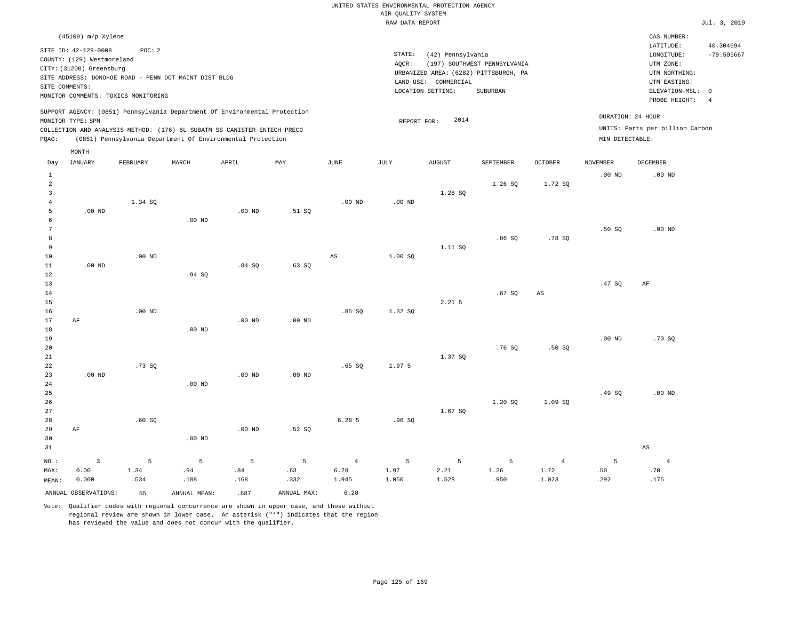| $(45109)$ m/p Xylene                                                                                                                                                                                                                               |                                                                                                                                                                        | CAS NUMBER:                                                                                                                             |
|----------------------------------------------------------------------------------------------------------------------------------------------------------------------------------------------------------------------------------------------------|------------------------------------------------------------------------------------------------------------------------------------------------------------------------|-----------------------------------------------------------------------------------------------------------------------------------------|
| SITE ID: 42-129-0008<br>POC: 2<br>COUNTY: (129) Westmoreland<br>CITY: (31200) Greensburg<br>SITE ADDRESS: DONOHOE ROAD - PENN DOT MAINT DIST BLDG<br>SITE COMMENTS:<br>MONITOR COMMENTS: TOXICS MONITORING                                         | STATE:<br>(42) Pennsylvania<br>(197) SOUTHWEST PENNSYLVANIA<br>AOCR:<br>URBANIZED AREA: (6282) PITTSBURGH, PA<br>LAND USE: COMMERCIAL<br>LOCATION SETTING:<br>SUBURBAN | 40.304694<br>LATITUDE:<br>$-79.505667$<br>LONGITUDE:<br>UTM ZONE:<br>UTM NORTHING:<br>UTM EASTING:<br>ELEVATION-MSL: 0<br>PROBE HEIGHT: |
| SUPPORT AGENCY: (0851) Pennsylvania Department Of Environmental Protection<br>MONITOR TYPE: SPM<br>COLLECTION AND ANALYSIS METHOD: (176) 6L SUBATM SS CANISTER ENTECH PRECO<br>(0851) Pennsylvania Department Of Environmental Protection<br>POAO: | DURATION: 24 HOUR<br>2014<br>REPORT FOR:<br>MIN DETECTABLE:                                                                                                            | UNITS: Parts per billion Carbon                                                                                                         |

| Day             | <b>JANUARY</b>          | FEBRUARY | MARCH        | APRIL                         | MAY         | JUNE     | $\mathtt{JULY}$ | AUGUST   | SEPTEMBER | <b>OCTOBER</b> | NOVEMBER | DECEMBER               |
|-----------------|-------------------------|----------|--------------|-------------------------------|-------------|----------|-----------------|----------|-----------|----------------|----------|------------------------|
| $\mathbf{1}$    |                         |          |              |                               |             |          |                 |          |           |                | $.00$ ND | $.00$ ND               |
| $\overline{a}$  |                         |          |              |                               |             |          |                 |          | 1.26 SQ   | 1.72 SQ        |          |                        |
| 3               |                         |          |              |                               |             |          |                 | 1.28 SQ  |           |                |          |                        |
| $\overline{4}$  |                         | 1.34 SQ  |              |                               |             | $.00$ ND | $.00$ ND        |          |           |                |          |                        |
| 5               | $.00$ ND                |          |              | $.00$ ND                      | .51 SQ      |          |                 |          |           |                |          |                        |
| 6               |                         |          | $.00$ ND     |                               |             |          |                 |          |           |                |          |                        |
| $7\phantom{.0}$ |                         |          |              |                               |             |          |                 |          |           |                | .50SQ    | $.00$ ND               |
| 8               |                         |          |              |                               |             |          |                 |          | .86SQ     | .78 SQ         |          |                        |
| 9               |                         |          |              |                               |             |          |                 | 1.11 SQ  |           |                |          |                        |
| 10              |                         | $.00$ ND |              |                               |             | AS       | 1.00 SQ         |          |           |                |          |                        |
| 11              | $.00$ ND                |          |              | .84SQ                         | .63SQ       |          |                 |          |           |                |          |                        |
| 12              |                         |          | .94 SQ       |                               |             |          |                 |          |           |                |          |                        |
| 13              |                         |          |              |                               |             |          |                 |          |           |                | .47SQ    | AF                     |
| 14              |                         |          |              |                               |             |          |                 |          | .67 SQ    | AS             |          |                        |
| 15              |                         |          |              |                               |             |          |                 | $2.21$ 5 |           |                |          |                        |
| 16              |                         | $.00$ ND |              |                               |             | .85SQ    | 1.32 SQ         |          |           |                |          |                        |
| 17              | $\rm AF$                |          |              | $.00$ ND                      | $.00$ ND    |          |                 |          |           |                |          |                        |
| 18              |                         |          | $.00$ ND     |                               |             |          |                 |          |           |                |          |                        |
| 19              |                         |          |              |                               |             |          |                 |          |           |                | $.00$ ND | .70 SQ                 |
| 20              |                         |          |              |                               |             |          |                 |          | .76SQ     | .50S           |          |                        |
| 21              |                         |          |              |                               |             |          |                 | 1.37 SQ  |           |                |          |                        |
| 22              |                         | .73SQ    |              |                               |             | .65SQ    | 1.97 5          |          |           |                |          |                        |
| 23              | $.00$ ND                |          |              | $.00$ ND                      | .00 $ND$    |          |                 |          |           |                |          |                        |
| 24<br>25        |                         |          | $.00$ ND     |                               |             |          |                 |          |           |                | .49 SQ   | $.00$ ND               |
| 26              |                         |          |              |                               |             |          |                 |          | 1.20S     | 1.09 SQ        |          |                        |
| $2\,7$          |                         |          |              |                               |             |          |                 | 1.67 SQ  |           |                |          |                        |
| 28              |                         | .60SQ    |              |                               |             | 6.28 5   | .96SQ           |          |           |                |          |                        |
| 29              | AF                      |          |              | $.00$ ND                      | .52S        |          |                 |          |           |                |          |                        |
| 30              |                         |          | $.00$ ND     |                               |             |          |                 |          |           |                |          |                        |
| 31              |                         |          |              |                               |             |          |                 |          |           |                |          | $\mathbb{A}\mathbb{S}$ |
|                 |                         |          |              |                               |             |          |                 |          |           |                |          |                        |
| $NO.$ :         | $\overline{\mathbf{3}}$ | $\,$ 5   | $\,$ 5       | $\mathsf S$                   | 5           | $\,4$    | 5               | 5        | 5         | $\overline{4}$ | 5        | $\overline{4}$         |
| MAX:            | 0.00                    | 1.34     | .94          | $\boldsymbol{\mathsf{.}}\;84$ | .63         | 6.28     | 1.97            | 2.21     | 1.26      | 1.72           | .50      | .70                    |
| MEAN:           | 0.000                   | .534     | .188         | .168                          | .332        | 1.945    | 1.050           | 1.528    | .950      | 1.023          | .292     | .175                   |
|                 | ANNUAL OBSERVATIONS:    | 55       | ANNUAL MEAN: | .687                          | ANNUAL MAX: | 6.28     |                 |          |           |                |          |                        |

Note: Qualifier codes with regional concurrence are shown in upper case, and those without regional review are shown in lower case. An asterisk ("\*") indicates that the region has reviewed the value and does not concur with the qualifier.

MONTH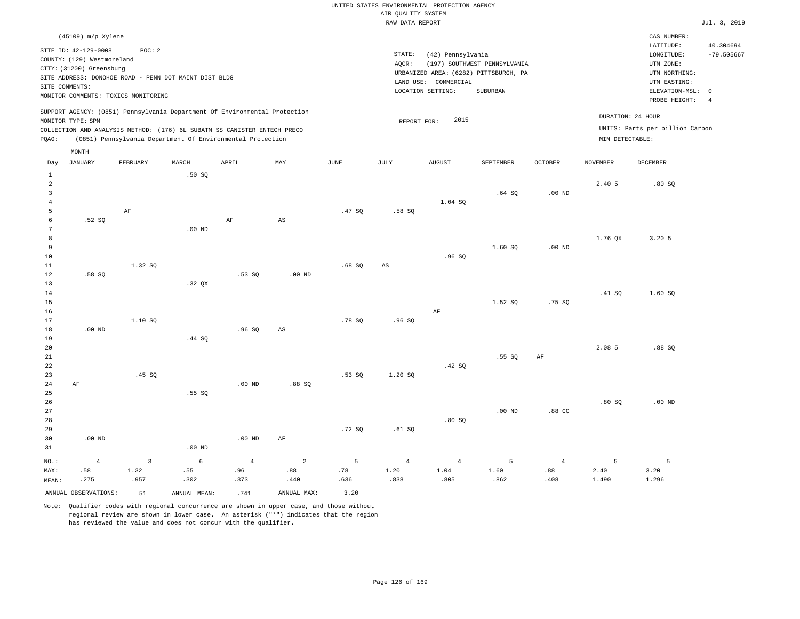| (45109) m/p Xylene                                                                                                                                                                                                                                 |                                                                                                                                                                           | CAS NUMBER:                                                                                                |                           |
|----------------------------------------------------------------------------------------------------------------------------------------------------------------------------------------------------------------------------------------------------|---------------------------------------------------------------------------------------------------------------------------------------------------------------------------|------------------------------------------------------------------------------------------------------------|---------------------------|
| SITE ID: 42-129-0008<br>POC:2<br>COUNTY: (129) Westmoreland<br>CITY: (31200) Greensburg<br>SITE ADDRESS: DONOHOE ROAD - PENN DOT MAINT DIST BLDG<br>SITE COMMENTS:<br>MONITOR COMMENTS: TOXICS MONITORING                                          | STATE:<br>(42) Pennsylvania<br>(197) SOUTHWEST PENNSYLVANIA<br>AOCR:<br>URBANIZED AREA: (6282) PITTSBURGH, PA<br>COMMERCIAL<br>LAND USE:<br>LOCATION SETTING:<br>SUBURBAN | LATITUDE:<br>LONGITUDE:<br>UTM ZONE:<br>UTM NORTHING:<br>UTM EASTING:<br>ELEVATION-MSL: 0<br>PROBE HEIGHT: | 40.304694<br>$-79.505667$ |
| SUPPORT AGENCY: (0851) Pennsylvania Department Of Environmental Protection<br>MONITOR TYPE: SPM<br>COLLECTION AND ANALYSIS METHOD: (176) 6L SUBATM SS CANISTER ENTECH PRECO<br>(0851) Pennsylvania Department Of Environmental Protection<br>POAO: | 2015<br>REPORT FOR:                                                                                                                                                       | DURATION: 24 HOUR<br>UNITS: Parts per billion Carbon<br>MIN DETECTABLE:                                    |                           |

| Day                     | JANUARY              | FEBRUARY                | $\tt MARCH$  | APRIL          | MAY                    | $_{\rm JUNE}$ | $\mathtt{JULY}$        | AUGUST         | SEPTEMBER | $OCTOBER$  | NOVEMBER | DECEMBER |
|-------------------------|----------------------|-------------------------|--------------|----------------|------------------------|---------------|------------------------|----------------|-----------|------------|----------|----------|
| $\mathbf{1}$            |                      |                         | .50SQ        |                |                        |               |                        |                |           |            |          |          |
| $\sqrt{2}$              |                      |                         |              |                |                        |               |                        |                |           |            | 2.40 5   | .80SQ    |
| $\overline{\mathbf{3}}$ |                      |                         |              |                |                        |               |                        |                | .64SQ     | $.00$ ND   |          |          |
| $\overline{4}$          |                      |                         |              |                |                        |               |                        | 1.04 SQ        |           |            |          |          |
| 5                       |                      | $\rm AF$                |              |                |                        | .47SQ         | .58 SQ                 |                |           |            |          |          |
| 6                       | .52 SQ               |                         |              | $\rm AF$       | $\mathbb{A}\mathbb{S}$ |               |                        |                |           |            |          |          |
| 7                       |                      |                         | $.00$ ND     |                |                        |               |                        |                |           |            |          |          |
| 8                       |                      |                         |              |                |                        |               |                        |                |           |            | 1.76 QX  | 3.20.5   |
| 9                       |                      |                         |              |                |                        |               |                        |                | 1.60 SQ   | $.00$ ND   |          |          |
| 10                      |                      |                         |              |                |                        |               |                        | .96SQ          |           |            |          |          |
| 11                      |                      | 1.32 SQ                 |              |                |                        | .68SQ         | $\mathbb{A}\mathbb{S}$ |                |           |            |          |          |
| 12                      | .58 SQ               |                         |              | .53SQ          | $.00$ ND               |               |                        |                |           |            |          |          |
| 13                      |                      |                         | .32 QX       |                |                        |               |                        |                |           |            |          |          |
| 14                      |                      |                         |              |                |                        |               |                        |                |           |            | .41 SQ   | 1.60 SQ  |
| 15                      |                      |                         |              |                |                        |               |                        |                | 1.52 SQ   | .75 SQ     |          |          |
| 16                      |                      |                         |              |                |                        |               |                        | AF             |           |            |          |          |
| 17                      |                      | 1.10 SQ                 |              |                |                        | .78 SQ        | .96SQ                  |                |           |            |          |          |
| 18                      | $.00$ ND             |                         |              | .96SQ          | $\mathbb{A}\mathbb{S}$ |               |                        |                |           |            |          |          |
| 19                      |                      |                         | .44 SQ       |                |                        |               |                        |                |           |            |          |          |
| 20                      |                      |                         |              |                |                        |               |                        |                |           |            | 2.08 5   | .88SQ    |
| 21                      |                      |                         |              |                |                        |               |                        |                | .55 SQ    | $\rm{AF}$  |          |          |
| 22                      |                      |                         |              |                |                        |               |                        | .42 SQ         |           |            |          |          |
| 23                      |                      | .45 SQ                  |              |                |                        | .53SQ         | 1.20 SQ                |                |           |            |          |          |
| 24                      | $\rm AF$             |                         |              | $.00$ ND       | .88SQ                  |               |                        |                |           |            |          |          |
| 25                      |                      |                         | .55 SQ       |                |                        |               |                        |                |           |            |          |          |
| $26\,$                  |                      |                         |              |                |                        |               |                        |                |           |            | .80SQ    | .00 $ND$ |
| 27<br>28                |                      |                         |              |                |                        |               |                        |                | $.00$ ND  | .88 CC     |          |          |
| 29                      |                      |                         |              |                |                        | .72SQ         | .61 SQ                 | .80SQ          |           |            |          |          |
| 30                      | $.00$ ND             |                         |              | $.00$ ND       | $\rm AF$               |               |                        |                |           |            |          |          |
| 31                      |                      |                         | $.00$ ND     |                |                        |               |                        |                |           |            |          |          |
|                         |                      |                         |              |                |                        |               |                        |                |           |            |          |          |
| $_{\rm NO.}$ :          | $\overline{4}$       | $\overline{\mathbf{3}}$ | $\epsilon$   | $\overline{4}$ | $\sqrt{2}$             | $\mathsf S$   | $\overline{4}$         | $\overline{4}$ | 5         | $\sqrt{4}$ | 5        | 5        |
| MAX:                    | .58                  | 1.32                    | .55          | .96            | .88                    | .78           | 1.20                   | 1.04           | 1.60      | .88        | 2.40     | 3.20     |
| MEAN:                   | .275                 | .957                    | .302         | .373           | .440                   | .636          | .838                   | .805           | .862      | .408       | 1.490    | 1.296    |
|                         | ANNUAL OBSERVATIONS: | 51                      | ANNUAL MEAN: | .741           | ANNUAL MAX:            | 3.20          |                        |                |           |            |          |          |

Note: Qualifier codes with regional concurrence are shown in upper case, and those without regional review are shown in lower case. An asterisk ("\*") indicates that the region has reviewed the value and does not concur with the qualifier.

MONTH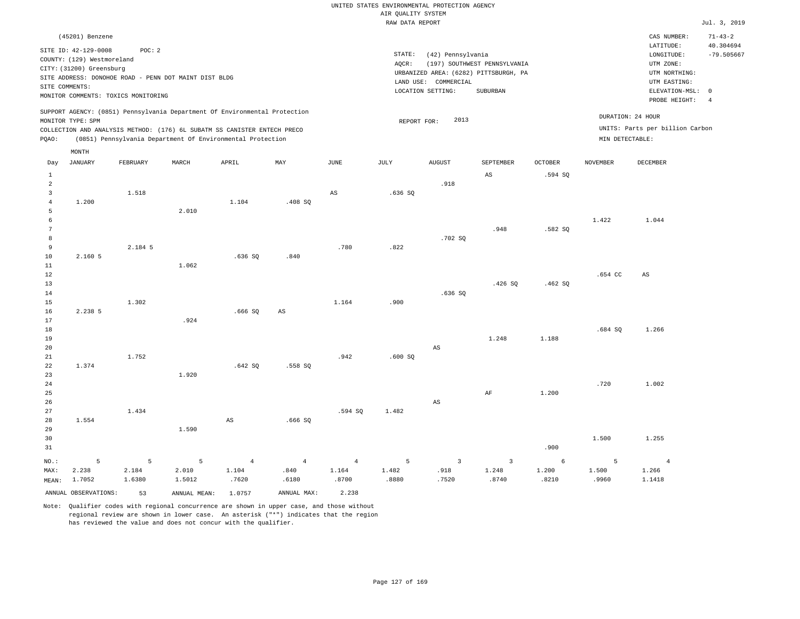|  |  |                    | UNITED STATES ENVIRONMENTAL PROTECTION AGENCY |  |
|--|--|--------------------|-----------------------------------------------|--|
|  |  | AIR OUALITY SYSTEM |                                               |  |
|  |  | natt namn nennem   |                                               |  |

|                 |                                     |          |                                                                            |                |                |                | RAW DATA REPORT |                        |                                       |                |                   |                                 | Jul. 3, 2019   |
|-----------------|-------------------------------------|----------|----------------------------------------------------------------------------|----------------|----------------|----------------|-----------------|------------------------|---------------------------------------|----------------|-------------------|---------------------------------|----------------|
|                 | (45201) Benzene                     |          |                                                                            |                |                |                |                 |                        |                                       |                |                   | CAS NUMBER:                     | $71 - 43 - 2$  |
|                 |                                     |          |                                                                            |                |                |                |                 |                        |                                       |                |                   | LATITUDE:                       | 40.304694      |
|                 | SITE ID: 42-129-0008                | POC: 2   |                                                                            |                |                |                | STATE:          | (42) Pennsylvania      |                                       |                |                   | LONGITUDE:                      | $-79.505667$   |
|                 | COUNTY: (129) Westmoreland          |          |                                                                            |                |                |                | AQCR:           |                        | (197) SOUTHWEST PENNSYLVANIA          |                |                   | UTM ZONE:                       |                |
|                 | CITY: (31200) Greensburg            |          |                                                                            |                |                |                |                 |                        | URBANIZED AREA: (6282) PITTSBURGH, PA |                |                   | UTM NORTHING:                   |                |
|                 |                                     |          | SITE ADDRESS: DONOHOE ROAD - PENN DOT MAINT DIST BLDG                      |                |                |                |                 | LAND USE: COMMERCIAL   |                                       |                |                   | UTM EASTING:                    |                |
| SITE COMMENTS:  |                                     |          |                                                                            |                |                |                |                 | LOCATION SETTING:      | SUBURBAN                              |                |                   | ELEVATION-MSL: 0                |                |
|                 | MONITOR COMMENTS: TOXICS MONITORING |          |                                                                            |                |                |                |                 |                        |                                       |                |                   | PROBE HEIGHT:                   | $\overline{4}$ |
|                 |                                     |          | SUPPORT AGENCY: (0851) Pennsylvania Department Of Environmental Protection |                |                |                |                 |                        |                                       |                |                   |                                 |                |
|                 | MONITOR TYPE: SPM                   |          |                                                                            |                |                |                | REPORT FOR:     | 2013                   |                                       |                |                   | DURATION: 24 HOUR               |                |
|                 |                                     |          | COLLECTION AND ANALYSIS METHOD: (176) 6L SUBATM SS CANISTER ENTECH PRECO   |                |                |                |                 |                        |                                       |                |                   | UNITS: Parts per billion Carbon |                |
| PQAO:           |                                     |          | (0851) Pennsylvania Department Of Environmental Protection                 |                |                |                |                 |                        |                                       |                | MIN DETECTABLE:   |                                 |                |
|                 | MONTH                               |          |                                                                            |                |                |                |                 |                        |                                       |                |                   |                                 |                |
| Day             | JANUARY                             | FEBRUARY | MARCH                                                                      | APRIL          | MAY            | <b>JUNE</b>    | JULY            | <b>AUGUST</b>          | SEPTEMBER                             | <b>OCTOBER</b> | <b>NOVEMBER</b>   | DECEMBER                        |                |
| $\mathbf{1}$    |                                     |          |                                                                            |                |                |                |                 |                        | AS                                    | .594 SQ        |                   |                                 |                |
| $\overline{a}$  |                                     |          |                                                                            |                |                |                |                 | .918                   |                                       |                |                   |                                 |                |
| $\overline{3}$  |                                     | 1.518    |                                                                            |                |                | $_{\rm AS}$    | .636SQ          |                        |                                       |                |                   |                                 |                |
| $\overline{4}$  | 1.200                               |          |                                                                            | 1.104          | .408 SQ        |                |                 |                        |                                       |                |                   |                                 |                |
| 5               |                                     |          | 2.010                                                                      |                |                |                |                 |                        |                                       |                |                   |                                 |                |
| 6               |                                     |          |                                                                            |                |                |                |                 |                        |                                       |                | 1.422             | 1.044                           |                |
| $7\phantom{.0}$ |                                     |          |                                                                            |                |                |                |                 |                        | .948                                  | .582 SQ        |                   |                                 |                |
| 8               |                                     |          |                                                                            |                |                |                |                 | .702 SQ                |                                       |                |                   |                                 |                |
| 9               |                                     | 2.184 5  |                                                                            |                |                | .780           | .822            |                        |                                       |                |                   |                                 |                |
| 10              | 2.160 5                             |          |                                                                            | .636SQ         | .840           |                |                 |                        |                                       |                |                   |                                 |                |
| 11              |                                     |          | 1.062                                                                      |                |                |                |                 |                        |                                       |                |                   |                                 |                |
| 12              |                                     |          |                                                                            |                |                |                |                 |                        |                                       |                | .654 <sub>c</sub> | AS                              |                |
| 13              |                                     |          |                                                                            |                |                |                |                 |                        | .426S                                 | .462 SQ        |                   |                                 |                |
| 14              |                                     |          |                                                                            |                |                |                |                 | .636SQ                 |                                       |                |                   |                                 |                |
| 15              |                                     | 1.302    |                                                                            |                |                | 1.164          | .900            |                        |                                       |                |                   |                                 |                |
| 16              | 2.238 5                             |          |                                                                            | .666SQ         | $_{\rm AS}$    |                |                 |                        |                                       |                |                   |                                 |                |
| 17              |                                     |          | .924                                                                       |                |                |                |                 |                        |                                       |                |                   |                                 |                |
| 18              |                                     |          |                                                                            |                |                |                |                 |                        |                                       |                | .684S             | 1.266                           |                |
| 19              |                                     |          |                                                                            |                |                |                |                 |                        | 1.248                                 | 1.188          |                   |                                 |                |
| 20              |                                     |          |                                                                            |                |                |                |                 | $\mathbb{A}\mathbb{S}$ |                                       |                |                   |                                 |                |
| 21              |                                     | 1.752    |                                                                            |                |                | .942           | .600SQ          |                        |                                       |                |                   |                                 |                |
| 22              | 1.374                               |          |                                                                            | .642SQ         | .558 SQ        |                |                 |                        |                                       |                |                   |                                 |                |
| 23              |                                     |          | 1.920                                                                      |                |                |                |                 |                        |                                       |                |                   |                                 |                |
| 24              |                                     |          |                                                                            |                |                |                |                 |                        |                                       |                | .720              | 1.002                           |                |
| 25              |                                     |          |                                                                            |                |                |                |                 |                        | $\rm AF$                              | 1.200          |                   |                                 |                |
| 26              |                                     |          |                                                                            |                |                |                |                 | AS                     |                                       |                |                   |                                 |                |
| 27              |                                     | 1.434    |                                                                            |                |                | .594 SQ        | 1.482           |                        |                                       |                |                   |                                 |                |
| 28              | 1.554                               |          |                                                                            | $_{\rm AS}$    | .666SQ         |                |                 |                        |                                       |                |                   |                                 |                |
| 29              |                                     |          | 1.590                                                                      |                |                |                |                 |                        |                                       |                |                   |                                 |                |
| 30              |                                     |          |                                                                            |                |                |                |                 |                        |                                       |                | 1.500             | 1.255                           |                |
| 31              |                                     |          |                                                                            |                |                |                |                 |                        |                                       | .900           |                   |                                 |                |
| NO.:            | 5                                   | 5        | 5                                                                          | $\overline{4}$ | $\overline{4}$ | $\overline{4}$ | 5               | $\overline{3}$         | $\overline{3}$                        | $\epsilon$     | 5                 | $\overline{4}$                  |                |
| MAX:            | 2.238                               | 2.184    | 2.010                                                                      | 1.104          | .840           | 1.164          | 1.482           | .918                   | 1.248                                 | 1.200          | 1.500             | 1.266                           |                |
| MEAN:           | 1.7052                              | 1.6380   | 1.5012                                                                     | .7620          | .6180          | .8700          | .8880           | .7520                  | .8740                                 | .8210          | .9960             | 1.1418                          |                |
|                 | ANNUAL OBSERVATIONS:                | 53       | ANNUAL MEAN:                                                               | 1.0757         | ANNUAL MAX:    | 2.238          |                 |                        |                                       |                |                   |                                 |                |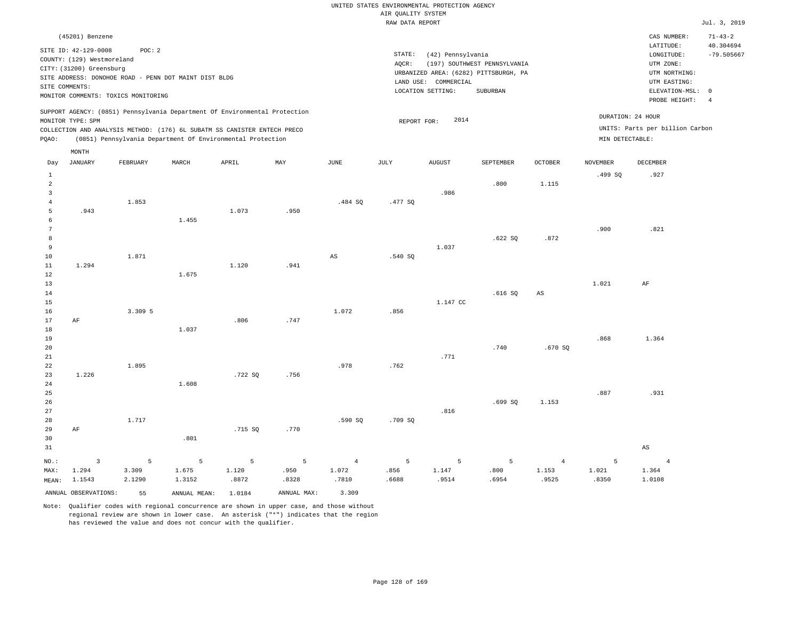|                 | (45201) Benzene                                    |          |                                                                            |         |             |                        |             |                      |                                       |                |                   | CAS NUMBER:<br>LATITUDE:        | $71 - 43 - 2$<br>40.304694 |
|-----------------|----------------------------------------------------|----------|----------------------------------------------------------------------------|---------|-------------|------------------------|-------------|----------------------|---------------------------------------|----------------|-------------------|---------------------------------|----------------------------|
|                 | SITE ID: 42-129-0008<br>COUNTY: (129) Westmoreland | POC: 2   |                                                                            |         |             |                        | STATE:      | (42) Pennsylvania    |                                       |                |                   | LONGITUDE:                      | $-79.505667$               |
|                 | CITY: (31200) Greensburg                           |          |                                                                            |         |             |                        | AQCR:       |                      | (197) SOUTHWEST PENNSYLVANIA          |                |                   | UTM ZONE:                       |                            |
|                 |                                                    |          | SITE ADDRESS: DONOHOE ROAD - PENN DOT MAINT DIST BLDG                      |         |             |                        |             |                      | URBANIZED AREA: (6282) PITTSBURGH, PA |                |                   | UTM NORTHING:                   |                            |
| SITE COMMENTS:  |                                                    |          |                                                                            |         |             |                        |             | LAND USE: COMMERCIAL |                                       |                |                   | UTM EASTING:                    |                            |
|                 | MONITOR COMMENTS: TOXICS MONITORING                |          |                                                                            |         |             |                        |             | LOCATION SETTING:    | SUBURBAN                              |                |                   | ELEVATION-MSL:                  | $\overline{0}$             |
|                 |                                                    |          |                                                                            |         |             |                        |             |                      |                                       |                |                   | PROBE HEIGHT:                   | $\overline{4}$             |
|                 | MONITOR TYPE: SPM                                  |          | SUPPORT AGENCY: (0851) Pennsylvania Department Of Environmental Protection |         |             |                        | REPORT FOR: | 2014                 |                                       |                | DURATION: 24 HOUR |                                 |                            |
|                 |                                                    |          | COLLECTION AND ANALYSIS METHOD: (176) 6L SUBATM SS CANISTER ENTECH PRECO   |         |             |                        |             |                      |                                       |                |                   | UNITS: Parts per billion Carbon |                            |
| PQAO:           |                                                    |          | (0851) Pennsylvania Department Of Environmental Protection                 |         |             |                        |             |                      |                                       |                | MIN DETECTABLE:   |                                 |                            |
|                 | MONTH                                              |          |                                                                            |         |             |                        |             |                      |                                       |                |                   |                                 |                            |
| Day             | JANUARY                                            | FEBRUARY | MARCH                                                                      | APRIL   | MAY         | JUNE                   | JULY        | AUGUST               | SEPTEMBER                             | <b>OCTOBER</b> | <b>NOVEMBER</b>   | DECEMBER                        |                            |
| $\mathbf{1}$    |                                                    |          |                                                                            |         |             |                        |             |                      |                                       |                | .499SQ            | .927                            |                            |
| $\overline{a}$  |                                                    |          |                                                                            |         |             |                        |             |                      | .800                                  | 1.115          |                   |                                 |                            |
| $\mathbf{3}$    |                                                    |          |                                                                            |         |             |                        |             | .986                 |                                       |                |                   |                                 |                            |
| $\overline{4}$  |                                                    | 1.853    |                                                                            |         |             | .484 SQ                | .477 SQ     |                      |                                       |                |                   |                                 |                            |
| 5               | .943                                               |          |                                                                            | 1.073   | .950        |                        |             |                      |                                       |                |                   |                                 |                            |
| 6               |                                                    |          | 1.455                                                                      |         |             |                        |             |                      |                                       |                |                   |                                 |                            |
| $7\phantom{.0}$ |                                                    |          |                                                                            |         |             |                        |             |                      |                                       |                | .900              | .821                            |                            |
| 8               |                                                    |          |                                                                            |         |             |                        |             |                      | .622SQ                                | .872           |                   |                                 |                            |
| 9               |                                                    |          |                                                                            |         |             |                        |             | 1.037                |                                       |                |                   |                                 |                            |
| 10              |                                                    | 1.871    |                                                                            |         |             | $\mathbb{A}\mathbb{S}$ | .540 SQ     |                      |                                       |                |                   |                                 |                            |
| 11              | 1.294                                              |          |                                                                            | 1.120   | .941        |                        |             |                      |                                       |                |                   |                                 |                            |
| 12              |                                                    |          | 1.675                                                                      |         |             |                        |             |                      |                                       |                |                   |                                 |                            |
| 13              |                                                    |          |                                                                            |         |             |                        |             |                      |                                       |                | 1.021             | AF                              |                            |
| 14<br>15        |                                                    |          |                                                                            |         |             |                        |             |                      | .616SQ                                | $_{\rm AS}$    |                   |                                 |                            |
| 16              |                                                    | 3.309 5  |                                                                            |         |             | 1.072                  | .856        | 1.147 CC             |                                       |                |                   |                                 |                            |
| 17              | AF                                                 |          |                                                                            | .806    | .747        |                        |             |                      |                                       |                |                   |                                 |                            |
| 18              |                                                    |          | 1.037                                                                      |         |             |                        |             |                      |                                       |                |                   |                                 |                            |
| 19              |                                                    |          |                                                                            |         |             |                        |             |                      |                                       |                | .868              | 1.364                           |                            |
| 20              |                                                    |          |                                                                            |         |             |                        |             |                      | .740                                  | .670 SO        |                   |                                 |                            |
| 21              |                                                    |          |                                                                            |         |             |                        |             | .771                 |                                       |                |                   |                                 |                            |
| 22              |                                                    | 1.895    |                                                                            |         |             | .978                   | .762        |                      |                                       |                |                   |                                 |                            |
| 23              | 1.226                                              |          |                                                                            | .722 SQ | .756        |                        |             |                      |                                       |                |                   |                                 |                            |
| 24              |                                                    |          | 1.608                                                                      |         |             |                        |             |                      |                                       |                |                   |                                 |                            |
| 25              |                                                    |          |                                                                            |         |             |                        |             |                      |                                       |                | .887              | .931                            |                            |
| 26              |                                                    |          |                                                                            |         |             |                        |             |                      | .699 SQ                               | 1.153          |                   |                                 |                            |
| 27              |                                                    |          |                                                                            |         |             |                        |             | .816                 |                                       |                |                   |                                 |                            |
| 28              |                                                    | 1.717    |                                                                            |         |             | .590 SQ                | .709 SQ     |                      |                                       |                |                   |                                 |                            |
| 29              | $\rm AF$                                           |          |                                                                            | .715 SQ | .770        |                        |             |                      |                                       |                |                   |                                 |                            |
| 30              |                                                    |          | .801                                                                       |         |             |                        |             |                      |                                       |                |                   |                                 |                            |
| 31              |                                                    |          |                                                                            |         |             |                        |             |                      |                                       |                |                   | AS                              |                            |
| NO.:            | $\overline{3}$                                     | 5        | 5                                                                          | 5       | 5           | $\overline{4}$         | 5           | 5                    | 5                                     | $\overline{4}$ | 5                 | $\overline{4}$                  |                            |
| MAX:            | 1.294                                              | 3.309    | 1.675                                                                      | 1.120   | .950        | 1.072                  | .856        | 1.147                | .800                                  | 1.153          | 1.021             | 1.364                           |                            |
| MEAN:           | 1.1543                                             | 2.1290   | 1.3152                                                                     | .8872   | .8328       | .7810                  | .6688       | .9514                | .6954                                 | .9525          | .8350             | 1.0108                          |                            |
|                 | ANNUAL OBSERVATIONS:                               | 55       | ANNUAL MEAN:                                                               | 1.0184  | ANNUAL MAX: | 3.309                  |             |                      |                                       |                |                   |                                 |                            |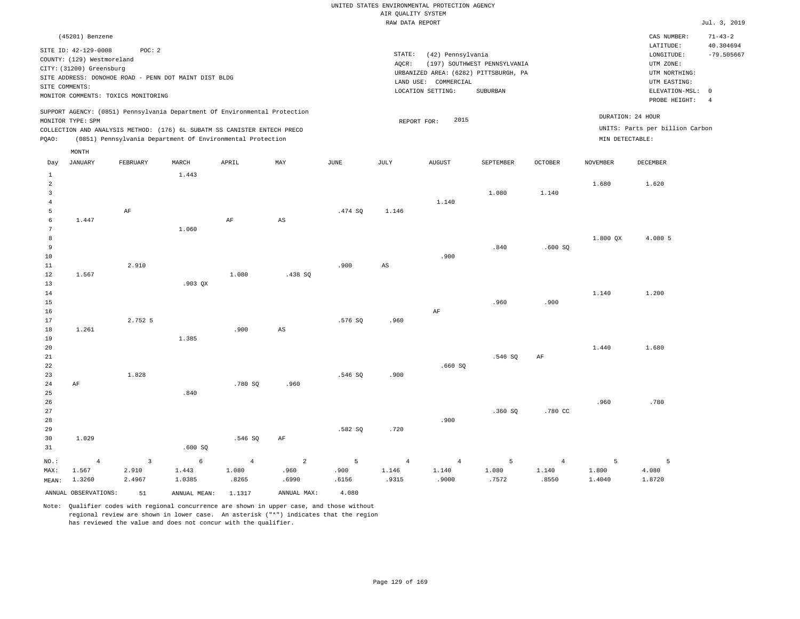# UNITED STATES ENVIRONMENTAL PROTECTION AGENCY AIR QUALITY SYSTEM

|                 |                                     |                |                                                                            |                |                        |         | RAW DATA REPORT        |                      |                                       |                |                 |                                 | Jul. 3, 2019   |
|-----------------|-------------------------------------|----------------|----------------------------------------------------------------------------|----------------|------------------------|---------|------------------------|----------------------|---------------------------------------|----------------|-----------------|---------------------------------|----------------|
|                 | (45201) Benzene                     |                |                                                                            |                |                        |         |                        |                      |                                       |                |                 | CAS NUMBER:                     | $71 - 43 - 2$  |
|                 |                                     |                |                                                                            |                |                        |         |                        |                      |                                       |                |                 | LATITUDE:                       | 40.304694      |
|                 | SITE ID: 42-129-0008                | POC: 2         |                                                                            |                |                        |         | STATE:                 | (42) Pennsylvania    |                                       |                |                 | LONGITUDE:                      | $-79.505667$   |
|                 | COUNTY: (129) Westmoreland          |                |                                                                            |                |                        |         | AQCR:                  |                      | (197) SOUTHWEST PENNSYLVANIA          |                |                 | UTM ZONE:                       |                |
|                 | CITY: (31200) Greensburg            |                |                                                                            |                |                        |         |                        |                      | URBANIZED AREA: (6282) PITTSBURGH, PA |                |                 | UTM NORTHING:                   |                |
|                 |                                     |                | SITE ADDRESS: DONOHOE ROAD - PENN DOT MAINT DIST BLDG                      |                |                        |         |                        | LAND USE: COMMERCIAL |                                       |                |                 | UTM EASTING:                    |                |
|                 | SITE COMMENTS:                      |                |                                                                            |                |                        |         |                        | LOCATION SETTING:    | SUBURBAN                              |                |                 | ELEVATION-MSL:                  | $\overline{0}$ |
|                 | MONITOR COMMENTS: TOXICS MONITORING |                |                                                                            |                |                        |         |                        |                      |                                       |                |                 | PROBE HEIGHT:                   | $\overline{4}$ |
|                 |                                     |                | SUPPORT AGENCY: (0851) Pennsylvania Department Of Environmental Protection |                |                        |         |                        |                      |                                       |                |                 | DURATION: 24 HOUR               |                |
|                 | MONITOR TYPE: SPM                   |                |                                                                            |                |                        |         | REPORT FOR:            | 2015                 |                                       |                |                 |                                 |                |
|                 |                                     |                | COLLECTION AND ANALYSIS METHOD: (176) 6L SUBATM SS CANISTER ENTECH PRECO   |                |                        |         |                        |                      |                                       |                |                 | UNITS: Parts per billion Carbon |                |
| PQAO:           |                                     |                | (0851) Pennsylvania Department Of Environmental Protection                 |                |                        |         |                        |                      |                                       |                | MIN DETECTABLE: |                                 |                |
|                 | MONTH                               |                |                                                                            |                |                        |         |                        |                      |                                       |                |                 |                                 |                |
| Day             | <b>JANUARY</b>                      | FEBRUARY       | MARCH                                                                      | APRIL          | MAY                    | JUNE    | JULY                   | <b>AUGUST</b>        | SEPTEMBER                             | OCTOBER        | <b>NOVEMBER</b> | DECEMBER                        |                |
| $\mathbf{1}$    |                                     |                | 1.443                                                                      |                |                        |         |                        |                      |                                       |                |                 |                                 |                |
| $\overline{a}$  |                                     |                |                                                                            |                |                        |         |                        |                      |                                       |                | 1.680           | 1.620                           |                |
| $\overline{3}$  |                                     |                |                                                                            |                |                        |         |                        |                      | 1.080                                 | 1.140          |                 |                                 |                |
| $\overline{4}$  |                                     |                |                                                                            |                |                        |         |                        | 1.140                |                                       |                |                 |                                 |                |
| 5               |                                     | AF             |                                                                            |                |                        | .474 SQ | 1.146                  |                      |                                       |                |                 |                                 |                |
| 6               | 1.447                               |                |                                                                            | AF             | AS                     |         |                        |                      |                                       |                |                 |                                 |                |
| $7\phantom{.0}$ |                                     |                | 1.060                                                                      |                |                        |         |                        |                      |                                       |                |                 |                                 |                |
| 8               |                                     |                |                                                                            |                |                        |         |                        |                      |                                       |                | 1.800 QX        | 4.080 5                         |                |
| 9               |                                     |                |                                                                            |                |                        |         |                        |                      | .840                                  | .600SQ         |                 |                                 |                |
| 10              |                                     |                |                                                                            |                |                        |         |                        | .900                 |                                       |                |                 |                                 |                |
| $11\,$          |                                     | 2.910          |                                                                            |                |                        | .900    | $\mathbb{A}\mathbb{S}$ |                      |                                       |                |                 |                                 |                |
| 12              | 1.567                               |                |                                                                            | 1.080          | .438 SQ                |         |                        |                      |                                       |                |                 |                                 |                |
| 13              |                                     |                | $.903$ QX                                                                  |                |                        |         |                        |                      |                                       |                |                 |                                 |                |
| 14              |                                     |                |                                                                            |                |                        |         |                        |                      |                                       |                | 1.140           | 1.200                           |                |
| 15              |                                     |                |                                                                            |                |                        |         |                        |                      | .960                                  | .900           |                 |                                 |                |
| 16              |                                     |                |                                                                            |                |                        |         |                        | $\rm AF$             |                                       |                |                 |                                 |                |
| 17              |                                     | 2.752 5        |                                                                            |                |                        | .576 SQ | .960                   |                      |                                       |                |                 |                                 |                |
| $1\,8$<br>19    | 1.261                               |                | 1.385                                                                      | .900           | $\mathbb{A}\mathbb{S}$ |         |                        |                      |                                       |                |                 |                                 |                |
|                 |                                     |                |                                                                            |                |                        |         |                        |                      |                                       |                | 1.440           | 1.680                           |                |
| 20<br>21        |                                     |                |                                                                            |                |                        |         |                        |                      |                                       |                |                 |                                 |                |
| 22              |                                     |                |                                                                            |                |                        |         |                        | .660SQ               | .546 SQ                               | AF             |                 |                                 |                |
| 23              |                                     | 1.828          |                                                                            |                |                        | .546 SQ | .900                   |                      |                                       |                |                 |                                 |                |
| 24              | AF                                  |                |                                                                            | .780 SQ        | .960                   |         |                        |                      |                                       |                |                 |                                 |                |
| 25              |                                     |                | .840                                                                       |                |                        |         |                        |                      |                                       |                |                 |                                 |                |
| 26              |                                     |                |                                                                            |                |                        |         |                        |                      |                                       |                | .960            | .780                            |                |
| 27              |                                     |                |                                                                            |                |                        |         |                        |                      | .360SQ                                | .780 CC        |                 |                                 |                |
| 28              |                                     |                |                                                                            |                |                        |         |                        | .900                 |                                       |                |                 |                                 |                |
| 29              |                                     |                |                                                                            |                |                        | .582 SQ | .720                   |                      |                                       |                |                 |                                 |                |
| 30              | 1.029                               |                |                                                                            | .546 SQ        | $\rm AF$               |         |                        |                      |                                       |                |                 |                                 |                |
| 31              |                                     |                | .600SQ                                                                     |                |                        |         |                        |                      |                                       |                |                 |                                 |                |
|                 |                                     |                |                                                                            |                |                        |         |                        |                      |                                       |                |                 |                                 |                |
| NO.:            | $\overline{4}$                      | $\overline{3}$ | $\epsilon$                                                                 | $\overline{4}$ | $\overline{a}$         | 5       | $\overline{4}$         | $\overline{4}$       | 5                                     | $\overline{4}$ | 5               | 5                               |                |
| MAX:            | 1.567                               | 2.910          | 1.443                                                                      | 1.080          | .960                   | .900    | 1.146                  | 1.140                | 1.080                                 | 1.140          | 1.800           | 4.080                           |                |
| MEAN:           | 1.3260                              | 2.4967         | 1.0385                                                                     | .8265          | .6990                  | .6156   | .9315                  | .9000                | .7572                                 | .8550          | 1.4040          | 1.8720                          |                |
|                 | ANNUAL OBSERVATIONS:                | 51             | ANNUAL MEAN: 1.1317                                                        |                | ANNUAL MAX:            | 4.080   |                        |                      |                                       |                |                 |                                 |                |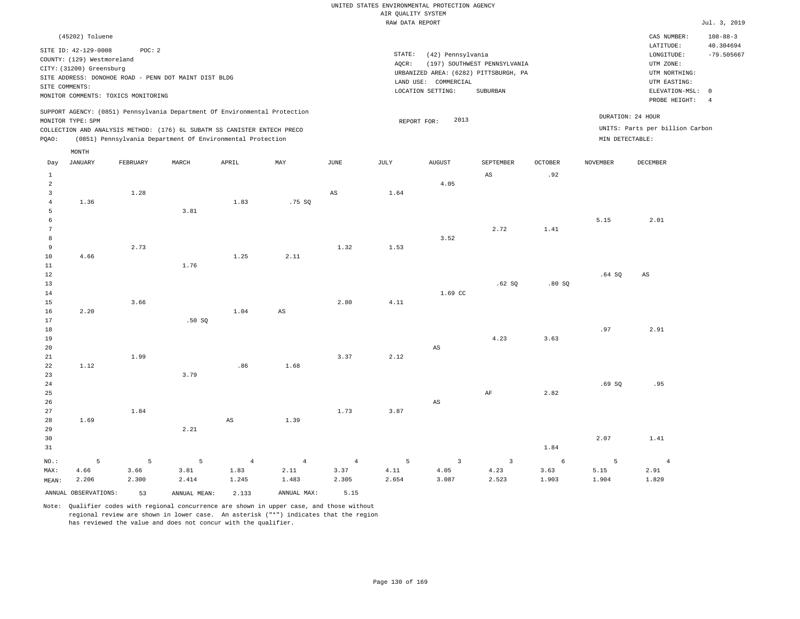|                                                                                                                                                                        | CAS NUMBER:                                                                               | $108 - 88 - 3$                                                                           |
|------------------------------------------------------------------------------------------------------------------------------------------------------------------------|-------------------------------------------------------------------------------------------|------------------------------------------------------------------------------------------|
| STATE:<br>(42) Pennsylvania<br>(197) SOUTHWEST PENNSYLVANIA<br>AOCR:<br>URBANIZED AREA: (6282) PITTSBURGH, PA<br>LAND USE: COMMERCIAL<br>LOCATION SETTING:<br>SUBURBAN | LATITUDE:<br>LONGITUDE:<br>UTM ZONE:<br>UTM NORTHING:<br>UTM EASTING:<br>ELEVATION-MSL: 0 | 40.304694<br>$-79.505667$                                                                |
| 2013<br>REPORT FOR:                                                                                                                                                    |                                                                                           |                                                                                          |
|                                                                                                                                                                        |                                                                                           | PROBE HEIGHT:<br>DURATION: 24 HOUR<br>UNITS: Parts per billion Carbon<br>MIN DETECTABLE: |

| Day                     | <b>JANUARY</b>       | FEBRUARY | $\tt MARCH$  | ${\tt APRIL}$          | $\ensuremath{\text{MAX}}$ | $_{\rm JUNE}$          | $\mathtt{JULY}$ | ${\tt AUGUST}$           | SEPTEMBER                | $\mathtt{OCTOBER}$ | NOVEMBER | DECEMBER       |
|-------------------------|----------------------|----------|--------------|------------------------|---------------------------|------------------------|-----------------|--------------------------|--------------------------|--------------------|----------|----------------|
| $\mathbf{1}$            |                      |          |              |                        |                           |                        |                 |                          | AS                       | .92                |          |                |
| $\overline{\mathbf{c}}$ |                      |          |              |                        |                           |                        |                 | 4.05                     |                          |                    |          |                |
| 3                       |                      | 1.28     |              |                        |                           | $\mathbb{A}\mathbb{S}$ | 1.64            |                          |                          |                    |          |                |
| $\overline{4}$          | 1.36                 |          |              | 1.83                   | .75SQ                     |                        |                 |                          |                          |                    |          |                |
| 5                       |                      |          | 3.81         |                        |                           |                        |                 |                          |                          |                    |          |                |
| 6                       |                      |          |              |                        |                           |                        |                 |                          |                          |                    | 5.15     | 2.01           |
| $7\phantom{.0}$         |                      |          |              |                        |                           |                        |                 |                          | 2.72                     | 1.41               |          |                |
| 8                       |                      |          |              |                        |                           |                        |                 | 3.52                     |                          |                    |          |                |
| 9                       |                      | 2.73     |              |                        |                           | 1.32                   | 1.53            |                          |                          |                    |          |                |
| 10                      | 4.66                 |          |              | 1.25                   | 2.11                      |                        |                 |                          |                          |                    |          |                |
| 11                      |                      |          | 1.76         |                        |                           |                        |                 |                          |                          |                    |          |                |
| 12                      |                      |          |              |                        |                           |                        |                 |                          |                          |                    | .64SQ    | AS             |
| 13                      |                      |          |              |                        |                           |                        |                 |                          | .62 SQ                   | .80SQ              |          |                |
| 14                      |                      |          |              |                        |                           |                        |                 | 1.69 CC                  |                          |                    |          |                |
| 15                      |                      | 3.66     |              |                        |                           | 2.80                   | 4.11            |                          |                          |                    |          |                |
| 16                      | 2.20                 |          |              | 1.04                   | $\mathbb{A}\mathbb{S}$    |                        |                 |                          |                          |                    |          |                |
| 17                      |                      |          | .50SQ        |                        |                           |                        |                 |                          |                          |                    |          |                |
| 18                      |                      |          |              |                        |                           |                        |                 |                          |                          |                    | .97      | 2.91           |
| 19                      |                      |          |              |                        |                           |                        |                 |                          | 4.23                     | 3.63               |          |                |
| 20                      |                      |          |              |                        |                           |                        |                 | $_{\rm AS}$              |                          |                    |          |                |
| 21                      |                      | 1.99     |              |                        |                           | 3.37                   | 2.12            |                          |                          |                    |          |                |
| 22                      | 1.12                 |          |              | .86                    | 1.68                      |                        |                 |                          |                          |                    |          |                |
| 23                      |                      |          | 3.79         |                        |                           |                        |                 |                          |                          |                    |          |                |
| 24                      |                      |          |              |                        |                           |                        |                 |                          |                          |                    | .69SQ    | .95            |
| 25                      |                      |          |              |                        |                           |                        |                 |                          | $\rm AF$                 | 2.82               |          |                |
| 26                      |                      |          |              |                        |                           |                        |                 | $\mathbb{A}\mathbb{S}$   |                          |                    |          |                |
| $2\,7$                  |                      | 1.84     |              |                        |                           | 1.73                   | 3.87            |                          |                          |                    |          |                |
| 28                      | 1.69                 |          |              | $\mathbb{A}\mathbb{S}$ | 1.39                      |                        |                 |                          |                          |                    |          |                |
| 29                      |                      |          | 2.21         |                        |                           |                        |                 |                          |                          |                    |          |                |
| 30                      |                      |          |              |                        |                           |                        |                 |                          |                          |                    | 2.07     | 1.41           |
| 31                      |                      |          |              |                        |                           |                        |                 |                          |                          | 1.84               |          |                |
| $_{\rm NO.}$ :          | 5                    | 5        | 5            | $\overline{4}$         | $\overline{4}$            | $\sim$ 4               | $\overline{5}$  | $\overline{\phantom{a}}$ | $\overline{\phantom{a}}$ | $\epsilon$         | 5        | $\overline{4}$ |
| MAX:                    | 4.66                 | 3.66     | 3.81         | 1.83                   | 2.11                      | 3.37                   | 4.11            | 4.05                     | 4.23                     | 3.63               | 5.15     | 2.91           |
| MEAN:                   | 2.206                | 2.300    | 2.414        | 1.245                  | 1.483                     | 2.305                  | 2.654           | 3.087                    | 2.523                    | 1.903              | 1.904    | 1.820          |
|                         | ANNUAL OBSERVATIONS: | 53       | ANNUAL MEAN: | 2.133                  | ANNUAL MAX:               | 5.15                   |                 |                          |                          |                    |          |                |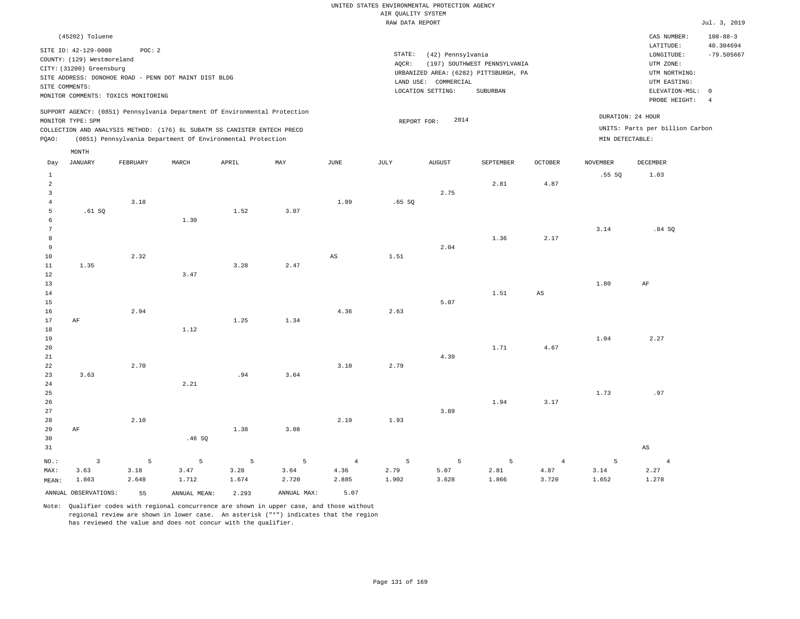# UNITED STATES ENVIRONMENTAL PROTECTION AGENCY AIR QUALITY SYSTEM

|                                                         |                                                                                                  |                                                                                                        |       |                                                                                                                                                                                                                      |                           |               | nin gonisti bibian<br>RAW DATA REPORT |                                                                |                                                                                   |                        |                          |                                                                                                            | Jul. 3, 2019                                |
|---------------------------------------------------------|--------------------------------------------------------------------------------------------------|--------------------------------------------------------------------------------------------------------|-------|----------------------------------------------------------------------------------------------------------------------------------------------------------------------------------------------------------------------|---------------------------|---------------|---------------------------------------|----------------------------------------------------------------|-----------------------------------------------------------------------------------|------------------------|--------------------------|------------------------------------------------------------------------------------------------------------|---------------------------------------------|
|                                                         | (45202) Toluene                                                                                  |                                                                                                        |       |                                                                                                                                                                                                                      |                           |               |                                       |                                                                |                                                                                   |                        |                          | CAS NUMBER:                                                                                                | $108 - 88 - 3$                              |
|                                                         | SITE ID: 42-129-0008<br>COUNTY: (129) Westmoreland<br>CITY: (31200) Greensburg<br>SITE COMMENTS: | POC: 2<br>SITE ADDRESS: DONOHOE ROAD - PENN DOT MAINT DIST BLDG<br>MONITOR COMMENTS: TOXICS MONITORING |       |                                                                                                                                                                                                                      |                           |               | STATE:<br>AQCR:                       | (42) Pennsylvania<br>LAND USE: COMMERCIAL<br>LOCATION SETTING: | (197) SOUTHWEST PENNSYLVANIA<br>URBANIZED AREA: (6282) PITTSBURGH, PA<br>SUBURBAN |                        |                          | LATITUDE:<br>LONGITUDE:<br>UTM ZONE:<br>UTM NORTHING:<br>UTM EASTING:<br>ELEVATION-MSL: 0<br>PROBE HEIGHT: | 40.304694<br>$-79.505667$<br>$\overline{4}$ |
| PQAO:                                                   | MONITOR TYPE: SPM                                                                                |                                                                                                        |       | SUPPORT AGENCY: (0851) Pennsylvania Department Of Environmental Protection<br>COLLECTION AND ANALYSIS METHOD: (176) 6L SUBATM SS CANISTER ENTECH PRECO<br>(0851) Pennsylvania Department Of Environmental Protection |                           |               | REPORT FOR:                           | 2014                                                           |                                                                                   |                        | MIN DETECTABLE:          | DURATION: 24 HOUR<br>UNITS: Parts per billion Carbon                                                       |                                             |
|                                                         | MONTH                                                                                            |                                                                                                        |       |                                                                                                                                                                                                                      |                           |               |                                       |                                                                |                                                                                   |                        |                          |                                                                                                            |                                             |
| Day<br>$\mathbf{1}$                                     | JANUARY                                                                                          | FEBRUARY                                                                                               | MARCH | APRIL                                                                                                                                                                                                                | $\ensuremath{\text{MAX}}$ | $_{\rm JUNE}$ | $\mathtt{JULY}$                       | AUGUST                                                         | SEPTEMBER                                                                         | OCTOBER                | <b>NOVEMBER</b><br>.55SQ | DECEMBER<br>1.03                                                                                           |                                             |
| $\overline{a}$<br>$\overline{3}$<br>$\overline{4}$<br>5 | .61 SQ                                                                                           | 3.18                                                                                                   |       | 1.52                                                                                                                                                                                                                 | 3.07                      | 1.89          | .65SQ                                 | 2.75                                                           | 2.81                                                                              | 4.87                   |                          |                                                                                                            |                                             |
| 6<br>$7\phantom{.0}$<br>8<br>9<br>10                    |                                                                                                  | 2.32                                                                                                   | 1.30  |                                                                                                                                                                                                                      |                           | $_{\rm AS}$   | 1.51                                  | 2.04                                                           | 1.36                                                                              | 2.17                   | 3.14                     | .84S                                                                                                       |                                             |
| 11<br>12<br>13<br>14                                    | 1.35                                                                                             |                                                                                                        | 3.47  | 3.28                                                                                                                                                                                                                 | 2.47                      |               |                                       |                                                                | 1.51                                                                              | $\mathbb{A}\mathbb{S}$ | 1.80                     | AF                                                                                                         |                                             |
| 15<br>16<br>17<br>$18\,$                                | $\rm{AF}$                                                                                        | 2.94                                                                                                   | 1.12  | 1.25                                                                                                                                                                                                                 | 1.34                      | 4.36          | 2.63                                  | 5.07                                                           |                                                                                   |                        |                          |                                                                                                            |                                             |
| 19<br>20<br>21<br>22<br>23                              | 3.63                                                                                             | 2.70                                                                                                   |       | .94                                                                                                                                                                                                                  | 3.64                      | 3.10          | 2.79                                  | 4.39                                                           | 1.71                                                                              | 4.67                   | 1.04                     | 2.27                                                                                                       |                                             |
| 24<br>25<br>26                                          |                                                                                                  |                                                                                                        | 2.21  |                                                                                                                                                                                                                      |                           |               |                                       |                                                                | 1.94                                                                              | 3.17                   | 1.73                     | .97                                                                                                        |                                             |
| 27<br>28<br>29<br>30<br>31                              | AF                                                                                               | 2.10                                                                                                   | .46SQ | 1.38                                                                                                                                                                                                                 | 3.08                      | 2.19          | 1.93                                  | 3.89                                                           |                                                                                   |                        |                          | $_{\rm AS}$                                                                                                |                                             |

|       |                         |       | NO.: 3 5 5 5 5 5 4 5 5 5 4 |       |             |       |       |       |       |       |       |       |
|-------|-------------------------|-------|----------------------------|-------|-------------|-------|-------|-------|-------|-------|-------|-------|
| MAX:  | 3.63                    | 3.18  | 3.47                       | 3.28  | 3.64        | 4.36  | 2.79  | 5.07  | 2.81  | 4.87  | 3.14  | 2.27  |
| MEAN: | 1.863                   | 2.648 | 1.712                      | 1.674 | 2.720       | 2.885 | 1.902 | 3.628 | 1.866 | 3.720 | 1.652 | 1.278 |
|       | ANNUAL OBSERVATIONS: 55 |       | ANNUAL MEAN:               | 2.293 | ANNUAL MAX: | 5.07  |       |       |       |       |       |       |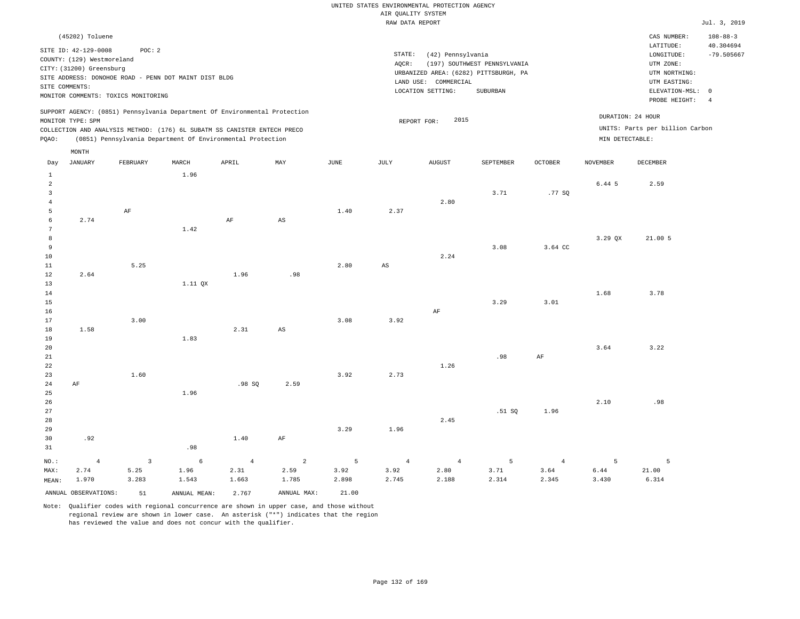| (45202) Toluene                                                                                                                                                                                                                                    |                                                                                                                                                                        |                                      | CAS NUMBER:                                                                               | $108 - 88 - 3$            |
|----------------------------------------------------------------------------------------------------------------------------------------------------------------------------------------------------------------------------------------------------|------------------------------------------------------------------------------------------------------------------------------------------------------------------------|--------------------------------------|-------------------------------------------------------------------------------------------|---------------------------|
| SITE ID: 42-129-0008<br>POC:2<br>COUNTY: (129) Westmoreland<br>CITY: (31200) Greensburg<br>SITE ADDRESS: DONOHOE ROAD - PENN DOT MAINT DIST BLDG<br>SITE COMMENTS:                                                                                 | STATE:<br>(42) Pennsylvania<br>(197) SOUTHWEST PENNSYLVANIA<br>AOCR:<br>URBANIZED AREA: (6282) PITTSBURGH, PA<br>LAND USE: COMMERCIAL<br>LOCATION SETTING:<br>SUBURBAN |                                      | LATITUDE:<br>LONGITUDE:<br>UTM ZONE:<br>UTM NORTHING:<br>UTM EASTING:<br>ELEVATION-MSL: 0 | 40.304694<br>$-79.505667$ |
| MONITOR COMMENTS: TOXICS MONITORING                                                                                                                                                                                                                |                                                                                                                                                                        |                                      | PROBE HEIGHT:                                                                             |                           |
| SUPPORT AGENCY: (0851) Pennsylvania Department Of Environmental Protection<br>MONITOR TYPE: SPM<br>COLLECTION AND ANALYSIS METHOD: (176) 6L SUBATM SS CANISTER ENTECH PRECO<br>(0851) Pennsylvania Department Of Environmental Protection<br>POAO: | 2015<br>REPORT FOR:                                                                                                                                                    | DURATION: 24 HOUR<br>MIN DETECTABLE: | UNITS: Parts per billion Carbon                                                           |                           |
| MONTH                                                                                                                                                                                                                                              |                                                                                                                                                                        |                                      |                                                                                           |                           |

| Day             | <b>JANUARY</b>       | FEBRUARY                | MARCH        | APRIL          | MAY                    | $_{\rm JUNE}$ | JULY                   | <b>AUGUST</b>  | SEPTEMBER | $\mathtt{OCTOBER}$ | NOVEMBER | DECEMBER |
|-----------------|----------------------|-------------------------|--------------|----------------|------------------------|---------------|------------------------|----------------|-----------|--------------------|----------|----------|
| $\mathbf{1}$    |                      |                         | 1.96         |                |                        |               |                        |                |           |                    |          |          |
| $\overline{a}$  |                      |                         |              |                |                        |               |                        |                |           |                    | 6.44 5   | 2.59     |
| $\overline{3}$  |                      |                         |              |                |                        |               |                        |                | 3.71      | .77SQ              |          |          |
| $\overline{4}$  |                      |                         |              |                |                        |               |                        | 2.80           |           |                    |          |          |
| 5               |                      | $\rm AF$                |              |                |                        | 1.40          | 2.37                   |                |           |                    |          |          |
| 6               | 2.74                 |                         |              | $\rm AF$       | $\mathbb{A}\mathbb{S}$ |               |                        |                |           |                    |          |          |
| $7\phantom{.0}$ |                      |                         | 1.42         |                |                        |               |                        |                |           |                    |          |          |
| 8               |                      |                         |              |                |                        |               |                        |                |           |                    | 3.29 QX  | 21.005   |
| $\overline{9}$  |                      |                         |              |                |                        |               |                        |                | 3.08      | 3.64 CC            |          |          |
| 10              |                      |                         |              |                |                        |               |                        | 2.24           |           |                    |          |          |
| $11\,$          |                      | 5.25                    |              |                |                        | 2.80          | $\mathbb{A}\mathbb{S}$ |                |           |                    |          |          |
| 12              | 2.64                 |                         |              | 1.96           | .98                    |               |                        |                |           |                    |          |          |
| 13              |                      |                         | 1.11 QX      |                |                        |               |                        |                |           |                    |          |          |
| 14              |                      |                         |              |                |                        |               |                        |                |           |                    | 1.68     | 3.78     |
| 15              |                      |                         |              |                |                        |               |                        |                | 3.29      | 3.01               |          |          |
| 16              |                      |                         |              |                |                        |               |                        | AF             |           |                    |          |          |
| 17              |                      | 3.00                    |              |                |                        | 3.08          | 3.92                   |                |           |                    |          |          |
| 18              | 1.58                 |                         |              | 2.31           | $\mathbb{A}\mathbb{S}$ |               |                        |                |           |                    |          |          |
| 19              |                      |                         | 1.83         |                |                        |               |                        |                |           |                    |          |          |
| 20              |                      |                         |              |                |                        |               |                        |                |           |                    | 3.64     | 3.22     |
| 21              |                      |                         |              |                |                        |               |                        | 1.26           | .98       | $\rm AF$           |          |          |
| 22<br>23        |                      | 1.60                    |              |                |                        | 3.92          | 2.73                   |                |           |                    |          |          |
| 24              | $\rm{AF}$            |                         |              | .98 SQ         | 2.59                   |               |                        |                |           |                    |          |          |
| 25              |                      |                         | 1.96         |                |                        |               |                        |                |           |                    |          |          |
| 26              |                      |                         |              |                |                        |               |                        |                |           |                    | 2.10     | .98      |
| 27              |                      |                         |              |                |                        |               |                        |                | .51 SQ    | 1.96               |          |          |
| 28              |                      |                         |              |                |                        |               |                        | 2.45           |           |                    |          |          |
| 29              |                      |                         |              |                |                        | 3.29          | 1.96                   |                |           |                    |          |          |
| 30              | .92                  |                         |              | 1.40           | $\rm{AF}$              |               |                        |                |           |                    |          |          |
| 31              |                      |                         | .98          |                |                        |               |                        |                |           |                    |          |          |
| $NO.$ :         | $\overline{4}$       | $\overline{\mathbf{3}}$ | $\epsilon$   | $\overline{4}$ | $\overline{a}$         | 5             | $\overline{4}$         | $\overline{4}$ | 5         | $\sqrt{4}$         | 5        | 5        |
| MAX:            | 2.74                 | 5.25                    | 1.96         | 2.31           | 2.59                   | 3.92          | 3.92                   | 2.80           | 3.71      | 3.64               | 6.44     | 21.00    |
| MEAN:           | 1.970                | 3.283                   | 1.543        | 1.663          | 1.785                  | 2.898         | 2.745                  | 2.188          | 2.314     | 2.345              | 3.430    | 6.314    |
|                 | ANNUAL OBSERVATIONS: | 51                      | ANNUAL MEAN: | 2.767          | ANNUAL MAX:            | 21.00         |                        |                |           |                    |          |          |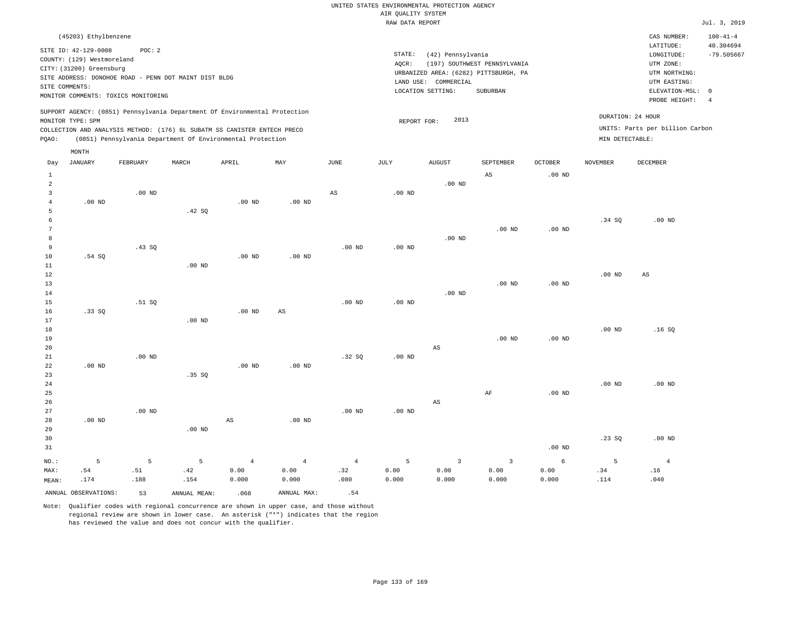# UNITED STATES ENVIRONMENTAL PROTECTION AGENCY AIR QUALITY SYSTEM

|         |                                                                                                  |                                                                                                        |        |                                                                                                                                                                                                                      |                   |                   | RAW DATA REPORT              |                                                      |                                                                                   |                |                 |                                                                                                              | Jul. 3, 2019              |
|---------|--------------------------------------------------------------------------------------------------|--------------------------------------------------------------------------------------------------------|--------|----------------------------------------------------------------------------------------------------------------------------------------------------------------------------------------------------------------------|-------------------|-------------------|------------------------------|------------------------------------------------------|-----------------------------------------------------------------------------------|----------------|-----------------|--------------------------------------------------------------------------------------------------------------|---------------------------|
|         | (45203) Ethylbenzene                                                                             |                                                                                                        |        |                                                                                                                                                                                                                      |                   |                   |                              |                                                      |                                                                                   |                |                 | CAS NUMBER:                                                                                                  | $100 - 41 - 4$            |
|         | SITE ID: 42-129-0008<br>COUNTY: (129) Westmoreland<br>CITY: (31200) Greensburg<br>SITE COMMENTS: | POC: 2<br>SITE ADDRESS: DONOHOE ROAD - PENN DOT MAINT DIST BLDG<br>MONITOR COMMENTS: TOXICS MONITORING |        |                                                                                                                                                                                                                      |                   |                   | STATE:<br>AOCR:<br>LAND USE: | (42) Pennsylvania<br>COMMERCIAL<br>LOCATION SETTING: | (197) SOUTHWEST PENNSYLVANIA<br>URBANIZED AREA: (6282) PITTSBURGH, PA<br>SUBURBAN |                |                 | LATITUDE:<br>LONGITUDE:<br>UTM ZONE:<br>UTM NORTHING:<br>UTM EASTING:<br>ELEVATION-MSL: 0<br>PROBE HEIGHT: 4 | 40.304694<br>$-79.505667$ |
| PQAO:   | MONITOR TYPE: SPM                                                                                |                                                                                                        |        | SUPPORT AGENCY: (0851) Pennsylvania Department Of Environmental Protection<br>COLLECTION AND ANALYSIS METHOD: (176) 6L SUBATM SS CANISTER ENTECH PRECO<br>(0851) Pennsylvania Department Of Environmental Protection |                   |                   | REPORT FOR:                  | 2013                                                 |                                                                                   |                | MIN DETECTABLE: | DURATION: 24 HOUR<br>UNITS: Parts per billion Carbon                                                         |                           |
| Day     | MONTH<br>JANUARY                                                                                 | FEBRUARY                                                                                               | MARCH  | APRIL                                                                                                                                                                                                                | MAY               | JUNE              | JULY                         | AUGUST                                               | SEPTEMBER                                                                         | <b>OCTOBER</b> | NOVEMBER        | DECEMBER                                                                                                     |                           |
|         |                                                                                                  |                                                                                                        |        |                                                                                                                                                                                                                      |                   |                   |                              |                                                      | AS                                                                                | $.00$ ND       |                 |                                                                                                              |                           |
| 2       | $.00$ ND                                                                                         | $.00$ ND                                                                                               | .42 SQ | .00 <sub>ND</sub>                                                                                                                                                                                                    | .00 <sub>ND</sub> | AS                | $.00$ ND                     | $.00$ ND                                             |                                                                                   |                | .34 SQ          | $.00$ ND                                                                                                     |                           |
|         |                                                                                                  |                                                                                                        |        |                                                                                                                                                                                                                      |                   |                   |                              |                                                      | $.00$ ND                                                                          | $.00$ ND       |                 |                                                                                                              |                           |
|         |                                                                                                  |                                                                                                        |        |                                                                                                                                                                                                                      |                   |                   |                              | $.00$ ND                                             |                                                                                   |                |                 |                                                                                                              |                           |
| 9<br>10 | 51 CO                                                                                            | .43S                                                                                                   |        | 00 ND                                                                                                                                                                                                                | 00 ND             | .00 <sub>ND</sub> | $.00$ ND                     |                                                      |                                                                                   |                |                 |                                                                                                              |                           |

| 10 | .54 SQ   |          |          | $.00$ ND               | $.00$ ND |          |          |                        |          |          |          |          |
|----|----------|----------|----------|------------------------|----------|----------|----------|------------------------|----------|----------|----------|----------|
| 11 |          |          | $.00$ ND |                        |          |          |          |                        |          |          |          |          |
| 12 |          |          |          |                        |          |          |          |                        |          |          | $.00$ ND | AS       |
| 13 |          |          |          |                        |          |          |          |                        | $.00$ ND | $.00$ ND |          |          |
| 14 |          |          |          |                        |          |          |          | $.00$ ND               |          |          |          |          |
| 15 |          | .51 SQ   |          |                        |          | $.00$ ND | $.00$ ND |                        |          |          |          |          |
| 16 | .33SQ    |          |          | $.00$ ND               | AS       |          |          |                        |          |          |          |          |
| 17 |          |          | .00 $ND$ |                        |          |          |          |                        |          |          |          |          |
| 18 |          |          |          |                        |          |          |          |                        |          |          | $.00$ ND | .16SQ    |
| 19 |          |          |          |                        |          |          |          |                        | $.00$ ND | $.00$ ND |          |          |
| 20 |          |          |          |                        |          |          |          | AS                     |          |          |          |          |
| 21 |          | $.00$ ND |          |                        |          | .32SQ    | $.00$ ND |                        |          |          |          |          |
| 22 | $.00$ ND |          |          | $.00$ ND               | $.00$ ND |          |          |                        |          |          |          |          |
| 23 |          |          | .35SQ    |                        |          |          |          |                        |          |          |          |          |
| 24 |          |          |          |                        |          |          |          |                        |          |          | $.00$ ND | .00 $ND$ |
| 25 |          |          |          |                        |          |          |          |                        | AF       | $.00$ ND |          |          |
| 26 |          |          |          |                        |          |          |          | $\mathbb{A}\mathbb{S}$ |          |          |          |          |
| 27 |          | $.00$ ND |          |                        |          | $.00$ ND | $.00$ ND |                        |          |          |          |          |
| 28 | $.00$ ND |          |          | $\mathbb{A}\mathbb{S}$ | $.00$ ND |          |          |                        |          |          |          |          |

| 29      |      |      | $.00$ ND |       |                                                                                      |      |       |       |       |          |      |          |
|---------|------|------|----------|-------|--------------------------------------------------------------------------------------|------|-------|-------|-------|----------|------|----------|
| 30      |      |      |          |       |                                                                                      |      |       |       |       |          | .23S | $.00$ ND |
| 31      |      |      |          |       |                                                                                      |      |       |       |       | $.00$ ND |      |          |
| $NO.$ : |      |      |          |       | $5 \qquad 5 \qquad 5 \qquad 4 \qquad 4 \qquad 4 \qquad 5 \qquad 3 \qquad 3 \qquad 6$ |      |       |       |       |          |      |          |
| MAX:    | .54  | .51  | .42      | 0.00  | 0.00                                                                                 | .32  | 0.00  | 0.00  | 0.00  | 0.00     | .34  | .16      |
| MEAN:   | .174 | .188 | .154     | 0.000 | 0.000                                                                                | .080 | 0.000 | 0.000 | 0.000 | 0.000    | .114 | .040     |

ANNUAL OBSERVATIONS: 53 ANNUAL MEAN: .068 ANNUAL MAX: .54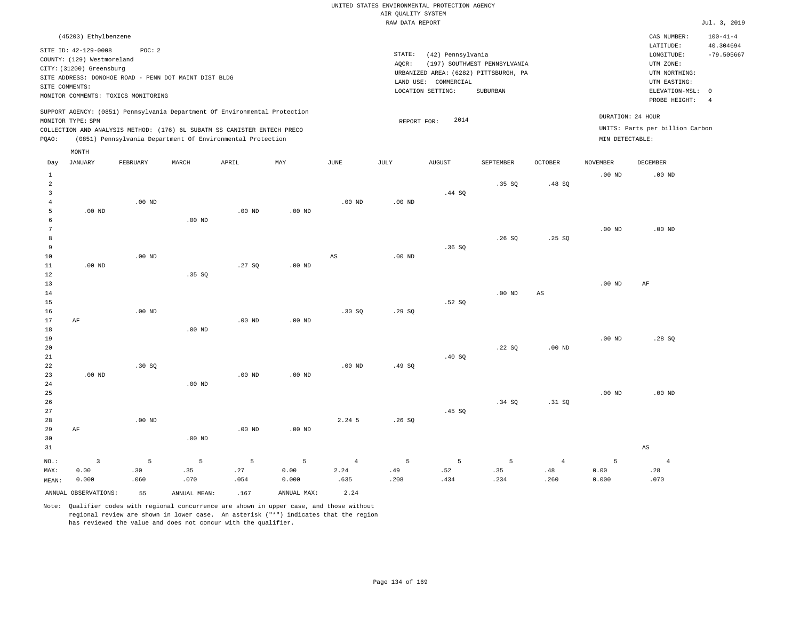| (45203) Ethylbenzene                                                                                                                                                                                                                               |                                                                                                                                                                        |                                      | CAS NUMBER:                                                                                                | $100 - 41 - 4$                  |
|----------------------------------------------------------------------------------------------------------------------------------------------------------------------------------------------------------------------------------------------------|------------------------------------------------------------------------------------------------------------------------------------------------------------------------|--------------------------------------|------------------------------------------------------------------------------------------------------------|---------------------------------|
| SITE ID: 42-129-0008<br>POC:2<br>COUNTY: (129) Westmoreland<br>CITY: (31200) Greensburg<br>SITE ADDRESS: DONOHOE ROAD - PENN DOT MAINT DIST BLDG<br>SITE COMMENTS:<br>MONITOR COMMENTS: TOXICS MONITORING                                          | STATE:<br>(42) Pennsylvania<br>(197) SOUTHWEST PENNSYLVANIA<br>AOCR:<br>URBANIZED AREA: (6282) PITTSBURGH, PA<br>LAND USE: COMMERCIAL<br>LOCATION SETTING:<br>SUBURBAN |                                      | LATITUDE:<br>LONGITUDE:<br>UTM ZONE:<br>UTM NORTHING:<br>UTM EASTING:<br>ELEVATION-MSL: 0<br>PROBE HEIGHT: | 40.304694<br>$-79.505667$<br>-4 |
| SUPPORT AGENCY: (0851) Pennsylvania Department Of Environmental Protection<br>MONITOR TYPE: SPM<br>COLLECTION AND ANALYSIS METHOD: (176) 6L SUBATM SS CANISTER ENTECH PRECO<br>(0851) Pennsylvania Department Of Environmental Protection<br>POAO: | 2014<br>REPORT FOR:                                                                                                                                                    | DURATION: 24 HOUR<br>MIN DETECTABLE: | UNITS: Parts per billion Carbon                                                                            |                                 |
| MONTH                                                                                                                                                                                                                                              |                                                                                                                                                                        |                                      |                                                                                                            |                                 |

| Day            | <b>JANUARY</b>       | ${\tt FEBRUARY}$ | $\tt MARCH$    | APRIL                        | MAY         | $_{\rm JUNE}$  | $\mathtt{JULY}$ | AUGUST | SEPTEMBER | $\mathtt{OCTOBER}$            | $\,$ NOVEMBER | ${\tt DECEMBER}$       |
|----------------|----------------------|------------------|----------------|------------------------------|-------------|----------------|-----------------|--------|-----------|-------------------------------|---------------|------------------------|
| $\mathbf{1}$   |                      |                  |                |                              |             |                |                 |        |           |                               | $.00$ ND      | $.00$ ND               |
| $\sqrt{2}$     |                      |                  |                |                              |             |                |                 |        | .35 SQ    | .48 SQ                        |               |                        |
| $\mathsf 3$    |                      |                  |                |                              |             |                |                 | .44 SQ |           |                               |               |                        |
| $\overline{4}$ |                      | $.00$ ND         |                |                              |             | $.00$ ND       | $.00$ ND        |        |           |                               |               |                        |
| 5              | .00 <sub>ND</sub>    |                  |                | $.00$ ND                     | $.00$ ND    |                |                 |        |           |                               |               |                        |
| 6              |                      |                  | $.00$ ND       |                              |             |                |                 |        |           |                               |               |                        |
| 7              |                      |                  |                |                              |             |                |                 |        |           |                               | $.00$ ND      | $.00$ ND               |
| 8              |                      |                  |                |                              |             |                |                 |        | .26SQ     | .25S                          |               |                        |
| $\,9$          |                      |                  |                |                              |             |                |                 | .36SQ  |           |                               |               |                        |
| $10$           |                      | $.00$ ND         |                |                              |             | AS             | $.00$ ND        |        |           |                               |               |                        |
| 11             | $.00$ ND             |                  |                | .27SQ                        | $.00$ ND    |                |                 |        |           |                               |               |                        |
| $12\,$         |                      |                  | .35 SQ         |                              |             |                |                 |        |           |                               |               |                        |
| 13             |                      |                  |                |                              |             |                |                 |        |           |                               | .00 $ND$      | AF                     |
| 14             |                      |                  |                |                              |             |                |                 |        | $.00$ ND  | AS                            |               |                        |
| 15             |                      | $.00$ ND         |                |                              |             |                |                 | .52SQ  |           |                               |               |                        |
| 16<br>17       | AF                   |                  |                | $.00$ ND                     | $.00$ ND    | .30SQ          | .29SQ           |        |           |                               |               |                        |
| 18             |                      |                  | $.00$ ND       |                              |             |                |                 |        |           |                               |               |                        |
| 19             |                      |                  |                |                              |             |                |                 |        |           |                               | $.00$ ND      | .28SQ                  |
| 20             |                      |                  |                |                              |             |                |                 |        | .22 SQ    | .00 <sub>ND</sub>             |               |                        |
| $2\sqrt{1}$    |                      |                  |                |                              |             |                |                 | .40SQ  |           |                               |               |                        |
| 22             |                      | .30 SQ           |                |                              |             | $.00$ ND       | .49 SQ          |        |           |                               |               |                        |
| 23             | $.00$ ND             |                  |                | $.00$ ND                     | $.00$ ND    |                |                 |        |           |                               |               |                        |
| 24             |                      |                  | $.00$ ND       |                              |             |                |                 |        |           |                               |               |                        |
| 25             |                      |                  |                |                              |             |                |                 |        |           |                               | $.00$ ND      | $.00$ ND               |
| $26\,$         |                      |                  |                |                              |             |                |                 |        | .34 SQ    | .31 SQ                        |               |                        |
| 27             |                      |                  |                |                              |             |                |                 | .45 SQ |           |                               |               |                        |
| 28             |                      | .00 $ND$         |                |                              |             | 2.24 5         | .26SQ           |        |           |                               |               |                        |
| 29             | AF                   |                  |                | $.00~\mathrm{ND}$            | $.00$ ND    |                |                 |        |           |                               |               |                        |
| 30             |                      |                  | $.00$ ND       |                              |             |                |                 |        |           |                               |               |                        |
| 31             |                      |                  |                |                              |             |                |                 |        |           |                               |               | $\mathbb{A}\mathbb{S}$ |
| $_{\rm NO.}$ : | $\mathsf 3$          | 5                | $\overline{5}$ | $\mathsf S$                  | 5           | $\overline{4}$ | 5               | 5      | 5         | $\overline{4}$                | 5             | $\overline{4}$         |
| MAX:           | 0.00                 | .30              | .35            | $\boldsymbol{\mathcal{.}}27$ | 0.00        | 2.24           | .49             | .52    | .35       | $\footnotesize{\textbf{.48}}$ | 0.00          | .28                    |
| MEAN:          | 0.000                | .060             | .070           | .054                         | 0.000       | .635           | .208            | .434   | .234      | .260                          | 0.000         | .070                   |
|                | ANNUAL OBSERVATIONS: | 55               | ANNUAL MEAN:   | .167                         | ANNUAL MAX: | 2.24           |                 |        |           |                               |               |                        |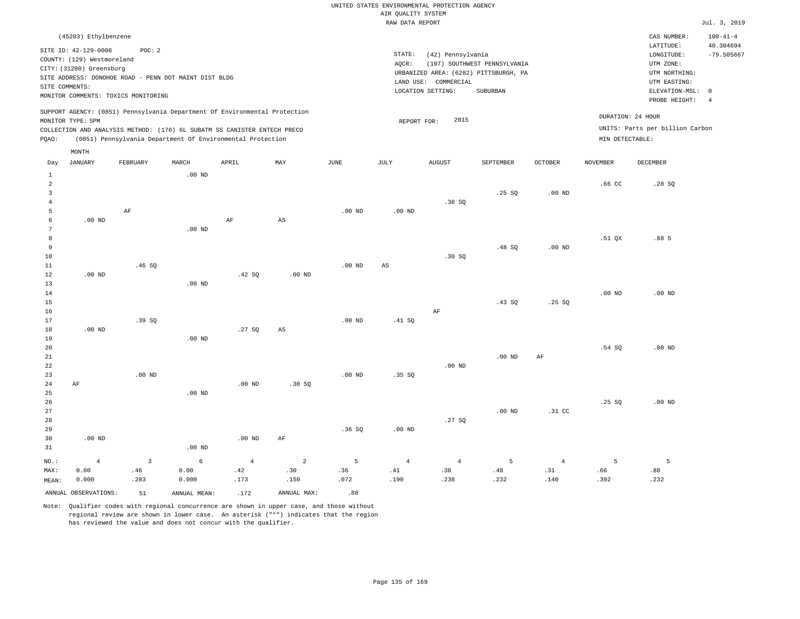| (45203) Ethylbenzene                                                                                                                                                                             |                   |                                                            |     |      |                 |                                                                                                         |                                          |                |                                      | CAS NUMBER:                                                                                              | $100 - 41 - 4$ |  |
|--------------------------------------------------------------------------------------------------------------------------------------------------------------------------------------------------|-------------------|------------------------------------------------------------|-----|------|-----------------|---------------------------------------------------------------------------------------------------------|------------------------------------------|----------------|--------------------------------------|----------------------------------------------------------------------------------------------------------|----------------|--|
| SITE ID: 42-129-0008<br>COUNTY: (129) Westmoreland<br>CITY: (31200) Greensburg<br>SITE ADDRESS: DONOHOE ROAD - PENN DOT MAINT DIST BLDG<br>SITE COMMENTS:<br>MONITOR COMMENTS: TOXICS MONITORING | POC: 2            |                                                            |     |      | STATE:<br>AOCR: | (42) Pennsylvania<br>URBANIZED AREA: (6282) PITTSBURGH, PA<br>LAND USE: COMMERCIAL<br>LOCATION SETTING: | (197) SOUTHWEST PENNSYLVANIA<br>SUBURBAN |                |                                      | LATITUDE:<br>LONGITUDE:<br>UTM ZONE:<br>UTM NORTHING:<br>UTM EASTING:<br>ELEVATION-MSL:<br>PROBE HEIGHT: |                |  |
| SUPPORT AGENCY: (0851) Pennsylvania Department Of Environmental Protection<br>MONITOR TYPE: SPM<br>COLLECTION AND ANALYSIS METHOD: (176) 6L SUBATM SS CANISTER ENTECH PRECO<br>POAO:             |                   | (0851) Pennsylvania Department Of Environmental Protection |     |      | REPORT FOR:     | 2015                                                                                                    |                                          |                | DURATION: 24 HOUR<br>MIN DETECTABLE: | UNITS: Parts per billion Carbon                                                                          |                |  |
| MONTH<br>JANUARY<br>Day                                                                                                                                                                          | MARCH<br>FEBRUARY | APRIL                                                      | MAY | JUNE | JULY            | AUGUST                                                                                                  | SEPTEMBER                                | <b>OCTOBER</b> | NOVEMBER                             | DECEMBER                                                                                                 |                |  |

|                         | ANNUAL OBSERVATIONS: | 51             | ANNUAL MEAN:  | .172              | ANNUAL MAX:            | .88               |                                       |                |             |                |                   |             |
|-------------------------|----------------------|----------------|---------------|-------------------|------------------------|-------------------|---------------------------------------|----------------|-------------|----------------|-------------------|-------------|
| MAX:<br>MEAN:           | 0.00<br>0.000        | .46<br>.283    | 0.00<br>0.000 | .42<br>.173       | .30<br>.150            | .36<br>.072       | $\footnotesize{\texttt{.41}}$<br>.190 | .38<br>.238    | .48<br>.232 | .31<br>.140    | .66<br>.392       | .88<br>.232 |
| $_{\rm NO.}$ :          | $\overline{4}$       | $\overline{3}$ | $\epsilon$    | $\overline{4}$    | $\overline{a}$         | 5                 | $\overline{4}$                        | $\overline{4}$ | 5           | $\overline{4}$ | $\overline{5}$    | 5           |
| $31\,$                  |                      |                | $.00$ ND      |                   |                        |                   |                                       |                |             |                |                   |             |
| 30                      | $.00$ ND             |                |               | .00 $ND$          | $\rm AF$               |                   |                                       |                |             |                |                   |             |
| 29                      |                      |                |               |                   |                        | .36SQ             | $.00$ ND                              |                |             |                |                   |             |
| 28                      |                      |                |               |                   |                        |                   |                                       | .27 SQ         |             |                |                   |             |
| 27                      |                      |                |               |                   |                        |                   |                                       |                | $.00$ ND    | .31 CC         |                   |             |
| 26                      |                      |                |               |                   |                        |                   |                                       |                |             |                | .25SQ             | $.00$ ND    |
| 25                      |                      |                | $.00$ ND      |                   |                        |                   |                                       |                |             |                |                   |             |
| 23<br>24                | $\rm{AF}$            |                |               | .00 <sub>ND</sub> | .30SQ                  |                   | .35 SQ                                |                |             |                |                   |             |
| 22                      |                      | $.00$ ND       |               |                   |                        | .00 <sub>ND</sub> |                                       | $.00$ ND       |             |                |                   |             |
| $21\,$                  |                      |                |               |                   |                        |                   |                                       |                | $.00$ ND    | $\rm{AF}$      |                   |             |
| $20\,$                  |                      |                |               |                   |                        |                   |                                       |                |             |                | .54 SQ            | $.00$ ND    |
| 19                      |                      |                | .00 $ND$      |                   |                        |                   |                                       |                |             |                |                   |             |
| 18                      | $.00$ ND             |                |               | .27SQ             | $\mathbb{A}\mathbb{S}$ |                   |                                       |                |             |                |                   |             |
| 17                      |                      | .39SQ          |               |                   |                        | $.00~\mathrm{ND}$ | .41 $SQ$                              |                |             |                |                   |             |
| $16$                    |                      |                |               |                   |                        |                   |                                       | $\rm AF$       |             |                |                   |             |
| 15                      |                      |                |               |                   |                        |                   |                                       |                | .43SQ       | .25SQ          |                   |             |
| 14                      |                      |                |               |                   |                        |                   |                                       |                |             |                | $.00$ ND          | $.00$ ND    |
| 13                      |                      |                | $.00$ ND      |                   |                        |                   |                                       |                |             |                |                   |             |
| 12                      | $.00$ ND             |                |               | .42 SQ            | $.00$ ND               |                   |                                       |                |             |                |                   |             |
| 11                      |                      | .46SQ          |               |                   |                        | $.00$ ND          | $_{\rm AS}$                           |                |             |                |                   |             |
| 10                      |                      |                |               |                   |                        |                   |                                       | .30 SQ         |             |                |                   |             |
| 9                       |                      |                |               |                   |                        |                   |                                       |                | .48 SQ      | $.00$ ND       |                   |             |
| 7<br>8                  |                      |                | $.00$ ND      |                   |                        |                   |                                       |                |             |                | .51 QX            | .885        |
| 6                       | $.00$ ND             |                |               | $\rm{AF}$         | $\mathbb{A}\mathbb{S}$ |                   |                                       |                |             |                |                   |             |
| 5                       |                      | $\rm{AF}$      |               |                   |                        | $.00$ ND          | $.00$ ND                              |                |             |                |                   |             |
| $\overline{4}$          |                      |                |               |                   |                        |                   |                                       | .38 SQ         |             |                |                   |             |
| 3                       |                      |                |               |                   |                        |                   |                                       |                | .25 SQ      | $.00$ ND       |                   |             |
| $\overline{\mathbf{c}}$ |                      |                |               |                   |                        |                   |                                       |                |             |                | .66 <sub>cc</sub> | .28SQ       |
| $\mathbf{1}$            |                      |                | .00 $ND$      |                   |                        |                   |                                       |                |             |                |                   |             |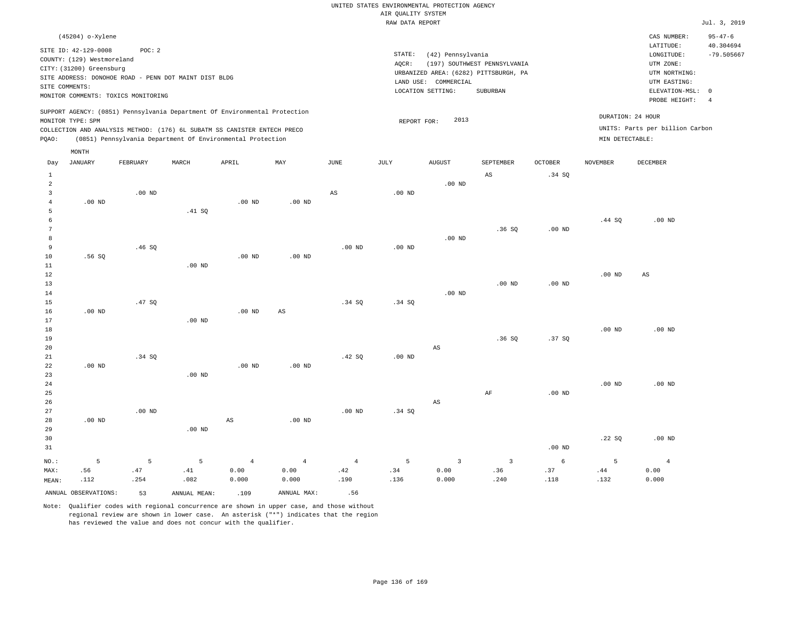| UNITED STATES ENVIRONMENTAL PROTECTION AGENCY |              |  |
|-----------------------------------------------|--------------|--|
| AIR OUALITY SYSTEM                            |              |  |
| RAW DATA REPORT                               | Jul. 3, 2019 |  |

|                                | (45204) o-Xylene                    |                   |                                                       |                                                                            |                   |                        |                   |                        |                                       |                |                   | CAS NUMBER:<br>LATITUDE:        | $95 - 47 - 6$<br>40.304694 |
|--------------------------------|-------------------------------------|-------------------|-------------------------------------------------------|----------------------------------------------------------------------------|-------------------|------------------------|-------------------|------------------------|---------------------------------------|----------------|-------------------|---------------------------------|----------------------------|
|                                | SITE ID: 42-129-0008                | POC: 2            |                                                       |                                                                            |                   |                        | STATE:            | (42) Pennsylvania      |                                       |                |                   | LONGITUDE:                      | $-79.505667$               |
|                                | COUNTY: (129) Westmoreland          |                   |                                                       |                                                                            |                   |                        | AQCR:             |                        | (197) SOUTHWEST PENNSYLVANIA          |                |                   | UTM ZONE:                       |                            |
|                                | CITY: (31200) Greensburg            |                   |                                                       |                                                                            |                   |                        |                   |                        | URBANIZED AREA: (6282) PITTSBURGH, PA |                |                   | UTM NORTHING:                   |                            |
|                                |                                     |                   | SITE ADDRESS: DONOHOE ROAD - PENN DOT MAINT DIST BLDG |                                                                            |                   |                        |                   | LAND USE: COMMERCIAL   |                                       |                |                   | UTM EASTING:                    |                            |
| SITE COMMENTS:                 |                                     |                   |                                                       |                                                                            |                   |                        |                   | LOCATION SETTING:      | SUBURBAN                              |                |                   | ELEVATION-MSL: 0                |                            |
|                                | MONITOR COMMENTS: TOXICS MONITORING |                   |                                                       |                                                                            |                   |                        |                   |                        |                                       |                |                   | PROBE HEIGHT:                   | $\overline{4}$             |
|                                | MONITOR TYPE: SPM                   |                   |                                                       | SUPPORT AGENCY: (0851) Pennsylvania Department Of Environmental Protection |                   |                        | REPORT FOR:       | 2013                   |                                       |                |                   | DURATION: 24 HOUR               |                            |
|                                |                                     |                   |                                                       | COLLECTION AND ANALYSIS METHOD: (176) 6L SUBATM SS CANISTER ENTECH PRECO   |                   |                        |                   |                        |                                       |                |                   | UNITS: Parts per billion Carbon |                            |
| PQAO:                          |                                     |                   |                                                       | (0851) Pennsylvania Department Of Environmental Protection                 |                   |                        |                   |                        |                                       |                | MIN DETECTABLE:   |                                 |                            |
|                                | MONTH                               |                   |                                                       |                                                                            |                   |                        |                   |                        |                                       |                |                   |                                 |                            |
| Day                            | <b>JANUARY</b>                      | FEBRUARY          | MARCH                                                 | APRIL                                                                      | MAX               | $_{\rm JUNE}$          | JULY              | <b>AUGUST</b>          | SEPTEMBER                             | <b>OCTOBER</b> | <b>NOVEMBER</b>   | DECEMBER                        |                            |
|                                |                                     |                   |                                                       |                                                                            |                   |                        |                   |                        |                                       |                |                   |                                 |                            |
| $\mathbf{1}$<br>$\overline{a}$ |                                     |                   |                                                       |                                                                            |                   |                        |                   | $.00$ ND               | $_{\rm AS}$                           | .34S           |                   |                                 |                            |
| $\overline{3}$                 |                                     | $.00$ ND          |                                                       |                                                                            |                   | $\mathbb{A}\mathbb{S}$ | $.00$ ND          |                        |                                       |                |                   |                                 |                            |
| $\overline{4}$                 | $.00$ ND                            |                   |                                                       | $.00$ ND                                                                   | $.00$ ND          |                        |                   |                        |                                       |                |                   |                                 |                            |
| 5                              |                                     |                   | .41 S0                                                |                                                                            |                   |                        |                   |                        |                                       |                |                   |                                 |                            |
| 6                              |                                     |                   |                                                       |                                                                            |                   |                        |                   |                        |                                       |                | .44 SQ            | .00 <sub>ND</sub>               |                            |
| 7                              |                                     |                   |                                                       |                                                                            |                   |                        |                   |                        | .36SQ                                 | $.00$ ND       |                   |                                 |                            |
| 8                              |                                     |                   |                                                       |                                                                            |                   |                        |                   | $.00$ ND               |                                       |                |                   |                                 |                            |
| 9                              |                                     | .46SQ             |                                                       |                                                                            |                   | .00 <sub>ND</sub>      | .00 <sub>ND</sub> |                        |                                       |                |                   |                                 |                            |
| 10                             | .56SQ                               |                   |                                                       | $.00$ ND                                                                   | $.00$ ND          |                        |                   |                        |                                       |                |                   |                                 |                            |
| 11                             |                                     |                   | $.00$ ND                                              |                                                                            |                   |                        |                   |                        |                                       |                |                   |                                 |                            |
| 12                             |                                     |                   |                                                       |                                                                            |                   |                        |                   |                        |                                       |                | .00 <sub>ND</sub> | AS                              |                            |
| 13                             |                                     |                   |                                                       |                                                                            |                   |                        |                   |                        | $.00$ ND                              | $.00$ ND       |                   |                                 |                            |
| 14<br>15                       |                                     | .47 SO            |                                                       |                                                                            |                   | .34S                   | .34 S             | $.00$ ND               |                                       |                |                   |                                 |                            |
| 16                             | $.00$ ND                            |                   |                                                       | $.00$ ND                                                                   | AS                |                        |                   |                        |                                       |                |                   |                                 |                            |
| 17                             |                                     |                   | $.00$ ND                                              |                                                                            |                   |                        |                   |                        |                                       |                |                   |                                 |                            |
| 18                             |                                     |                   |                                                       |                                                                            |                   |                        |                   |                        |                                       |                | $.00$ ND          | $.00$ ND                        |                            |
| 19                             |                                     |                   |                                                       |                                                                            |                   |                        |                   |                        | .36SQ                                 | .37SQ          |                   |                                 |                            |
| 20                             |                                     |                   |                                                       |                                                                            |                   |                        |                   | $\mathbb{A}\mathbb{S}$ |                                       |                |                   |                                 |                            |
| 21                             |                                     | .34 SQ            |                                                       |                                                                            |                   | .42 SQ                 | .00 <sub>ND</sub> |                        |                                       |                |                   |                                 |                            |
| 22                             | $.00$ ND                            |                   |                                                       | $.00$ ND                                                                   | .00 <sub>ND</sub> |                        |                   |                        |                                       |                |                   |                                 |                            |
| 23                             |                                     |                   | $.00$ ND                                              |                                                                            |                   |                        |                   |                        |                                       |                |                   |                                 |                            |
| 24                             |                                     |                   |                                                       |                                                                            |                   |                        |                   |                        |                                       |                | .00 <sub>ND</sub> | $.00$ ND                        |                            |
| 25                             |                                     |                   |                                                       |                                                                            |                   |                        |                   |                        | AF                                    | $.00$ ND       |                   |                                 |                            |
| 26                             |                                     |                   |                                                       |                                                                            |                   |                        |                   | $\mathbb{A}\mathbb{S}$ |                                       |                |                   |                                 |                            |
| 27                             |                                     | .00 <sub>ND</sub> |                                                       |                                                                            |                   | .00 <sub>ND</sub>      | .34 SQ            |                        |                                       |                |                   |                                 |                            |
| 28                             | $.00$ ND                            |                   |                                                       | $_{\rm AS}$                                                                | $.00$ ND          |                        |                   |                        |                                       |                |                   |                                 |                            |
| 29                             |                                     |                   | $.00$ ND                                              |                                                                            |                   |                        |                   |                        |                                       |                |                   | $.00$ ND                        |                            |
| 30<br>31                       |                                     |                   |                                                       |                                                                            |                   |                        |                   |                        |                                       | $.00$ ND       | .22SQ             |                                 |                            |
|                                |                                     |                   |                                                       |                                                                            |                   |                        |                   |                        |                                       |                |                   |                                 |                            |
| NO.:                           | -5                                  | 5                 | 5                                                     | $\overline{4}$                                                             | $\overline{4}$    | $\overline{4}$         | 5                 | $\overline{3}$         | $\overline{\mathbf{3}}$               | 6              | 5                 | $\overline{4}$                  |                            |
| MAX:                           | .56                                 | .47               | .41                                                   | 0.00                                                                       | 0.00              | .42                    | .34               | 0.00                   | .36                                   | .37            | .44               | 0.00                            |                            |
| MEAN:                          | .112                                | .254              | .082                                                  | 0.000                                                                      | 0.000             | .190                   | .136              | 0.000                  | .240                                  | .118           | .132              | 0.000                           |                            |
|                                | ANNUAL OBSERVATIONS:                | 53                | ANNUAL MEAN:                                          | .109                                                                       | ANNUAL MAX:       | .56                    |                   |                        |                                       |                |                   |                                 |                            |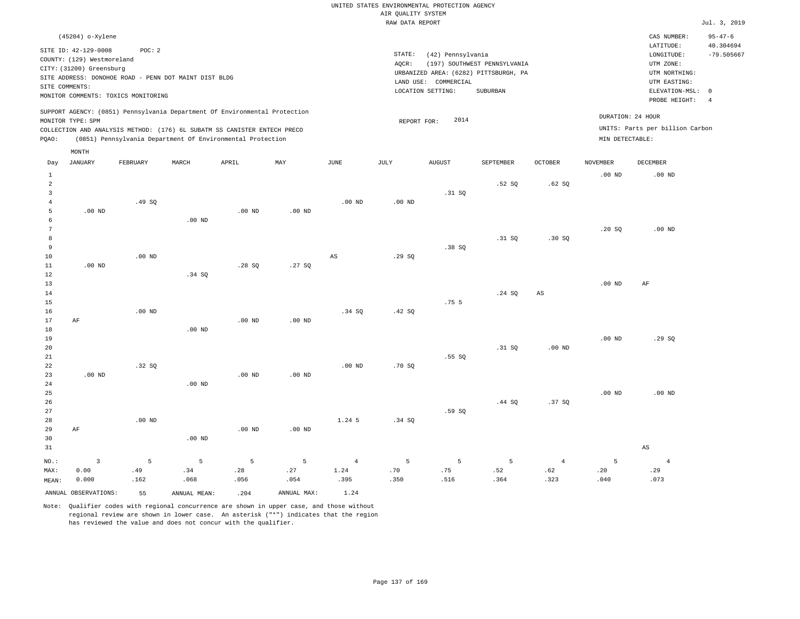|                | (45204) o-Xylene                                                               |                                                                |                   |                                                                                                                                                                                                                      |          |          |                 |                   |                                                                       |                |                                      | CAS NUMBER:                                           | $95 - 47 - 6$                |
|----------------|--------------------------------------------------------------------------------|----------------------------------------------------------------|-------------------|----------------------------------------------------------------------------------------------------------------------------------------------------------------------------------------------------------------------|----------|----------|-----------------|-------------------|-----------------------------------------------------------------------|----------------|--------------------------------------|-------------------------------------------------------|------------------------------|
|                | SITE ID: 42-129-0008<br>COUNTY: (129) Westmoreland<br>CITY: (31200) Greensburg | POC:2<br>SITE ADDRESS: DONOHOE ROAD - PENN DOT MAINT DIST BLDG |                   |                                                                                                                                                                                                                      |          |          | STATE:<br>AQCR: | (42) Pennsylvania | (197) SOUTHWEST PENNSYLVANIA<br>URBANIZED AREA: (6282) PITTSBURGH, PA |                |                                      | LATITUDE:<br>LONGITUDE:<br>UTM ZONE:<br>UTM NORTHING: | 40.304694<br>$-79.505667$    |
|                | SITE COMMENTS:                                                                 |                                                                |                   |                                                                                                                                                                                                                      |          |          | LAND USE:       | COMMERCIAL        |                                                                       |                |                                      | UTM EASTING:                                          |                              |
|                |                                                                                | MONITOR COMMENTS: TOXICS MONITORING                            |                   |                                                                                                                                                                                                                      |          |          |                 | LOCATION SETTING: | SUBURBAN                                                              |                |                                      | ELEVATION-MSL:<br>PROBE HEIGHT:                       | $^{\circ}$<br>$\overline{4}$ |
| POAO:          | MONITOR TYPE: SPM                                                              |                                                                |                   | SUPPORT AGENCY: (0851) Pennsylvania Department Of Environmental Protection<br>COLLECTION AND ANALYSIS METHOD: (176) 6L SUBATM SS CANISTER ENTECH PRECO<br>(0851) Pennsylvania Department Of Environmental Protection |          |          | REPORT FOR:     | 2014              |                                                                       |                | DURATION: 24 HOUR<br>MIN DETECTABLE: | UNITS: Parts per billion Carbon                       |                              |
|                | MONTH                                                                          |                                                                |                   |                                                                                                                                                                                                                      |          |          |                 |                   |                                                                       |                |                                      |                                                       |                              |
| Day            | JANUARY                                                                        | FEBRUARY                                                       | MARCH             | APRIL                                                                                                                                                                                                                | MAY      | JUNE     | JULY            | <b>AUGUST</b>     | SEPTEMBER                                                             | <b>OCTOBER</b> | NOVEMBER                             | DECEMBER                                              |                              |
|                |                                                                                |                                                                |                   |                                                                                                                                                                                                                      |          |          |                 |                   |                                                                       |                | .00 <sub>ND</sub>                    | $.00$ ND                                              |                              |
| $\overline{2}$ |                                                                                |                                                                |                   |                                                                                                                                                                                                                      |          |          |                 |                   | .52 SQ                                                                | .62 SQ         |                                      |                                                       |                              |
|                |                                                                                | .49SQ                                                          |                   |                                                                                                                                                                                                                      |          | $.00$ ND | $.00$ ND        | .31 SQ            |                                                                       |                |                                      |                                                       |                              |
|                | $.00$ ND                                                                       |                                                                |                   | $.00$ ND                                                                                                                                                                                                             | $.00$ ND |          |                 |                   |                                                                       |                |                                      |                                                       |                              |
| 6              |                                                                                |                                                                | .00 <sub>ND</sub> |                                                                                                                                                                                                                      |          |          |                 |                   |                                                                       |                |                                      |                                                       |                              |

| 7              |          |          |       |       |        |    |        |       |        |       | .20 SQ | $.00$ ND |
|----------------|----------|----------|-------|-------|--------|----|--------|-------|--------|-------|--------|----------|
| 8 <sup>1</sup> |          |          |       |       |        |    |        |       | .31 SQ | .30SQ |        |          |
| 9              |          |          |       |       |        |    |        | .38SQ |        |       |        |          |
| 10             |          | $.00$ ND |       |       |        | AS | .29 SQ |       |        |       |        |          |
| 11             | $.00$ ND |          |       | .28SQ | .27 SQ |    |        |       |        |       |        |          |
| 12             |          |          | .34 S |       |        |    |        |       |        |       |        |          |

| 13              |          |                |                |       |        |                  |           |  | $.00$ ND | AF |  |
|-----------------|----------|----------------|----------------|-------|--------|------------------|-----------|--|----------|----|--|
| 14              |          |                |                |       |        |                  | .24 SQ AS |  |          |    |  |
| 15              |          |                |                |       |        | .75 <sub>5</sub> |           |  |          |    |  |
| 16              | $.00$ ND |                |                | .34SQ | .42 SQ |                  |           |  |          |    |  |
| $17$ $\Delta F$ |          | $00 \text{ N}$ | $00 \text{ N}$ |       |        |                  |           |  |          |    |  |

|    |          |       |          | .00W     | שות שיט.          |          |        |       |        |          |          |        |
|----|----------|-------|----------|----------|-------------------|----------|--------|-------|--------|----------|----------|--------|
| 18 |          |       | $.00$ ND |          |                   |          |        |       |        |          |          |        |
| 19 |          |       |          |          |                   |          |        |       |        |          | $.00$ ND | .29 SQ |
| 20 |          |       |          |          |                   |          |        |       | .31 SQ | $.00$ ND |          |        |
| 21 |          |       |          |          |                   |          |        | .55SQ |        |          |          |        |
| 22 |          | .32SQ |          |          |                   | $.00$ ND | .70 SQ |       |        |          |          |        |
| 23 | $.00$ ND |       |          | $.00$ ND | .00 <sub>ND</sub> |          |        |       |        |          |          |        |
| 24 |          |       | $.00$ ND |          |                   |          |        |       |        |          |          |        |

| 25 |           |          |                   |          |          |          |        |       |        |        | $.00$ ND | .00 <sub>ND</sub> |
|----|-----------|----------|-------------------|----------|----------|----------|--------|-------|--------|--------|----------|-------------------|
| 26 |           |          |                   |          |          |          |        |       | .44 SQ | .37 SQ |          |                   |
| 27 |           |          |                   |          |          |          |        | .59SQ |        |        |          |                   |
| 28 |           | $.00$ ND |                   |          |          | $1.24$ 5 | .34 SQ |       |        |        |          |                   |
| 29 | $\rm{AF}$ |          |                   | $.00$ ND | $.00$ ND |          |        |       |        |        |          |                   |
| 30 |           |          | .00 <sub>ND</sub> |          |          |          |        |       |        |        |          |                   |
| 31 |           |          |                   |          |          |          |        |       |        |        |          | AS                |

| ____  |                      |                |              |         |                                               |      |         |                                                                                                               | $-$  |      |      |      |
|-------|----------------------|----------------|--------------|---------|-----------------------------------------------|------|---------|---------------------------------------------------------------------------------------------------------------|------|------|------|------|
| NO.:  |                      | 5 <sup>1</sup> | $5 - 5$      | $5 - 5$ | $\sim$ 5 and $\sim$ 5 and $\sim$ 5 and $\sim$ |      | $5 - 5$ | the control of the State of the State of the State of the State of the State of the State of the State of the |      |      |      |      |
| MAX:  | 0.00                 | .49            | .34          | .28     | .27                                           | 1.24 | .70     | .75                                                                                                           | .52  | .62  | .20  | .29  |
| MEAN: | 0.000                | .162           | .068         | .056    | .054                                          | .395 | .350    | .516                                                                                                          | .364 | .323 | .040 | .073 |
|       | ANNUAL OBSERVATIONS: | 55             | ANNUAL MEAN: | .204    | ANNUAL MAX:                                   | 1.24 |         |                                                                                                               |      |      |      |      |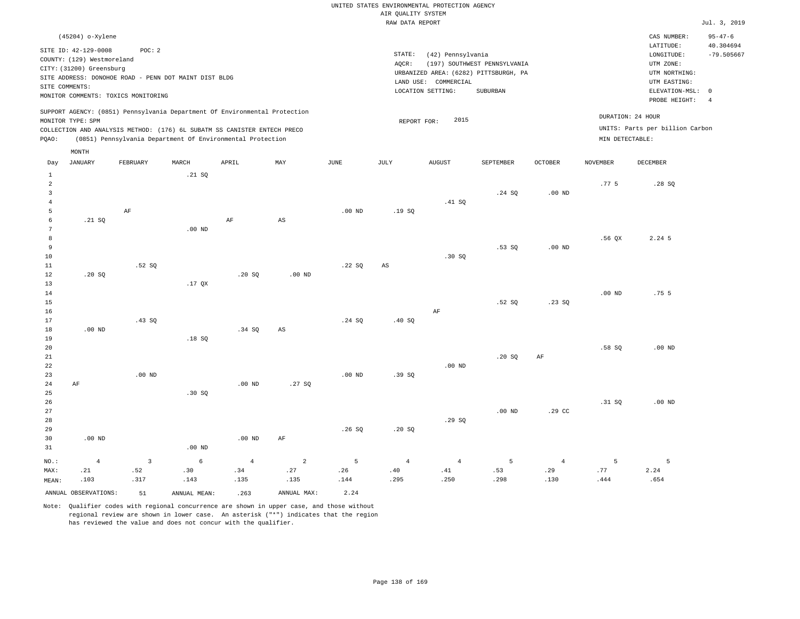| (45204) o-Xylene                                                                                                                                                                                                                                            |                                                                                                                                                                        | CAS NUMBER:                                                                                                | $95 - 47 - 6$             |
|-------------------------------------------------------------------------------------------------------------------------------------------------------------------------------------------------------------------------------------------------------------|------------------------------------------------------------------------------------------------------------------------------------------------------------------------|------------------------------------------------------------------------------------------------------------|---------------------------|
| SITE ID: 42-129-0008<br>POC: 2<br>COUNTY: (129) Westmoreland<br>CITY: (31200) Greensburg<br>SITE ADDRESS: DONOHOE ROAD - PENN DOT MAINT DIST BLDG<br>SITE COMMENTS:<br>MONITOR COMMENTS: TOXICS MONITORING                                                  | STATE:<br>(42) Pennsylvania<br>(197) SOUTHWEST PENNSYLVANIA<br>AOCR:<br>URBANIZED AREA: (6282) PITTSBURGH, PA<br>LAND USE: COMMERCIAL<br>LOCATION SETTING:<br>SUBURBAN | LATITUDE:<br>LONGITUDE:<br>UTM ZONE:<br>UTM NORTHING:<br>UTM EASTING:<br>ELEVATION-MSL: 0<br>PROBE HEIGHT: | 40.304694<br>$-79.505667$ |
| SUPPORT AGENCY: (0851) Pennsylvania Department Of Environmental Protection<br>MONITOR TYPE: SPM<br>COLLECTION AND ANALYSIS METHOD: (176) 6L SUBATM SS CANISTER ENTECH PRECO<br>POAO:<br>(0851) Pennsylvania Department Of Environmental Protection<br>MONTH | 2015<br>REPORT FOR:                                                                                                                                                    | DURATION: 24 HOUR<br>UNITS: Parts per billion Carbon<br>MIN DETECTABLE:                                    |                           |

| Day            | <b>JANUARY</b>       | FEBRUARY                  | MARCH        | APRIL             | $\ensuremath{\text{MAX}}$ | $_{\rm JUNE}$ | JULY                   | ${\tt AUGUST}$ | SEPTEMBER      | OCTOBER        | $\,$ NOVEMBER | DECEMBER         |
|----------------|----------------------|---------------------------|--------------|-------------------|---------------------------|---------------|------------------------|----------------|----------------|----------------|---------------|------------------|
| $\mathbf{1}$   |                      |                           | .21 SQ       |                   |                           |               |                        |                |                |                |               |                  |
| $\,2$          |                      |                           |              |                   |                           |               |                        |                |                |                | .77.5         | .28SQ            |
| 3              |                      |                           |              |                   |                           |               |                        |                | .24 SQ         | $.00$ ND       |               |                  |
| $\bf 4$        |                      |                           |              |                   |                           |               |                        | .41 SQ         |                |                |               |                  |
| 5              |                      | $\rm AF$                  |              |                   |                           | $.00$ ND      | .19SQ                  |                |                |                |               |                  |
| 6              | .21 SQ               |                           |              | AF                | $\mathbb{A}\mathbb{S}$    |               |                        |                |                |                |               |                  |
| 7              |                      |                           | $.00$ ND     |                   |                           |               |                        |                |                |                |               |                  |
| 8              |                      |                           |              |                   |                           |               |                        |                |                |                | $.56$ QX      | 2.24 5           |
| 9              |                      |                           |              |                   |                           |               |                        |                | .53SQ          | $.00$ ND       |               |                  |
| $10$           |                      |                           |              |                   |                           |               |                        | .30 SQ         |                |                |               |                  |
| 11             |                      | .52S                      |              |                   |                           | .22SQ         | $\mathbb{A}\mathbb{S}$ |                |                |                |               |                  |
| 12             | .20 SQ               |                           |              | .20 SQ            | $.00$ ND                  |               |                        |                |                |                |               |                  |
| 13             |                      |                           | $.17$ QX     |                   |                           |               |                        |                |                |                |               |                  |
| 14             |                      |                           |              |                   |                           |               |                        |                |                |                | .00 $ND$      | .75 <sub>5</sub> |
| $15\,$         |                      |                           |              |                   |                           |               |                        |                | .52 SQ         | .23SQ          |               |                  |
| 16             |                      |                           |              |                   |                           |               |                        | $\rm{AF}$      |                |                |               |                  |
| 17             |                      | .43SQ                     |              |                   |                           | .24 SQ        | .40SQ                  |                |                |                |               |                  |
| 18             | $.00$ ND             |                           |              | .34 SQ            | $\mathbb{A}\mathbb{S}$    |               |                        |                |                |                |               |                  |
| 19             |                      |                           | .18SQ        |                   |                           |               |                        |                |                |                |               |                  |
| $20\,$         |                      |                           |              |                   |                           |               |                        |                |                |                | .58 SQ        | $.00$ ND         |
| ${\bf 21}$     |                      |                           |              |                   |                           |               |                        |                | .20 SQ         | $\rm{AF}$      |               |                  |
| $^{\rm 22}$    |                      |                           |              |                   |                           |               |                        | .00 $ND$       |                |                |               |                  |
| $2\sqrt{3}$    |                      | $.00$ ND                  |              |                   |                           | $.00$ ND      | .39 SQ                 |                |                |                |               |                  |
| $2\,4$         | $\rm AF$             |                           |              | .00 <sub>ND</sub> | .27SQ                     |               |                        |                |                |                |               |                  |
| 25             |                      |                           | .30 SQ       |                   |                           |               |                        |                |                |                |               |                  |
| 26             |                      |                           |              |                   |                           |               |                        |                |                |                | .31 SQ        | $.00$ ND         |
| $2\,7$         |                      |                           |              |                   |                           |               |                        |                | $.00$ ND       | .29 CC         |               |                  |
| 28             |                      |                           |              |                   |                           |               |                        | .29SQ          |                |                |               |                  |
| 29             |                      |                           |              |                   |                           | .26SQ         | .20 SQ                 |                |                |                |               |                  |
| 30             | $.00$ ND             |                           |              | .00 <sub>ND</sub> | $\rm AF$                  |               |                        |                |                |                |               |                  |
| 31             |                      |                           | $.00$ ND     |                   |                           |               |                        |                |                |                |               |                  |
| $_{\rm NO.}$ : | $\overline{4}$       | $\ensuremath{\mathsf{3}}$ | $\epsilon$   | $\bf 4$           | $\overline{a}$            | 5             | $\sqrt{4}$             | $\overline{4}$ | $\overline{5}$ | $\overline{4}$ | 5             | 5                |
| MAX:           | .21                  | .52                       | .30          | .34               | .27                       | .26           | .40                    | .41            | .53            | .29            | .77           | 2.24             |
| MEAN:          | .103                 | .317                      | .143         | .135              | .135                      | .144          | .295                   | .250           | .298           | .130           | .444          | .654             |
|                | ANNUAL OBSERVATIONS: | 51                        | ANNUAL MEAN: | .263              | ANNUAL MAX:               | 2.24          |                        |                |                |                |               |                  |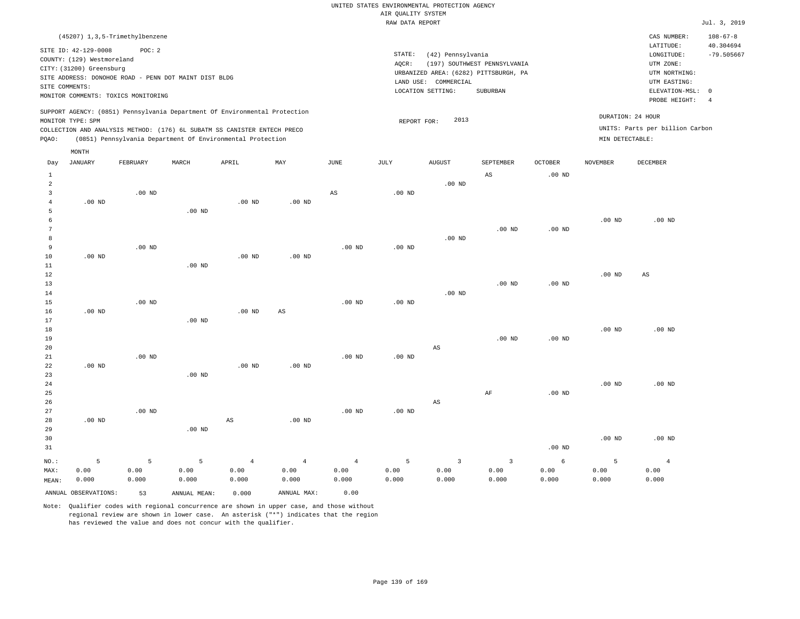|                |                                                        | (45207) 1,3,5-Trimethylbenzene                        |       |                                                                                                                                        |     |      |        |                                                                  |                              |         |                   | CAS NUMBER:                       | $108 - 67 - 8$            |
|----------------|--------------------------------------------------------|-------------------------------------------------------|-------|----------------------------------------------------------------------------------------------------------------------------------------|-----|------|--------|------------------------------------------------------------------|------------------------------|---------|-------------------|-----------------------------------|---------------------------|
|                | SITE ID: 42-129-0008                                   | POC: 2                                                |       |                                                                                                                                        |     |      | STATE: | (42) Pennsylvania                                                |                              |         |                   | LATITUDE:<br>LONGITUDE:           | 40.304694<br>$-79.505667$ |
|                | COUNTY: (129) Westmoreland<br>CITY: (31200) Greensburg |                                                       |       |                                                                                                                                        |     |      | AOCR:  |                                                                  | (197) SOUTHWEST PENNSYLVANIA |         |                   | UTM ZONE:                         |                           |
|                |                                                        | SITE ADDRESS: DONOHOE ROAD - PENN DOT MAINT DIST BLDG |       |                                                                                                                                        |     |      |        | URBANIZED AREA: (6282) PITTSBURGH, PA<br>COMMERCIAL<br>LAND USE: |                              |         |                   | UTM NORTHING:<br>UTM EASTING:     |                           |
| SITE COMMENTS: |                                                        | MONITOR COMMENTS: TOXICS MONITORING                   |       |                                                                                                                                        |     |      |        | LOCATION SETTING:                                                | SUBURBAN                     |         |                   | ELEVATION-MSL: 0<br>PROBE HEIGHT: |                           |
|                | MONITOR TYPE: SPM                                      |                                                       |       | SUPPORT AGENCY: (0851) Pennsylvania Department Of Environmental Protection                                                             |     |      |        | 2013<br>REPORT FOR:                                              |                              |         | DURATION: 24 HOUR |                                   |                           |
| POAO:          |                                                        |                                                       |       | COLLECTION AND ANALYSIS METHOD: (176) 6L SUBATM SS CANISTER ENTECH PRECO<br>(0851) Pennsylvania Department Of Environmental Protection |     |      |        |                                                                  |                              |         | MIN DETECTABLE:   | UNITS: Parts per billion Carbon   |                           |
| Day            | MONTH<br>JANUARY                                       | FEBRUARY                                              | MARCH | APRIL                                                                                                                                  | MAY | JUNE | JULY   | <b>AUGUST</b>                                                    | SEPTEMBER                    | OCTOBER | <b>NOVEMBER</b>   | <b>DECEMBER</b>                   |                           |
|                |                                                        |                                                       |       |                                                                                                                                        |     |      |        |                                                                  |                              |         |                   |                                   |                           |

| Day                      | UANUARI                                    | FEBRUARI                 | MARCH                              | <b>AFKIL</b>                             | MA 1                                    | <b>UUNL</b>                             | <b>O O TRI</b>     | <b>AUGUST</b>                            | <b>PFRIEMBEK</b>                         | <b>OCTOREK</b>              | NOVEMBER           | DECEMBER                        |
|--------------------------|--------------------------------------------|--------------------------|------------------------------------|------------------------------------------|-----------------------------------------|-----------------------------------------|--------------------|------------------------------------------|------------------------------------------|-----------------------------|--------------------|---------------------------------|
| $\mathbf{1}$             |                                            |                          |                                    |                                          |                                         |                                         |                    |                                          | $\mathbb{A}\mathbb{S}$                   | $.00$ ND                    |                    |                                 |
| $\overline{\mathbf{c}}$  |                                            |                          |                                    |                                          |                                         |                                         |                    | $.00$ ND                                 |                                          |                             |                    |                                 |
| $\mathbf{3}$             |                                            | $.00$ ND                 |                                    |                                          |                                         | $\mathbb{A}\mathbb{S}$                  | $.00$ ND           |                                          |                                          |                             |                    |                                 |
| $\overline{4}$           | $.00$ ND                                   |                          |                                    | $.00$ ND                                 | $.00$ ND                                |                                         |                    |                                          |                                          |                             |                    |                                 |
| 5                        |                                            |                          | .00 <sub>ND</sub>                  |                                          |                                         |                                         |                    |                                          |                                          |                             |                    |                                 |
| 6                        |                                            |                          |                                    |                                          |                                         |                                         |                    |                                          |                                          |                             | $.00$ ND           | $.00$ ND                        |
| $7\phantom{.0}$          |                                            |                          |                                    |                                          |                                         |                                         |                    |                                          | $.00$ ND                                 | $.00~\mathrm{ND}$           |                    |                                 |
| 8                        |                                            |                          |                                    |                                          |                                         |                                         |                    | $.00$ ND                                 |                                          |                             |                    |                                 |
| 9                        |                                            | $.00$ ND                 |                                    |                                          |                                         | $.00$ ND                                | $.00$ ND           |                                          |                                          |                             |                    |                                 |
| 10                       | $.00$ ND                                   |                          |                                    | $.00$ ND                                 | $.00$ ND                                |                                         |                    |                                          |                                          |                             |                    |                                 |
| 11                       |                                            |                          | .00 <sub>ND</sub>                  |                                          |                                         |                                         |                    |                                          |                                          |                             |                    |                                 |
| 12                       |                                            |                          |                                    |                                          |                                         |                                         |                    |                                          |                                          |                             | .00 <sub>ND</sub>  | AS                              |
| 13                       |                                            |                          |                                    |                                          |                                         |                                         |                    |                                          | $.00$ ND                                 | $.00~\mathrm{ND}$           |                    |                                 |
| 14                       |                                            |                          |                                    |                                          |                                         |                                         |                    | $.00$ ND                                 |                                          |                             |                    |                                 |
| 15                       |                                            | $.00$ ND                 |                                    |                                          |                                         | $.00$ ND                                | $.00$ ND           |                                          |                                          |                             |                    |                                 |
| 16                       | $.00$ ND                                   |                          |                                    | $.00$ ND                                 | $\mathbb{A}\mathbb{S}$                  |                                         |                    |                                          |                                          |                             |                    |                                 |
| 17                       |                                            |                          | .00 <sub>ND</sub>                  |                                          |                                         |                                         |                    |                                          |                                          |                             |                    |                                 |
| 18                       |                                            |                          |                                    |                                          |                                         |                                         |                    |                                          |                                          |                             | .00 <sub>ND</sub>  | .00 <sub>ND</sub>               |
| 19                       |                                            |                          |                                    |                                          |                                         |                                         |                    |                                          | $.00$ ND                                 | $.00$ ND                    |                    |                                 |
| 20                       |                                            |                          |                                    |                                          |                                         |                                         |                    | $\mathbb{A}\mathbb{S}$                   |                                          |                             |                    |                                 |
| $2\sqrt{1}$              |                                            | $.00$ ND                 |                                    |                                          |                                         | $.00$ ND                                | $.00$ ND           |                                          |                                          |                             |                    |                                 |
| 22                       | $.00$ ND                                   |                          |                                    | $.00$ ND                                 | .00 <sub>ND</sub>                       |                                         |                    |                                          |                                          |                             |                    |                                 |
| 23                       |                                            |                          | .00 <sub>ND</sub>                  |                                          |                                         |                                         |                    |                                          |                                          |                             |                    |                                 |
| $2\,4$                   |                                            |                          |                                    |                                          |                                         |                                         |                    |                                          |                                          |                             | .00 <sub>ND</sub>  | .00 <sub>ND</sub>               |
| 25                       |                                            |                          |                                    |                                          |                                         |                                         |                    |                                          | $\rm{AF}$                                | $.00~\mathrm{ND}$           |                    |                                 |
| 26                       |                                            |                          |                                    |                                          |                                         |                                         |                    | $\mathbb{A}\mathbb{S}$                   |                                          |                             |                    |                                 |
| 27                       |                                            | $.00$ ND                 |                                    |                                          |                                         | $.00$ ND                                | $.00$ ND           |                                          |                                          |                             |                    |                                 |
| 28                       | $.00$ ND                                   |                          |                                    | AS                                       | .00 <sub>ND</sub>                       |                                         |                    |                                          |                                          |                             |                    |                                 |
| 29                       |                                            |                          | $.00$ ND                           |                                          |                                         |                                         |                    |                                          |                                          |                             |                    |                                 |
| 30                       |                                            |                          |                                    |                                          |                                         |                                         |                    |                                          |                                          |                             | .00 <sub>ND</sub>  | $.00$ ND                        |
| 31                       |                                            |                          |                                    |                                          |                                         |                                         |                    |                                          |                                          | .00 $ND$                    |                    |                                 |
|                          |                                            |                          |                                    |                                          |                                         |                                         |                    |                                          |                                          |                             |                    |                                 |
|                          |                                            |                          |                                    |                                          |                                         |                                         |                    |                                          |                                          |                             |                    |                                 |
|                          |                                            |                          |                                    |                                          |                                         |                                         |                    |                                          |                                          |                             |                    |                                 |
|                          |                                            |                          |                                    |                                          |                                         |                                         |                    |                                          |                                          |                             |                    |                                 |
| $NO.$ :<br>MAX:<br>MEAN: | 5<br>0.00<br>0.000<br>ANNUAL OBSERVATIONS: | 5<br>0.00<br>0.000<br>53 | 5<br>0.00<br>0.000<br>ANNUAL MEAN: | $\overline{4}$<br>0.00<br>0.000<br>0.000 | $\,4\,$<br>0.00<br>0.000<br>ANNUAL MAX: | $\overline{4}$<br>0.00<br>0.000<br>0.00 | 5<br>0.00<br>0.000 | $\overline{\mathbf{3}}$<br>0.00<br>0.000 | $\overline{\mathbf{3}}$<br>0.00<br>0.000 | $\epsilon$<br>0.00<br>0.000 | 5<br>0.00<br>0.000 | $\overline{4}$<br>0.00<br>0.000 |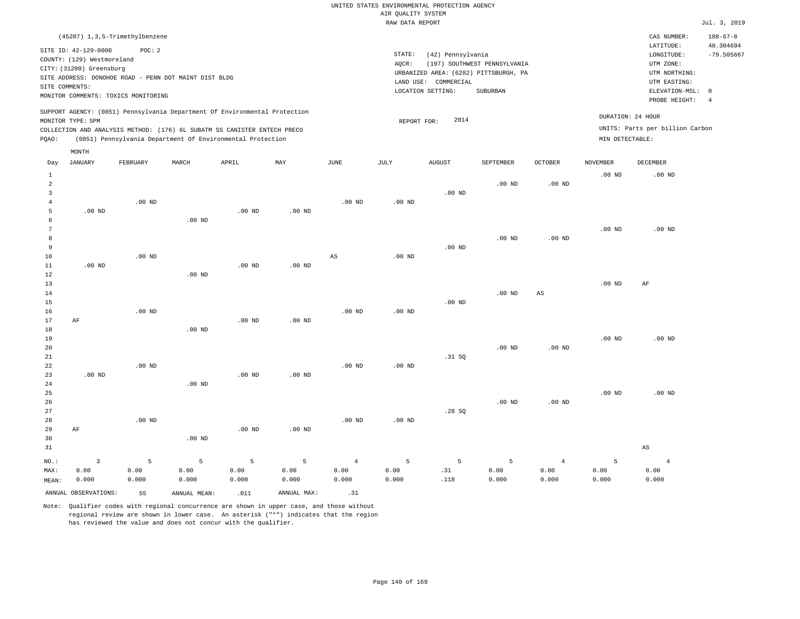| $108 - 67 - 8$<br>CAS NUMBER:                                                                                                                 |
|-----------------------------------------------------------------------------------------------------------------------------------------------|
| 40.304694<br>LATITUDE:<br>$-79.505667$<br>LONGITUDE:<br>UTM ZONE:<br>UTM NORTHING:<br>UTM EASTING:<br>ELEVATION-MSL: 0<br>PROBE HEIGHT:<br>-4 |
| DURATION: 24 HOUR<br>UNITS: Parts per billion Carbon<br>MIN DETECTABLE:                                                                       |
|                                                                                                                                               |

| Day            | <b>JANUARY</b>       | FEBRUARY        | $\tt MARCH$    | APRIL    | MAY            | $_{\rm JUNE}$  | $_{\rm JULY}$ | AUGUST          | SEPTEMBER | OCTOBER           | NOVEMBER | DECEMBER               |
|----------------|----------------------|-----------------|----------------|----------|----------------|----------------|---------------|-----------------|-----------|-------------------|----------|------------------------|
| $\mathbf{1}$   |                      |                 |                |          |                |                |               |                 |           |                   | $.00$ ND | $.00$ ND               |
| $\overline{a}$ |                      |                 |                |          |                |                |               |                 | $.00$ ND  | .00 <sub>ND</sub> |          |                        |
| 3              |                      |                 |                |          |                |                |               | $.00$ ND        |           |                   |          |                        |
| $\overline{4}$ |                      | $.00$ ND        |                |          |                | .00 $ND$       | .00 $ND$      |                 |           |                   |          |                        |
| 5              | .00 $ND$             |                 |                | .00 $ND$ | $.00$ ND       |                |               |                 |           |                   |          |                        |
| 6              |                      |                 | $.00$ ND       |          |                |                |               |                 |           |                   |          |                        |
| 7              |                      |                 |                |          |                |                |               |                 |           |                   | $.00$ ND | $.00$ ND               |
| 8              |                      |                 |                |          |                |                |               |                 | $.00$ ND  | $.00$ ND          |          |                        |
| 9              |                      |                 |                |          |                |                |               | $.00$ ND        |           |                   |          |                        |
| 10             |                      | $.00$ ND        |                |          |                | $_{\rm AS}$    | $.00$ ND      |                 |           |                   |          |                        |
| 11             | $.00$ ND             |                 |                | $.00$ ND | $.00$ ND       |                |               |                 |           |                   |          |                        |
| 12             |                      |                 | $.00$ ND       |          |                |                |               |                 |           |                   |          |                        |
| 13             |                      |                 |                |          |                |                |               |                 |           |                   | $.00$ ND | $\rm AF$               |
| 14             |                      |                 |                |          |                |                |               |                 | $.00$ ND  | $_{\rm AS}$       |          |                        |
| 15             |                      |                 |                |          |                |                |               | .00 $ND$        |           |                   |          |                        |
| 16             |                      | .00 $ND$        |                |          |                | .00 $ND$       | .00 $ND$      |                 |           |                   |          |                        |
| 17             | AF                   |                 |                | .00 $ND$ | $.00$ ND       |                |               |                 |           |                   |          |                        |
| 18<br>19       |                      |                 | $.00$ ND       |          |                |                |               |                 |           |                   |          | $.00$ ND               |
| 20             |                      |                 |                |          |                |                |               |                 | $.00$ ND  | $.00$ ND          | $.00$ ND |                        |
| 21             |                      |                 |                |          |                |                |               | .31 SQ          |           |                   |          |                        |
| 22             |                      | $.00$ ND        |                |          |                | $.00$ ND       | $.00$ ND      |                 |           |                   |          |                        |
| 23             | $.00$ ND             |                 |                | $.00$ ND | $.00$ ND       |                |               |                 |           |                   |          |                        |
| 24             |                      |                 | $.00$ ND       |          |                |                |               |                 |           |                   |          |                        |
| 25             |                      |                 |                |          |                |                |               |                 |           |                   | $.00$ ND | $.00$ ND               |
| 26             |                      |                 |                |          |                |                |               |                 | $.00$ ND  | $.00$ ND          |          |                        |
| 27             |                      |                 |                |          |                |                |               | .28SQ           |           |                   |          |                        |
| 28             |                      | $.00$ ND        |                |          |                | $.00$ ND       | $.00$ ND      |                 |           |                   |          |                        |
| 29             | AF                   |                 |                | $.00$ ND | $.00$ ND       |                |               |                 |           |                   |          |                        |
| 30             |                      |                 | $.00$ ND       |          |                |                |               |                 |           |                   |          |                        |
| 31             |                      |                 |                |          |                |                |               |                 |           |                   |          | $\mathbb{A}\mathbb{S}$ |
| $NO.$ :        | $\mathsf 3$          | $5\phantom{.0}$ | $\overline{5}$ | 5        | $\overline{5}$ | $\overline{4}$ | 5             | $5\phantom{.0}$ | 5         | $\overline{4}$    | 5        | $\overline{4}$         |
| MAX:           | 0.00                 | 0.00            | 0.00           | 0.00     | 0.00           | 0.00           | 0.00          | .31             | 0.00      | 0.00              | 0.00     | 0.00                   |
| MEAN:          | 0.000                | 0.000           | 0.000          | 0.000    | 0.000          | 0.000          | 0.000         | .118            | 0.000     | 0.000             | 0.000    | 0.000                  |
|                | ANNUAL OBSERVATIONS: | 55              | ANNUAL MEAN:   | .011     | ANNUAL MAX:    | .31            |               |                 |           |                   |          |                        |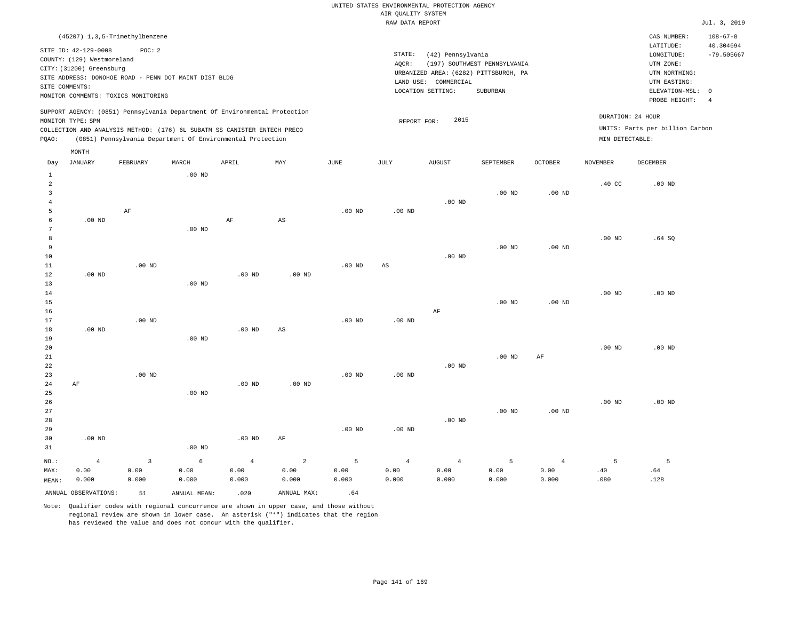|                                                                                                                                                                        | CAS NUMBER:                                                                            | $108 - 67 - 8$                                                                              |
|------------------------------------------------------------------------------------------------------------------------------------------------------------------------|----------------------------------------------------------------------------------------|---------------------------------------------------------------------------------------------|
| STATE:<br>(42) Pennsylvania<br>(197) SOUTHWEST PENNSYLVANIA<br>AOCR:<br>URBANIZED AREA: (6282) PITTSBURGH, PA<br>LAND USE: COMMERCIAL<br>LOCATION SETTING:<br>SUBURBAN | LATITUDE:<br>LONGITUDE:<br>UTM ZONE:<br>UTM NORTHING:<br>UTM EASTING:<br>PROBE HEIGHT: | 40.304694<br>$-79.505667$<br>-4                                                             |
| 2015<br>REPORT FOR:                                                                                                                                                    |                                                                                        |                                                                                             |
|                                                                                                                                                                        |                                                                                        | ELEVATION-MSL: 0<br>DURATION: 24 HOUR<br>UNITS: Parts per billion Carbon<br>MIN DETECTABLE: |

| Day            | JANUARY              | FEBRUARY                  | MARCH             | APRIL      | MAY                    | JUNE     | JULY        | AUGUST     | SEPTEMBER      | OCTOBER        | NOVEMBER | DECEMBER |
|----------------|----------------------|---------------------------|-------------------|------------|------------------------|----------|-------------|------------|----------------|----------------|----------|----------|
| $\mathbf{1}$   |                      |                           | $.00$ ND          |            |                        |          |             |            |                |                |          |          |
| $\overline{a}$ |                      |                           |                   |            |                        |          |             |            |                |                | $.40$ CC | $.00$ ND |
| 3              |                      |                           |                   |            |                        |          |             |            | $.00$ ND       | .00 $ND$       |          |          |
| $\overline{4}$ |                      |                           |                   |            |                        |          |             | $.00$ ND   |                |                |          |          |
| 5              |                      | $\rm AF$                  |                   |            |                        | $.00$ ND | $.00$ ND    |            |                |                |          |          |
| 6              | $.00$ ND             |                           |                   | $\rm AF$   | $\mathbb{A}\mathbb{S}$ |          |             |            |                |                |          |          |
| 7              |                      |                           | $.00$ ND          |            |                        |          |             |            |                |                |          |          |
| 8              |                      |                           |                   |            |                        |          |             |            |                |                | $.00$ ND | .64 SQ   |
| 9              |                      |                           |                   |            |                        |          |             |            | $.00$ ND       | $.00$ ND       |          |          |
| $10\,$         |                      |                           |                   |            |                        |          |             | $.00$ ND   |                |                |          |          |
| 11             |                      | $.00$ ND                  |                   |            |                        | $.00$ ND | $_{\rm AS}$ |            |                |                |          |          |
| 12             | $.00$ ND             |                           |                   | $.00$ ND   | $.00$ ND               |          |             |            |                |                |          |          |
| 13             |                      |                           | .00 <sub>ND</sub> |            |                        |          |             |            |                |                |          |          |
| 14             |                      |                           |                   |            |                        |          |             |            |                |                | $.00$ ND | $.00$ ND |
| 15             |                      |                           |                   |            |                        |          |             |            | $.00$ ND       | $.00$ ND       |          |          |
| 16             |                      |                           |                   |            |                        |          |             | $\rm AF$   |                |                |          |          |
| 17             |                      | $.00$ ND                  |                   |            |                        | $.00$ ND | $.00$ ND    |            |                |                |          |          |
| 18             | $.00$ ND             |                           |                   | $.00$ ND   | AS                     |          |             |            |                |                |          |          |
| 19             |                      |                           | .00 <sub>ND</sub> |            |                        |          |             |            |                |                |          |          |
| 20             |                      |                           |                   |            |                        |          |             |            |                |                | $.00$ ND | $.00$ ND |
| $2\sqrt{1}$    |                      |                           |                   |            |                        |          |             |            | $.00$ ND       | $\rm{AF}$      |          |          |
| $2\sqrt{2}$    |                      |                           |                   |            |                        |          |             | $.00$ ND   |                |                |          |          |
| 23             |                      | $.00$ ND                  |                   |            |                        | $.00$ ND | $.00$ ND    |            |                |                |          |          |
| $2\,4$         | $\rm AF$             |                           |                   | .00 $ND$   | $.00$ ND               |          |             |            |                |                |          |          |
| $25\,$         |                      |                           | .00 <sub>ND</sub> |            |                        |          |             |            |                |                |          |          |
| 26             |                      |                           |                   |            |                        |          |             |            |                |                | $.00$ ND | $.00$ ND |
| $2\,7$         |                      |                           |                   |            |                        |          |             |            | $.00$ ND       | $.00$ ND       |          |          |
| 28             |                      |                           |                   |            |                        |          |             | $.00$ ND   |                |                |          |          |
| 29             |                      |                           |                   |            |                        | $.00$ ND | $.00$ ND    |            |                |                |          |          |
| 30             | $.00$ ND             |                           |                   | $.00$ ND   | AF                     |          |             |            |                |                |          |          |
| 31             |                      |                           | .00 <sub>ND</sub> |            |                        |          |             |            |                |                |          |          |
| $_{\rm NO.}$ : | $\overline{4}$       | $\ensuremath{\mathsf{3}}$ | $\epsilon$        | $\sqrt{4}$ | $\sqrt{2}$             | 5        | $\sqrt{4}$  | $\sqrt{4}$ | $\overline{5}$ | $\overline{4}$ | 5        | 5        |
| MAX:           | 0.00                 | 0.00                      | 0.00              | 0.00       | 0.00                   | 0.00     | 0.00        | 0.00       | 0.00           | 0.00           | $.40$    | .64      |
| MEAN:          | 0.000                | 0.000                     | 0.000             | 0.000      | 0.000                  | 0.000    | 0.000       | 0.000      | 0.000          | 0.000          | .080     | .128     |
|                | ANNUAL OBSERVATIONS: | 51                        | ANNUAL MEAN:      | .020       | ANNUAL MAX:            | .64      |             |            |                |                |          |          |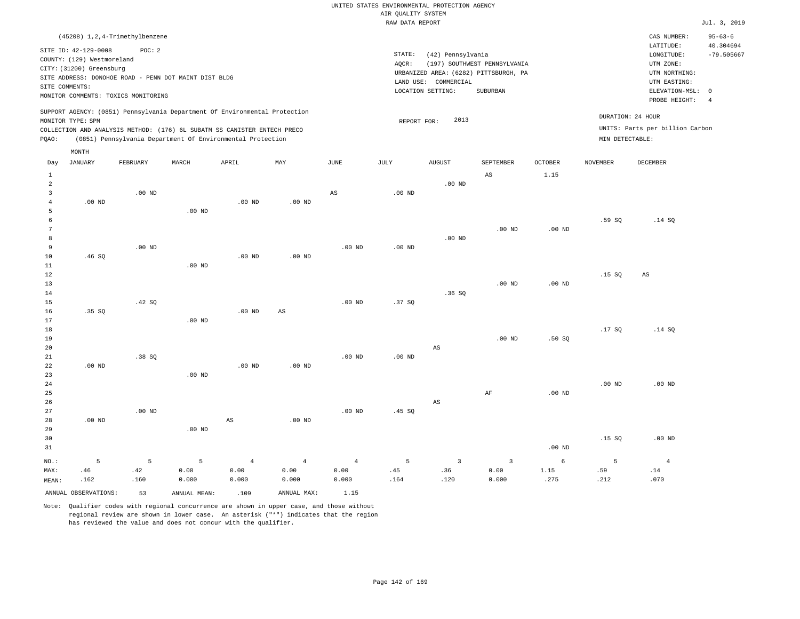| (45208) 1, 2, 4-Trimethylbenzene                                                                                                                                                                                                                            |                                                                                                                                                                        | CAS NUMBER:                                                                                                | $95 - 63 - 6$                   |
|-------------------------------------------------------------------------------------------------------------------------------------------------------------------------------------------------------------------------------------------------------------|------------------------------------------------------------------------------------------------------------------------------------------------------------------------|------------------------------------------------------------------------------------------------------------|---------------------------------|
| SITE ID: 42-129-0008<br>POC:2<br>COUNTY: (129) Westmoreland<br>CITY: (31200) Greensburg<br>SITE ADDRESS: DONOHOE ROAD - PENN DOT MAINT DIST BLDG<br>SITE COMMENTS:<br>MONITOR COMMENTS: TOXICS MONITORING                                                   | STATE:<br>(42) Pennsylvania<br>(197) SOUTHWEST PENNSYLVANIA<br>AOCR:<br>URBANIZED AREA: (6282) PITTSBURGH, PA<br>LAND USE: COMMERCIAL<br>LOCATION SETTING:<br>SUBURBAN | LATITUDE:<br>LONGITUDE:<br>UTM ZONE:<br>UTM NORTHING:<br>UTM EASTING:<br>ELEVATION-MSL: 0<br>PROBE HEIGHT: | 40.304694<br>$-79.505667$<br>-4 |
| SUPPORT AGENCY: (0851) Pennsylvania Department Of Environmental Protection<br>MONITOR TYPE: SPM<br>COLLECTION AND ANALYSIS METHOD: (176) 6L SUBATM SS CANISTER ENTECH PRECO<br>POAO:<br>(0851) Pennsylvania Department Of Environmental Protection<br>MONTH | DURATION: 24 HOUR<br>2013<br>REPORT FOR:<br>MIN DETECTABLE:                                                                                                            | UNITS: Parts per billion Carbon                                                                            |                                 |

| Day          | JANUARY              | FEBRUARY | MARCH        | APRIL             | $\ensuremath{\text{MAX}}$ | $_{\rm JUNE}$          | JULY     | ${\tt AUGUST}$          | SEPTEMBER               | OCTOBER  | NOVEMBER | DECEMBER               |
|--------------|----------------------|----------|--------------|-------------------|---------------------------|------------------------|----------|-------------------------|-------------------------|----------|----------|------------------------|
| $\mathbf{1}$ |                      |          |              |                   |                           |                        |          |                         | $\mathbb{A}\mathbb{S}$  | 1.15     |          |                        |
| $\sqrt{2}$   |                      |          |              |                   |                           |                        |          | $.00$ ND                |                         |          |          |                        |
| 3            |                      | $.00$ ND |              |                   |                           | $\mathbb{A}\mathbb{S}$ | $.00$ ND |                         |                         |          |          |                        |
| 4            | $.00$ ND             |          |              | .00 <sub>ND</sub> | $.00$ ND                  |                        |          |                         |                         |          |          |                        |
| 5            |                      |          | $.00$ ND     |                   |                           |                        |          |                         |                         |          |          |                        |
| 6            |                      |          |              |                   |                           |                        |          |                         |                         |          | .59 SQ   | .14 SQ                 |
| 7            |                      |          |              |                   |                           |                        |          |                         | $.00$ ND                | $.00$ ND |          |                        |
| 8            |                      |          |              |                   |                           |                        |          | $.00$ ND                |                         |          |          |                        |
| 9            |                      | $.00$ ND |              |                   |                           | $.00$ ND               | $.00$ ND |                         |                         |          |          |                        |
| 10           | .46SQ                |          |              | .00 <sub>ND</sub> | $.00$ ND                  |                        |          |                         |                         |          |          |                        |
| $11\,$       |                      |          | $.00$ ND     |                   |                           |                        |          |                         |                         |          |          |                        |
| $12\,$       |                      |          |              |                   |                           |                        |          |                         |                         |          | .15SQ    | $\mathbb{A}\mathbb{S}$ |
| 13           |                      |          |              |                   |                           |                        |          |                         | $.00$ ND                | .00 $ND$ |          |                        |
| $14\,$       |                      |          |              |                   |                           |                        |          | .36SQ                   |                         |          |          |                        |
| 15           |                      | .42 SQ   |              |                   |                           | .00 $ND$               | .37SQ    |                         |                         |          |          |                        |
| 16           | .35SQ                |          |              | .00 <sub>ND</sub> | $\mathbb{A}\mathbb{S}$    |                        |          |                         |                         |          |          |                        |
| 17           |                      |          | $.00$ ND     |                   |                           |                        |          |                         |                         |          |          |                        |
| 18           |                      |          |              |                   |                           |                        |          |                         |                         |          | .17 SQ   | .14 SQ                 |
| 19           |                      |          |              |                   |                           |                        |          |                         | $.00$ ND                | .50SQ    |          |                        |
| $20\,$       |                      |          |              |                   |                           |                        |          | $\mathbb{A}\mathbb{S}$  |                         |          |          |                        |
| 21           |                      | .38SQ    |              |                   |                           | $.00$ ND               | $.00$ ND |                         |                         |          |          |                        |
| 22           | $.00$ ND             |          |              | .00 <sub>ND</sub> | $.00$ ND                  |                        |          |                         |                         |          |          |                        |
| 23           |                      |          | $.00$ ND     |                   |                           |                        |          |                         |                         |          |          |                        |
| 24           |                      |          |              |                   |                           |                        |          |                         |                         |          | $.00$ ND | $.00$ ND               |
| 25<br>26     |                      |          |              |                   |                           |                        |          |                         | $\rm{AF}$               | $.00$ ND |          |                        |
| 27           |                      | $.00$ ND |              |                   |                           |                        |          | $\mathbb{A}\mathbb{S}$  |                         |          |          |                        |
| 28           | $.00$ ND             |          |              | AS                | $.00$ ND                  | $.00$ ND               | .45 SQ   |                         |                         |          |          |                        |
| 29           |                      |          | .00 $ND$     |                   |                           |                        |          |                         |                         |          |          |                        |
| 30           |                      |          |              |                   |                           |                        |          |                         |                         |          | .15S     | $.00$ ND               |
| 31           |                      |          |              |                   |                           |                        |          |                         |                         | .00 $ND$ |          |                        |
|              |                      |          |              |                   |                           |                        |          |                         |                         |          |          |                        |
| $NO.$ :      | 5                    | 5        | 5            | $\overline{4}$    | $\overline{4}$            | $\sqrt{4}$             | 5        | $\overline{\mathbf{3}}$ | $\overline{\mathbf{3}}$ | 6        | 5        | $\overline{4}$         |
| MAX:         | .46                  | .42      | 0.00         | 0.00              | 0.00                      | 0.00                   | .45      | .36                     | 0.00                    | 1.15     | .59      | .14                    |
| MEAN:        | .162                 | .160     | 0.000        | 0.000             | 0.000                     | 0.000                  | .164     | .120                    | 0.000                   | .275     | .212     | .070                   |
|              | ANNUAL OBSERVATIONS: | 53       | ANNUAL MEAN: | .109              | ANNUAL MAX:               | 1.15                   |          |                         |                         |          |          |                        |

Note: Qualifier codes with regional concurrence are shown in upper case, and those without

regional review are shown in lower case. An asterisk ("\*") indicates that the region

has reviewed the value and does not concur with the qualifier.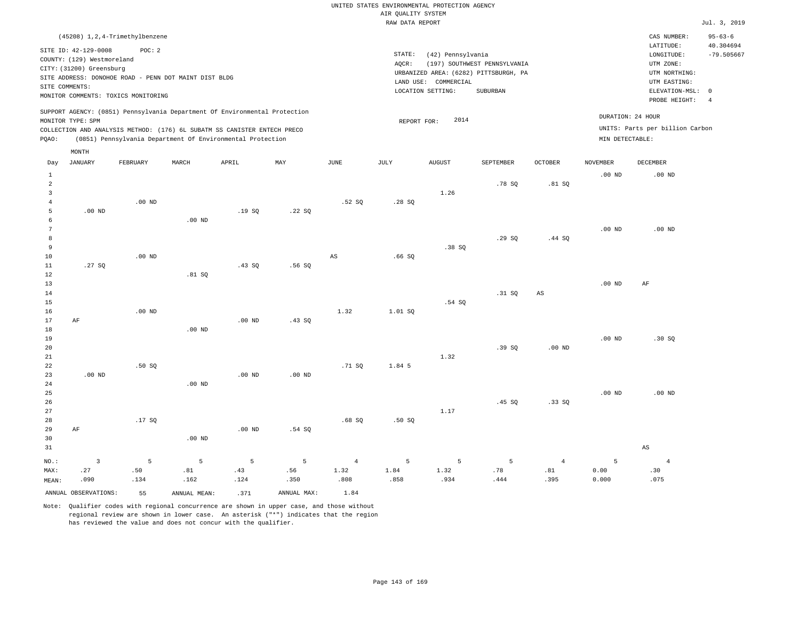|       |                                                                          | (45208) 1, 2, 4-Trimethylbenzene                                                             |       |                                                                                                                                                                                                                      |     |      |        |                                                                                       |                                          |         |                 | CAS NUMBER:                                                                   | $95 - 63 - 6$                    |
|-------|--------------------------------------------------------------------------|----------------------------------------------------------------------------------------------|-------|----------------------------------------------------------------------------------------------------------------------------------------------------------------------------------------------------------------------|-----|------|--------|---------------------------------------------------------------------------------------|------------------------------------------|---------|-----------------|-------------------------------------------------------------------------------|----------------------------------|
|       | SITE ID: 42-129-0008                                                     | POC: 2                                                                                       |       |                                                                                                                                                                                                                      |     |      | STATE: | (42) Pennsylvania                                                                     |                                          |         |                 | LATITUDE:<br>LONGITUDE:                                                       | 40.304694<br>$-79.505667$        |
|       | COUNTY: (129) Westmoreland<br>CITY: (31200) Greensburg<br>SITE COMMENTS: | SITE ADDRESS: DONOHOE ROAD - PENN DOT MAINT DIST BLDG<br>MONITOR COMMENTS: TOXICS MONITORING |       |                                                                                                                                                                                                                      |     |      | AQCR:  | URBANIZED AREA: (6282) PITTSBURGH, PA<br>COMMERCIAL<br>LAND USE:<br>LOCATION SETTING: | (197) SOUTHWEST PENNSYLVANIA<br>SUBURBAN |         |                 | UTM ZONE:<br>UTM NORTHING:<br>UTM EASTING:<br>ELEVATION-MSL:<br>PROBE HEIGHT: | $\overline{0}$<br>$\overline{4}$ |
| POAO: | MONITOR TYPE: SPM                                                        |                                                                                              |       | SUPPORT AGENCY: (0851) Pennsylvania Department Of Environmental Protection<br>COLLECTION AND ANALYSIS METHOD: (176) 6L SUBATM SS CANISTER ENTECH PRECO<br>(0851) Pennsylvania Department Of Environmental Protection |     |      |        | 2014<br>REPORT FOR:                                                                   |                                          |         | MIN DETECTABLE: | DURATION: 24 HOUR<br>UNITS: Parts per billion Carbon                          |                                  |
| Day   | MONTH<br>JANUARY                                                         | FEBRUARY                                                                                     | MARCH | APRIL                                                                                                                                                                                                                | MAY | JUNE | JULY   | <b>AUGUST</b>                                                                         | SEPTEMBER                                | OCTOBER | NOVEMBER        | DECEMBER                                                                      |                                  |
|       |                                                                          |                                                                                              |       |                                                                                                                                                                                                                      |     |      |        |                                                                                       | .78 SO                                   | .81SQ   | $.00$ ND        | .00 <sub>ND</sub>                                                             |                                  |
|       |                                                                          |                                                                                              |       |                                                                                                                                                                                                                      |     |      |        | 1.26                                                                                  |                                          |         |                 |                                                                               |                                  |

.28 SQ

| 5  | $.00$ ND |          |          | .19SQ    | .22SQ  |      |        |        |        |        |          |          |
|----|----------|----------|----------|----------|--------|------|--------|--------|--------|--------|----------|----------|
| 6  |          |          | $.00$ ND |          |        |      |        |        |        |        |          |          |
| 7  |          |          |          |          |        |      |        |        |        |        | $.00$ ND | $.00$ ND |
| 8  |          |          |          |          |        |      |        |        | .29SQ  | .44 SQ |          |          |
| 9  |          |          |          |          |        |      |        | .38SQ  |        |        |          |          |
| 10 |          | $.00$ ND |          |          |        | AS   | .66SQ  |        |        |        |          |          |
| 11 | .27SQ    |          |          | .43 SQ   | .56 SQ |      |        |        |        |        |          |          |
| 12 |          |          | .81SQ    |          |        |      |        |        |        |        |          |          |
| 13 |          |          |          |          |        |      |        |        |        |        | $.00$ ND | AF       |
| 14 |          |          |          |          |        |      |        |        | .31 SQ | AS     |          |          |
| 15 |          |          |          |          |        |      |        | .54 SQ |        |        |          |          |
| 16 |          | $.00$ ND |          |          |        | 1.32 | 1.01SQ |        |        |        |          |          |
| 17 | AF       |          |          | $.00$ ND | .43 SQ |      |        |        |        |        |          |          |

.52 SQ

| 18 |          |      | $.00$ ND |          |          |        |        |      |       |          |          |       |
|----|----------|------|----------|----------|----------|--------|--------|------|-------|----------|----------|-------|
| 19 |          |      |          |          |          |        |        |      |       |          | $.00$ ND | .30SQ |
| 20 |          |      |          |          |          |        |        |      | .39SQ | $.00$ ND |          |       |
| 21 |          |      |          |          |          |        |        | 1.32 |       |          |          |       |
| 22 |          | .50S |          |          |          | .71 SQ | 1.84 5 |      |       |          |          |       |
| 23 | $.00$ ND |      |          | $.00$ ND | $.00$ ND |        |        |      |       |          |          |       |

| 24      |    |        | $.00$ ND |                   |        |       |      |      |        |                |          |          |
|---------|----|--------|----------|-------------------|--------|-------|------|------|--------|----------------|----------|----------|
| 25      |    |        |          |                   |        |       |      |      |        |                | $.00$ ND | $.00$ ND |
| 26      |    |        |          |                   |        |       |      |      | .45 SQ | .33SQ          |          |          |
| 27      |    |        |          |                   |        |       |      | 1.17 |        |                |          |          |
| 28      |    | .17 SQ |          |                   |        | .68SQ | .50S |      |        |                |          |          |
| 29      | AF |        |          | .00 <sub>ND</sub> | .54 SQ |       |      |      |        |                |          |          |
| 30      |    |        | $.00$ ND |                   |        |       |      |      |        |                |          |          |
| 31      |    |        |          |                   |        |       |      |      |        |                |          | AS       |
| $NO.$ : |    | 5      | 5        | 5                 | -5     | 4     | 5.   | 5.   | 5.     | $\overline{4}$ |          |          |

 1.32 .808

ANNUAL OBSERVATIONS: 55 ANNUAL MEAN: .371 ANNUAL MAX: 1.84

 .43 .124  .56 .350

 .81 .162

4

.00 ND

MAX: MEAN:

 .27 .090  .50 .134

Note: Qualifier codes with regional concurrence are shown in upper case, and those without regional review are shown in lower case. An asterisk ("\*") indicates that the region has reviewed the value and does not concur with the qualifier.

 1.84 .858  1.32 .934  .78 .444  .81 .395  0.00 0.000  .30 .075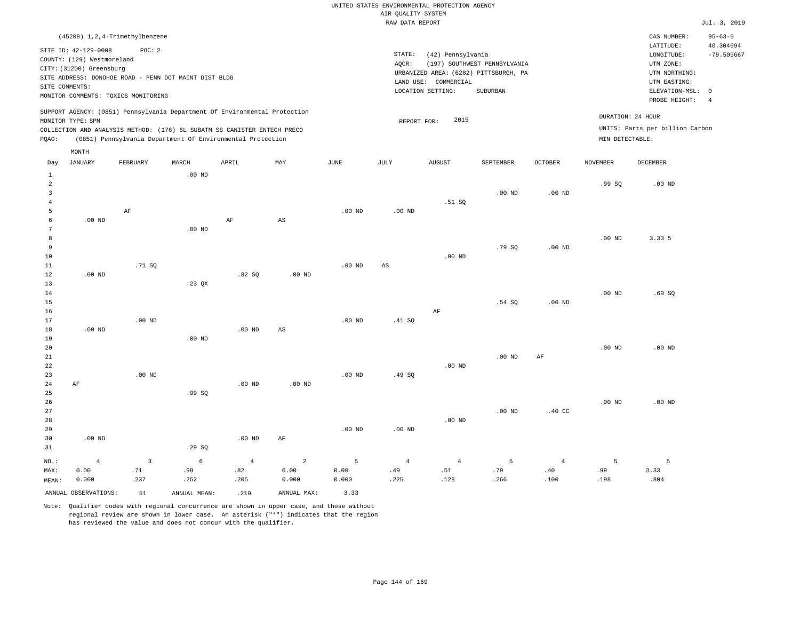| (45208) 1, 2, 4-Trimethylbenzene                                                                                                                                                                                                                   |                                                                                                                                                                        | CAS NUMBER:                                                                                                | $95 - 63 - 6$             |
|----------------------------------------------------------------------------------------------------------------------------------------------------------------------------------------------------------------------------------------------------|------------------------------------------------------------------------------------------------------------------------------------------------------------------------|------------------------------------------------------------------------------------------------------------|---------------------------|
| SITE ID: 42-129-0008<br>POC:2<br>COUNTY: (129) Westmoreland<br>CITY: (31200) Greensburg<br>SITE ADDRESS: DONOHOE ROAD - PENN DOT MAINT DIST BLDG<br>SITE COMMENTS:<br>MONITOR COMMENTS: TOXICS MONITORING                                          | STATE:<br>(42) Pennsylvania<br>(197) SOUTHWEST PENNSYLVANIA<br>AOCR:<br>URBANIZED AREA: (6282) PITTSBURGH, PA<br>LAND USE: COMMERCIAL<br>LOCATION SETTING:<br>SUBURBAN | LATITUDE:<br>LONGITUDE:<br>UTM ZONE:<br>UTM NORTHING:<br>UTM EASTING:<br>ELEVATION-MSL: 0<br>PROBE HEIGHT: | 40.304694<br>$-79.505667$ |
| SUPPORT AGENCY: (0851) Pennsylvania Department Of Environmental Protection<br>MONITOR TYPE: SPM<br>COLLECTION AND ANALYSIS METHOD: (176) 6L SUBATM SS CANISTER ENTECH PRECO<br>(0851) Pennsylvania Department Of Environmental Protection<br>POAO: | 2015<br>REPORT FOR:                                                                                                                                                    | DURATION: 24 HOUR<br>UNITS: Parts per billion Carbon<br>MIN DETECTABLE:                                    |                           |

| Day            | <b>JANUARY</b>       | FEBRUARY    | MARCH        | APRIL          | MAY                    | $_{\rm JUNE}$ | JULY                   | AUGUST         | SEPTEMBER      | OCTOBER        | <b>NOVEMBER</b>   | DECEMBER |
|----------------|----------------------|-------------|--------------|----------------|------------------------|---------------|------------------------|----------------|----------------|----------------|-------------------|----------|
| $\mathbf{1}$   |                      |             | $.00$ ND     |                |                        |               |                        |                |                |                |                   |          |
| $\overline{a}$ |                      |             |              |                |                        |               |                        |                |                |                | .99SQ             | $.00$ ND |
| 3              |                      |             |              |                |                        |               |                        |                | $.00$ ND       | $.00$ ND       |                   |          |
| 4              |                      |             |              |                |                        |               |                        | .51 SQ         |                |                |                   |          |
| 5              |                      | AF          |              |                |                        | $.00$ ND      | $.00$ ND               |                |                |                |                   |          |
| 6              | $.00$ ND             |             |              | $\rm AF$       | $\mathbb{A}\mathbb{S}$ |               |                        |                |                |                |                   |          |
| 7              |                      |             | $.00$ ND     |                |                        |               |                        |                |                |                |                   |          |
| 8              |                      |             |              |                |                        |               |                        |                |                |                | $.00$ ND          | 3.33 5   |
| 9              |                      |             |              |                |                        |               |                        |                | .79 SQ         | $.00$ ND       |                   |          |
| 10             |                      |             |              |                |                        |               |                        | $.00$ ND       |                |                |                   |          |
| 11             |                      | .71 SQ      |              |                |                        | $.00$ ND      | $\mathbb{A}\mathbb{S}$ |                |                |                |                   |          |
| 12             | $.00$ ND             |             |              | .82SQ          | .00 <sub>ND</sub>      |               |                        |                |                |                |                   |          |
| 13             |                      |             | .23 QX       |                |                        |               |                        |                |                |                |                   |          |
| 14             |                      |             |              |                |                        |               |                        |                |                |                | .00 <sub>ND</sub> | .69SQ    |
| 15             |                      |             |              |                |                        |               |                        |                | .54 SQ         | $.00$ ND       |                   |          |
| 16             |                      |             |              |                |                        |               |                        | AF             |                |                |                   |          |
| 17             |                      | $.00$ ND    |              |                |                        | $.00$ ND      | .41 SQ                 |                |                |                |                   |          |
| 18             | $.00$ ND             |             |              | $.00$ ND       | AS                     |               |                        |                |                |                |                   |          |
| 19             |                      |             | $.00$ ND     |                |                        |               |                        |                |                |                |                   |          |
| 20             |                      |             |              |                |                        |               |                        |                |                |                | .00 <sub>ND</sub> | $.00$ ND |
| $2\sqrt{1}$    |                      |             |              |                |                        |               |                        |                | $.00$ ND       | AF             |                   |          |
| 22             |                      |             |              |                |                        |               |                        | $.00$ ND       |                |                |                   |          |
| 23             |                      | $.00$ ND    |              |                |                        | $.00$ ND      | .49SQ                  |                |                |                |                   |          |
| $2\sqrt{4}$    | AF                   |             |              | $.00$ ND       | .00 <sub>ND</sub>      |               |                        |                |                |                |                   |          |
| 25             |                      |             | .99SQ        |                |                        |               |                        |                |                |                |                   |          |
| 26             |                      |             |              |                |                        |               |                        |                |                |                | .00 <sub>ND</sub> | $.00$ ND |
| $2\,7$         |                      |             |              |                |                        |               |                        |                | $.00$ ND       | .40 CC         |                   |          |
| 28             |                      |             |              |                |                        |               |                        | $.00$ ND       |                |                |                   |          |
| 29             |                      |             |              |                |                        | $.00$ ND      | $.00$ ND               |                |                |                |                   |          |
| 30             | $.00$ ND             |             |              | $.00$ ND       | AF                     |               |                        |                |                |                |                   |          |
| 31             |                      |             | .29SQ        |                |                        |               |                        |                |                |                |                   |          |
| $NO.$ :        | $\overline{4}$       | $\mathsf 3$ | 6            | $\overline{4}$ | $\sqrt{2}$             | 5             | $\overline{4}$         | $\overline{4}$ | $\overline{5}$ | $\overline{4}$ | 5                 | 5        |
| MAX:           | 0.00                 | .71         | .99          | .82            | 0.00                   | 0.00          | .49                    | .51            | .79            | $.40$          | .99               | 3.33     |
| MEAN:          | 0.000                | .237        | .252         | .205           | 0.000                  | 0.000         | .225                   | .128           | .266           | .100           | .198              | .804     |
|                | ANNUAL OBSERVATIONS: | 51          | ANNUAL MEAN: | .219           | ANNUAL MAX:            | 3.33          |                        |                |                |                |                   |          |

Note: Qualifier codes with regional concurrence are shown in upper case, and those without regional review are shown in lower case. An asterisk ("\*") indicates that the region has reviewed the value and does not concur with the qualifier.

MONTH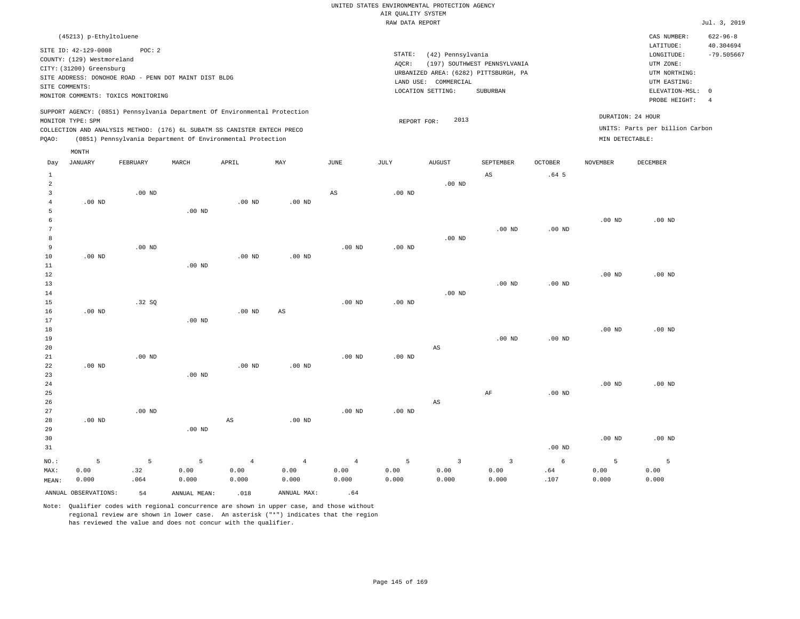|                | (45213) p-Ethyltoluene                                                                           |                                                                                                        |       |                                                                                                                                        |                                                                            |      |                 |                                                                                                                                         |                                                                                                          |                                                           |                 | CAS NUMBER:                                                             | $622 - 96 - 8$ |
|----------------|--------------------------------------------------------------------------------------------------|--------------------------------------------------------------------------------------------------------|-------|----------------------------------------------------------------------------------------------------------------------------------------|----------------------------------------------------------------------------|------|-----------------|-----------------------------------------------------------------------------------------------------------------------------------------|----------------------------------------------------------------------------------------------------------|-----------------------------------------------------------|-----------------|-------------------------------------------------------------------------|----------------|
|                | SITE ID: 42-129-0008<br>COUNTY: (129) Westmoreland<br>CITY: (31200) Greensburg<br>SITE COMMENTS: | POC: 2<br>SITE ADDRESS: DONOHOE ROAD - PENN DOT MAINT DIST BLDG<br>MONITOR COMMENTS: TOXICS MONITORING |       |                                                                                                                                        |                                                                            |      | STATE:<br>AQCR: | (42) Pennsylvania<br>(197) SOUTHWEST PENNSYLVANIA<br>URBANIZED AREA: (6282) PITTSBURGH, PA<br>LAND USE: COMMERCIAL<br>LOCATION SETTING: | LATITUDE:<br>LONGITUDE:<br>UTM ZONE:<br>UTM NORTHING:<br>UTM EASTING:<br>ELEVATION-MSL:<br>PROBE HEIGHT: | 40.304694<br>$-79.505667$<br>$^{\circ}$<br>$\overline{4}$ |                 |                                                                         |                |
| POAO:          | MONITOR TYPE: SPM                                                                                |                                                                                                        |       | COLLECTION AND ANALYSIS METHOD: (176) 6L SUBATM SS CANISTER ENTECH PRECO<br>(0851) Pennsylvania Department Of Environmental Protection | SUPPORT AGENCY: (0851) Pennsylvania Department Of Environmental Protection |      |                 | 2013<br>REPORT FOR:                                                                                                                     |                                                                                                          |                                                           |                 | DURATION: 24 HOUR<br>UNITS: Parts per billion Carbon<br>MIN DETECTABLE: |                |
|                | MONTH                                                                                            |                                                                                                        |       |                                                                                                                                        |                                                                            |      |                 |                                                                                                                                         |                                                                                                          |                                                           |                 |                                                                         |                |
| Day            | JANUARY                                                                                          | FEBRUARY                                                                                               | MARCH | APRIL                                                                                                                                  | MAY                                                                        | JUNE | JULY            | <b>AUGUST</b>                                                                                                                           | SEPTEMBER                                                                                                | <b>OCTOBER</b>                                            | <b>NOVEMBER</b> | DECEMBER                                                                |                |
|                |                                                                                                  |                                                                                                        |       |                                                                                                                                        |                                                                            |      |                 |                                                                                                                                         | AS                                                                                                       | .64 <sub>5</sub>                                          |                 |                                                                         |                |
| $\overline{2}$ |                                                                                                  |                                                                                                        |       |                                                                                                                                        |                                                                            |      |                 | $.00$ ND                                                                                                                                |                                                                                                          |                                                           |                 |                                                                         |                |
|                |                                                                                                  | $.00$ ND                                                                                               |       |                                                                                                                                        |                                                                            | AS   | $.00$ ND        |                                                                                                                                         |                                                                                                          |                                                           |                 |                                                                         |                |
|                | $.00$ ND                                                                                         |                                                                                                        |       | $.00$ ND                                                                                                                               | .00 <sub>ND</sub>                                                          |      |                 |                                                                                                                                         |                                                                                                          |                                                           |                 |                                                                         |                |

| -5           |          |          | .00 <sub>ND</sub> |          |          |          |          |          |          |          |          |          |
|--------------|----------|----------|-------------------|----------|----------|----------|----------|----------|----------|----------|----------|----------|
| -6           |          |          |                   |          |          |          |          |          |          |          | $.00$ ND | $.00$ ND |
| $\mathbf{r}$ |          |          |                   |          |          |          |          |          | $.00$ ND | $.00$ ND |          |          |
| 8            |          |          |                   |          |          |          |          | $.00$ ND |          |          |          |          |
| <b>Q</b>     |          | $.00$ ND |                   |          |          | $.00$ ND | $.00$ ND |          |          |          |          |          |
| 10           | $.00$ ND |          |                   | $.00$ ND | $.00$ ND |          |          |          |          |          |          |          |
| 11           |          |          | $00 \text{ MP}$   |          |          |          |          |          |          |          |          |          |

| .  |          |          | $\cdot$ $\circ$ $\cdot$ $\cdot$ $\cdot$ |          |          |          |          |          |          |          |          |          |
|----|----------|----------|-----------------------------------------|----------|----------|----------|----------|----------|----------|----------|----------|----------|
| 12 |          |          |                                         |          |          |          |          |          |          |          | $.00$ ND | $.00$ ND |
| 13 |          |          |                                         |          |          |          |          |          | $.00$ ND | $.00$ ND |          |          |
| 14 |          |          |                                         |          |          |          |          | $.00$ ND |          |          |          |          |
| 15 |          | .32SQ    |                                         |          |          | $.00$ ND | $.00$ ND |          |          |          |          |          |
| 16 | $.00$ ND |          |                                         | $.00$ ND | AS       |          |          |          |          |          |          |          |
| 17 |          |          | $.00$ ND                                |          |          |          |          |          |          |          |          |          |
| 18 |          |          |                                         |          |          |          |          |          |          |          | $.00$ ND | $.00$ ND |
| 19 |          |          |                                         |          |          |          |          |          | $.00$ ND | $.00$ ND |          |          |
| 20 |          |          |                                         |          |          |          |          | AS       |          |          |          |          |
| 21 |          | $.00$ ND |                                         |          |          | $.00$ ND | $.00$ ND |          |          |          |          |          |
| 22 | $.00$ ND |          |                                         | $.00$ ND | $.00$ ND |          |          |          |          |          |          |          |
| 23 |          |          | $.00$ ND                                |          |          |          |          |          |          |          |          |          |
| 24 |          |          |                                         |          |          |          |          |          |          |          | $.00$ ND | $.00$ ND |
| 25 |          |          |                                         |          |          |          |          |          | AF       | $.00$ ND |          |          |
| 26 |          |          |                                         |          |          |          |          | AS       |          |          |          |          |

| 27    |          | $.00$ ND |          |       |          | $.00$ ND | $.00$ ND |       |       |                   |          |                   |
|-------|----------|----------|----------|-------|----------|----------|----------|-------|-------|-------------------|----------|-------------------|
| 28    | $.00$ ND |          |          | AS    | $.00$ ND |          |          |       |       |                   |          |                   |
| 29    |          |          | $.00$ ND |       |          |          |          |       |       |                   |          |                   |
| 30    |          |          |          |       |          |          |          |       |       |                   | $.00$ ND | .00 <sub>ND</sub> |
| 31    |          |          |          |       |          |          |          |       |       | .00 <sub>ND</sub> |          |                   |
| NO.:  |          |          |          |       | 4        |          | 5        |       |       | 6                 |          |                   |
| MAX:  | 0.00     | .32      | 0.00     | 0.00  | 0.00     | 0.00     | 0.00     | 0.00  | 0.00  | .64               | 0.00     | 0.00              |
| MEAN: | 0.000    | .064     | 0.000    | 0.000 | 0.000    | 0.000    | 0.000    | 0.000 | 0.000 | .107              | 0.000    | 0.000             |

ANNUAL OBSERVATIONS:  $54$  ANNUAL MEAN: .018 ANNUAL MAX: .64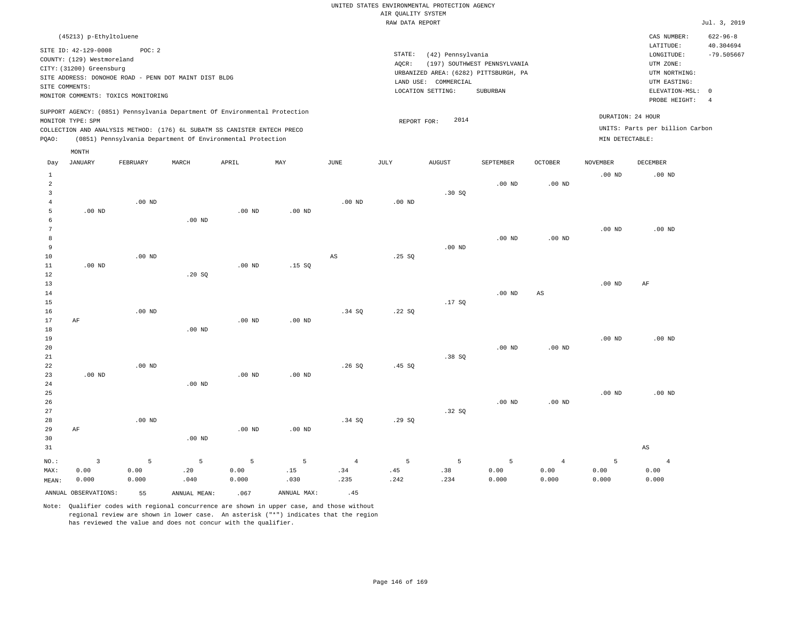| (45213) p-Ethyltoluene                                                                                                                                                                                                                             |                                                                                                                                                                        | CAS NUMBER:                                                                                                | $622 - 96 - 8$                  |
|----------------------------------------------------------------------------------------------------------------------------------------------------------------------------------------------------------------------------------------------------|------------------------------------------------------------------------------------------------------------------------------------------------------------------------|------------------------------------------------------------------------------------------------------------|---------------------------------|
| SITE ID: 42-129-0008<br>POC: 2<br>COUNTY: (129) Westmoreland<br>CITY: (31200) Greensburg<br>SITE ADDRESS: DONOHOE ROAD - PENN DOT MAINT DIST BLDG<br>SITE COMMENTS:<br>MONITOR COMMENTS: TOXICS MONITORING                                         | STATE:<br>(42) Pennsylvania<br>(197) SOUTHWEST PENNSYLVANIA<br>AOCR:<br>URBANIZED AREA: (6282) PITTSBURGH, PA<br>LAND USE: COMMERCIAL<br>LOCATION SETTING:<br>SUBURBAN | LATITUDE:<br>LONGITUDE:<br>UTM ZONE:<br>UTM NORTHING:<br>UTM EASTING:<br>ELEVATION-MSL: 0<br>PROBE HEIGHT: | 40.304694<br>$-79.505667$<br>-4 |
| SUPPORT AGENCY: (0851) Pennsylvania Department Of Environmental Protection<br>MONITOR TYPE: SPM<br>COLLECTION AND ANALYSIS METHOD: (176) 6L SUBATM SS CANISTER ENTECH PRECO<br>(0851) Pennsylvania Department Of Environmental Protection<br>POAO: | 2014<br>REPORT FOR:                                                                                                                                                    | DURATION: 24 HOUR<br>UNITS: Parts per billion Carbon<br>MIN DETECTABLE:                                    |                                 |
| MONTH                                                                                                                                                                                                                                              |                                                                                                                                                                        |                                                                                                            |                                 |

| Day            | <b>JANUARY</b>          | FEBRUARY    | MARCH        | APRIL    | $\ensuremath{\text{MAX}}$ | $_{\rm JUNE}$ | JULY     | AUGUST         | SEPTEMBER | OCTOBER                | <b>NOVEMBER</b>   | $\tt DECEMBER$         |
|----------------|-------------------------|-------------|--------------|----------|---------------------------|---------------|----------|----------------|-----------|------------------------|-------------------|------------------------|
| $\mathbf{1}$   |                         |             |              |          |                           |               |          |                |           |                        | $.00$ ND          | .00 <sub>ND</sub>      |
| $\overline{a}$ |                         |             |              |          |                           |               |          |                | $.00$ ND  | .00 $ND$               |                   |                        |
| 3              |                         |             |              |          |                           |               |          | .30SQ          |           |                        |                   |                        |
| $\overline{4}$ |                         | $.00$ ND    |              |          |                           | $.00$ ND      | .00 $ND$ |                |           |                        |                   |                        |
| 5              | $.00$ ND                |             |              | $.00$ ND | .00 $ND$                  |               |          |                |           |                        |                   |                        |
| 6              |                         |             | $.00$ ND     |          |                           |               |          |                |           |                        |                   |                        |
| 7              |                         |             |              |          |                           |               |          |                |           |                        | .00 <sub>ND</sub> | $.00$ ND               |
| 8              |                         |             |              |          |                           |               |          |                | $.00$ ND  | .00 <sub>ND</sub>      |                   |                        |
| 9              |                         |             |              |          |                           |               |          | $.00$ ND       |           |                        |                   |                        |
| 10             |                         | $.00$ ND    |              |          |                           | $_{\rm AS}$   | .25SQ    |                |           |                        |                   |                        |
| 11             | .00 $ND$                |             |              | $.00$ ND | .15 SQ                    |               |          |                |           |                        |                   |                        |
| 12             |                         |             | .20 SQ       |          |                           |               |          |                |           |                        |                   |                        |
| 13             |                         |             |              |          |                           |               |          |                |           |                        | .00 $ND$          | AF                     |
| $14\,$         |                         |             |              |          |                           |               |          |                | $.00$ ND  | $\mathbb{A}\mathbb{S}$ |                   |                        |
| 15             |                         |             |              |          |                           |               |          | .17SQ          |           |                        |                   |                        |
| 16             | $\rm AF$                | $.00$ ND    |              | $.00$ ND |                           | .34 SQ        | .22SQ    |                |           |                        |                   |                        |
| 17<br>18       |                         |             | $.00$ ND     |          | .00 $ND$                  |               |          |                |           |                        |                   |                        |
| 19             |                         |             |              |          |                           |               |          |                |           |                        | $.00$ ND          | .00 <sub>ND</sub>      |
| $20$           |                         |             |              |          |                           |               |          |                | $.00$ ND  | .00 $ND$               |                   |                        |
| $2\sqrt{1}$    |                         |             |              |          |                           |               |          | .38SQ          |           |                        |                   |                        |
| 22             |                         | $.00$ ND    |              |          |                           | .26S          | .45 SQ   |                |           |                        |                   |                        |
| 23             | $.00$ ND                |             |              | $.00$ ND | $.00$ ND                  |               |          |                |           |                        |                   |                        |
| 24             |                         |             | $.00$ ND     |          |                           |               |          |                |           |                        |                   |                        |
| 25             |                         |             |              |          |                           |               |          |                |           |                        | $.00$ ND          | .00 <sub>ND</sub>      |
| 26             |                         |             |              |          |                           |               |          |                | $.00$ ND  | $.00$ ND               |                   |                        |
| 27             |                         |             |              |          |                           |               |          | .32SQ          |           |                        |                   |                        |
| 28             |                         | $.00$ ND    |              |          |                           | .34 SQ        | .29SQ    |                |           |                        |                   |                        |
| 29             | $\rm AF$                |             |              | $.00$ ND | $.00$ ND                  |               |          |                |           |                        |                   |                        |
| 30             |                         |             | .00 $ND$     |          |                           |               |          |                |           |                        |                   |                        |
| 31             |                         |             |              |          |                           |               |          |                |           |                        |                   | $\mathbb{A}\mathbb{S}$ |
| $_{\rm NO.}$ : | $\overline{\mathbf{3}}$ | $\mathsf S$ | $\mathsf S$  | 5        | $\overline{5}$            | $\sqrt{4}$    | 5        | $\overline{5}$ | 5         | $\overline{4}$         | $\mathsf S$       | $\overline{4}$         |
| MAX:           | 0.00                    | 0.00        | .20          | 0.00     | .15                       | .34           | .45      | .38            | 0.00      | 0.00                   | 0.00              | 0.00                   |
| MEAN:          | 0.000                   | 0.000       | .040         | 0.000    | .030                      | .235          | .242     | .234           | 0.000     | 0.000                  | 0.000             | 0.000                  |
|                | ANNUAL OBSERVATIONS:    | 55          | ANNUAL MEAN: | .067     | ANNUAL MAX:               | .45           |          |                |           |                        |                   |                        |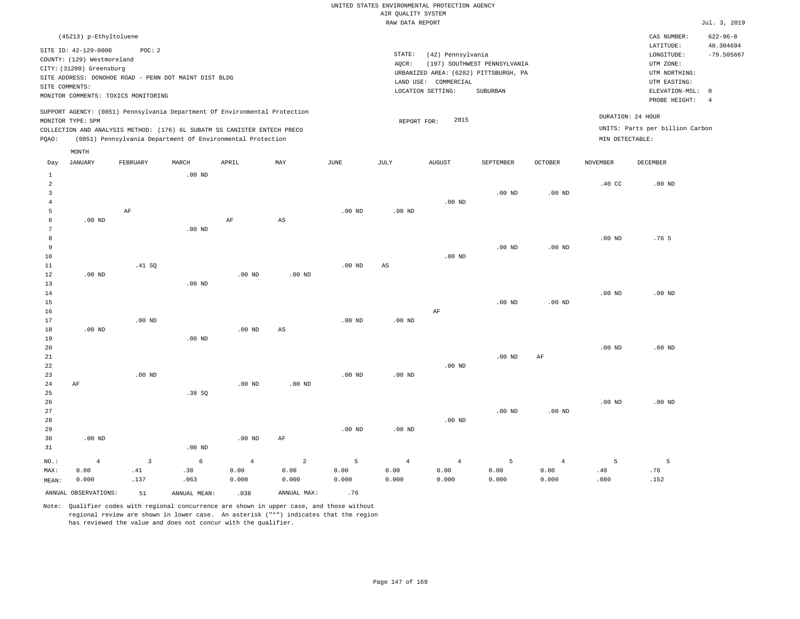|       | (45213) p-Ethyltoluene                                                                           |                                                                                                       |                   |                                                                                                                                                                                                                      |     |      |                              |                                                      |                                                                                   |                |                                      | CAS NUMBER:                                                                                                | $622 - 96 - 8$                              |
|-------|--------------------------------------------------------------------------------------------------|-------------------------------------------------------------------------------------------------------|-------------------|----------------------------------------------------------------------------------------------------------------------------------------------------------------------------------------------------------------------|-----|------|------------------------------|------------------------------------------------------|-----------------------------------------------------------------------------------|----------------|--------------------------------------|------------------------------------------------------------------------------------------------------------|---------------------------------------------|
|       | SITE ID: 42-129-0008<br>COUNTY: (129) Westmoreland<br>CITY: (31200) Greensburg<br>SITE COMMENTS: | POC:2<br>SITE ADDRESS: DONOHOE ROAD - PENN DOT MAINT DIST BLDG<br>MONITOR COMMENTS: TOXICS MONITORING |                   |                                                                                                                                                                                                                      |     |      | STATE:<br>AOCR:<br>LAND USE: | (42) Pennsylvania<br>COMMERCIAL<br>LOCATION SETTING: | (197) SOUTHWEST PENNSYLVANIA<br>URBANIZED AREA: (6282) PITTSBURGH, PA<br>SUBURBAN |                |                                      | LATITUDE:<br>LONGITUDE:<br>UTM ZONE:<br>UTM NORTHING:<br>UTM EASTING:<br>ELEVATION-MSL: 0<br>PROBE HEIGHT: | 40.304694<br>$-79.505667$<br>$\overline{4}$ |
| POAO: | MONITOR TYPE: SPM                                                                                |                                                                                                       |                   | SUPPORT AGENCY: (0851) Pennsylvania Department Of Environmental Protection<br>COLLECTION AND ANALYSIS METHOD: (176) 6L SUBATM SS CANISTER ENTECH PRECO<br>(0851) Pennsylvania Department Of Environmental Protection |     |      | REPORT FOR:                  | 2015                                                 |                                                                                   |                | DURATION: 24 HOUR<br>MIN DETECTABLE: | UNITS: Parts per billion Carbon                                                                            |                                             |
| Day   | MONTH<br>JANUARY                                                                                 | FEBRUARY                                                                                              | MARCH<br>$.00$ ND | APRIL                                                                                                                                                                                                                | MAY | JUNE | JULY                         | <b>AUGUST</b>                                        | SEPTEMBER                                                                         | <b>OCTOBER</b> | NOVEMBER                             | DECEMBER                                                                                                   |                                             |

| $\overline{\mathbf{c}}$ |                   |          |                   |                |                        |          |                        |                |                |                | $.40$ CC          | $.00{\rm ~ND}$   |
|-------------------------|-------------------|----------|-------------------|----------------|------------------------|----------|------------------------|----------------|----------------|----------------|-------------------|------------------|
| 3                       |                   |          |                   |                |                        |          |                        |                | $.00$ ND       | $.00$ ND       |                   |                  |
| $\overline{4}$          |                   |          |                   |                |                        |          |                        | $.00$ ND       |                |                |                   |                  |
| 5                       |                   | $\rm AF$ |                   |                |                        | $.00$ ND | $.00$ ND               |                |                |                |                   |                  |
| 6                       | $.00$ ND          |          |                   | $\rm{AF}$      | $\mathbb{A}\mathbb{S}$ |          |                        |                |                |                |                   |                  |
| 7                       |                   |          | $.00$ ND          |                |                        |          |                        |                |                |                |                   |                  |
| 8                       |                   |          |                   |                |                        |          |                        |                |                |                | $.00$ ND          | .76 <sub>5</sub> |
| 9                       |                   |          |                   |                |                        |          |                        |                | $.00$ ND       | $.00$ ND       |                   |                  |
| $10$                    |                   |          |                   |                |                        |          |                        | $.00$ ND       |                |                |                   |                  |
| 11                      |                   | .41 SQ   |                   |                |                        | $.00$ ND | $\mathbb{A}\mathbb{S}$ |                |                |                |                   |                  |
| 12                      | .00 <sub>ND</sub> |          |                   | $.00$ ND       | $.00$ ND               |          |                        |                |                |                |                   |                  |
| 13                      |                   |          | $.00$ ND          |                |                        |          |                        |                |                |                |                   |                  |
| 14                      |                   |          |                   |                |                        |          |                        |                |                |                | .00 <sub>ND</sub> | $.00$ ND         |
| 15                      |                   |          |                   |                |                        |          |                        |                | $.00$ ND       | $.00$ ND       |                   |                  |
| 16                      |                   |          |                   |                |                        |          |                        | AF             |                |                |                   |                  |
| 17                      |                   | $.00$ ND |                   |                |                        | $.00$ ND | .00 <sub>ND</sub>      |                |                |                |                   |                  |
| 18                      | $.00$ ND          |          |                   | .00 $ND$       | $\mathbb{A}\mathbb{S}$ |          |                        |                |                |                |                   |                  |
| 19                      |                   |          | $.00$ ND          |                |                        |          |                        |                |                |                |                   |                  |
| 20                      |                   |          |                   |                |                        |          |                        |                |                |                | $.00$ ND          | $.00$ ND         |
| 21                      |                   |          |                   |                |                        |          |                        |                | $.00$ ND       | $\rm{AF}$      |                   |                  |
| 22                      |                   |          |                   |                |                        |          |                        | $.00$ ND       |                |                |                   |                  |
| 23                      |                   | $.00$ ND |                   |                |                        | $.00$ ND | .00 <sub>ND</sub>      |                |                |                |                   |                  |
| 24                      | $\rm AF$          |          |                   | $.00$ ND       | $.00$ ND               |          |                        |                |                |                |                   |                  |
| 25                      |                   |          | .38 SQ            |                |                        |          |                        |                |                |                |                   |                  |
| 26                      |                   |          |                   |                |                        |          |                        |                |                |                | $.00$ ND          | $.00$ ND         |
| 27                      |                   |          |                   |                |                        |          |                        |                | $.00$ ND       | $.00$ ND       |                   |                  |
| 28                      |                   |          |                   |                |                        |          |                        | $.00$ ND       |                |                |                   |                  |
| 29                      |                   |          |                   |                |                        | $.00$ ND | $.00$ ND               |                |                |                |                   |                  |
| 30                      | $.00$ ND          |          |                   | .00 $ND$       | $\rm AF$               |          |                        |                |                |                |                   |                  |
| 31                      |                   |          | .00 <sub>ND</sub> |                |                        |          |                        |                |                |                |                   |                  |
| $_{\rm NO.}$ :          | $\overline{4}$    | 3        | $\epsilon$        | $\overline{4}$ | $\sqrt{2}$             | 5        | $\overline{4}$         | $\overline{4}$ | $\overline{5}$ | $\overline{4}$ | 5                 | 5                |
| MAX:                    | 0.00              | .41      | .38               | 0.00           | 0.00                   | 0.00     | 0.00                   | 0.00           | 0.00           | 0.00           | $.40$             | .76              |
| MEAN:                   | 0.000             | .137     | .063              | 0.000          | 0.000                  | 0.000    | 0.000                  | 0.000          | 0.000          | 0.000          | .080              | .152             |

ANNUAL OBSERVATIONS:  $51$  ANNUAL MEAN: .038 ANNUAL MAX: .76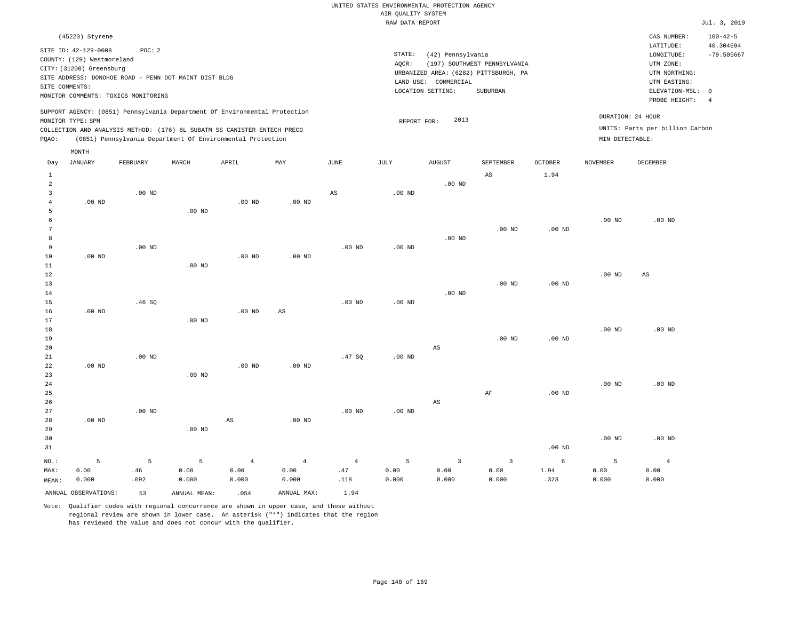# UNITED STATES ENVIRONMENTAL PROTECTION AGENCY AIR QUALITY SYSTEM

|                            |                                                                                                                     |                                                                                                        |                   |                                                                                                                                                                                                                      |                        |                     | RAW DATA REPORT              |                                                                                               |                                          |                        |                   |                                                                                                                             | Jul. 3, 2019                                |
|----------------------------|---------------------------------------------------------------------------------------------------------------------|--------------------------------------------------------------------------------------------------------|-------------------|----------------------------------------------------------------------------------------------------------------------------------------------------------------------------------------------------------------------|------------------------|---------------------|------------------------------|-----------------------------------------------------------------------------------------------|------------------------------------------|------------------------|-------------------|-----------------------------------------------------------------------------------------------------------------------------|---------------------------------------------|
|                            | (45220) Styrene<br>SITE ID: 42-129-0008<br>COUNTY: (129) Westmoreland<br>CITY: (31200) Greensburg<br>SITE COMMENTS: | POC: 2<br>SITE ADDRESS: DONOHOE ROAD - PENN DOT MAINT DIST BLDG<br>MONITOR COMMENTS: TOXICS MONITORING |                   |                                                                                                                                                                                                                      |                        |                     | STATE:<br>AQCR:<br>LAND USE: | (42) Pennsylvania<br>URBANIZED AREA: (6282) PITTSBURGH, PA<br>COMMERCIAL<br>LOCATION SETTING: | (197) SOUTHWEST PENNSYLVANIA<br>SUBURBAN |                        |                   | CAS NUMBER:<br>LATITUDE:<br>LONGITUDE:<br>UTM ZONE:<br>UTM NORTHING:<br>UTM EASTING:<br>ELEVATION-MSL: 0<br>PROBE HEIGHT: 4 | $100 - 42 - 5$<br>40.304694<br>$-79.505667$ |
| PQAO:                      | MONITOR TYPE: SPM                                                                                                   |                                                                                                        |                   | SUPPORT AGENCY: (0851) Pennsylvania Department Of Environmental Protection<br>COLLECTION AND ANALYSIS METHOD: (176) 6L SUBATM SS CANISTER ENTECH PRECO<br>(0851) Pennsylvania Department Of Environmental Protection |                        |                     |                              | 2013<br>REPORT FOR:                                                                           |                                          |                        | MIN DETECTABLE:   | DURATION: 24 HOUR<br>UNITS: Parts per billion Carbon                                                                        |                                             |
| Day<br>1<br>2<br>3         | MONTH<br><b>JANUARY</b>                                                                                             | FEBRUARY<br>$.00$ ND                                                                                   | MARCH             | APRIL                                                                                                                                                                                                                | MAY                    | JUNE<br>$_{\rm AS}$ | JULY<br>$.00$ ND             | <b>AUGUST</b><br>$.00$ ND                                                                     | <b>SEPTEMBER</b><br>AS                   | <b>OCTOBER</b><br>1.94 | <b>NOVEMBER</b>   | DECEMBER                                                                                                                    |                                             |
| 5<br>6                     | $.00$ ND                                                                                                            |                                                                                                        | .00 <sub>ND</sub> | .00 <sub>ND</sub>                                                                                                                                                                                                    | $.00$ ND               |                     |                              |                                                                                               | $.00$ ND                                 | .00 <sub>ND</sub>      | .00 <sub>ND</sub> | $.00$ ND                                                                                                                    |                                             |
| 8<br>9<br>10<br>11         | $.00$ ND                                                                                                            | $.00$ ND                                                                                               | $.00$ ND          | .00 <sub>ND</sub>                                                                                                                                                                                                    | $.00$ ND               | $.00$ ND            | $.00$ ND                     | $.00$ ND                                                                                      |                                          |                        |                   |                                                                                                                             |                                             |
| 12<br>13<br>14<br>15<br>16 | $.00$ ND                                                                                                            | .46SQ                                                                                                  |                   | $.00$ ND                                                                                                                                                                                                             | $\mathbb{A}\mathbb{S}$ | $.00$ ND            | .00 <sub>ND</sub>            | $.00$ ND                                                                                      | $.00$ ND                                 | $.00$ ND               | .00 <sub>ND</sub> | AS                                                                                                                          |                                             |
| 17<br>18<br>19             |                                                                                                                     |                                                                                                        | $.00$ ND          |                                                                                                                                                                                                                      |                        |                     |                              |                                                                                               | $.00$ ND                                 | .00 <sub>ND</sub>      | .00 <sub>ND</sub> | $.00$ ND                                                                                                                    |                                             |

| 20      |          |          |          |                |                |                |          | AS             |    |          |          |          |
|---------|----------|----------|----------|----------------|----------------|----------------|----------|----------------|----|----------|----------|----------|
| 21      |          | $.00$ ND |          |                |                | .47SQ          | $.00$ ND |                |    |          |          |          |
| 22      | $.00$ ND |          |          | $.00$ ND       | $.00$ ND       |                |          |                |    |          |          |          |
| 23      |          |          | $.00$ ND |                |                |                |          |                |    |          |          |          |
| 24      |          |          |          |                |                |                |          |                |    |          | $.00$ ND | $.00$ ND |
| 25      |          |          |          |                |                |                |          |                | AF | $.00$ ND |          |          |
| 26      |          |          |          |                |                |                |          | AS             |    |          |          |          |
| 27      |          | $.00$ ND |          |                |                | $.00$ ND       | $.00$ ND |                |    |          |          |          |
| 28      | $.00$ ND |          |          | AS             | $.00$ ND       |                |          |                |    |          |          |          |
| 29      |          |          | $.00$ ND |                |                |                |          |                |    |          |          |          |
| 30      |          |          |          |                |                |                |          |                |    |          | $.00$ ND | $.00$ ND |
| 31      |          |          |          |                |                |                |          |                |    | $.00$ ND |          |          |
| $NO.$ : | 5        | 5        | 5        | $\overline{4}$ | $\overline{4}$ | $\overline{4}$ | 5        | $\overline{3}$ | 3  | 6        | 5        |          |

| .092<br>0.000<br>0.000<br>.000<br>$\sim$ $\sim$<br>.000<br>.000.<br>,,000<br>MEAN:<br>.<br>.<br>. | 0.000<br>. | . 32 |
|---------------------------------------------------------------------------------------------------|------------|------|
|                                                                                                   |            |      |
| 00.C<br>0.00<br>.00<br>J.OO<br>MAX:<br>,.00<br>46<br>. .<br>.<br>.<br>.<br>.                      | 0.00<br>.  | 1.94 |

Note: Qualifier codes with regional concurrence are shown in upper case, and those without regional review are shown in lower case. An asterisk ("\*") indicates that the region has reviewed the value and does not concur with the qualifier.

.323

 0.00 0.000

 0.00 0.000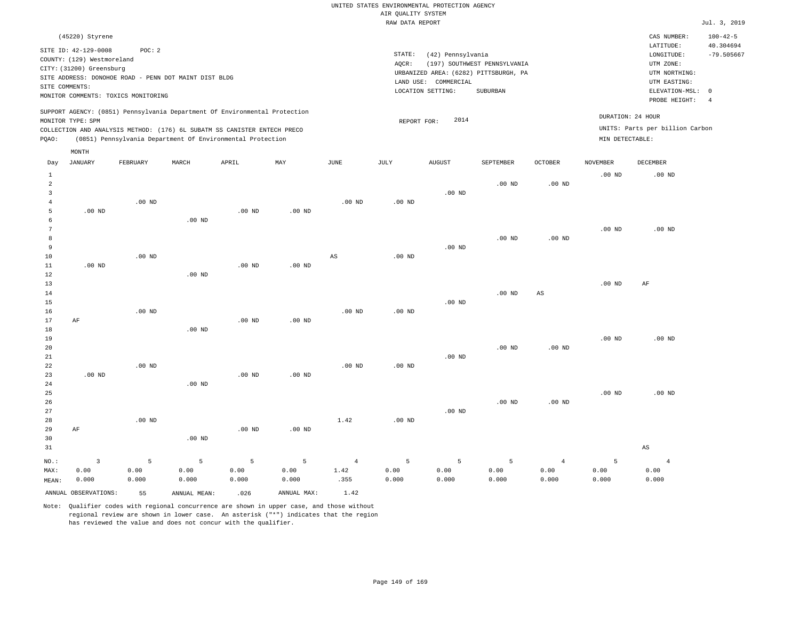### RAW DATA REPORT **FOUND ASSESSED ASSESSED A**  $J$ ul. 3, 2019 UNITED STATES ENVIRONMENTAL PROTECTION AGENCY AIR QUALITY SYSTEM

| (45220) Styrene                                                                                                                                                                                                                                    |                                                                                                                                                                        | CAS NUMBER:                                                                               | $100 - 42 - 5$            |
|----------------------------------------------------------------------------------------------------------------------------------------------------------------------------------------------------------------------------------------------------|------------------------------------------------------------------------------------------------------------------------------------------------------------------------|-------------------------------------------------------------------------------------------|---------------------------|
| SITE ID: 42-129-0008<br>POC: 2<br>COUNTY: (129) Westmoreland<br>CITY: (31200) Greensburg<br>SITE ADDRESS: DONOHOE ROAD - PENN DOT MAINT DIST BLDG<br>SITE COMMENTS:                                                                                | STATE:<br>(42) Pennsylvania<br>(197) SOUTHWEST PENNSYLVANIA<br>AOCR:<br>URBANIZED AREA: (6282) PITTSBURGH, PA<br>LAND USE: COMMERCIAL<br>LOCATION SETTING:<br>SUBURBAN | LATITUDE:<br>LONGITUDE:<br>UTM ZONE:<br>UTM NORTHING:<br>UTM EASTING:<br>ELEVATION-MSL: 0 | 40.304694<br>$-79.505667$ |
| MONITOR COMMENTS: TOXICS MONITORING                                                                                                                                                                                                                |                                                                                                                                                                        | PROBE HEIGHT:                                                                             |                           |
| SUPPORT AGENCY: (0851) Pennsylvania Department Of Environmental Protection<br>MONITOR TYPE: SPM<br>COLLECTION AND ANALYSIS METHOD: (176) 6L SUBATM SS CANISTER ENTECH PRECO<br>(0851) Pennsylvania Department Of Environmental Protection<br>POAO: | 2014<br>REPORT FOR:                                                                                                                                                    | DURATION: 24 HOUR<br>UNITS: Parts per billion Carbon<br>MIN DETECTABLE:                   |                           |
| MONTH                                                                                                                                                                                                                                              |                                                                                                                                                                        |                                                                                           |                           |

| Day            | JANUARY                 | FEBRUARY       | MARCH        | APRIL    | MAY            | JUNE                   | JULY              | AUGUST            | SEPTEMBER         | OCTOBER           | NOVEMBER | DECEMBER               |
|----------------|-------------------------|----------------|--------------|----------|----------------|------------------------|-------------------|-------------------|-------------------|-------------------|----------|------------------------|
| $\mathbf{1}$   |                         |                |              |          |                |                        |                   |                   |                   |                   | $.00$ ND | $.00$ ND               |
| $\overline{a}$ |                         |                |              |          |                |                        |                   |                   | .00 <sub>ND</sub> | $.00$ ND          |          |                        |
| 3              |                         |                |              |          |                |                        |                   | $.00$ ND          |                   |                   |          |                        |
| 4              |                         | $.00$ ND       |              |          |                | $.00$ ND               | $.00$ ND          |                   |                   |                   |          |                        |
| 5              | $.00$ ND                |                |              | $.00$ ND | $.00$ ND       |                        |                   |                   |                   |                   |          |                        |
| 6              |                         |                | $.00$ ND     |          |                |                        |                   |                   |                   |                   |          |                        |
| 7              |                         |                |              |          |                |                        |                   |                   |                   |                   | $.00$ ND | $.00$ ND               |
| 8              |                         |                |              |          |                |                        |                   |                   | .00 <sub>ND</sub> | .00 <sub>ND</sub> |          |                        |
| 9              |                         |                |              |          |                |                        |                   | $.00$ ND          |                   |                   |          |                        |
| 10             |                         | $.00$ ND       |              |          |                | $\mathbb{A}\mathbb{S}$ | $.00$ ND          |                   |                   |                   |          |                        |
| 11             | $.00$ ND                |                |              | $.00$ ND | $.00$ ND       |                        |                   |                   |                   |                   |          |                        |
| 12             |                         |                | $.00$ ND     |          |                |                        |                   |                   |                   |                   |          |                        |
| 13             |                         |                |              |          |                |                        |                   |                   |                   |                   | $.00$ ND | $\rm AF$               |
| 14             |                         |                |              |          |                |                        |                   |                   | $.00$ ND          | $_{\rm AS}$       |          |                        |
| 15             |                         |                |              |          |                |                        |                   | $.00$ ND          |                   |                   |          |                        |
| 16             |                         | $.00$ ND       |              |          |                | $.00$ ND               | $.00$ ND          |                   |                   |                   |          |                        |
| 17             | AF                      |                |              | $.00$ ND | $.00$ ND       |                        |                   |                   |                   |                   |          |                        |
| 18             |                         |                | $.00$ ND     |          |                |                        |                   |                   |                   |                   |          |                        |
| 19             |                         |                |              |          |                |                        |                   |                   |                   |                   | $.00$ ND | $.00$ ND               |
| 20             |                         |                |              |          |                |                        |                   |                   | $.00$ ND          | .00 <sub>ND</sub> |          |                        |
| $2\sqrt{1}$    |                         |                |              |          |                |                        |                   | $.00$ ND          |                   |                   |          |                        |
| $2\sqrt{2}$    | $.00$ ND                | $.00$ ND       |              | $.00$ ND | $.00$ ND       | $.00$ ND               | .00 <sub>ND</sub> |                   |                   |                   |          |                        |
| 23<br>24       |                         |                | $.00$ ND     |          |                |                        |                   |                   |                   |                   |          |                        |
| 25             |                         |                |              |          |                |                        |                   |                   |                   |                   | $.00$ ND | $.00$ ND               |
| 26             |                         |                |              |          |                |                        |                   |                   | .00 <sub>ND</sub> | $.00$ ND          |          |                        |
| 27             |                         |                |              |          |                |                        |                   | .00 <sub>ND</sub> |                   |                   |          |                        |
| 28             |                         | $.00$ ND       |              |          |                | 1.42                   | $.00$ ND          |                   |                   |                   |          |                        |
| 29             | $\rm AF$                |                |              | $.00$ ND | $.00$ ND       |                        |                   |                   |                   |                   |          |                        |
| 30             |                         |                | $.00$ ND     |          |                |                        |                   |                   |                   |                   |          |                        |
| 31             |                         |                |              |          |                |                        |                   |                   |                   |                   |          | $\mathbb{A}\mathbb{S}$ |
|                |                         |                |              |          |                |                        |                   |                   |                   |                   |          |                        |
| $_{\rm NO.}$ : | $\overline{\mathbf{3}}$ | $\overline{5}$ | $\mathsf S$  | 5        | $\overline{5}$ | $\overline{4}$         | 5                 | 5                 | 5                 | $\overline{4}$    | 5        | $\overline{4}$         |
| MAX:           | 0.00                    | 0.00           | 0.00         | 0.00     | 0.00           | 1.42                   | 0.00              | 0.00              | 0.00              | 0.00              | 0.00     | 0.00                   |
| MEAN:          | 0.000                   | 0.000          | 0.000        | 0.000    | 0.000          | .355                   | 0.000             | 0.000             | 0.000             | 0.000             | 0.000    | 0.000                  |
|                | ANNUAL OBSERVATIONS:    | 55             | ANNUAL MEAN: | .026     | ANNUAL MAX:    | 1.42                   |                   |                   |                   |                   |          |                        |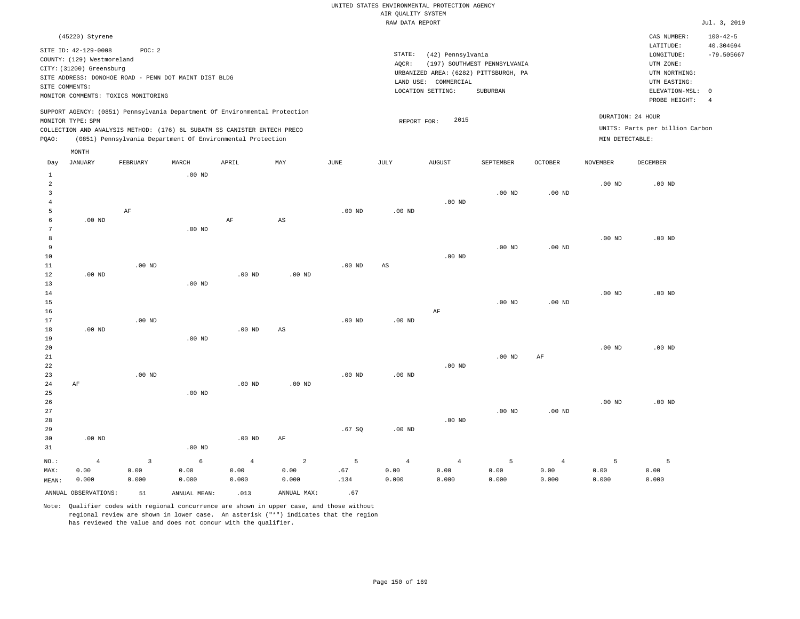| (45220) Styrene                                                            |                                                            |       |       |     |      |        |                                       |           |                |                   | CAS NUMBER:                     | $100 - 42 - 5$ |
|----------------------------------------------------------------------------|------------------------------------------------------------|-------|-------|-----|------|--------|---------------------------------------|-----------|----------------|-------------------|---------------------------------|----------------|
| SITE ID: 42-129-0008                                                       | POC: 2                                                     |       |       |     |      |        |                                       |           |                |                   | LATITUDE:                       | 40.304694      |
|                                                                            |                                                            |       |       |     |      | STATE: | (42) Pennsylvania                     |           |                |                   | LONGITUDE:                      | $-79.505667$   |
| COUNTY: (129) Westmoreland                                                 |                                                            |       |       |     |      | AOCR:  | (197) SOUTHWEST PENNSYLVANIA          |           | UTM ZONE:      |                   |                                 |                |
| CITY: (31200) Greensburg                                                   |                                                            |       |       |     |      |        | UTM NORTHING:                         |           |                |                   |                                 |                |
| SITE ADDRESS: DONOHOE ROAD - PENN DOT MAINT DIST BLDG                      |                                                            |       |       |     |      |        | URBANIZED AREA: (6282) PITTSBURGH, PA |           |                |                   |                                 |                |
| SITE COMMENTS:                                                             |                                                            |       |       |     |      |        | LAND USE:<br>COMMERCIAL               |           |                |                   | UTM EASTING:                    |                |
|                                                                            |                                                            |       |       |     |      |        | LOCATION SETTING:                     | SUBURBAN  |                |                   | ELEVATION-MSL:                  | $\overline{0}$ |
| MONITOR COMMENTS: TOXICS MONITORING                                        |                                                            |       |       |     |      |        |                                       |           |                |                   | PROBE HEIGHT:                   |                |
| SUPPORT AGENCY: (0851) Pennsylvania Department Of Environmental Protection |                                                            |       |       |     |      |        |                                       |           |                |                   |                                 |                |
| MONITOR TYPE: SPM                                                          |                                                            |       |       |     |      |        | 2015<br>REPORT FOR:                   |           |                | DURATION: 24 HOUR |                                 |                |
| COLLECTION AND ANALYSIS METHOD: (176) 6L SUBATM SS CANISTER ENTECH PRECO   |                                                            |       |       |     |      |        |                                       |           |                |                   | UNITS: Parts per billion Carbon |                |
| POAO:                                                                      | (0851) Pennsylvania Department Of Environmental Protection |       |       |     |      |        |                                       |           |                | MIN DETECTABLE:   |                                 |                |
| MONTH                                                                      |                                                            |       |       |     |      |        |                                       |           |                |                   |                                 |                |
| JANUARY<br>Day                                                             | FEBRUARY                                                   | MARCH | APRIL | MAY | JUNE | JULY   | AUGUST                                | SEPTEMBER | <b>OCTOBER</b> | <b>NOVEMBER</b>   | DECEMBER                        |                |

| $\mathbf{1}$   |                |                         | $.00$ ND          |                |                        |                   |                |                |                |                   |             |          |
|----------------|----------------|-------------------------|-------------------|----------------|------------------------|-------------------|----------------|----------------|----------------|-------------------|-------------|----------|
| $\overline{a}$ |                |                         |                   |                |                        |                   |                |                |                |                   | $.00$ ND    | $.00$ ND |
| 3              |                |                         |                   |                |                        |                   |                |                | $.00$ ND       | .00 <sub>ND</sub> |             |          |
| $\overline{4}$ |                |                         |                   |                |                        |                   |                | $.00$ ND       |                |                   |             |          |
| 5              |                | $\rm{AF}$               |                   |                |                        | $.00$ ND          | $.00$ ND       |                |                |                   |             |          |
| 6              | $.00$ ND       |                         |                   | $\rm AF$       | $\mathbb{A}\mathbb{S}$ |                   |                |                |                |                   |             |          |
| 7              |                |                         | $.00$ ND          |                |                        |                   |                |                |                |                   |             |          |
| 8              |                |                         |                   |                |                        |                   |                |                |                |                   | $.00$ ND    | $.00$ ND |
| 9              |                |                         |                   |                |                        |                   |                |                | $.00$ ND       | .00 $ND$          |             |          |
| 10             |                |                         |                   |                |                        |                   |                | $.00$ ND       |                |                   |             |          |
| $11\,$         |                | $.00$ ND                |                   |                |                        | .00 <sub>ND</sub> | $_{\rm AS}$    |                |                |                   |             |          |
| 12             | $.00$ ND       |                         |                   | $.00$ ND       | $.00$ ND               |                   |                |                |                |                   |             |          |
| 13             |                |                         | $.00$ ND          |                |                        |                   |                |                |                |                   |             |          |
| 14             |                |                         |                   |                |                        |                   |                |                |                |                   | $.00$ ND    | $.00$ ND |
| 15             |                |                         |                   |                |                        |                   |                |                | $.00$ ND       | .00 <sub>ND</sub> |             |          |
| 16             |                |                         |                   |                |                        |                   |                | $\rm{AF}$      |                |                   |             |          |
| 17             |                | $.00$ ND                |                   |                |                        | $.00$ ND          | .00 $ND$       |                |                |                   |             |          |
| 18             | $.00$ ND       |                         |                   | $.00$ ND       | $\mathbb{A}\mathbb{S}$ |                   |                |                |                |                   |             |          |
| 19             |                |                         | .00 <sub>ND</sub> |                |                        |                   |                |                |                |                   |             |          |
| 20             |                |                         |                   |                |                        |                   |                |                |                |                   | $.00$ ND    | $.00$ ND |
| $2\sqrt{1}$    |                |                         |                   |                |                        |                   |                |                | $.00$ ND       | $\rm{AF}$         |             |          |
| 22<br>23       |                | $.00$ ND                |                   |                |                        | .00 <sub>ND</sub> | $.00$ ND       | .00 $ND$       |                |                   |             |          |
| 24             | $\rm AF$       |                         |                   | $.00$ ND       | $.00$ ND               |                   |                |                |                |                   |             |          |
| 25             |                |                         | $.00$ ND          |                |                        |                   |                |                |                |                   |             |          |
| 26             |                |                         |                   |                |                        |                   |                |                |                |                   | $.00$ ND    | $.00$ ND |
| 27             |                |                         |                   |                |                        |                   |                |                | $.00$ ND       | .00 <sub>ND</sub> |             |          |
| 28             |                |                         |                   |                |                        |                   |                | .00 $ND$       |                |                   |             |          |
| 29             |                |                         |                   |                |                        | .67 SQ            | .00 $ND$       |                |                |                   |             |          |
| 30             | $.00$ ND       |                         |                   | $.00$ ND       | $\rm{AF}$              |                   |                |                |                |                   |             |          |
| 31             |                |                         | .00 $ND$          |                |                        |                   |                |                |                |                   |             |          |
| $NO.$ :        | $\overline{4}$ | $\overline{\mathbf{3}}$ | $\epsilon$        | $\overline{4}$ | $\overline{a}$         | $\overline{5}$    | $\overline{4}$ | $\overline{4}$ | $\overline{5}$ | $\overline{4}$    | $\mathsf S$ | 5        |
| MAX:           | 0.00           | 0.00                    | 0.00              | 0.00           | 0.00                   | .67               | 0.00           | 0.00           | 0.00           | 0.00              | 0.00        | 0.00     |
| MEAN:          | 0.000          | 0.000                   | 0.000             | 0.000          | 0.000                  | .134              | 0.000          | 0.000          | 0.000          | 0.000             | 0.000       | 0.000    |

ANNUAL OBSERVATIONS:  $51$  ANNUAL MEAN: .013 ANNUAL MAX: .67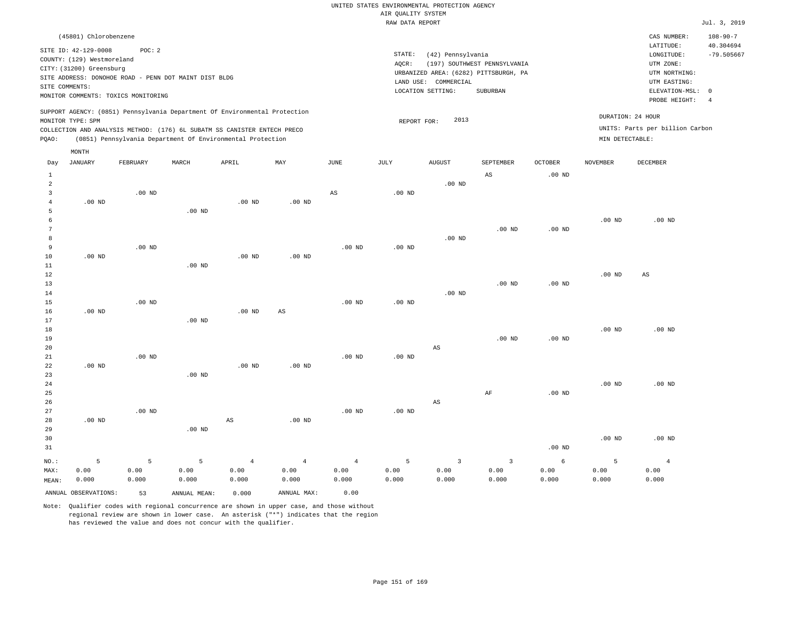|       | (45801) Chlorobenzene                                 |          |       |                                                                            |     |      |           |                                       |                              |               |                 | CAS NUMBER:                     | $108 - 90 - 7$ |
|-------|-------------------------------------------------------|----------|-------|----------------------------------------------------------------------------|-----|------|-----------|---------------------------------------|------------------------------|---------------|-----------------|---------------------------------|----------------|
|       | SITE ID: 42-129-0008                                  | POC: 2   |       |                                                                            |     |      |           |                                       |                              |               |                 | LATITUDE:                       | 40.304694      |
|       | COUNTY: (129) Westmoreland                            |          |       |                                                                            |     |      | STATE:    | (42) Pennsylvania                     |                              |               |                 | LONGITUDE:                      | $-79.505667$   |
|       | CITY: (31200) Greensburg                              |          |       |                                                                            |     |      | AQCR:     |                                       | (197) SOUTHWEST PENNSYLVANIA |               |                 | UTM ZONE:                       |                |
|       | SITE ADDRESS: DONOHOE ROAD - PENN DOT MAINT DIST BLDG |          |       |                                                                            |     |      |           | URBANIZED AREA: (6282) PITTSBURGH, PA |                              | UTM NORTHING: |                 |                                 |                |
|       | SITE COMMENTS:                                        |          |       |                                                                            |     |      | LAND USE: | COMMERCIAL                            |                              |               |                 | UTM EASTING:                    |                |
|       | MONITOR COMMENTS: TOXICS MONITORING                   |          |       |                                                                            |     |      |           | LOCATION SETTING:                     | SUBURBAN                     |               |                 | ELEVATION-MSL: 0                |                |
|       |                                                       |          |       |                                                                            |     |      |           |                                       |                              |               |                 | PROBE HEIGHT:                   |                |
|       |                                                       |          |       | SUPPORT AGENCY: (0851) Pennsylvania Department Of Environmental Protection |     |      |           | 2013                                  |                              |               |                 | DURATION: 24 HOUR               |                |
|       | MONITOR TYPE: SPM                                     |          |       |                                                                            |     |      |           | REPORT FOR:                           |                              |               |                 | UNITS: Parts per billion Carbon |                |
|       |                                                       |          |       | COLLECTION AND ANALYSIS METHOD: (176) 6L SUBATM SS CANISTER ENTECH PRECO   |     |      |           |                                       |                              |               |                 |                                 |                |
| POAO: |                                                       |          |       | (0851) Pennsylvania Department Of Environmental Protection                 |     |      |           |                                       |                              |               | MIN DETECTABLE: |                                 |                |
|       | MONTH                                                 |          |       |                                                                            |     |      |           |                                       |                              |               |                 |                                 |                |
| Day   | JANUARY                                               | FEBRUARY | MARCH | APRIL                                                                      | MAY | JUNE | JULY      | <b>AUGUST</b>                         | SEPTEMBER                    | OCTOBER       | <b>NOVEMBER</b> | DECEMBER                        |                |
|       |                                                       |          |       |                                                                            |     |      |           |                                       | AS                           | $.00$ ND      |                 |                                 |                |

| $\overline{c}$ |          |          |          |                        |                        |          |          | .00 $ND$               |           |                   |          |                        |
|----------------|----------|----------|----------|------------------------|------------------------|----------|----------|------------------------|-----------|-------------------|----------|------------------------|
| 3              |          | .00 $ND$ |          |                        |                        | AS       | .00 $ND$ |                        |           |                   |          |                        |
| 4              | .00 $ND$ |          |          | .00 $ND$               | .00 $ND$               |          |          |                        |           |                   |          |                        |
| 5              |          |          | $.00$ ND |                        |                        |          |          |                        |           |                   |          |                        |
| 6              |          |          |          |                        |                        |          |          |                        |           |                   | $.00$ ND | .00 $ND$               |
| 7              |          |          |          |                        |                        |          |          |                        | $.00$ ND  | $.00~\mathrm{ND}$ |          |                        |
| 8              |          |          |          |                        |                        |          |          | $.00$ ND               |           |                   |          |                        |
| 9              |          | $.00$ ND |          |                        |                        | $.00$ ND | $.00$ ND |                        |           |                   |          |                        |
| 10             | $.00$ ND |          |          | .00 <sub>ND</sub>      | $.00$ ND               |          |          |                        |           |                   |          |                        |
| 11             |          |          | $.00$ ND |                        |                        |          |          |                        |           |                   |          |                        |
| 12             |          |          |          |                        |                        |          |          |                        |           |                   | .00 $ND$ | $\mathbb{A}\mathbb{S}$ |
| 13             |          |          |          |                        |                        |          |          |                        | $.00$ ND  | $.00$ ND          |          |                        |
| 14             |          |          |          |                        |                        |          |          | $.00$ ND               |           |                   |          |                        |
| 15             |          | $.00$ ND |          |                        |                        | $.00$ ND | $.00$ ND |                        |           |                   |          |                        |
| 16             | .00 $ND$ |          |          | $.00$ ND               | $\mathbb{A}\mathbb{S}$ |          |          |                        |           |                   |          |                        |
| 17             |          |          | $.00$ ND |                        |                        |          |          |                        |           |                   |          |                        |
| 18             |          |          |          |                        |                        |          |          |                        |           |                   | $.00$ ND | $.00$ ND               |
| 19             |          |          |          |                        |                        |          |          |                        | $.00$ ND  | .00 $ND$          |          |                        |
| 20             |          |          |          |                        |                        |          |          | $_{\rm AS}$            |           |                   |          |                        |
| 21             |          | .00 $ND$ |          |                        |                        | $.00$ ND | $.00$ ND |                        |           |                   |          |                        |
| 22             | $.00$ ND |          |          | $.00$ ND               | .00 $ND$               |          |          |                        |           |                   |          |                        |
| 23             |          |          | .00 $ND$ |                        |                        |          |          |                        |           |                   |          |                        |
| 24             |          |          |          |                        |                        |          |          |                        |           |                   | .00 $ND$ | .00 $ND$               |
| 25             |          |          |          |                        |                        |          |          |                        | $\rm{AF}$ | .00 $ND$          |          |                        |
| 26             |          |          |          |                        |                        |          |          | $\mathbb{A}\mathbb{S}$ |           |                   |          |                        |
| 27             |          | .00 $ND$ |          |                        |                        | $.00$ ND | $.00$ ND |                        |           |                   |          |                        |
| 28             | $.00$ ND |          |          | $\mathbb{A}\mathbb{S}$ | $.00$ ND               |          |          |                        |           |                   |          |                        |
| 29             |          |          | $.00$ ND |                        |                        |          |          |                        |           |                   |          |                        |
| 30             |          |          |          |                        |                        |          |          |                        |           |                   | $.00$ ND | $.00$ ND               |
| 21             |          |          |          |                        |                        |          |          |                        |           | $00 \text{ MP}$   |          |                        |

|       |                      |       |                             |       |             | . vv 1912 |       |       |       |       |              |       |
|-------|----------------------|-------|-----------------------------|-------|-------------|-----------|-------|-------|-------|-------|--------------|-------|
|       |                      |       | $NO.$ : 5 5 5 4 4 4 5 3 3 6 |       |             |           |       |       |       |       | $\mathbf{E}$ |       |
| MAX:  | 0.00                 | 0.00  | 0.00                        | 0.00  | 0.00        | 0.00      | 0.00  | 0.00  | 0.00  | 0.00  | 0.00         | 0.00  |
| MEAN: | 0.000                | 0.000 | 0.000                       | 0.000 | 0.000       | 0.000     | 0.000 | 0.000 | 0.000 | 0.000 | 0.000        | 0.000 |
|       | ANNUAL OBSERVATIONS: | 53    | ANNUAL MEAN:                | 0.000 | ANNUAL MAX: | 0.00      |       |       |       |       |              |       |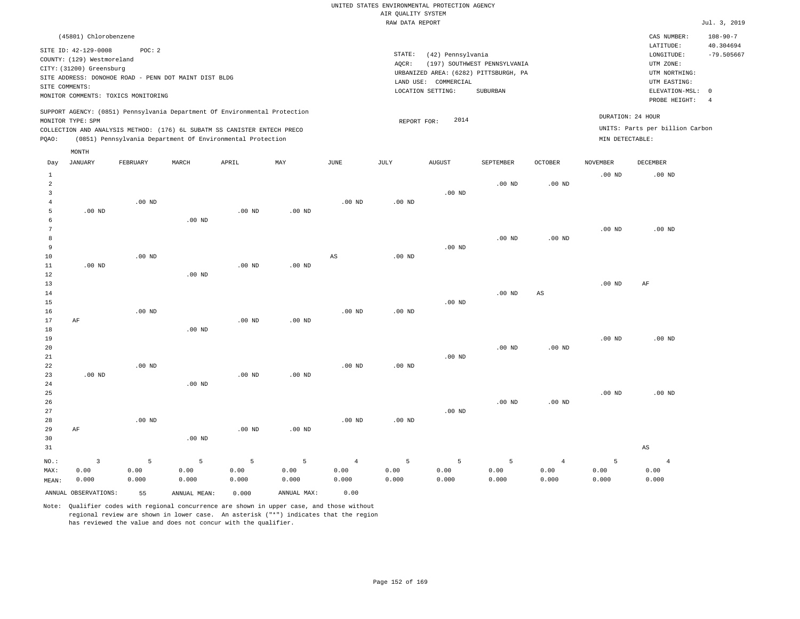| (45801) Chlorobenzene                                                                                                                                                                                                                              |                                                                                                                                                                        |                                                                         | CAS NUMBER:                                                                               | $108 - 90 - 7$            |
|----------------------------------------------------------------------------------------------------------------------------------------------------------------------------------------------------------------------------------------------------|------------------------------------------------------------------------------------------------------------------------------------------------------------------------|-------------------------------------------------------------------------|-------------------------------------------------------------------------------------------|---------------------------|
| SITE ID: 42-129-0008<br>POC:2<br>COUNTY: (129) Westmoreland<br>CITY: (31200) Greensburg<br>SITE ADDRESS: DONOHOE ROAD - PENN DOT MAINT DIST BLDG<br>SITE COMMENTS:<br>MONITOR COMMENTS: TOXICS MONITORING                                          | STATE:<br>(42) Pennsylvania<br>(197) SOUTHWEST PENNSYLVANIA<br>AOCR:<br>URBANIZED AREA: (6282) PITTSBURGH, PA<br>LAND USE: COMMERCIAL<br>LOCATION SETTING:<br>SUBURBAN |                                                                         | LATITUDE:<br>LONGITUDE:<br>UTM ZONE:<br>UTM NORTHING:<br>UTM EASTING:<br>ELEVATION-MSL: 0 | 40.304694<br>$-79.505667$ |
| SUPPORT AGENCY: (0851) Pennsylvania Department Of Environmental Protection<br>MONITOR TYPE: SPM<br>COLLECTION AND ANALYSIS METHOD: (176) 6L SUBATM SS CANISTER ENTECH PRECO<br>(0851) Pennsylvania Department Of Environmental Protection<br>POAO: | 2014<br>REPORT FOR:                                                                                                                                                    | DURATION: 24 HOUR<br>UNITS: Parts per billion Carbon<br>MIN DETECTABLE: | PROBE HEIGHT:<br>-4                                                                       |                           |
| MONTH                                                                                                                                                                                                                                              |                                                                                                                                                                        |                                                                         |                                                                                           |                           |

| Day            | <b>JANUARY</b>       | FEBRUARY | MARCH        | ${\tt APRIL}$ | $\mathtt{MAX}$ | $_{\rm JUNE}$  | $\mathtt{JULY}$   | ${\tt AUGUST}$ | SEPTEMBER | OCTOBER           | NOVEMBER          | DECEMBER               |
|----------------|----------------------|----------|--------------|---------------|----------------|----------------|-------------------|----------------|-----------|-------------------|-------------------|------------------------|
| $\mathbf{1}$   |                      |          |              |               |                |                |                   |                |           |                   | $.00$ ND          | $.00$ ND               |
| $\overline{a}$ |                      |          |              |               |                |                |                   |                | $.00$ ND  | $.00$ ND          |                   |                        |
| 3              |                      |          |              |               |                |                |                   | $.00$ ND       |           |                   |                   |                        |
| 4              |                      | $.00$ ND |              |               |                | $.00$ ND       | .00 <sub>ND</sub> |                |           |                   |                   |                        |
| 5              | $.00$ ND             |          |              | $.00$ ND      | $.00$ ND       |                |                   |                |           |                   |                   |                        |
| 6              |                      |          | $.00$ ND     |               |                |                |                   |                |           |                   |                   |                        |
| 7              |                      |          |              |               |                |                |                   |                |           |                   | $.00$ ND          | $.00$ ND               |
| 8              |                      |          |              |               |                |                |                   |                | $.00$ ND  | .00 <sub>ND</sub> |                   |                        |
| 9              |                      |          |              |               |                |                |                   | $.00$ ND       |           |                   |                   |                        |
| $10$           |                      | $.00$ ND |              |               |                | AS             | .00 <sub>ND</sub> |                |           |                   |                   |                        |
| $11\,$         | $.00$ ND             |          |              | $.00$ ND      | $.00$ ND       |                |                   |                |           |                   |                   |                        |
| 12             |                      |          | $.00$ ND     |               |                |                |                   |                |           |                   |                   |                        |
| 13             |                      |          |              |               |                |                |                   |                |           |                   | $.00~\mathrm{ND}$ | AF                     |
| 14             |                      |          |              |               |                |                |                   |                | $.00$ ND  | AS                |                   |                        |
| 15             |                      |          |              |               |                |                |                   | $.00$ ND       |           |                   |                   |                        |
| 16             |                      | $.00$ ND |              |               |                | $.00$ ND       | $.00$ ND          |                |           |                   |                   |                        |
| 17             | $\rm AF$             |          |              | $.00$ ND      | $.00$ ND       |                |                   |                |           |                   |                   |                        |
| $18\,$         |                      |          | $.00$ ND     |               |                |                |                   |                |           |                   |                   |                        |
| 19             |                      |          |              |               |                |                |                   |                |           |                   | $.00$ ND          | $.00$ ND               |
| 20             |                      |          |              |               |                |                |                   |                | $.00$ ND  | .00 <sub>ND</sub> |                   |                        |
| $2\sqrt{1}$    |                      |          |              |               |                |                |                   | $.00$ ND       |           |                   |                   |                        |
| $2\sqrt{2}$    |                      | $.00$ ND |              |               |                | $.00$ ND       | .00 <sub>ND</sub> |                |           |                   |                   |                        |
| 23             | $.00$ ND             |          |              | $.00$ ND      | $.00$ ND       |                |                   |                |           |                   |                   |                        |
| 24<br>25       |                      |          | $.00$ ND     |               |                |                |                   |                |           |                   |                   | $.00$ ND               |
| 26             |                      |          |              |               |                |                |                   |                | $.00$ ND  | $.00$ ND          | $.00$ ND          |                        |
| 27             |                      |          |              |               |                |                |                   | $.00$ ND       |           |                   |                   |                        |
| 28             |                      | $.00$ ND |              |               |                | $.00$ ND       | $.00$ ND          |                |           |                   |                   |                        |
| 29             | $\rm AF$             |          |              | $.00$ ND      | $.00$ ND       |                |                   |                |           |                   |                   |                        |
| 30             |                      |          | $.00$ ND     |               |                |                |                   |                |           |                   |                   |                        |
| 31             |                      |          |              |               |                |                |                   |                |           |                   |                   | $\mathbb{A}\mathbb{S}$ |
|                |                      |          |              |               |                |                |                   |                |           |                   |                   |                        |
| $NO.$ :        | $\mathbf{3}$         | 5        | 5            | 5             | 5              | $\overline{4}$ | 5                 | 5              | 5         | $\overline{4}$    | 5                 | $\overline{4}$         |
| MAX:           | 0.00                 | 0.00     | 0.00         | 0.00          | 0.00           | 0.00           | 0.00              | 0.00           | 0.00      | 0.00              | 0.00              | 0.00                   |
| MEAN:          | 0.000                | 0.000    | 0.000        | 0.000         | 0.000          | 0.000          | 0.000             | 0.000          | 0.000     | 0.000             | 0.000             | 0.000                  |
|                | ANNUAL OBSERVATIONS: | 55       | ANNUAL MEAN: | 0.000         | ANNUAL MAX:    | 0.00           |                   |                |           |                   |                   |                        |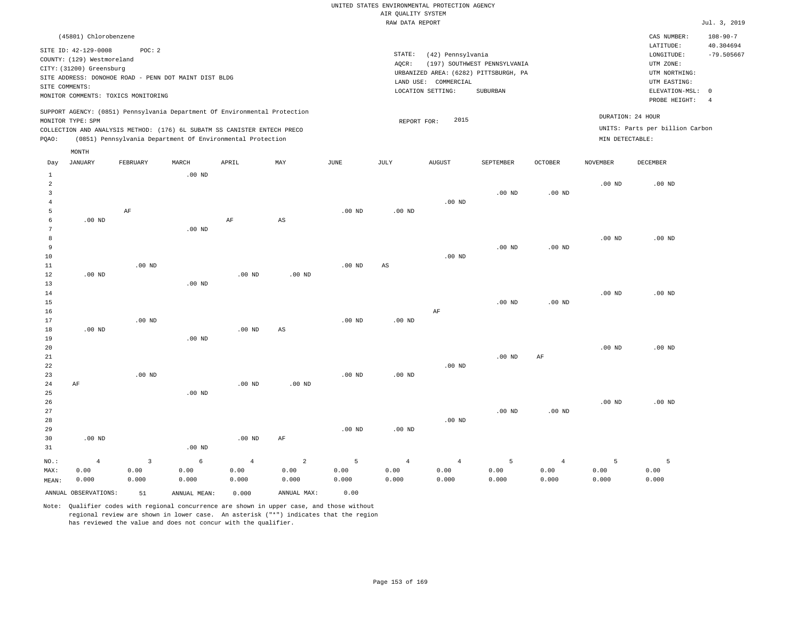| (45801) Chlorobenzene                                                                                                                                                                                                                                       |                                                                                                                                                                        | CAS NUMBER:                                                                                                | $108 - 90 - 7$            |
|-------------------------------------------------------------------------------------------------------------------------------------------------------------------------------------------------------------------------------------------------------------|------------------------------------------------------------------------------------------------------------------------------------------------------------------------|------------------------------------------------------------------------------------------------------------|---------------------------|
| SITE ID: 42-129-0008<br>POC:2<br>COUNTY: (129) Westmoreland<br>CITY: (31200) Greensburg<br>SITE ADDRESS: DONOHOE ROAD - PENN DOT MAINT DIST BLDG<br>SITE COMMENTS:<br>MONITOR COMMENTS: TOXICS MONITORING                                                   | STATE:<br>(42) Pennsylvania<br>(197) SOUTHWEST PENNSYLVANIA<br>AOCR:<br>URBANIZED AREA: (6282) PITTSBURGH, PA<br>LAND USE: COMMERCIAL<br>LOCATION SETTING:<br>SUBURBAN | LATITUDE:<br>LONGITUDE:<br>UTM ZONE:<br>UTM NORTHING:<br>UTM EASTING:<br>ELEVATION-MSL: 0<br>PROBE HEIGHT: | 40.304694<br>$-79.505667$ |
| SUPPORT AGENCY: (0851) Pennsylvania Department Of Environmental Protection<br>MONITOR TYPE: SPM<br>COLLECTION AND ANALYSIS METHOD: (176) 6L SUBATM SS CANISTER ENTECH PRECO<br>(0851) Pennsylvania Department Of Environmental Protection<br>POAO:<br>MONTH | 2015<br>REPORT FOR:<br>MIN DETECTABLE:                                                                                                                                 | DURATION: 24 HOUR<br>UNITS: Parts per billion Carbon                                                       |                           |

| Day                     | JANUARY              | FEBRUARY    | MARCH             | APRIL          | MAY                    | JUNE     | JULY                   | AUGUST         | SEPTEMBER      | OCTOBER        | NOVEMBER | DECEMBER |
|-------------------------|----------------------|-------------|-------------------|----------------|------------------------|----------|------------------------|----------------|----------------|----------------|----------|----------|
| $\mathbf{1}$            |                      |             | $.00$ ND          |                |                        |          |                        |                |                |                |          |          |
| $\overline{\mathbf{c}}$ |                      |             |                   |                |                        |          |                        |                |                |                | $.00$ ND | $.00$ ND |
| 3                       |                      |             |                   |                |                        |          |                        |                | $.00$ ND       | $.00$ ND       |          |          |
| $\overline{4}$          |                      |             |                   |                |                        |          |                        | $.00$ ND       |                |                |          |          |
| 5                       |                      | $\rm AF$    |                   |                |                        | $.00$ ND | $.00$ ND               |                |                |                |          |          |
| 6                       | $.00$ ND             |             |                   | $\rm AF$       | $\mathbb{A}\mathbb{S}$ |          |                        |                |                |                |          |          |
| 7                       |                      |             | .00 <sub>ND</sub> |                |                        |          |                        |                |                |                |          |          |
| 8                       |                      |             |                   |                |                        |          |                        |                |                |                | $.00$ ND | $.00$ ND |
| 9                       |                      |             |                   |                |                        |          |                        |                | $.00$ ND       | $.00$ ND       |          |          |
| $10$                    |                      |             |                   |                |                        |          |                        | $.00$ ND       |                |                |          |          |
| 11                      |                      | $.00$ ND    |                   |                |                        | $.00$ ND | $\mathbb{A}\mathbb{S}$ |                |                |                |          |          |
| 12                      | $.00$ ND             |             |                   | $.00$ ND       | .00 <sub>ND</sub>      |          |                        |                |                |                |          |          |
| 13                      |                      |             | .00 <sub>ND</sub> |                |                        |          |                        |                |                |                |          |          |
| 14                      |                      |             |                   |                |                        |          |                        |                |                |                | $.00$ ND | $.00$ ND |
| 15                      |                      |             |                   |                |                        |          |                        |                | $.00$ ND       | $.00$ ND       |          |          |
| 16                      |                      |             |                   |                |                        |          |                        | $\rm AF$       |                |                |          |          |
| 17                      |                      | $.00$ ND    |                   |                |                        | $.00$ ND | $.00$ ND               |                |                |                |          |          |
| 18                      | $.00$ ND             |             |                   | $.00$ ND       | AS                     |          |                        |                |                |                |          |          |
| 19                      |                      |             | $.00$ ND          |                |                        |          |                        |                |                |                |          |          |
| 20                      |                      |             |                   |                |                        |          |                        |                |                |                | .00 $ND$ | $.00$ ND |
| ${\bf 21}$              |                      |             |                   |                |                        |          |                        |                | $.00$ ND       | AF             |          |          |
| 22                      |                      |             |                   |                |                        |          |                        | $.00$ ND       |                |                |          |          |
| 23                      |                      | $.00$ ND    |                   |                |                        | $.00$ ND | $.00$ ND               |                |                |                |          |          |
| 24                      | $\rm AF$             |             |                   | $.00$ ND       | .00 <sub>ND</sub>      |          |                        |                |                |                |          |          |
| 25                      |                      |             | .00 <sub>ND</sub> |                |                        |          |                        |                |                |                |          |          |
| 26                      |                      |             |                   |                |                        |          |                        |                |                |                | $.00$ ND | $.00$ ND |
| 27                      |                      |             |                   |                |                        |          |                        |                | $.00$ ND       | $.00$ ND       |          |          |
| 28                      |                      |             |                   |                |                        |          |                        | $.00$ ND       |                |                |          |          |
| 29                      |                      |             |                   |                |                        | $.00$ ND | $.00$ ND               |                |                |                |          |          |
| 30                      | $.00$ ND             |             |                   | $.00$ ND       | $\rm AF$               |          |                        |                |                |                |          |          |
| 31                      |                      |             | $.00$ ND          |                |                        |          |                        |                |                |                |          |          |
| $_{\rm NO.}$ :          | $\overline{4}$       | $\mathsf 3$ | $\epsilon$        | $\overline{4}$ | $\sqrt{2}$             | 5        | $\overline{4}$         | $\overline{4}$ | $\overline{5}$ | $\overline{4}$ | 5        | 5        |
| MAX:                    | 0.00                 | 0.00        | 0.00              | 0.00           | 0.00                   | 0.00     | 0.00                   | 0.00           | 0.00           | 0.00           | 0.00     | 0.00     |
| MEAN:                   | 0.000                | 0.000       | 0.000             | 0.000          | 0.000                  | 0.000    | 0.000                  | 0.000          | 0.000          | 0.000          | 0.000    | 0.000    |
|                         | ANNUAL OBSERVATIONS: | 51          | ANNUAL MEAN:      | 0.000          | ANNUAL MAX:            | 0.00     |                        |                |                |                |          |          |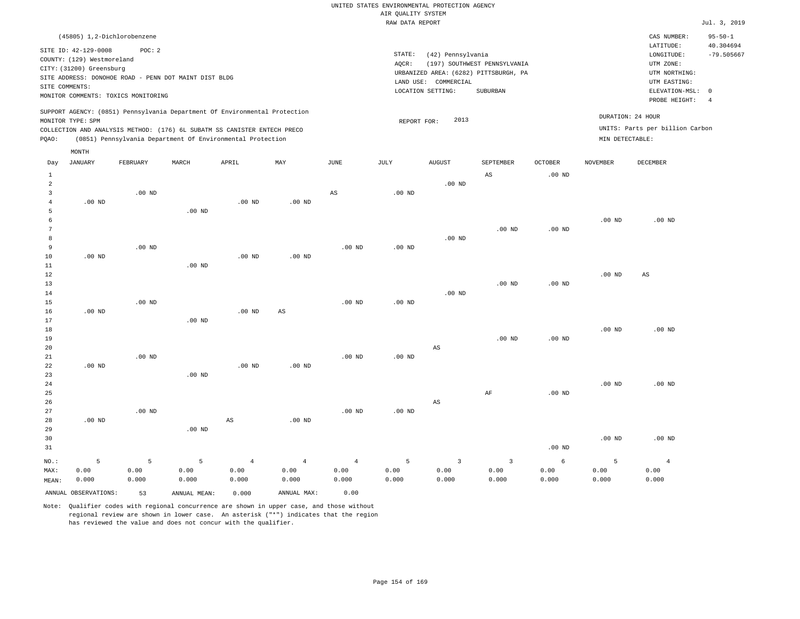| (45805) 1,2-Dichlorobenzene                                                                                                                                                                                                                                 |                                                                                                                                                                        |                                      | CAS NUMBER:                                                                                                | $95 - 50 - 1$                   |
|-------------------------------------------------------------------------------------------------------------------------------------------------------------------------------------------------------------------------------------------------------------|------------------------------------------------------------------------------------------------------------------------------------------------------------------------|--------------------------------------|------------------------------------------------------------------------------------------------------------|---------------------------------|
| SITE ID: 42-129-0008<br>POC: 2<br>COUNTY: (129) Westmoreland<br>CITY: (31200) Greensburg<br>SITE ADDRESS: DONOHOE ROAD - PENN DOT MAINT DIST BLDG<br>SITE COMMENTS:<br>MONITOR COMMENTS: TOXICS MONITORING                                                  | STATE:<br>(42) Pennsylvania<br>(197) SOUTHWEST PENNSYLVANIA<br>AOCR:<br>URBANIZED AREA: (6282) PITTSBURGH, PA<br>LAND USE: COMMERCIAL<br>LOCATION SETTING:<br>SUBURBAN |                                      | LATITUDE:<br>LONGITUDE:<br>UTM ZONE:<br>UTM NORTHING:<br>UTM EASTING:<br>ELEVATION-MSL: 0<br>PROBE HEIGHT: | 40.304694<br>$-79.505667$<br>-4 |
| SUPPORT AGENCY: (0851) Pennsylvania Department Of Environmental Protection<br>MONITOR TYPE: SPM<br>COLLECTION AND ANALYSIS METHOD: (176) 6L SUBATM SS CANISTER ENTECH PRECO<br>(0851) Pennsylvania Department Of Environmental Protection<br>POAO:<br>MONTH | 2013<br>REPORT FOR:                                                                                                                                                    | DURATION: 24 HOUR<br>MIN DETECTABLE: | UNITS: Parts per billion Carbon                                                                            |                                 |

| Day          | JANUARY              | FEBRUARY | MARCH        | APRIL             | MAY            | $\operatorname{JUNE}$  | JULY              | <b>AUGUST</b>           | SEPTEMBER               | OCTOBER    | NOVEMBER          | DECEMBER               |
|--------------|----------------------|----------|--------------|-------------------|----------------|------------------------|-------------------|-------------------------|-------------------------|------------|-------------------|------------------------|
| $\mathbf{1}$ |                      |          |              |                   |                |                        |                   |                         | $\mathbb{A}\mathbb{S}$  | $.00$ ND   |                   |                        |
| 2            |                      |          |              |                   |                |                        |                   | $.00$ ND                |                         |            |                   |                        |
| 3            |                      | $.00$ ND |              |                   |                | $\mathbb{A}\mathbb{S}$ | $.00$ ND          |                         |                         |            |                   |                        |
| 4            | $.00$ ND             |          |              | .00 <sub>ND</sub> | $.00$ ND       |                        |                   |                         |                         |            |                   |                        |
| 5            |                      |          | $.00$ ND     |                   |                |                        |                   |                         |                         |            |                   |                        |
| 6            |                      |          |              |                   |                |                        |                   |                         |                         |            | $.00$ ND          | $.00$ ND               |
| 7            |                      |          |              |                   |                |                        |                   |                         | .00 <sub>ND</sub>       | $.00$ ND   |                   |                        |
| 8            |                      |          |              |                   |                |                        |                   | $.00$ ND                |                         |            |                   |                        |
| 9            |                      | $.00$ ND |              |                   |                | $.00$ ND               | .00 <sub>ND</sub> |                         |                         |            |                   |                        |
| 10           | $.00$ ND             |          |              | .00 <sub>ND</sub> | $.00$ ND       |                        |                   |                         |                         |            |                   |                        |
| 11           |                      |          | $.00$ ND     |                   |                |                        |                   |                         |                         |            |                   |                        |
| $1\,2$       |                      |          |              |                   |                |                        |                   |                         |                         |            | $.00$ ND          | $\mathbb{A}\mathbb{S}$ |
| 13           |                      |          |              |                   |                |                        |                   |                         | $.00$ ND                | $.00$ ND   |                   |                        |
| $14$         |                      |          |              |                   |                |                        |                   | $.00$ ND                |                         |            |                   |                        |
| 15           |                      | $.00$ ND |              |                   |                | $.00$ ND               | $.00$ ND          |                         |                         |            |                   |                        |
| 16<br>17     | $.00$ ND             |          | $.00$ ND     | $.00$ ND          | AS             |                        |                   |                         |                         |            |                   |                        |
| 18           |                      |          |              |                   |                |                        |                   |                         |                         |            | $.00$ ND          | $.00$ ND               |
| 19           |                      |          |              |                   |                |                        |                   |                         | $.00$ ND                | $.00$ ND   |                   |                        |
| 20           |                      |          |              |                   |                |                        |                   | $\mathbb{A}\mathbb{S}$  |                         |            |                   |                        |
| 21           |                      | $.00$ ND |              |                   |                | $.00$ ND               | .00 $ND$          |                         |                         |            |                   |                        |
| $2\sqrt{2}$  | $.00~\mathrm{ND}$    |          |              | $.00$ ND          | $.00$ ND       |                        |                   |                         |                         |            |                   |                        |
| 23           |                      |          | $.00$ ND     |                   |                |                        |                   |                         |                         |            |                   |                        |
| $2\,4$       |                      |          |              |                   |                |                        |                   |                         |                         |            | .00 <sub>ND</sub> | $.00$ ND               |
| 25           |                      |          |              |                   |                |                        |                   |                         | AF                      | $.00$ ND   |                   |                        |
| 26           |                      |          |              |                   |                |                        |                   | $\mathbb{A}\mathbb{S}$  |                         |            |                   |                        |
| 27           |                      | $.00$ ND |              |                   |                | $.00$ ND               | $.00$ ND          |                         |                         |            |                   |                        |
| 28           | $.00$ ND             |          |              | AS                | $.00$ ND       |                        |                   |                         |                         |            |                   |                        |
| 29           |                      |          | $.00$ ND     |                   |                |                        |                   |                         |                         |            |                   |                        |
| 30           |                      |          |              |                   |                |                        |                   |                         |                         |            | $.00$ ND          | $.00$ ND               |
| 31           |                      |          |              |                   |                |                        |                   |                         |                         | $.00$ ND   |                   |                        |
| $NO.$ :      | 5                    | 5        | $\mathsf S$  | $\,4$             | $\overline{4}$ | $\overline{4}$         | $\overline{5}$    | $\overline{\mathbf{3}}$ | $\overline{\mathbf{3}}$ | $\epsilon$ | 5                 | $\overline{4}$         |
| MAX:         | 0.00                 | 0.00     | 0.00         | 0.00              | 0.00           | 0.00                   | 0.00              | 0.00                    | 0.00                    | 0.00       | 0.00              | 0.00                   |
| MEAN:        | 0.000                | 0.000    | 0.000        | 0.000             | 0.000          | 0.000                  | 0.000             | 0.000                   | 0.000                   | 0.000      | 0.000             | 0.000                  |
|              | ANNUAL OBSERVATIONS: | 53       | ANNUAL MEAN: | 0.000             | ANNUAL MAX:    | 0.00                   |                   |                         |                         |            |                   |                        |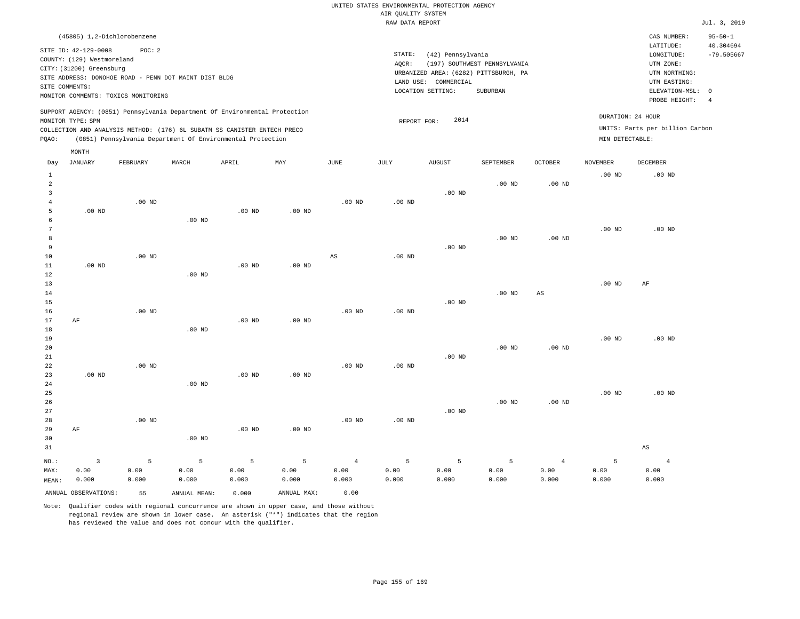| STATE:<br>(42) Pennsylvania<br>(197) SOUTHWEST PENNSYLVANIA<br>AOCR:<br>URBANIZED AREA: (6282) PITTSBURGH, PA<br>LAND USE: COMMERCIAL<br>LOCATION SETTING:<br>SUBURBAN | LATITUDE:<br>LONGITUDE:<br>UTM ZONE:<br>UTM NORTHING:<br>UTM EASTING:<br>PROBE HEIGHT: | 40.304694<br>$-79.505667$                                                                   |
|------------------------------------------------------------------------------------------------------------------------------------------------------------------------|----------------------------------------------------------------------------------------|---------------------------------------------------------------------------------------------|
| 2014<br>REPORT FOR:                                                                                                                                                    |                                                                                        |                                                                                             |
|                                                                                                                                                                        |                                                                                        | ELEVATION-MSL: 0<br>DURATION: 24 HOUR<br>UNITS: Parts per billion Carbon<br>MIN DETECTABLE: |

| Day            | <b>JANUARY</b>       | FEBRUARY | MARCH        | APRIL    | MAY         | $_{\rm JUNE}$          | JULY     | AUGUST   | SEPTEMBER         | OCTOBER                | <b>NOVEMBER</b> | DECEMBER       |
|----------------|----------------------|----------|--------------|----------|-------------|------------------------|----------|----------|-------------------|------------------------|-----------------|----------------|
| $\mathbf{1}$   |                      |          |              |          |             |                        |          |          |                   |                        | $.00$ ND        | $.00$ ND       |
| $\overline{a}$ |                      |          |              |          |             |                        |          |          | $.00$ ND          | $.00$ ND               |                 |                |
| $\overline{3}$ |                      |          |              |          |             |                        |          | $.00$ ND |                   |                        |                 |                |
| $\overline{4}$ |                      | $.00$ ND |              |          |             | .00 <sub>ND</sub>      | $.00$ ND |          |                   |                        |                 |                |
| 5              | $.00$ ND             |          |              | $.00$ ND | $.00$ ND    |                        |          |          |                   |                        |                 |                |
| 6              |                      |          | $.00$ ND     |          |             |                        |          |          |                   |                        |                 |                |
| $\overline{7}$ |                      |          |              |          |             |                        |          |          |                   |                        | $.00$ ND        | $.00$ ND       |
| 8              |                      |          |              |          |             |                        |          |          | $.00$ ND          | .00 <sub>ND</sub>      |                 |                |
| 9              |                      |          |              |          |             |                        |          | $.00$ ND |                   |                        |                 |                |
| 10             |                      | $.00$ ND |              |          |             | $\mathbb{A}\mathbb{S}$ | $.00$ ND |          |                   |                        |                 |                |
| 11             | $.00$ ND             |          |              | $.00$ ND | $.00$ ND    |                        |          |          |                   |                        |                 |                |
| 12             |                      |          | $.00$ ND     |          |             |                        |          |          |                   |                        |                 |                |
| 13             |                      |          |              |          |             |                        |          |          |                   |                        | $.00$ ND        | AF             |
| 14             |                      |          |              |          |             |                        |          |          | $.00$ ND          | $\mathbb{A}\mathbb{S}$ |                 |                |
| 15             |                      |          |              |          |             |                        |          | $.00$ ND |                   |                        |                 |                |
| 16             |                      | $.00$ ND |              |          |             | $.00$ ND               | $.00$ ND |          |                   |                        |                 |                |
| 17             | AF                   |          |              | $.00$ ND | $.00$ ND    |                        |          |          |                   |                        |                 |                |
| 18             |                      |          | $.00$ ND     |          |             |                        |          |          |                   |                        |                 |                |
| 19             |                      |          |              |          |             |                        |          |          |                   |                        | $.00$ ND        | $.00$ ND       |
| 20             |                      |          |              |          |             |                        |          |          | .00 <sub>ND</sub> | .00 <sub>ND</sub>      |                 |                |
| 21             |                      |          |              |          |             |                        |          | $.00$ ND |                   |                        |                 |                |
| 22             |                      | $.00$ ND |              |          |             | .00 <sub>ND</sub>      | $.00$ ND |          |                   |                        |                 |                |
| 23             | $.00$ ND             |          |              | $.00$ ND | $.00$ ND    |                        |          |          |                   |                        |                 |                |
| 24<br>25       |                      |          | .00 $ND$     |          |             |                        |          |          |                   |                        | $.00$ ND        | $.00$ ND       |
| 26             |                      |          |              |          |             |                        |          |          | $.00$ ND          | $.00$ ND               |                 |                |
| $2\,7$         |                      |          |              |          |             |                        |          | $.00$ ND |                   |                        |                 |                |
| 28             |                      | $.00$ ND |              |          |             | .00 <sub>ND</sub>      | $.00$ ND |          |                   |                        |                 |                |
| 29             | $\rm AF$             |          |              | $.00$ ND | $.00$ ND    |                        |          |          |                   |                        |                 |                |
| 30             |                      |          | $.00$ ND     |          |             |                        |          |          |                   |                        |                 |                |
| 31             |                      |          |              |          |             |                        |          |          |                   |                        |                 | $_{\rm AS}$    |
|                |                      |          |              |          |             |                        |          |          |                   |                        |                 |                |
| $NO.$ :        | $\overline{3}$       | 5        | 5            | 5        | 5           | $\overline{4}$         | 5        | 5        | 5                 | $\overline{4}$         | 5               | $\overline{4}$ |
| MAX:           | 0.00                 | 0.00     | 0.00         | 0.00     | 0.00        | 0.00                   | 0.00     | 0.00     | 0.00              | 0.00                   | 0.00            | 0.00           |
| MEAN:          | 0.000                | 0.000    | 0.000        | 0.000    | 0.000       | 0.000                  | 0.000    | 0.000    | 0.000             | 0.000                  | 0.000           | 0.000          |
|                | ANNUAL OBSERVATIONS: | 55       | ANNUAL MEAN: | 0.000    | ANNUAL MAX: | 0.00                   |          |          |                   |                        |                 |                |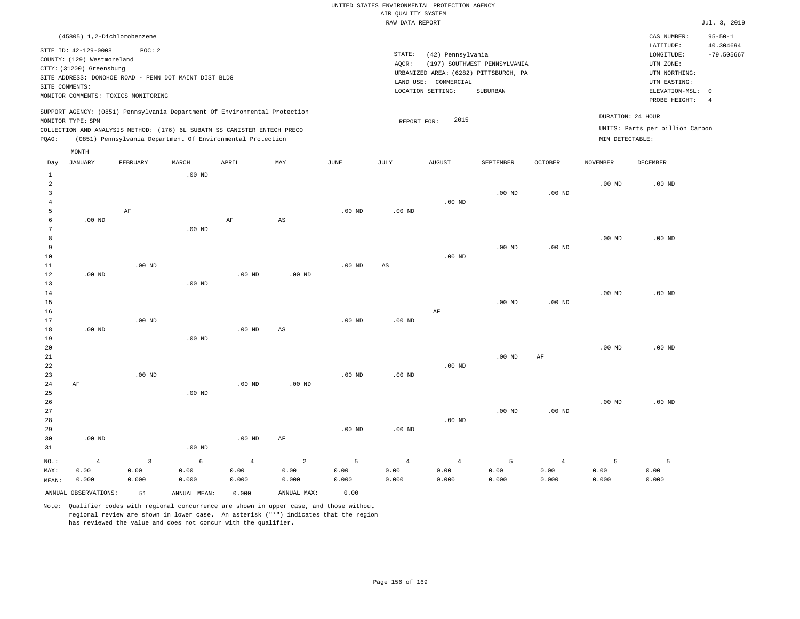| (45805) 1,2-Dichlorobenzene                                                                                                                                                                                                                        |                                                                                                                                                                        | CAS NUMBER:                                                                                                | $95 - 50 - 1$             |
|----------------------------------------------------------------------------------------------------------------------------------------------------------------------------------------------------------------------------------------------------|------------------------------------------------------------------------------------------------------------------------------------------------------------------------|------------------------------------------------------------------------------------------------------------|---------------------------|
| SITE ID: 42-129-0008<br>POC:2<br>COUNTY: (129) Westmoreland<br>CITY: (31200) Greensburg<br>SITE ADDRESS: DONOHOE ROAD - PENN DOT MAINT DIST BLDG<br>SITE COMMENTS:<br>MONITOR COMMENTS: TOXICS MONITORING                                          | STATE:<br>(42) Pennsylvania<br>(197) SOUTHWEST PENNSYLVANIA<br>AOCR:<br>URBANIZED AREA: (6282) PITTSBURGH, PA<br>LAND USE: COMMERCIAL<br>LOCATION SETTING:<br>SUBURBAN | LATITUDE:<br>LONGITUDE:<br>UTM ZONE:<br>UTM NORTHING:<br>UTM EASTING:<br>ELEVATION-MSL: 0<br>PROBE HEIGHT: | 40.304694<br>$-79.505667$ |
| SUPPORT AGENCY: (0851) Pennsylvania Department Of Environmental Protection<br>MONITOR TYPE: SPM<br>COLLECTION AND ANALYSIS METHOD: (176) 6L SUBATM SS CANISTER ENTECH PRECO<br>(0851) Pennsylvania Department Of Environmental Protection<br>POAO: | 2015<br>REPORT FOR:                                                                                                                                                    | DURATION: 24 HOUR<br>UNITS: Parts per billion Carbon<br>MIN DETECTABLE:                                    |                           |

|                | $\texttt{MONTH}$     |                |              |                |                        |               |             |            |                |            |                   |                   |
|----------------|----------------------|----------------|--------------|----------------|------------------------|---------------|-------------|------------|----------------|------------|-------------------|-------------------|
| Day            | JANUARY              | FEBRUARY       | MARCH        | APRIL          | MAY                    | $_{\rm JUNE}$ | JULY        | AUGUST     | SEPTEMBER      | OCTOBER    | NOVEMBER          | DECEMBER          |
| $\mathbf{1}$   |                      |                | $.00$ ND     |                |                        |               |             |            |                |            |                   |                   |
| $\overline{a}$ |                      |                |              |                |                        |               |             |            |                |            | $.00$ ND          | $.00$ ND          |
| 3              |                      |                |              |                |                        |               |             |            | $.00$ ND       | $.00$ ND   |                   |                   |
| $\overline{4}$ |                      |                |              |                |                        |               |             | $.00$ ND   |                |            |                   |                   |
| 5              |                      | AF             |              |                |                        | $.00$ ND      | $.00$ ND    |            |                |            |                   |                   |
| 6              | $.00$ ND             |                |              | $\rm AF$       | $\mathbb{A}\mathbb{S}$ |               |             |            |                |            |                   |                   |
| 7              |                      |                | $.00$ ND     |                |                        |               |             |            |                |            |                   |                   |
| 8              |                      |                |              |                |                        |               |             |            |                |            | $.00$ ND          | $.00$ ND          |
| 9              |                      |                |              |                |                        |               |             |            | $.00$ ND       | $.00$ ND   |                   |                   |
| 10             |                      |                |              |                |                        |               |             | $.00$ ND   |                |            |                   |                   |
| 11             |                      | $.00$ ND       |              |                |                        | $.00$ ND      | $_{\rm AS}$ |            |                |            |                   |                   |
| 12<br>13       | $.00$ ND             |                | $.00$ ND     | $.00$ ND       | $.00$ ND               |               |             |            |                |            |                   |                   |
| 14             |                      |                |              |                |                        |               |             |            |                |            | $.00$ ND          | $.00$ ND          |
| 15             |                      |                |              |                |                        |               |             |            | $.00$ ND       | $.00$ ND   |                   |                   |
| 16             |                      |                |              |                |                        |               |             | $\rm AF$   |                |            |                   |                   |
| 17             |                      | $.00$ ND       |              |                |                        | $.00$ ND      | $.00$ ND    |            |                |            |                   |                   |
| 18             | $.00$ ND             |                |              | $.00$ ND       | $\mathbb{A}\mathbb{S}$ |               |             |            |                |            |                   |                   |
| 19             |                      |                | $.00$ ND     |                |                        |               |             |            |                |            |                   |                   |
| 20             |                      |                |              |                |                        |               |             |            |                |            | .00 <sub>ND</sub> | .00 <sub>ND</sub> |
| 21             |                      |                |              |                |                        |               |             |            | $.00$ ND       | AF         |                   |                   |
| 22             |                      |                |              |                |                        |               |             | $.00$ ND   |                |            |                   |                   |
| 23             |                      | $.00$ ND       |              |                |                        | $.00$ ND      | $.00$ ND    |            |                |            |                   |                   |
| 24             | AF                   |                |              | $.00$ ND       | $.00$ ND               |               |             |            |                |            |                   |                   |
| 25             |                      |                | $.00$ ND     |                |                        |               |             |            |                |            |                   |                   |
| 26             |                      |                |              |                |                        |               |             |            |                |            | $.00$ ND          | $.00$ ND          |
| 27             |                      |                |              |                |                        |               |             |            | $.00$ ND       | $.00$ ND   |                   |                   |
| 28             |                      |                |              |                |                        |               |             | $.00$ ND   |                |            |                   |                   |
| 29             |                      |                |              |                |                        | $.00$ ND      | $.00$ ND    |            |                |            |                   |                   |
| 30             | $.00$ ND             |                |              | $.00$ ND       | $\rm AF$               |               |             |            |                |            |                   |                   |
| 31             |                      |                | $.00$ ND     |                |                        |               |             |            |                |            |                   |                   |
| NO.:           | $\sqrt{4}$           | $\overline{3}$ | 6            | $\overline{4}$ | $\overline{a}$         | 5             | $\sqrt{4}$  | $\sqrt{4}$ | $\overline{5}$ | $\sqrt{4}$ | 5                 | 5                 |
| MAX:           | 0.00                 | 0.00           | 0.00         | 0.00           | 0.00                   | 0.00          | 0.00        | 0.00       | 0.00           | 0.00       | 0.00              | 0.00              |
| MEAN:          | 0.000                | 0.000          | 0.000        | 0.000          | 0.000                  | 0.000         | 0.000       | 0.000      | 0.000          | 0.000      | 0.000             | 0.000             |
|                | ANNUAL OBSERVATIONS: | 51             | ANNUAL MEAN: | 0.000          | ANNUAL MAX:            | 0.00          |             |            |                |            |                   |                   |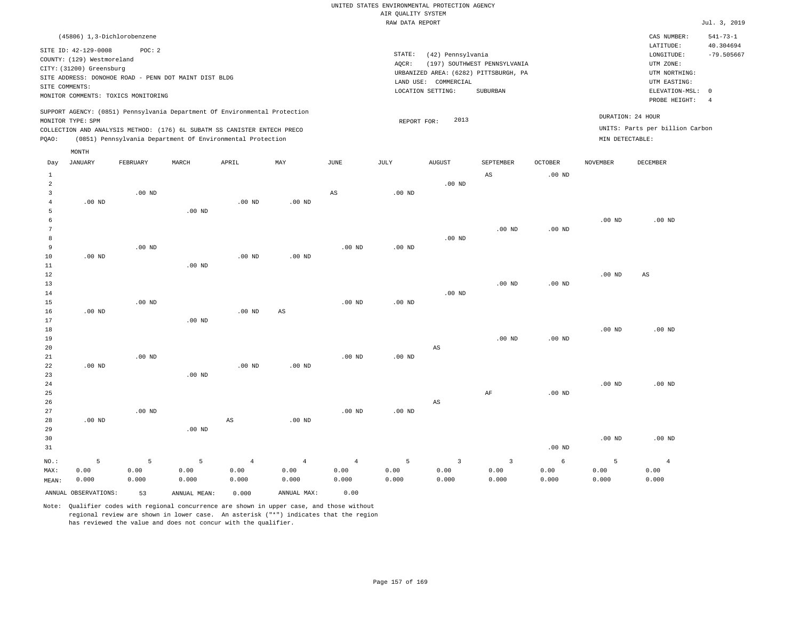| (45806) 1,3-Dichlorobenzene                                                                                                                                                                                                                        |                                                                                                                                                                        | CAS NUMBER:                                                                                                | $541 - 73 - 1$                  |
|----------------------------------------------------------------------------------------------------------------------------------------------------------------------------------------------------------------------------------------------------|------------------------------------------------------------------------------------------------------------------------------------------------------------------------|------------------------------------------------------------------------------------------------------------|---------------------------------|
| SITE ID: 42-129-0008<br>POC:2<br>COUNTY: (129) Westmoreland<br>CITY: (31200) Greensburg<br>SITE ADDRESS: DONOHOE ROAD - PENN DOT MAINT DIST BLDG<br>SITE COMMENTS:<br>MONITOR COMMENTS: TOXICS MONITORING                                          | STATE:<br>(42) Pennsylvania<br>(197) SOUTHWEST PENNSYLVANIA<br>AOCR:<br>URBANIZED AREA: (6282) PITTSBURGH, PA<br>LAND USE: COMMERCIAL<br>LOCATION SETTING:<br>SUBURBAN | LATITUDE:<br>LONGITUDE:<br>UTM ZONE:<br>UTM NORTHING:<br>UTM EASTING:<br>ELEVATION-MSL: 0<br>PROBE HEIGHT: | 40.304694<br>$-79.505667$<br>-4 |
| SUPPORT AGENCY: (0851) Pennsylvania Department Of Environmental Protection<br>MONITOR TYPE: SPM<br>COLLECTION AND ANALYSIS METHOD: (176) 6L SUBATM SS CANISTER ENTECH PRECO<br>(0851) Pennsylvania Department Of Environmental Protection<br>POAO: | DURATION: 24 HOUR<br>2013<br>REPORT FOR:<br>MIN DETECTABLE:                                                                                                            | UNITS: Parts per billion Carbon                                                                            |                                 |
| MONTH                                                                                                                                                                                                                                              | the contract of the contract of the contract of the contract of the contract of                                                                                        |                                                                                                            |                                 |

| Day          | JANUARY              | FEBRUARY | MARCH        | APRIL                  | MAY                    | $_{\rm JUNE}$  | JULY     | AUGUST                  | SEPTEMBER               | OCTOBER    | NOVEMBER | DECEMBER       |
|--------------|----------------------|----------|--------------|------------------------|------------------------|----------------|----------|-------------------------|-------------------------|------------|----------|----------------|
| $\mathbf{1}$ |                      |          |              |                        |                        |                |          |                         | $\mathbb{A}\mathbb{S}$  | $.00$ ND   |          |                |
| $\sqrt{2}$   |                      |          |              |                        |                        |                |          | $.00$ ND                |                         |            |          |                |
| 3            |                      | $.00$ ND |              |                        |                        | $_{\rm AS}$    | $.00$ ND |                         |                         |            |          |                |
| 4            | $.00$ ND             |          |              | $.00$ ND               | $.00$ ND               |                |          |                         |                         |            |          |                |
| 5            |                      |          | $.00$ ND     |                        |                        |                |          |                         |                         |            |          |                |
| 6            |                      |          |              |                        |                        |                |          |                         |                         |            | $.00$ ND | $.00$ ND       |
| 7            |                      |          |              |                        |                        |                |          |                         | $.00$ ND                | $.00$ ND   |          |                |
| 8            |                      |          |              |                        |                        |                |          | $.00$ ND                |                         |            |          |                |
| 9            |                      | $.00$ ND |              |                        |                        | $.00$ ND       | $.00$ ND |                         |                         |            |          |                |
| $10$         | $.00$ ND             |          |              | $.00$ ND               | $.00$ ND               |                |          |                         |                         |            |          |                |
| 11           |                      |          | $.00$ ND     |                        |                        |                |          |                         |                         |            |          |                |
| 12           |                      |          |              |                        |                        |                |          |                         |                         |            | $.00$ ND | $_{\rm AS}$    |
| 13           |                      |          |              |                        |                        |                |          |                         | $.00$ ND                | $.00$ ND   |          |                |
| 14           |                      |          |              |                        |                        |                |          | $.00$ ND                |                         |            |          |                |
| 15           |                      | $.00$ ND |              |                        |                        | $.00$ ND       | $.00$ ND |                         |                         |            |          |                |
| 16           | $.00$ ND             |          |              | $.00$ ND               | $\mathbb{A}\mathbb{S}$ |                |          |                         |                         |            |          |                |
| 17           |                      |          | $.00$ ND     |                        |                        |                |          |                         |                         |            |          |                |
| 18           |                      |          |              |                        |                        |                |          |                         |                         |            | $.00$ ND | $.00$ ND       |
| 19           |                      |          |              |                        |                        |                |          |                         | $.00$ ND                | $.00$ ND   |          |                |
| 20           |                      |          |              |                        |                        |                |          | $\mathbb{A}\mathbb{S}$  |                         |            |          |                |
| $2\sqrt{1}$  |                      | $.00$ ND |              |                        |                        | $.00$ ND       | $.00$ ND |                         |                         |            |          |                |
| 22           | $.00$ ND             |          |              | $.00$ ND               | $.00$ ND               |                |          |                         |                         |            |          |                |
| 23           |                      |          | $.00$ ND     |                        |                        |                |          |                         |                         |            |          |                |
| 24           |                      |          |              |                        |                        |                |          |                         |                         |            | $.00$ ND | $.00$ ND       |
| 25           |                      |          |              |                        |                        |                |          |                         | $\rm{AF}$               | $.00$ ND   |          |                |
| 26           |                      |          |              |                        |                        |                |          | $\mathbb{A}\mathbb{S}$  |                         |            |          |                |
| 27           |                      | $.00$ ND |              |                        |                        | $.00$ ND       | $.00$ ND |                         |                         |            |          |                |
| 28           | $.00$ ND             |          |              | $\mathbb{A}\mathbb{S}$ | $.00$ ND               |                |          |                         |                         |            |          |                |
| 29           |                      |          | $.00$ ND     |                        |                        |                |          |                         |                         |            |          |                |
| 30           |                      |          |              |                        |                        |                |          |                         |                         |            | $.00$ ND | $.00$ ND       |
| 31           |                      |          |              |                        |                        |                |          |                         |                         | $.00$ ND   |          |                |
| $NO.$ :      | 5                    | 5        | 5            | $\overline{4}$         | $\overline{4}$         | $\overline{4}$ | 5        | $\overline{\mathbf{3}}$ | $\overline{\mathbf{3}}$ | $\epsilon$ | 5        | $\overline{4}$ |
| MAX:         | 0.00                 | 0.00     | 0.00         | 0.00                   | 0.00                   | 0.00           | 0.00     | 0.00                    | 0.00                    | 0.00       | 0.00     | 0.00           |
| MEAN:        | 0.000                | 0.000    | 0.000        | 0.000                  | 0.000                  | 0.000          | 0.000    | 0.000                   | 0.000                   | 0.000      | 0.000    | 0.000          |
|              | ANNUAL OBSERVATIONS: | 53       | ANNUAL MEAN: | 0.000                  | ANNUAL MAX:            | 0.00           |          |                         |                         |            |          |                |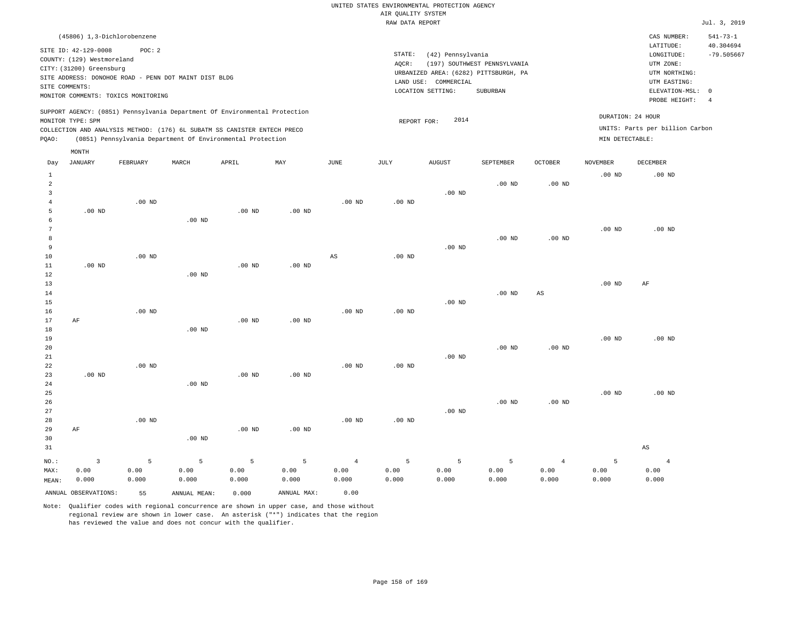| (45806) 1,3-Dichlorobenzene                                                                                                                                                                                                                        |                                                                                                                                                                        | $541 - 73 - 1$<br>CAS NUMBER:                                                                                                                 |
|----------------------------------------------------------------------------------------------------------------------------------------------------------------------------------------------------------------------------------------------------|------------------------------------------------------------------------------------------------------------------------------------------------------------------------|-----------------------------------------------------------------------------------------------------------------------------------------------|
| SITE ID: 42-129-0008<br>POC:2<br>COUNTY: (129) Westmoreland<br>CITY: (31200) Greensburg<br>SITE ADDRESS: DONOHOE ROAD - PENN DOT MAINT DIST BLDG<br>SITE COMMENTS:<br>MONITOR COMMENTS: TOXICS MONITORING                                          | STATE:<br>(42) Pennsylvania<br>(197) SOUTHWEST PENNSYLVANIA<br>AOCR:<br>URBANIZED AREA: (6282) PITTSBURGH, PA<br>LAND USE: COMMERCIAL<br>LOCATION SETTING:<br>SUBURBAN | 40.304694<br>LATITUDE:<br>$-79.505667$<br>LONGITUDE:<br>UTM ZONE:<br>UTM NORTHING:<br>UTM EASTING:<br>ELEVATION-MSL: 0<br>PROBE HEIGHT:<br>-4 |
| SUPPORT AGENCY: (0851) Pennsylvania Department Of Environmental Protection<br>MONITOR TYPE: SPM<br>COLLECTION AND ANALYSIS METHOD: (176) 6L SUBATM SS CANISTER ENTECH PRECO<br>(0851) Pennsylvania Department Of Environmental Protection<br>POAO: | 2014<br>REPORT FOR:                                                                                                                                                    | DURATION: 24 HOUR<br>UNITS: Parts per billion Carbon<br>MIN DETECTABLE:                                                                       |
| MONTH                                                                                                                                                                                                                                              |                                                                                                                                                                        |                                                                                                                                               |

| Day            | <b>JANUARY</b>          | FEBRUARY | MARCH        | APRIL    | MAY         | $_{\rm JUNE}$          | JULY              | AUGUST   | SEPTEMBER | OCTOBER                | NOVEMBER | DECEMBER               |
|----------------|-------------------------|----------|--------------|----------|-------------|------------------------|-------------------|----------|-----------|------------------------|----------|------------------------|
| $\mathbf{1}$   |                         |          |              |          |             |                        |                   |          |           |                        | $.00$ ND | $.00$ ND               |
| $\overline{a}$ |                         |          |              |          |             |                        |                   |          | $.00$ ND  | $.00$ ND               |          |                        |
| 3              |                         |          |              |          |             |                        |                   | $.00$ ND |           |                        |          |                        |
| 4              |                         | $.00$ ND |              |          |             | $.00$ ND               | .00 <sub>ND</sub> |          |           |                        |          |                        |
| 5              | $.00$ ND                |          |              | $.00$ ND | $.00$ ND    |                        |                   |          |           |                        |          |                        |
| 6              |                         |          | $.00$ ND     |          |             |                        |                   |          |           |                        |          |                        |
| 7<br>8         |                         |          |              |          |             |                        |                   |          | $.00$ ND  | $.00$ ND               | $.00$ ND | $.00$ ND               |
| 9              |                         |          |              |          |             |                        |                   | $.00$ ND |           |                        |          |                        |
| 10             |                         | $.00$ ND |              |          |             | $\mathbb{A}\mathbb{S}$ | $.00$ ND          |          |           |                        |          |                        |
| 11             | $.00$ ND                |          |              | $.00$ ND | $.00$ ND    |                        |                   |          |           |                        |          |                        |
| 12             |                         |          | $.00$ ND     |          |             |                        |                   |          |           |                        |          |                        |
| 13             |                         |          |              |          |             |                        |                   |          |           |                        | $.00$ ND | AF                     |
| 14             |                         |          |              |          |             |                        |                   |          | $.00$ ND  | $\mathbb{A}\mathbb{S}$ |          |                        |
| 15             |                         |          |              |          |             |                        |                   | $.00$ ND |           |                        |          |                        |
| 16             |                         | $.00$ ND |              |          |             | $.00$ ND               | .00 <sub>ND</sub> |          |           |                        |          |                        |
| 17             | AF                      |          |              | $.00$ ND | $.00$ ND    |                        |                   |          |           |                        |          |                        |
| 18             |                         |          | $.00$ ND     |          |             |                        |                   |          |           |                        |          |                        |
| 19             |                         |          |              |          |             |                        |                   |          |           |                        | $.00$ ND | $.00$ ND               |
| 20             |                         |          |              |          |             |                        |                   |          | $.00$ ND  | $.00$ ND               |          |                        |
| 21             |                         |          |              |          |             |                        |                   | $.00$ ND |           |                        |          |                        |
| 22             |                         | $.00$ ND |              |          |             | .00 <sub>ND</sub>      | .00 <sub>ND</sub> |          |           |                        |          |                        |
| 23             | $.00$ ND                |          |              | $.00$ ND | $.00$ ND    |                        |                   |          |           |                        |          |                        |
| 24             |                         |          | $.00$ ND     |          |             |                        |                   |          |           |                        |          |                        |
| 25             |                         |          |              |          |             |                        |                   |          |           |                        | $.00$ ND | $.00$ ND               |
| 26             |                         |          |              |          |             |                        |                   |          | $.00$ ND  | $.00$ ND               |          |                        |
| 27             |                         |          |              |          |             |                        |                   | $.00$ ND |           |                        |          |                        |
| 28             |                         | $.00$ ND |              |          |             | .00 <sub>ND</sub>      | .00 <sub>ND</sub> |          |           |                        |          |                        |
| 29             | $\rm AF$                |          |              | $.00$ ND | $.00$ ND    |                        |                   |          |           |                        |          |                        |
| 30             |                         |          | $.00$ ND     |          |             |                        |                   |          |           |                        |          |                        |
| 31             |                         |          |              |          |             |                        |                   |          |           |                        |          | $\mathbb{A}\mathbb{S}$ |
| $NO.$ :        | $\overline{\mathbf{3}}$ | 5        | 5            | 5        | 5           | $\overline{4}$         | 5                 | 5        | 5         | $\overline{4}$         | 5        | $\overline{4}$         |
| MAX:           | 0.00                    | 0.00     | 0.00         | 0.00     | 0.00        | 0.00                   | 0.00              | 0.00     | 0.00      | 0.00                   | 0.00     | 0.00                   |
| MEAN:          | 0.000                   | 0.000    | 0.000        | 0.000    | 0.000       | 0.000                  | 0.000             | 0.000    | 0.000     | 0.000                  | 0.000    | 0.000                  |
|                | ANNUAL OBSERVATIONS:    | 55       | ANNUAL MEAN: | 0.000    | ANNUAL MAX: | 0.00                   |                   |          |           |                        |          |                        |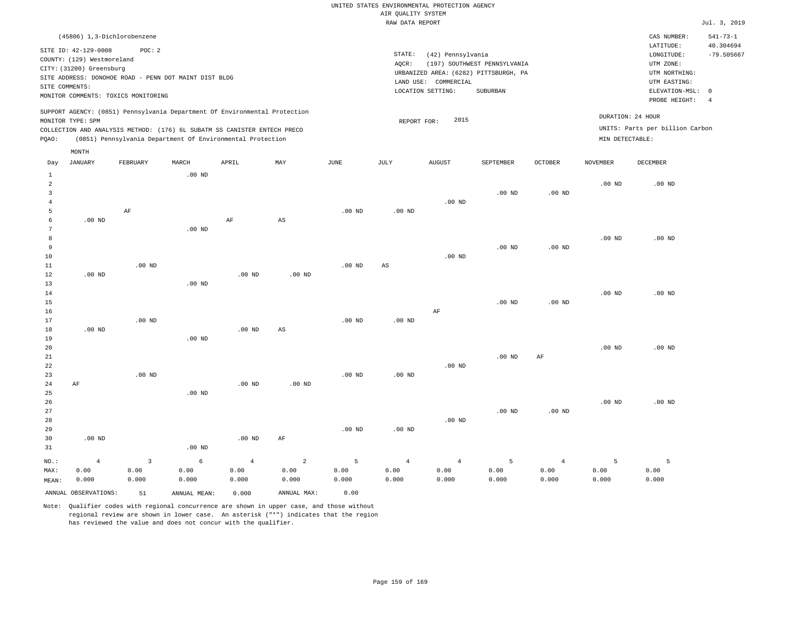| (45806) 1,3-Dichlorobenzene                                                                                                                                                                                                                        |                                                                                                                                                                        | CAS NUMBER:                                                                                                | $541 - 73 - 1$            |
|----------------------------------------------------------------------------------------------------------------------------------------------------------------------------------------------------------------------------------------------------|------------------------------------------------------------------------------------------------------------------------------------------------------------------------|------------------------------------------------------------------------------------------------------------|---------------------------|
| SITE ID: 42-129-0008<br>POC:2<br>COUNTY: (129) Westmoreland<br>CITY: (31200) Greensburg<br>SITE ADDRESS: DONOHOE ROAD - PENN DOT MAINT DIST BLDG<br>SITE COMMENTS:<br>MONITOR COMMENTS: TOXICS MONITORING                                          | STATE:<br>(42) Pennsylvania<br>(197) SOUTHWEST PENNSYLVANIA<br>AOCR:<br>URBANIZED AREA: (6282) PITTSBURGH, PA<br>LAND USE: COMMERCIAL<br>LOCATION SETTING:<br>SUBURBAN | LATITUDE:<br>LONGITUDE:<br>UTM ZONE:<br>UTM NORTHING:<br>UTM EASTING:<br>ELEVATION-MSL: 0<br>PROBE HEIGHT: | 40.304694<br>$-79.505667$ |
| SUPPORT AGENCY: (0851) Pennsylvania Department Of Environmental Protection<br>MONITOR TYPE: SPM<br>COLLECTION AND ANALYSIS METHOD: (176) 6L SUBATM SS CANISTER ENTECH PRECO<br>(0851) Pennsylvania Department Of Environmental Protection<br>POAO: | 2015<br>REPORT FOR:                                                                                                                                                    | DURATION: 24 HOUR<br>UNITS: Parts per billion Carbon<br>MIN DETECTABLE:                                    |                           |

| Day                     | JANUARY              | FEBRUARY | MARCH        | APRIL          | MAY                     | $_{\rm JUNE}$ | JULY              | AUGUST         | SEPTEMBER         | <b>OCTOBER</b> | NOVEMBER | DECEMBER       |
|-------------------------|----------------------|----------|--------------|----------------|-------------------------|---------------|-------------------|----------------|-------------------|----------------|----------|----------------|
| $\mathbf{1}$            |                      |          | $.00$ ND     |                |                         |               |                   |                |                   |                |          |                |
| $\overline{\mathbf{c}}$ |                      |          |              |                |                         |               |                   |                |                   |                | $.00$ ND | $.00$ ND       |
| 3                       |                      |          |              |                |                         |               |                   |                | $.00$ ND          | $.00$ ND       |          |                |
| $\overline{4}$          |                      |          |              |                |                         |               |                   | $.00$ ND       |                   |                |          |                |
| 5                       |                      | AF       |              |                |                         | $.00$ ND      | $.00$ ND          |                |                   |                |          |                |
| 6                       | $.00$ ND             |          |              | $\rm AF$       | $\mathbb{A}\mathbb{S}$  |               |                   |                |                   |                |          |                |
| 7                       |                      |          | $.00$ ND     |                |                         |               |                   |                |                   |                |          |                |
| 8                       |                      |          |              |                |                         |               |                   |                |                   |                | $.00$ ND | $.00$ ND       |
| 9                       |                      |          |              |                |                         |               |                   |                | $.00$ ND          | $.00$ ND       |          |                |
| 10                      |                      |          |              |                |                         |               |                   | $.00$ ND       |                   |                |          |                |
| 11                      |                      | $.00$ ND |              |                |                         | $.00$ ND      | $_{\rm AS}$       |                |                   |                |          |                |
| 12                      | .00 <sub>ND</sub>    |          |              | $.00$ ND       | $.00$ ND                |               |                   |                |                   |                |          |                |
| 13                      |                      |          | $.00$ ND     |                |                         |               |                   |                |                   |                |          |                |
| 14                      |                      |          |              |                |                         |               |                   |                |                   |                | $.00$ ND | $.00$ ND       |
| 15                      |                      |          |              |                |                         |               |                   |                | .00 <sub>ND</sub> | $.00$ ND       |          |                |
| 16                      |                      |          |              |                |                         |               |                   | $\rm AF$       |                   |                |          |                |
| 17                      |                      | $.00$ ND |              |                |                         | $.00$ ND      | $.00$ ND          |                |                   |                |          |                |
| 18                      | $.00$ ND             |          |              | $.00$ ND       | $\mathbb{A}\mathbb{S}$  |               |                   |                |                   |                |          |                |
| 19                      |                      |          | $.00$ ND     |                |                         |               |                   |                |                   |                |          |                |
| 20                      |                      |          |              |                |                         |               |                   |                |                   |                | $.00$ ND | $.00$ ND       |
| 21                      |                      |          |              |                |                         |               |                   |                | $.00$ ND          | $\rm{AF}$      |          |                |
| 22                      |                      |          |              |                |                         |               |                   | $.00$ ND       |                   |                |          |                |
| 23                      |                      | $.00$ ND |              |                |                         | $.00$ ND      | $.00$ ND          |                |                   |                |          |                |
| 24                      | AF                   |          |              | $.00$ ND       | $.00$ ND                |               |                   |                |                   |                |          |                |
| 25                      |                      |          | $.00$ ND     |                |                         |               |                   |                |                   |                |          |                |
| 26                      |                      |          |              |                |                         |               |                   |                |                   |                | $.00$ ND | $.00$ ND       |
| $27\,$<br>28            |                      |          |              |                |                         |               |                   | $.00$ ND       | .00 <sub>ND</sub> | $.00$ ND       |          |                |
| 29                      |                      |          |              |                |                         | $.00$ ND      | .00 <sub>ND</sub> |                |                   |                |          |                |
| 30                      | $.00$ ND             |          |              | $.00$ ND       | AF                      |               |                   |                |                   |                |          |                |
| 31                      |                      |          | $.00$ ND     |                |                         |               |                   |                |                   |                |          |                |
|                         |                      |          |              |                |                         |               |                   |                |                   |                |          |                |
| $NO.$ :                 | $\overline{4}$       | 3        | $\epsilon$   | $\overline{4}$ | $\overline{\mathbf{c}}$ | 5             | $\overline{4}$    | $\overline{4}$ | 5                 | $\overline{4}$ | 5        | $\overline{5}$ |
| MAX:                    | 0.00                 | 0.00     | 0.00         | 0.00           | 0.00                    | 0.00          | 0.00              | 0.00           | 0.00              | 0.00           | 0.00     | 0.00           |
| MEAN:                   | 0.000                | 0.000    | 0.000        | 0.000          | 0.000                   | 0.000         | 0.000             | 0.000          | 0.000             | 0.000          | 0.000    | 0.000          |
|                         | ANNUAL OBSERVATIONS: | 51       | ANNUAL MEAN: | 0.000          | ANNUAL MAX:             | 0.00          |                   |                |                   |                |          |                |

Note: Qualifier codes with regional concurrence are shown in upper case, and those without regional review are shown in lower case. An asterisk ("\*") indicates that the region has reviewed the value and does not concur with the qualifier.

MONTH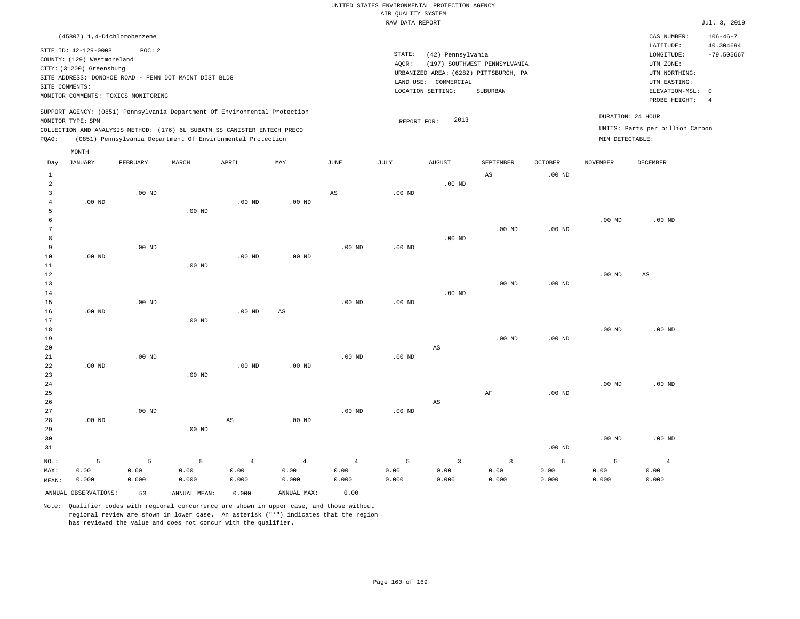| (45807) 1,4-Dichlorobenzene                                                                                                                                                                                                                        |                                                                                                                                                                        | CAS NUMBER:                                                                                                | $106 - 46 - 7$                  |
|----------------------------------------------------------------------------------------------------------------------------------------------------------------------------------------------------------------------------------------------------|------------------------------------------------------------------------------------------------------------------------------------------------------------------------|------------------------------------------------------------------------------------------------------------|---------------------------------|
| SITE ID: 42-129-0008<br>POC: 2<br>COUNTY: (129) Westmoreland<br>CITY: (31200) Greensburg<br>SITE ADDRESS: DONOHOE ROAD - PENN DOT MAINT DIST BLDG<br>SITE COMMENTS:<br>MONITOR COMMENTS: TOXICS MONITORING                                         | STATE:<br>(42) Pennsylvania<br>(197) SOUTHWEST PENNSYLVANIA<br>AOCR:<br>URBANIZED AREA: (6282) PITTSBURGH, PA<br>LAND USE: COMMERCIAL<br>LOCATION SETTING:<br>SUBURBAN | LATITUDE:<br>LONGITUDE:<br>UTM ZONE:<br>UTM NORTHING:<br>UTM EASTING:<br>ELEVATION-MSL: 0<br>PROBE HEIGHT: | 40.304694<br>$-79.505667$<br>-4 |
| SUPPORT AGENCY: (0851) Pennsylvania Department Of Environmental Protection<br>MONITOR TYPE: SPM<br>COLLECTION AND ANALYSIS METHOD: (176) 6L SUBATM SS CANISTER ENTECH PRECO<br>(0851) Pennsylvania Department Of Environmental Protection<br>POAO: | DURATION: 24 HOUR<br>2013<br>REPORT FOR:<br>MIN DETECTABLE:                                                                                                            | UNITS: Parts per billion Carbon                                                                            |                                 |
| MONTH                                                                                                                                                                                                                                              | the contract of the contract of the contract of the contract of the contract of                                                                                        |                                                                                                            |                                 |

| Day            | JANUARY              | FEBRUARY | MARCH        | APRIL                  | MAY                    | JUNE              | JULY     | AUGUST                 | SEPTEMBER               | OCTOBER           | NOVEMBER | DECEMBER               |
|----------------|----------------------|----------|--------------|------------------------|------------------------|-------------------|----------|------------------------|-------------------------|-------------------|----------|------------------------|
| $\mathbf{1}$   |                      |          |              |                        |                        |                   |          |                        | AS                      | $.00$ ND          |          |                        |
| $\overline{a}$ |                      |          |              |                        |                        |                   |          | $.00$ ND               |                         |                   |          |                        |
| 3              |                      | $.00$ ND |              |                        |                        | $_{\rm AS}$       | $.00$ ND |                        |                         |                   |          |                        |
| $\overline{4}$ | $.00$ ND             |          |              | $.00$ ND               | $.00$ ND               |                   |          |                        |                         |                   |          |                        |
| 5              |                      |          | $.00$ ND     |                        |                        |                   |          |                        |                         |                   |          |                        |
| 6              |                      |          |              |                        |                        |                   |          |                        |                         |                   | $.00$ ND | $.00$ ND               |
| $\overline{7}$ |                      |          |              |                        |                        |                   |          |                        | $.00$ ND                | $.00$ ND          |          |                        |
| 8              |                      |          |              |                        |                        |                   |          | $.00$ ND               |                         |                   |          |                        |
| 9              |                      | $.00$ ND |              |                        |                        | $.00$ ND          | $.00$ ND |                        |                         |                   |          |                        |
| $10$           | $.00$ ND             |          |              | $.00$ ND               | $.00$ ND               |                   |          |                        |                         |                   |          |                        |
| 11             |                      |          | $.00$ ND     |                        |                        |                   |          |                        |                         |                   |          |                        |
| $1\,2$         |                      |          |              |                        |                        |                   |          |                        |                         |                   | .00 $ND$ | $\mathbb{A}\mathbb{S}$ |
| 13             |                      |          |              |                        |                        |                   |          |                        | $.00$ ND                | $.00$ ND          |          |                        |
| 14             |                      |          |              |                        |                        |                   |          | .00 $ND$               |                         |                   |          |                        |
| 15             |                      | .00 $ND$ |              |                        |                        | $.00~\mathrm{ND}$ | .00 $ND$ |                        |                         |                   |          |                        |
| 16             | $.00$ ND             |          |              | $.00$ ND               | $\mathbb{A}\mathbb{S}$ |                   |          |                        |                         |                   |          |                        |
| $17\,$         |                      |          | $.00$ ND     |                        |                        |                   |          |                        |                         |                   |          |                        |
| 18             |                      |          |              |                        |                        |                   |          |                        |                         |                   | $.00$ ND | $.00$ ND               |
| 19             |                      |          |              |                        |                        |                   |          |                        | $.00$ ND                | $.00$ ND          |          |                        |
| 20             |                      |          |              |                        |                        |                   |          | $\mathbb{A}\mathbb{S}$ |                         |                   |          |                        |
| 21             |                      | $.00$ ND |              |                        |                        | .00 <sub>ND</sub> | .00 $ND$ |                        |                         |                   |          |                        |
| 22             | .00 $ND$             |          |              | $.00$ ND               | .00 $ND$               |                   |          |                        |                         |                   |          |                        |
| 23             |                      |          | $.00$ ND     |                        |                        |                   |          |                        |                         |                   |          |                        |
| $2\,4$         |                      |          |              |                        |                        |                   |          |                        |                         |                   | $.00$ ND | $.00$ ND               |
| 25             |                      |          |              |                        |                        |                   |          |                        | $\rm AF$                | $.00$ ND          |          |                        |
| $26\,$         |                      |          |              |                        |                        |                   |          | $\mathbb{A}\mathbb{S}$ |                         |                   |          |                        |
| 27             |                      | $.00$ ND |              |                        |                        | $.00$ ND          | $.00$ ND |                        |                         |                   |          |                        |
| 28             | $.00$ ND             |          |              | $\mathbb{A}\mathbb{S}$ | $.00$ ND               |                   |          |                        |                         |                   |          |                        |
| 29             |                      |          | $.00$ ND     |                        |                        |                   |          |                        |                         |                   |          |                        |
| 30             |                      |          |              |                        |                        |                   |          |                        |                         |                   | $.00$ ND | $.00$ ND               |
| 31             |                      |          |              |                        |                        |                   |          |                        |                         | .00 <sub>ND</sub> |          |                        |
| $NO.$ :        | $\mathsf S$          | 5        | 5            | $\,4$                  | $\sqrt{4}$             | $\overline{4}$    | 5        | $\overline{3}$         | $\overline{\mathbf{3}}$ | $\epsilon$        | 5        | $\overline{4}$         |
| MAX:           | 0.00                 | 0.00     | 0.00         | 0.00                   | 0.00                   | 0.00              | 0.00     | 0.00                   | 0.00                    | 0.00              | 0.00     | 0.00                   |
| MEAN:          | 0.000                | 0.000    | 0.000        | 0.000                  | 0.000                  | 0.000             | 0.000    | 0.000                  | 0.000                   | 0.000             | 0.000    | 0.000                  |
|                | ANNUAL OBSERVATIONS: | 53       | ANNUAL MEAN: | 0.000                  | ANNUAL MAX:            | 0.00              |          |                        |                         |                   |          |                        |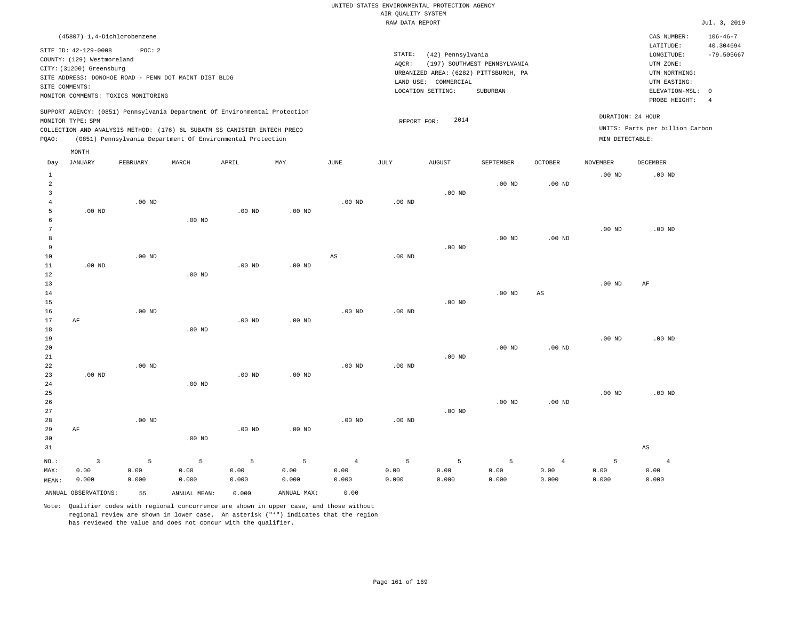| (45807) 1,4-Dichlorobenzene                                                                                                                                                                                                                        |                                                                                                                                                                        |                                      | CAS NUMBER:                                                                                                | $106 - 46 - 7$                  |
|----------------------------------------------------------------------------------------------------------------------------------------------------------------------------------------------------------------------------------------------------|------------------------------------------------------------------------------------------------------------------------------------------------------------------------|--------------------------------------|------------------------------------------------------------------------------------------------------------|---------------------------------|
| SITE ID: 42-129-0008<br>POC:2<br>COUNTY: (129) Westmoreland<br>CITY: (31200) Greensburg<br>SITE ADDRESS: DONOHOE ROAD - PENN DOT MAINT DIST BLDG<br>SITE COMMENTS:<br>MONITOR COMMENTS: TOXICS MONITORING                                          | STATE:<br>(42) Pennsylvania<br>(197) SOUTHWEST PENNSYLVANIA<br>AOCR:<br>URBANIZED AREA: (6282) PITTSBURGH, PA<br>LAND USE: COMMERCIAL<br>LOCATION SETTING:<br>SUBURBAN |                                      | LATITUDE:<br>LONGITUDE:<br>UTM ZONE:<br>UTM NORTHING:<br>UTM EASTING:<br>ELEVATION-MSL: 0<br>PROBE HEIGHT: | 40.304694<br>$-79.505667$<br>-4 |
| SUPPORT AGENCY: (0851) Pennsylvania Department Of Environmental Protection<br>MONITOR TYPE: SPM<br>COLLECTION AND ANALYSIS METHOD: (176) 6L SUBATM SS CANISTER ENTECH PRECO<br>(0851) Pennsylvania Department Of Environmental Protection<br>POAO: | 2014<br>REPORT FOR:                                                                                                                                                    | DURATION: 24 HOUR<br>MIN DETECTABLE: | UNITS: Parts per billion Carbon                                                                            |                                 |
| MONTH                                                                                                                                                                                                                                              |                                                                                                                                                                        |                                      |                                                                                                            |                                 |

| Day            | <b>JANUARY</b>          | FEBRUARY        | $\tt MARCH$    | APRIL    | MAY            | $_{\rm JUNE}$  | $\mathtt{JULY}$ | AUGUST   | SEPTEMBER | OCTOBER           | NOVEMBER | DECEMBER       |
|----------------|-------------------------|-----------------|----------------|----------|----------------|----------------|-----------------|----------|-----------|-------------------|----------|----------------|
| $\mathbf{1}$   |                         |                 |                |          |                |                |                 |          |           |                   | $.00$ ND | $.00$ ND       |
| $\overline{a}$ |                         |                 |                |          |                |                |                 |          | $.00$ ND  | .00 <sub>ND</sub> |          |                |
| 3              |                         |                 |                |          |                |                |                 | $.00$ ND |           |                   |          |                |
| 4              |                         | $.00$ ND        |                |          |                | .00 $ND$       | .00 $ND$        |          |           |                   |          |                |
| 5              | .00 $ND$                |                 |                | .00 $ND$ | $.00$ ND       |                |                 |          |           |                   |          |                |
| 6              |                         |                 | $.00$ ND       |          |                |                |                 |          |           |                   |          |                |
| 7              |                         |                 |                |          |                |                |                 |          |           |                   | $.00$ ND | $.00$ ND       |
| 8              |                         |                 |                |          |                |                |                 |          | .00 $ND$  | $.00$ ND          |          |                |
| 9              |                         |                 |                |          |                |                |                 | $.00$ ND |           |                   |          |                |
| 10             |                         | $.00$ ND        |                |          |                | $_{\rm AS}$    | $.00$ ND        |          |           |                   |          |                |
| 11             | $.00$ ND                |                 |                | $.00$ ND | $.00$ ND       |                |                 |          |           |                   |          |                |
| 12             |                         |                 | $.00$ ND       |          |                |                |                 |          |           |                   |          |                |
| 13             |                         |                 |                |          |                |                |                 |          |           |                   | $.00$ ND | $\rm AF$       |
| 14             |                         |                 |                |          |                |                |                 |          | $.00$ ND  | $_{\rm AS}$       |          |                |
| 15             |                         |                 |                |          |                |                |                 | $.00$ ND |           |                   |          |                |
| 16<br>17       |                         | $.00$ ND        |                |          |                | $.00$ ND       | .00 $ND$        |          |           |                   |          |                |
| 18             | AF                      |                 | $.00$ ND       | .00 $ND$ | $.00$ ND       |                |                 |          |           |                   |          |                |
| 19             |                         |                 |                |          |                |                |                 |          |           |                   | $.00$ ND | $.00$ ND       |
| 20             |                         |                 |                |          |                |                |                 |          | $.00$ ND  | $.00$ ND          |          |                |
| 21             |                         |                 |                |          |                |                |                 | $.00$ ND |           |                   |          |                |
| 22             |                         | $.00$ ND        |                |          |                | $.00$ ND       | $.00$ ND        |          |           |                   |          |                |
| 23             | $.00$ ND                |                 |                | $.00$ ND | $.00$ ND       |                |                 |          |           |                   |          |                |
| 24             |                         |                 | $.00$ ND       |          |                |                |                 |          |           |                   |          |                |
| 25             |                         |                 |                |          |                |                |                 |          |           |                   | $.00$ ND | $.00$ ND       |
| 26             |                         |                 |                |          |                |                |                 |          | $.00$ ND  | $.00$ ND          |          |                |
| 27             |                         |                 |                |          |                |                |                 | $.00$ ND |           |                   |          |                |
| 28             |                         | $.00$ ND        |                |          |                | $.00$ ND       | $.00$ ND        |          |           |                   |          |                |
| 29             | AF                      |                 |                | $.00$ ND | $.00$ ND       |                |                 |          |           |                   |          |                |
| 30             |                         |                 | $.00$ ND       |          |                |                |                 |          |           |                   |          |                |
| 31             |                         |                 |                |          |                |                |                 |          |           |                   |          | AS             |
| $NO.$ :        | $\overline{\mathbf{3}}$ | $5\phantom{.0}$ | $\overline{5}$ | 5        | $\overline{5}$ | $\overline{4}$ | 5               | 5        | 5         | $\overline{4}$    | 5        | $\overline{4}$ |
| MAX:           | 0.00                    | 0.00            | 0.00           | 0.00     | 0.00           | 0.00           | 0.00            | 0.00     | 0.00      | 0.00              | 0.00     | 0.00           |
| MEAN:          | 0.000                   | 0.000           | 0.000          | 0.000    | 0.000          | 0.000          | 0.000           | 0.000    | 0.000     | 0.000             | 0.000    | 0.000          |
|                | ANNUAL OBSERVATIONS:    | 55              | ANNUAL MEAN:   | 0.000    | ANNUAL MAX:    | 0.00           |                 |          |           |                   |          |                |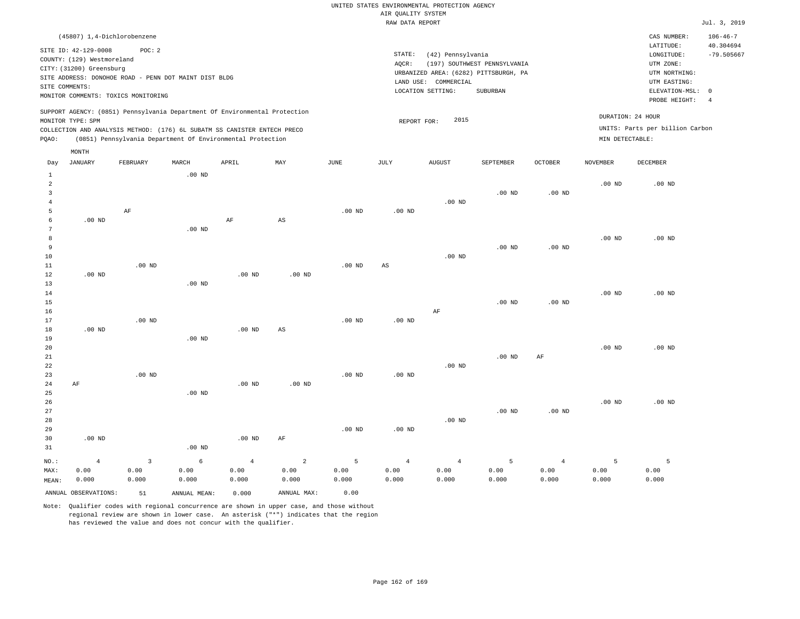| CAS NUMBER:                                                                                                | $106 - 46 - 7$            |
|------------------------------------------------------------------------------------------------------------|---------------------------|
| LATITUDE:<br>LONGITUDE:<br>UTM ZONE:<br>UTM NORTHING:<br>UTM EASTING:<br>ELEVATION-MSL: 0<br>PROBE HEIGHT: | 40.304694<br>$-79.505667$ |
| DURATION: 24 HOUR<br>UNITS: Parts per billion Carbon<br>MIN DETECTABLE:                                    |                           |
|                                                                                                            |                           |

| Day                     | <b>JANUARY</b>       | FEBRUARY | MARCH        | APRIL          | $\ensuremath{\text{MAX}}$ | $_{\rm JUNE}$ | $\mathtt{JULY}$        | AUGUST   | SEPTEMBER         | $\mathtt{OCTOBER}$ | NOVEMBER          | DECEMBER |
|-------------------------|----------------------|----------|--------------|----------------|---------------------------|---------------|------------------------|----------|-------------------|--------------------|-------------------|----------|
| $\mathbf{1}$            |                      |          | .00 $ND$     |                |                           |               |                        |          |                   |                    |                   |          |
| $\overline{\mathbf{c}}$ |                      |          |              |                |                           |               |                        |          |                   |                    | $.00$ ND          | $.00$ ND |
| 3                       |                      |          |              |                |                           |               |                        |          | .00 <sub>ND</sub> | $.00$ ND           |                   |          |
| $\overline{4}$          |                      |          |              |                |                           |               |                        | $.00$ ND |                   |                    |                   |          |
| 5                       |                      | AF       |              |                |                           | $.00$ ND      | $.00$ ND               |          |                   |                    |                   |          |
| 6                       | $.00$ ND             |          |              | $\rm AF$       | $\mathbb{A}\mathbb{S}$    |               |                        |          |                   |                    |                   |          |
| 7                       |                      |          | $.00$ ND     |                |                           |               |                        |          |                   |                    |                   |          |
| 8                       |                      |          |              |                |                           |               |                        |          |                   |                    | $.00$ ND          | $.00$ ND |
| 9                       |                      |          |              |                |                           |               |                        |          | .00 <sub>ND</sub> | $.00$ ND           |                   |          |
| 10                      |                      |          |              |                |                           |               |                        | $.00$ ND |                   |                    |                   |          |
| $11\,$                  |                      | $.00$ ND |              |                |                           | $.00$ ND      | $\mathbb{A}\mathbb{S}$ |          |                   |                    |                   |          |
| 12                      | $.00$ ND             |          |              | $.00$ ND       | $.00$ ND                  |               |                        |          |                   |                    |                   |          |
| 13                      |                      |          | $.00$ ND     |                |                           |               |                        |          |                   |                    |                   |          |
| 14                      |                      |          |              |                |                           |               |                        |          |                   |                    | .00 <sub>ND</sub> | $.00$ ND |
| 15                      |                      |          |              |                |                           |               |                        |          | .00 <sub>ND</sub> | $.00$ ND           |                   |          |
| 16                      |                      |          |              |                |                           |               |                        | $\rm AF$ |                   |                    |                   |          |
| 17                      |                      | $.00$ ND |              |                |                           | $.00$ ND      | $.00$ ND               |          |                   |                    |                   |          |
| 18                      | $.00$ ND             |          |              | $.00$ ND       | AS                        |               |                        |          |                   |                    |                   |          |
| 19                      |                      |          | $.00$ ND     |                |                           |               |                        |          |                   |                    | $.00$ ND          | $.00$ ND |
| 20<br>21                |                      |          |              |                |                           |               |                        |          | .00 <sub>ND</sub> | AF                 |                   |          |
| 22                      |                      |          |              |                |                           |               |                        | .00 $ND$ |                   |                    |                   |          |
| 23                      |                      | $.00$ ND |              |                |                           | $.00$ ND      | $.00$ ND               |          |                   |                    |                   |          |
| $2\,4$                  | AF                   |          |              | .00 $ND$       | $.00$ ND                  |               |                        |          |                   |                    |                   |          |
| 25                      |                      |          | $.00$ ND     |                |                           |               |                        |          |                   |                    |                   |          |
| 26                      |                      |          |              |                |                           |               |                        |          |                   |                    | $.00$ ND          | $.00$ ND |
| 27                      |                      |          |              |                |                           |               |                        |          | .00 <sub>ND</sub> | .00 <sub>ND</sub>  |                   |          |
| 28                      |                      |          |              |                |                           |               |                        | .00 $ND$ |                   |                    |                   |          |
| 29                      |                      |          |              |                |                           | $.00$ ND      | $.00$ ND               |          |                   |                    |                   |          |
| 30                      | $.00$ ND             |          |              | $.00$ ND       | AF                        |               |                        |          |                   |                    |                   |          |
| 31                      |                      |          | $.00$ ND     |                |                           |               |                        |          |                   |                    |                   |          |
| $_{\rm NO.}$ :          | $\overline{4}$       | 3        | 6            | $\overline{4}$ | $\sqrt{2}$                | 5             | $\bf{4}$               | $\bf{4}$ | 5                 | $\overline{4}$     | 5                 | 5        |
| MAX:                    | 0.00                 | 0.00     | 0.00         | 0.00           | 0.00                      | 0.00          | 0.00                   | 0.00     | 0.00              | 0.00               | 0.00              | 0.00     |
| MEAN:                   | 0.000                | 0.000    | 0.000        | 0.000          | 0.000                     | 0.000         | 0.000                  | 0.000    | 0.000             | 0.000              | 0.000             | 0.000    |
|                         | ANNUAL OBSERVATIONS: | 51       | ANNUAL MEAN: | 0.000          | ANNUAL MAX:               | 0.00          |                        |          |                   |                    |                   |          |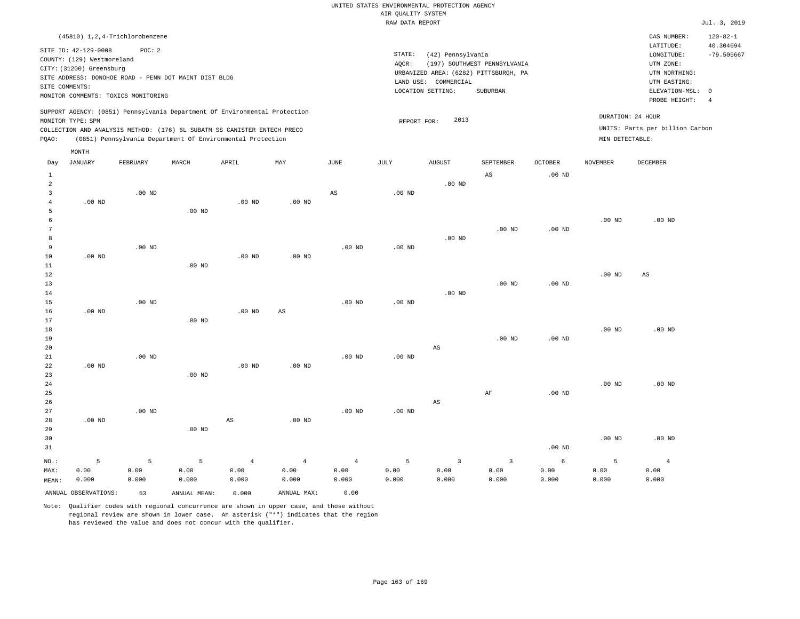|                            | (45810) 1,2,4-Trichlorobenzene                                                                                                                                                                                       |          |       |       |     |      |                 |                                                                |                                                                                   |                     |                                      | CAS NUMBER:                                                                                                | $120 - 82 - 1$                 |
|----------------------------|----------------------------------------------------------------------------------------------------------------------------------------------------------------------------------------------------------------------|----------|-------|-------|-----|------|-----------------|----------------------------------------------------------------|-----------------------------------------------------------------------------------|---------------------|--------------------------------------|------------------------------------------------------------------------------------------------------------|--------------------------------|
| SITE COMMENTS:             | SITE ID: 42-129-0008<br>COUNTY: (129) Westmoreland<br>CITY: (31200) Greensburg<br>SITE ADDRESS: DONOHOE ROAD - PENN DOT MAINT DIST BLDG<br>MONITOR COMMENTS: TOXICS MONITORING                                       | POC: 2   |       |       |     |      | STATE:<br>AOCR: | (42) Pennsylvania<br>LAND USE: COMMERCIAL<br>LOCATION SETTING: | (197) SOUTHWEST PENNSYLVANIA<br>URBANIZED AREA: (6282) PITTSBURGH, PA<br>SUBURBAN |                     |                                      | LATITUDE:<br>LONGITUDE:<br>UTM ZONE:<br>UTM NORTHING:<br>UTM EASTING:<br>ELEVATION-MSL: 0<br>PROBE HEIGHT: | 40.304694<br>$-79.505667$<br>4 |
| MONITOR TYPE: SPM<br>POAO: | SUPPORT AGENCY: (0851) Pennsylvania Department Of Environmental Protection<br>COLLECTION AND ANALYSIS METHOD: (176) 6L SUBATM SS CANISTER ENTECH PRECO<br>(0851) Pennsylvania Department Of Environmental Protection |          |       |       |     |      | REPORT FOR:     | 2013                                                           |                                                                                   |                     | DURATION: 24 HOUR<br>MIN DETECTABLE: | UNITS: Parts per billion Carbon                                                                            |                                |
| Day                        | MONTH<br>JANUARY                                                                                                                                                                                                     | FEBRUARY | MARCH | APRIL | MAY | JUNE | JULY            | AUGUST                                                         | SEPTEMBER<br>AS                                                                   | OCTOBER<br>$.00$ ND | <b>NOVEMBER</b>                      | DECEMBER                                                                                                   |                                |

| 3<br>$\overline{4}$ | $.00$ ND | $.00$ ND |          |          |          | $\mathbb{A}\mathbb{S}$ | .00 $ND$ |                        |           |          |          |                        |
|---------------------|----------|----------|----------|----------|----------|------------------------|----------|------------------------|-----------|----------|----------|------------------------|
|                     |          |          |          |          |          |                        |          |                        |           |          |          |                        |
|                     |          |          |          | $.00$ ND | $.00$ ND |                        |          |                        |           |          |          |                        |
| 5                   |          |          | $.00$ ND |          |          |                        |          |                        |           |          |          |                        |
| 6                   |          |          |          |          |          |                        |          |                        |           |          | $.00$ ND | $.00$ ND               |
| 7                   |          |          |          |          |          |                        |          |                        | $.00$ ND  | $.00$ ND |          |                        |
| 8                   |          |          |          |          |          |                        |          | $.00$ ND               |           |          |          |                        |
| 9                   |          | $.00$ ND |          |          |          | $.00$ ND               | $.00$ ND |                        |           |          |          |                        |
| 10                  | $.00$ ND |          |          | $.00$ ND | $.00$ ND |                        |          |                        |           |          |          |                        |
| 11                  |          |          | $.00$ ND |          |          |                        |          |                        |           |          |          |                        |
| 12                  |          |          |          |          |          |                        |          |                        |           |          | $.00$ ND | $\mathbb{A}\mathbb{S}$ |
| 13                  |          |          |          |          |          |                        |          |                        | $.00$ ND  | $.00$ ND |          |                        |
| 14                  |          |          |          |          |          |                        |          | $.00$ ND               |           |          |          |                        |
| 15                  |          | $.00$ ND |          |          |          | $.00$ ND               | $.00$ ND |                        |           |          |          |                        |
| 16                  | $.00$ ND |          |          | $.00$ ND | AS       |                        |          |                        |           |          |          |                        |
| 17                  |          |          | $.00$ ND |          |          |                        |          |                        |           |          |          |                        |
| 18                  |          |          |          |          |          |                        |          |                        |           |          | $.00$ ND | $.00$ ND               |
| 19                  |          |          |          |          |          |                        |          |                        | $.00$ ND  | $.00$ ND |          |                        |
| 20                  |          |          |          |          |          |                        |          | AS                     |           |          |          |                        |
| 21                  |          | $.00$ ND |          |          |          | $.00$ ND               | $.00$ ND |                        |           |          |          |                        |
| 22                  | $.00$ ND |          |          | $.00$ ND | $.00$ ND |                        |          |                        |           |          |          |                        |
| 23                  |          |          | $.00$ ND |          |          |                        |          |                        |           |          |          |                        |
| 24                  |          |          |          |          |          |                        |          |                        |           |          | $.00$ ND | .00 <sub>ND</sub>      |
| 25                  |          |          |          |          |          |                        |          |                        | $\rm{AF}$ | $.00$ ND |          |                        |
| 26                  |          |          |          |          |          |                        |          | $\mathbb{A}\mathbb{S}$ |           |          |          |                        |
| 27                  |          | $.00$ ND |          |          |          | $.00$ ND               | $.00$ ND |                        |           |          |          |                        |
| 28                  | $.00$ ND |          |          | AS       | $.00$ ND |                        |          |                        |           |          |          |                        |
| 29                  |          |          | $.00$ ND |          |          |                        |          |                        |           |          |          |                        |
| 30                  |          |          |          |          |          |                        |          |                        |           |          | $.00$ ND | $.00$ ND               |
| 31                  |          |          |          |          |          |                        |          |                        |           | $.00$ ND |          |                        |

4 0.00 0.000

ANNUAL OBSERVATIONS: 53 ANNUAL MEAN: 0.000 ANNUAL MAX: 0.00

5 0.00 0.000

NO.: MAX: MEAN:

5 0.00 0.000

5 0.00 0.000

Note: Qualifier codes with regional concurrence are shown in upper case, and those without regional review are shown in lower case. An asterisk ("\*") indicates that the region has reviewed the value and does not concur with the qualifier.

4 0.00 0.000

4 0.00 0.000

5 0.00 0.000

3 0.00 0.000

3 0.00 0.000

6 0.00 0.000

5 0.00 0.000

4 0.00 0.000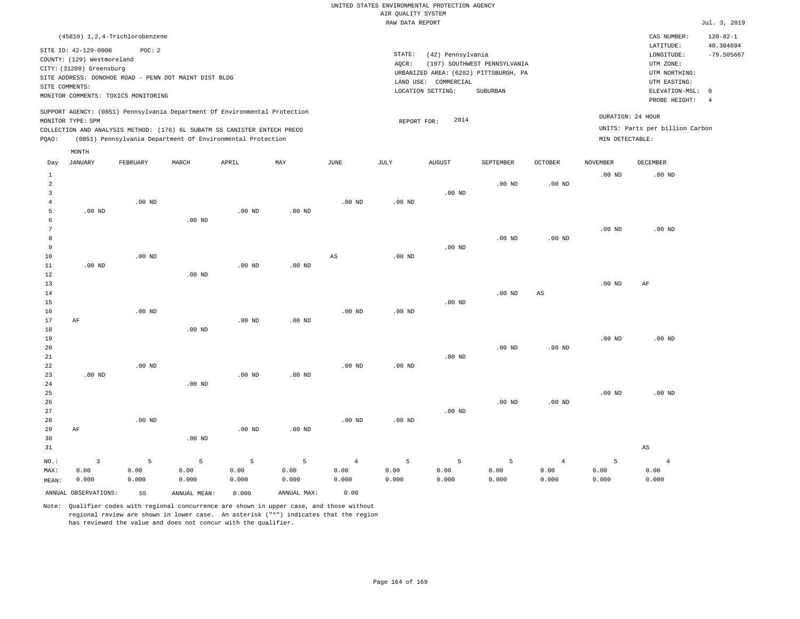| (45810) 1,2,4-Trichlorobenzene                                                                                                                                                                                                                     |                                                                                                                                                                        | $120 - 82 - 1$<br>CAS NUMBER:                                                                                                                 |  |
|----------------------------------------------------------------------------------------------------------------------------------------------------------------------------------------------------------------------------------------------------|------------------------------------------------------------------------------------------------------------------------------------------------------------------------|-----------------------------------------------------------------------------------------------------------------------------------------------|--|
| SITE ID: 42-129-0008<br>POC:2<br>COUNTY: (129) Westmoreland<br>CITY: (31200) Greensburg<br>SITE ADDRESS: DONOHOE ROAD - PENN DOT MAINT DIST BLDG<br>SITE COMMENTS:<br>MONITOR COMMENTS: TOXICS MONITORING                                          | STATE:<br>(42) Pennsylvania<br>(197) SOUTHWEST PENNSYLVANIA<br>AOCR:<br>URBANIZED AREA: (6282) PITTSBURGH, PA<br>LAND USE: COMMERCIAL<br>LOCATION SETTING:<br>SUBURBAN | 40.304694<br>LATITUDE:<br>$-79.505667$<br>LONGITUDE:<br>UTM ZONE:<br>UTM NORTHING:<br>UTM EASTING:<br>ELEVATION-MSL: 0<br>PROBE HEIGHT:<br>-4 |  |
| SUPPORT AGENCY: (0851) Pennsylvania Department Of Environmental Protection<br>MONITOR TYPE: SPM<br>COLLECTION AND ANALYSIS METHOD: (176) 6L SUBATM SS CANISTER ENTECH PRECO<br>(0851) Pennsylvania Department Of Environmental Protection<br>POAO: | 2014<br>REPORT FOR:                                                                                                                                                    | DURATION: 24 HOUR<br>UNITS: Parts per billion Carbon<br>MIN DETECTABLE:                                                                       |  |
| MONTH                                                                                                                                                                                                                                              |                                                                                                                                                                        |                                                                                                                                               |  |

| Day            | <b>JANUARY</b>       | FEBRUARY      | MARCH         | APRIL             | $\mathtt{MAX}$    | $_{\rm JUNE}$          | $\mathtt{JULY}$   | AUGUST        | SEPTEMBER     | OCTOBER           | <b>NOVEMBER</b> | $\tt DECEMBER$         |
|----------------|----------------------|---------------|---------------|-------------------|-------------------|------------------------|-------------------|---------------|---------------|-------------------|-----------------|------------------------|
| 1              |                      |               |               |                   |                   |                        |                   |               |               |                   | $.00$ ND        | $.00$ ND               |
| $\overline{a}$ |                      |               |               |                   |                   |                        |                   |               | $.00$ ND      | $.00$ ND          |                 |                        |
| 3              |                      |               |               |                   |                   |                        |                   | $.00$ ND      |               |                   |                 |                        |
| $\overline{4}$ |                      | $.00$ ND      |               |                   |                   | $.00$ ND               | .00 <sub>ND</sub> |               |               |                   |                 |                        |
| 5              | $.00$ ND             |               |               | .00 <sub>ND</sub> | .00 <sub>ND</sub> |                        |                   |               |               |                   |                 |                        |
| 6              |                      |               | $.00$ ND      |                   |                   |                        |                   |               |               |                   |                 |                        |
| 7              |                      |               |               |                   |                   |                        |                   |               |               |                   | $.00$ ND        | $.00$ ND               |
| 8<br>9         |                      |               |               |                   |                   |                        |                   | $.00$ ND      | $.00$ ND      | .00 <sub>ND</sub> |                 |                        |
| 10             |                      | $.00$ ND      |               |                   |                   | $\mathbb{A}\mathbb{S}$ | .00 $ND$          |               |               |                   |                 |                        |
| 11             | .00 $ND$             |               |               | .00 <sub>ND</sub> | $.00$ ND          |                        |                   |               |               |                   |                 |                        |
| 12             |                      |               | $.00$ ND      |                   |                   |                        |                   |               |               |                   |                 |                        |
| 13             |                      |               |               |                   |                   |                        |                   |               |               |                   | .00 $ND$        | AF                     |
| 14             |                      |               |               |                   |                   |                        |                   |               | $.00$ ND      | AS                |                 |                        |
| 15             |                      |               |               |                   |                   |                        |                   | $.00$ ND      |               |                   |                 |                        |
| 16             |                      | $.00$ ND      |               |                   |                   | $.00$ ND               | $.00$ ND          |               |               |                   |                 |                        |
| 17             | $\rm AF$             |               |               | .00 <sub>ND</sub> | $.00$ ND          |                        |                   |               |               |                   |                 |                        |
| 18             |                      |               | $.00$ ND      |                   |                   |                        |                   |               |               |                   |                 |                        |
| 19             |                      |               |               |                   |                   |                        |                   |               |               |                   | $.00$ ND        | $.00$ ND               |
| 20             |                      |               |               |                   |                   |                        |                   |               | $.00$ ND      | $.00$ ND          |                 |                        |
| 21             |                      |               |               |                   |                   |                        |                   | $.00$ ND      |               |                   |                 |                        |
| $2\sqrt{2}$    |                      | $.00$ ND      |               |                   |                   | $.00$ ND               | .00 $ND$          |               |               |                   |                 |                        |
| 23             | $.00$ ND             |               |               | .00 <sub>ND</sub> | $.00$ ND          |                        |                   |               |               |                   |                 |                        |
| 24             |                      |               | $.00$ ND      |                   |                   |                        |                   |               |               |                   |                 |                        |
| 25             |                      |               |               |                   |                   |                        |                   |               |               |                   | $.00$ ND        | $.00$ ND               |
| 26<br>27       |                      |               |               |                   |                   |                        |                   | $.00$ ND      | $.00$ ND      | .00 <sub>ND</sub> |                 |                        |
| 28             |                      | $.00$ ND      |               |                   |                   | $.00$ ND               | .00 <sub>ND</sub> |               |               |                   |                 |                        |
| 29             | $\rm AF$             |               |               | .00 <sub>ND</sub> | .00 $ND$          |                        |                   |               |               |                   |                 |                        |
| 30             |                      |               | $.00$ ND      |                   |                   |                        |                   |               |               |                   |                 |                        |
| 31             |                      |               |               |                   |                   |                        |                   |               |               |                   |                 | $\mathbb{A}\mathbb{S}$ |
|                |                      |               |               |                   |                   |                        |                   |               |               |                   |                 |                        |
| $_{\rm NO.}$ : | $\overline{3}$       | 5             | 5             | 5                 | 5                 | $\overline{4}$         | 5                 | 5             | 5             | $\overline{4}$    | 5               | $\overline{4}$         |
| MAX:           | 0.00<br>0.000        | 0.00<br>0.000 | 0.00<br>0.000 | 0.00<br>0.000     | 0.00<br>0.000     | 0.00<br>0.000          | 0.00<br>0.000     | 0.00<br>0.000 | 0.00<br>0.000 | 0.00<br>0.000     | 0.00<br>0.000   | 0.00<br>0.000          |
| MEAN:          |                      |               |               |                   |                   |                        |                   |               |               |                   |                 |                        |
|                | ANNUAL OBSERVATIONS: | 55            | ANNUAL MEAN:  | 0.000             | ANNUAL MAX:       | 0.00                   |                   |               |               |                   |                 |                        |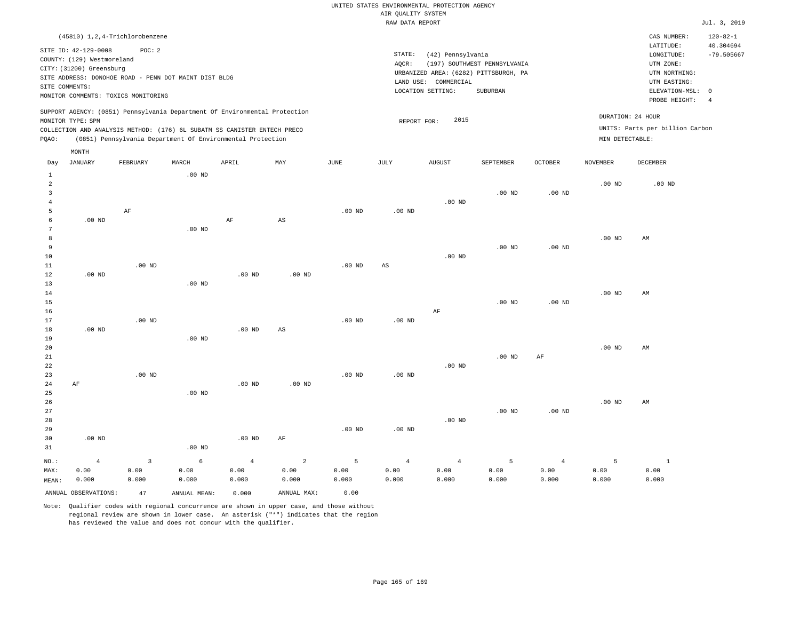| LATITUDE:<br>SITE ID: 42-129-0008<br>POC: 2<br>STATE:<br>(42) Pennsylvania<br>LONGITUDE:<br>COUNTY: (129) Westmoreland<br>UTM ZONE:<br>(197) SOUTHWEST PENNSYLVANIA<br>AOCR:<br>CITY: (31200) Greensburg<br>URBANIZED AREA: (6282) PITTSBURGH, PA<br>UTM NORTHING:<br>SITE ADDRESS: DONOHOE ROAD - PENN DOT MAINT DIST BLDG<br>LAND USE: COMMERCIAL<br>UTM EASTING:<br>SITE COMMENTS:<br>ELEVATION-MSL: 0<br>LOCATION SETTING:<br>SUBURBAN<br>MONITOR COMMENTS: TOXICS MONITORING<br>PROBE HEIGHT:<br>SUPPORT AGENCY: (0851) Pennsylvania Department Of Environmental Protection | (45810) 1,2,4-Trichlorobenzene |  | CAS NUMBER: | $120 - 82 - 1$            |
|----------------------------------------------------------------------------------------------------------------------------------------------------------------------------------------------------------------------------------------------------------------------------------------------------------------------------------------------------------------------------------------------------------------------------------------------------------------------------------------------------------------------------------------------------------------------------------|--------------------------------|--|-------------|---------------------------|
|                                                                                                                                                                                                                                                                                                                                                                                                                                                                                                                                                                                  |                                |  |             | 40.304694<br>$-79.505667$ |
| DURATION: 24 HOUR<br>2015<br>MONITOR TYPE: SPM<br>REPORT FOR:<br>UNITS: Parts per billion Carbon<br>COLLECTION AND ANALYSIS METHOD: (176) 6L SUBATM SS CANISTER ENTECH PRECO<br>(0851) Pennsylvania Department Of Environmental Protection<br>MIN DETECTABLE:<br>POAO:<br>MONTH                                                                                                                                                                                                                                                                                                  |                                |  |             |                           |

| Day                     | <b>JANUARY</b>       | FEBRUARY    | MARCH             | APRIL             | MAY                    | $_{\rm JUNE}$     | $\mathtt{JULY}$   | AUGUST         | SEPTEMBER | $OCTOBER$         | NOVEMBER          | DECEMBER               |
|-------------------------|----------------------|-------------|-------------------|-------------------|------------------------|-------------------|-------------------|----------------|-----------|-------------------|-------------------|------------------------|
| 1                       |                      |             | .00 <sub>ND</sub> |                   |                        |                   |                   |                |           |                   |                   |                        |
| $\,2$                   |                      |             |                   |                   |                        |                   |                   |                |           |                   | $.00$ ND          | .00 <sub>ND</sub>      |
| $\overline{\mathbf{3}}$ |                      |             |                   |                   |                        |                   |                   |                | $.00$ ND  | .00 <sub>ND</sub> |                   |                        |
| $\overline{4}$          |                      |             |                   |                   |                        |                   |                   | $.00$ ND       |           |                   |                   |                        |
| 5                       |                      | AF          |                   |                   |                        | $.00$ ND          | $.00$ ND          |                |           |                   |                   |                        |
| 6                       | $.00$ ND             |             |                   | $\rm AF$          | $\mathbb{A}\mathbb{S}$ |                   |                   |                |           |                   |                   |                        |
| 7                       |                      |             | .00 $ND$          |                   |                        |                   |                   |                |           |                   |                   |                        |
| 8                       |                      |             |                   |                   |                        |                   |                   |                |           |                   | $.00$ ND          | AM                     |
| 9                       |                      |             |                   |                   |                        |                   |                   |                | $.00$ ND  | .00 <sub>ND</sub> |                   |                        |
| 10                      |                      |             |                   |                   |                        |                   |                   | $.00$ ND       |           |                   |                   |                        |
| 11                      |                      | $.00$ ND    |                   |                   |                        | .00 <sub>ND</sub> | AS                |                |           |                   |                   |                        |
| 12                      | $.00$ ND             |             |                   | .00 <sub>ND</sub> | $.00$ ND               |                   |                   |                |           |                   |                   |                        |
| 13                      |                      |             | $.00$ ND          |                   |                        |                   |                   |                |           |                   |                   |                        |
| 14                      |                      |             |                   |                   |                        |                   |                   |                |           |                   | $.00$ ND          | AM                     |
| 15                      |                      |             |                   |                   |                        |                   |                   |                | $.00$ ND  | .00 <sub>ND</sub> |                   |                        |
| 16<br>17                |                      | $.00$ ND    |                   |                   |                        | $.00$ ND          |                   | AF             |           |                   |                   |                        |
| 18                      | $.00$ ND             |             |                   | .00 $ND$          | $\mathbb{A}\mathbb{S}$ |                   | .00 <sub>ND</sub> |                |           |                   |                   |                        |
| 19                      |                      |             | $.00$ ND          |                   |                        |                   |                   |                |           |                   |                   |                        |
| 20                      |                      |             |                   |                   |                        |                   |                   |                |           |                   | .00 <sub>ND</sub> | AM                     |
| $21\,$                  |                      |             |                   |                   |                        |                   |                   |                | $.00$ ND  | $\rm{AF}$         |                   |                        |
| 22                      |                      |             |                   |                   |                        |                   |                   | $.00$ ND       |           |                   |                   |                        |
| 23                      |                      | $.00$ ND    |                   |                   |                        | $.00$ ND          | $.00$ ND          |                |           |                   |                   |                        |
| 24                      | AF                   |             |                   | $.00$ ND          | $.00$ ND               |                   |                   |                |           |                   |                   |                        |
| 25                      |                      |             | $.00$ ND          |                   |                        |                   |                   |                |           |                   |                   |                        |
| 26                      |                      |             |                   |                   |                        |                   |                   |                |           |                   | $.00$ ND          | $\mathbb{A}\mathbb{M}$ |
| 27                      |                      |             |                   |                   |                        |                   |                   |                | $.00$ ND  | $.00$ ND          |                   |                        |
| 28                      |                      |             |                   |                   |                        |                   |                   | $.00$ ND       |           |                   |                   |                        |
| 29                      |                      |             |                   |                   |                        | $.00$ ND          | .00 <sub>ND</sub> |                |           |                   |                   |                        |
| 30                      | $.00$ ND             |             |                   | $.00$ ND          | $\rm{AF}$              |                   |                   |                |           |                   |                   |                        |
| 31                      |                      |             | $.00$ ND          |                   |                        |                   |                   |                |           |                   |                   |                        |
| $_{\rm NO.}$ :          | $\overline{4}$       | $\mathsf 3$ | $\epsilon$        | $\bf{4}$          | $\overline{a}$         | 5                 | $\overline{4}$    | $\overline{4}$ | 5         | $\overline{4}$    | 5                 | $\mathbf{1}$           |
| MAX:                    | 0.00                 | 0.00        | 0.00              | 0.00              | 0.00                   | 0.00              | 0.00              | 0.00           | 0.00      | 0.00              | 0.00              | 0.00                   |
| MEAN:                   | 0.000                | 0.000       | 0.000             | 0.000             | 0.000                  | 0.000             | 0.000             | 0.000          | 0.000     | 0.000             | 0.000             | 0.000                  |
|                         | ANNUAL OBSERVATIONS: | 47          | ANNUAL MEAN:      | 0.000             | ANNUAL MAX:            | 0.00              |                   |                |           |                   |                   |                        |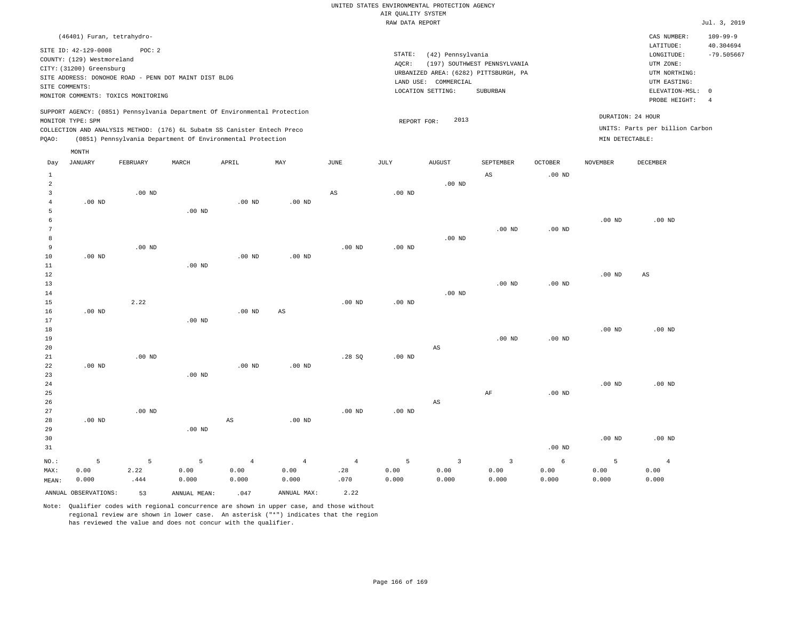|                                                                                                                                                                                                                                                    |          | (46401) Furan, tetrahydro- |       |          |          |      |                                                                                                                                                                           |                     |           |                |                 | CAS NUMBER:                                                                                              | $109 - 99 - 9$                                          |
|----------------------------------------------------------------------------------------------------------------------------------------------------------------------------------------------------------------------------------------------------|----------|----------------------------|-------|----------|----------|------|---------------------------------------------------------------------------------------------------------------------------------------------------------------------------|---------------------|-----------|----------------|-----------------|----------------------------------------------------------------------------------------------------------|---------------------------------------------------------|
| SITE ID: 42-129-0008<br>POC: 2<br>COUNTY: (129) Westmoreland<br>CITY: (31200) Greensburg<br>SITE ADDRESS: DONOHOE ROAD - PENN DOT MAINT DIST BLDG<br>SITE COMMENTS:<br>MONITOR COMMENTS: TOXICS MONITORING                                         |          |                            |       |          |          |      | STATE:<br>(42) Pennsylvania<br>AQCR:<br>(197) SOUTHWEST PENNSYLVANIA<br>URBANIZED AREA: (6282) PITTSBURGH, PA<br>COMMERCIAL<br>LAND USE:<br>LOCATION SETTING:<br>SUBURBAN |                     |           |                |                 | LATITUDE:<br>LONGITUDE:<br>UTM ZONE:<br>UTM NORTHING:<br>UTM EASTING:<br>ELEVATION-MSL:<br>PROBE HEIGHT: | 40.304694<br>$-79.505667$<br>$\Omega$<br>$\overline{4}$ |
| SUPPORT AGENCY: (0851) Pennsylvania Department Of Environmental Protection<br>MONITOR TYPE: SPM<br>COLLECTION AND ANALYSIS METHOD: (176) 6L Subatm SS Canister Entech Preco<br>(0851) Pennsylvania Department Of Environmental Protection<br>POAO: |          |                            |       |          |          |      |                                                                                                                                                                           | 2013<br>REPORT FOR: |           |                | MIN DETECTABLE: | DURATION: 24 HOUR<br>UNITS: Parts per billion Carbon                                                     |                                                         |
|                                                                                                                                                                                                                                                    | MONTH    |                            |       |          |          |      |                                                                                                                                                                           |                     |           |                |                 |                                                                                                          |                                                         |
| Day                                                                                                                                                                                                                                                | JANUARY  | FEBRUARY                   | MARCH | APRIL    | MAY      | JUNE | JULY                                                                                                                                                                      | <b>AUGUST</b>       | SEPTEMBER | <b>OCTOBER</b> | <b>NOVEMBER</b> | DECEMBER                                                                                                 |                                                         |
|                                                                                                                                                                                                                                                    |          |                            |       |          |          |      |                                                                                                                                                                           |                     | AS        | $.00$ ND       |                 |                                                                                                          |                                                         |
|                                                                                                                                                                                                                                                    |          | $.00$ ND                   |       |          |          | AS   | $.00$ ND                                                                                                                                                                  | $.00$ ND            |           |                |                 |                                                                                                          |                                                         |
|                                                                                                                                                                                                                                                    | $.00$ ND |                            |       | $.00$ ND | $.00$ ND |      |                                                                                                                                                                           |                     |           |                |                 |                                                                                                          |                                                         |

|                |          |                   | $.00$ ND |          |          |          |          |                   |          |          |          |                   |
|----------------|----------|-------------------|----------|----------|----------|----------|----------|-------------------|----------|----------|----------|-------------------|
|                |          |                   |          |          |          |          |          |                   |          |          | $.00$ ND | .00 <sub>ND</sub> |
| $\overline{7}$ |          |                   |          |          |          |          |          |                   | $.00$ ND | $.00$ ND |          |                   |
| 8              |          |                   |          |          |          |          |          | .00 <sub>ND</sub> |          |          |          |                   |
|                |          | .00 <sub>ND</sub> |          |          |          | $.00$ ND | $.00$ ND |                   |          |          |          |                   |
| 10             | $.00$ ND |                   |          | $.00$ ND | $.00$ ND |          |          |                   |          |          |          |                   |
| 11             |          |                   | $.00$ ND |          |          |          |          |                   |          |          |          |                   |

| 12 |          |          |          |                   |          |          |          |          |          |          | $.00$ ND | AS       |
|----|----------|----------|----------|-------------------|----------|----------|----------|----------|----------|----------|----------|----------|
| 13 |          |          |          |                   |          |          |          |          | $.00$ ND | $.00$ ND |          |          |
| 14 |          |          |          |                   |          |          |          | $.00$ ND |          |          |          |          |
| 15 |          | 2.22     |          |                   |          | $.00$ ND | $.00$ ND |          |          |          |          |          |
| 16 | $.00$ ND |          |          | .00 <sub>ND</sub> | AS       |          |          |          |          |          |          |          |
| 17 |          |          | $.00$ ND |                   |          |          |          |          |          |          |          |          |
| 18 |          |          |          |                   |          |          |          |          |          |          | $.00$ ND | $.00$ ND |
| 19 |          |          |          |                   |          |          |          |          | $.00$ ND | $.00$ ND |          |          |
| 20 |          |          |          |                   |          |          |          | AS       |          |          |          |          |
| 21 |          | $.00$ ND |          |                   |          | .28SQ    | $.00$ ND |          |          |          |          |          |
| 22 | $.00$ ND |          |          | $.00$ ND          | $.00$ ND |          |          |          |          |          |          |          |

| 23     |          |          | $.00$ ND |    |          |          |          |    |    |          |          |          |
|--------|----------|----------|----------|----|----------|----------|----------|----|----|----------|----------|----------|
| 24     |          |          |          |    |          |          |          |    |    |          | $.00$ ND | $.00$ ND |
| $25\,$ |          |          |          |    |          |          |          |    | AF | $.00$ ND |          |          |
| 26     |          |          |          |    |          |          |          | AS |    |          |          |          |
| 27     |          | $.00$ ND |          |    |          | $.00$ ND | $.00$ ND |    |    |          |          |          |
| 28     | $.00$ ND |          |          | AS | $.00$ ND |          |          |    |    |          |          |          |
| 29     |          |          | $.00$ ND |    |          |          |          |    |    |          |          |          |
| 30     |          |          |          |    |          |          |          |    |    |          | $.00$ ND | $.00$ ND |
| 31     |          |          |          |    |          |          |          |    |    | $.00$ ND |          |          |

| NO.:  |                      | $5 - 5$ | $5 - 5$      | $4\sigma$ |             | $4\quad 4$ |       | $5 \hspace{2.5cm} 3$ |       |       |       |       |
|-------|----------------------|---------|--------------|-----------|-------------|------------|-------|----------------------|-------|-------|-------|-------|
| MAX:  | 0.00                 | 2.22    | 0.00         | 0.00      | 0.00        | .28        | 0.00  | 0.00                 | 0.00  | 0.00  | 0.00  | 0.00  |
| MEAN: | 0.000                | .444    | 0.000        | 0.000     | 0.000       | .070       | 0.000 | 0.000                | 0.000 | 0.000 | 0.000 | 0.000 |
|       | ANNUAL OBSERVATIONS: | 53      | ANNUAL MEAN: | .047      | ANNUAL MAX: | 2.22       |       |                      |       |       |       |       |

Note: Qualifier codes with regional concurrence are shown in upper case, and those without

regional review are shown in lower case. An asterisk ("\*") indicates that the region

has reviewed the value and does not concur with the qualifier.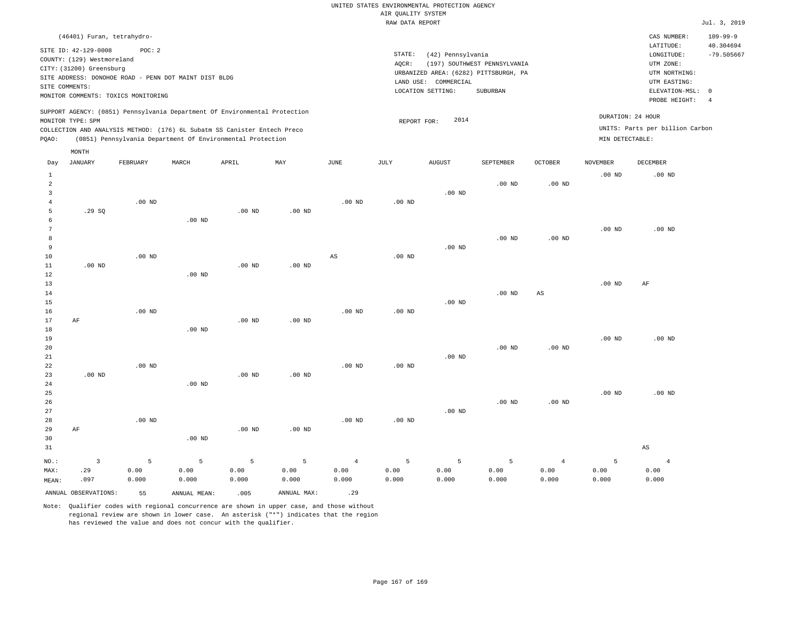| (46401) Furan, tetrahydro-                                                                                                                                                                                                                                  |                                                                                                               |                                      | CAS NUMBER:                                           | $109 - 99 - 9$            |
|-------------------------------------------------------------------------------------------------------------------------------------------------------------------------------------------------------------------------------------------------------------|---------------------------------------------------------------------------------------------------------------|--------------------------------------|-------------------------------------------------------|---------------------------|
| SITE ID: 42-129-0008<br>POC:2<br>COUNTY: (129) Westmoreland<br>CITY: (31200) Greensburg                                                                                                                                                                     | STATE:<br>(42) Pennsylvania<br>(197) SOUTHWEST PENNSYLVANIA<br>AOCR:<br>URBANIZED AREA: (6282) PITTSBURGH, PA |                                      | LATITUDE:<br>LONGITUDE:<br>UTM ZONE:<br>UTM NORTHING: | 40.304694<br>$-79.505667$ |
| SITE ADDRESS: DONOHOE ROAD - PENN DOT MAINT DIST BLDG<br>SITE COMMENTS:<br>MONITOR COMMENTS: TOXICS MONITORING                                                                                                                                              | LAND USE: COMMERCIAL<br>SUBURBAN<br>LOCATION SETTING:                                                         |                                      | UTM EASTING:<br>ELEVATION-MSL: 0<br>PROBE HEIGHT:     | -4                        |
| SUPPORT AGENCY: (0851) Pennsylvania Department Of Environmental Protection<br>MONITOR TYPE: SPM<br>COLLECTION AND ANALYSIS METHOD: (176) 6L Subatm SS Canister Entech Preco<br>(0851) Pennsylvania Department Of Environmental Protection<br>POAO:<br>MONTH | 2014<br>REPORT FOR:                                                                                           | DURATION: 24 HOUR<br>MIN DETECTABLE: | UNITS: Parts per billion Carbon                       |                           |
|                                                                                                                                                                                                                                                             |                                                                                                               |                                      |                                                       |                           |

| Day            | JANUARY              | FEBRUARY | MARCH        | APRIL             | MAY         | JUNE     | JULY     | AUGUST   | SEPTEMBER         | OCTOBER           | NOVEMBER | DECEMBER               |
|----------------|----------------------|----------|--------------|-------------------|-------------|----------|----------|----------|-------------------|-------------------|----------|------------------------|
| $\mathbf{1}$   |                      |          |              |                   |             |          |          |          |                   |                   | $.00$ ND | $.00$ ND               |
| $\overline{a}$ |                      |          |              |                   |             |          |          |          | .00 <sub>ND</sub> | $.00$ ND          |          |                        |
| 3              |                      |          |              |                   |             |          |          | $.00$ ND |                   |                   |          |                        |
| $\overline{4}$ |                      | $.00$ ND |              |                   |             | $.00$ ND | $.00$ ND |          |                   |                   |          |                        |
| 5              | .29 SQ               |          |              | .00 <sub>ND</sub> | $.00$ ND    |          |          |          |                   |                   |          |                        |
| 6              |                      |          | $.00$ ND     |                   |             |          |          |          |                   |                   |          |                        |
| 7              |                      |          |              |                   |             |          |          |          |                   |                   | $.00$ ND | $.00$ ND               |
| $\,8\,$        |                      |          |              |                   |             |          |          |          | .00 <sub>ND</sub> | .00 <sub>ND</sub> |          |                        |
| 9              |                      |          |              |                   |             |          |          | $.00$ ND |                   |                   |          |                        |
| 10             |                      | $.00$ ND |              |                   |             | AS       | $.00$ ND |          |                   |                   |          |                        |
| 11             | $.00$ ND             |          |              | $.00$ ND          | $.00$ ND    |          |          |          |                   |                   |          |                        |
| 12             |                      |          | $.00$ ND     |                   |             |          |          |          |                   |                   |          |                        |
| 13             |                      |          |              |                   |             |          |          |          |                   |                   | $.00$ ND | AF                     |
| 14             |                      |          |              |                   |             |          |          |          | .00 <sub>ND</sub> | $_{\rm AS}$       |          |                        |
| 15             |                      |          |              |                   |             |          |          | $.00$ ND |                   |                   |          |                        |
| 16             |                      | $.00$ ND |              |                   |             | $.00$ ND | $.00$ ND |          |                   |                   |          |                        |
| 17             | AF                   |          |              | $.00$ ND          | $.00$ ND    |          |          |          |                   |                   |          |                        |
| 18             |                      |          | $.00$ ND     |                   |             |          |          |          |                   |                   |          |                        |
| 19             |                      |          |              |                   |             |          |          |          |                   |                   | $.00$ ND | $.00$ ND               |
| 20             |                      |          |              |                   |             |          |          |          | .00 <sub>ND</sub> | .00 <sub>ND</sub> |          |                        |
| $2\sqrt{1}$    |                      |          |              |                   |             |          |          | $.00$ ND |                   |                   |          |                        |
| $2\sqrt{2}$    |                      | $.00$ ND |              |                   |             | $.00$ ND | $.00$ ND |          |                   |                   |          |                        |
| 23             | $.00$ ND             |          |              | $.00$ ND          | $.00$ ND    |          |          |          |                   |                   |          |                        |
| 24             |                      |          | $.00$ ND     |                   |             |          |          |          |                   |                   |          |                        |
| 25<br>26       |                      |          |              |                   |             |          |          |          | .00 <sub>ND</sub> | $.00$ ND          | $.00$ ND | $.00$ ND               |
| 27             |                      |          |              |                   |             |          |          | $.00$ ND |                   |                   |          |                        |
| 28             |                      | $.00$ ND |              |                   |             | $.00$ ND | $.00$ ND |          |                   |                   |          |                        |
| 29             | AF                   |          |              | $.00$ ND          | $.00$ ND    |          |          |          |                   |                   |          |                        |
| 30             |                      |          | $.00$ ND     |                   |             |          |          |          |                   |                   |          |                        |
| 31             |                      |          |              |                   |             |          |          |          |                   |                   |          | $\mathbb{A}\mathbb{S}$ |
|                |                      |          |              |                   |             |          |          |          |                   |                   |          |                        |
| $_{\rm NO.}$ : | 3                    | 5        | 5            | $\overline{5}$    | 5           | $\,4$    | 5        | 5        | 5                 | $\overline{4}$    | 5        | $\overline{4}$         |
| MAX:           | .29                  | 0.00     | 0.00         | 0.00              | 0.00        | 0.00     | 0.00     | 0.00     | 0.00              | 0.00              | 0.00     | 0.00                   |
| MEAN:          | .097                 | 0.000    | 0.000        | 0.000             | 0.000       | 0.000    | 0.000    | 0.000    | 0.000             | 0.000             | 0.000    | 0.000                  |
|                | ANNUAL OBSERVATIONS: | 55       | ANNUAL MEAN: | .005              | ANNUAL MAX: | .29      |          |          |                   |                   |          |                        |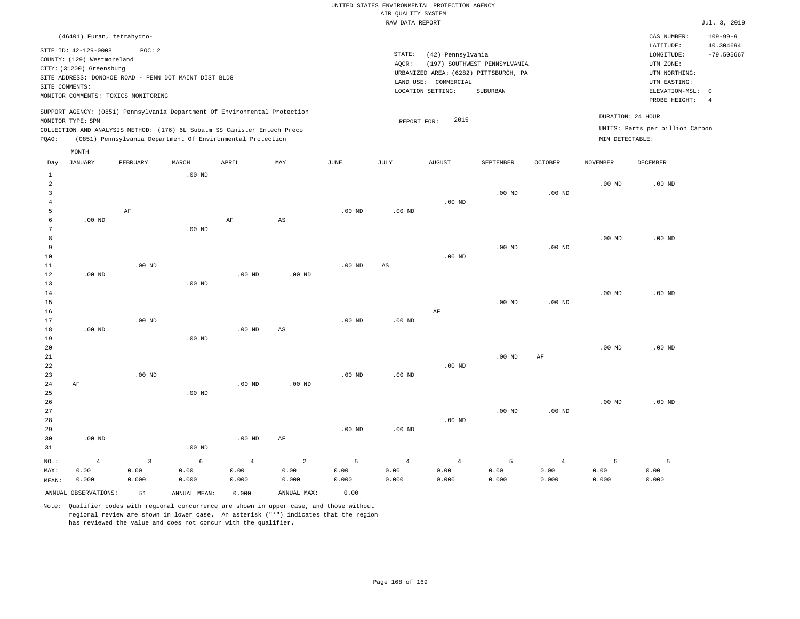| (46401) Furan, tetrahydro-                                                                                                                                                                                                                                  |                                                                                                                                                                        | CAS NUMBER:                                                                                                | $109 - 99 - 9$            |
|-------------------------------------------------------------------------------------------------------------------------------------------------------------------------------------------------------------------------------------------------------------|------------------------------------------------------------------------------------------------------------------------------------------------------------------------|------------------------------------------------------------------------------------------------------------|---------------------------|
| SITE ID: 42-129-0008<br>POC:2<br>COUNTY: (129) Westmoreland<br>CITY: (31200) Greensburg<br>SITE ADDRESS: DONOHOE ROAD - PENN DOT MAINT DIST BLDG<br>SITE COMMENTS:<br>MONITOR COMMENTS: TOXICS MONITORING                                                   | STATE:<br>(42) Pennsylvania<br>(197) SOUTHWEST PENNSYLVANIA<br>AOCR:<br>URBANIZED AREA: (6282) PITTSBURGH, PA<br>LAND USE: COMMERCIAL<br>LOCATION SETTING:<br>SUBURBAN | LATITUDE:<br>LONGITUDE:<br>UTM ZONE:<br>UTM NORTHING:<br>UTM EASTING:<br>ELEVATION-MSL: 0<br>PROBE HEIGHT: | 40.304694<br>$-79.505667$ |
| SUPPORT AGENCY: (0851) Pennsylvania Department Of Environmental Protection<br>MONITOR TYPE: SPM<br>COLLECTION AND ANALYSIS METHOD: (176) 6L Subatm SS Canister Entech Preco<br>(0851) Pennsylvania Department Of Environmental Protection<br>POAO:<br>MONTH | DURATION: 24 HOUR<br>2015<br>REPORT FOR:<br>MIN DETECTABLE:                                                                                                            | UNITS: Parts per billion Carbon                                                                            |                           |

| Day            | JANUARY              | FEBRUARY    | MARCH             | APRIL          | MAY                     | $_{\rm JUNE}$ | JULY                   | AUGUST         | SEPTEMBER      | OCTOBER        | NOVEMBER          | DECEMBER |
|----------------|----------------------|-------------|-------------------|----------------|-------------------------|---------------|------------------------|----------------|----------------|----------------|-------------------|----------|
| $\mathbf{1}$   |                      |             | $.00$ ND          |                |                         |               |                        |                |                |                |                   |          |
| $\overline{a}$ |                      |             |                   |                |                         |               |                        |                |                |                | $.00$ ND          | $.00$ ND |
| 3              |                      |             |                   |                |                         |               |                        |                | $.00$ ND       | $.00$ ND       |                   |          |
| $\overline{4}$ |                      |             |                   |                |                         |               |                        | $.00$ ND       |                |                |                   |          |
| 5              |                      | $\rm AF$    |                   |                |                         | $.00$ ND      | $.00$ ND               |                |                |                |                   |          |
| 6              | $.00$ ND             |             |                   | $\rm AF$       | $\mathbb{A}\mathbb{S}$  |               |                        |                |                |                |                   |          |
| 7              |                      |             | $.00$ ND          |                |                         |               |                        |                |                |                |                   |          |
| 8              |                      |             |                   |                |                         |               |                        |                |                |                | $.00$ ND          | $.00$ ND |
| 9              |                      |             |                   |                |                         |               |                        |                | $.00$ ND       | $.00$ ND       |                   |          |
| $10$           |                      |             |                   |                |                         |               |                        | $.00$ ND       |                |                |                   |          |
| 11             |                      | $.00$ ND    |                   |                |                         | $.00$ ND      | $\mathbb{A}\mathbb{S}$ |                |                |                |                   |          |
| 12             | $.00$ ND             |             |                   | $.00$ ND       | $.00$ ND                |               |                        |                |                |                |                   |          |
| 13             |                      |             | $.00$ ND          |                |                         |               |                        |                |                |                |                   |          |
| 14             |                      |             |                   |                |                         |               |                        |                |                |                | $.00$ ND          | $.00$ ND |
| 15             |                      |             |                   |                |                         |               |                        |                | $.00$ ND       | $.00$ ND       |                   |          |
| 16             |                      |             |                   |                |                         |               |                        | AF             |                |                |                   |          |
| 17             |                      | $.00$ ND    |                   |                |                         | $.00$ ND      | $.00$ ND               |                |                |                |                   |          |
| 18             | $.00$ ND             |             |                   | $.00$ ND       | $\mathbb{A}\mathbb{S}$  |               |                        |                |                |                |                   |          |
| 19             |                      |             | $.00$ ND          |                |                         |               |                        |                |                |                |                   |          |
| 20             |                      |             |                   |                |                         |               |                        |                |                |                | .00 $ND$          | $.00$ ND |
| $_{\rm 21}$    |                      |             |                   |                |                         |               |                        |                | $.00$ ND       | AF             |                   |          |
| $^{\rm 22}$    |                      |             |                   |                |                         |               |                        | $.00$ ND       |                |                |                   |          |
| 23             |                      | $.00$ ND    |                   |                |                         | $.00$ ND      | $.00$ ND               |                |                |                |                   |          |
| $2\sqrt{4}$    | $\rm AF$             |             |                   | $.00$ ND       | $.00$ ND                |               |                        |                |                |                |                   |          |
| 25             |                      |             | $.00$ ND          |                |                         |               |                        |                |                |                |                   |          |
| 26             |                      |             |                   |                |                         |               |                        |                |                |                | .00 <sub>ND</sub> | $.00$ ND |
| 27             |                      |             |                   |                |                         |               |                        |                | $.00$ ND       | $.00$ ND       |                   |          |
| 28             |                      |             |                   |                |                         |               |                        | $.00$ ND       |                |                |                   |          |
| 29             |                      |             |                   |                |                         | $.00$ ND      | $.00$ ND               |                |                |                |                   |          |
| 30             | $.00$ ND             |             |                   | $.00$ ND       | AF                      |               |                        |                |                |                |                   |          |
| 31             |                      |             | .00 <sub>ND</sub> |                |                         |               |                        |                |                |                |                   |          |
| $NO.$ :        | $\sqrt{4}$           | $\mathsf 3$ | 6                 | $\overline{4}$ | $\overline{\mathbf{c}}$ | 5             | $\overline{4}$         | $\overline{4}$ | $\overline{5}$ | $\overline{4}$ | 5                 | 5        |
| MAX:           | 0.00                 | 0.00        | 0.00              | 0.00           | 0.00                    | 0.00          | 0.00                   | 0.00           | 0.00           | 0.00           | 0.00              | 0.00     |
| MEAN:          | 0.000                | 0.000       | 0.000             | 0.000          | 0.000                   | 0.000         | 0.000                  | 0.000          | 0.000          | 0.000          | 0.000             | 0.000    |
|                | ANNUAL OBSERVATIONS: | 51          | ANNUAL MEAN:      | 0.000          | ANNUAL MAX:             | 0.00          |                        |                |                |                |                   |          |